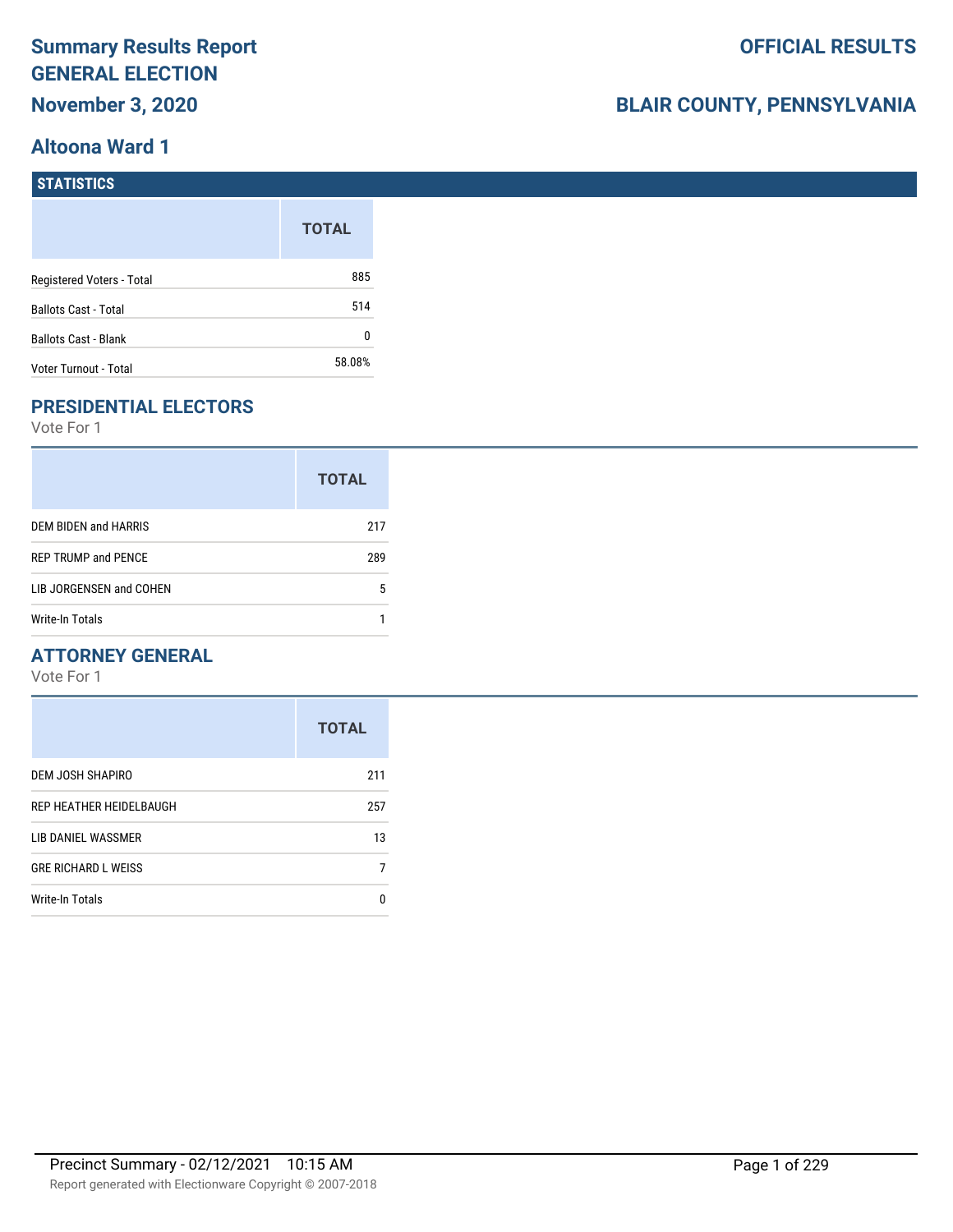# **Summary Results Report GENERAL ELECTION November 3, 2020**

# **BLAIR COUNTY, PENNSYLVANIA**

#### **STATISTICS**

|                             | <b>TOTAL</b> |
|-----------------------------|--------------|
| Registered Voters - Total   | 885          |
| <b>Ballots Cast - Total</b> | 514          |
| <b>Ballots Cast - Blank</b> | N            |
| Voter Turnout - Total       | 58.08%       |

### **PRESIDENTIAL ELECTORS**

Vote For 1

|                            | <b>TOTAL</b> |
|----------------------------|--------------|
| DEM BIDEN and HARRIS       | 217          |
| <b>REP TRUMP and PENCE</b> | 289          |
| LIB JORGENSEN and COHEN    | 5            |
| Write-In Totals            |              |

### **ATTORNEY GENERAL**

|                            | <b>TOTAL</b> |
|----------------------------|--------------|
| DEM JOSH SHAPIRO           | 211          |
| REP HEATHER HEIDELBAUGH    | 257          |
| LIB DANIEL WASSMER         | 13           |
| <b>GRE RICHARD L WEISS</b> |              |
| <b>Write-In Totals</b>     | n            |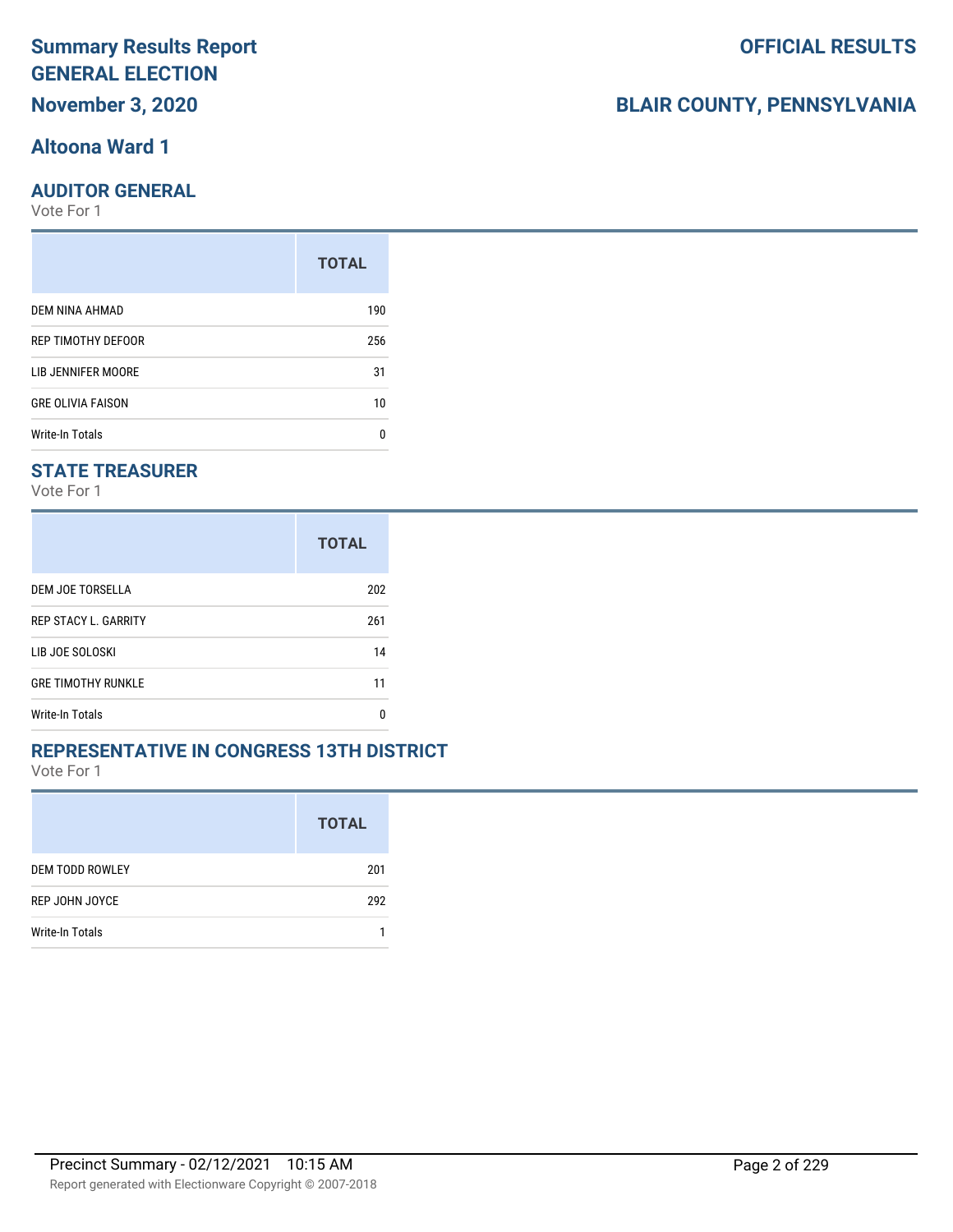# **Summary Results Report GENERAL ELECTION November 3, 2020**

### **Altoona Ward 1**

#### **AUDITOR GENERAL**

Vote For 1

|                          | <b>TOTAL</b> |
|--------------------------|--------------|
| DEM NINA AHMAD           | 190          |
| REP TIMOTHY DEFOOR       | 256          |
| LIB JENNIFER MOORE       | 31           |
| <b>GRE OLIVIA FAISON</b> | 10           |
| <b>Write-In Totals</b>   | n            |

#### **STATE TREASURER**

Vote For 1

|                             | <b>TOTAL</b> |
|-----------------------------|--------------|
| DEM JOE TORSELLA            | 202          |
| <b>REP STACY L. GARRITY</b> | 261          |
| LIB JOE SOLOSKI             | 14           |
| <b>GRE TIMOTHY RUNKLE</b>   | 11           |
| <b>Write-In Totals</b>      | n            |

#### **REPRESENTATIVE IN CONGRESS 13TH DISTRICT**

Vote For 1

|                        | <b>TOTAL</b> |
|------------------------|--------------|
| <b>DEM TODD ROWLEY</b> | 201          |
| REP JOHN JOYCE         | 292          |
| Write-In Totals        |              |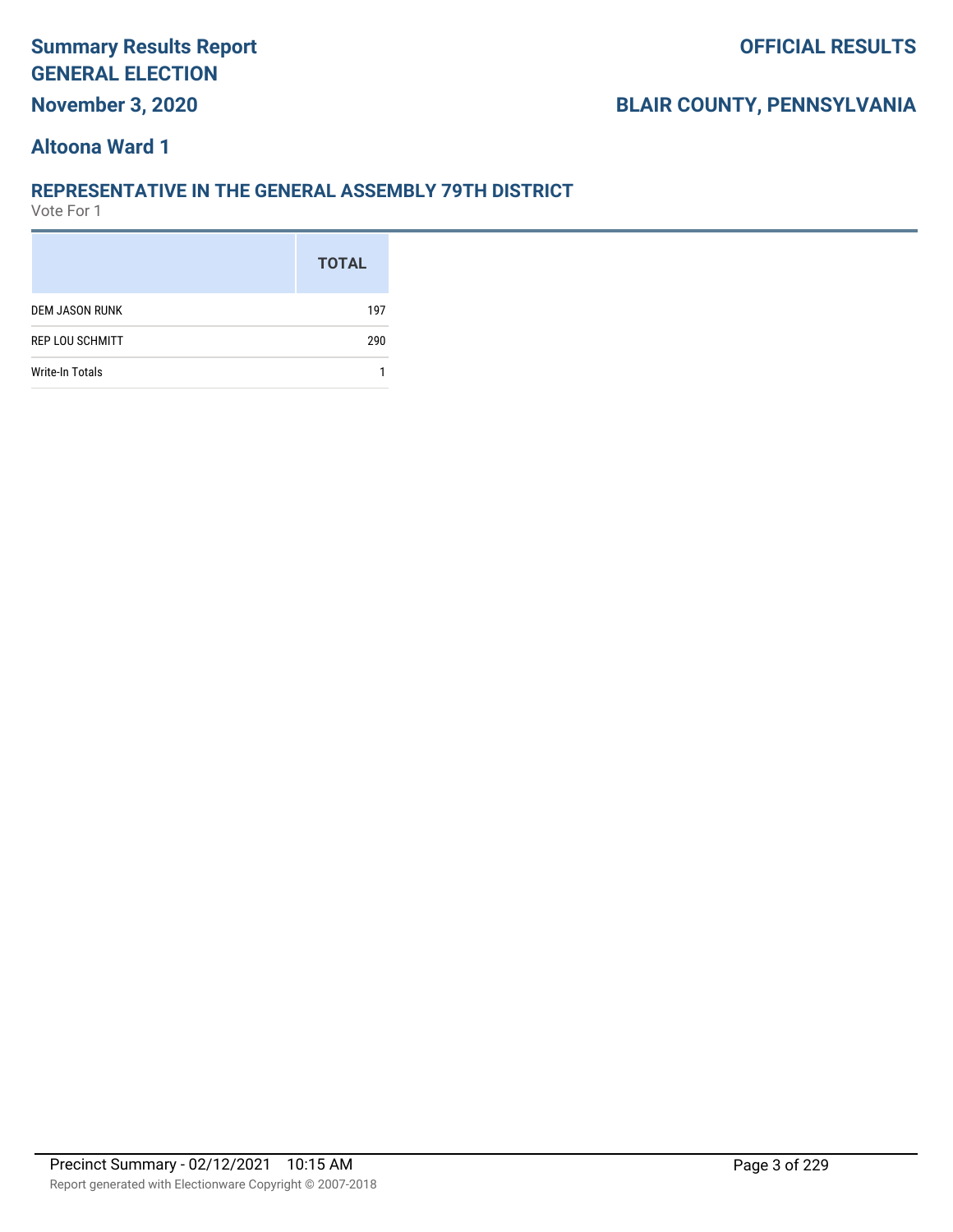# **Summary Results Report GENERAL ELECTION November 3, 2020**

# **BLAIR COUNTY, PENNSYLVANIA**

#### **Altoona Ward 1**

#### **REPRESENTATIVE IN THE GENERAL ASSEMBLY 79TH DISTRICT**

|                        | <b>TOTAL</b> |
|------------------------|--------------|
| <b>DEM JASON RUNK</b>  | 197          |
| <b>REP LOU SCHMITT</b> | 290          |
| <b>Write-In Totals</b> |              |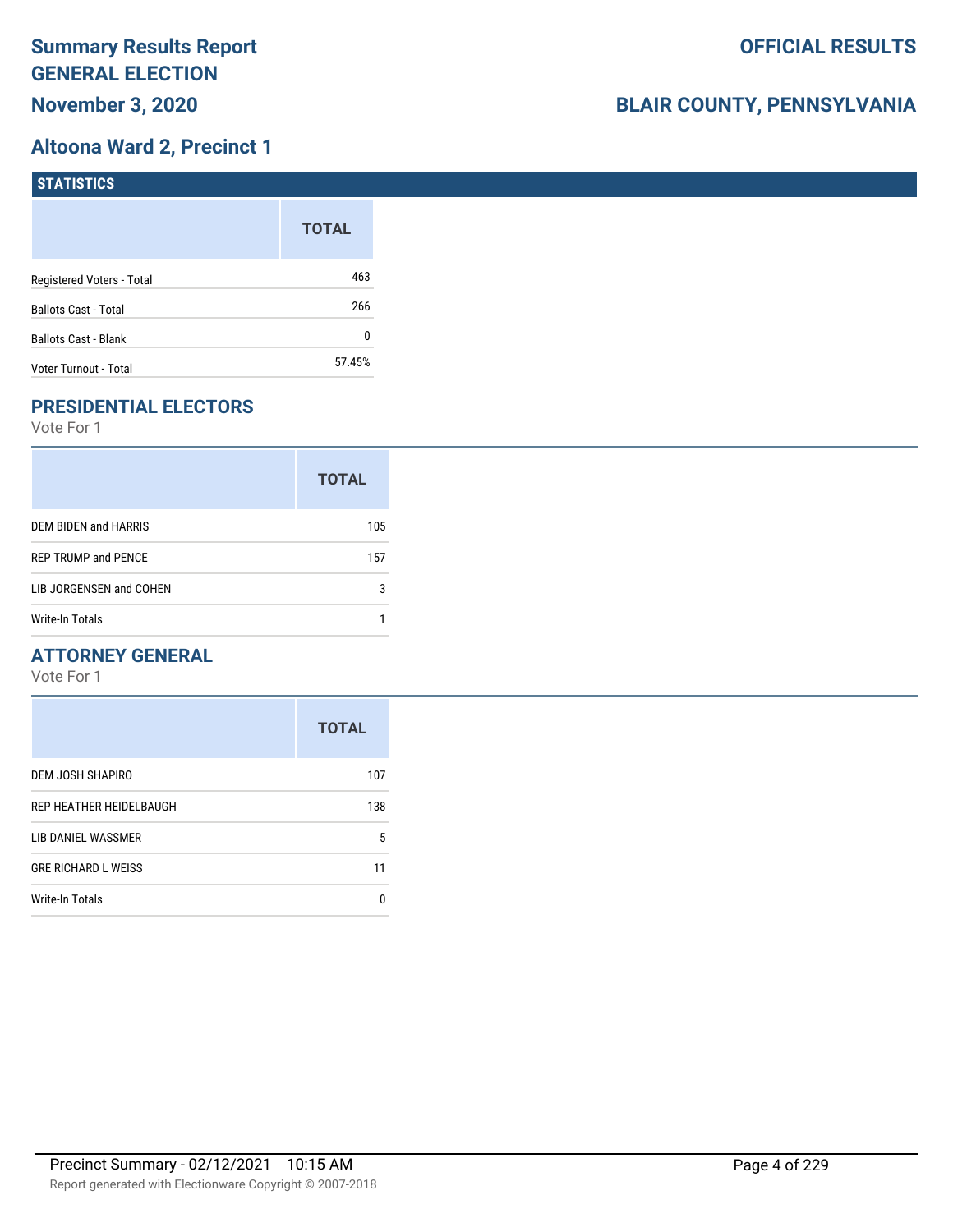## **Altoona Ward 2, Precinct 1**

| <b>STATISTICS</b>         |              |
|---------------------------|--------------|
|                           | <b>TOTAL</b> |
| Registered Voters - Total | 463          |
| Ballots Cast - Total      | 266          |
| Ballots Cast - Blank      | 0            |
| Voter Turnout - Total     | 57.45%       |

# **PRESIDENTIAL ELECTORS**

Vote For 1

|                            | <b>TOTAL</b> |
|----------------------------|--------------|
| DEM BIDEN and HARRIS       | 105          |
| <b>REP TRUMP and PENCE</b> | 157          |
| LIB JORGENSEN and COHEN    | 3            |
| Write-In Totals            |              |

#### **ATTORNEY GENERAL**

|                            | <b>TOTAL</b> |
|----------------------------|--------------|
| DEM JOSH SHAPIRO           | 107          |
| REP HEATHER HEIDELBAUGH    | 138          |
| LIB DANIEL WASSMER         | 5            |
| <b>GRE RICHARD L WEISS</b> | 11           |
| Write-In Totals            | n            |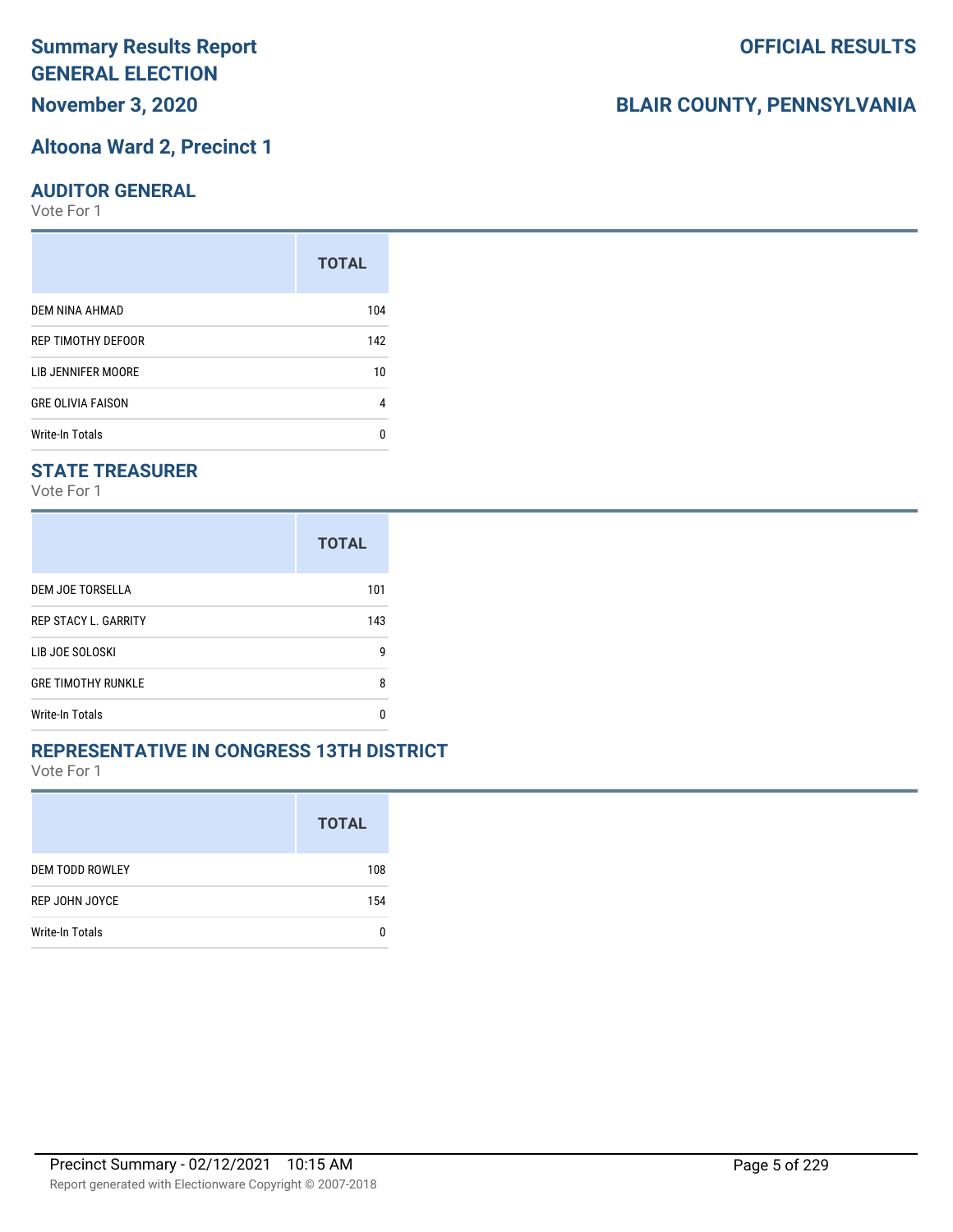**November 3, 2020**

#### **Altoona Ward 2, Precinct 1**

#### **AUDITOR GENERAL**

Vote For 1

|                          | <b>TOTAL</b> |
|--------------------------|--------------|
| DEM NINA AHMAD           | 104          |
| REP TIMOTHY DEFOOR       | 142          |
| LIB JENNIFER MOORE       | 10           |
| <b>GRE OLIVIA FAISON</b> | 4            |
| Write-In Totals          | n            |

#### **STATE TREASURER**

Vote For 1

|                             | <b>TOTAL</b> |
|-----------------------------|--------------|
| DEM JOE TORSELLA            | 101          |
| <b>REP STACY L. GARRITY</b> | 143          |
| LIB JOE SOLOSKI             | g            |
| <b>GRE TIMOTHY RUNKLE</b>   | 8            |
| Write-In Totals             | n            |

#### **REPRESENTATIVE IN CONGRESS 13TH DISTRICT**

Vote For 1

|                        | <b>TOTAL</b> |
|------------------------|--------------|
| <b>DEM TODD ROWLEY</b> | 108          |
| REP JOHN JOYCE         | 154          |
| Write-In Totals        |              |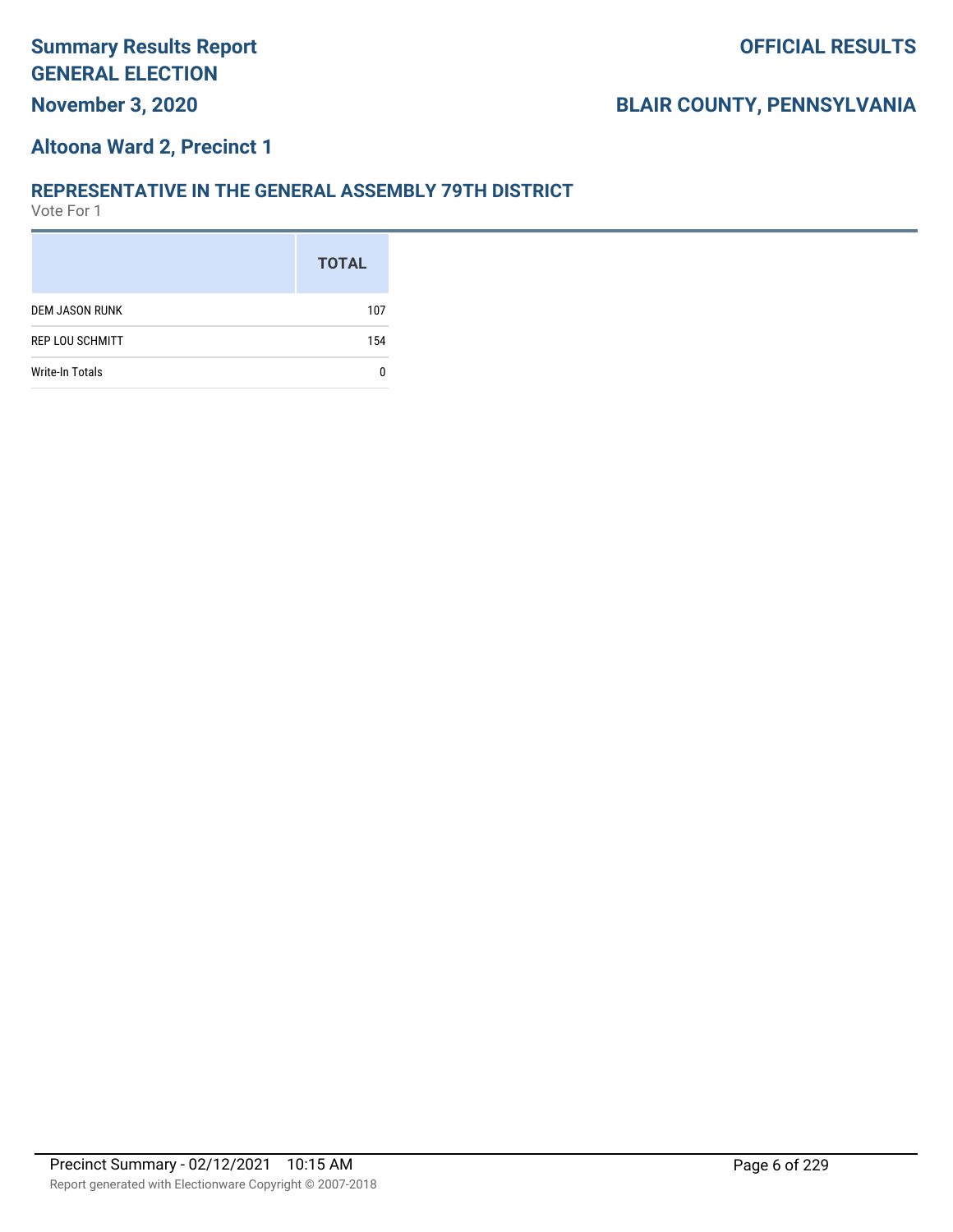# **November 3, 2020**

# **BLAIR COUNTY, PENNSYLVANIA**

#### **Altoona Ward 2, Precinct 1**

#### **REPRESENTATIVE IN THE GENERAL ASSEMBLY 79TH DISTRICT**

|                        | <b>TOTAL</b> |
|------------------------|--------------|
| <b>DEM JASON RUNK</b>  | 107          |
| <b>REP LOU SCHMITT</b> | 154          |
| <b>Write-In Totals</b> |              |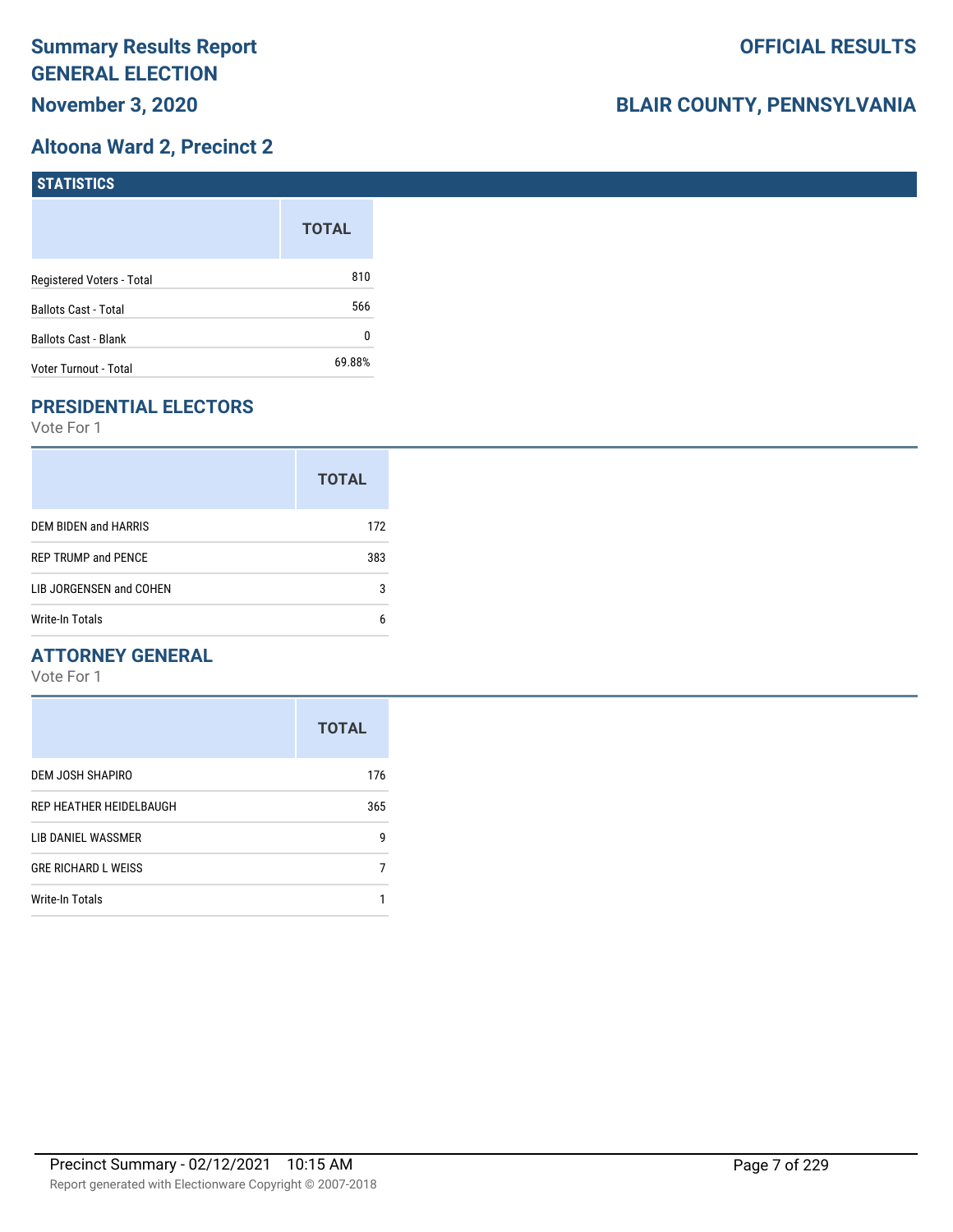# **Altoona Ward 2, Precinct 2**

| <b>STATISTICS</b>           |              |
|-----------------------------|--------------|
|                             | <b>TOTAL</b> |
| Registered Voters - Total   | 810          |
| Ballots Cast - Total        | 566          |
| <b>Ballots Cast - Blank</b> | 0            |
| Voter Turnout - Total       | 69.88%       |

# **PRESIDENTIAL ELECTORS**

Vote For 1

|                            | <b>TOTAL</b> |
|----------------------------|--------------|
| DEM BIDEN and HARRIS       | 172          |
| <b>REP TRUMP and PENCE</b> | 383          |
| LIB JORGENSEN and COHEN    | 3            |
| Write-In Totals            | 6            |

#### **ATTORNEY GENERAL**

|                            | <b>TOTAL</b> |
|----------------------------|--------------|
| DEM JOSH SHAPIRO           | 176          |
| REP HEATHER HEIDELBAUGH    | 365          |
| LIB DANIEL WASSMER         | g            |
| <b>GRE RICHARD L WEISS</b> |              |
| <b>Write-In Totals</b>     |              |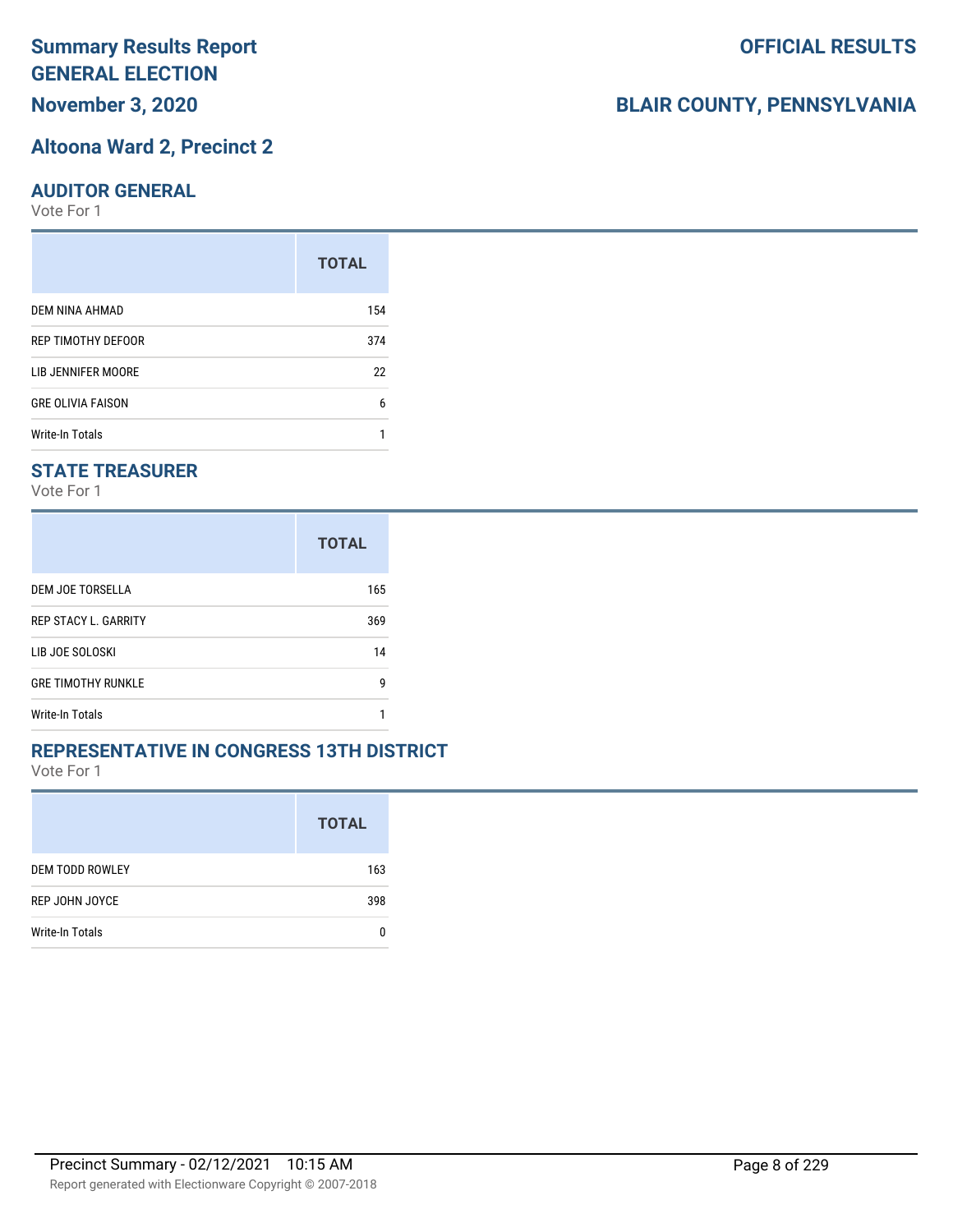**November 3, 2020**

#### **Altoona Ward 2, Precinct 2**

#### **AUDITOR GENERAL**

Vote For 1

|                          | <b>TOTAL</b> |
|--------------------------|--------------|
| DEM NINA AHMAD           | 154          |
| REP TIMOTHY DEFOOR       | 374          |
| LIB JENNIFER MOORE       | 22           |
| <b>GRE OLIVIA FAISON</b> | 6            |
| <b>Write-In Totals</b>   |              |

#### **STATE TREASURER**

Vote For 1

|                             | <b>TOTAL</b> |
|-----------------------------|--------------|
| DEM JOE TORSELLA            | 165          |
| <b>REP STACY L. GARRITY</b> | 369          |
| LIB JOE SOLOSKI             | 14           |
| <b>GRE TIMOTHY RUNKLE</b>   | g            |
| Write-In Totals             |              |

#### **REPRESENTATIVE IN CONGRESS 13TH DISTRICT**

Vote For 1

|                        | <b>TOTAL</b> |
|------------------------|--------------|
| <b>DEM TODD ROWLEY</b> | 163          |
| REP JOHN JOYCE         | 398          |
| Write-In Totals        |              |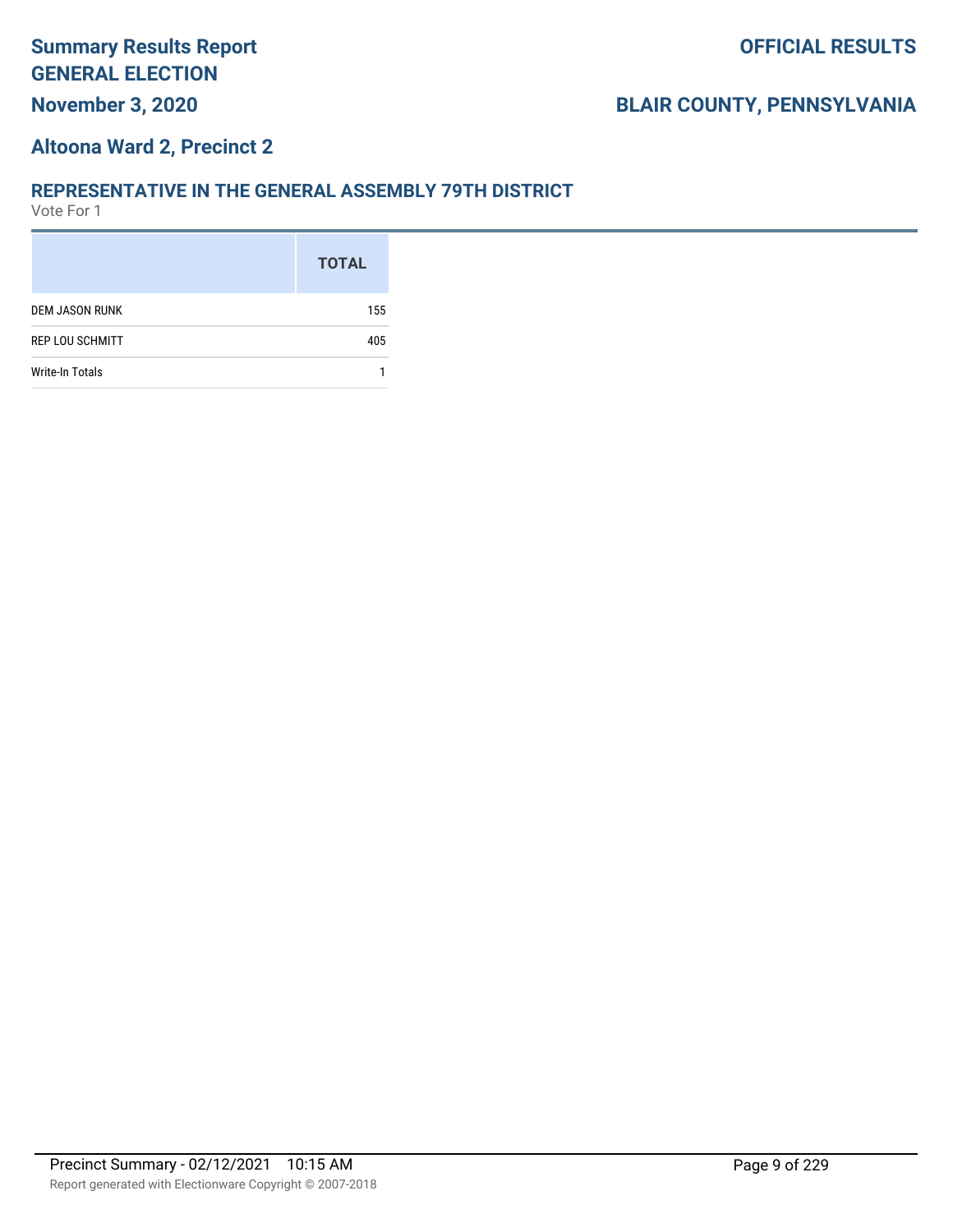#### **Altoona Ward 2, Precinct 2**

#### **REPRESENTATIVE IN THE GENERAL ASSEMBLY 79TH DISTRICT**

|                        | <b>TOTAL</b> |
|------------------------|--------------|
| <b>DEM JASON RUNK</b>  | 155          |
| <b>REP LOU SCHMITT</b> | 405          |
| <b>Write-In Totals</b> |              |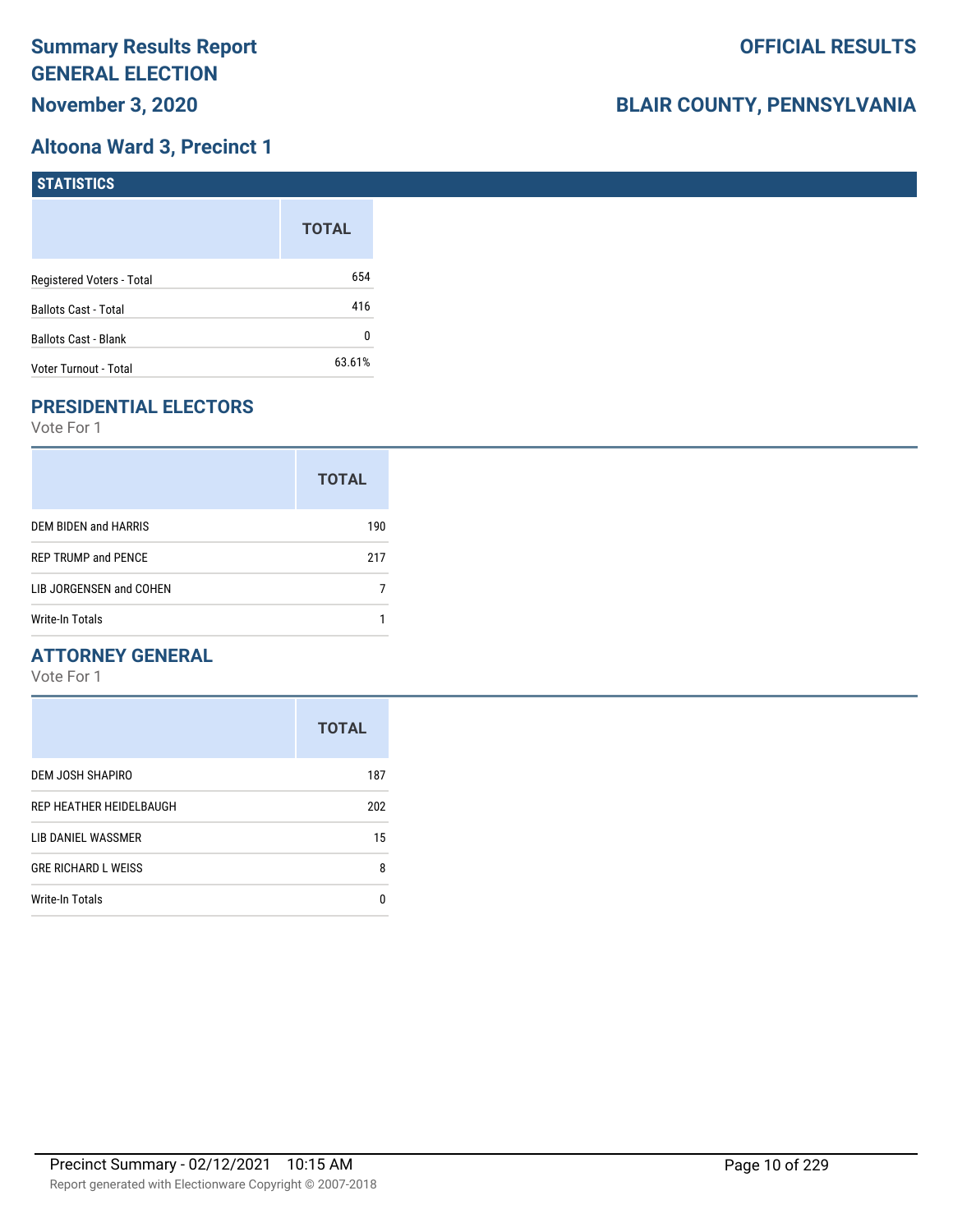## **Altoona Ward 3, Precinct 1**

| <b>STATISTICS</b>         |              |
|---------------------------|--------------|
|                           | <b>TOTAL</b> |
| Registered Voters - Total | 654          |
| Ballots Cast - Total      | 416          |
| Ballots Cast - Blank      | 0            |
| Voter Turnout - Total     | 63.61%       |

# **PRESIDENTIAL ELECTORS**

Vote For 1

|                            | <b>TOTAL</b> |
|----------------------------|--------------|
| DEM BIDEN and HARRIS       | 190          |
| <b>REP TRUMP and PENCE</b> | 217          |
| LIB JORGENSEN and COHEN    |              |
| Write-In Totals            |              |

#### **ATTORNEY GENERAL**

|                            | <b>TOTAL</b> |
|----------------------------|--------------|
| DEM JOSH SHAPIRO           | 187          |
| REP HEATHER HEIDELBAUGH    | 202          |
| LIB DANIEL WASSMER         | 15           |
| <b>GRE RICHARD L WEISS</b> | 8            |
| <b>Write-In Totals</b>     | n            |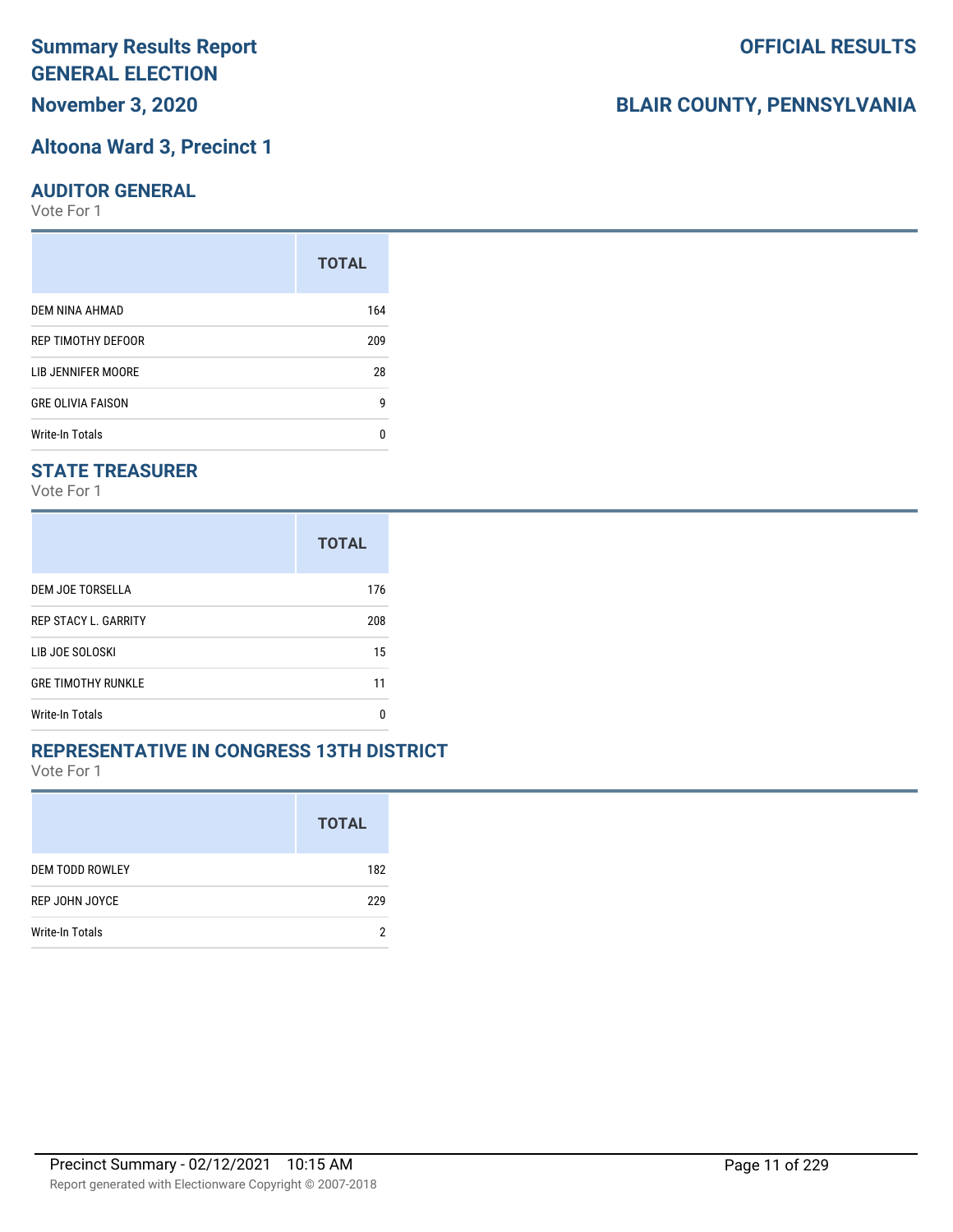**November 3, 2020**

#### **Altoona Ward 3, Precinct 1**

#### **AUDITOR GENERAL**

Vote For 1

|                          | <b>TOTAL</b> |
|--------------------------|--------------|
| DEM NINA AHMAD           | 164          |
| REP TIMOTHY DEFOOR       | 209          |
| LIB JENNIFER MOORE       | 28           |
| <b>GRE OLIVIA FAISON</b> | g            |
| <b>Write-In Totals</b>   | n            |

#### **STATE TREASURER**

Vote For 1

|                             | <b>TOTAL</b> |
|-----------------------------|--------------|
| DEM JOE TORSELLA            | 176          |
| <b>REP STACY L. GARRITY</b> | 208          |
| LIB JOE SOLOSKI             | 15           |
| <b>GRE TIMOTHY RUNKLE</b>   | 11           |
| Write-In Totals             | n            |

#### **REPRESENTATIVE IN CONGRESS 13TH DISTRICT**

Vote For 1

|                        | <b>TOTAL</b> |
|------------------------|--------------|
| <b>DEM TODD ROWLEY</b> | 182          |
| REP JOHN JOYCE         | 229          |
| Write-In Totals        | ŋ            |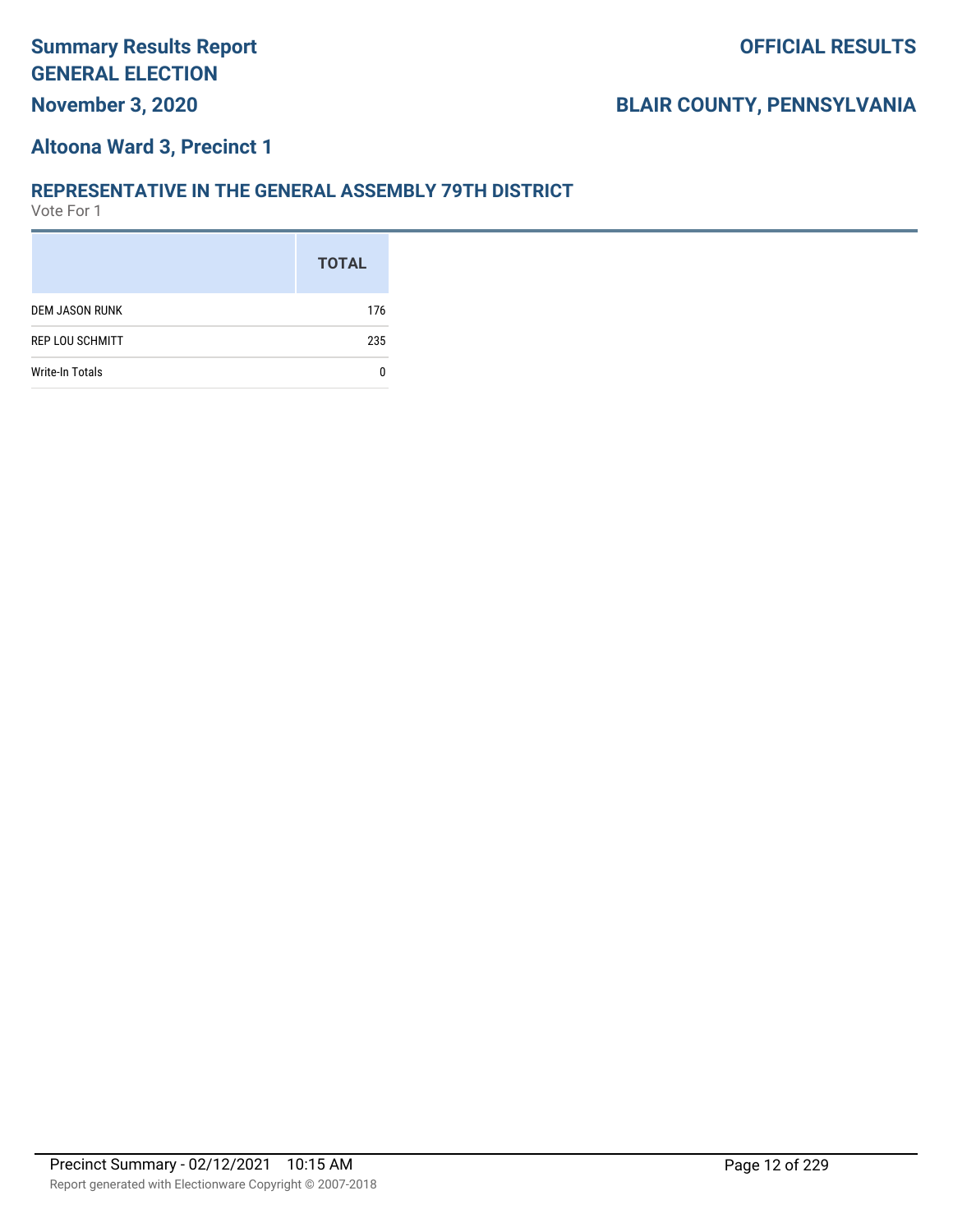#### **Altoona Ward 3, Precinct 1**

#### **REPRESENTATIVE IN THE GENERAL ASSEMBLY 79TH DISTRICT**

|                        | <b>TOTAL</b> |
|------------------------|--------------|
| <b>DEM JASON RUNK</b>  | 176          |
| <b>REP LOU SCHMITT</b> | 235          |
| <b>Write-In Totals</b> |              |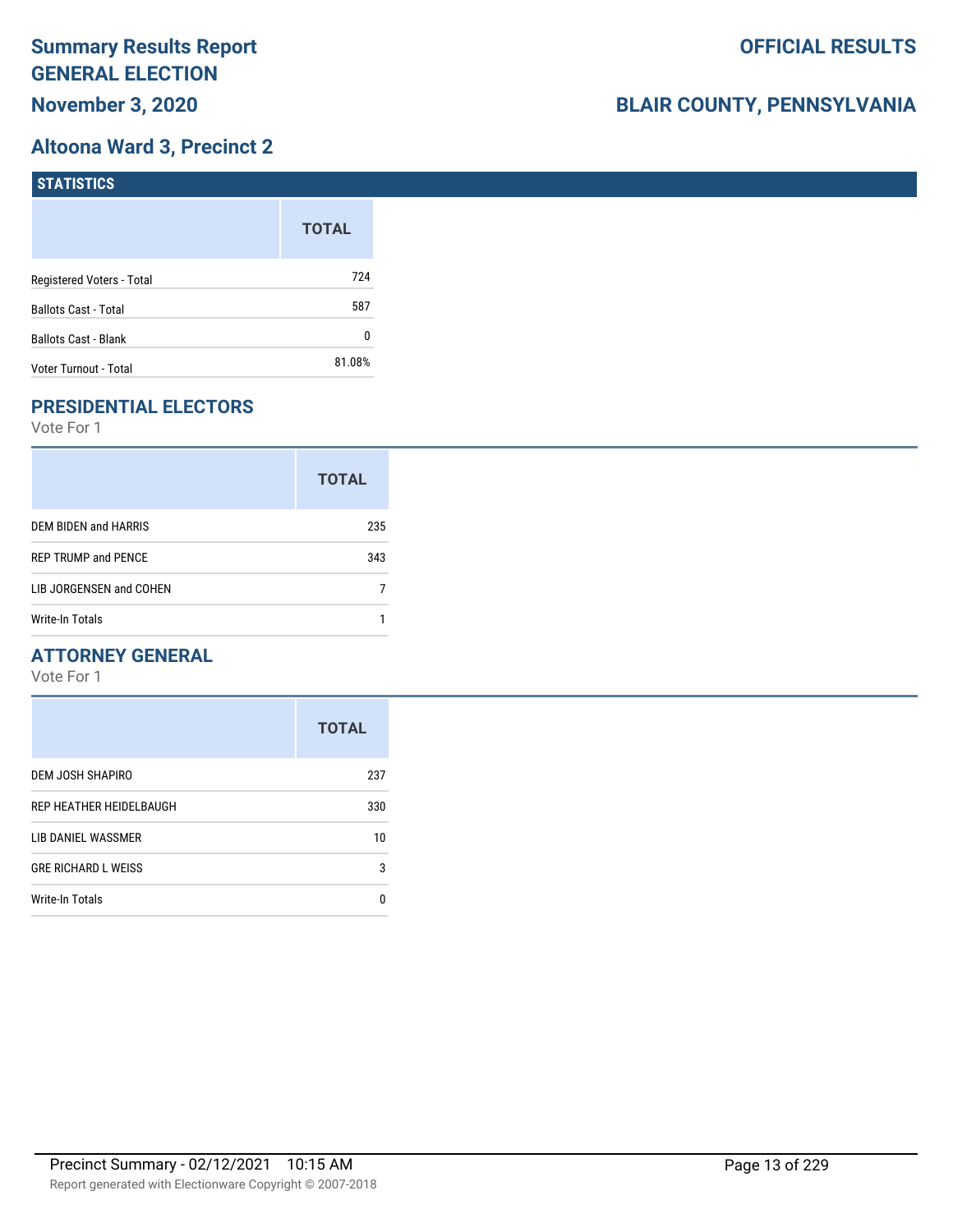## **Altoona Ward 3, Precinct 2**

| <b>STATISTICS</b>           |              |
|-----------------------------|--------------|
|                             | <b>TOTAL</b> |
| Registered Voters - Total   | 724          |
| Ballots Cast - Total        | 587          |
| <b>Ballots Cast - Blank</b> | 0            |
| Voter Turnout - Total       | 81.08%       |

# **PRESIDENTIAL ELECTORS**

Vote For 1

|                            | <b>TOTAL</b> |
|----------------------------|--------------|
| DEM BIDEN and HARRIS       | 235          |
| <b>REP TRUMP and PENCE</b> | 343          |
| LIB JORGENSEN and COHEN    |              |
| Write-In Totals            |              |

#### **ATTORNEY GENERAL**

|                            | <b>TOTAL</b> |
|----------------------------|--------------|
| DEM JOSH SHAPIRO           | 237          |
| REP HEATHER HEIDELBAUGH    | 330          |
| LIB DANIEL WASSMER         | 10           |
| <b>GRE RICHARD L WEISS</b> | 3            |
| <b>Write-In Totals</b>     | n            |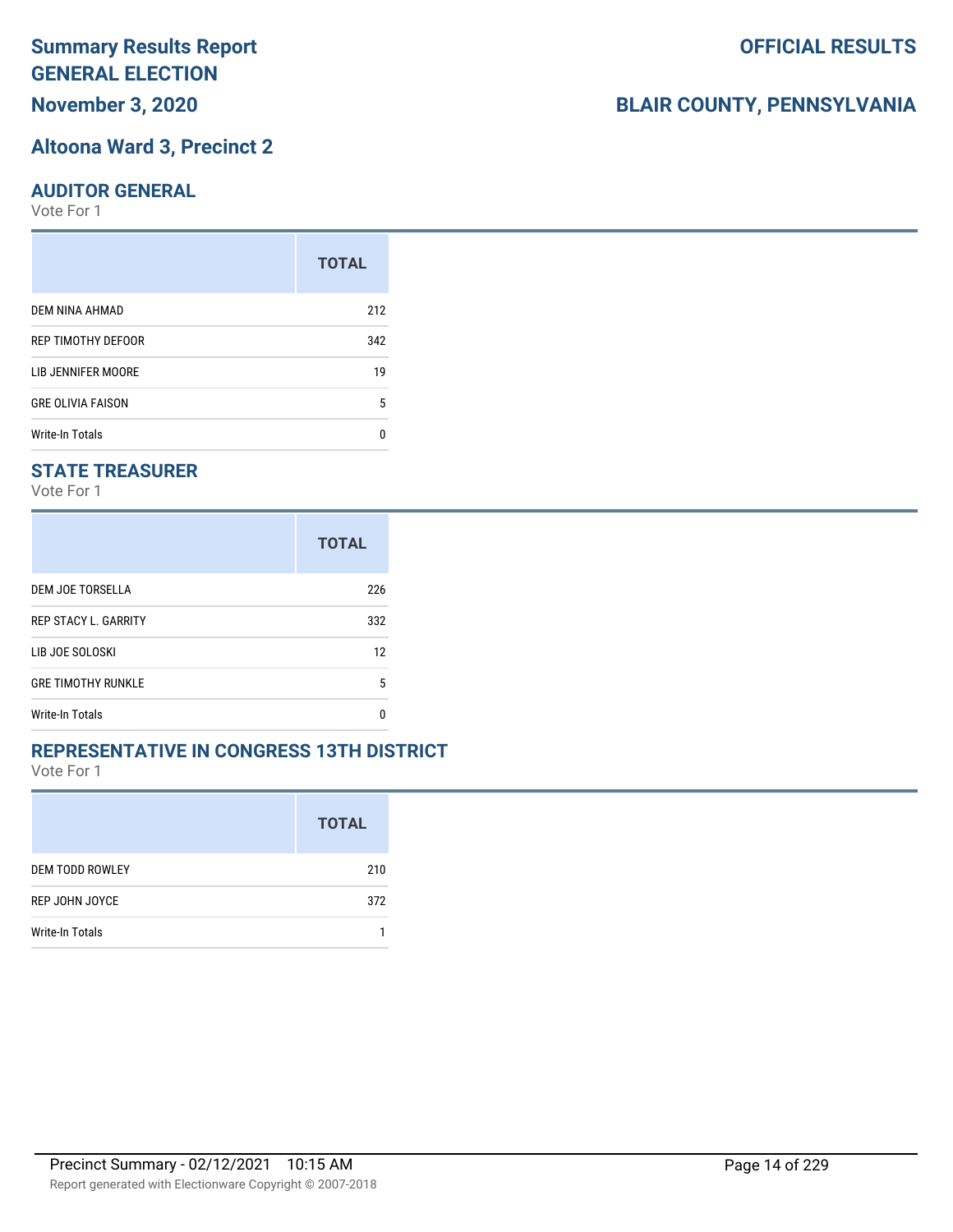# **November 3, 2020**

#### **Altoona Ward 3, Precinct 2**

#### **AUDITOR GENERAL**

Vote For 1

|                          | <b>TOTAL</b> |
|--------------------------|--------------|
| DEM NINA AHMAD           | 212          |
| REP TIMOTHY DEFOOR       | 342          |
| LIB JENNIFER MOORE       | 19           |
| <b>GRE OLIVIA FAISON</b> | 5            |
| <b>Write-In Totals</b>   | n            |

#### **STATE TREASURER**

Vote For 1

|                             | <b>TOTAL</b> |
|-----------------------------|--------------|
| DEM JOE TORSELLA            | 226          |
| <b>REP STACY L. GARRITY</b> | 332          |
| LIB JOE SOLOSKI             | 12           |
| <b>GRE TIMOTHY RUNKLE</b>   | 5            |
| Write-In Totals             | n            |

#### **REPRESENTATIVE IN CONGRESS 13TH DISTRICT**

Vote For 1

|                        | <b>TOTAL</b> |
|------------------------|--------------|
| <b>DEM TODD ROWLEY</b> | 210          |
| REP JOHN JOYCE         | 372          |
| Write-In Totals        |              |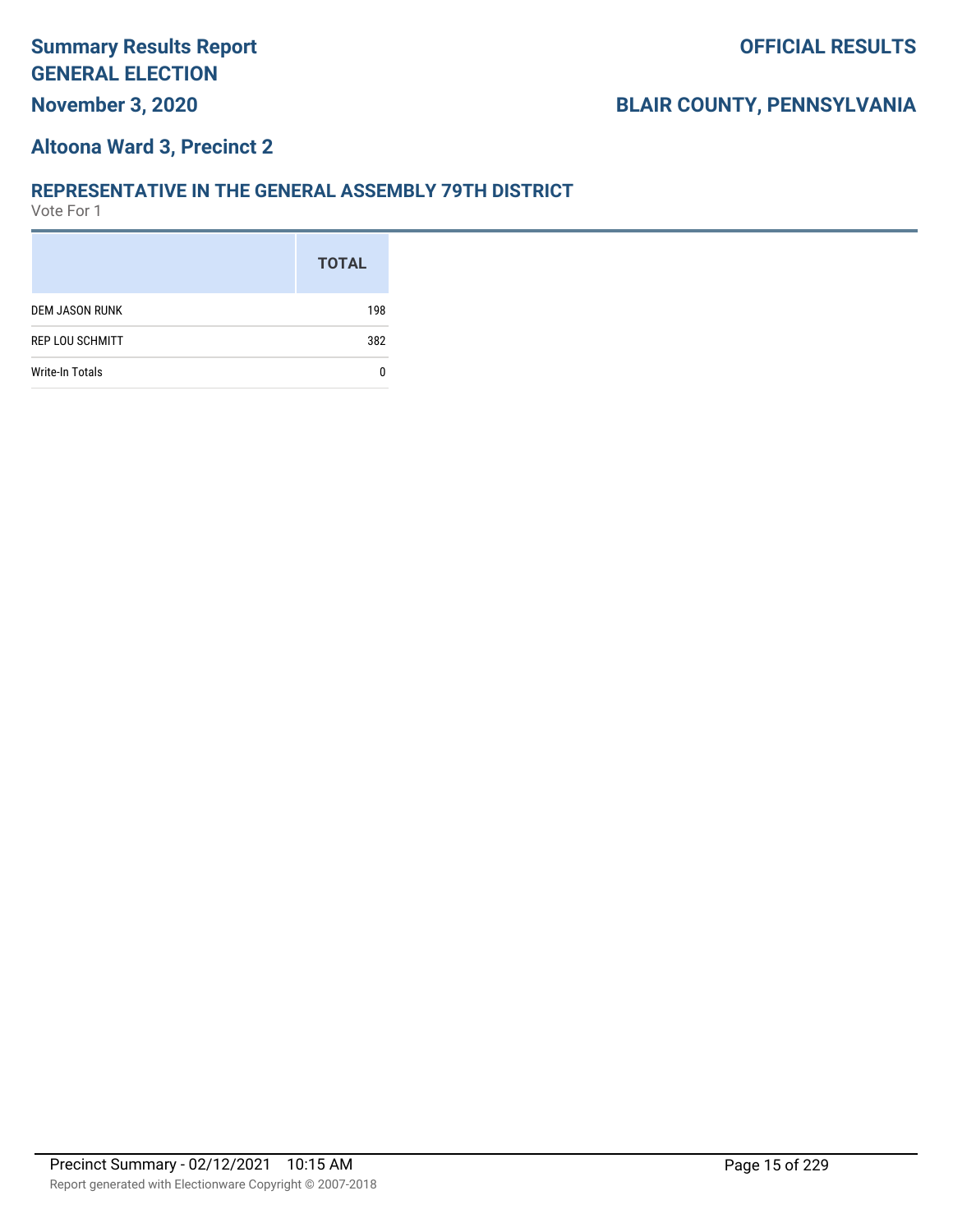#### **Altoona Ward 3, Precinct 2**

#### **REPRESENTATIVE IN THE GENERAL ASSEMBLY 79TH DISTRICT**

|                        | <b>TOTAL</b> |
|------------------------|--------------|
| <b>DEM JASON RUNK</b>  | 198          |
| <b>REP LOU SCHMITT</b> | 382          |
| <b>Write-In Totals</b> |              |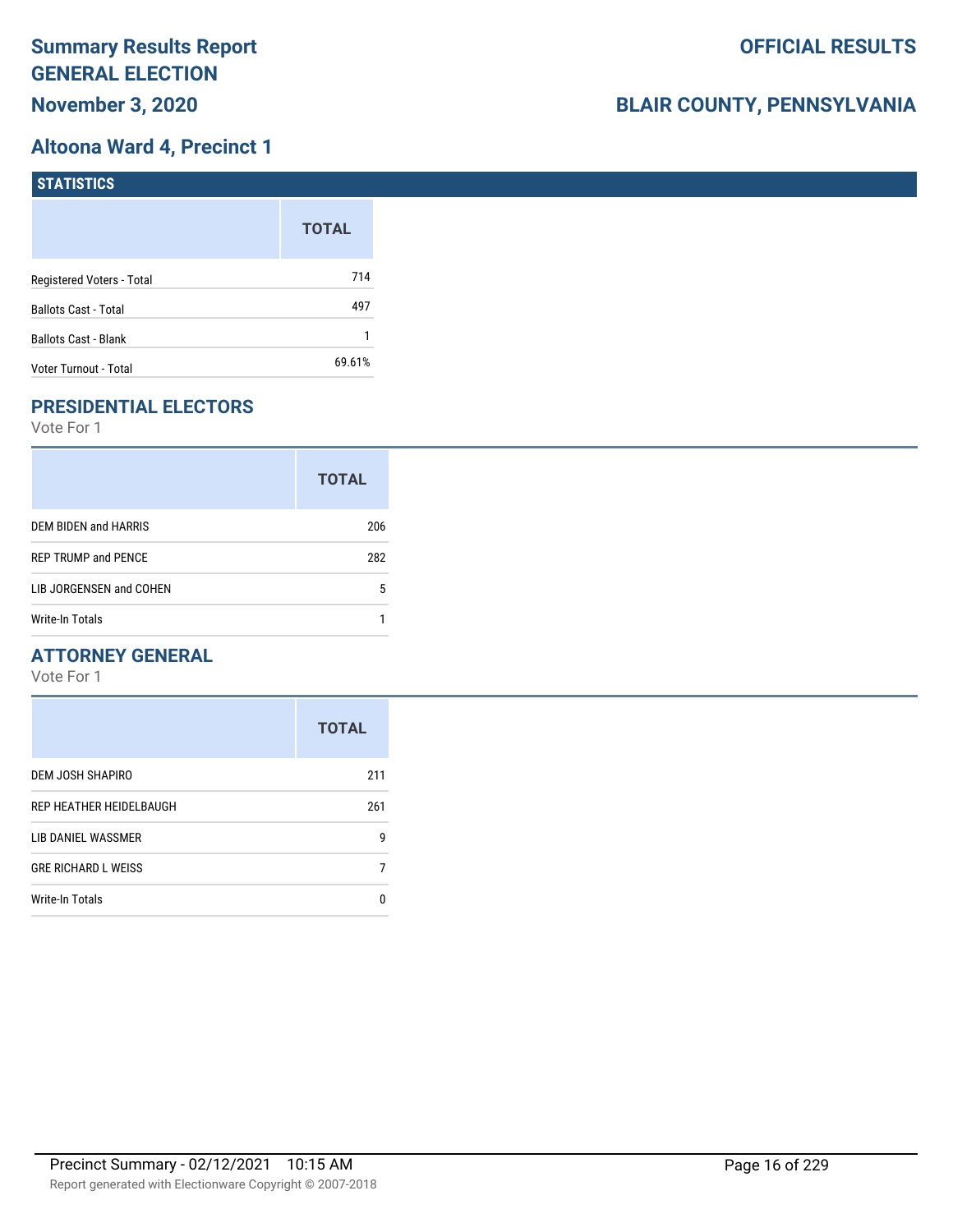## **Altoona Ward 4, Precinct 1**

| <b>STATISTICS</b>           |              |
|-----------------------------|--------------|
|                             | <b>TOTAL</b> |
| Registered Voters - Total   | 714          |
| <b>Ballots Cast - Total</b> | 497          |
| <b>Ballots Cast - Blank</b> |              |
| Voter Turnout - Total       | 69.61%       |

# **PRESIDENTIAL ELECTORS**

Vote For 1

|                            | <b>TOTAL</b> |
|----------------------------|--------------|
| DEM BIDEN and HARRIS       | 206          |
| <b>REP TRUMP and PENCE</b> | 282          |
| LIB JORGENSEN and COHEN    | 5            |
| <b>Write-In Totals</b>     |              |

#### **ATTORNEY GENERAL**

|                            | <b>TOTAL</b> |
|----------------------------|--------------|
| DEM JOSH SHAPIRO           | 211          |
| REP HEATHER HEIDELBAUGH    | 261          |
| LIB DANIEL WASSMER         | 9            |
| <b>GRE RICHARD L WEISS</b> |              |
| <b>Write-In Totals</b>     | n            |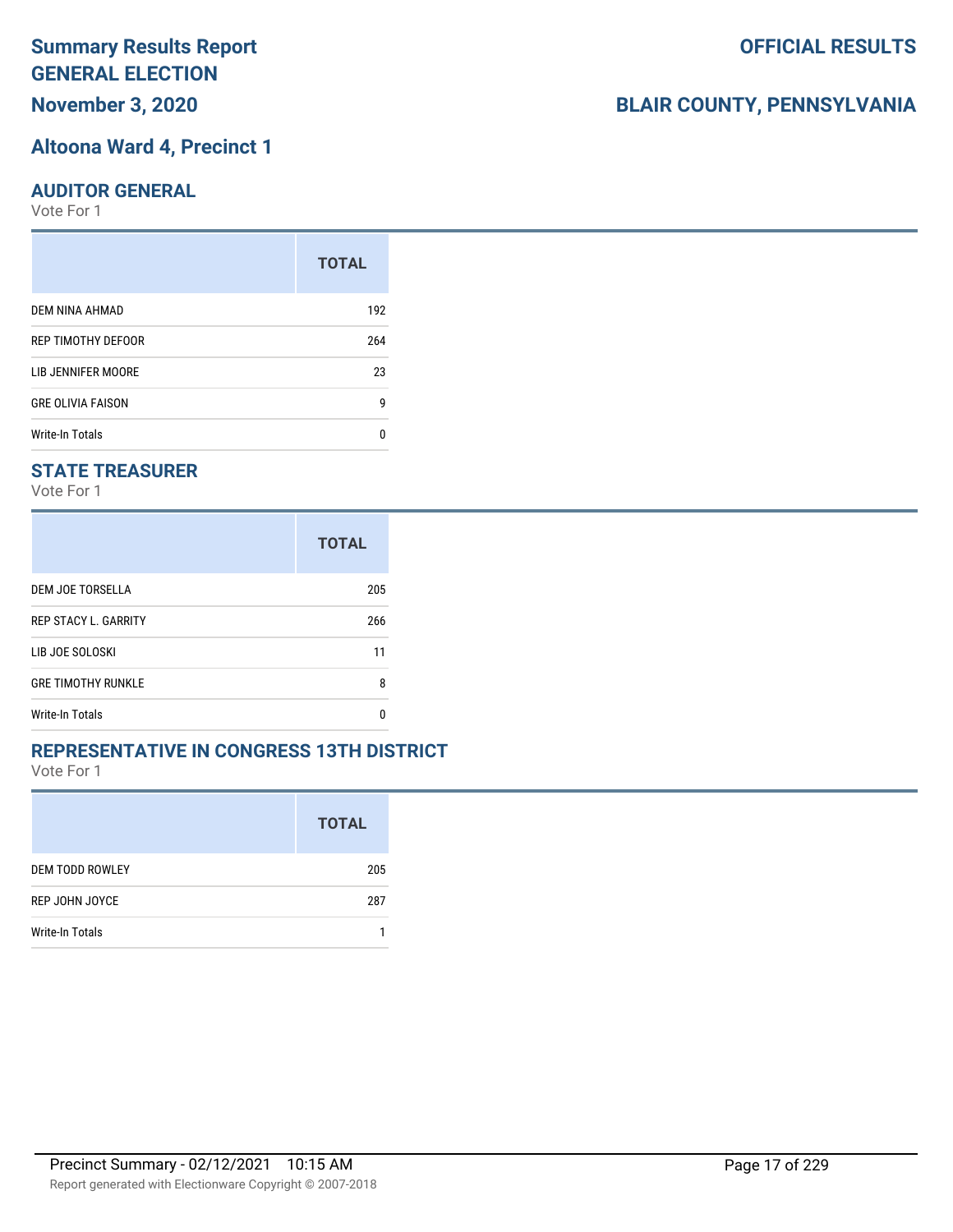**November 3, 2020**

#### **Altoona Ward 4, Precinct 1**

#### **AUDITOR GENERAL**

Vote For 1

|                          | <b>TOTAL</b> |
|--------------------------|--------------|
| DEM NINA AHMAD           | 192          |
| REP TIMOTHY DEFOOR       | 264          |
| LIB JENNIFER MOORE       | 23           |
| <b>GRE OLIVIA FAISON</b> | g            |
| <b>Write-In Totals</b>   | n            |

#### **STATE TREASURER**

Vote For 1

|                             | <b>TOTAL</b> |
|-----------------------------|--------------|
| DEM JOE TORSELLA            | 205          |
| <b>REP STACY L. GARRITY</b> | 266          |
| LIB JOE SOLOSKI             | 11           |
| <b>GRE TIMOTHY RUNKLE</b>   | 8            |
| <b>Write-In Totals</b>      | n            |

#### **REPRESENTATIVE IN CONGRESS 13TH DISTRICT**

Vote For 1

|                        | <b>TOTAL</b> |
|------------------------|--------------|
| <b>DEM TODD ROWLEY</b> | 205          |
| REP JOHN JOYCE         | 287          |
| Write-In Totals        |              |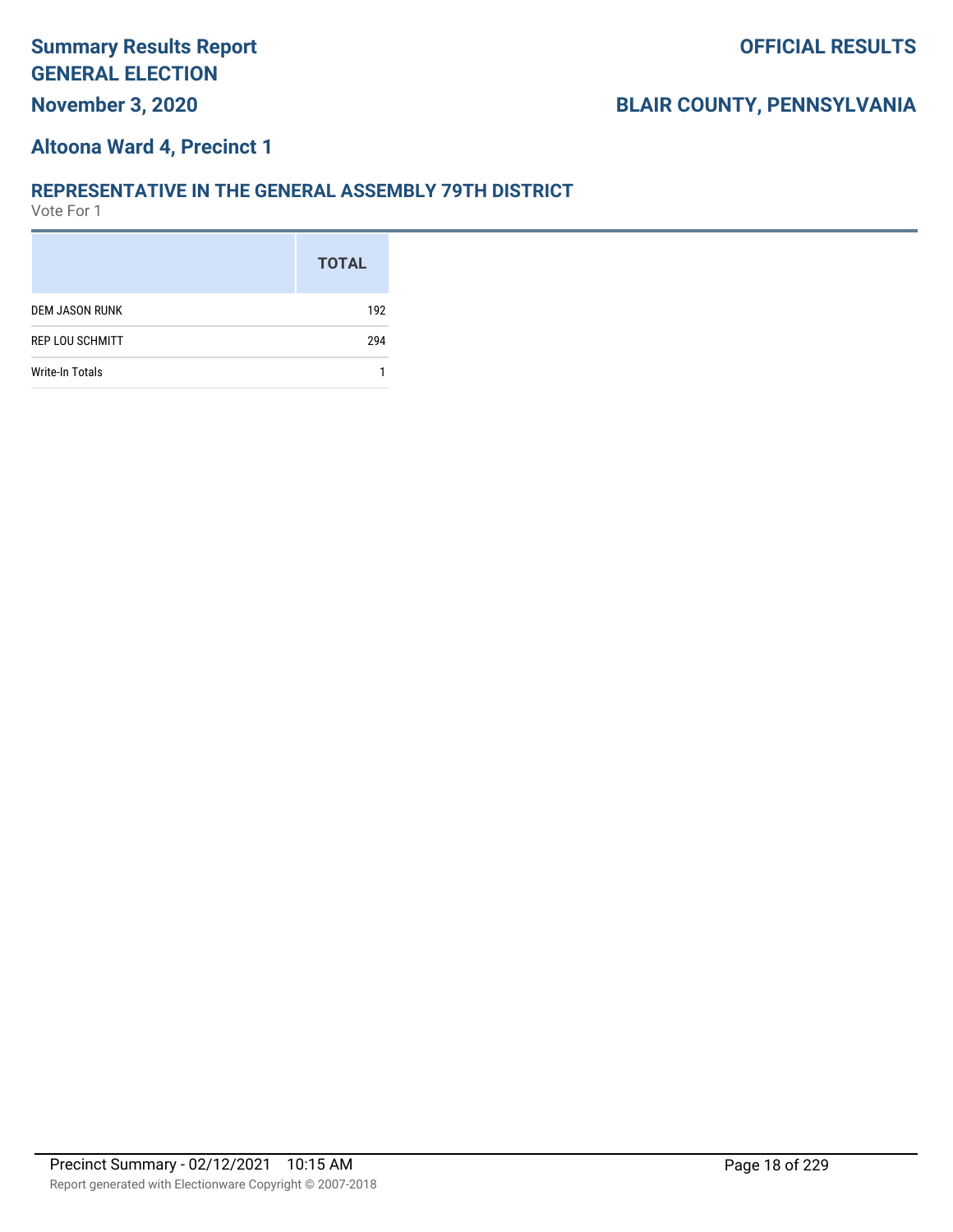#### **Altoona Ward 4, Precinct 1**

#### **REPRESENTATIVE IN THE GENERAL ASSEMBLY 79TH DISTRICT**

|                        | <b>TOTAL</b> |
|------------------------|--------------|
| <b>DEM JASON RUNK</b>  | 192          |
| <b>REP LOU SCHMITT</b> | 294          |
| Write-In Totals        |              |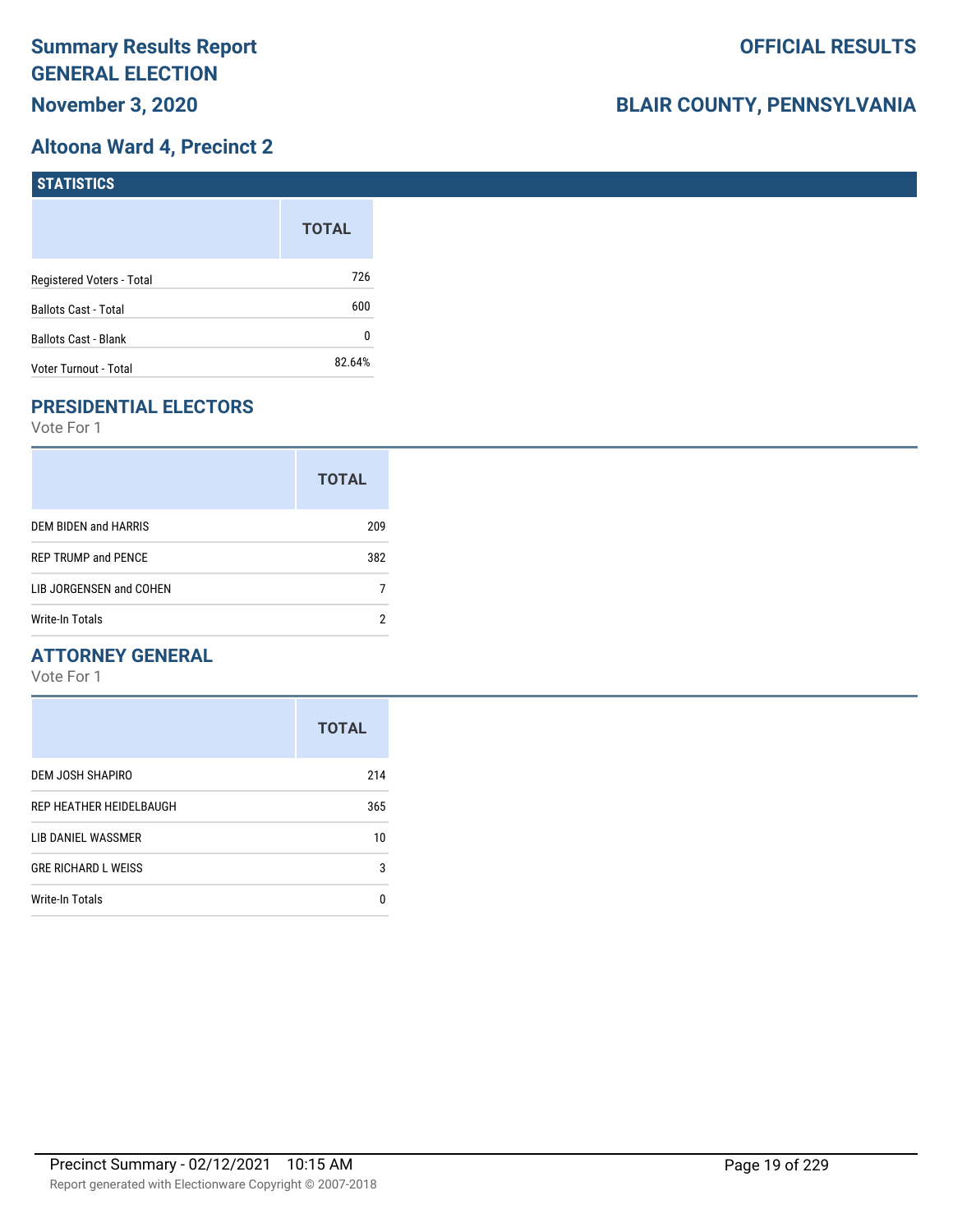# **Altoona Ward 4, Precinct 2**

| <b>STATISTICS</b>           |              |
|-----------------------------|--------------|
|                             | <b>TOTAL</b> |
| Registered Voters - Total   | 726          |
| Ballots Cast - Total        | 600          |
| <b>Ballots Cast - Blank</b> | 0            |
| Voter Turnout - Total       | 82.64%       |

# **PRESIDENTIAL ELECTORS**

Vote For 1

|                            | <b>TOTAL</b> |
|----------------------------|--------------|
| DEM BIDEN and HARRIS       | 209          |
| <b>REP TRUMP and PENCE</b> | 382          |
| LIB JORGENSEN and COHEN    |              |
| Write-In Totals            |              |

#### **ATTORNEY GENERAL**

|                            | <b>TOTAL</b> |
|----------------------------|--------------|
| DEM JOSH SHAPIRO           | 214          |
| REP HEATHER HEIDELBAUGH    | 365          |
| LIB DANIEL WASSMER         | 10           |
| <b>GRE RICHARD L WEISS</b> | 3            |
| Write-In Totals            | n            |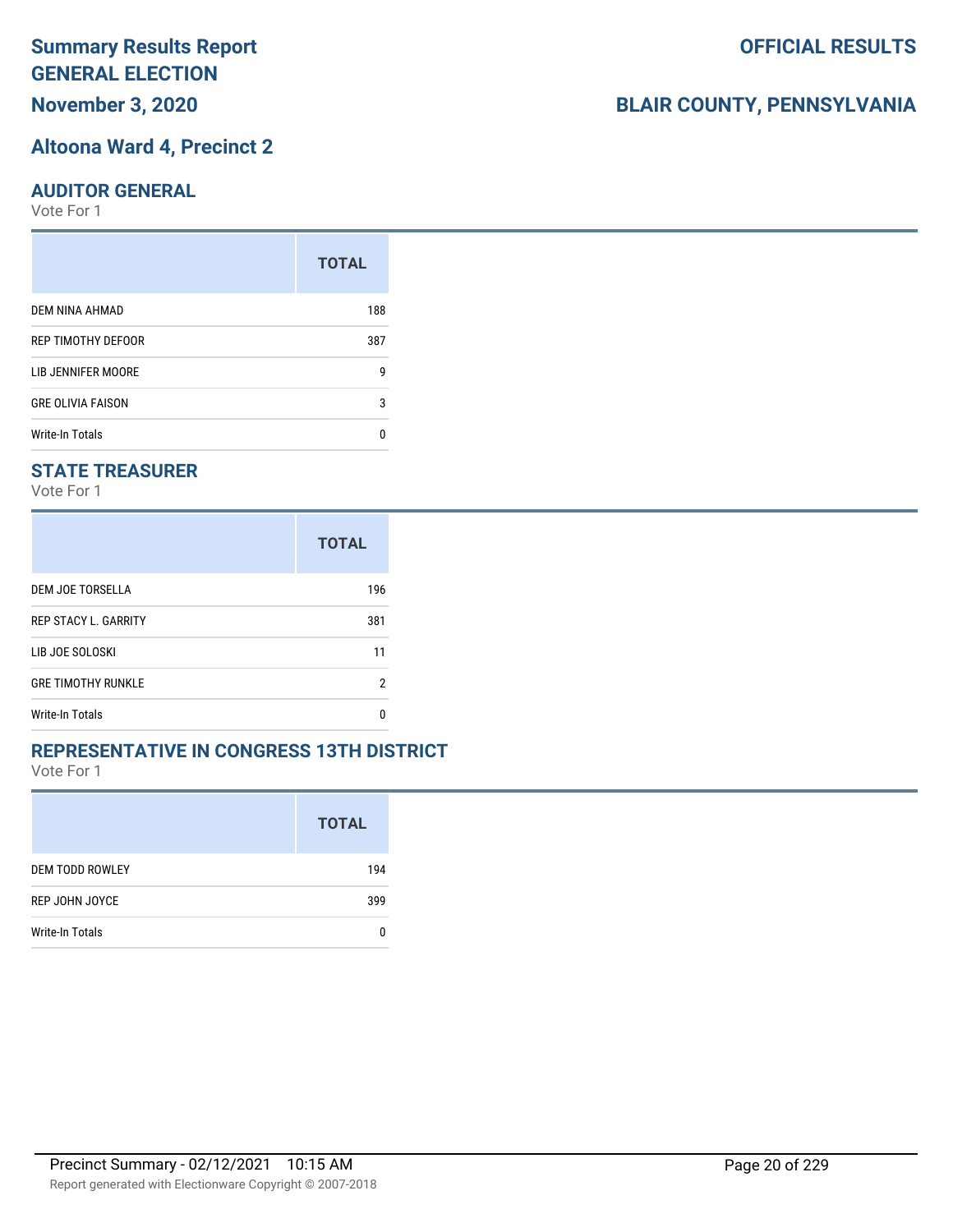**November 3, 2020**

#### **Altoona Ward 4, Precinct 2**

#### **AUDITOR GENERAL**

Vote For 1

| <b>TOTAL</b> |
|--------------|
| 188          |
| 387          |
| g            |
| 3            |
| n            |
|              |

#### **STATE TREASURER**

Vote For 1

|                             | <b>TOTAL</b> |
|-----------------------------|--------------|
| DEM JOE TORSELLA            | 196          |
| <b>REP STACY L. GARRITY</b> | 381          |
| LIB JOE SOLOSKI             | 11           |
| <b>GRE TIMOTHY RUNKLE</b>   | 2            |
| Write-In Totals             | n            |

#### **REPRESENTATIVE IN CONGRESS 13TH DISTRICT**

Vote For 1

|                        | <b>TOTAL</b> |
|------------------------|--------------|
| <b>DEM TODD ROWLEY</b> | 194          |
| REP JOHN JOYCE         | 399          |
| Write-In Totals        |              |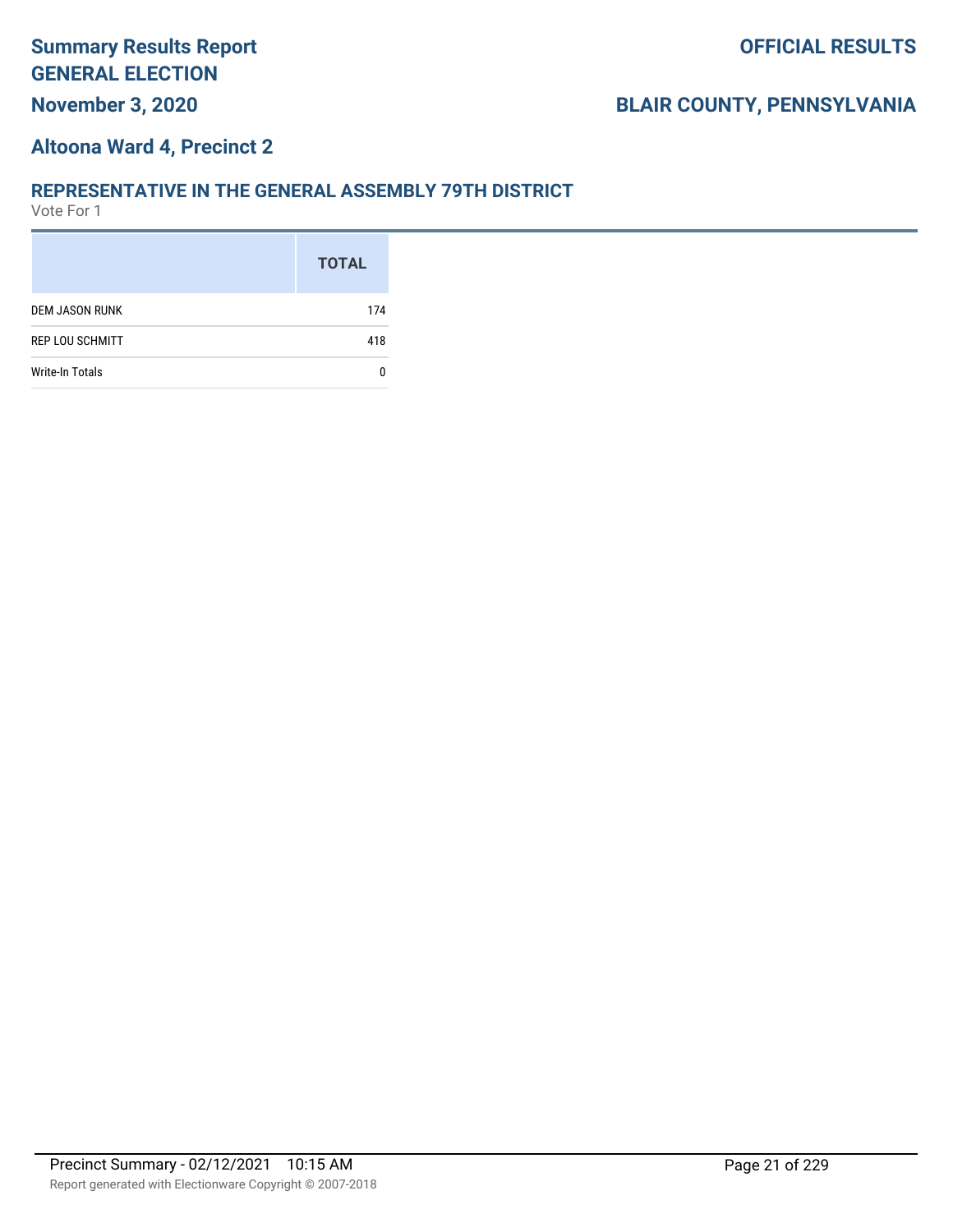#### **Altoona Ward 4, Precinct 2**

#### **REPRESENTATIVE IN THE GENERAL ASSEMBLY 79TH DISTRICT**

|                        | <b>TOTAL</b> |
|------------------------|--------------|
| <b>DEM JASON RUNK</b>  | 174          |
| <b>REP LOU SCHMITT</b> | 418          |
| <b>Write-In Totals</b> |              |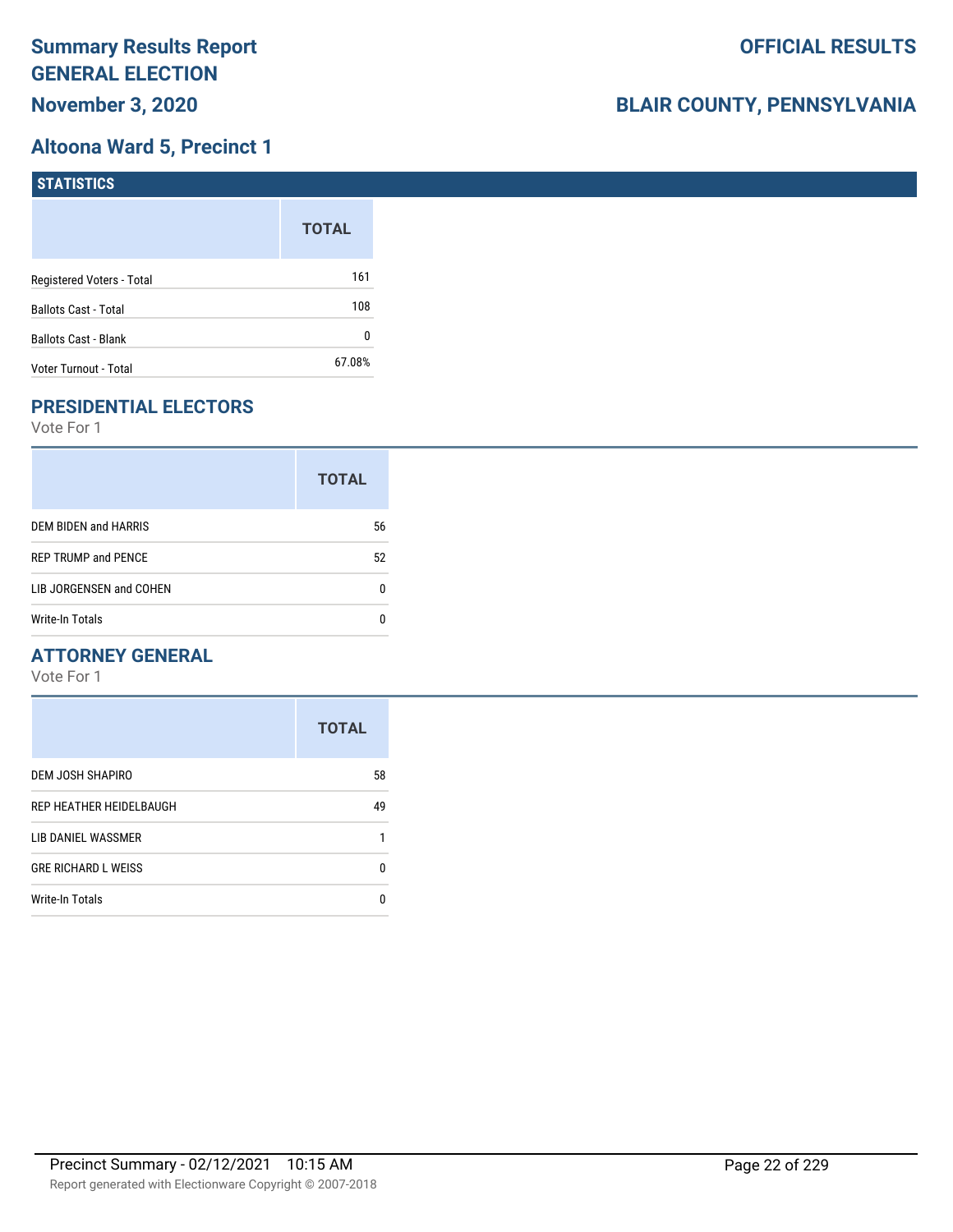# **Altoona Ward 5, Precinct 1**

| <b>STATISTICS</b>           |              |
|-----------------------------|--------------|
|                             | <b>TOTAL</b> |
| Registered Voters - Total   | 161          |
| Ballots Cast - Total        | 108          |
| <b>Ballots Cast - Blank</b> | 0            |
| Voter Turnout - Total       | 67.08%       |

# **PRESIDENTIAL ELECTORS**

Vote For 1

|                            | <b>TOTAL</b> |
|----------------------------|--------------|
| DEM BIDEN and HARRIS       | 56           |
| <b>REP TRUMP and PENCE</b> | 52           |
| LIB JORGENSEN and COHEN    |              |
| Write-In Totals            |              |

#### **ATTORNEY GENERAL**

|                            | <b>TOTAL</b> |
|----------------------------|--------------|
| DEM JOSH SHAPIRO           | 58           |
| REP HEATHER HEIDELBAUGH    | 49           |
| LIB DANIEL WASSMER         |              |
| <b>GRE RICHARD L WEISS</b> | ŋ            |
| Write-In Totals            | n            |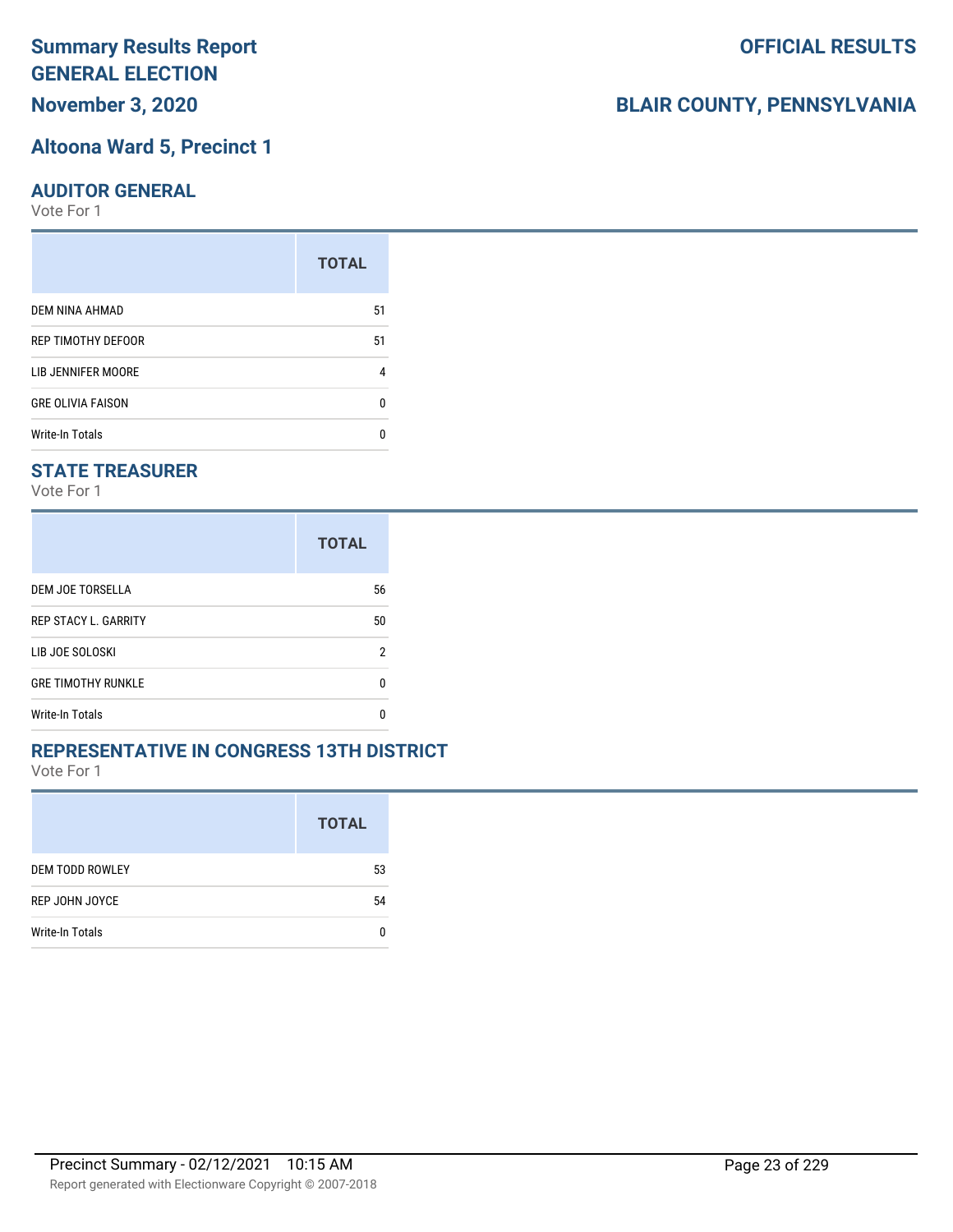**November 3, 2020**

#### **Altoona Ward 5, Precinct 1**

#### **AUDITOR GENERAL**

Vote For 1

|                          | <b>TOTAL</b> |
|--------------------------|--------------|
| DEM NINA AHMAD           | 51           |
| REP TIMOTHY DEFOOR       | 51           |
| LIB JENNIFER MOORE       | 4            |
| <b>GRE OLIVIA FAISON</b> | U            |
| <b>Write-In Totals</b>   | n            |

#### **STATE TREASURER**

Vote For 1

|                             | <b>TOTAL</b> |
|-----------------------------|--------------|
| DEM JOE TORSELLA            | 56           |
| <b>REP STACY L. GARRITY</b> | 50           |
| LIB JOE SOLOSKI             | 2            |
| <b>GRE TIMOTHY RUNKLE</b>   | n            |
| <b>Write-In Totals</b>      | n            |

#### **REPRESENTATIVE IN CONGRESS 13TH DISTRICT**

Vote For 1

|                        | <b>TOTAL</b> |
|------------------------|--------------|
| <b>DEM TODD ROWLEY</b> | 53           |
| REP JOHN JOYCE         | 54           |
| Write-In Totals        |              |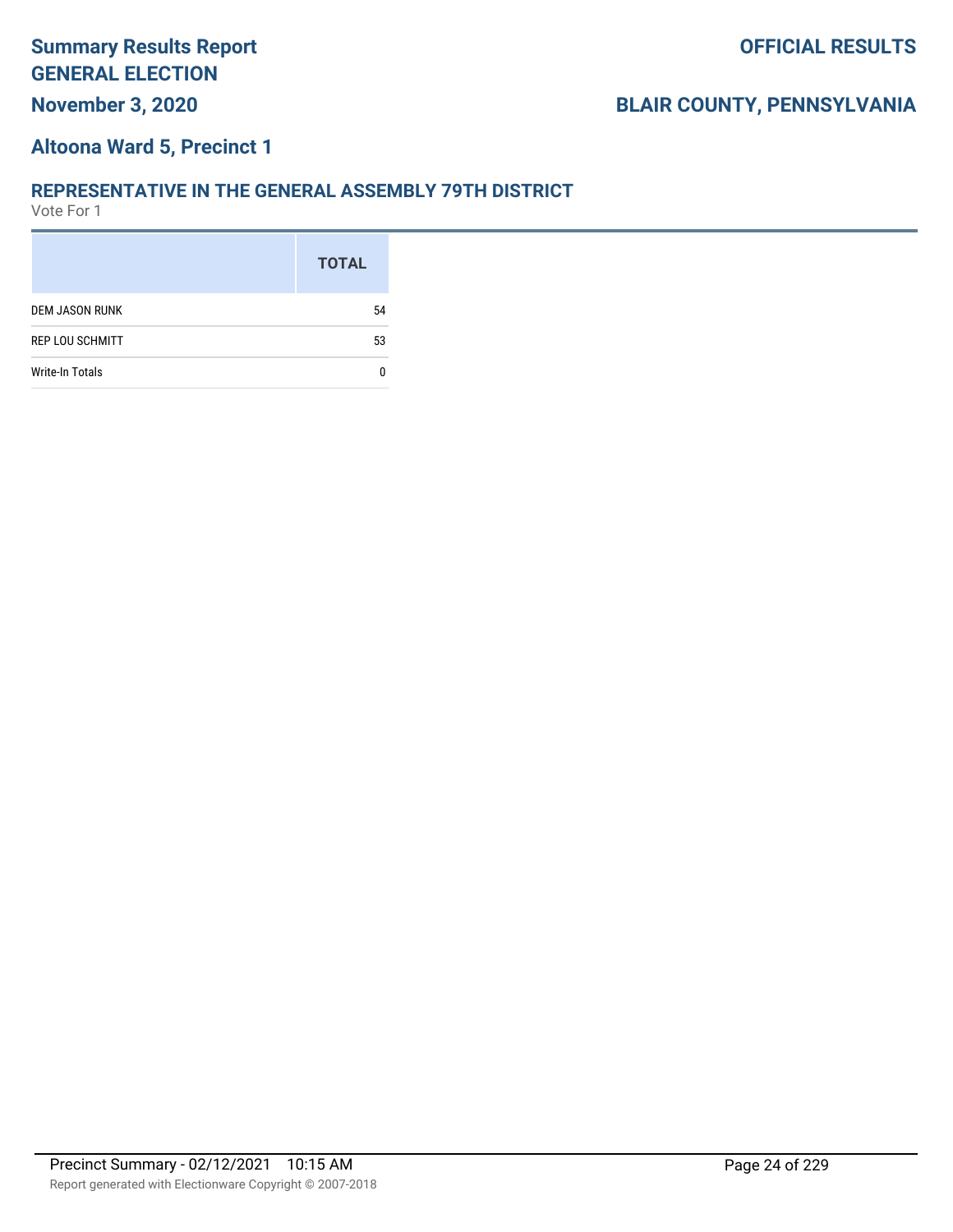# **November 3, 2020**

# **BLAIR COUNTY, PENNSYLVANIA**

#### **Altoona Ward 5, Precinct 1**

#### **REPRESENTATIVE IN THE GENERAL ASSEMBLY 79TH DISTRICT**

|                        | <b>TOTAL</b> |
|------------------------|--------------|
| <b>DEM JASON RUNK</b>  | 54           |
| <b>REP LOU SCHMITT</b> | 53           |
| <b>Write-In Totals</b> |              |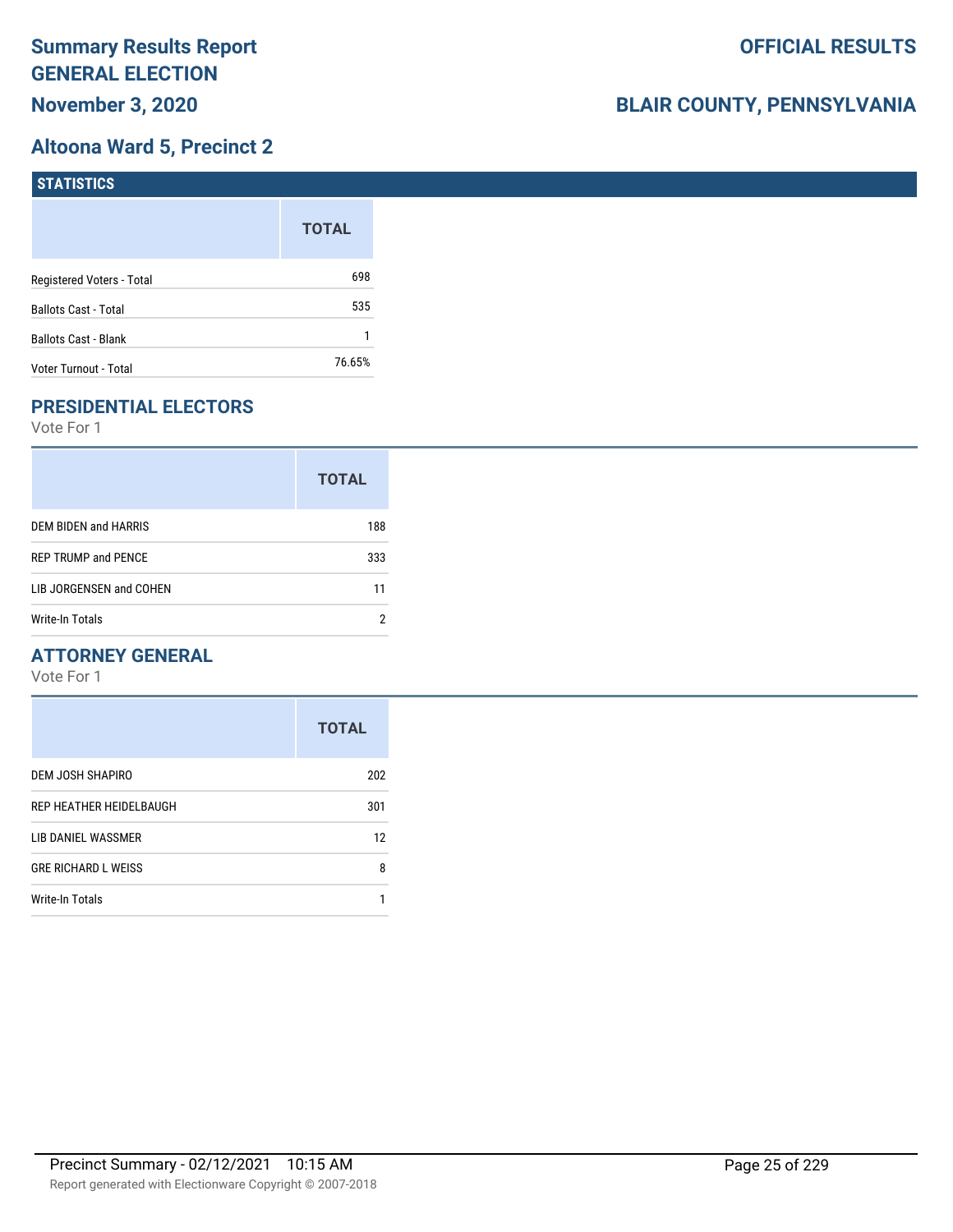## **Altoona Ward 5, Precinct 2**

| <b>STATISTICS</b>           |              |
|-----------------------------|--------------|
|                             | <b>TOTAL</b> |
| Registered Voters - Total   | 698          |
| Ballots Cast - Total        | 535          |
| <b>Ballots Cast - Blank</b> |              |
| Voter Turnout - Total       | 76.65%       |

# **PRESIDENTIAL ELECTORS**

Vote For 1

|                            | <b>TOTAL</b> |
|----------------------------|--------------|
| DEM BIDEN and HARRIS       | 188          |
| <b>REP TRUMP and PENCE</b> | 333          |
| LIB JORGENSEN and COHEN    | 11           |
| Write-In Totals            |              |

#### **ATTORNEY GENERAL**

|                            | <b>TOTAL</b> |
|----------------------------|--------------|
| DEM JOSH SHAPIRO           | 202          |
| REP HEATHER HEIDELBAUGH    | 301          |
| LIB DANIEL WASSMER         | 12           |
| <b>GRE RICHARD L WEISS</b> | 8            |
| Write-In Totals            |              |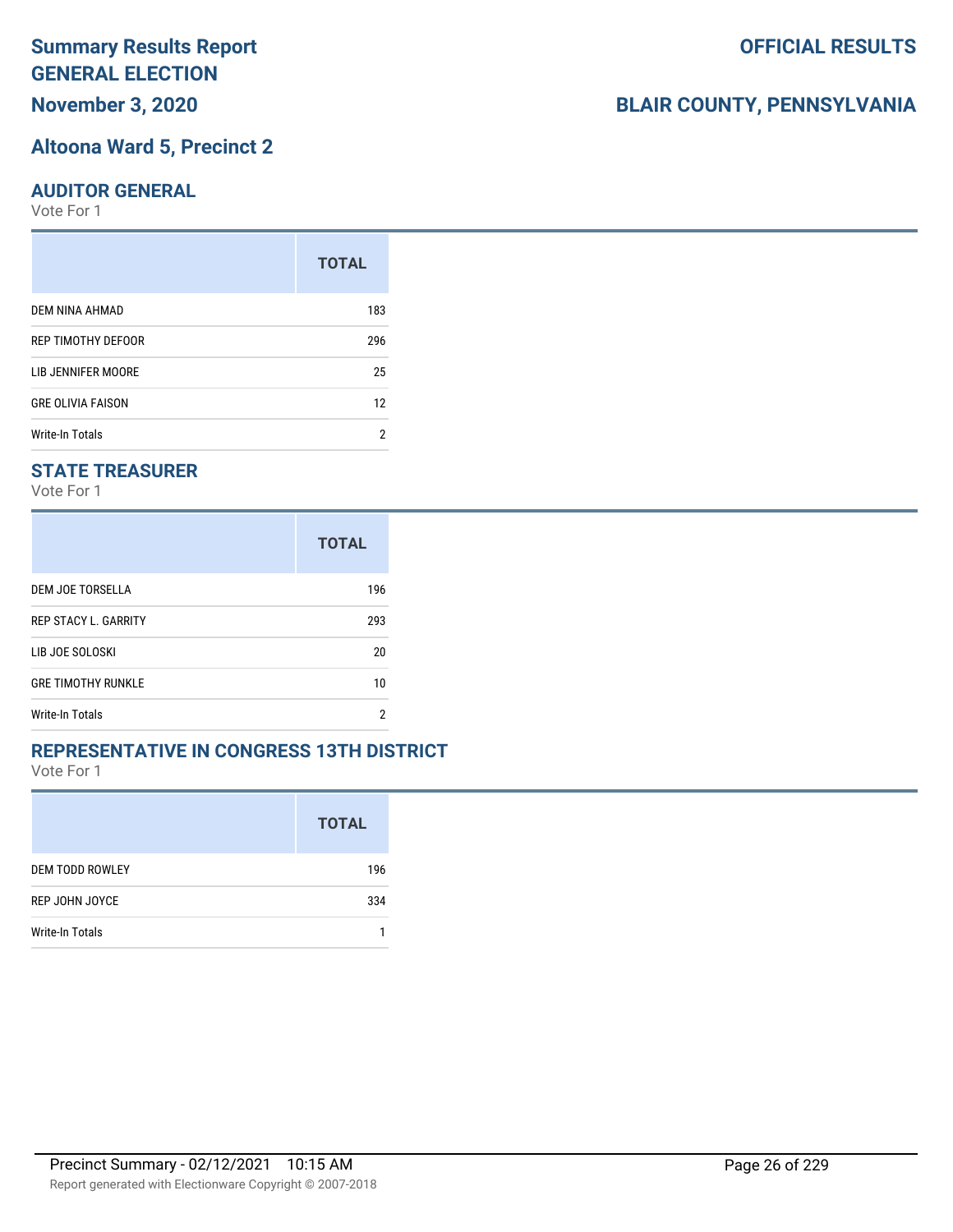**November 3, 2020**

#### **Altoona Ward 5, Precinct 2**

#### **AUDITOR GENERAL**

Vote For 1

|                          | <b>TOTAL</b> |
|--------------------------|--------------|
| DEM NINA AHMAD           | 183          |
| REP TIMOTHY DEFOOR       | 296          |
| LIB JENNIFER MOORE       | 25           |
| <b>GRE OLIVIA FAISON</b> | 12           |
| <b>Write-In Totals</b>   | 2            |

#### **STATE TREASURER**

Vote For 1

|                             | <b>TOTAL</b> |
|-----------------------------|--------------|
| DEM JOE TORSELLA            | 196          |
| <b>REP STACY L. GARRITY</b> | 293          |
| LIB JOE SOLOSKI             | 20           |
| <b>GRE TIMOTHY RUNKLE</b>   | 10           |
| Write-In Totals             | 2            |

#### **REPRESENTATIVE IN CONGRESS 13TH DISTRICT**

Vote For 1

|                        | <b>TOTAL</b> |
|------------------------|--------------|
| <b>DEM TODD ROWLEY</b> | 196          |
| REP JOHN JOYCE         | 334          |
| Write-In Totals        |              |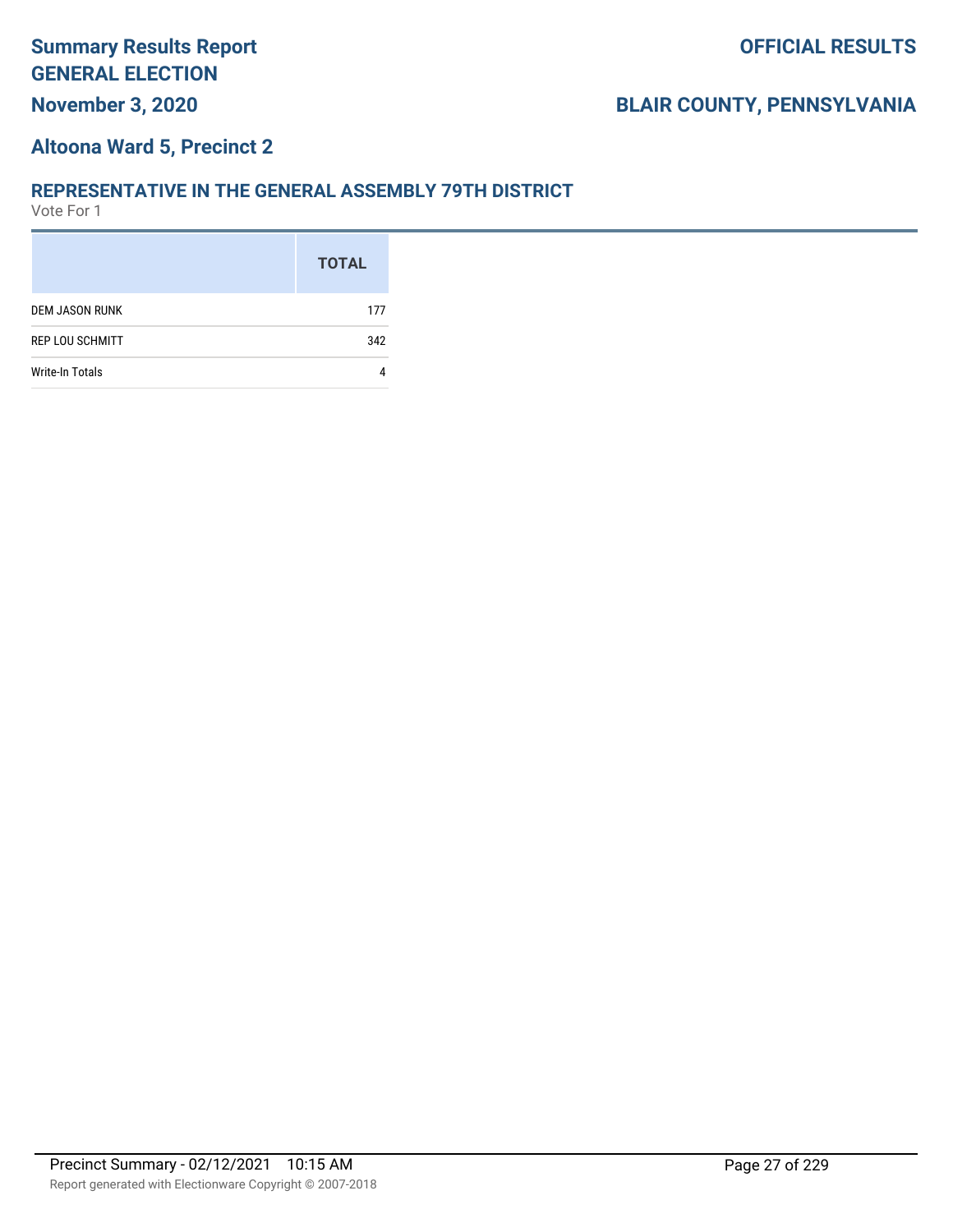#### **Altoona Ward 5, Precinct 2**

#### **REPRESENTATIVE IN THE GENERAL ASSEMBLY 79TH DISTRICT**

|                        | <b>TOTAL</b> |
|------------------------|--------------|
| <b>DEM JASON RUNK</b>  | 177          |
| <b>REP LOU SCHMITT</b> | 342          |
| Write-In Totals        |              |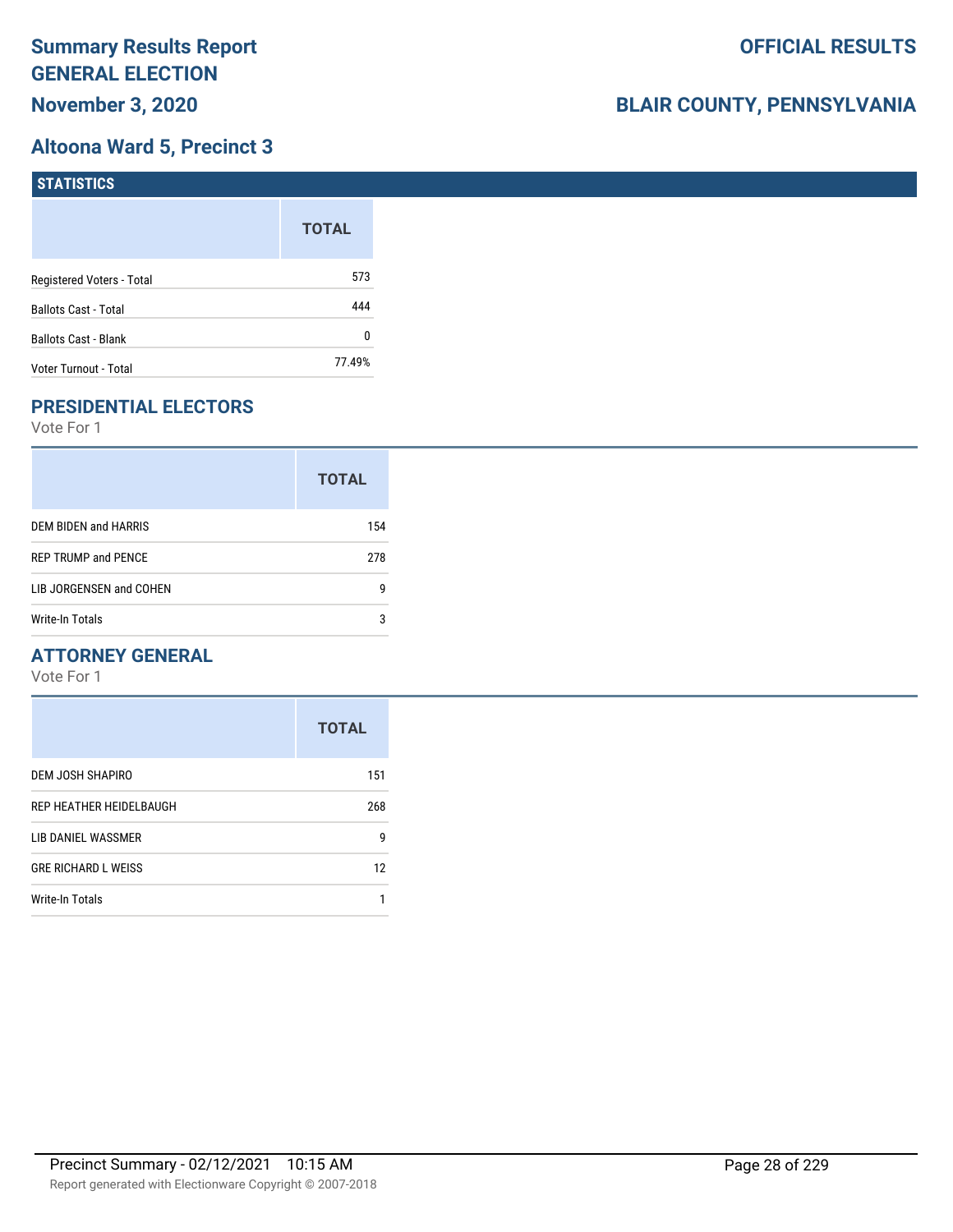## **Altoona Ward 5, Precinct 3**

| <b>STATISTICS</b>         |              |
|---------------------------|--------------|
|                           | <b>TOTAL</b> |
| Registered Voters - Total | 573          |
| Ballots Cast - Total      | 444          |
| Ballots Cast - Blank      | 0            |
| Voter Turnout - Total     | 77.49%       |

# **PRESIDENTIAL ELECTORS**

Vote For 1

|                            | <b>TOTAL</b> |
|----------------------------|--------------|
| DEM BIDEN and HARRIS       | 154          |
| <b>REP TRUMP and PENCE</b> | 278          |
| LIB JORGENSEN and COHEN    | g            |
| Write-In Totals            | 3            |

#### **ATTORNEY GENERAL**

|                            | <b>TOTAL</b> |
|----------------------------|--------------|
| DEM JOSH SHAPIRO           | 151          |
| REP HEATHER HEIDELBAUGH    | 268          |
| LIB DANIEL WASSMER         | 9            |
| <b>GRE RICHARD L WEISS</b> | 12           |
| Write-In Totals            |              |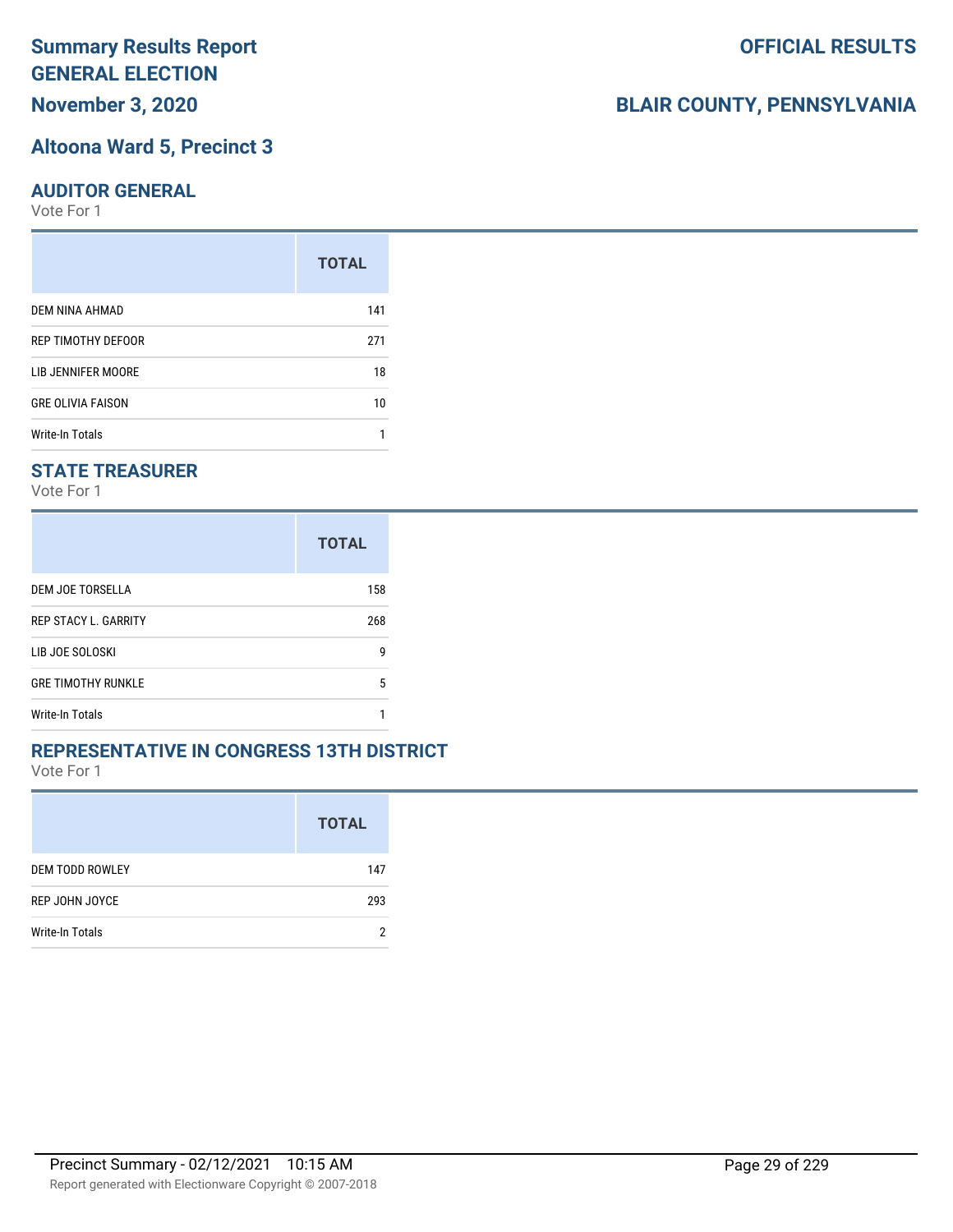**November 3, 2020**

#### **Altoona Ward 5, Precinct 3**

#### **AUDITOR GENERAL**

Vote For 1

|                          | <b>TOTAL</b> |
|--------------------------|--------------|
| DEM NINA AHMAD           | 141          |
| REP TIMOTHY DEFOOR       | 271          |
| LIB JENNIFER MOORE       | 18           |
| <b>GRE OLIVIA FAISON</b> | 10           |
| <b>Write-In Totals</b>   |              |

#### **STATE TREASURER**

Vote For 1

|                             | <b>TOTAL</b> |
|-----------------------------|--------------|
| DEM JOE TORSELLA            | 158          |
| <b>REP STACY L. GARRITY</b> | 268          |
| LIB JOE SOLOSKI             | g            |
| <b>GRE TIMOTHY RUNKLE</b>   | 5            |
| Write-In Totals             |              |

#### **REPRESENTATIVE IN CONGRESS 13TH DISTRICT**

Vote For 1

|                        | <b>TOTAL</b> |
|------------------------|--------------|
| <b>DEM TODD ROWLEY</b> | 147          |
| REP JOHN JOYCE         | 293          |
| Write-In Totals        | ŋ            |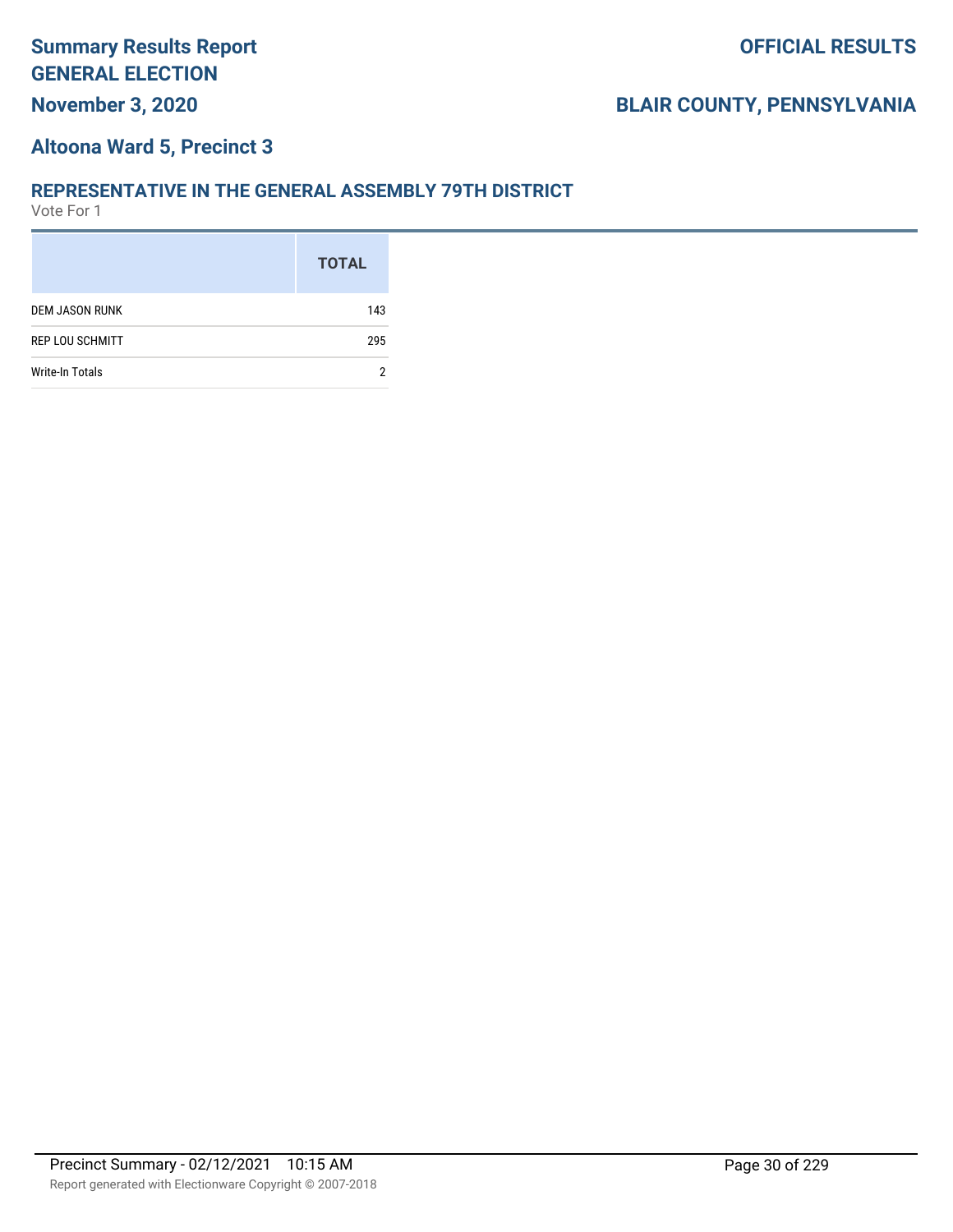### **Altoona Ward 5, Precinct 3**

#### **REPRESENTATIVE IN THE GENERAL ASSEMBLY 79TH DISTRICT**

|                        | <b>TOTAL</b> |
|------------------------|--------------|
| <b>DEM JASON RUNK</b>  | 143          |
| <b>REP LOU SCHMITT</b> | 295          |
| Write-In Totals        |              |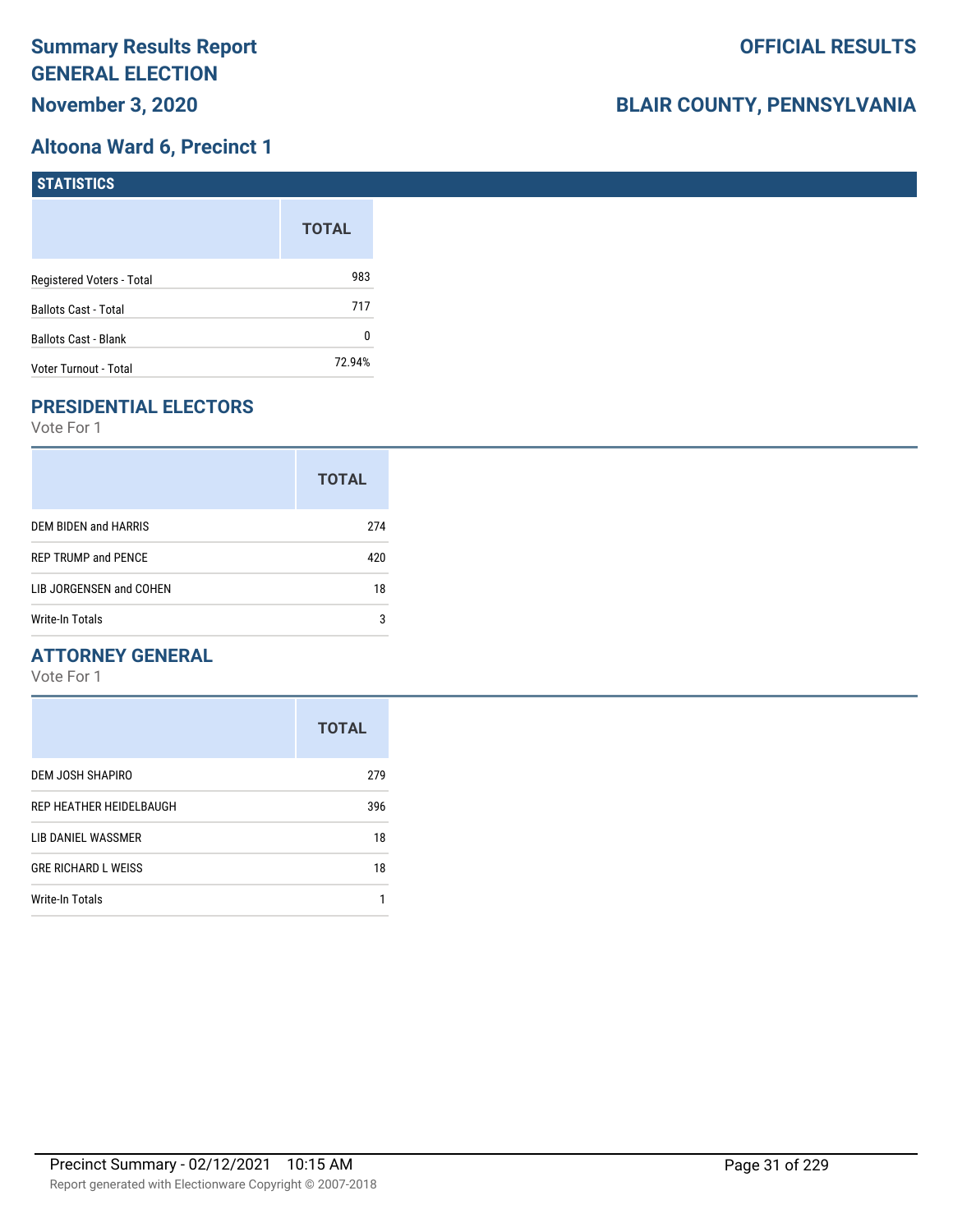# **Altoona Ward 6, Precinct 1**

| <b>STATISTICS</b>           |              |
|-----------------------------|--------------|
|                             | <b>TOTAL</b> |
| Registered Voters - Total   | 983          |
| Ballots Cast - Total        | 717          |
| <b>Ballots Cast - Blank</b> | 0            |
| Voter Turnout - Total       | 72.94%       |

# **PRESIDENTIAL ELECTORS**

Vote For 1

|                            | <b>TOTAL</b> |
|----------------------------|--------------|
| DEM BIDEN and HARRIS       | 274          |
| <b>REP TRUMP and PENCE</b> | 420          |
| LIB JORGENSEN and COHEN    | 18           |
| Write-In Totals            | 3            |

#### **ATTORNEY GENERAL**

|                            | <b>TOTAL</b> |
|----------------------------|--------------|
| DEM JOSH SHAPIRO           | 279          |
| REP HEATHER HEIDELBAUGH    | 396          |
| LIB DANIEL WASSMER         | 18           |
| <b>GRE RICHARD L WEISS</b> | 18           |
| <b>Write-In Totals</b>     |              |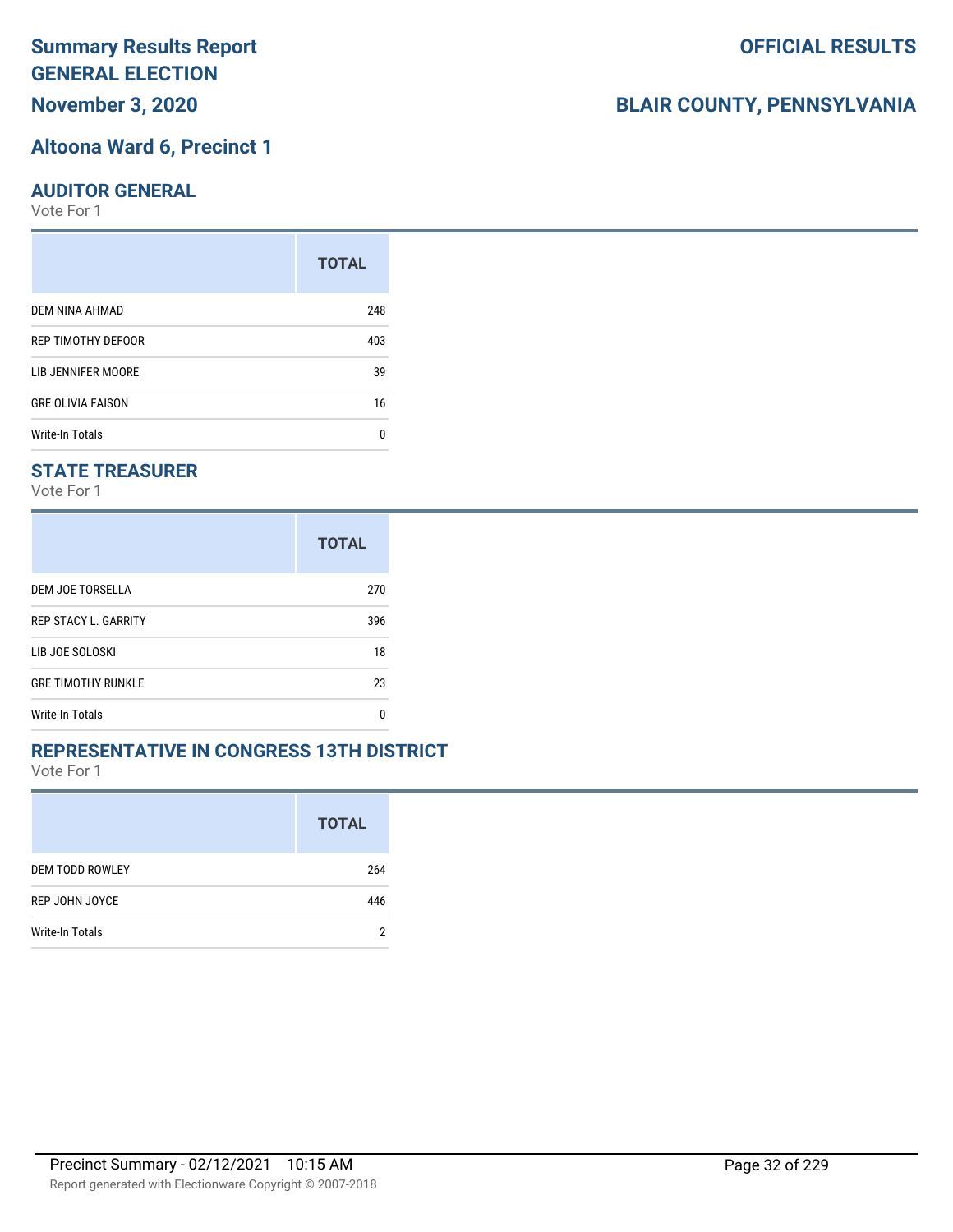**November 3, 2020**

#### **Altoona Ward 6, Precinct 1**

#### **AUDITOR GENERAL**

Vote For 1

|                          | <b>TOTAL</b> |
|--------------------------|--------------|
| DEM NINA AHMAD           | 248          |
| REP TIMOTHY DEFOOR       | 403          |
| LIB JENNIFER MOORE       | 39           |
| <b>GRE OLIVIA FAISON</b> | 16           |
| Write-In Totals          | n            |

#### **STATE TREASURER**

Vote For 1

|                             | <b>TOTAL</b> |
|-----------------------------|--------------|
| DEM JOE TORSELLA            | 270          |
| <b>REP STACY L. GARRITY</b> | 396          |
| LIB JOE SOLOSKI             | 18           |
| <b>GRE TIMOTHY RUNKLE</b>   | 23           |
| <b>Write-In Totals</b>      | n            |

#### **REPRESENTATIVE IN CONGRESS 13TH DISTRICT**

Vote For 1

|                        | <b>TOTAL</b> |
|------------------------|--------------|
| <b>DEM TODD ROWLEY</b> | 264          |
| REP JOHN JOYCE         | 446          |
| Write-In Totals        | Ω            |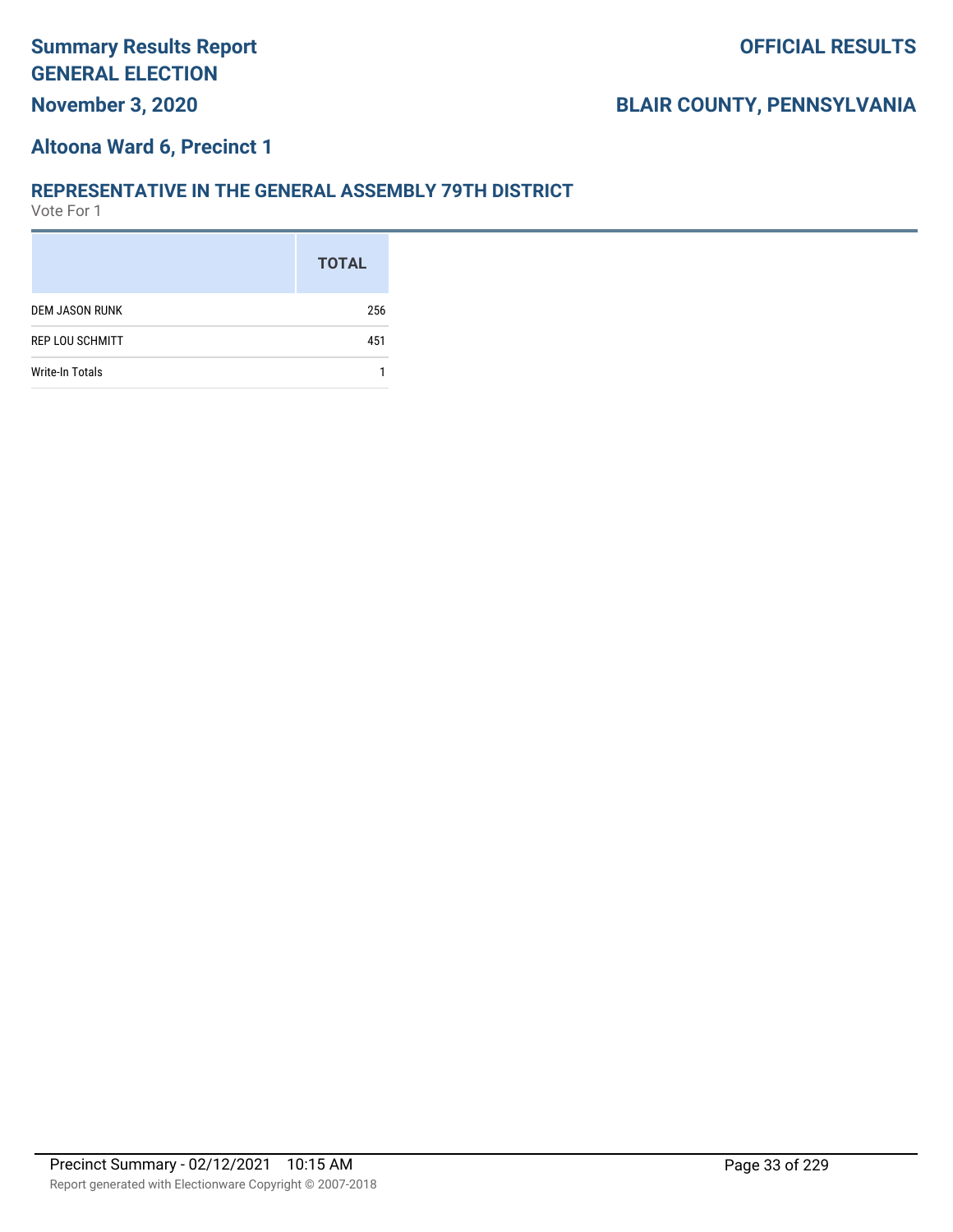#### **Altoona Ward 6, Precinct 1**

#### **REPRESENTATIVE IN THE GENERAL ASSEMBLY 79TH DISTRICT**

|                        | <b>TOTAL</b> |
|------------------------|--------------|
| <b>DEM JASON RUNK</b>  | 256          |
| <b>REP LOU SCHMITT</b> | 451          |
| Write-In Totals        |              |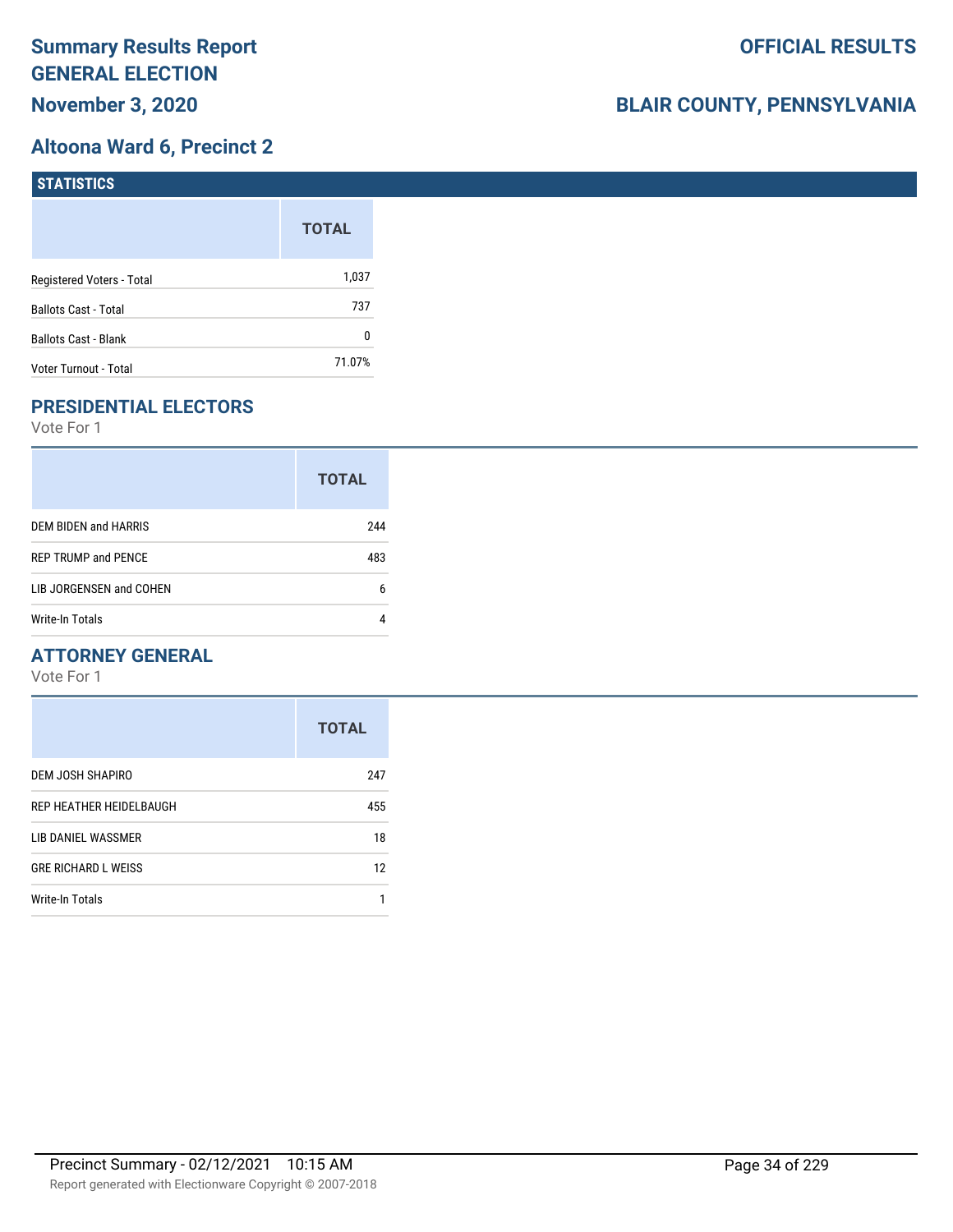## **Altoona Ward 6, Precinct 2**

| <b>STATISTICS</b>           |              |
|-----------------------------|--------------|
|                             | <b>TOTAL</b> |
| Registered Voters - Total   | 1,037        |
| Ballots Cast - Total        | 737          |
| <b>Ballots Cast - Blank</b> | 0            |
| Voter Turnout - Total       | 71.07%       |

# **PRESIDENTIAL ELECTORS**

Vote For 1

| <b>TOTAL</b> |
|--------------|
| 244          |
| 483          |
| 6            |
|              |
|              |

#### **ATTORNEY GENERAL**

|                            | <b>TOTAL</b> |
|----------------------------|--------------|
| DEM JOSH SHAPIRO           | 247          |
| REP HEATHER HEIDELBAUGH    | 455          |
| LIB DANIEL WASSMER         | 18           |
| <b>GRE RICHARD L WEISS</b> | 12           |
| Write-In Totals            |              |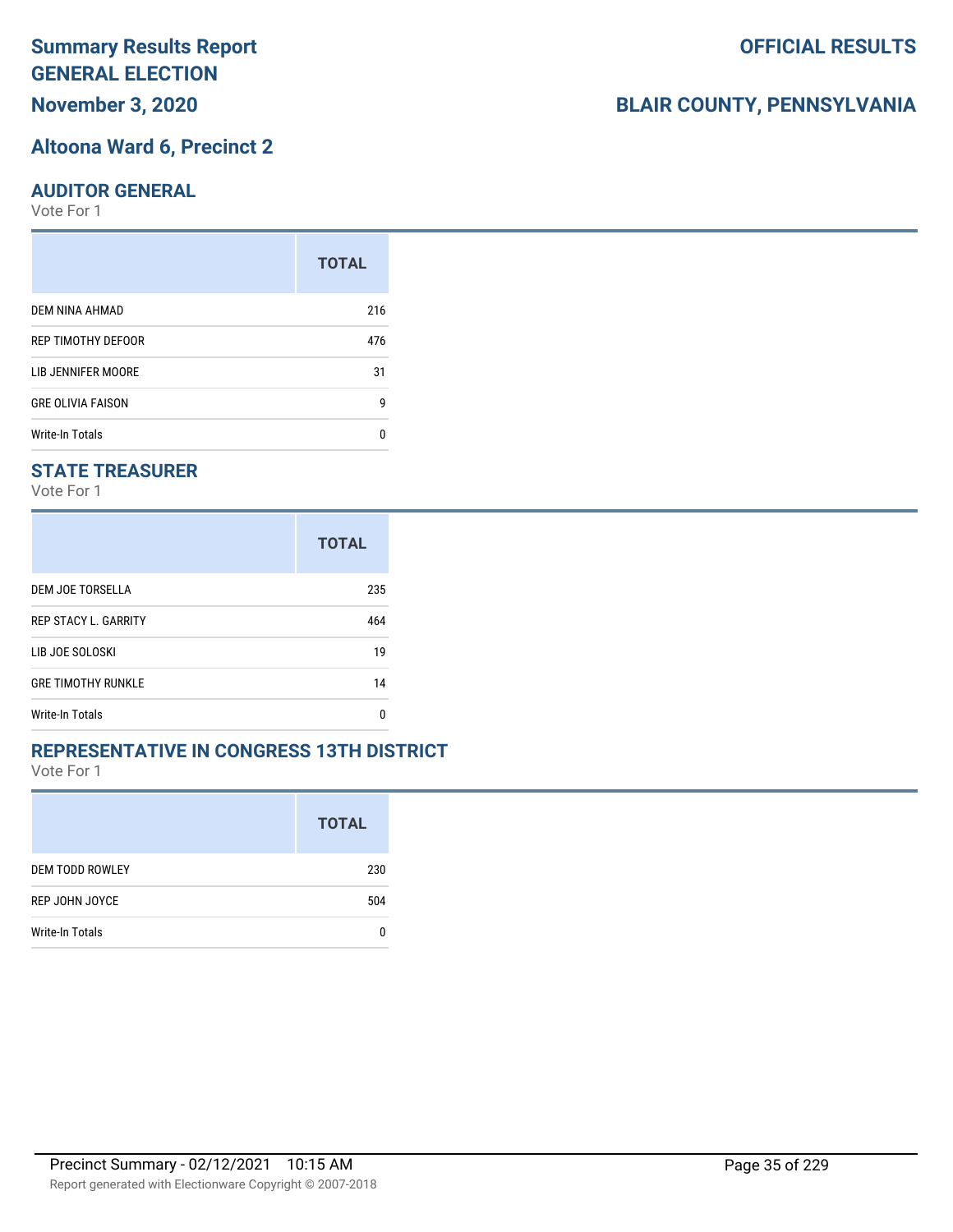**November 3, 2020**

#### **Altoona Ward 6, Precinct 2**

#### **AUDITOR GENERAL**

Vote For 1

|                          | <b>TOTAL</b> |
|--------------------------|--------------|
| DEM NINA AHMAD           | 216          |
| REP TIMOTHY DEFOOR       | 476          |
| LIB JENNIFER MOORE       | 31           |
| <b>GRE OLIVIA FAISON</b> | g            |
| Write-In Totals          | n            |

#### **STATE TREASURER**

Vote For 1

|                             | <b>TOTAL</b> |
|-----------------------------|--------------|
| DEM JOE TORSELLA            | 235          |
| <b>REP STACY L. GARRITY</b> | 464          |
| LIB JOE SOLOSKI             | 19           |
| <b>GRE TIMOTHY RUNKLE</b>   | 14           |
| <b>Write-In Totals</b>      | n            |

#### **REPRESENTATIVE IN CONGRESS 13TH DISTRICT**

Vote For 1

|                        | <b>TOTAL</b> |
|------------------------|--------------|
| <b>DEM TODD ROWLEY</b> | 230          |
| REP JOHN JOYCE         | 504          |
| Write-In Totals        |              |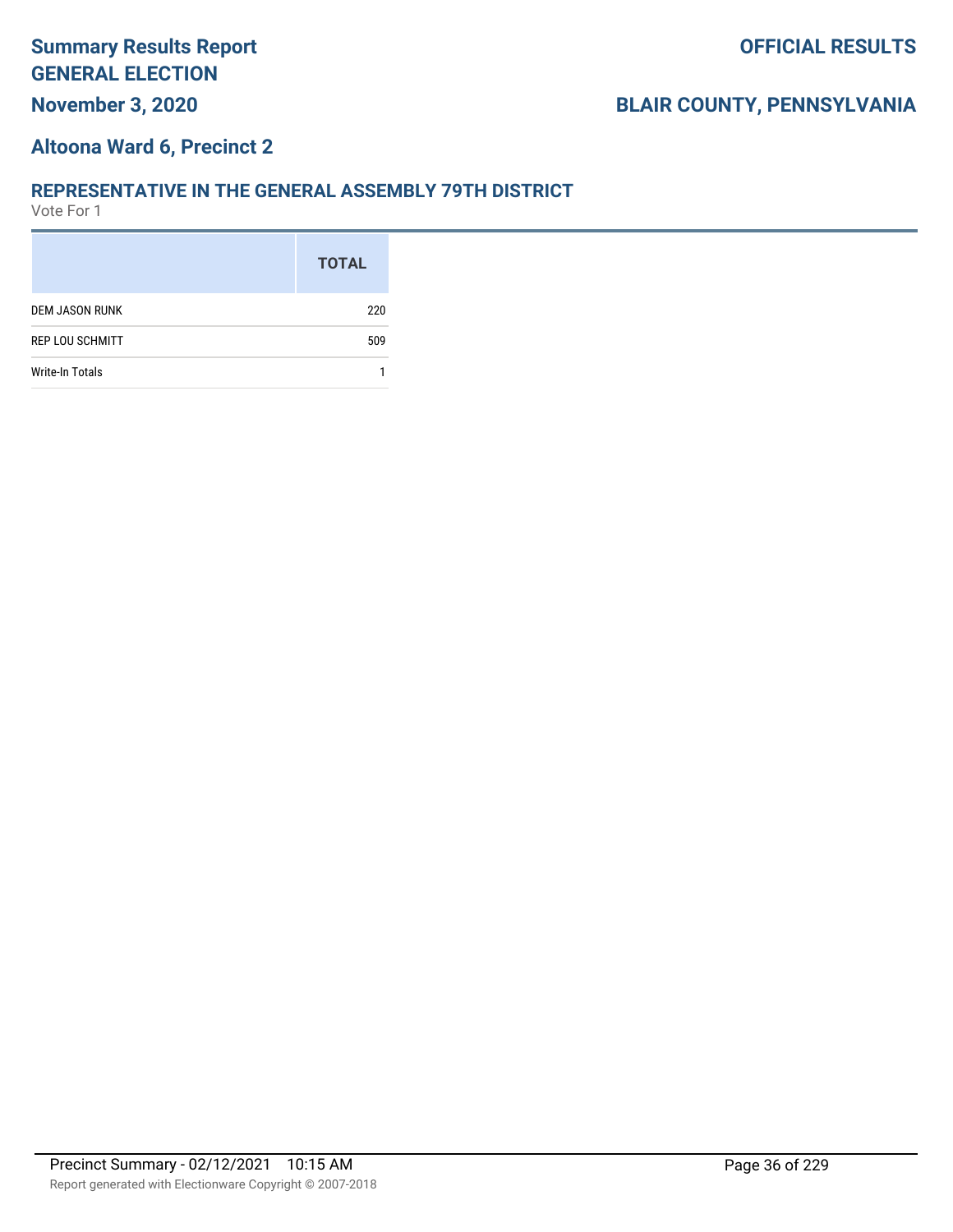### **Altoona Ward 6, Precinct 2**

#### **REPRESENTATIVE IN THE GENERAL ASSEMBLY 79TH DISTRICT**

|                        | <b>TOTAL</b> |
|------------------------|--------------|
| <b>DEM JASON RUNK</b>  | 220          |
| <b>REP LOU SCHMITT</b> | 509          |
| Write-In Totals        |              |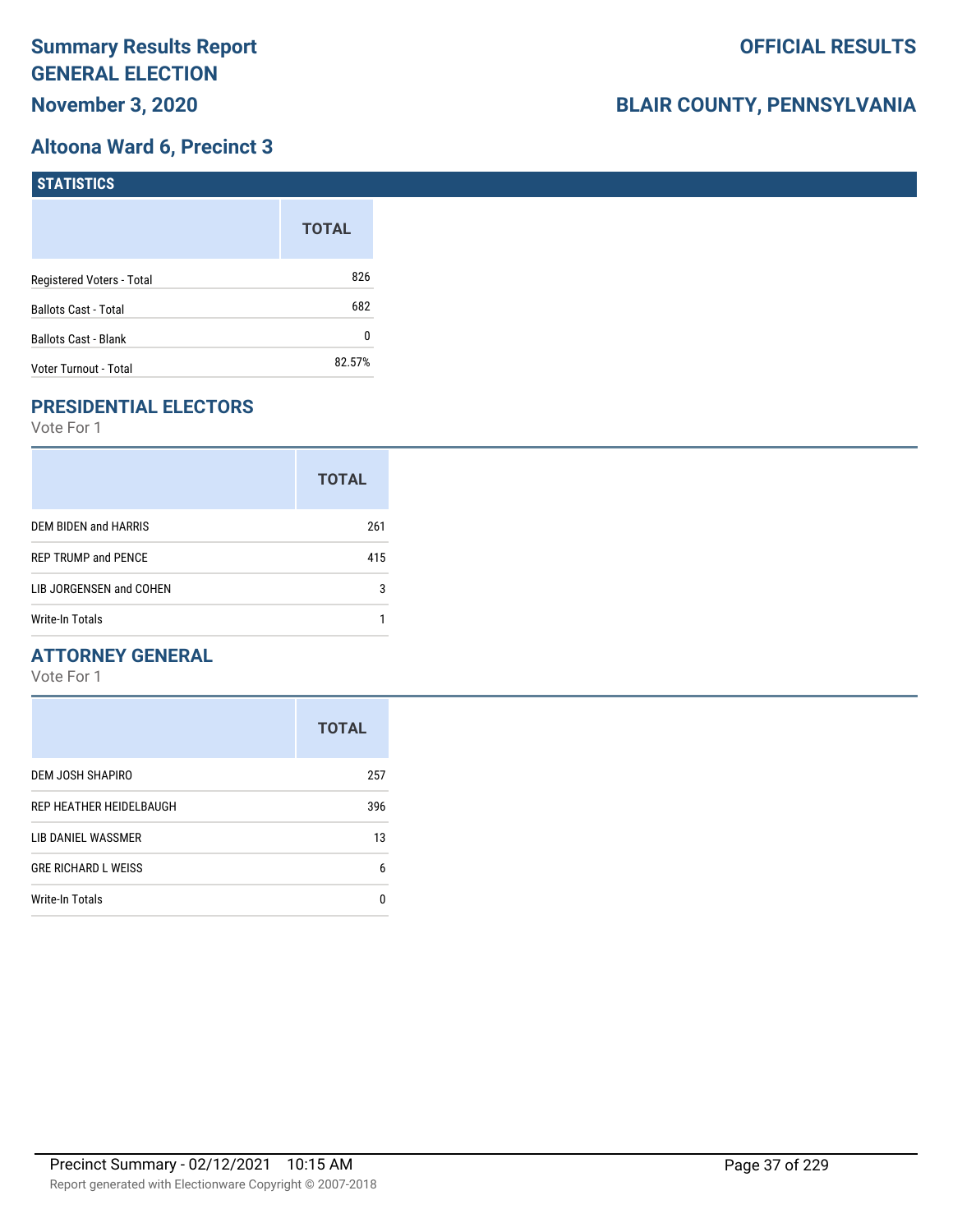### **Altoona Ward 6, Precinct 3**

| <b>STATISTICS</b>           |              |
|-----------------------------|--------------|
|                             | <b>TOTAL</b> |
| Registered Voters - Total   | 826          |
| Ballots Cast - Total        | 682          |
| <b>Ballots Cast - Blank</b> | 0            |
| Voter Turnout - Total       | 82.57%       |

## **PRESIDENTIAL ELECTORS**

Vote For 1

|                            | <b>TOTAL</b> |
|----------------------------|--------------|
| DEM BIDEN and HARRIS       | 261          |
| <b>REP TRUMP and PENCE</b> | 415          |
| LIB JORGENSEN and COHEN    | 3            |
| <b>Write-In Totals</b>     |              |

### **ATTORNEY GENERAL**

|                            | <b>TOTAL</b> |
|----------------------------|--------------|
| DEM JOSH SHAPIRO           | 257          |
| REP HEATHER HEIDELBAUGH    | 396          |
| LIB DANIEL WASSMER         | 13           |
| <b>GRE RICHARD L WEISS</b> | 6            |
| Write-In Totals            | n            |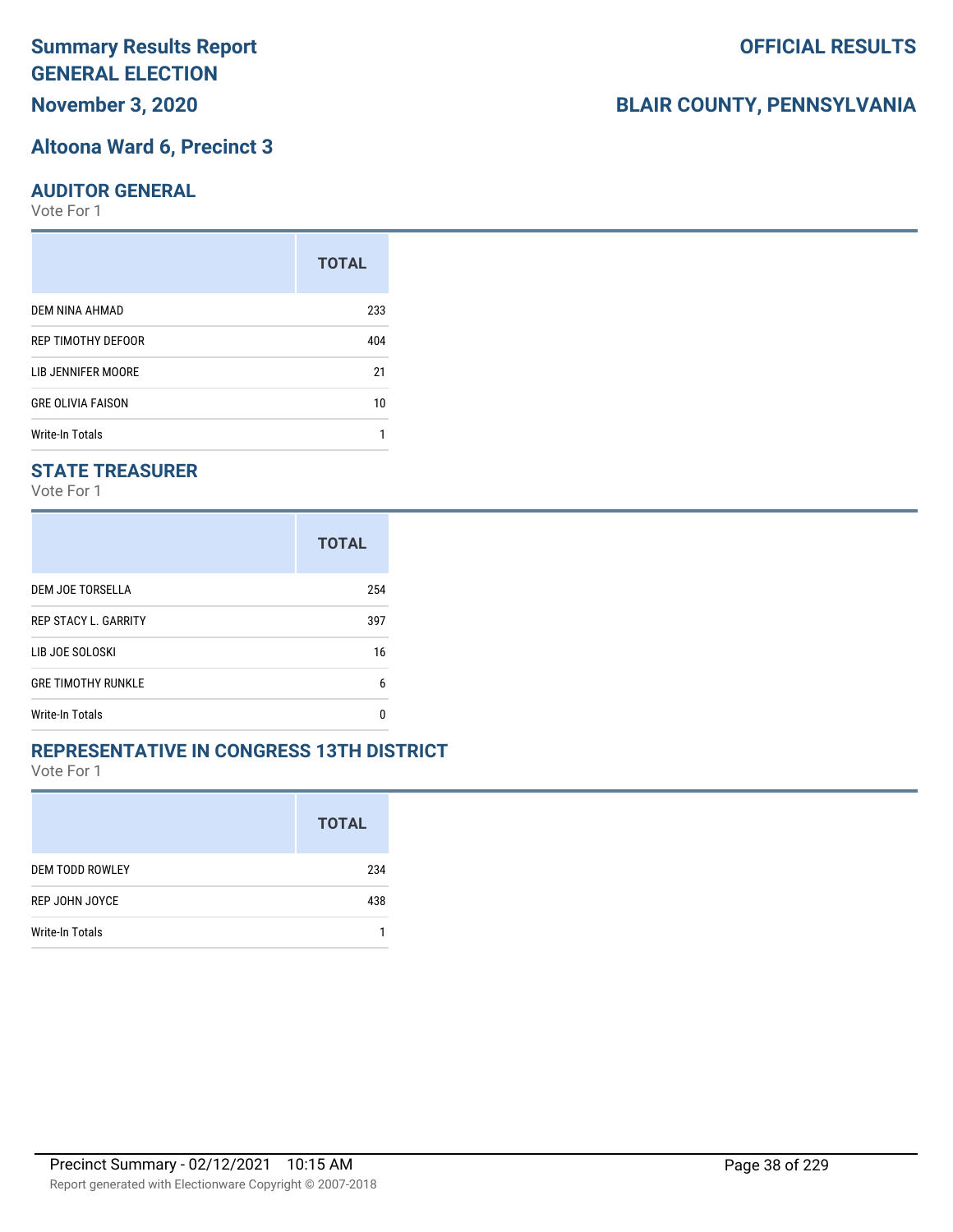# **Summary Results Report GENERAL ELECTION**

**November 3, 2020**

#### **Altoona Ward 6, Precinct 3**

#### **AUDITOR GENERAL**

Vote For 1

|                          | <b>TOTAL</b> |
|--------------------------|--------------|
| DEM NINA AHMAD           | 233          |
| REP TIMOTHY DEFOOR       | 404          |
| LIB JENNIFER MOORE       | 21           |
| <b>GRE OLIVIA FAISON</b> | 10           |
| Write-In Totals          |              |

### **STATE TREASURER**

Vote For 1

|                             | <b>TOTAL</b> |
|-----------------------------|--------------|
| DEM JOE TORSELLA            | 254          |
| <b>REP STACY L. GARRITY</b> | 397          |
| LIB JOE SOLOSKI             | 16           |
| <b>GRE TIMOTHY RUNKLE</b>   | 6            |
| Write-In Totals             | n            |

#### **REPRESENTATIVE IN CONGRESS 13TH DISTRICT**

Vote For 1

|                        | <b>TOTAL</b> |
|------------------------|--------------|
| <b>DEM TODD ROWLEY</b> | 234          |
| REP JOHN JOYCE         | 438          |
| Write-In Totals        |              |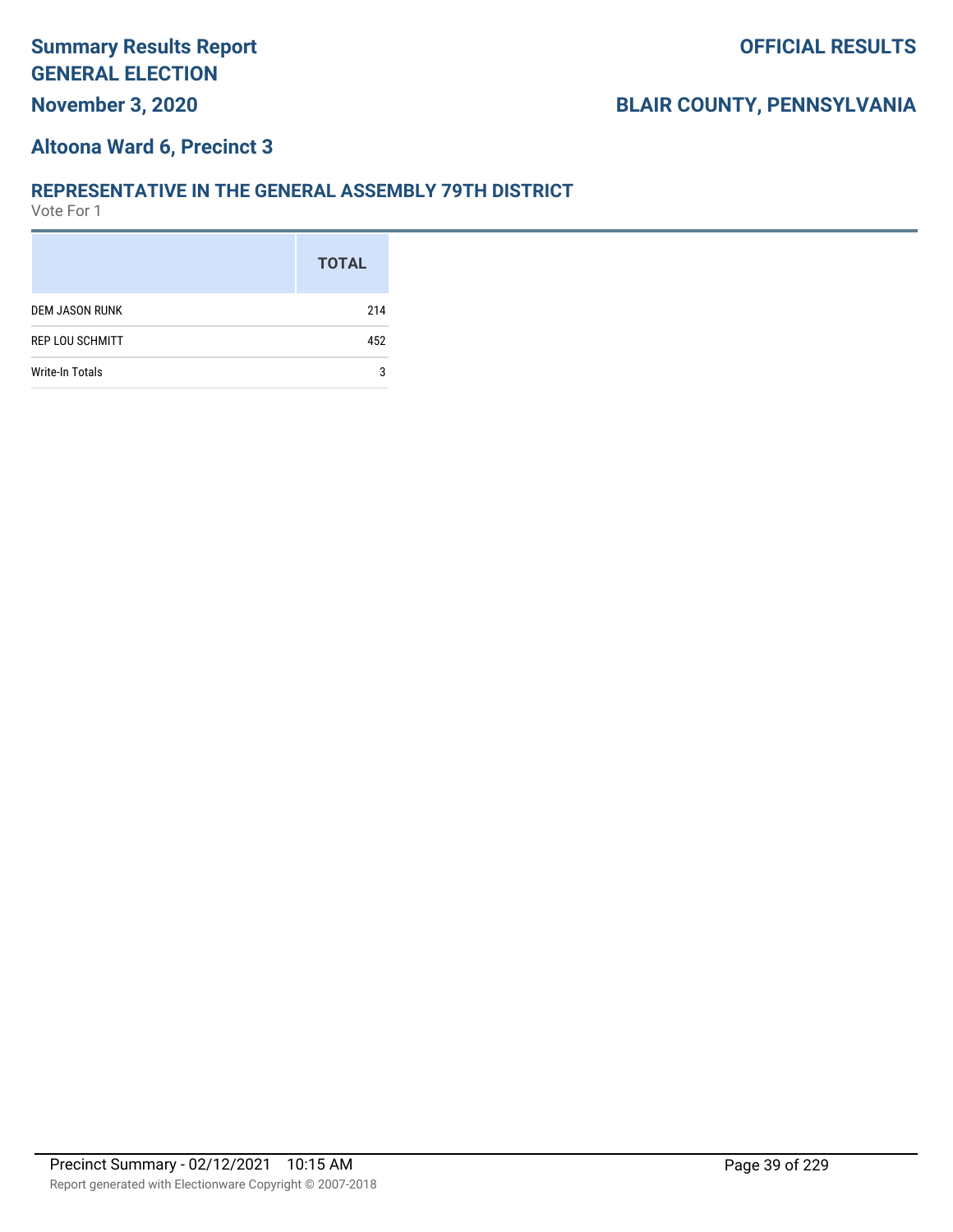### **Altoona Ward 6, Precinct 3**

#### **REPRESENTATIVE IN THE GENERAL ASSEMBLY 79TH DISTRICT**

|                        | <b>TOTAL</b> |
|------------------------|--------------|
| <b>DEM JASON RUNK</b>  | 214          |
| <b>REP LOU SCHMITT</b> | 452          |
| <b>Write-In Totals</b> | 3            |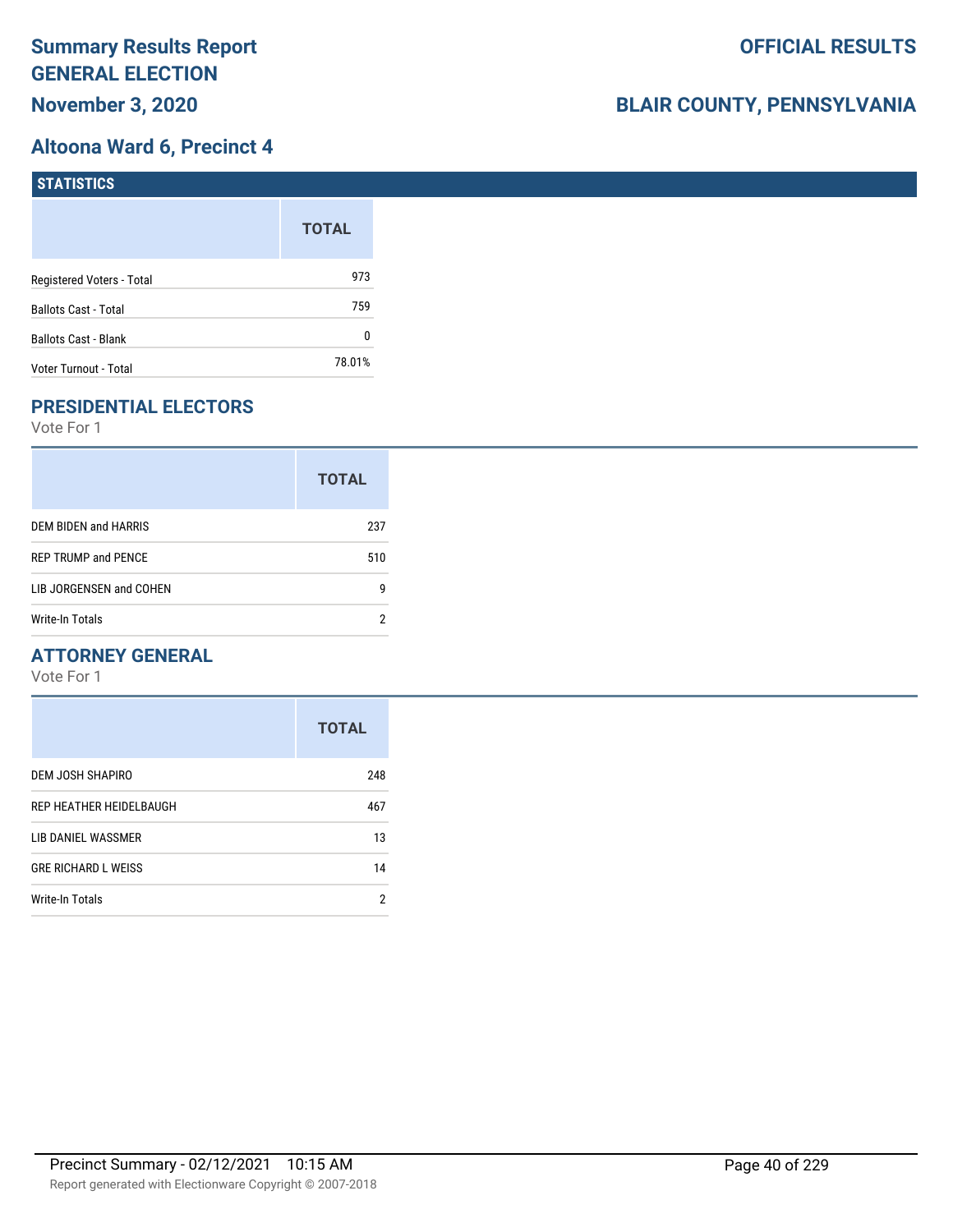### **Altoona Ward 6, Precinct 4**

| <b>STATISTICS</b>           |              |
|-----------------------------|--------------|
|                             | <b>TOTAL</b> |
| Registered Voters - Total   | 973          |
| Ballots Cast - Total        | 759          |
| <b>Ballots Cast - Blank</b> | 0            |
| Voter Turnout - Total       | 78.01%       |

# **PRESIDENTIAL ELECTORS**

Vote For 1

|                            | <b>TOTAL</b> |
|----------------------------|--------------|
| DEM BIDEN and HARRIS       | 237          |
| <b>REP TRUMP and PENCE</b> | 510          |
| LIB JORGENSEN and COHEN    | g            |
| Write-In Totals            | 2            |

### **ATTORNEY GENERAL**

|                            | <b>TOTAL</b> |
|----------------------------|--------------|
| DEM JOSH SHAPIRO           | 248          |
| REP HEATHER HEIDELBAUGH    | 467          |
| LIB DANIEL WASSMER         | 13           |
| <b>GRE RICHARD L WEISS</b> | 14           |
| <b>Write-In Totals</b>     | 2            |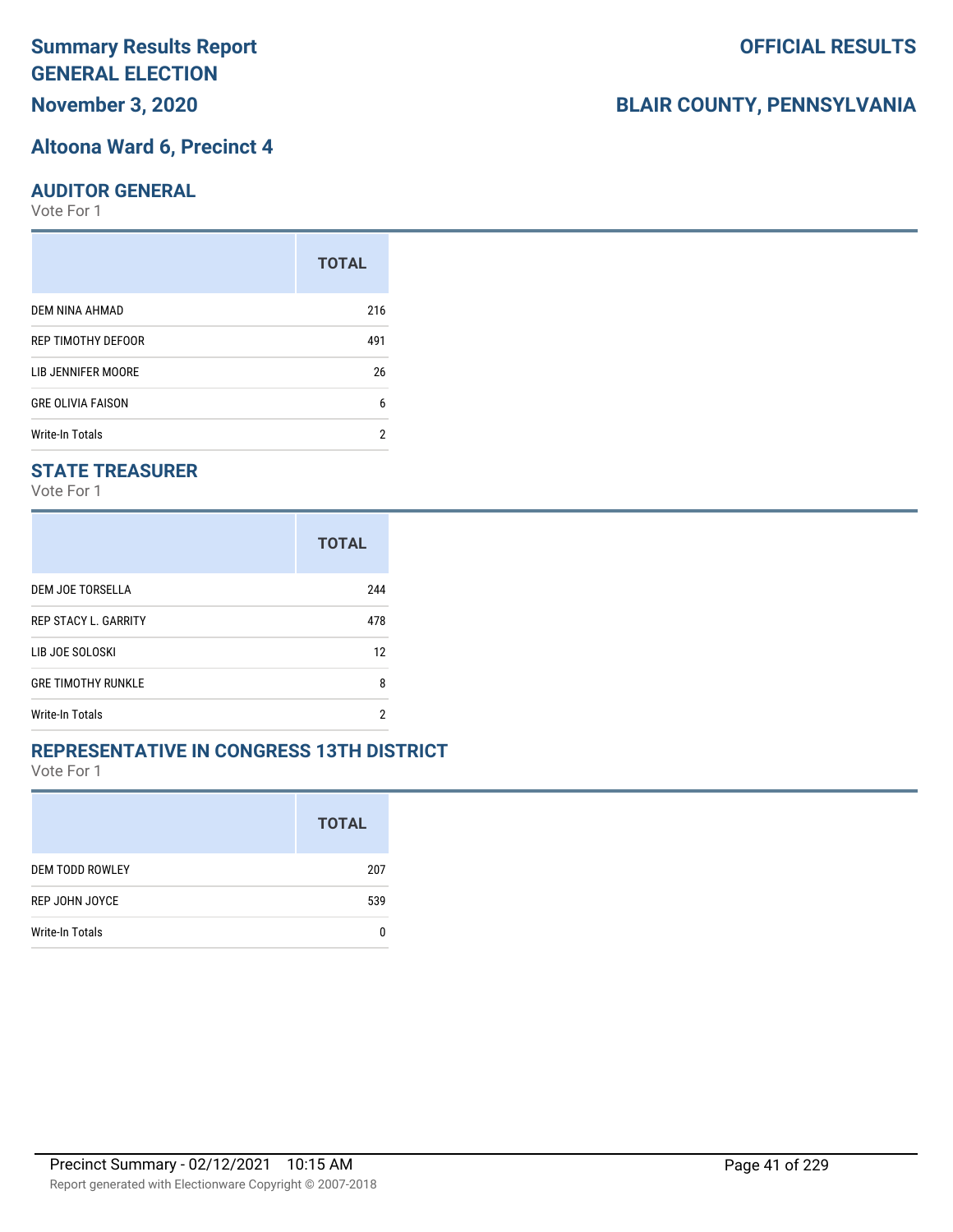# **Summary Results Report GENERAL ELECTION**

**November 3, 2020**

#### **Altoona Ward 6, Precinct 4**

#### **AUDITOR GENERAL**

Vote For 1

|                          | <b>TOTAL</b> |
|--------------------------|--------------|
| DEM NINA AHMAD           | 216          |
| REP TIMOTHY DEFOOR       | 491          |
| LIB JENNIFER MOORE       | 26           |
| <b>GRE OLIVIA FAISON</b> | 6            |
| <b>Write-In Totals</b>   | 2            |

### **STATE TREASURER**

Vote For 1

|                             | <b>TOTAL</b> |
|-----------------------------|--------------|
| DEM JOE TORSELLA            | 244          |
| <b>REP STACY L. GARRITY</b> | 478          |
| LIB JOE SOLOSKI             | 12           |
| <b>GRE TIMOTHY RUNKLE</b>   | 8            |
| Write-In Totals             | 2            |

#### **REPRESENTATIVE IN CONGRESS 13TH DISTRICT**

Vote For 1

|                        | <b>TOTAL</b> |
|------------------------|--------------|
| <b>DEM TODD ROWLEY</b> | 207          |
| REP JOHN JOYCE         | 539          |
| Write-In Totals        |              |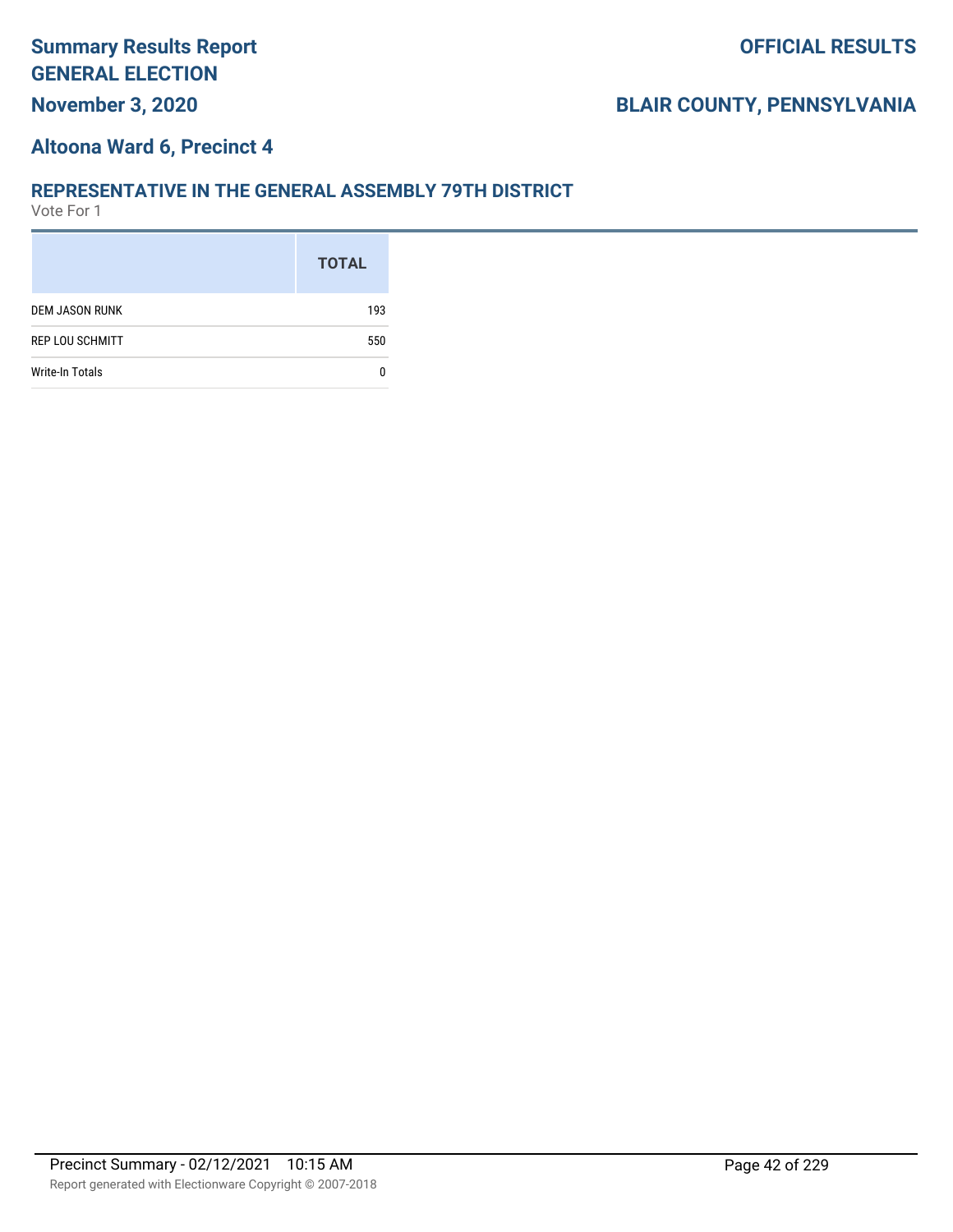### **Altoona Ward 6, Precinct 4**

#### **REPRESENTATIVE IN THE GENERAL ASSEMBLY 79TH DISTRICT**

|                        | <b>TOTAL</b> |
|------------------------|--------------|
| <b>DEM JASON RUNK</b>  | 193          |
| <b>REP LOU SCHMITT</b> | 550          |
| <b>Write-In Totals</b> |              |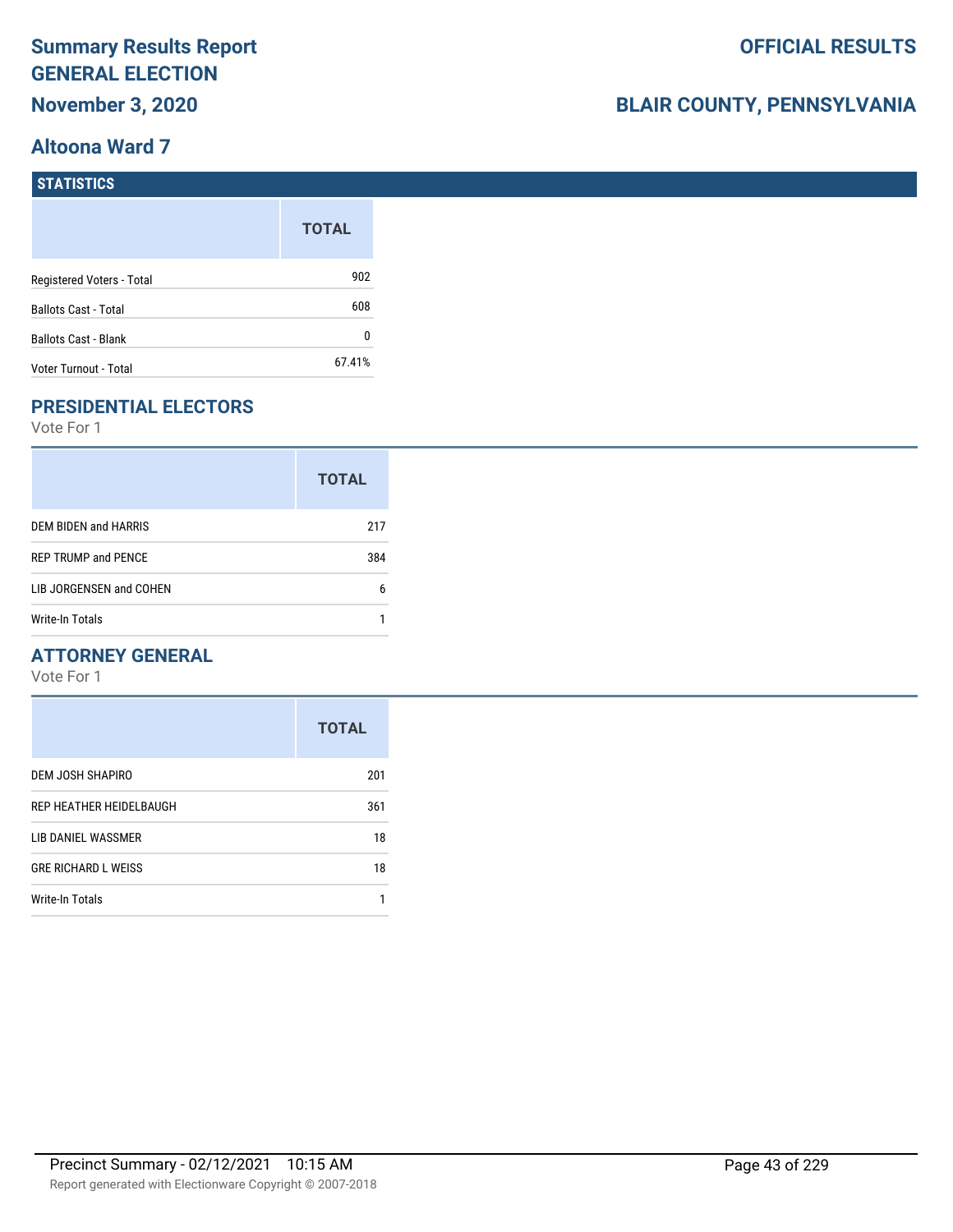# **BLAIR COUNTY, PENNSYLVANIA**

#### **STATISTICS**

|                             | <b>TOTAL</b> |
|-----------------------------|--------------|
| Registered Voters - Total   | 902          |
| <b>Ballots Cast - Total</b> | 608          |
| <b>Ballots Cast - Blank</b> |              |
| Voter Turnout - Total       | 67.41%       |

## **PRESIDENTIAL ELECTORS**

Vote For 1

|                            | <b>TOTAL</b> |
|----------------------------|--------------|
| DEM BIDEN and HARRIS       | 217          |
| <b>REP TRUMP and PENCE</b> | 384          |
| LIB JORGENSEN and COHEN    | 6            |
| Write-In Totals            |              |

### **ATTORNEY GENERAL**

|                            | <b>TOTAL</b> |
|----------------------------|--------------|
| DEM JOSH SHAPIRO           | 201          |
| REP HEATHER HEIDELBAUGH    | 361          |
| LIB DANIEL WASSMER         | 18           |
| <b>GRE RICHARD L WEISS</b> | 18           |
| Write-In Totals            |              |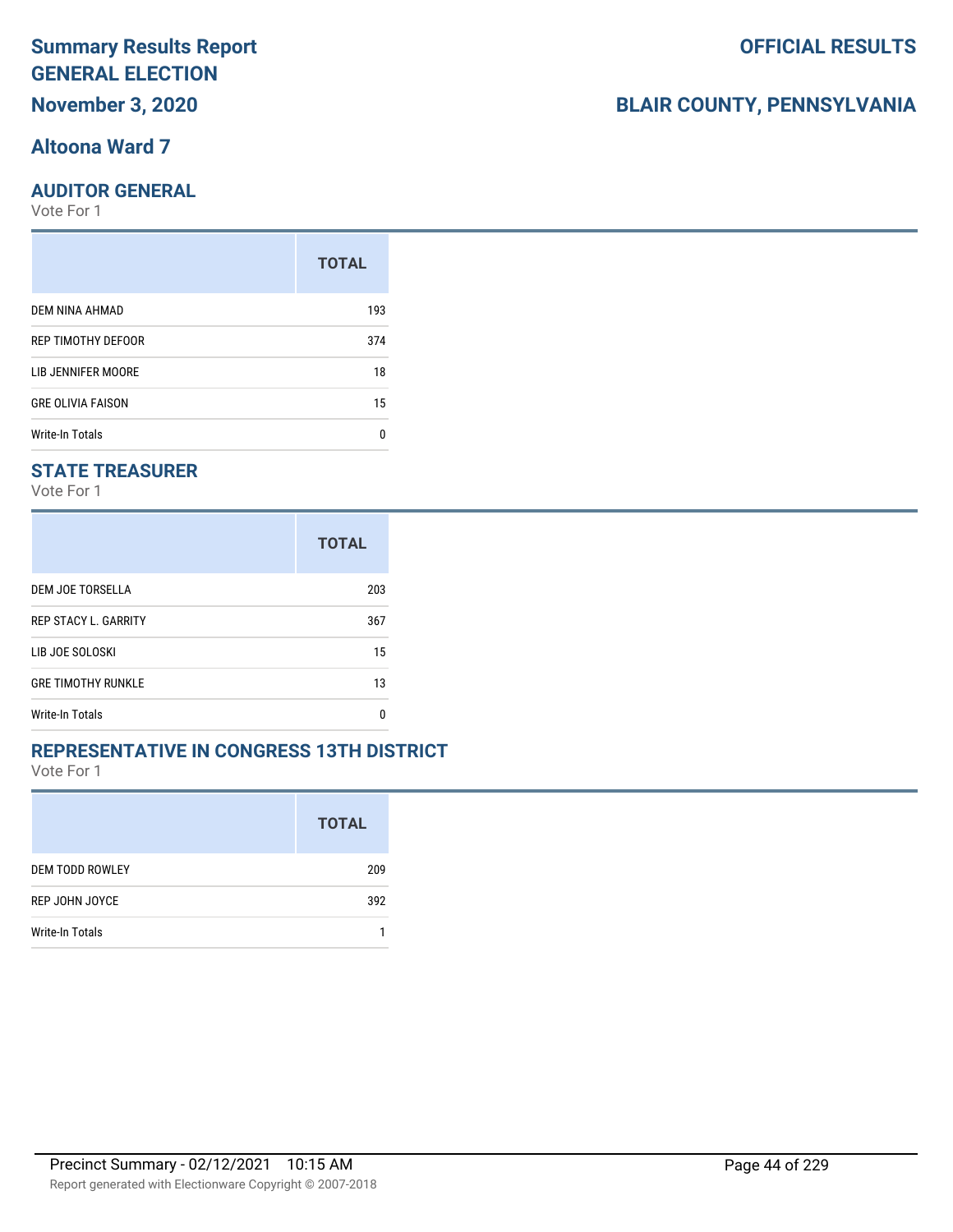### **Altoona Ward 7**

### **AUDITOR GENERAL**

Vote For 1

|                          | <b>TOTAL</b> |
|--------------------------|--------------|
| DEM NINA AHMAD           | 193          |
| REP TIMOTHY DEFOOR       |              |
| LIB JENNIFER MOORE       | 18           |
| <b>GRE OLIVIA FAISON</b> |              |
| Write-In Totals          | n            |

### **STATE TREASURER**

Vote For 1

|                             | <b>TOTAL</b> |
|-----------------------------|--------------|
| DEM JOE TORSELLA            | 203          |
| <b>REP STACY L. GARRITY</b> | 367          |
| LIB JOE SOLOSKI             | 15           |
| <b>GRE TIMOTHY RUNKLE</b>   | 13           |
| Write-In Totals             | n            |

#### **REPRESENTATIVE IN CONGRESS 13TH DISTRICT**

Vote For 1

|                        | <b>TOTAL</b> |
|------------------------|--------------|
| <b>DEM TODD ROWLEY</b> | 209          |
| REP JOHN JOYCE         | 392          |
| Write-In Totals        |              |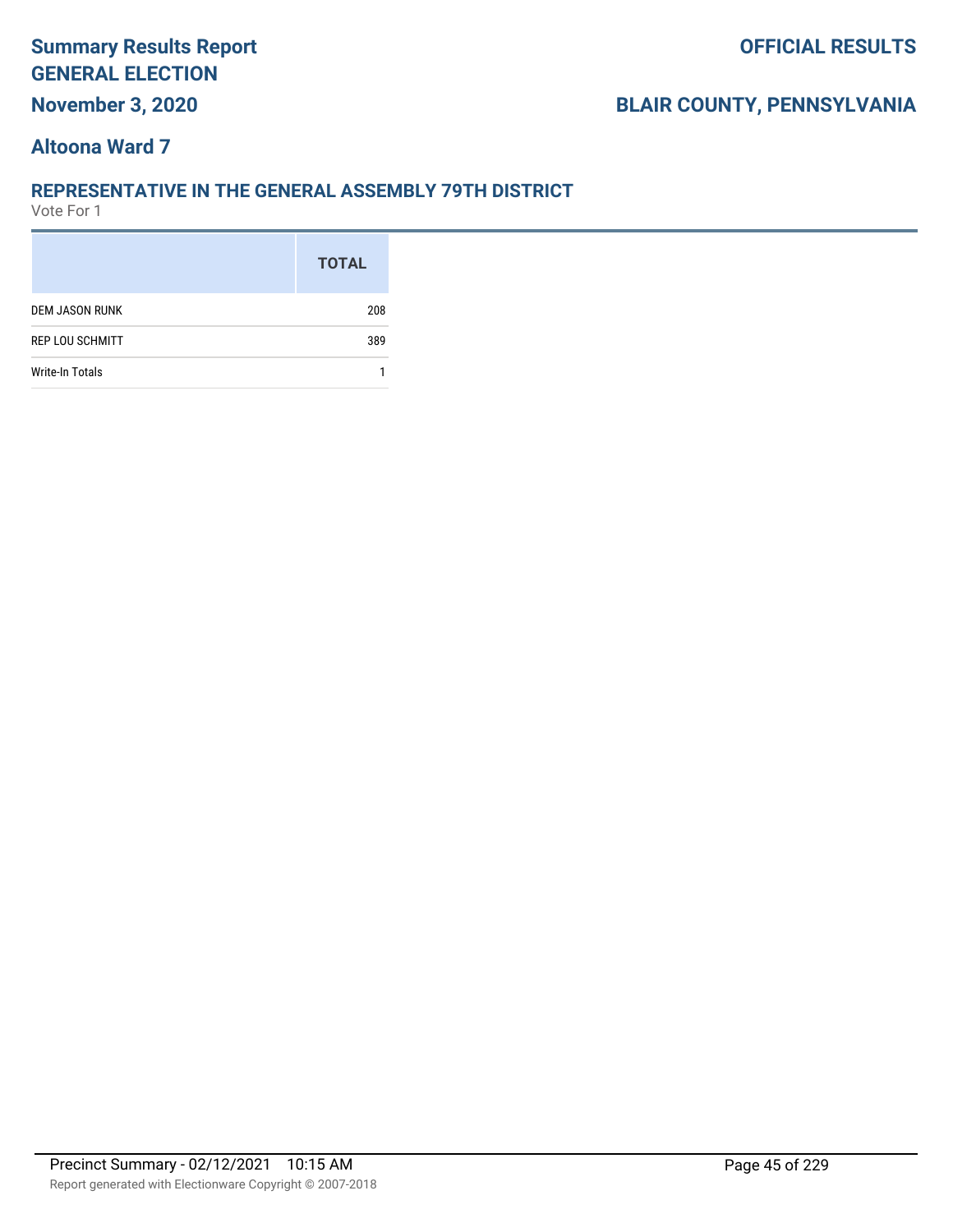### **BLAIR COUNTY, PENNSYLVANIA**

### **Altoona Ward 7**

#### **REPRESENTATIVE IN THE GENERAL ASSEMBLY 79TH DISTRICT**

|                        | <b>TOTAL</b> |
|------------------------|--------------|
| <b>DEM JASON RUNK</b>  | 208          |
| <b>REP LOU SCHMITT</b> | 389          |
| Write-In Totals        |              |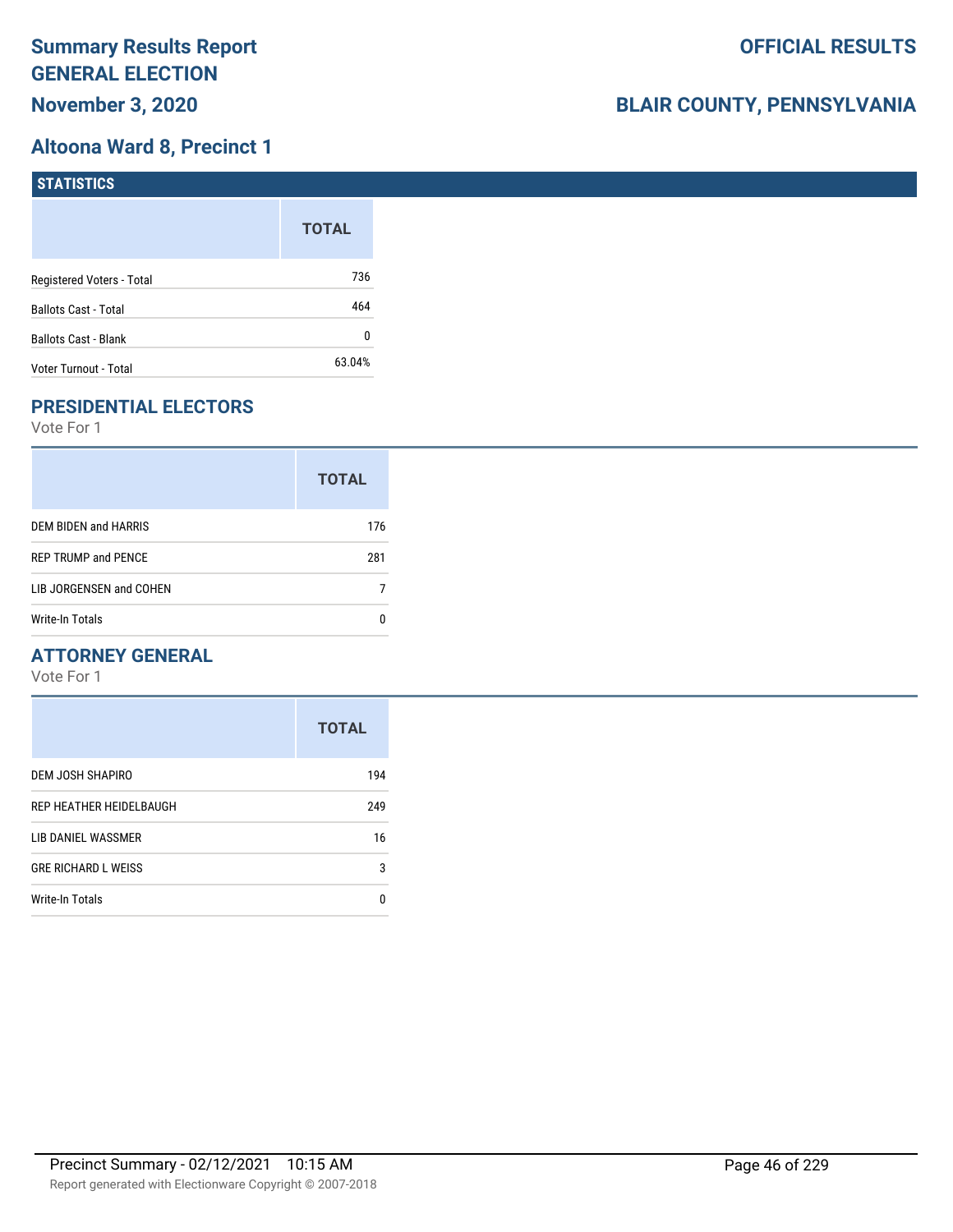### **Altoona Ward 8, Precinct 1**

| <b>STATISTICS</b>         |              |
|---------------------------|--------------|
|                           | <b>TOTAL</b> |
| Registered Voters - Total | 736          |
| Ballots Cast - Total      | 464          |
| Ballots Cast - Blank      | 0            |
| Voter Turnout - Total     | 63.04%       |

## **PRESIDENTIAL ELECTORS**

Vote For 1

|                            | <b>TOTAL</b> |
|----------------------------|--------------|
| DEM BIDEN and HARRIS       | 176          |
| <b>REP TRUMP and PENCE</b> | 281          |
| LIB JORGENSEN and COHEN    |              |
| Write-In Totals            |              |

### **ATTORNEY GENERAL**

|                            | <b>TOTAL</b> |
|----------------------------|--------------|
| DEM JOSH SHAPIRO           | 194          |
| REP HEATHER HEIDELBAUGH    | 249          |
| LIB DANIEL WASSMER         | 16           |
| <b>GRE RICHARD L WEISS</b> | 3            |
| <b>Write-In Totals</b>     | 0            |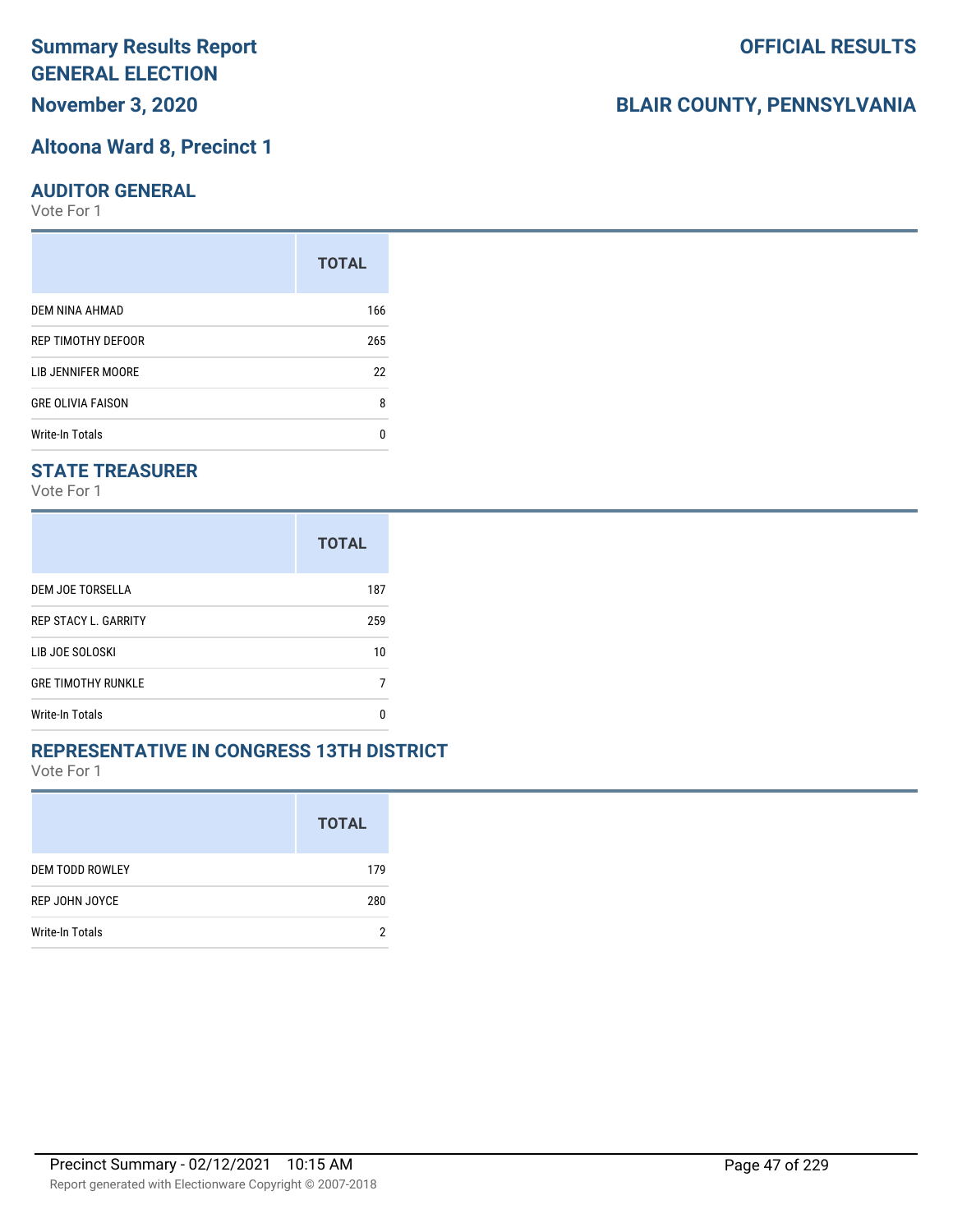# **Summary Results Report GENERAL ELECTION**

**November 3, 2020**

#### **Altoona Ward 8, Precinct 1**

#### **AUDITOR GENERAL**

Vote For 1

|                          | <b>TOTAL</b> |
|--------------------------|--------------|
| DEM NINA AHMAD           | 166          |
| REP TIMOTHY DEFOOR       | 265          |
| LIB JENNIFER MOORE       | 22           |
| <b>GRE OLIVIA FAISON</b> | 8            |
| Write-In Totals          | n            |

### **STATE TREASURER**

Vote For 1

|                             | <b>TOTAL</b> |
|-----------------------------|--------------|
| DEM JOE TORSELLA            | 187          |
| <b>REP STACY L. GARRITY</b> | 259          |
| LIB JOE SOLOSKI             | 10           |
| <b>GRE TIMOTHY RUNKLE</b>   |              |
| <b>Write-In Totals</b>      | n            |

#### **REPRESENTATIVE IN CONGRESS 13TH DISTRICT**

Vote For 1

|                        | <b>TOTAL</b> |
|------------------------|--------------|
| <b>DEM TODD ROWLEY</b> | 179          |
| REP JOHN JOYCE         | 280          |
| Write-In Totals        | ŋ            |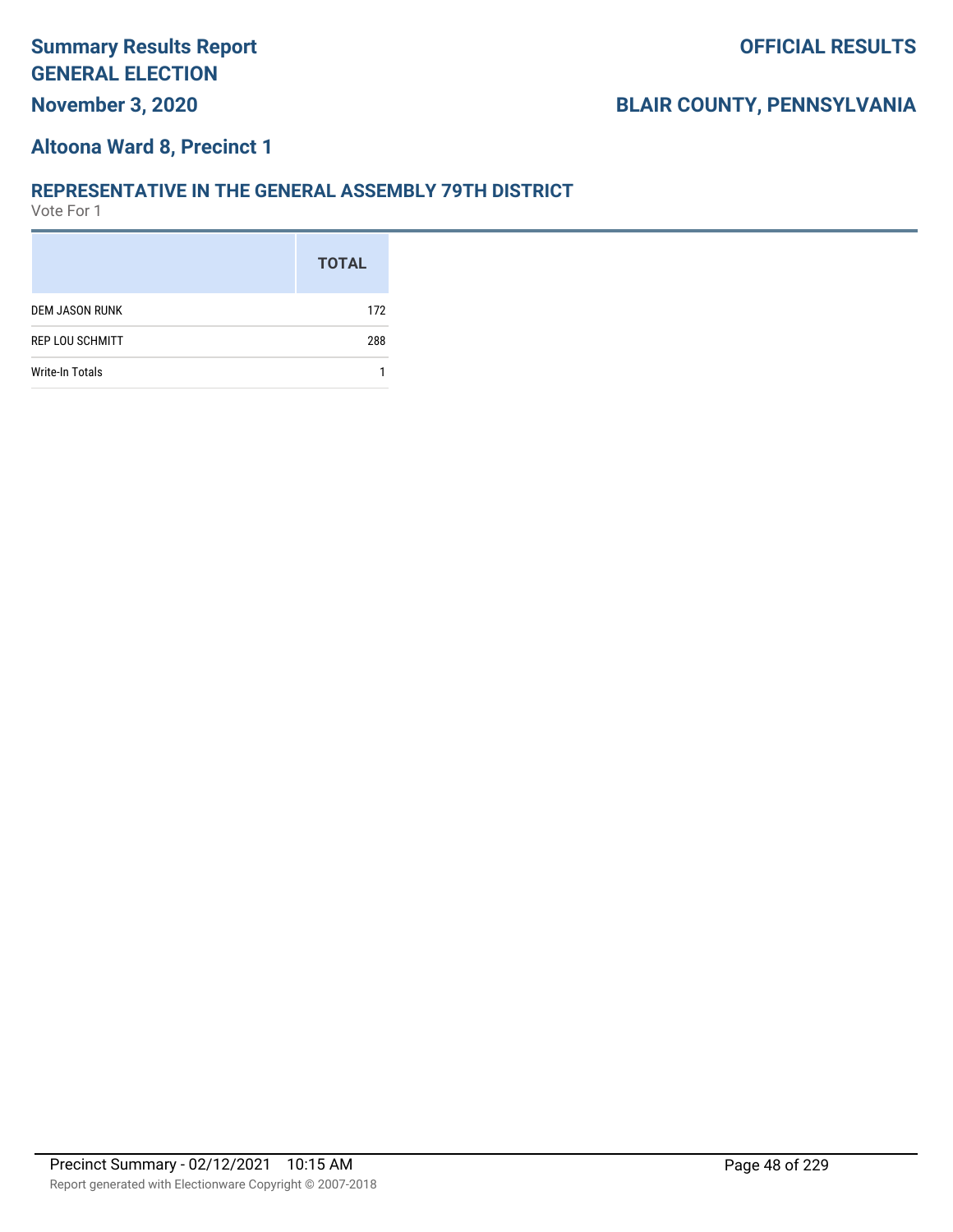### **Altoona Ward 8, Precinct 1**

#### **REPRESENTATIVE IN THE GENERAL ASSEMBLY 79TH DISTRICT**

|                        | <b>TOTAL</b> |
|------------------------|--------------|
| <b>DEM JASON RUNK</b>  | 172          |
| <b>REP LOU SCHMITT</b> | 288          |
| <b>Write-In Totals</b> |              |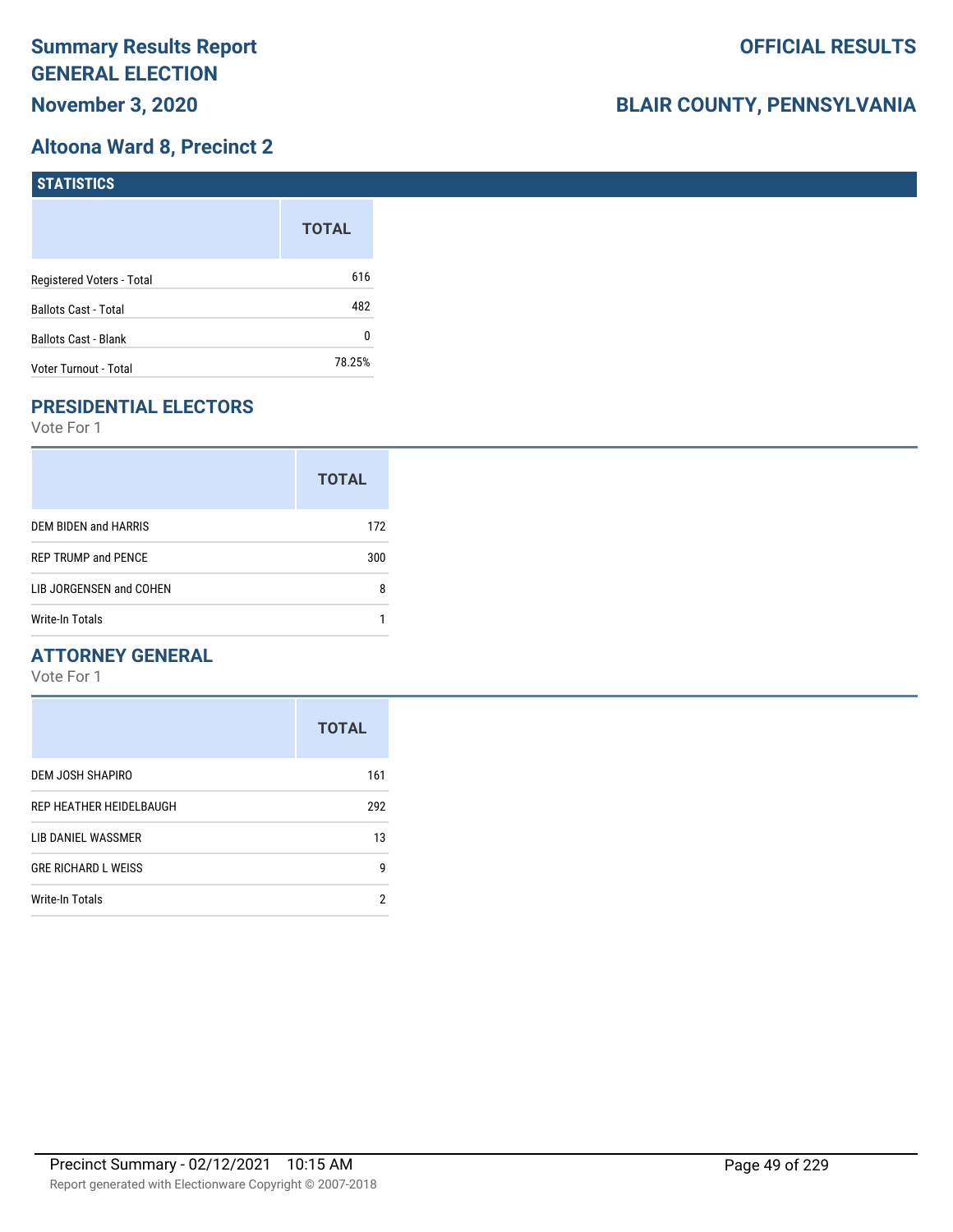### **Altoona Ward 8, Precinct 2**

| <b>STATISTICS</b>           |              |
|-----------------------------|--------------|
|                             | <b>TOTAL</b> |
| Registered Voters - Total   | 616          |
| Ballots Cast - Total        | 482          |
| <b>Ballots Cast - Blank</b> | 0            |
| Voter Turnout - Total       | 78.25%       |

## **PRESIDENTIAL ELECTORS**

Vote For 1

|                            | <b>TOTAL</b> |
|----------------------------|--------------|
| DEM BIDEN and HARRIS       | 172          |
| <b>REP TRUMP and PENCE</b> | 300          |
| LIB JORGENSEN and COHEN    | 8            |
| Write-In Totals            |              |

### **ATTORNEY GENERAL**

|                            | <b>TOTAL</b> |
|----------------------------|--------------|
| DEM JOSH SHAPIRO           | 161          |
| REP HEATHER HEIDELBAUGH    | 292          |
| LIB DANIEL WASSMER         | 13           |
| <b>GRE RICHARD L WEISS</b> | g            |
| <b>Write-In Totals</b>     | 2            |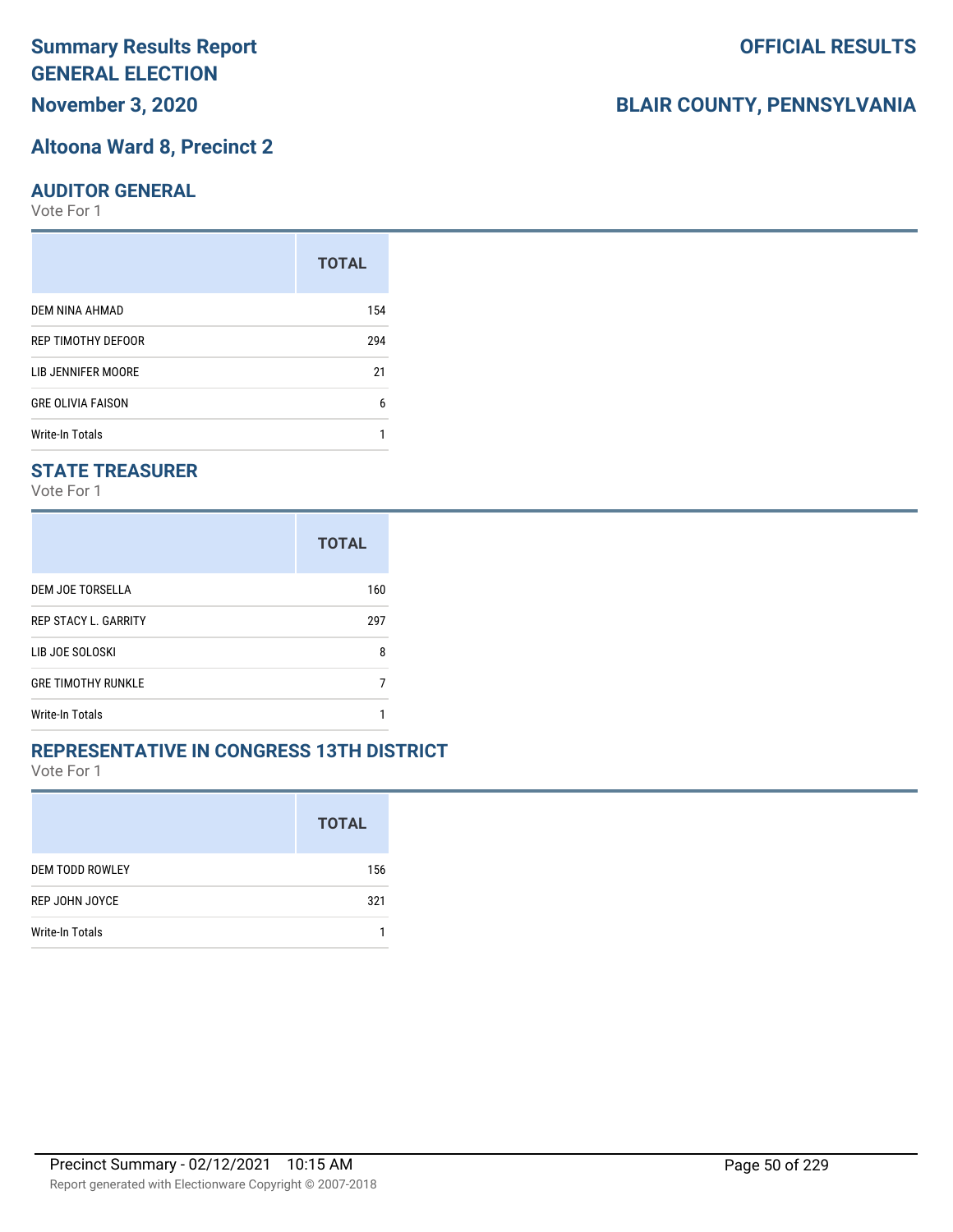# **Summary Results Report GENERAL ELECTION**

**November 3, 2020**

#### **Altoona Ward 8, Precinct 2**

#### **AUDITOR GENERAL**

Vote For 1

|                          | <b>TOTAL</b> |
|--------------------------|--------------|
| DEM NINA AHMAD           | 154          |
| REP TIMOTHY DEFOOR       | 294          |
| LIB JENNIFER MOORE       | 21           |
| <b>GRE OLIVIA FAISON</b> | 6            |
| Write-In Totals          |              |

### **STATE TREASURER**

Vote For 1

|                             | <b>TOTAL</b> |
|-----------------------------|--------------|
| DEM JOE TORSELLA            | 160          |
| <b>REP STACY L. GARRITY</b> | 297          |
| LIB JOE SOLOSKI             | 8            |
| <b>GRE TIMOTHY RUNKLE</b>   |              |
| Write-In Totals             |              |

#### **REPRESENTATIVE IN CONGRESS 13TH DISTRICT**

Vote For 1

|                        | <b>TOTAL</b> |
|------------------------|--------------|
| <b>DEM TODD ROWLEY</b> | 156          |
| REP JOHN JOYCE         | 321          |
| Write-In Totals        |              |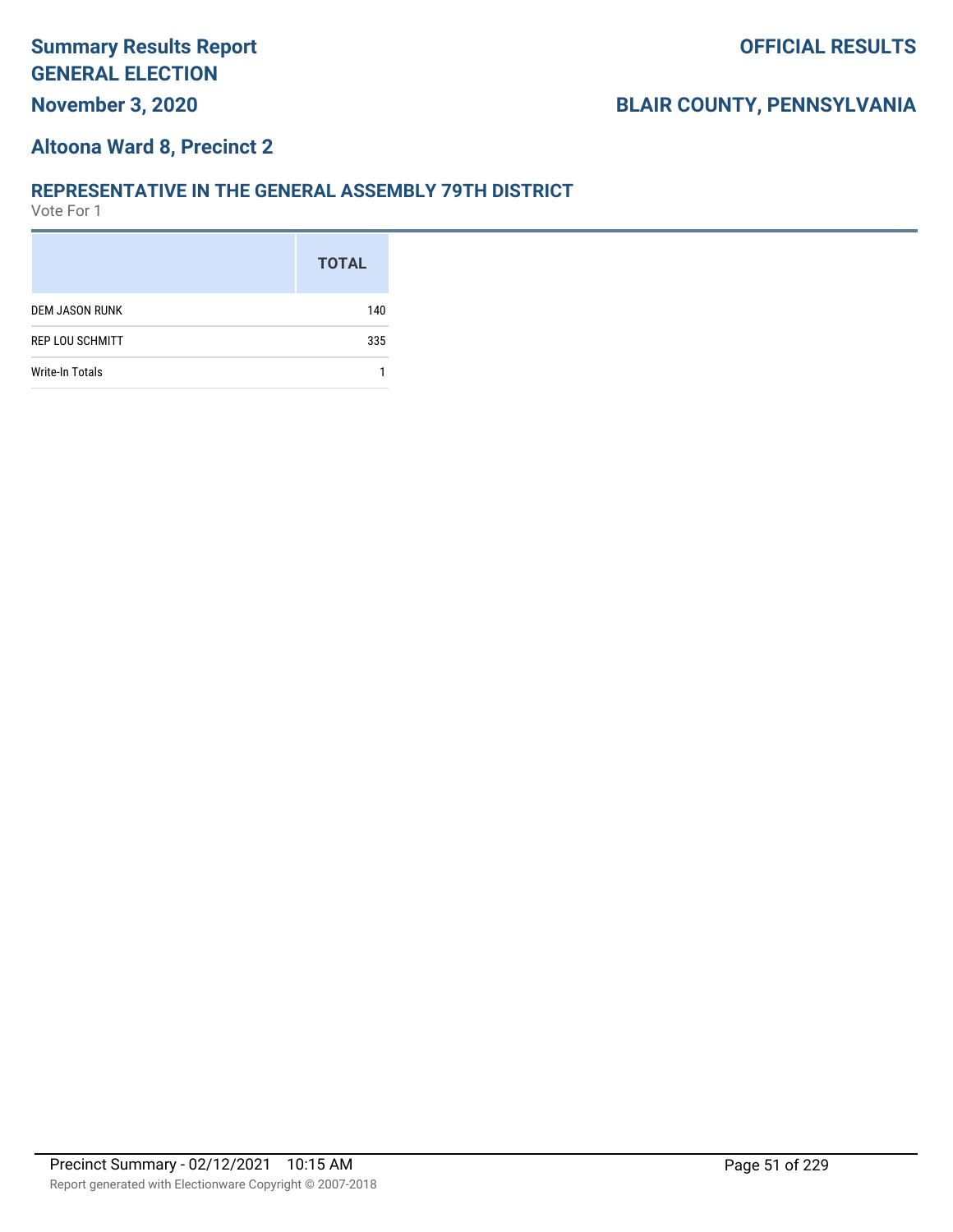### **Altoona Ward 8, Precinct 2**

#### **REPRESENTATIVE IN THE GENERAL ASSEMBLY 79TH DISTRICT**

|                        | <b>TOTAL</b> |
|------------------------|--------------|
| <b>DEM JASON RUNK</b>  | 140          |
| <b>REP LOU SCHMITT</b> | 335          |
| <b>Write-In Totals</b> |              |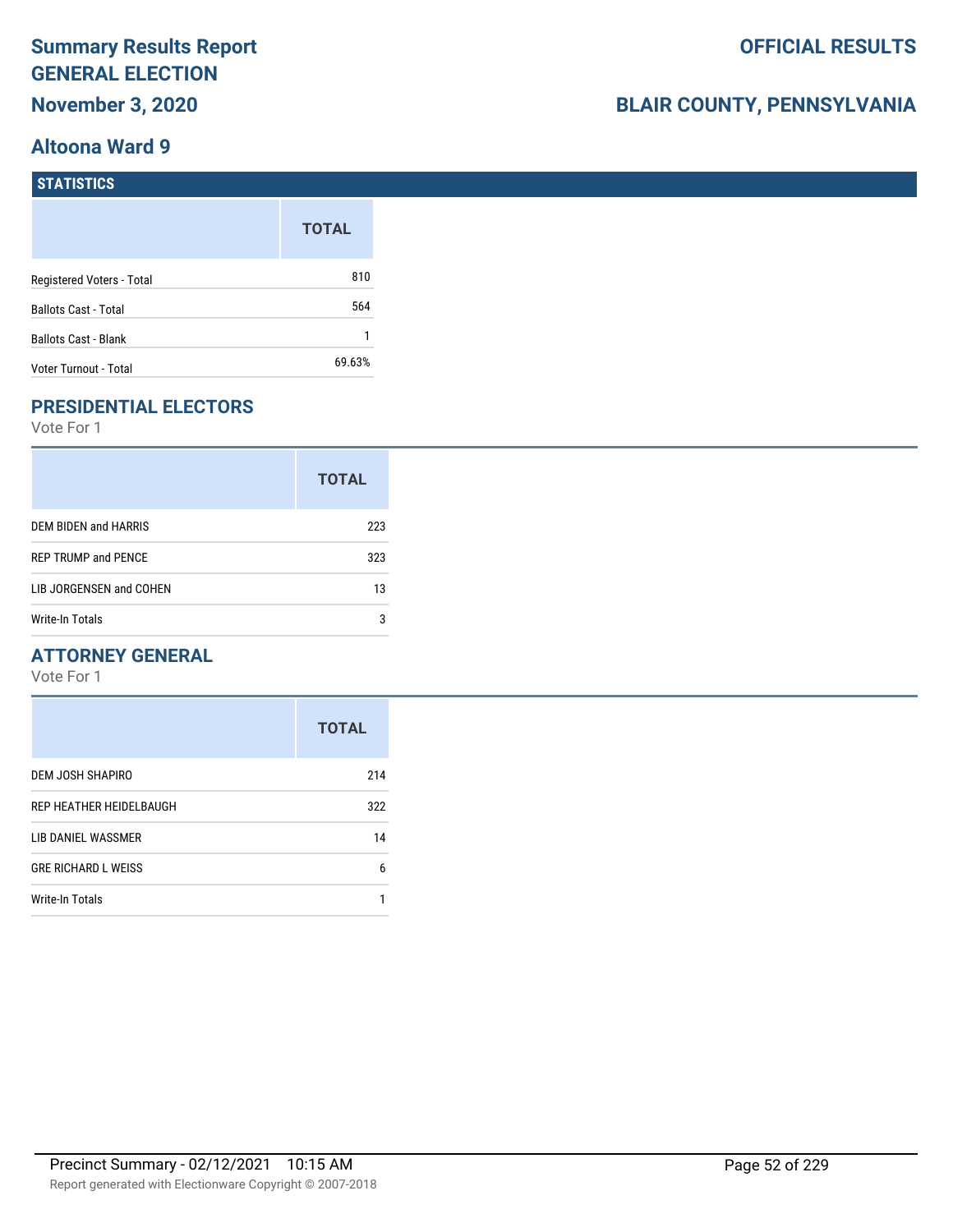# **BLAIR COUNTY, PENNSYLVANIA**

#### **STATISTICS**

|                             | <b>TOTAL</b> |
|-----------------------------|--------------|
| Registered Voters - Total   | 810          |
| <b>Ballots Cast - Total</b> | 564          |
| <b>Ballots Cast - Blank</b> |              |
| Voter Turnout - Total       | 69.63%       |

### **PRESIDENTIAL ELECTORS**

Vote For 1

|                            | <b>TOTAL</b> |
|----------------------------|--------------|
| DEM BIDEN and HARRIS       | 223          |
| <b>REP TRUMP and PENCE</b> | 323          |
| LIB JORGENSEN and COHEN    | 13           |
| Write-In Totals            | 3            |

### **ATTORNEY GENERAL**

|                            | <b>TOTAL</b> |
|----------------------------|--------------|
| DEM JOSH SHAPIRO           | 214          |
| REP HEATHER HEIDELBAUGH    | 322          |
| LIB DANIEL WASSMER         | 14           |
| <b>GRE RICHARD L WEISS</b> | 6            |
| <b>Write-In Totals</b>     |              |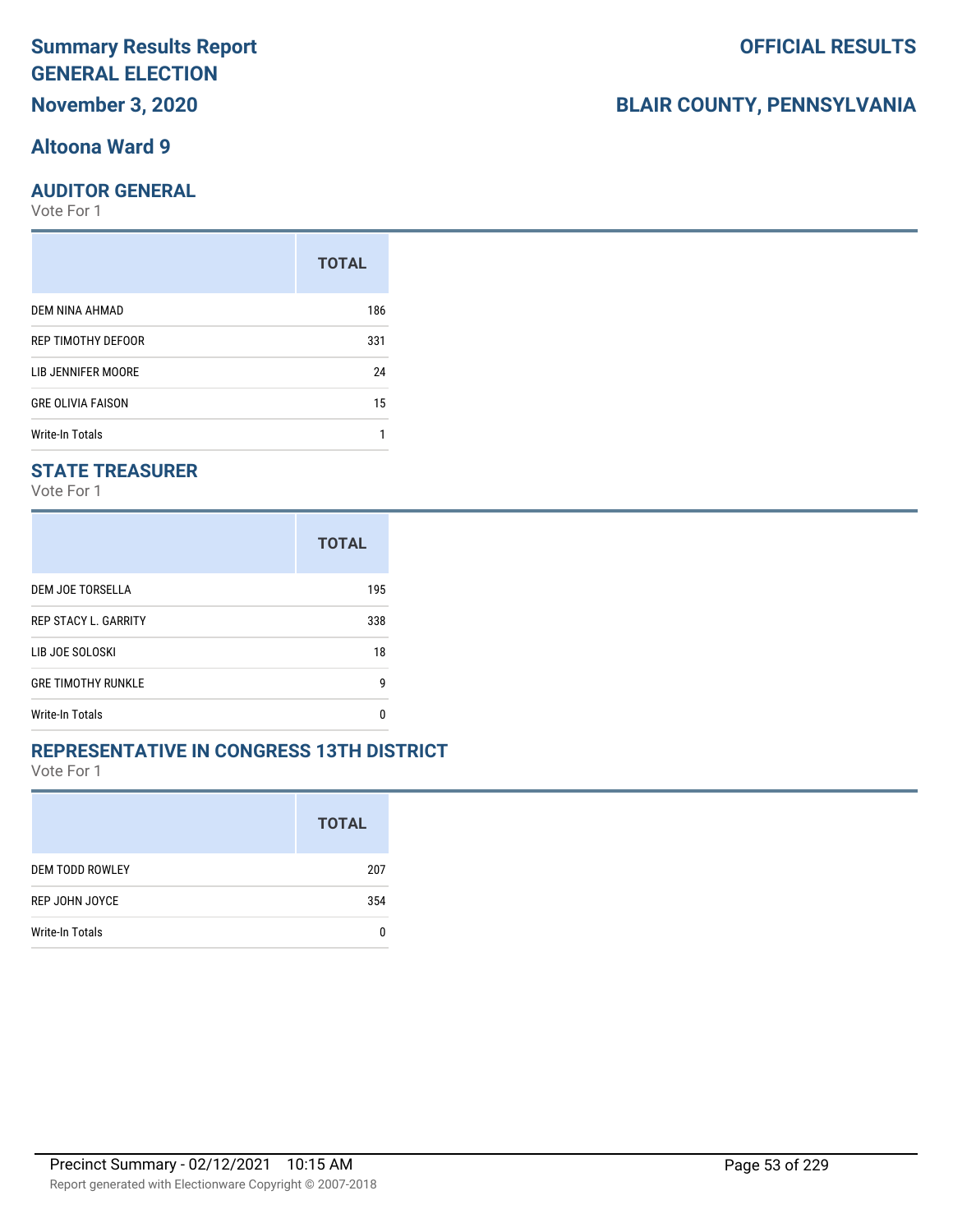### **Altoona Ward 9**

#### **AUDITOR GENERAL**

Vote For 1

|                          | <b>TOTAL</b> |
|--------------------------|--------------|
| DEM NINA AHMAD           | 186          |
| REP TIMOTHY DEFOOR       | 331          |
| LIB JENNIFER MOORE       | 24           |
| <b>GRE OLIVIA FAISON</b> | 15           |
| Write-In Totals          |              |

### **STATE TREASURER**

Vote For 1

|                             | <b>TOTAL</b> |
|-----------------------------|--------------|
| DEM JOE TORSELLA            | 195          |
| <b>REP STACY L. GARRITY</b> | 338          |
| LIB JOE SOLOSKI             | 18           |
| <b>GRE TIMOTHY RUNKLE</b>   | g            |
| <b>Write-In Totals</b>      | n            |

#### **REPRESENTATIVE IN CONGRESS 13TH DISTRICT**

Vote For 1

|                        | <b>TOTAL</b> |
|------------------------|--------------|
| <b>DEM TODD ROWLEY</b> | 207          |
| <b>REP JOHN JOYCE</b>  | 354          |
| Write-In Totals        |              |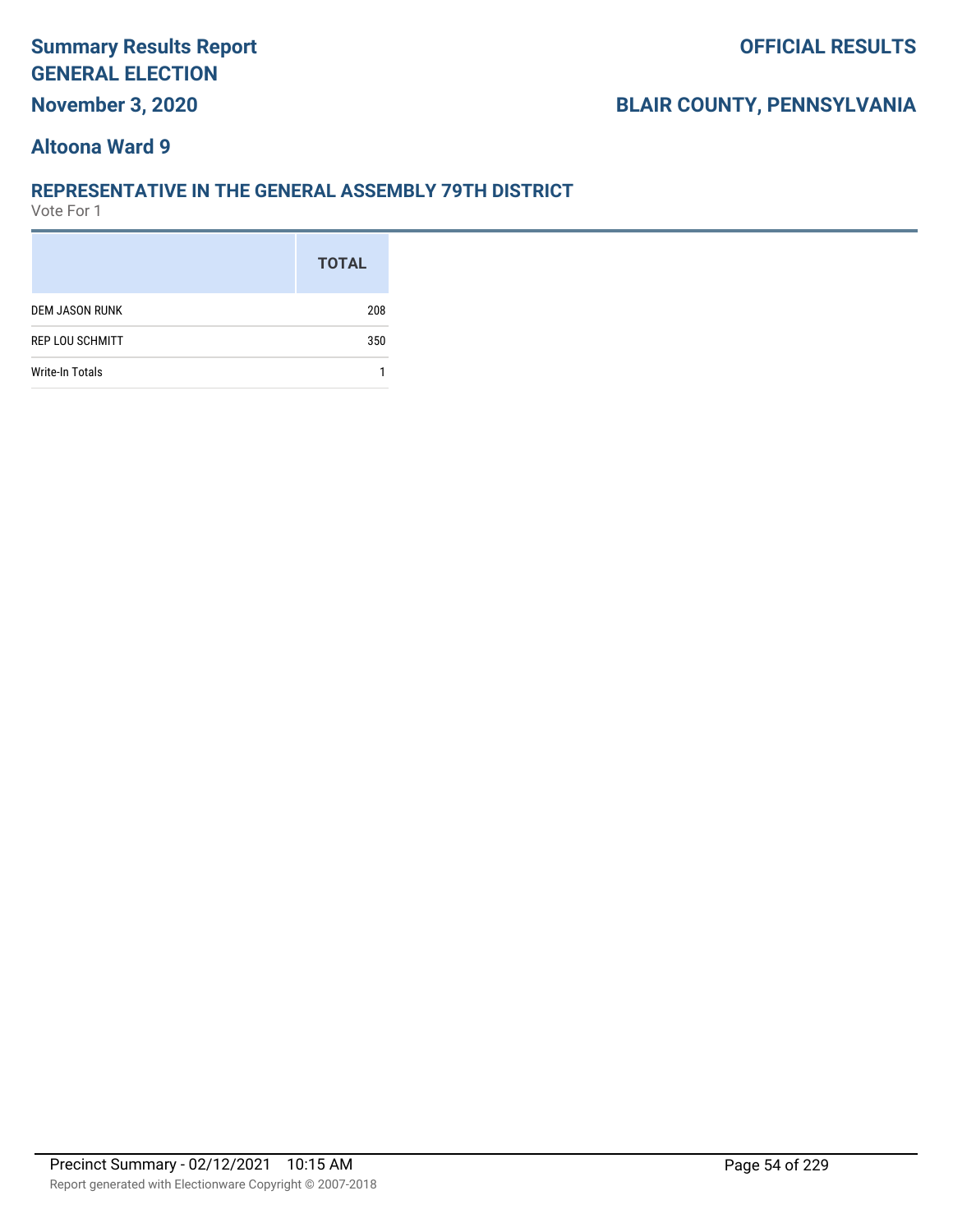## **BLAIR COUNTY, PENNSYLVANIA**

### **Altoona Ward 9**

#### **REPRESENTATIVE IN THE GENERAL ASSEMBLY 79TH DISTRICT**

|                        | <b>TOTAL</b> |
|------------------------|--------------|
| <b>DEM JASON RUNK</b>  | 208          |
| <b>REP LOU SCHMITT</b> | 350          |
| <b>Write-In Totals</b> |              |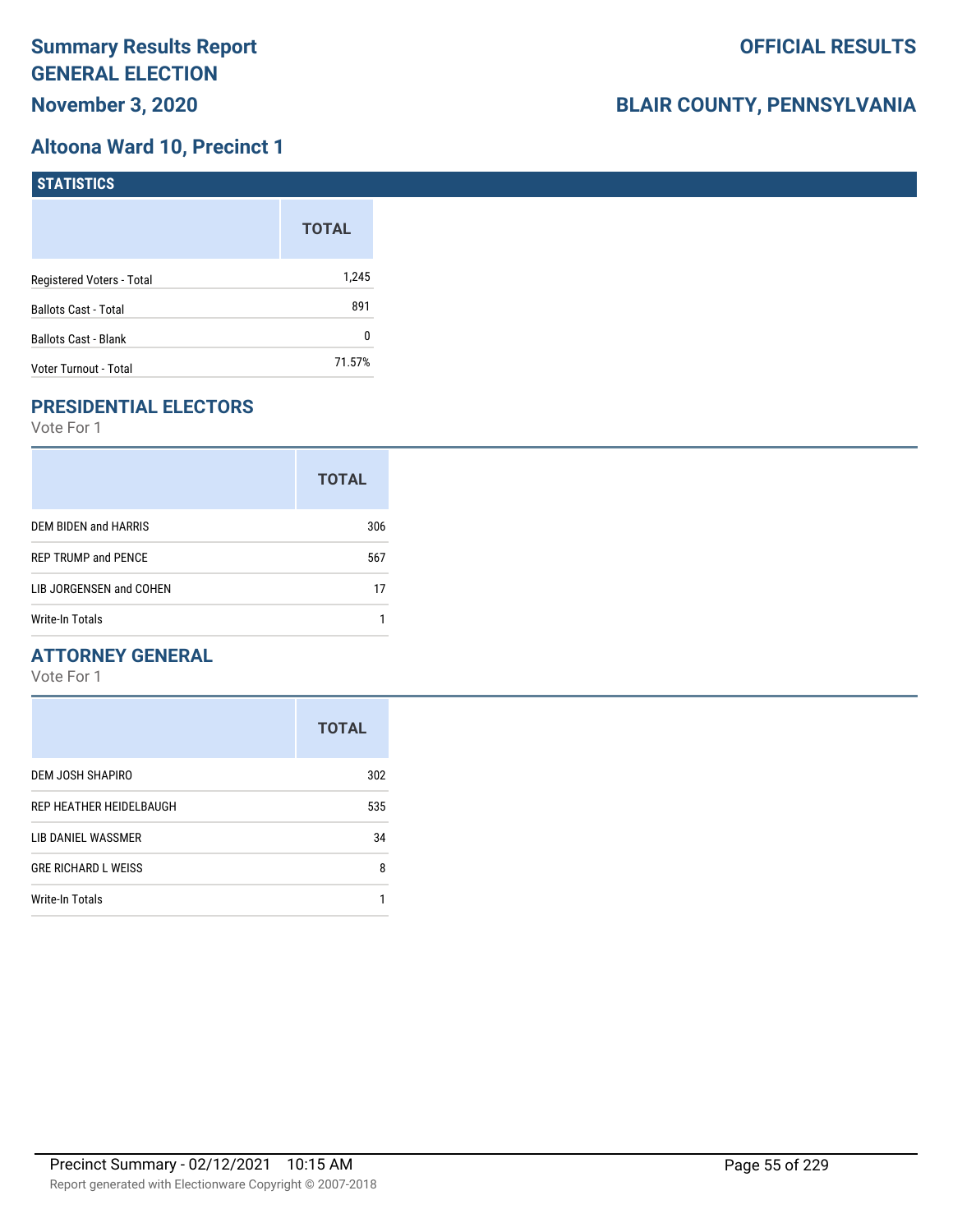### **Altoona Ward 10, Precinct 1**

| <b>STATISTICS</b>           |              |
|-----------------------------|--------------|
|                             | <b>TOTAL</b> |
| Registered Voters - Total   | 1,245        |
| Ballots Cast - Total        | 891          |
| <b>Ballots Cast - Blank</b> | 0            |
| Voter Turnout - Total       | 71.57%       |

### **PRESIDENTIAL ELECTORS**

Vote For 1

|                            | <b>TOTAL</b> |
|----------------------------|--------------|
| DEM BIDEN and HARRIS       | 306          |
| <b>REP TRUMP and PENCE</b> | 567          |
| LIB JORGENSEN and COHEN    | 17           |
| <b>Write-In Totals</b>     |              |

### **ATTORNEY GENERAL**

|                            | <b>TOTAL</b> |
|----------------------------|--------------|
| DEM JOSH SHAPIRO           | 302          |
| REP HEATHER HEIDELBAUGH    | 535          |
| LIB DANIEL WASSMER         | 34           |
| <b>GRE RICHARD L WEISS</b> | 8            |
| <b>Write-In Totals</b>     |              |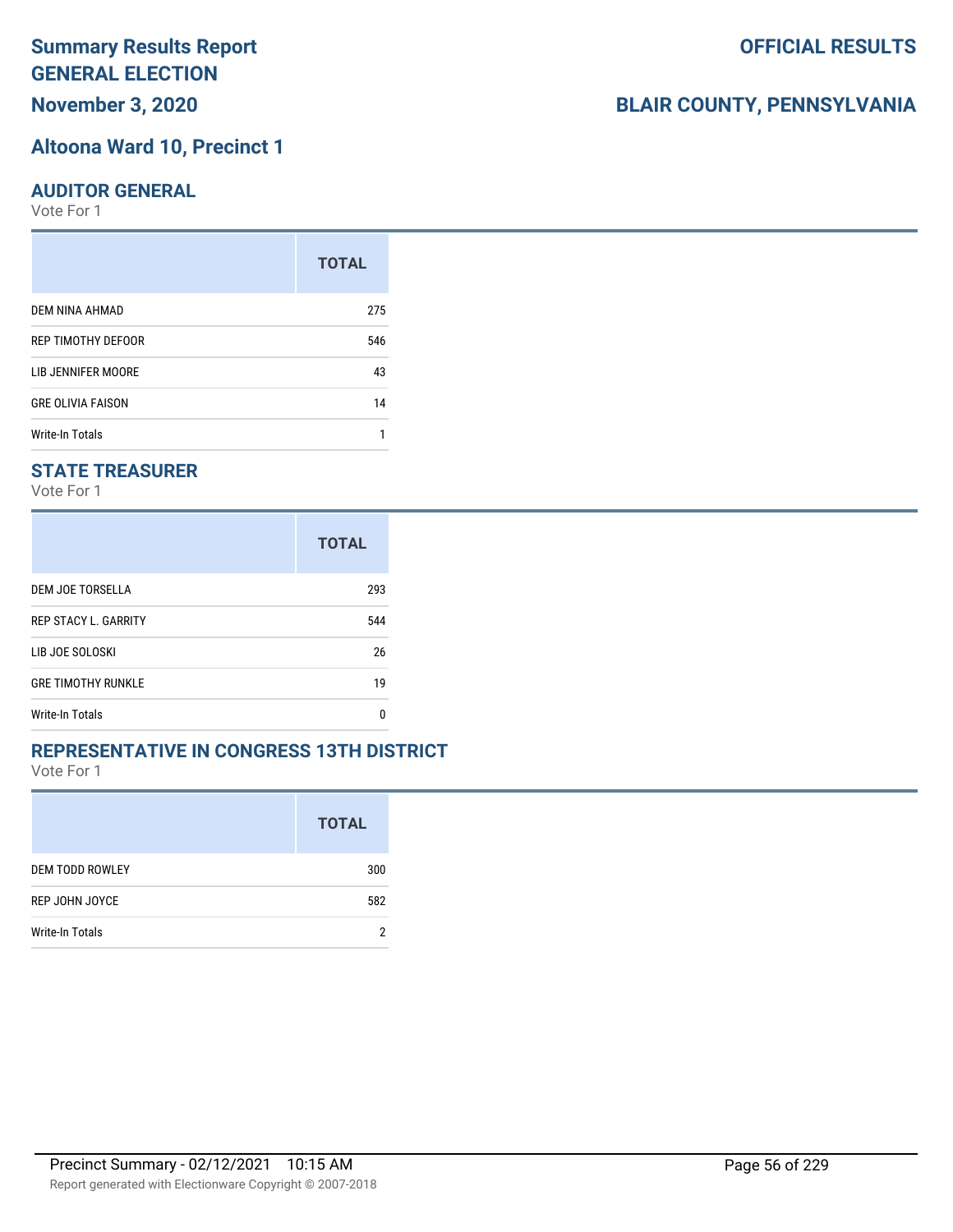# **Altoona Ward 10, Precinct 1**

#### **AUDITOR GENERAL**

Vote For 1

|                          | <b>TOTAL</b> |
|--------------------------|--------------|
| DEM NINA AHMAD           | 275          |
| REP TIMOTHY DEFOOR       | 546          |
| LIB JENNIFER MOORE       | 43           |
| <b>GRE OLIVIA FAISON</b> | 14           |
| <b>Write-In Totals</b>   |              |

#### **STATE TREASURER**

Vote For 1

|                             | <b>TOTAL</b> |
|-----------------------------|--------------|
| DEM JOE TORSELLA            | 293          |
| <b>REP STACY L. GARRITY</b> | 544          |
| LIB JOE SOLOSKI             | 26           |
| <b>GRE TIMOTHY RUNKLE</b>   | 19           |
| <b>Write-In Totals</b>      | n            |

#### **REPRESENTATIVE IN CONGRESS 13TH DISTRICT**

Vote For 1

|                        | <b>TOTAL</b> |
|------------------------|--------------|
| <b>DEM TODD ROWLEY</b> | 300          |
| REP JOHN JOYCE         | 582          |
| Write-In Totals        |              |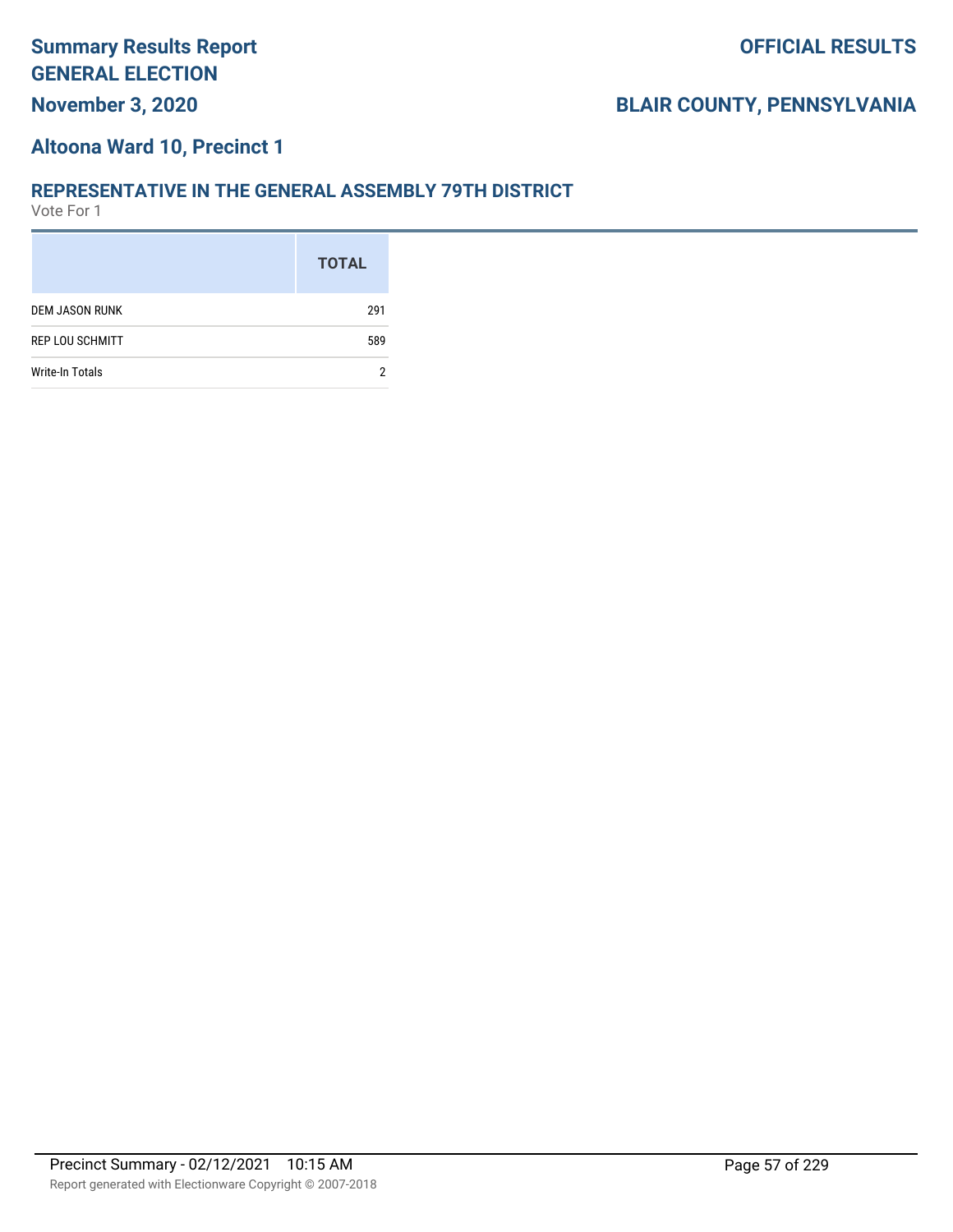#### **Altoona Ward 10, Precinct 1**

#### **REPRESENTATIVE IN THE GENERAL ASSEMBLY 79TH DISTRICT**

|                        | <b>TOTAL</b> |
|------------------------|--------------|
| <b>DEM JASON RUNK</b>  | 291          |
| <b>REP LOU SCHMITT</b> | 589          |
| Write-In Totals        |              |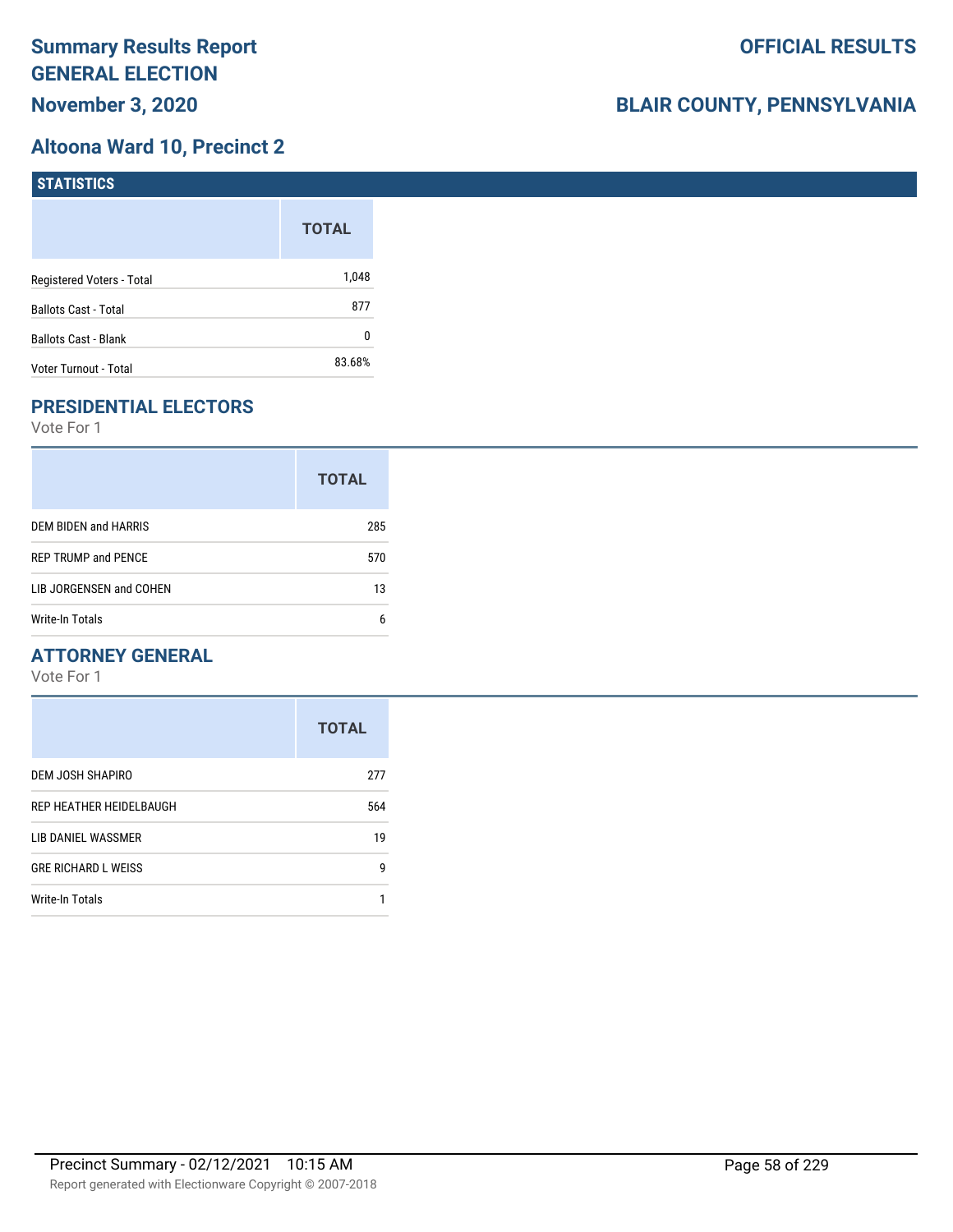### **Altoona Ward 10, Precinct 2**

| STATISTICS                  |              |
|-----------------------------|--------------|
|                             | <b>TOTAL</b> |
| Registered Voters - Total   | 1,048        |
| <b>Ballots Cast - Total</b> | 877          |
| Ballots Cast - Blank        | 0            |
| Voter Turnout - Total       | 83.68%       |

### **PRESIDENTIAL ELECTORS**

Vote For 1

|                            | <b>TOTAL</b> |
|----------------------------|--------------|
| DEM BIDEN and HARRIS       | 285          |
| <b>REP TRUMP and PENCE</b> | 570          |
| LIB JORGENSEN and COHEN    | 13           |
| Write-In Totals            | 6            |

### **ATTORNEY GENERAL**

|                            | <b>TOTAL</b> |
|----------------------------|--------------|
| DEM JOSH SHAPIRO           | 277          |
| REP HEATHER HEIDELBAUGH    | 564          |
| LIB DANIEL WASSMER         | 19           |
| <b>GRE RICHARD L WEISS</b> | g            |
| <b>Write-In Totals</b>     |              |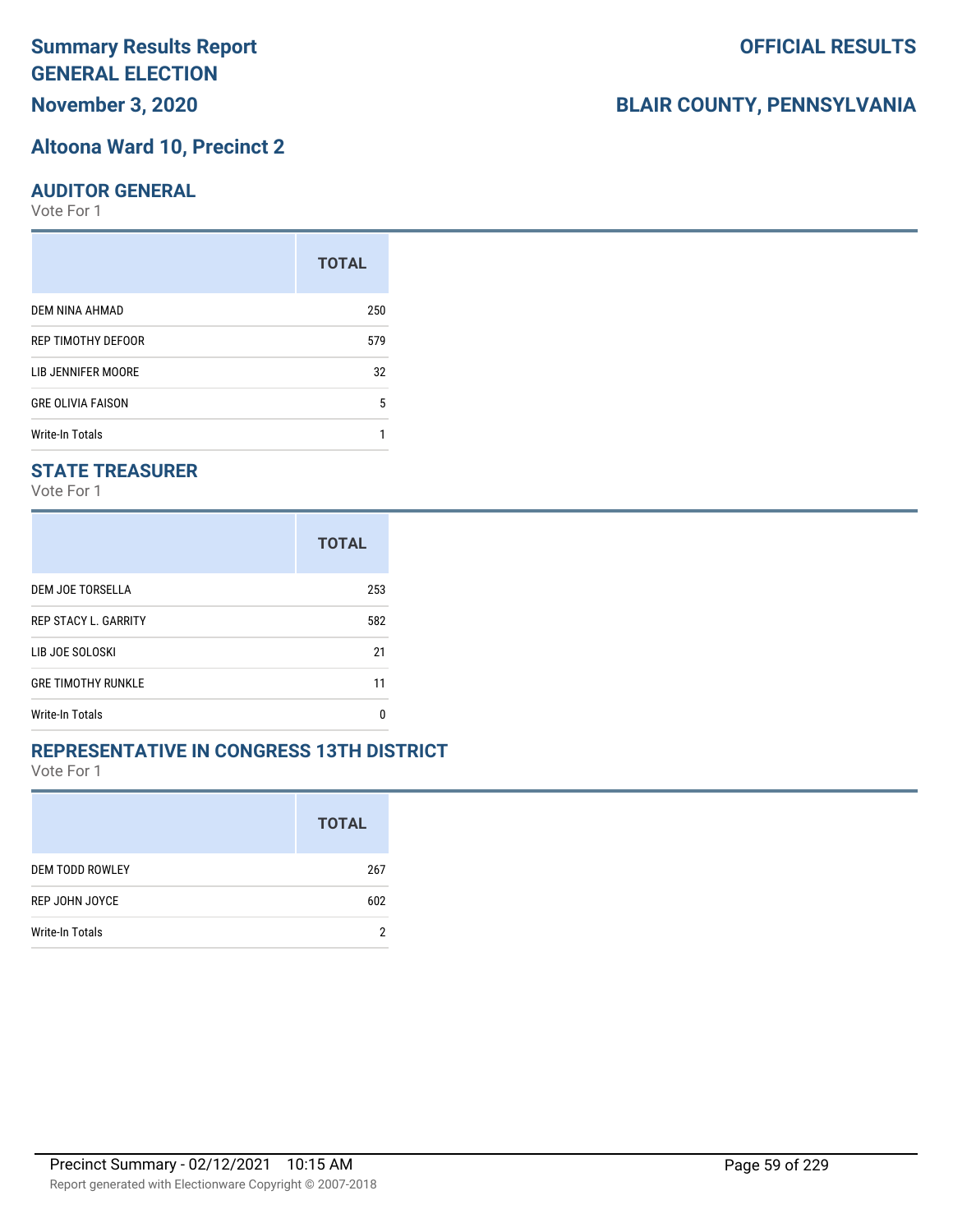### **Altoona Ward 10, Precinct 2**

#### **AUDITOR GENERAL**

Vote For 1

|                          | <b>TOTAL</b> |
|--------------------------|--------------|
| DEM NINA AHMAD           | 250          |
| REP TIMOTHY DEFOOR       | 579          |
| LIB JENNIFER MOORE       | 32           |
| <b>GRE OLIVIA FAISON</b> | 5            |
| Write-In Totals          |              |

### **STATE TREASURER**

Vote For 1

|                             | <b>TOTAL</b> |
|-----------------------------|--------------|
| DEM JOE TORSELLA            | 253          |
| <b>REP STACY L. GARRITY</b> | 582          |
| LIB JOE SOLOSKI             | 21           |
| <b>GRE TIMOTHY RUNKLE</b>   | 11           |
| <b>Write-In Totals</b>      | n            |

#### **REPRESENTATIVE IN CONGRESS 13TH DISTRICT**

Vote For 1

|                        | <b>TOTAL</b> |
|------------------------|--------------|
| <b>DEM TODD ROWLEY</b> | 267          |
| REP JOHN JOYCE         | 602          |
| Write-In Totals        | c            |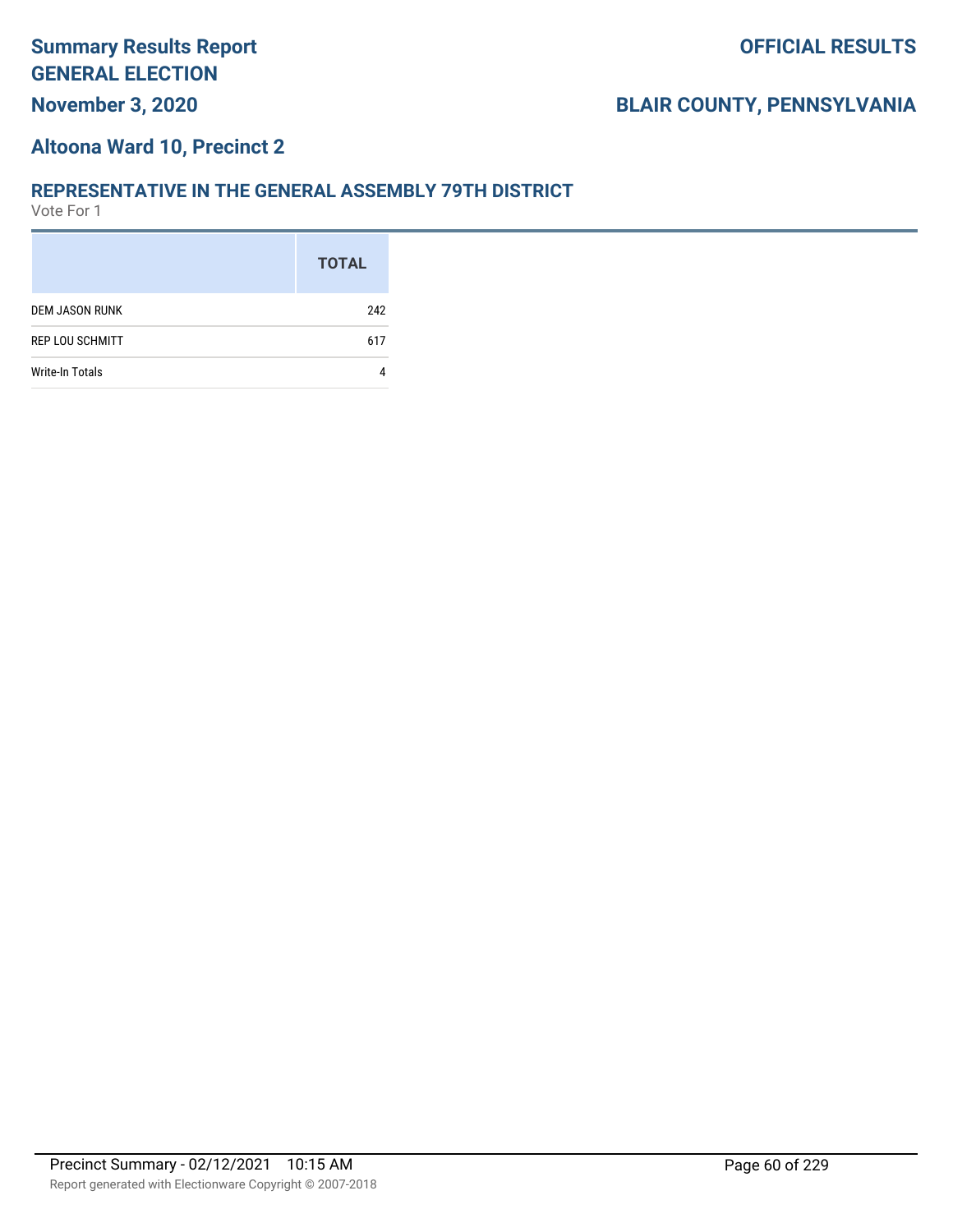#### **Altoona Ward 10, Precinct 2**

#### **REPRESENTATIVE IN THE GENERAL ASSEMBLY 79TH DISTRICT**

|                        | <b>TOTAL</b> |
|------------------------|--------------|
| <b>DEM JASON RUNK</b>  | 242          |
| <b>REP LOU SCHMITT</b> | 617          |
| <b>Write-In Totals</b> |              |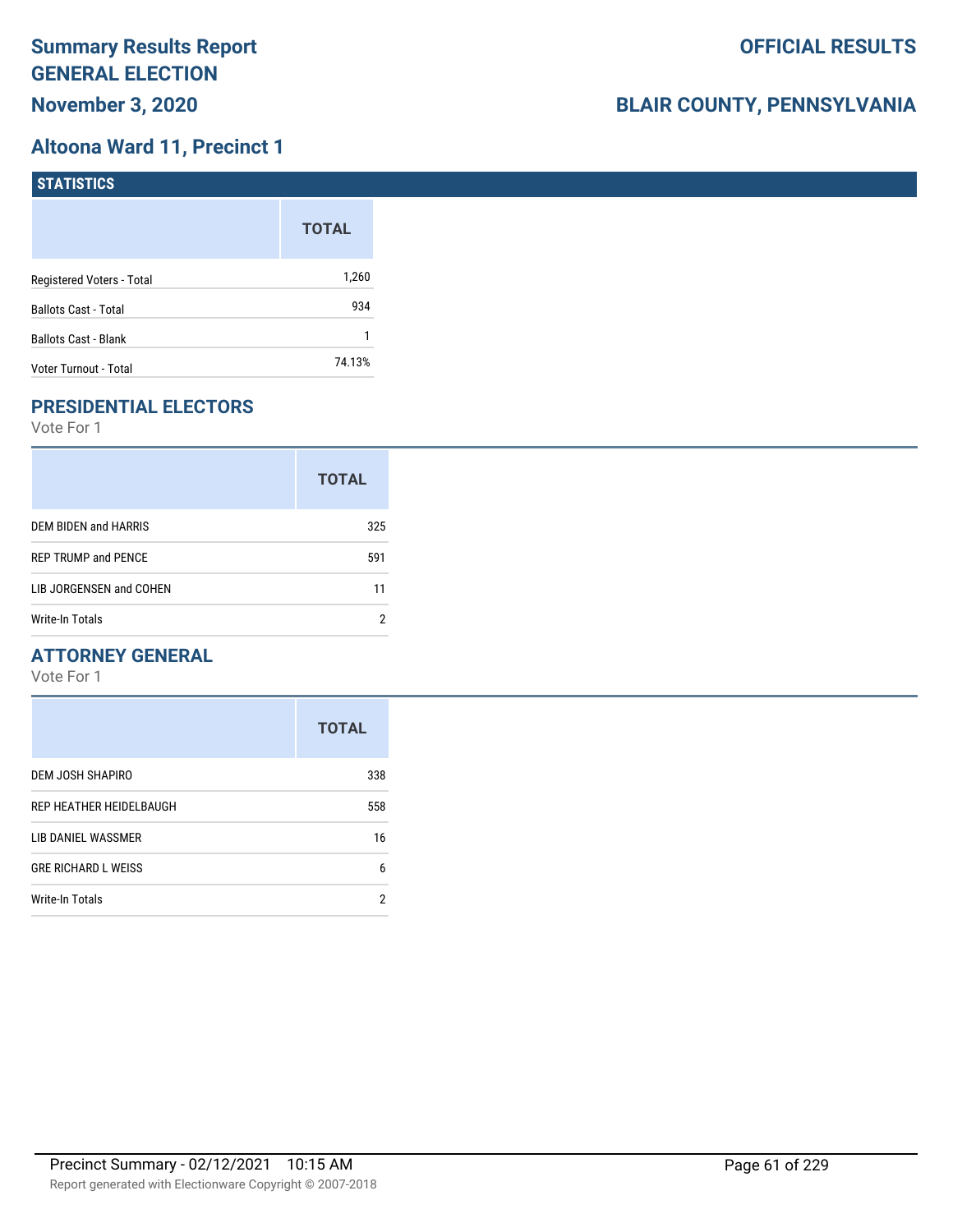### **Altoona Ward 11, Precinct 1**

| <b>STATISTICS</b>         |              |
|---------------------------|--------------|
|                           | <b>TOTAL</b> |
| Registered Voters - Total | 1,260        |
| Ballots Cast - Total      | 934          |
| Ballots Cast - Blank      |              |
| Voter Turnout - Total     | 74.13%       |

### **PRESIDENTIAL ELECTORS**

Vote For 1

|                            | <b>TOTAL</b> |
|----------------------------|--------------|
| DEM BIDEN and HARRIS       | 325          |
| <b>REP TRUMP and PENCE</b> | 591          |
| LIB JORGENSEN and COHEN    | 11           |
| Write-In Totals            |              |

### **ATTORNEY GENERAL**

|                            | <b>TOTAL</b> |
|----------------------------|--------------|
| DEM JOSH SHAPIRO           | 338          |
| REP HEATHER HEIDELBAUGH    | 558          |
| LIB DANIEL WASSMER         | 16           |
| <b>GRE RICHARD L WEISS</b> | 6            |
| <b>Write-In Totals</b>     | 2            |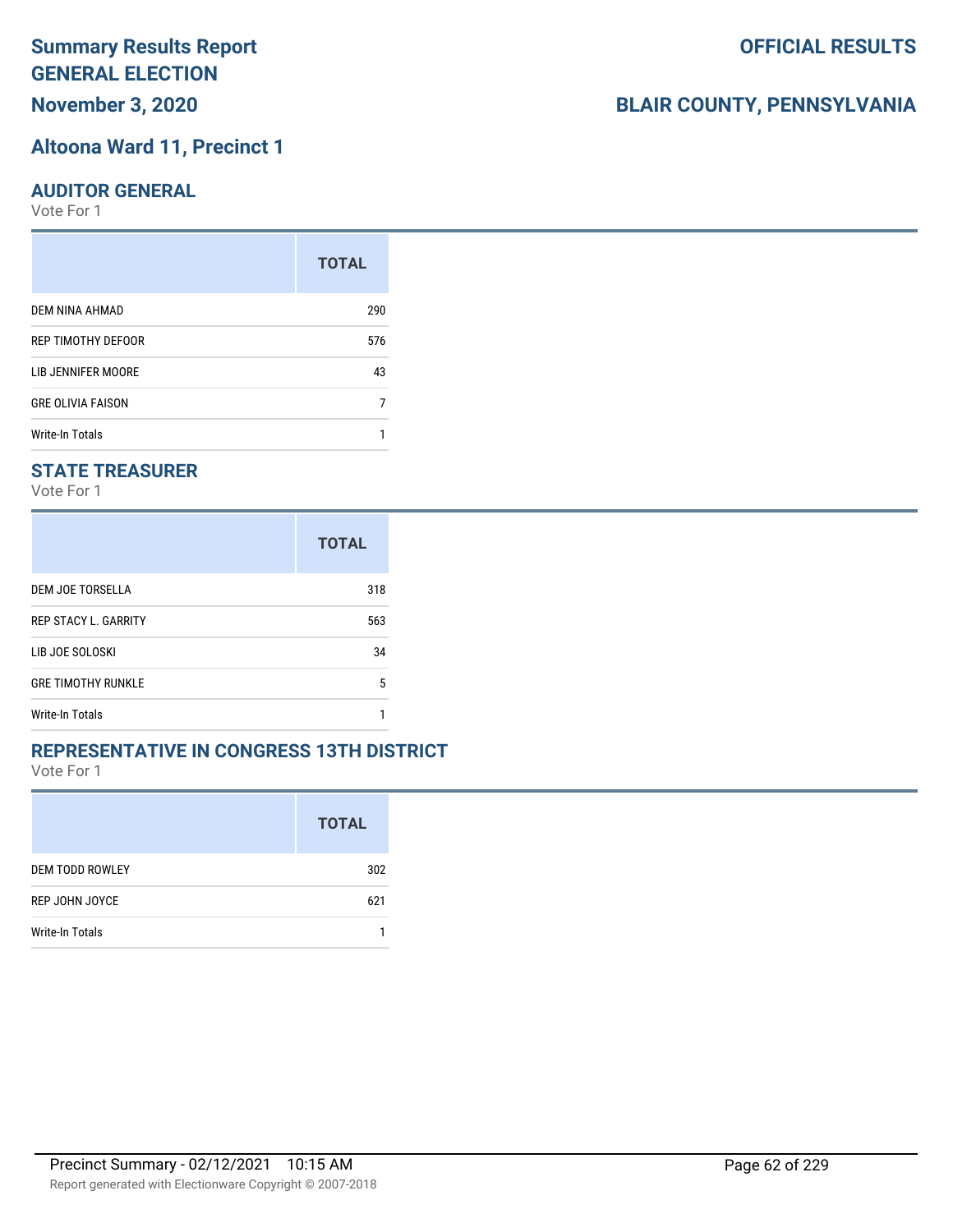# **Altoona Ward 11, Precinct 1**

#### **AUDITOR GENERAL**

Vote For 1

|                          | <b>TOTAL</b> |
|--------------------------|--------------|
| DEM NINA AHMAD           | 290          |
| REP TIMOTHY DEFOOR       | 576          |
| LIB JENNIFER MOORE       | 43           |
| <b>GRE OLIVIA FAISON</b> |              |
| Write-In Totals          |              |

#### **STATE TREASURER**

Vote For 1

|                             | <b>TOTAL</b> |
|-----------------------------|--------------|
| DEM JOE TORSELLA            | 318          |
| <b>REP STACY L. GARRITY</b> | 563          |
| LIB JOE SOLOSKI             | 34           |
| <b>GRE TIMOTHY RUNKLE</b>   | 5            |
| Write-In Totals             |              |

#### **REPRESENTATIVE IN CONGRESS 13TH DISTRICT**

Vote For 1

|                        | <b>TOTAL</b> |
|------------------------|--------------|
| <b>DEM TODD ROWLEY</b> | 302          |
| <b>REP JOHN JOYCE</b>  | 621          |
| <b>Write-In Totals</b> |              |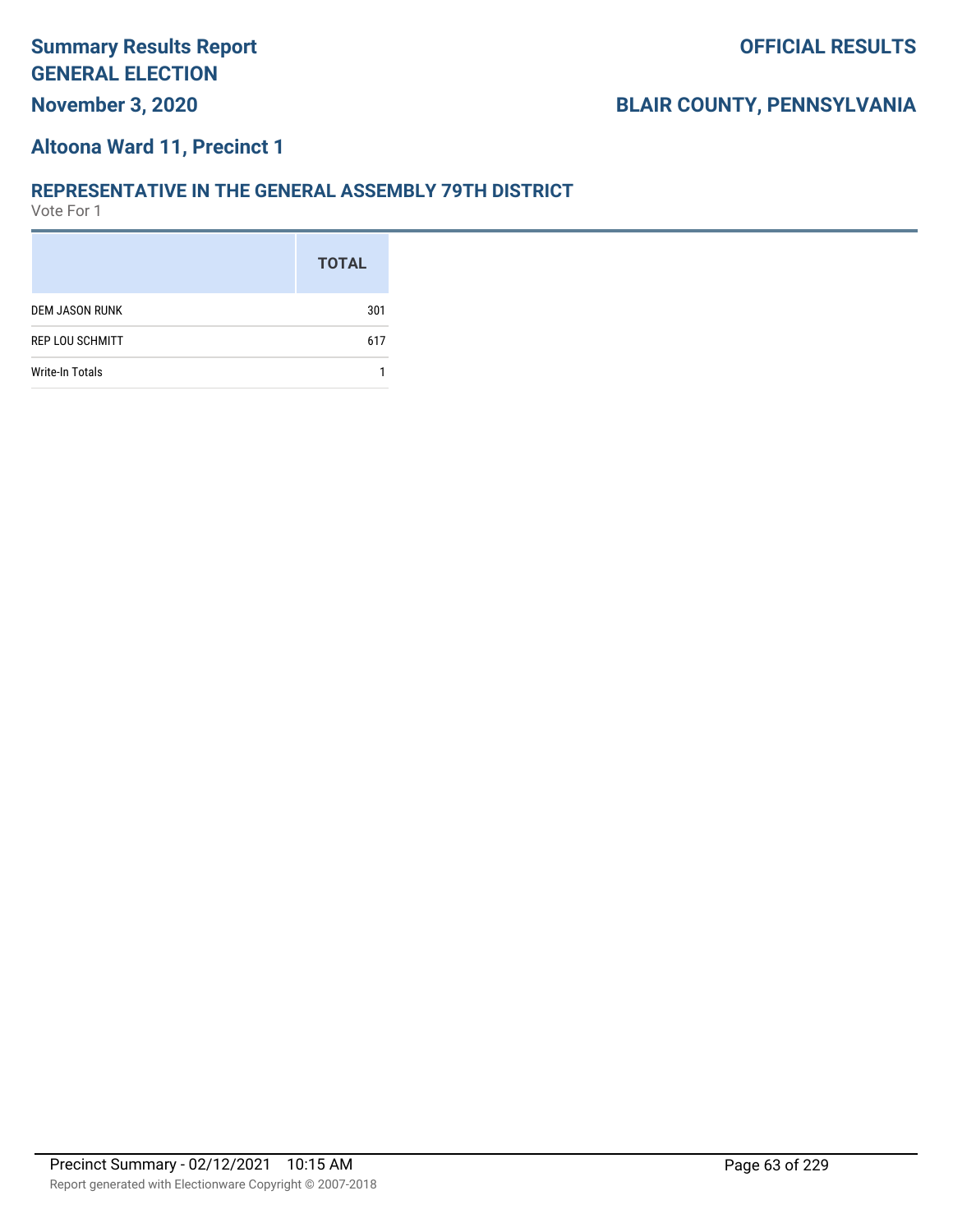#### **Altoona Ward 11, Precinct 1**

#### **REPRESENTATIVE IN THE GENERAL ASSEMBLY 79TH DISTRICT**

|                        | <b>TOTAL</b> |
|------------------------|--------------|
| <b>DEM JASON RUNK</b>  | 301          |
| <b>REP LOU SCHMITT</b> | 617          |
| <b>Write-In Totals</b> |              |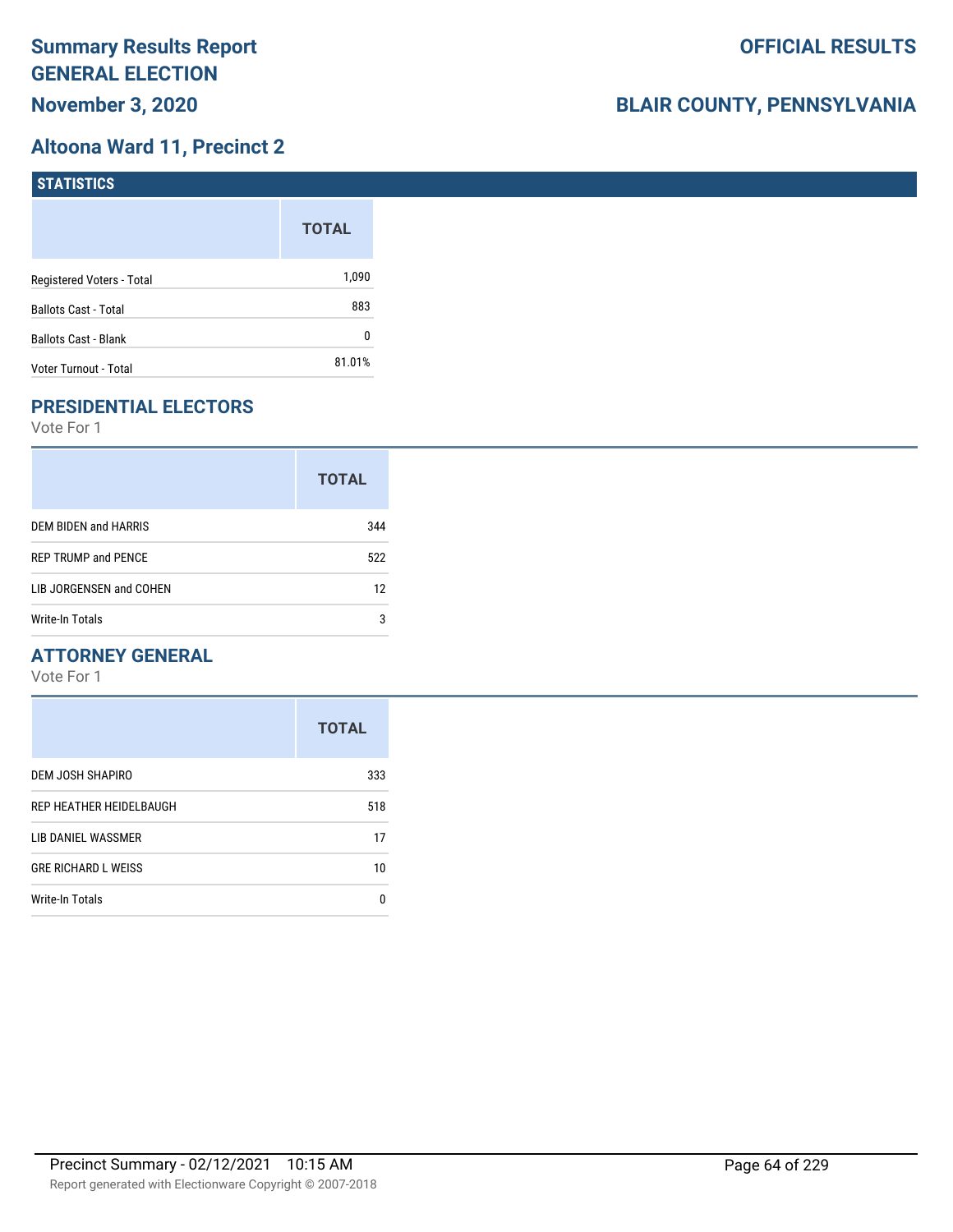### **Altoona Ward 11, Precinct 2**

| <b>STATISTICS</b>           |              |
|-----------------------------|--------------|
|                             | <b>TOTAL</b> |
| Registered Voters - Total   | 1,090        |
| <b>Ballots Cast - Total</b> | 883          |
| <b>Ballots Cast - Blank</b> | 0            |
| Voter Turnout - Total       | 81.01%       |

### **PRESIDENTIAL ELECTORS**

Vote For 1

|                            | <b>TOTAL</b> |
|----------------------------|--------------|
| DEM BIDEN and HARRIS       | 344          |
| <b>REP TRUMP and PENCE</b> | 522          |
| LIB JORGENSEN and COHEN    | 12           |
| Write-In Totals            | 3            |

### **ATTORNEY GENERAL**

|                            | <b>TOTAL</b> |
|----------------------------|--------------|
| DEM JOSH SHAPIRO           | 333          |
| REP HEATHER HEIDELBAUGH    | 518          |
| LIB DANIEL WASSMER         | 17           |
| <b>GRE RICHARD L WEISS</b> | 10           |
| <b>Write-In Totals</b>     | n            |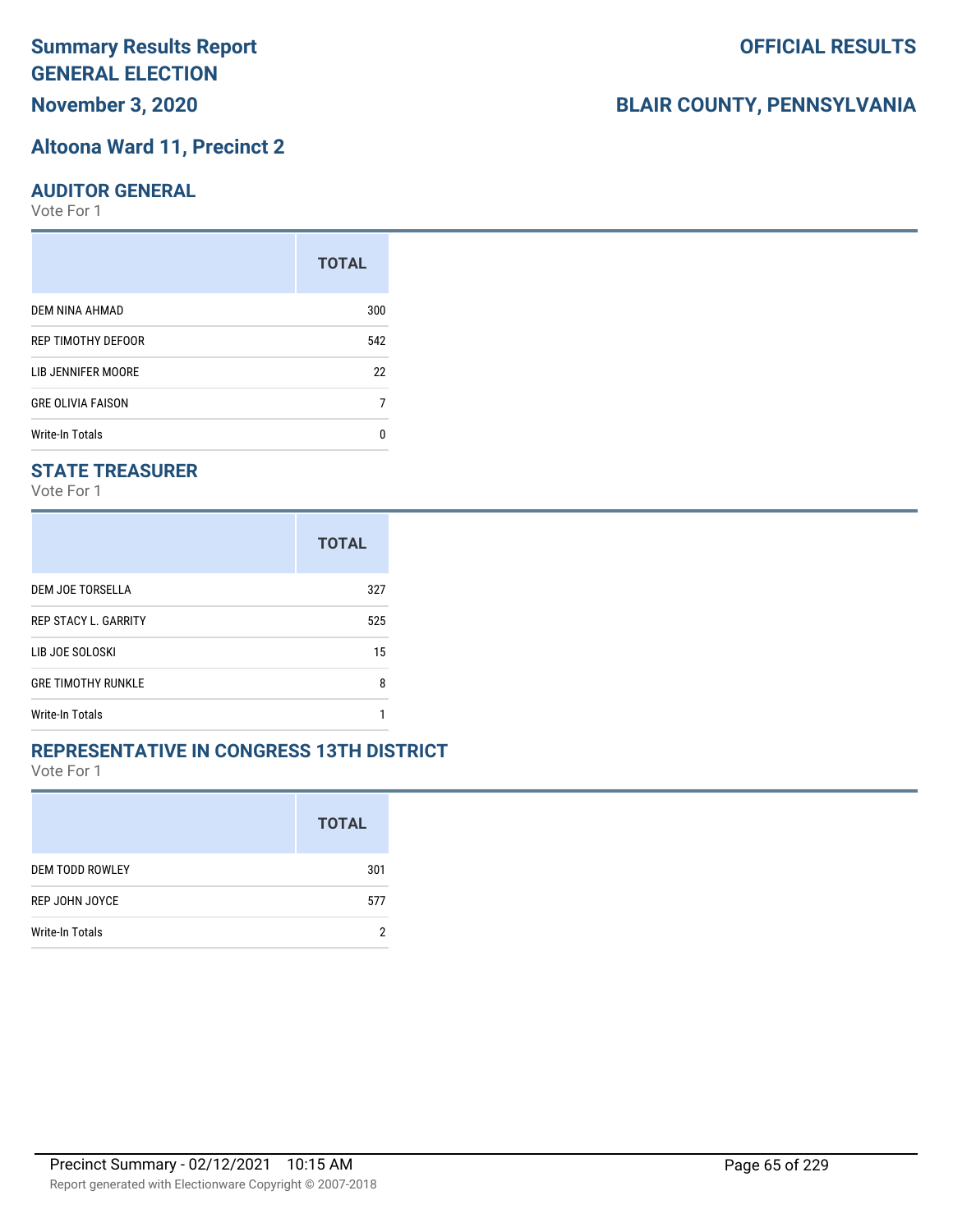### **Altoona Ward 11, Precinct 2**

#### **AUDITOR GENERAL**

Vote For 1

|                          | <b>TOTAL</b> |
|--------------------------|--------------|
| DEM NINA AHMAD           | 300          |
| REP TIMOTHY DEFOOR       | 542          |
| LIB JENNIFER MOORE       | 22           |
| <b>GRE OLIVIA FAISON</b> |              |
| Write-In Totals          |              |

### **STATE TREASURER**

Vote For 1

|                             | <b>TOTAL</b> |
|-----------------------------|--------------|
| DEM JOE TORSELLA            | 327          |
| <b>REP STACY L. GARRITY</b> | 525          |
| LIB JOE SOLOSKI             | 15           |
| <b>GRE TIMOTHY RUNKLE</b>   | 8            |
| Write-In Totals             |              |

#### **REPRESENTATIVE IN CONGRESS 13TH DISTRICT**

Vote For 1

|                        | <b>TOTAL</b> |
|------------------------|--------------|
| <b>DEM TODD ROWLEY</b> | 301          |
| REP JOHN JOYCE         | 577          |
| <b>Write-In Totals</b> |              |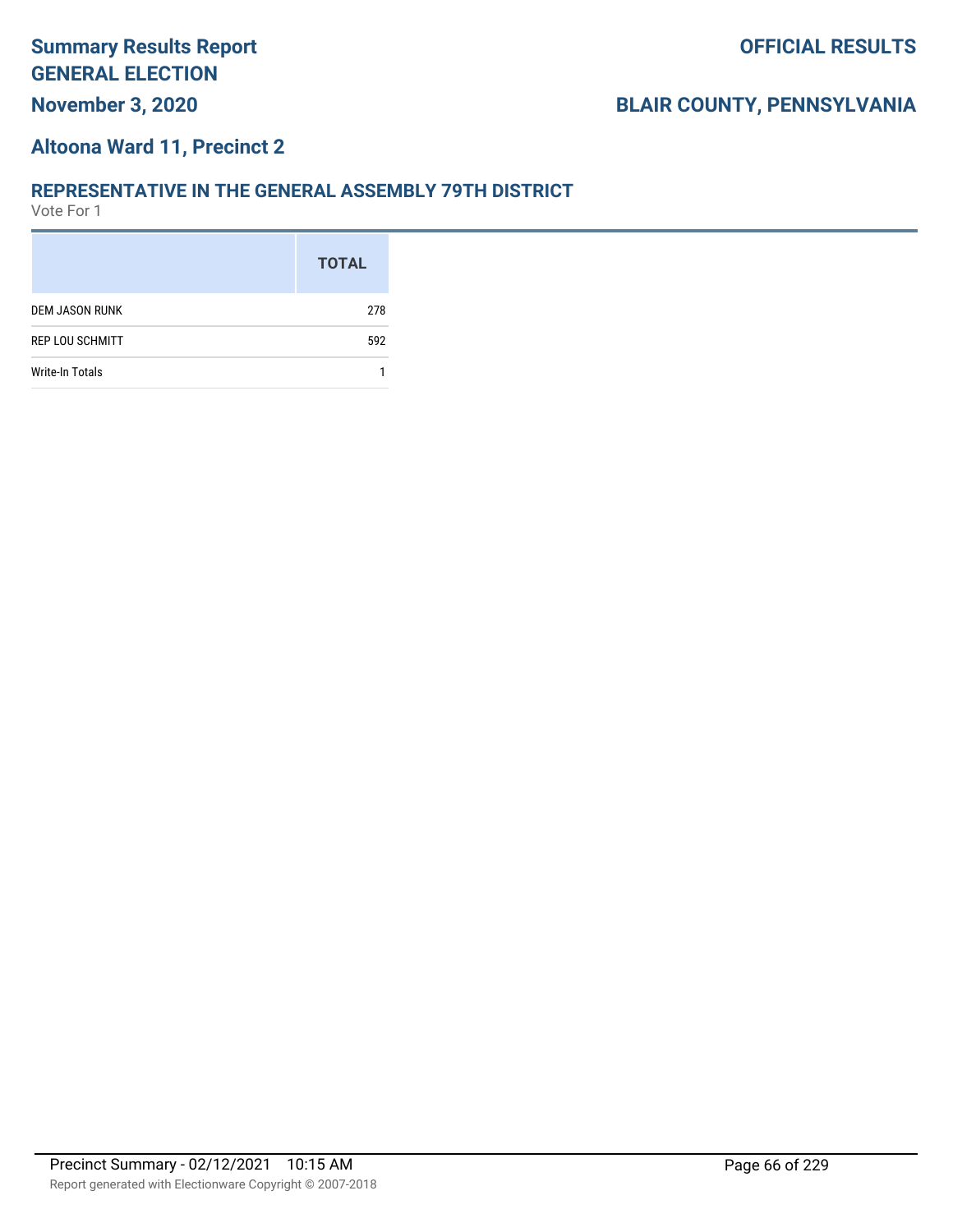#### **Altoona Ward 11, Precinct 2**

#### **REPRESENTATIVE IN THE GENERAL ASSEMBLY 79TH DISTRICT**

|                        | <b>TOTAL</b> |
|------------------------|--------------|
| <b>DEM JASON RUNK</b>  | 278          |
| <b>REP LOU SCHMITT</b> | 592          |
| Write-In Totals        |              |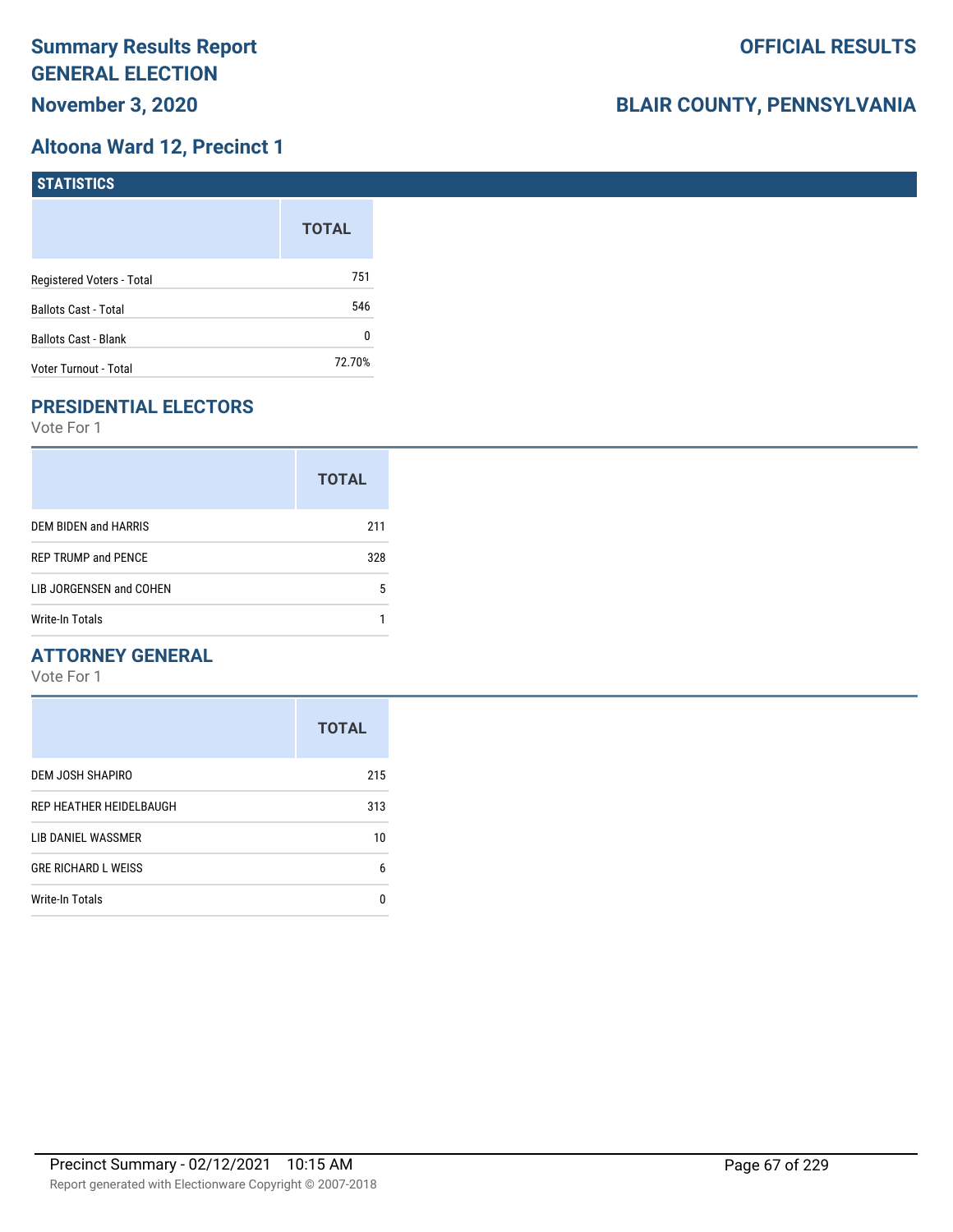### **Altoona Ward 12, Precinct 1**

| <b>STATISTICS</b>         |              |
|---------------------------|--------------|
|                           | <b>TOTAL</b> |
| Registered Voters - Total | 751          |
| Ballots Cast - Total      | 546          |
| Ballots Cast - Blank      | 0            |
| Voter Turnout - Total     | 72.70%       |

## **PRESIDENTIAL ELECTORS**

Vote For 1

|                            | <b>TOTAL</b> |
|----------------------------|--------------|
| DEM BIDEN and HARRIS       | 211          |
| <b>REP TRUMP and PENCE</b> | 328          |
| LIB JORGENSEN and COHEN    | 5            |
| <b>Write-In Totals</b>     |              |

### **ATTORNEY GENERAL**

|                            | <b>TOTAL</b> |
|----------------------------|--------------|
| DEM JOSH SHAPIRO           | 215          |
| REP HEATHER HEIDELBAUGH    | 313          |
| LIB DANIEL WASSMER         | 10           |
| <b>GRE RICHARD L WEISS</b> | 6            |
| <b>Write-In Totals</b>     | n            |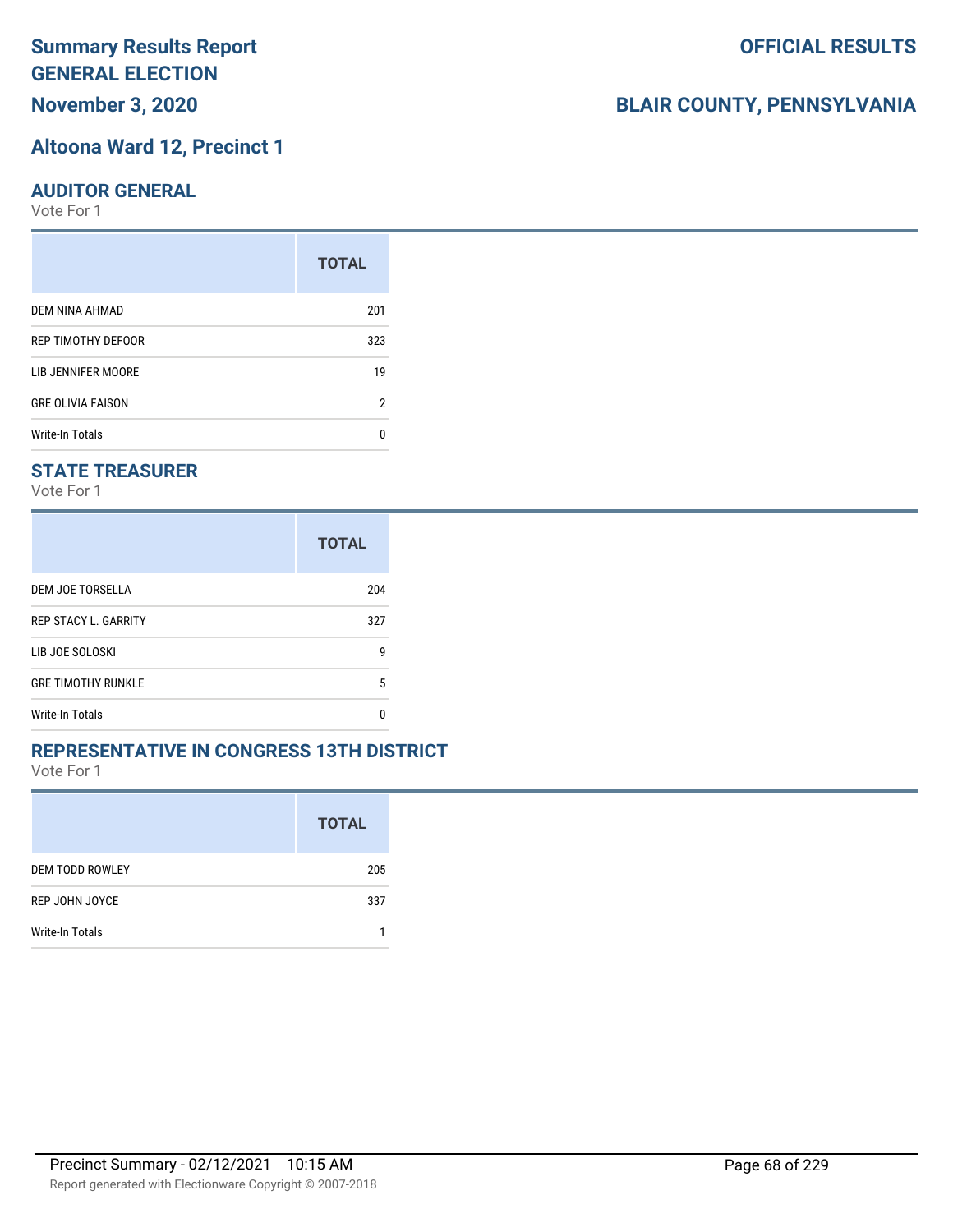# **Altoona Ward 12, Precinct 1**

#### **AUDITOR GENERAL**

Vote For 1

|                          | <b>TOTAL</b> |
|--------------------------|--------------|
| DEM NINA AHMAD           | 201          |
| REP TIMOTHY DEFOOR       | 323          |
| LIB JENNIFER MOORE       | 19           |
| <b>GRE OLIVIA FAISON</b> | 2            |
| Write-In Totals          | n            |

#### **STATE TREASURER**

Vote For 1

|                             | <b>TOTAL</b> |
|-----------------------------|--------------|
| DEM JOE TORSELLA            | 204          |
| <b>REP STACY L. GARRITY</b> | 327          |
| LIB JOE SOLOSKI             | g            |
| <b>GRE TIMOTHY RUNKLE</b>   | 5            |
| Write-In Totals             | n            |

#### **REPRESENTATIVE IN CONGRESS 13TH DISTRICT**

Vote For 1

|                        | <b>TOTAL</b> |
|------------------------|--------------|
| <b>DEM TODD ROWLEY</b> | 205          |
| REP JOHN JOYCE         | 337          |
| <b>Write-In Totals</b> |              |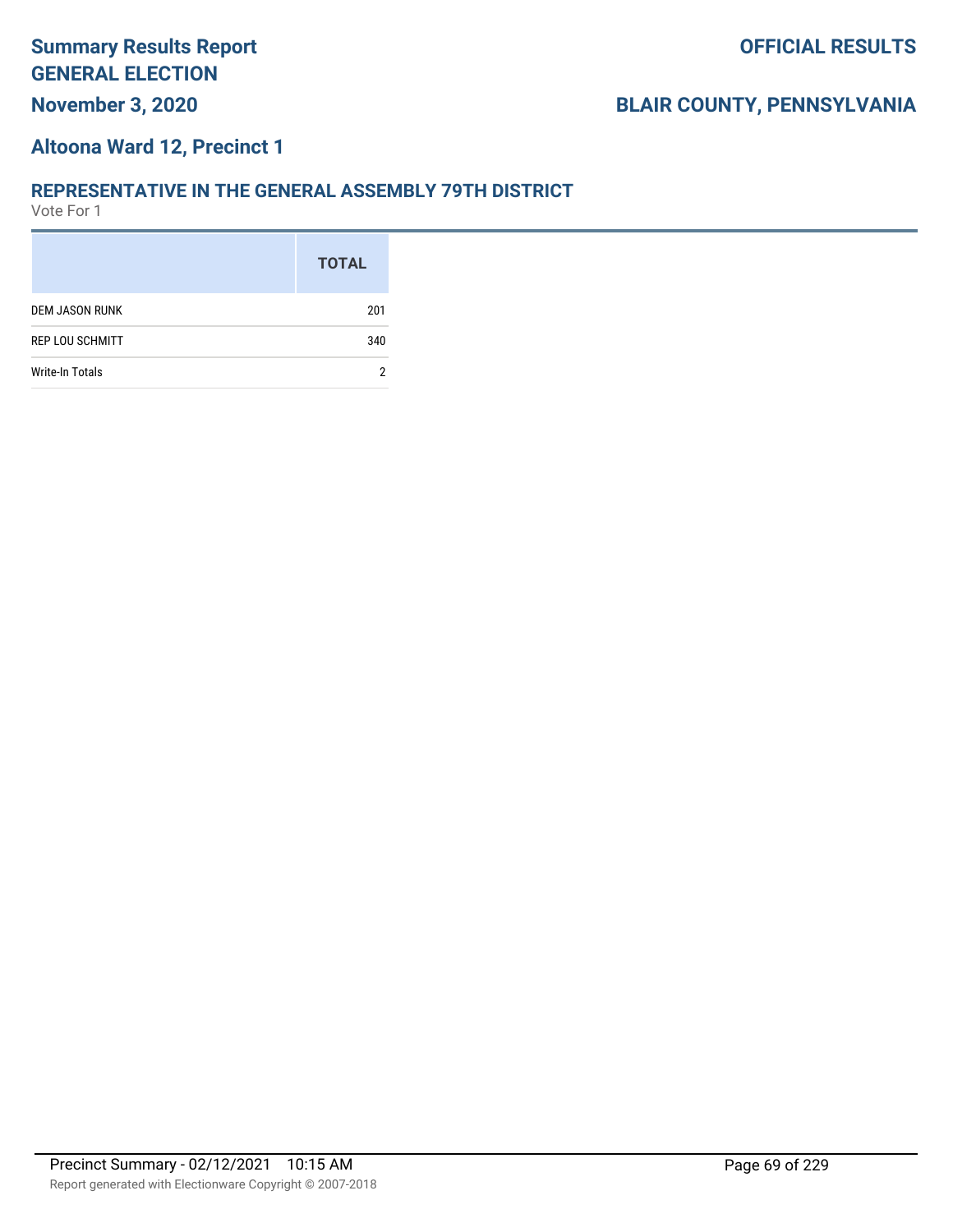#### **Altoona Ward 12, Precinct 1**

#### **REPRESENTATIVE IN THE GENERAL ASSEMBLY 79TH DISTRICT**

|                        | <b>TOTAL</b> |
|------------------------|--------------|
| <b>DEM JASON RUNK</b>  | 201          |
| <b>REP LOU SCHMITT</b> | 340          |
| <b>Write-In Totals</b> | 2            |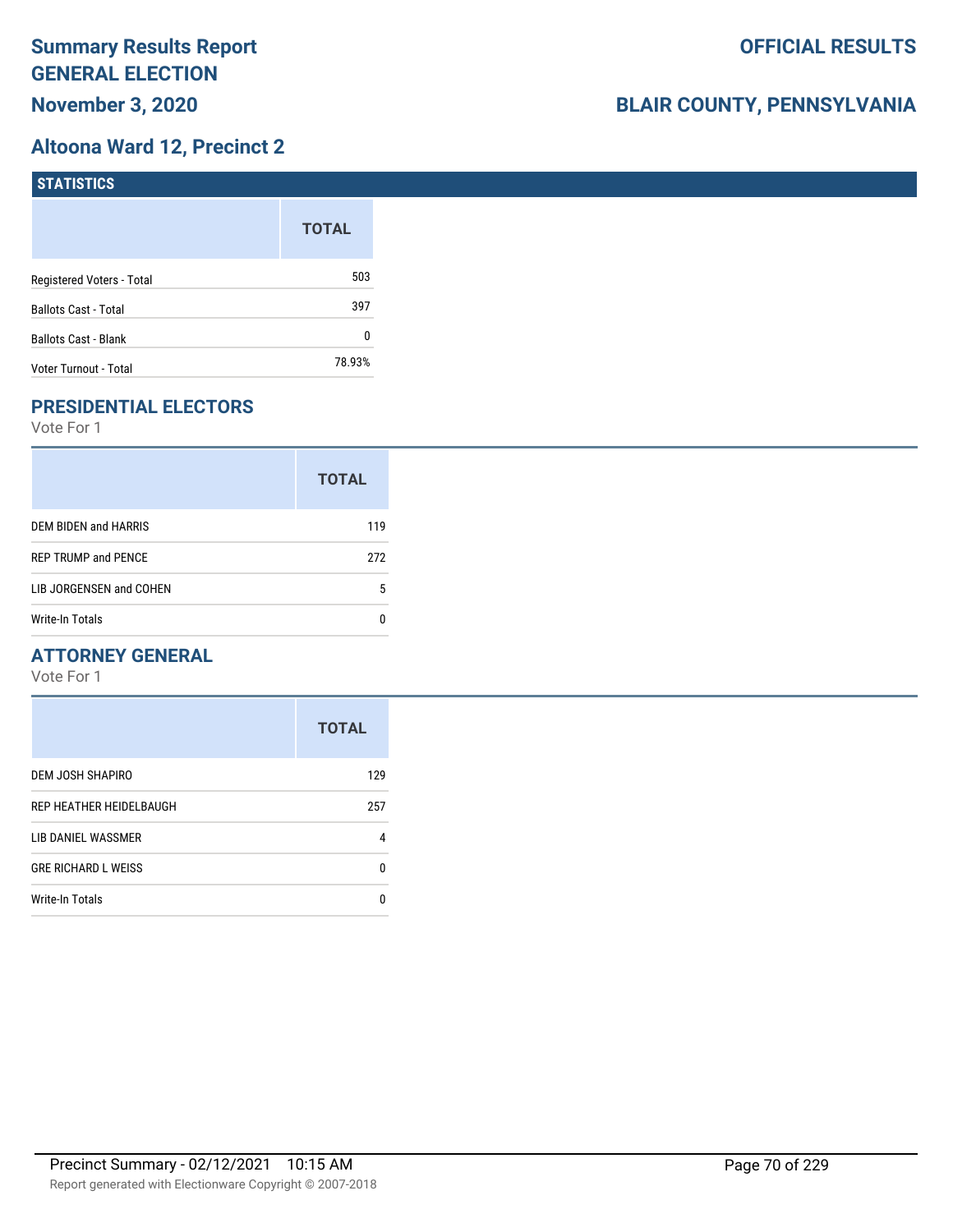### **Altoona Ward 12, Precinct 2**

| STATISTICS                  |              |
|-----------------------------|--------------|
|                             | <b>TOTAL</b> |
| Registered Voters - Total   | 503          |
| <b>Ballots Cast - Total</b> | 397          |
| Ballots Cast - Blank        | 0            |
| Voter Turnout - Total       | 78.93%       |

### **PRESIDENTIAL ELECTORS**

Vote For 1

|                            | <b>TOTAL</b> |
|----------------------------|--------------|
| DEM BIDEN and HARRIS       | 119          |
| <b>REP TRUMP and PENCE</b> | 272          |
| LIB JORGENSEN and COHEN    | 5            |
| Write-In Totals            |              |

### **ATTORNEY GENERAL**

|                            | <b>TOTAL</b> |
|----------------------------|--------------|
| DEM JOSH SHAPIRO           | 129          |
| REP HEATHER HEIDELBAUGH    | 257          |
| LIB DANIEL WASSMER         | 4            |
| <b>GRE RICHARD L WEISS</b> | 0            |
| <b>Write-In Totals</b>     | n            |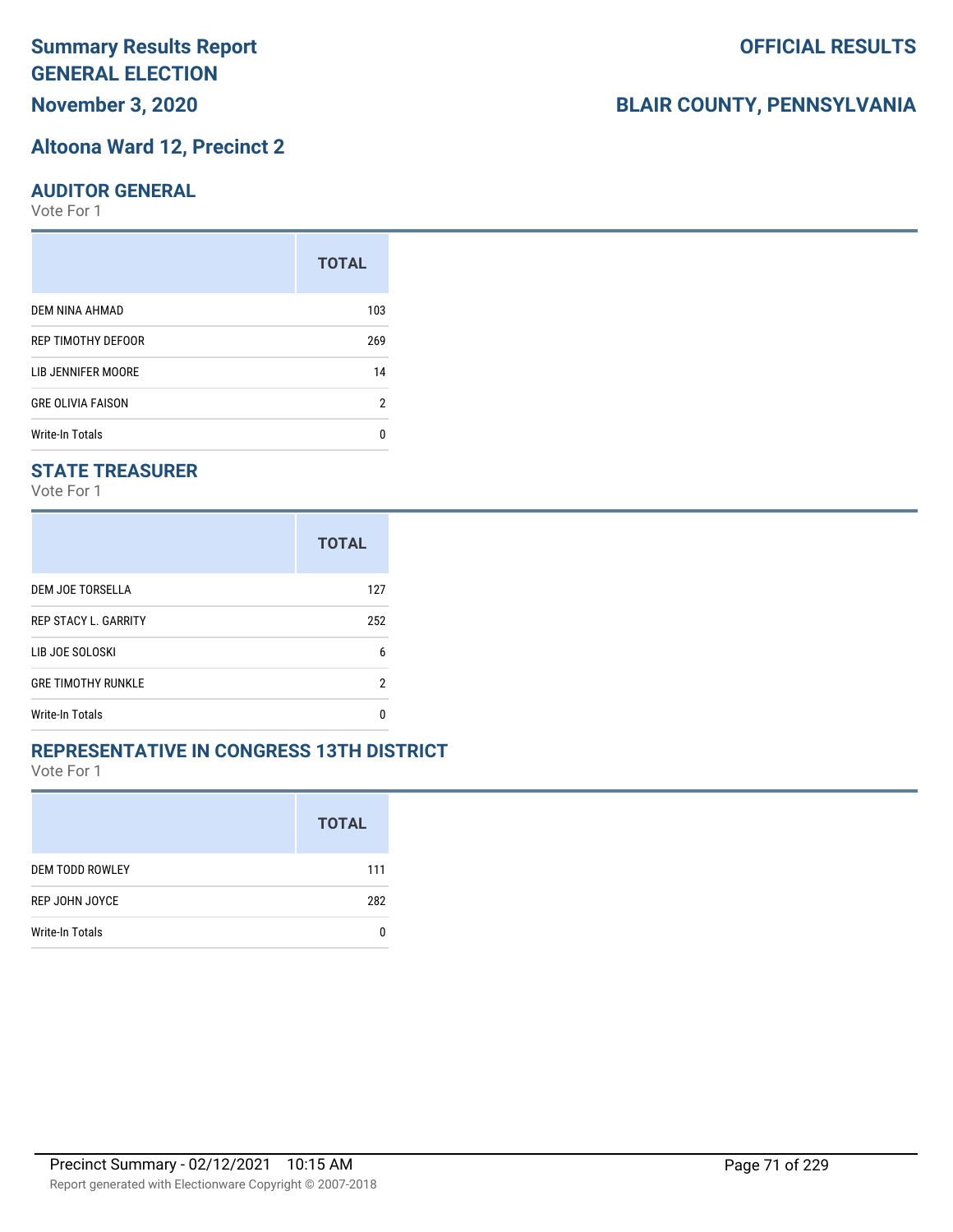# **Summary Results Report GENERAL ELECTION**

**November 3, 2020**

#### **Altoona Ward 12, Precinct 2**

#### **AUDITOR GENERAL**

Vote For 1

|                          | <b>TOTAL</b> |
|--------------------------|--------------|
| DEM NINA AHMAD           | 103          |
| REP TIMOTHY DEFOOR       | 269          |
| LIB JENNIFER MOORE       | 14           |
| <b>GRE OLIVIA FAISON</b> | 2            |
| Write-In Totals          | n            |

### **STATE TREASURER**

Vote For 1

|                             | <b>TOTAL</b> |
|-----------------------------|--------------|
| DEM JOE TORSELLA            | 127          |
| <b>REP STACY L. GARRITY</b> | 252          |
| LIB JOE SOLOSKI             | 6            |
| <b>GRE TIMOTHY RUNKLE</b>   | 2            |
| Write-In Totals             | n            |

#### **REPRESENTATIVE IN CONGRESS 13TH DISTRICT**

Vote For 1

|                        | <b>TOTAL</b> |
|------------------------|--------------|
| <b>DEM TODD ROWLEY</b> | 111          |
| REP JOHN JOYCE         | 282          |
| Write-In Totals        |              |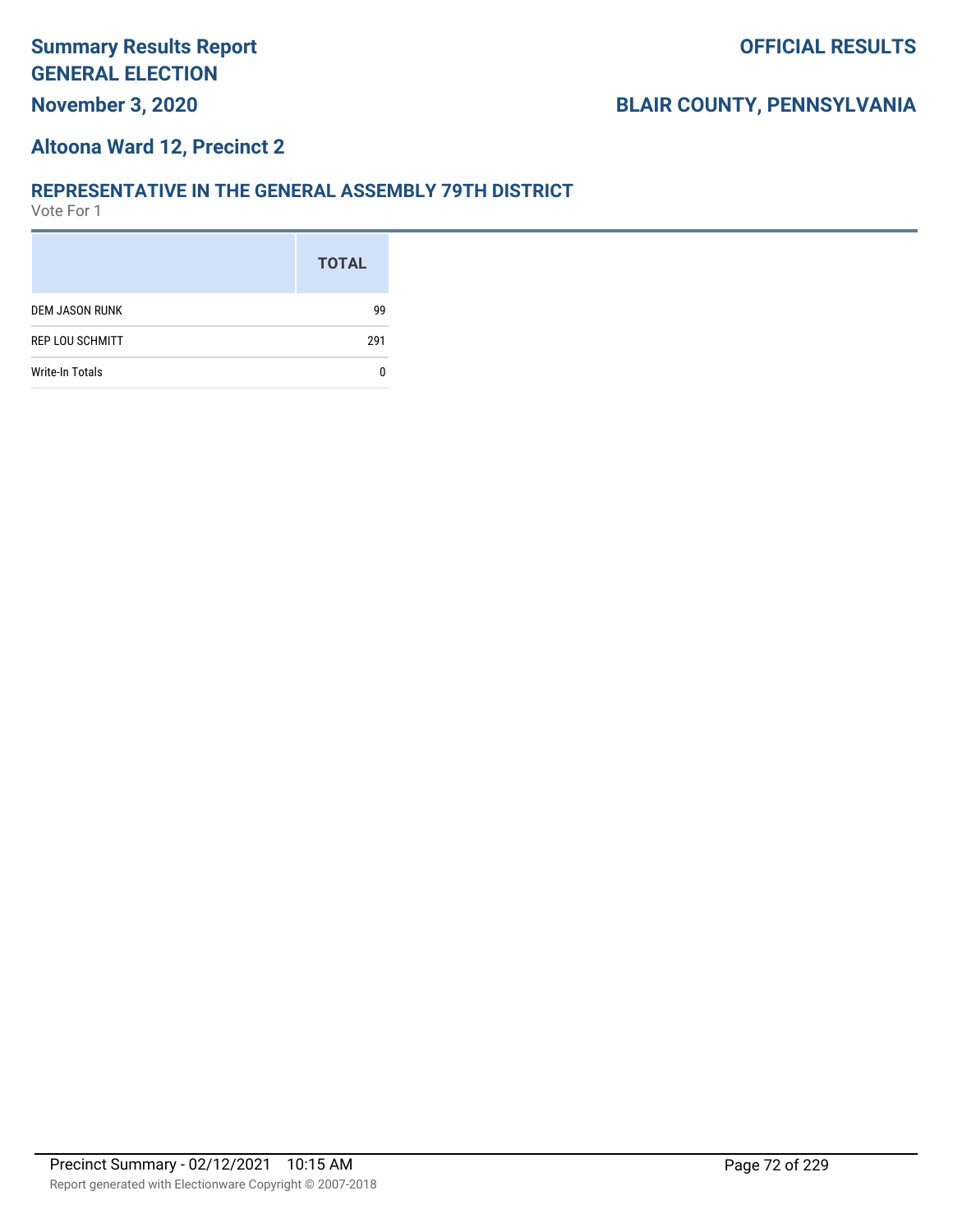#### **Altoona Ward 12, Precinct 2**

#### **REPRESENTATIVE IN THE GENERAL ASSEMBLY 79TH DISTRICT**

|                        | <b>TOTAL</b> |
|------------------------|--------------|
| <b>DEM JASON RUNK</b>  | 99           |
| <b>REP LOU SCHMITT</b> | 291          |
| <b>Write-In Totals</b> |              |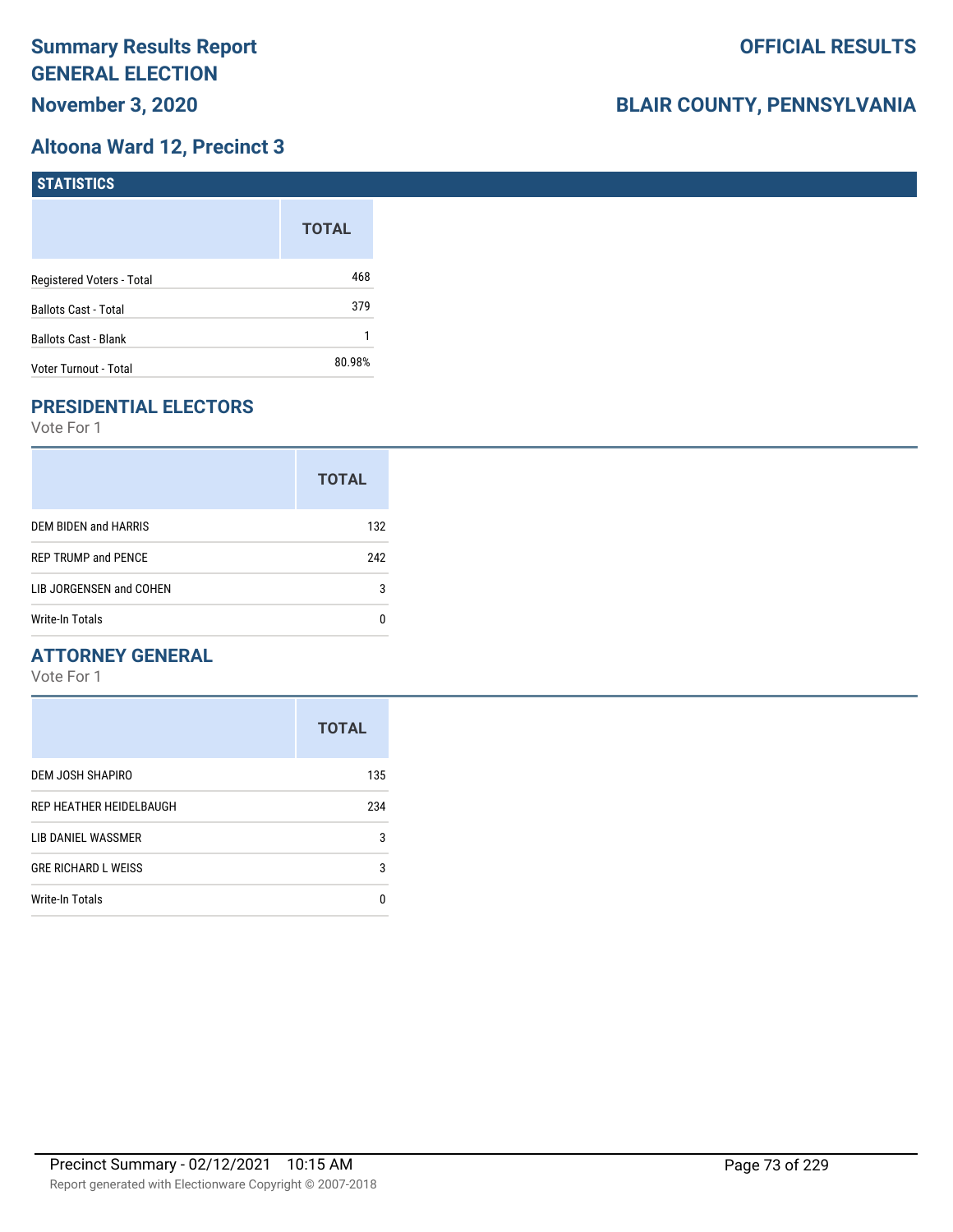# **Altoona Ward 12, Precinct 3**

| STATISTICS                  |              |
|-----------------------------|--------------|
|                             | <b>TOTAL</b> |
| Registered Voters - Total   | 468          |
| <b>Ballots Cast - Total</b> | 379          |
| Ballots Cast - Blank        |              |
| Voter Turnout - Total       | 80.98%       |

# **PRESIDENTIAL ELECTORS**

Vote For 1

|                            | <b>TOTAL</b> |
|----------------------------|--------------|
| DEM BIDEN and HARRIS       | 132          |
| <b>REP TRUMP and PENCE</b> | 242          |
| LIB JORGENSEN and COHEN    | 3            |
| Write-In Totals            |              |

### **ATTORNEY GENERAL**

|                            | <b>TOTAL</b> |
|----------------------------|--------------|
| DEM JOSH SHAPIRO           | 135          |
| REP HEATHER HEIDELBAUGH    | 234          |
| LIB DANIEL WASSMER         | 3            |
| <b>GRE RICHARD L WEISS</b> | 3            |
| <b>Write-In Totals</b>     | n            |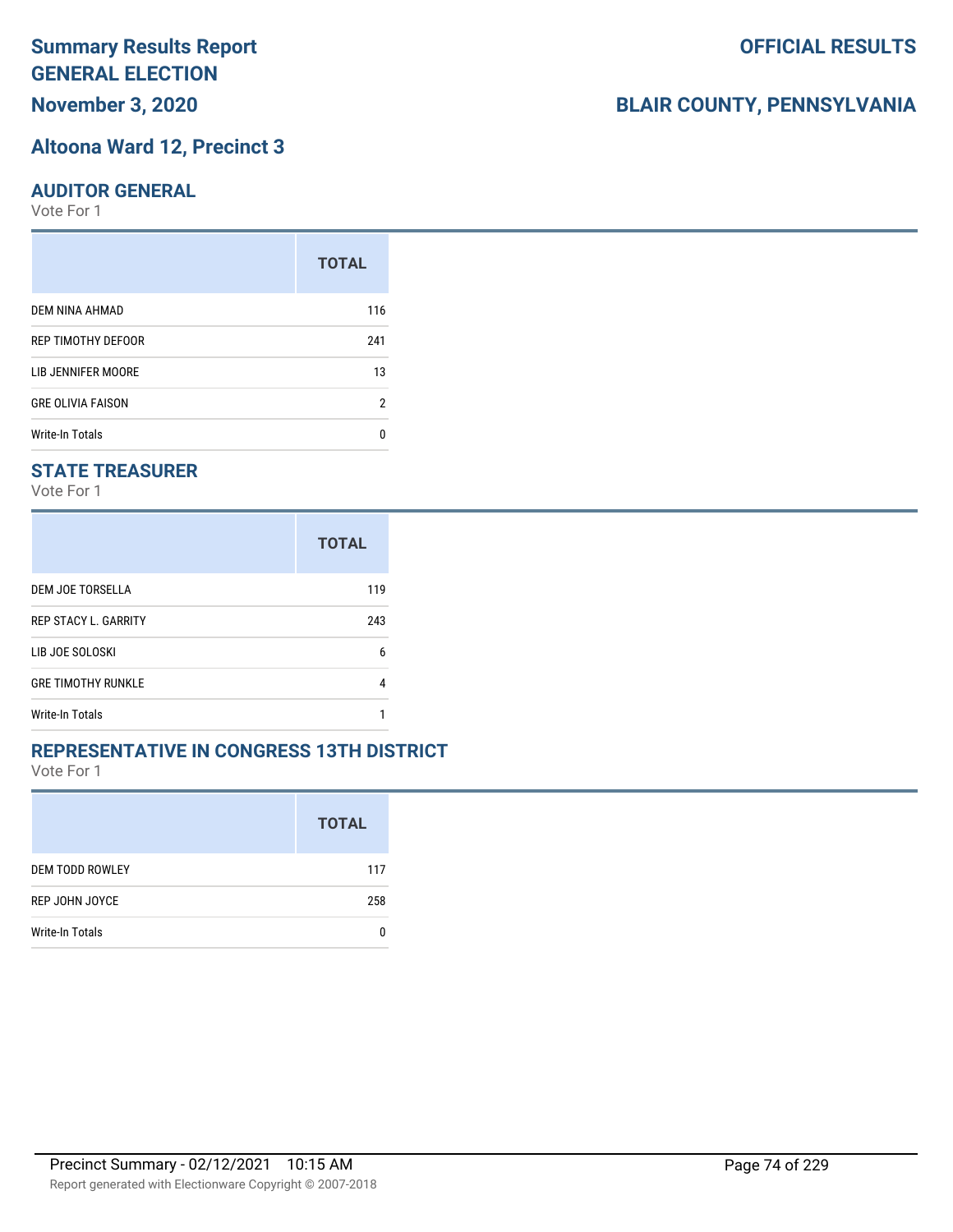# **Summary Results Report GENERAL ELECTION**

**November 3, 2020**

#### **Altoona Ward 12, Precinct 3**

#### **AUDITOR GENERAL**

Vote For 1

|                          | <b>TOTAL</b> |
|--------------------------|--------------|
| DEM NINA AHMAD           | 116          |
| REP TIMOTHY DEFOOR       | 241          |
| LIB JENNIFER MOORE       | 13           |
| <b>GRE OLIVIA FAISON</b> | 2            |
| Write-In Totals          | n            |

### **STATE TREASURER**

Vote For 1

|                             | <b>TOTAL</b> |
|-----------------------------|--------------|
| DEM JOE TORSELLA            | 119          |
| <b>REP STACY L. GARRITY</b> | 243          |
| LIB JOE SOLOSKI             | 6            |
| <b>GRE TIMOTHY RUNKLE</b>   |              |
| Write-In Totals             |              |

#### **REPRESENTATIVE IN CONGRESS 13TH DISTRICT**

Vote For 1

|                        | <b>TOTAL</b> |
|------------------------|--------------|
| <b>DEM TODD ROWLEY</b> | 117          |
| REP JOHN JOYCE         | 258          |
| Write-In Totals        |              |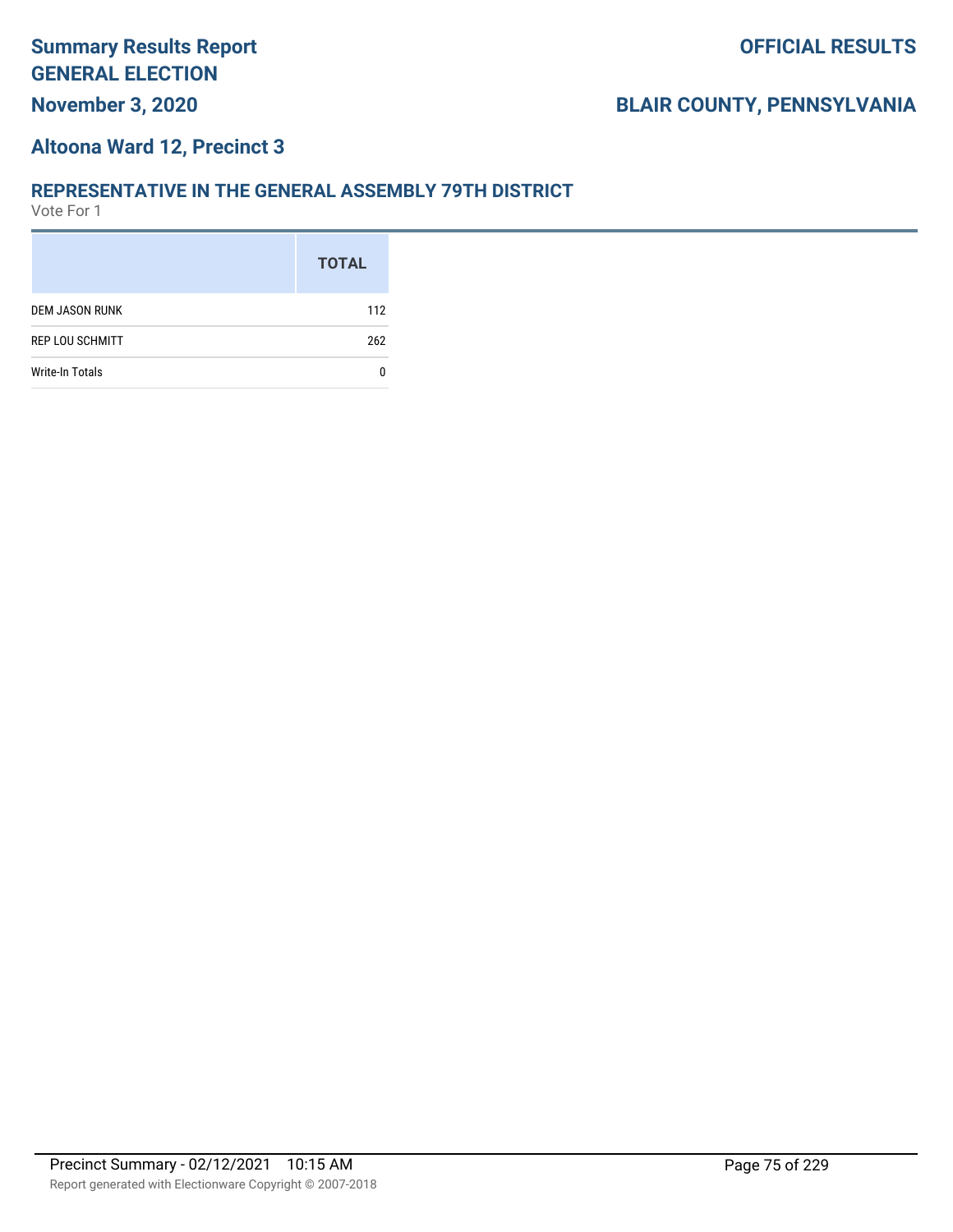#### **Altoona Ward 12, Precinct 3**

#### **REPRESENTATIVE IN THE GENERAL ASSEMBLY 79TH DISTRICT**

|                        | <b>TOTAL</b> |
|------------------------|--------------|
| <b>DEM JASON RUNK</b>  | 112          |
| <b>REP LOU SCHMITT</b> | 262          |
| <b>Write-In Totals</b> |              |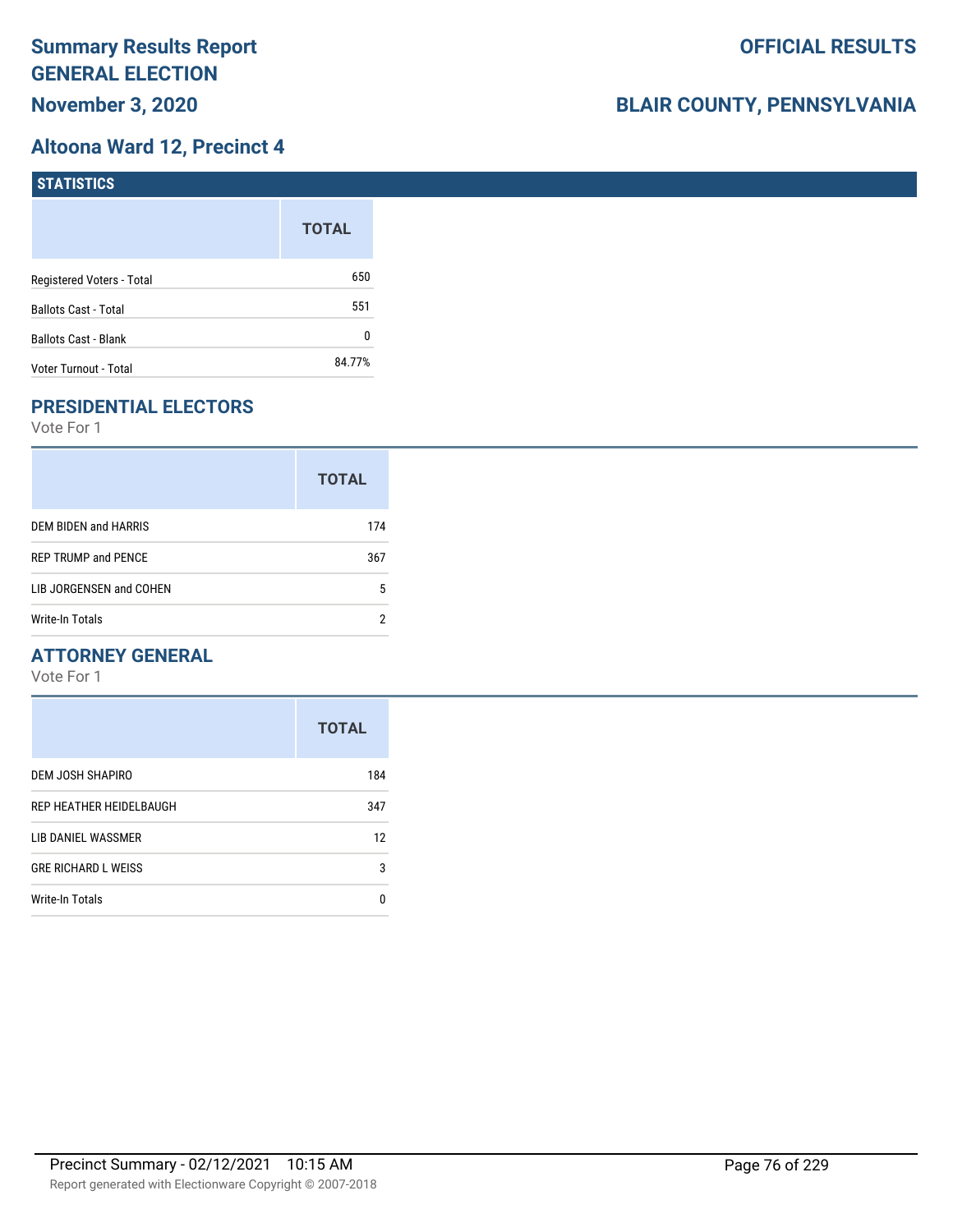# **Altoona Ward 12, Precinct 4**

| STATISTICS                  |              |
|-----------------------------|--------------|
|                             | <b>TOTAL</b> |
| Registered Voters - Total   | 650          |
| <b>Ballots Cast - Total</b> | 551          |
| Ballots Cast - Blank        | 0            |
| Voter Turnout - Total       | 84.77%       |

# **PRESIDENTIAL ELECTORS**

Vote For 1

|                            | <b>TOTAL</b> |
|----------------------------|--------------|
| DEM BIDEN and HARRIS       | 174          |
| <b>REP TRUMP and PENCE</b> | 367          |
| LIB JORGENSEN and COHEN    | 5            |
| Write-In Totals            |              |

### **ATTORNEY GENERAL**

|                            | <b>TOTAL</b> |
|----------------------------|--------------|
| DEM JOSH SHAPIRO           | 184          |
| REP HEATHER HEIDELBAUGH    | 347          |
| LIB DANIEL WASSMER         | 12           |
| <b>GRE RICHARD L WEISS</b> | 3            |
| <b>Write-In Totals</b>     | 0            |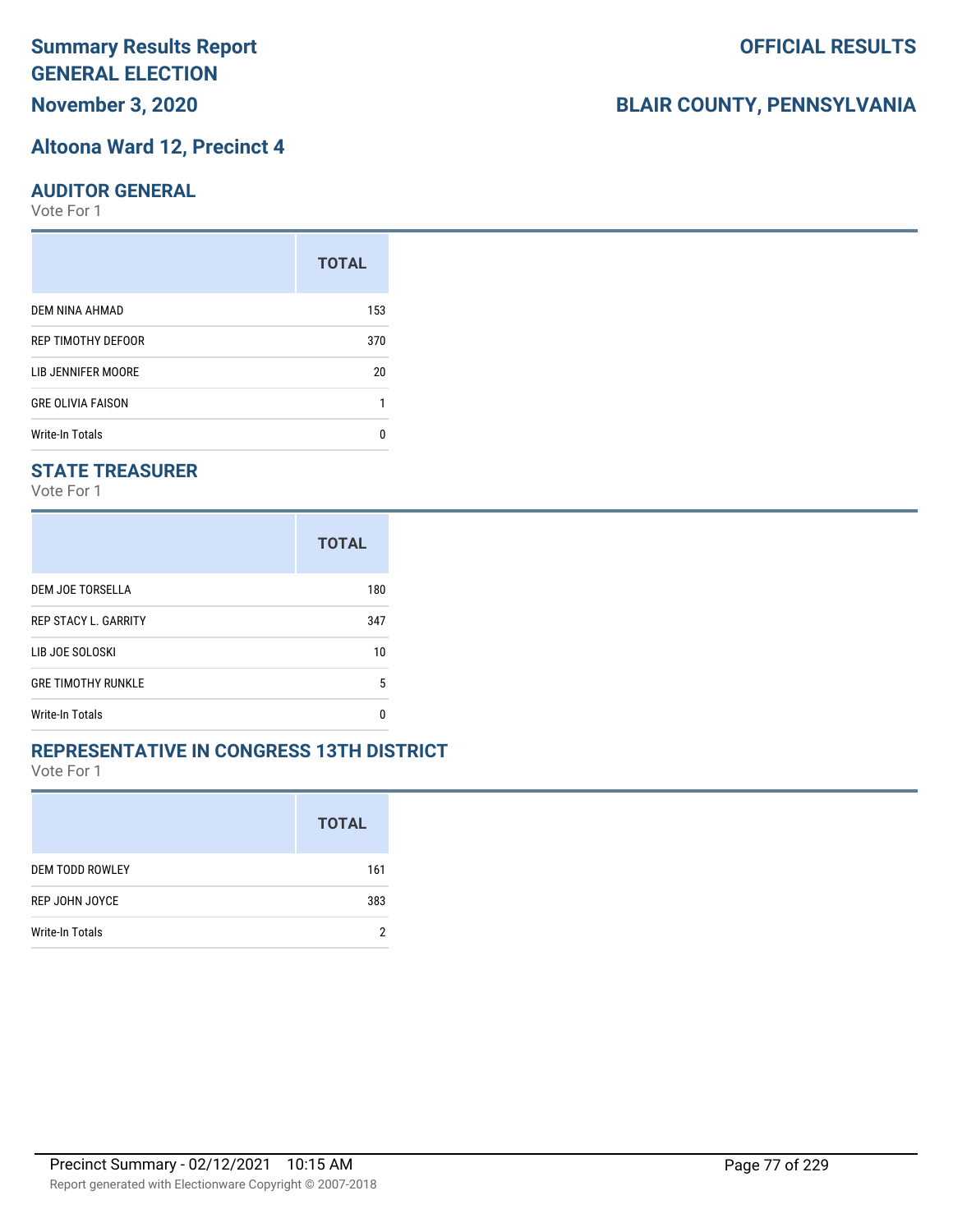# **Summary Results Report GENERAL ELECTION**

**November 3, 2020**

#### **Altoona Ward 12, Precinct 4**

#### **AUDITOR GENERAL**

Vote For 1

|                          | <b>TOTAL</b> |
|--------------------------|--------------|
| DEM NINA AHMAD           | 153          |
| REP TIMOTHY DEFOOR       | 370          |
| LIB JENNIFER MOORE       | 20           |
| <b>GRE OLIVIA FAISON</b> |              |
| <b>Write-In Totals</b>   |              |

### **STATE TREASURER**

Vote For 1

|                             | <b>TOTAL</b> |
|-----------------------------|--------------|
| DEM JOE TORSELLA            | 180          |
| <b>REP STACY L. GARRITY</b> | 347          |
| LIB JOE SOLOSKI             | 10           |
| <b>GRE TIMOTHY RUNKLE</b>   | 5            |
| <b>Write-In Totals</b>      | n            |

#### **REPRESENTATIVE IN CONGRESS 13TH DISTRICT**

Vote For 1

|                        | <b>TOTAL</b> |
|------------------------|--------------|
| <b>DEM TODD ROWLEY</b> | 161          |
| REP JOHN JOYCE         | 383          |
| Write-In Totals        | Ω            |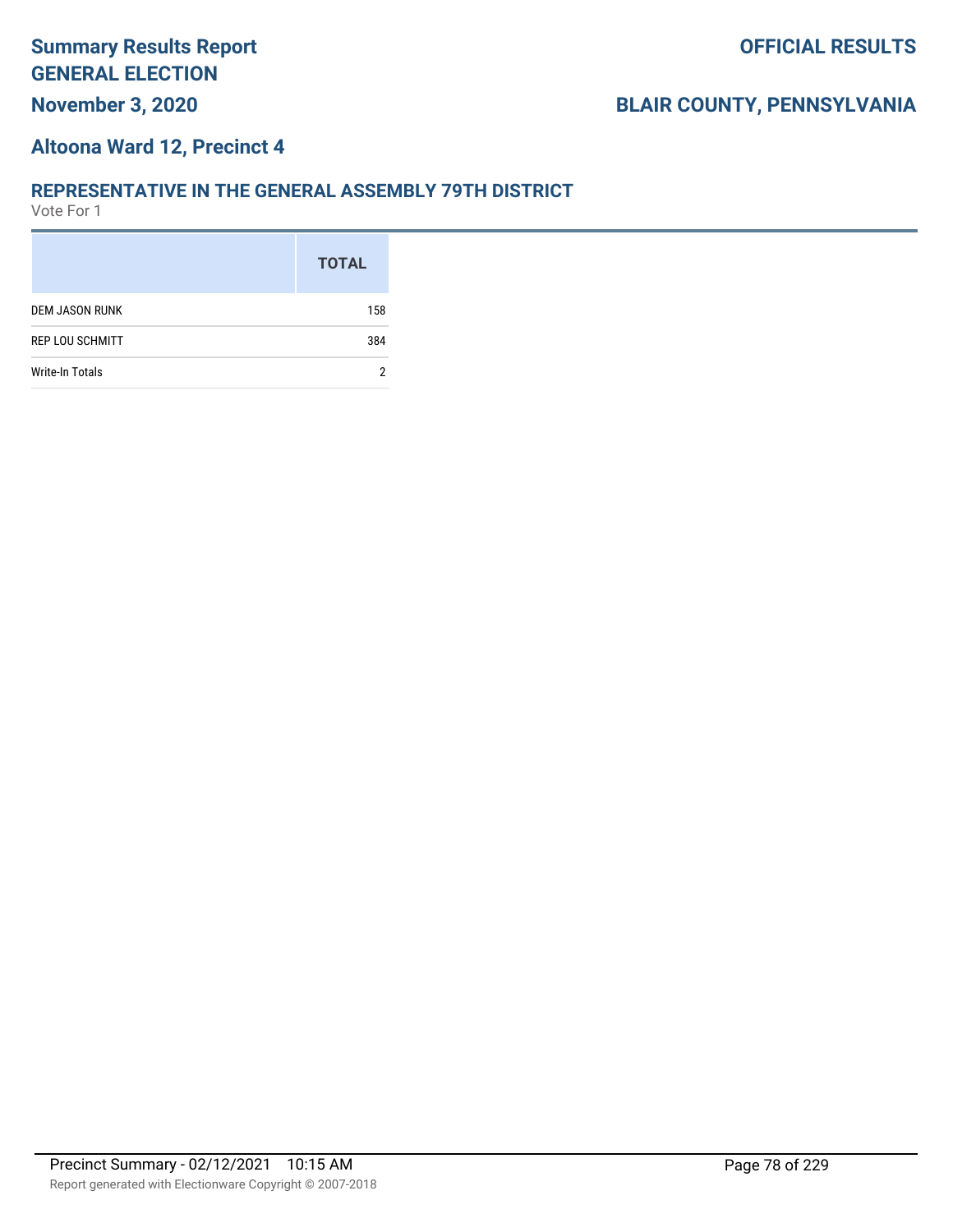#### **Altoona Ward 12, Precinct 4**

#### **REPRESENTATIVE IN THE GENERAL ASSEMBLY 79TH DISTRICT**

|                        | <b>TOTAL</b> |
|------------------------|--------------|
| <b>DEM JASON RUNK</b>  | 158          |
| <b>REP LOU SCHMITT</b> | 384          |
| <b>Write-In Totals</b> | 2            |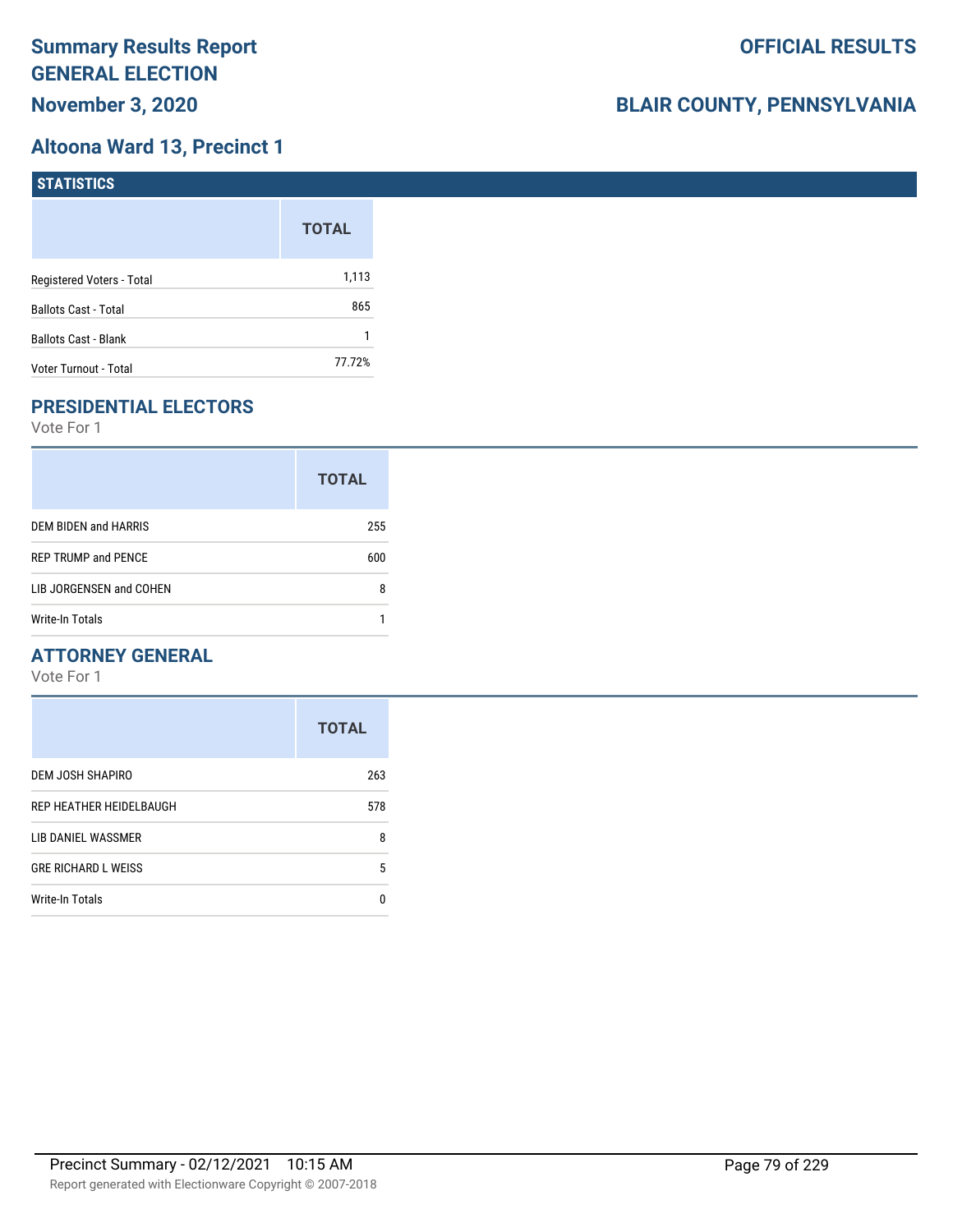### **Altoona Ward 13, Precinct 1**

| <b>STATISTICS</b>           |              |
|-----------------------------|--------------|
|                             | <b>TOTAL</b> |
| Registered Voters - Total   | 1,113        |
| Ballots Cast - Total        | 865          |
| <b>Ballots Cast - Blank</b> |              |
| Voter Turnout - Total       | 77.72%       |

# **PRESIDENTIAL ELECTORS**

Vote For 1

|                            | <b>TOTAL</b> |
|----------------------------|--------------|
| DEM BIDEN and HARRIS       | 255          |
| <b>REP TRUMP and PENCE</b> | 600          |
| LIB JORGENSEN and COHEN    | 8            |
| Write-In Totals            |              |

### **ATTORNEY GENERAL**

|                            | <b>TOTAL</b> |
|----------------------------|--------------|
| DEM JOSH SHAPIRO           | 263          |
| REP HEATHER HEIDELBAUGH    | 578          |
| LIB DANIEL WASSMER         | 8            |
| <b>GRE RICHARD L WEISS</b> | 5            |
| Write-In Totals            | n            |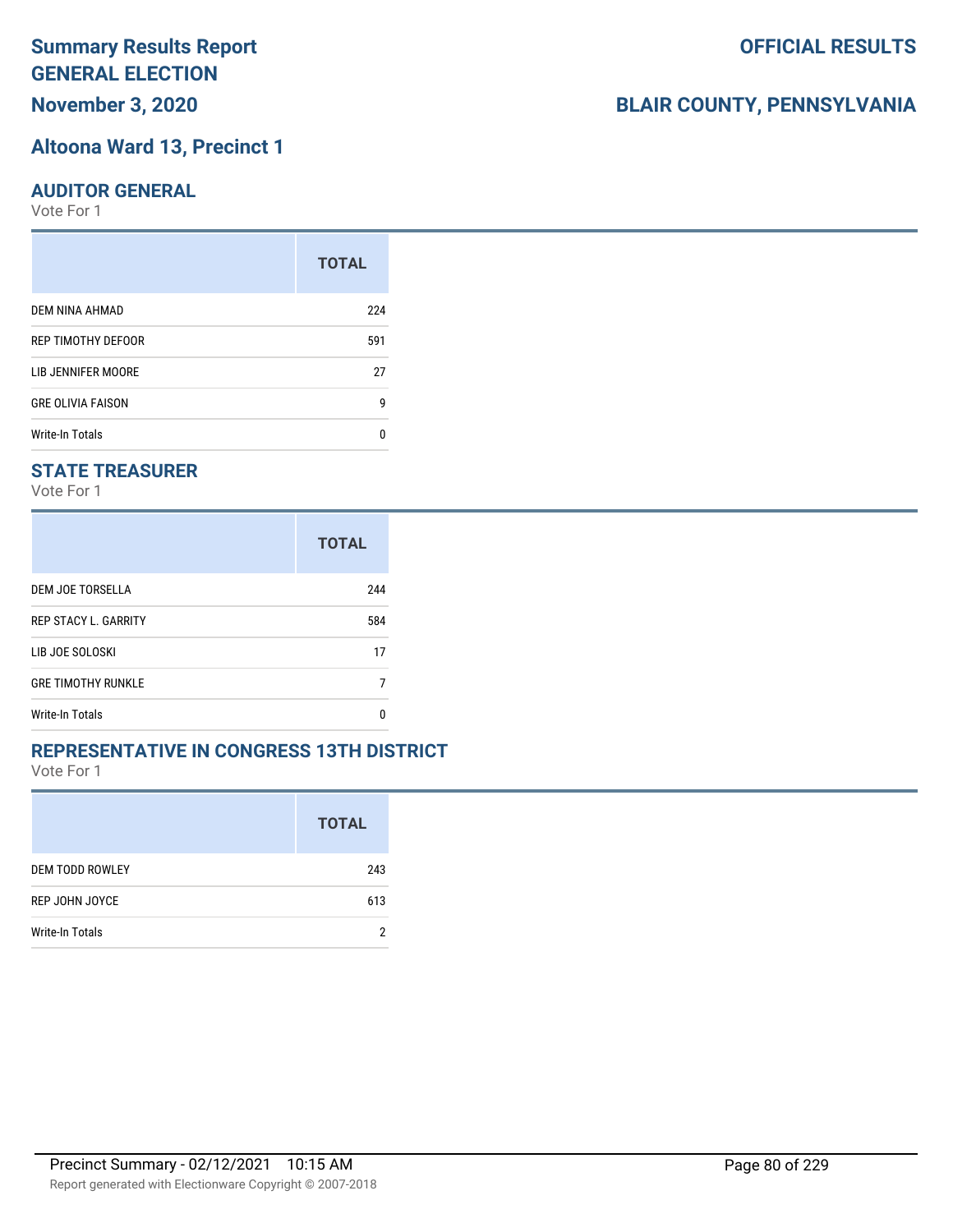# **Altoona Ward 13, Precinct 1**

#### **AUDITOR GENERAL**

Vote For 1

|                          | <b>TOTAL</b> |
|--------------------------|--------------|
| DEM NINA AHMAD           | 224          |
| REP TIMOTHY DEFOOR       | 591          |
| LIB JENNIFER MOORE       | 27           |
| <b>GRE OLIVIA FAISON</b> | 9            |
| Write-In Totals          | n            |

### **STATE TREASURER**

Vote For 1

|                             | <b>TOTAL</b> |
|-----------------------------|--------------|
| DEM JOE TORSELLA            | 244          |
| <b>REP STACY L. GARRITY</b> | 584          |
| LIB JOE SOLOSKI             | 17           |
| <b>GRE TIMOTHY RUNKLE</b>   |              |
| <b>Write-In Totals</b>      | n            |

#### **REPRESENTATIVE IN CONGRESS 13TH DISTRICT**

Vote For 1

|                        | <b>TOTAL</b> |
|------------------------|--------------|
| <b>DEM TODD ROWLEY</b> | 243          |
| REP JOHN JOYCE         | 613          |
| Write-In Totals        | Ω            |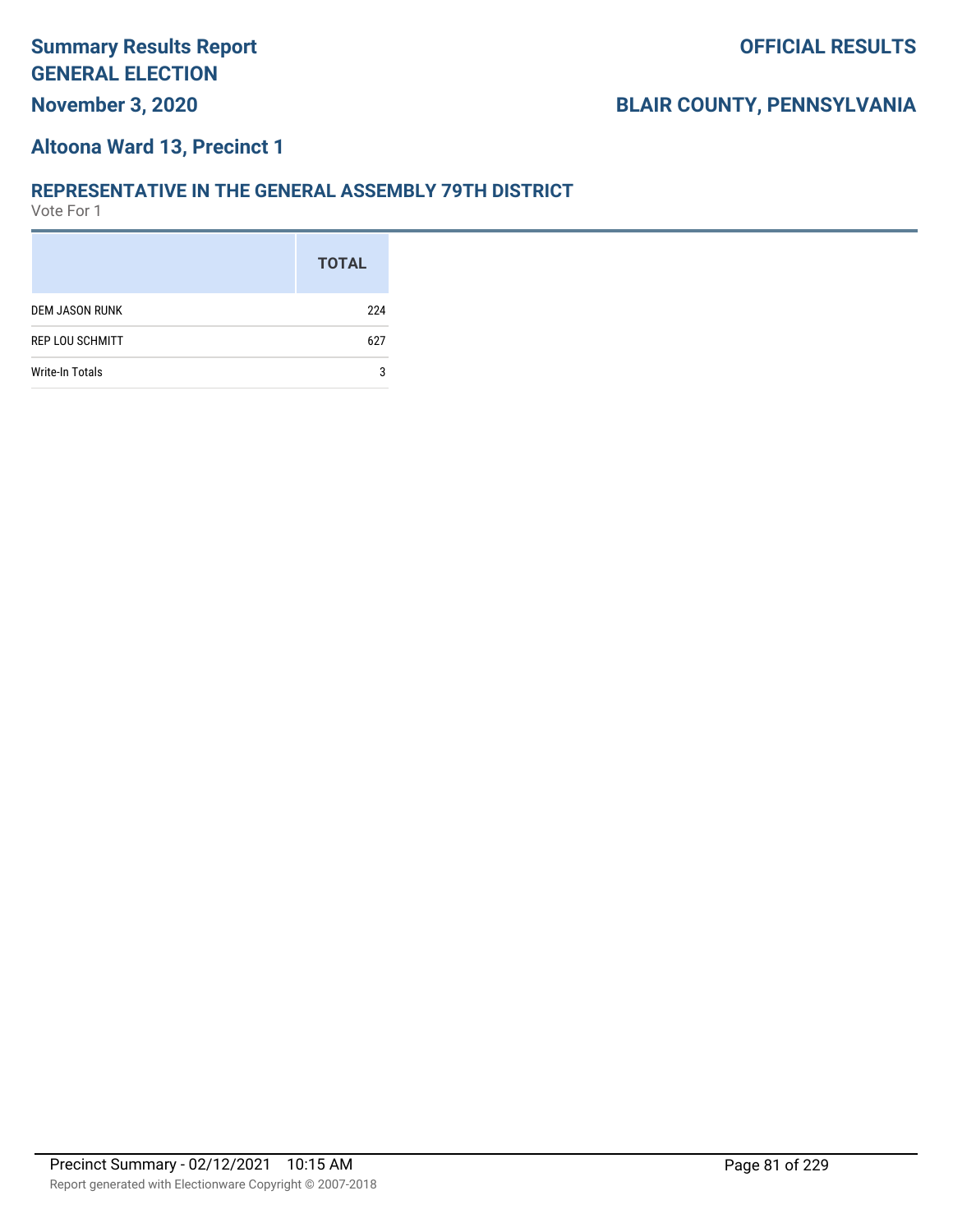#### **Altoona Ward 13, Precinct 1**

#### **REPRESENTATIVE IN THE GENERAL ASSEMBLY 79TH DISTRICT**

|                        | <b>TOTAL</b> |
|------------------------|--------------|
| <b>DEM JASON RUNK</b>  | 224          |
| <b>REP LOU SCHMITT</b> | 627          |
| <b>Write-In Totals</b> | 3            |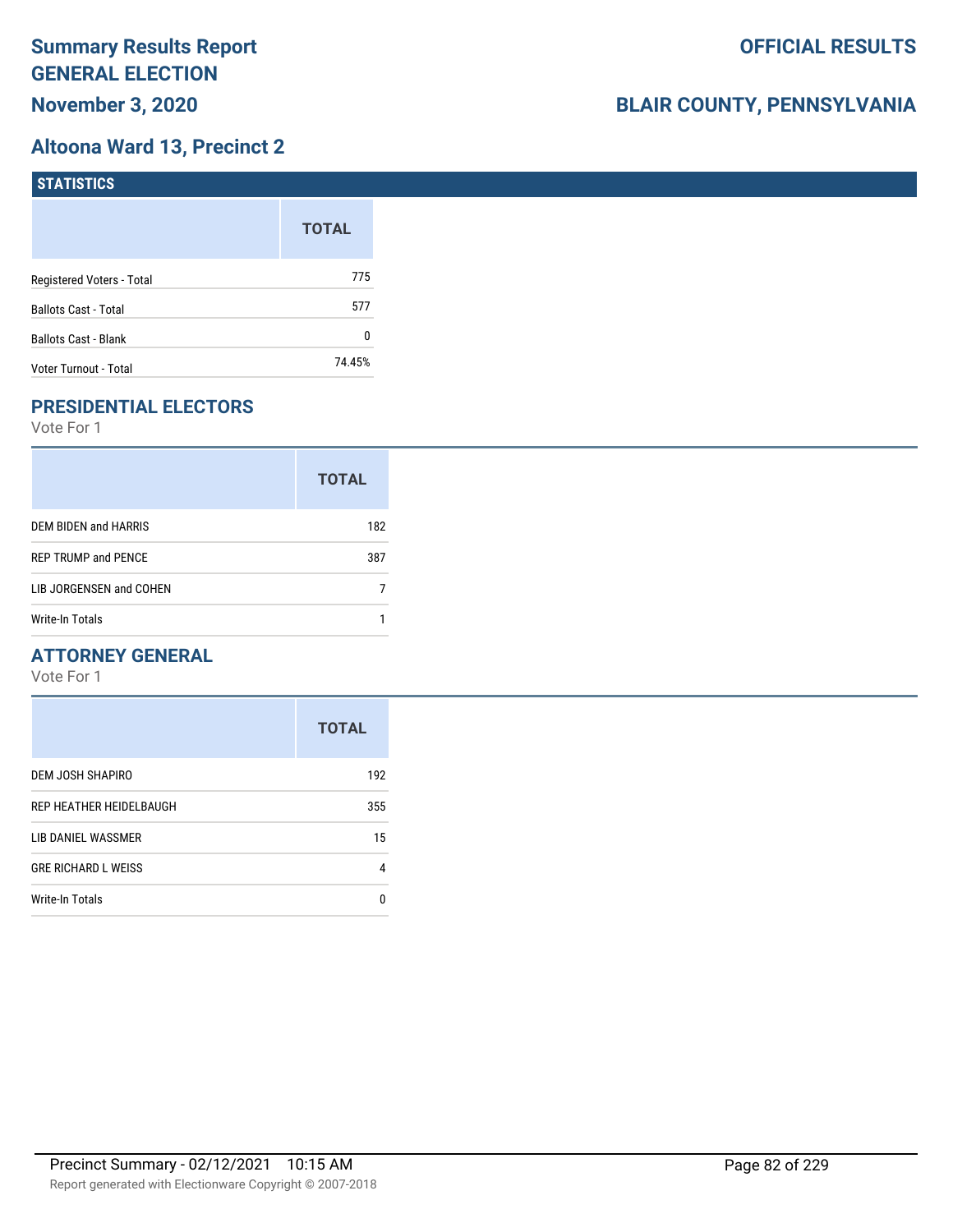# **Altoona Ward 13, Precinct 2**

| STATISTICS                  |              |
|-----------------------------|--------------|
|                             | <b>TOTAL</b> |
| Registered Voters - Total   | 775          |
| <b>Ballots Cast - Total</b> | 577          |
| Ballots Cast - Blank        | 0            |
| Voter Turnout - Total       | 74.45%       |

# **PRESIDENTIAL ELECTORS**

Vote For 1

|                            | <b>TOTAL</b> |
|----------------------------|--------------|
| DEM BIDEN and HARRIS       | 182          |
| <b>REP TRUMP and PENCE</b> | 387          |
| LIB JORGENSEN and COHEN    |              |
| Write-In Totals            |              |

### **ATTORNEY GENERAL**

|                            | <b>TOTAL</b> |
|----------------------------|--------------|
| DEM JOSH SHAPIRO           | 192          |
| REP HEATHER HEIDELBAUGH    | 355          |
| LIB DANIEL WASSMER         | 15           |
| <b>GRE RICHARD L WEISS</b> | 4            |
| <b>Write-In Totals</b>     | n            |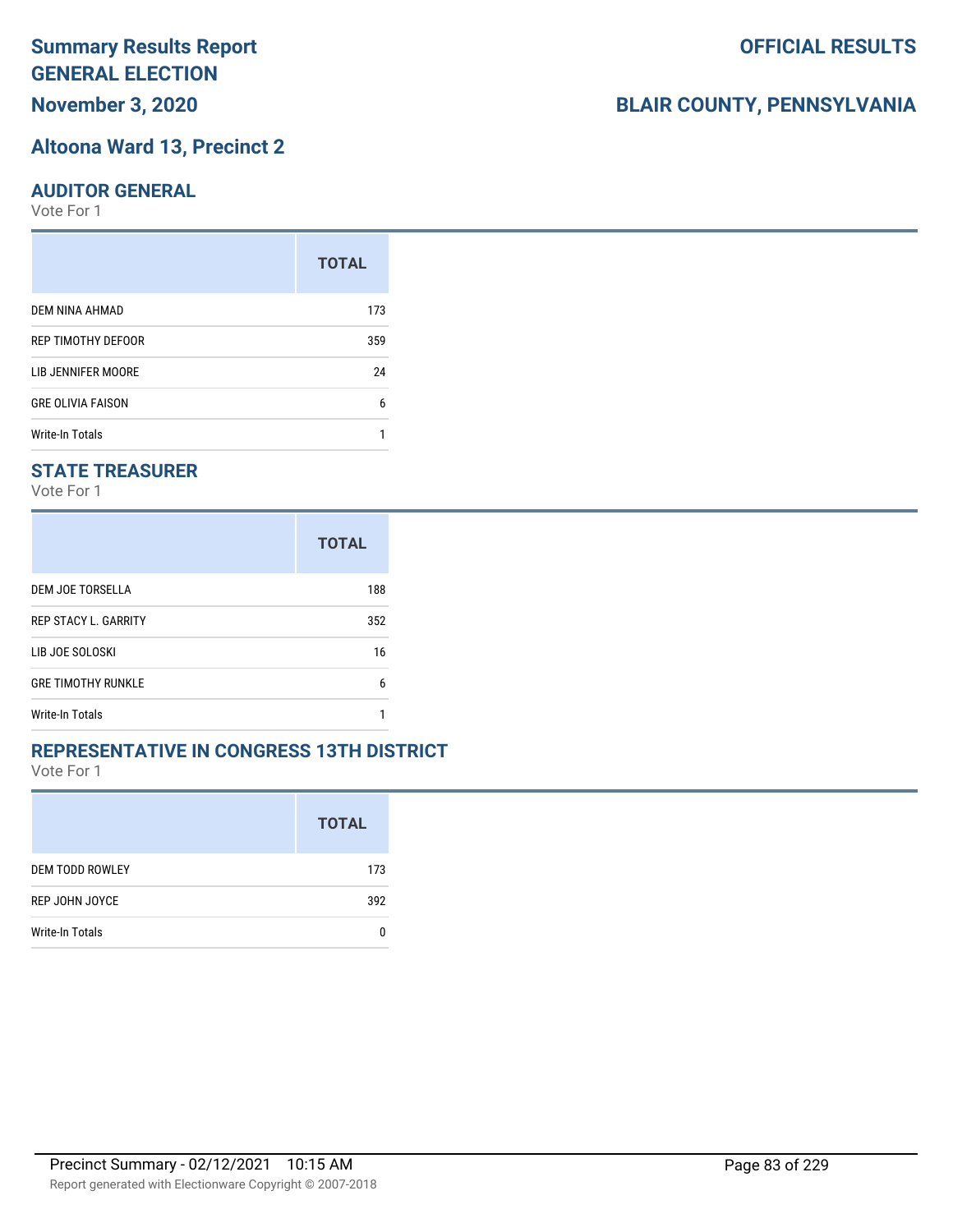# **Summary Results Report GENERAL ELECTION**

# **November 3, 2020**

# **Altoona Ward 13, Precinct 2**

## **AUDITOR GENERAL**

Vote For 1

|                          | <b>TOTAL</b> |
|--------------------------|--------------|
| DEM NINA AHMAD           | 173          |
| REP TIMOTHY DEFOOR       | 359          |
| LIB JENNIFER MOORE       | 24           |
| <b>GRE OLIVIA FAISON</b> | 6            |
| <b>Write-In Totals</b>   |              |

# **STATE TREASURER**

Vote For 1

|                             | <b>TOTAL</b> |
|-----------------------------|--------------|
| DEM JOE TORSELLA            | 188          |
| <b>REP STACY L. GARRITY</b> | 352          |
| LIB JOE SOLOSKI             | 16           |
| <b>GRE TIMOTHY RUNKLE</b>   | 6            |
| Write-In Totals             |              |

# **REPRESENTATIVE IN CONGRESS 13TH DISTRICT**

Vote For 1

|                        | <b>TOTAL</b> |
|------------------------|--------------|
| <b>DEM TODD ROWLEY</b> | 173          |
| REP JOHN JOYCE         | 392          |
| Write-In Totals        |              |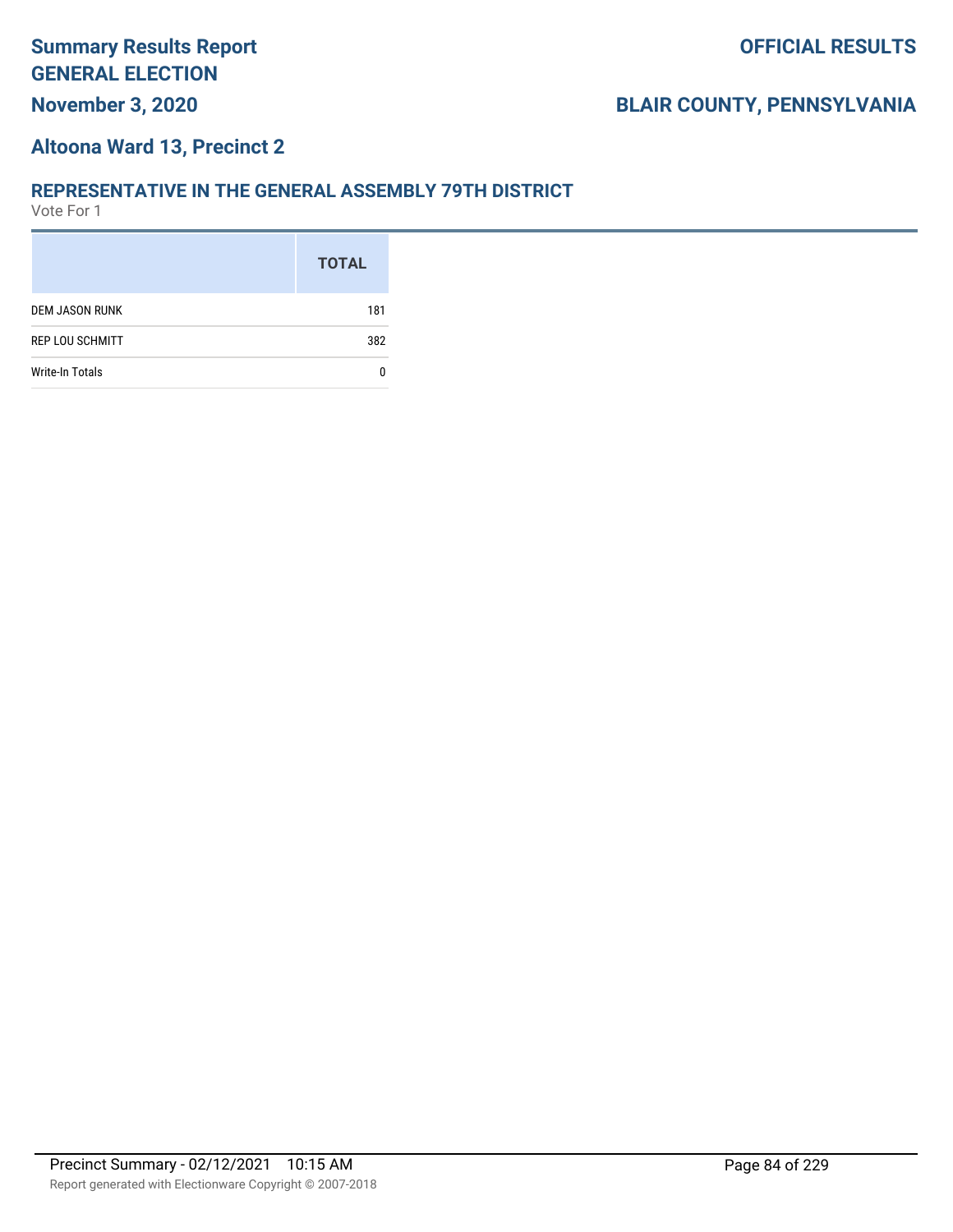#### **Altoona Ward 13, Precinct 2**

#### **REPRESENTATIVE IN THE GENERAL ASSEMBLY 79TH DISTRICT**

|                        | <b>TOTAL</b> |
|------------------------|--------------|
| <b>DEM JASON RUNK</b>  | 181          |
| <b>REP LOU SCHMITT</b> | 382          |
| <b>Write-In Totals</b> |              |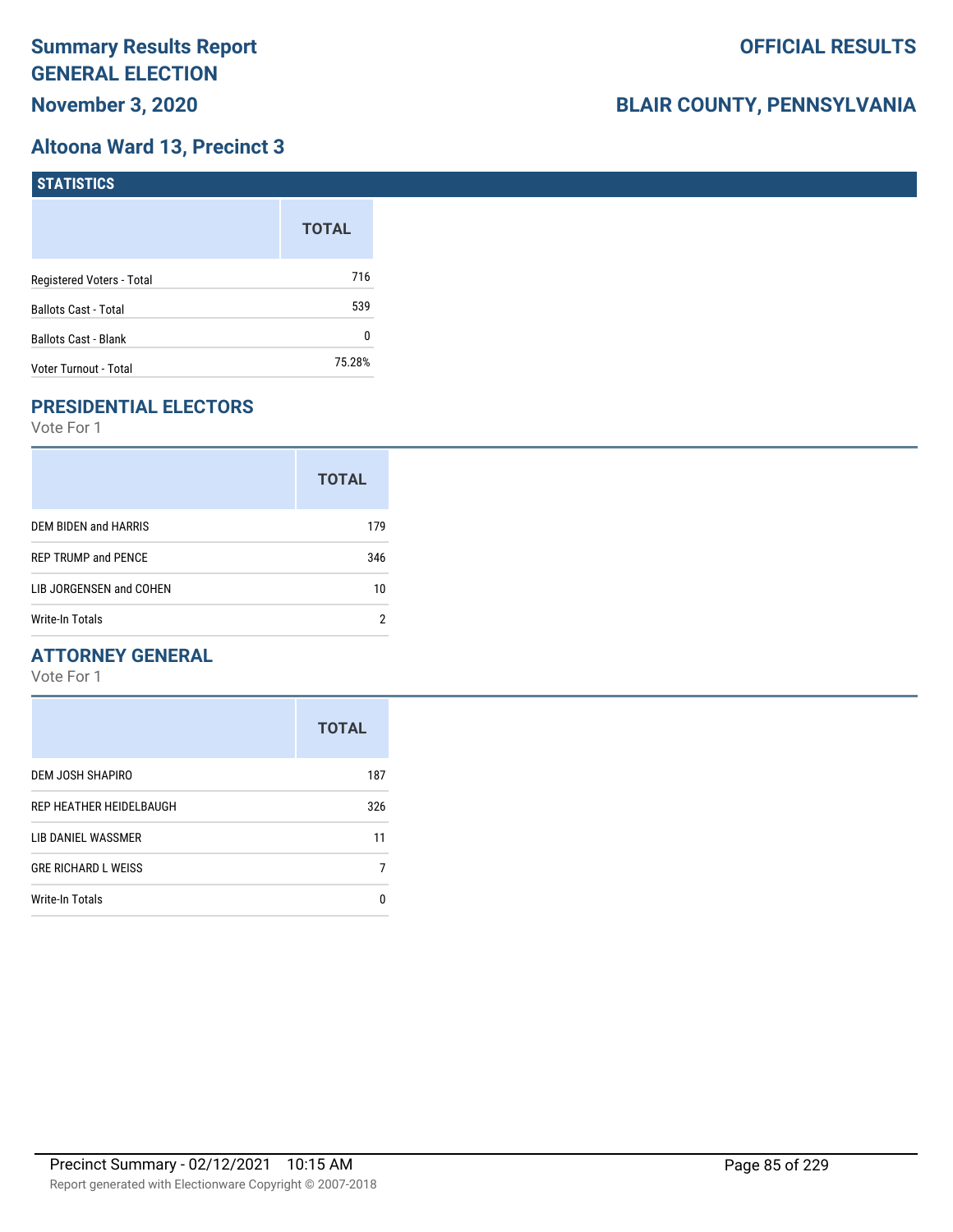# **Altoona Ward 13, Precinct 3**

| STATISTICS                  |              |
|-----------------------------|--------------|
|                             | <b>TOTAL</b> |
| Registered Voters - Total   | 716          |
| <b>Ballots Cast - Total</b> | 539          |
| Ballots Cast - Blank        | 0            |
| Voter Turnout - Total       | 75.28%       |

# **PRESIDENTIAL ELECTORS**

Vote For 1

|                            | <b>TOTAL</b> |
|----------------------------|--------------|
| DEM BIDEN and HARRIS       | 179          |
| <b>REP TRUMP and PENCE</b> | 346          |
| LIB JORGENSEN and COHEN    | 10           |
| Write-In Totals            |              |

### **ATTORNEY GENERAL**

|                            | <b>TOTAL</b> |
|----------------------------|--------------|
| DEM JOSH SHAPIRO           | 187          |
| REP HEATHER HEIDELBAUGH    | 326          |
| LIB DANIEL WASSMER         | 11           |
| <b>GRE RICHARD L WEISS</b> |              |
| Write-In Totals            | O            |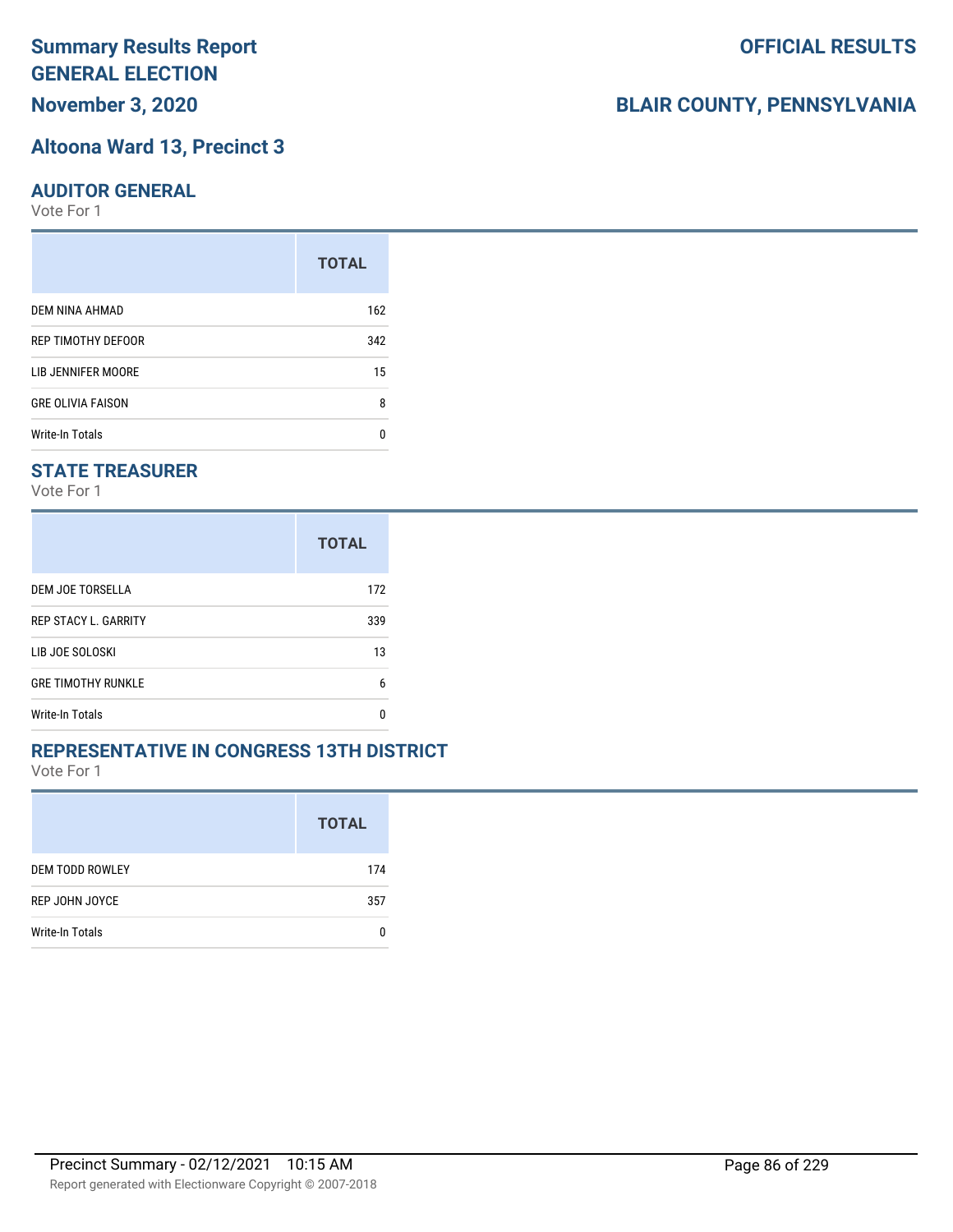# **Summary Results Report GENERAL ELECTION**

**November 3, 2020**

# **Altoona Ward 13, Precinct 3**

# **AUDITOR GENERAL**

Vote For 1

|                          | <b>TOTAL</b> |
|--------------------------|--------------|
| DEM NINA AHMAD           | 162          |
| REP TIMOTHY DEFOOR       | 342          |
| LIB JENNIFER MOORE       | 15           |
| <b>GRE OLIVIA FAISON</b> | 8            |
| <b>Write-In Totals</b>   | n            |

# **STATE TREASURER**

Vote For 1

|                             | <b>TOTAL</b> |
|-----------------------------|--------------|
| DEM JOE TORSELLA            | 172          |
| <b>REP STACY L. GARRITY</b> | 339          |
| LIB JOE SOLOSKI             | 13           |
| <b>GRE TIMOTHY RUNKLE</b>   | 6            |
| Write-In Totals             | n            |

#### **REPRESENTATIVE IN CONGRESS 13TH DISTRICT**

Vote For 1

|                        | <b>TOTAL</b> |
|------------------------|--------------|
| <b>DEM TODD ROWLEY</b> | 174          |
| REP JOHN JOYCE         | 357          |
| Write-In Totals        |              |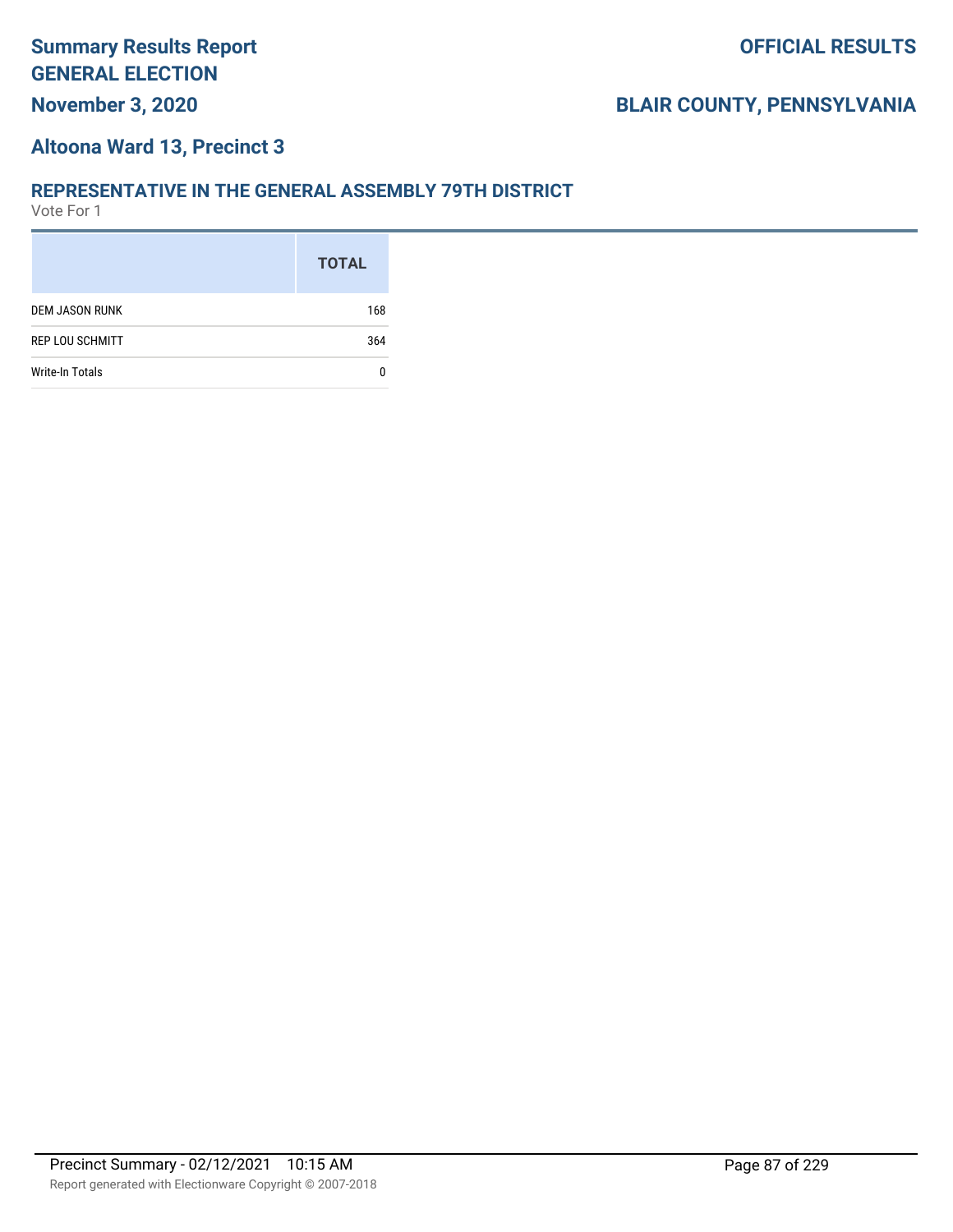#### **Altoona Ward 13, Precinct 3**

#### **REPRESENTATIVE IN THE GENERAL ASSEMBLY 79TH DISTRICT**

|                        | <b>TOTAL</b> |
|------------------------|--------------|
| <b>DEM JASON RUNK</b>  | 168          |
| <b>REP LOU SCHMITT</b> | 364          |
| <b>Write-In Totals</b> |              |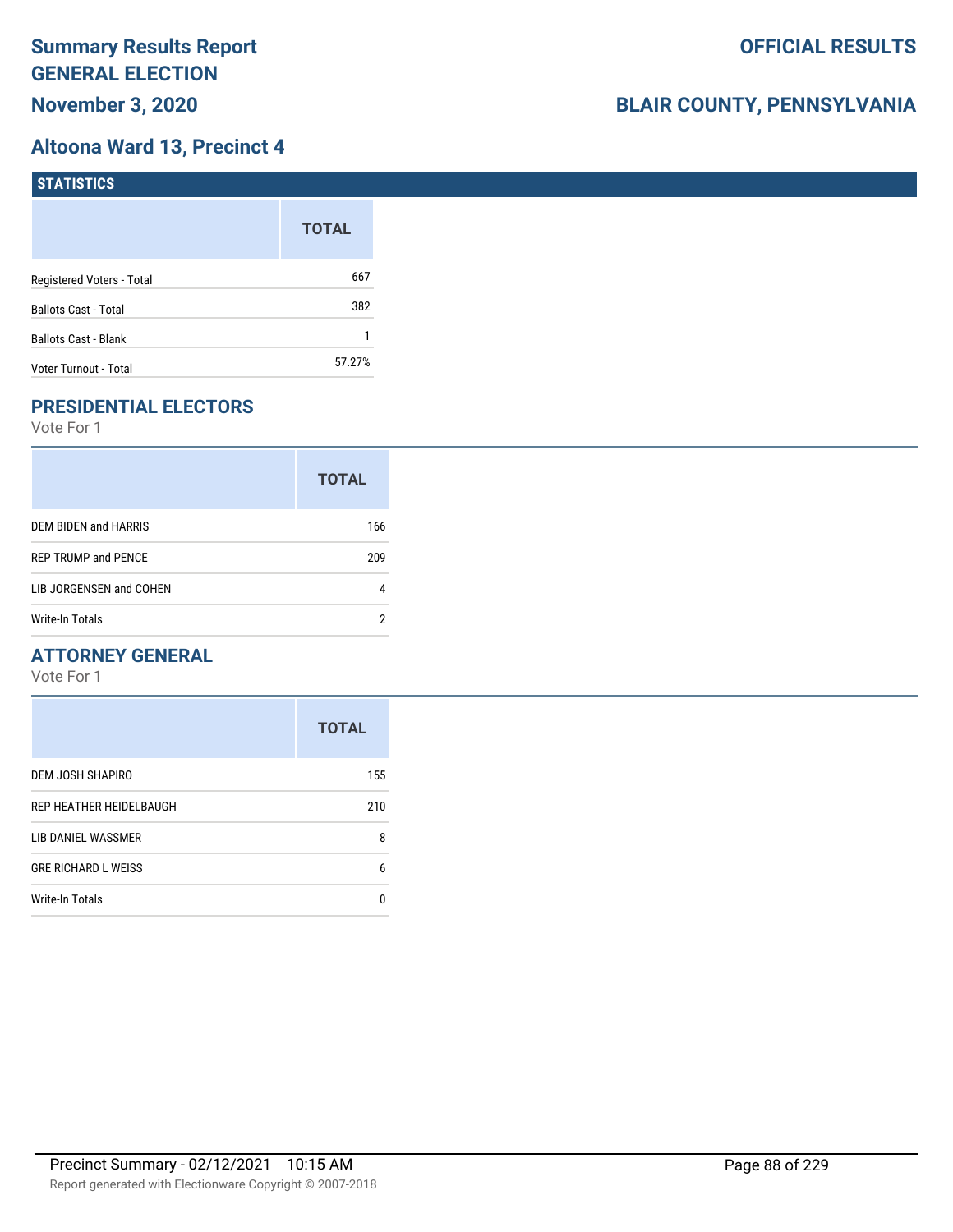# **Altoona Ward 13, Precinct 4**

| STATISTICS                  |              |
|-----------------------------|--------------|
|                             | <b>TOTAL</b> |
| Registered Voters - Total   | 667          |
| <b>Ballots Cast - Total</b> | 382          |
| <b>Ballots Cast - Blank</b> |              |
| Voter Turnout - Total       | 57.27%       |

# **PRESIDENTIAL ELECTORS**

Vote For 1

|                            | <b>TOTAL</b> |
|----------------------------|--------------|
| DEM BIDEN and HARRIS       | 166          |
| <b>REP TRUMP and PENCE</b> | 209          |
| LIB JORGENSEN and COHEN    | 4            |
| Write-In Totals            |              |

### **ATTORNEY GENERAL**

|                            | <b>TOTAL</b> |
|----------------------------|--------------|
| DEM JOSH SHAPIRO           | 155          |
| REP HEATHER HEIDELBAUGH    | 210          |
| LIB DANIEL WASSMER         | 8            |
| <b>GRE RICHARD L WEISS</b> | 6            |
| Write-In Totals            | n            |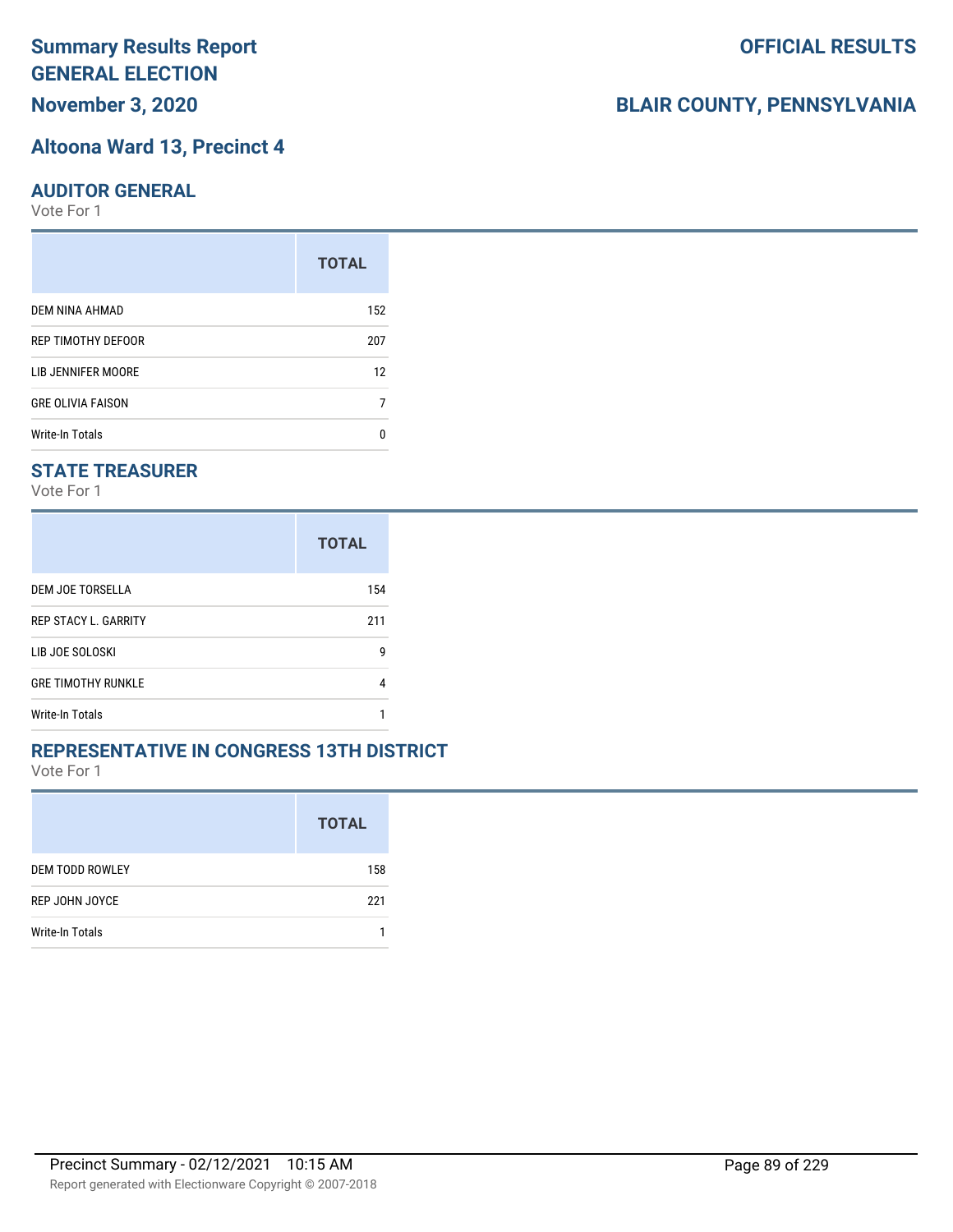# **Altoona Ward 13, Precinct 4**

#### **AUDITOR GENERAL**

Vote For 1

|                          | <b>TOTAL</b> |
|--------------------------|--------------|
| DEM NINA AHMAD           | 152          |
| REP TIMOTHY DEFOOR       | 207          |
| LIB JENNIFER MOORE       | 12           |
| <b>GRE OLIVIA FAISON</b> |              |
| Write-In Totals          | n            |

### **STATE TREASURER**

Vote For 1

|                             | <b>TOTAL</b> |
|-----------------------------|--------------|
| DEM JOE TORSELLA            | 154          |
| <b>REP STACY L. GARRITY</b> | 211          |
| LIB JOE SOLOSKI             | g            |
| <b>GRE TIMOTHY RUNKLE</b>   | 4            |
| Write-In Totals             |              |

#### **REPRESENTATIVE IN CONGRESS 13TH DISTRICT**

Vote For 1

|                        | <b>TOTAL</b> |
|------------------------|--------------|
| <b>DEM TODD ROWLEY</b> | 158          |
| REP JOHN JOYCE         | 221          |
| <b>Write-In Totals</b> |              |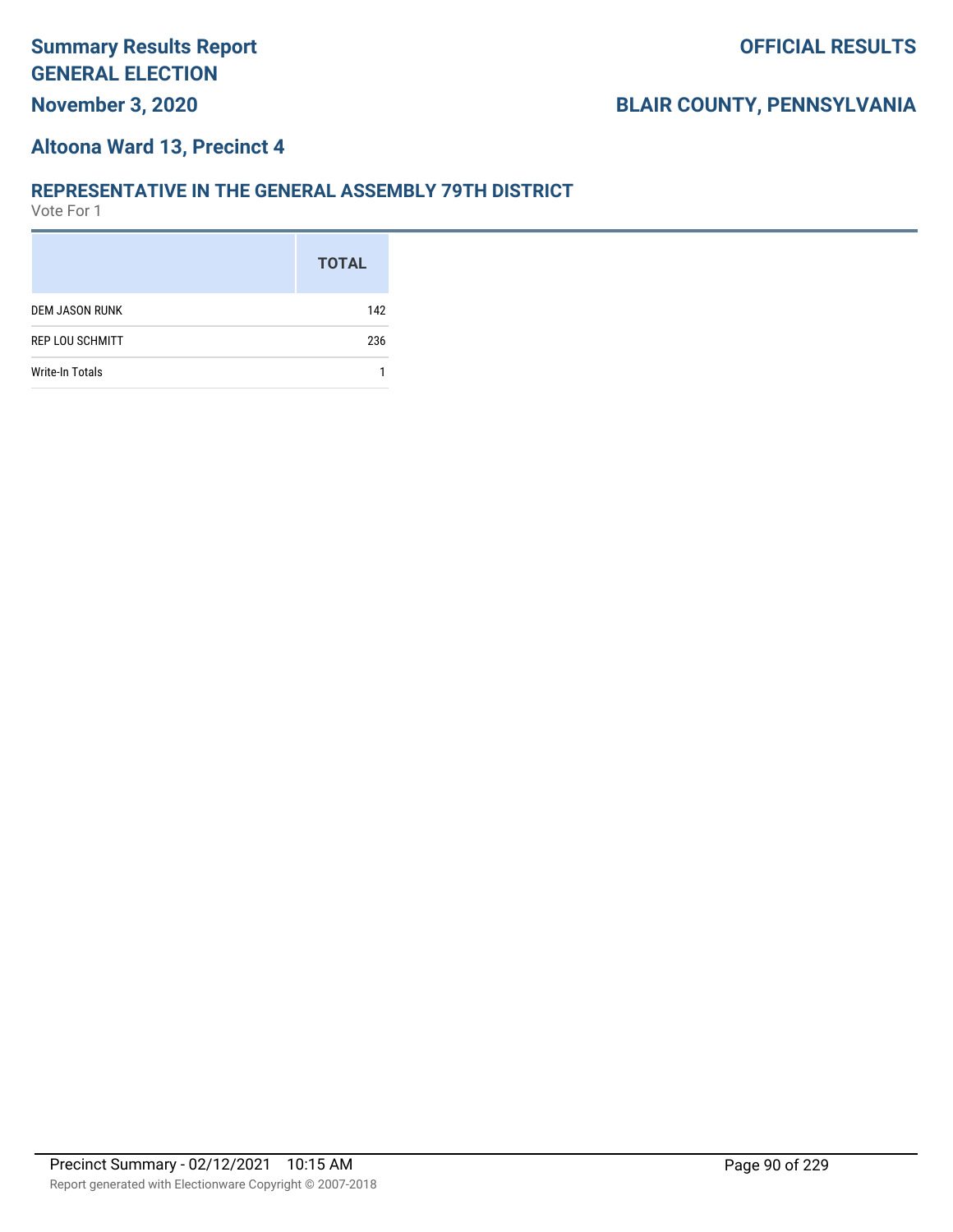#### **Altoona Ward 13, Precinct 4**

#### **REPRESENTATIVE IN THE GENERAL ASSEMBLY 79TH DISTRICT**

|                        | <b>TOTAL</b> |
|------------------------|--------------|
| <b>DEM JASON RUNK</b>  | 142          |
| <b>REP LOU SCHMITT</b> | 236          |
| <b>Write-In Totals</b> |              |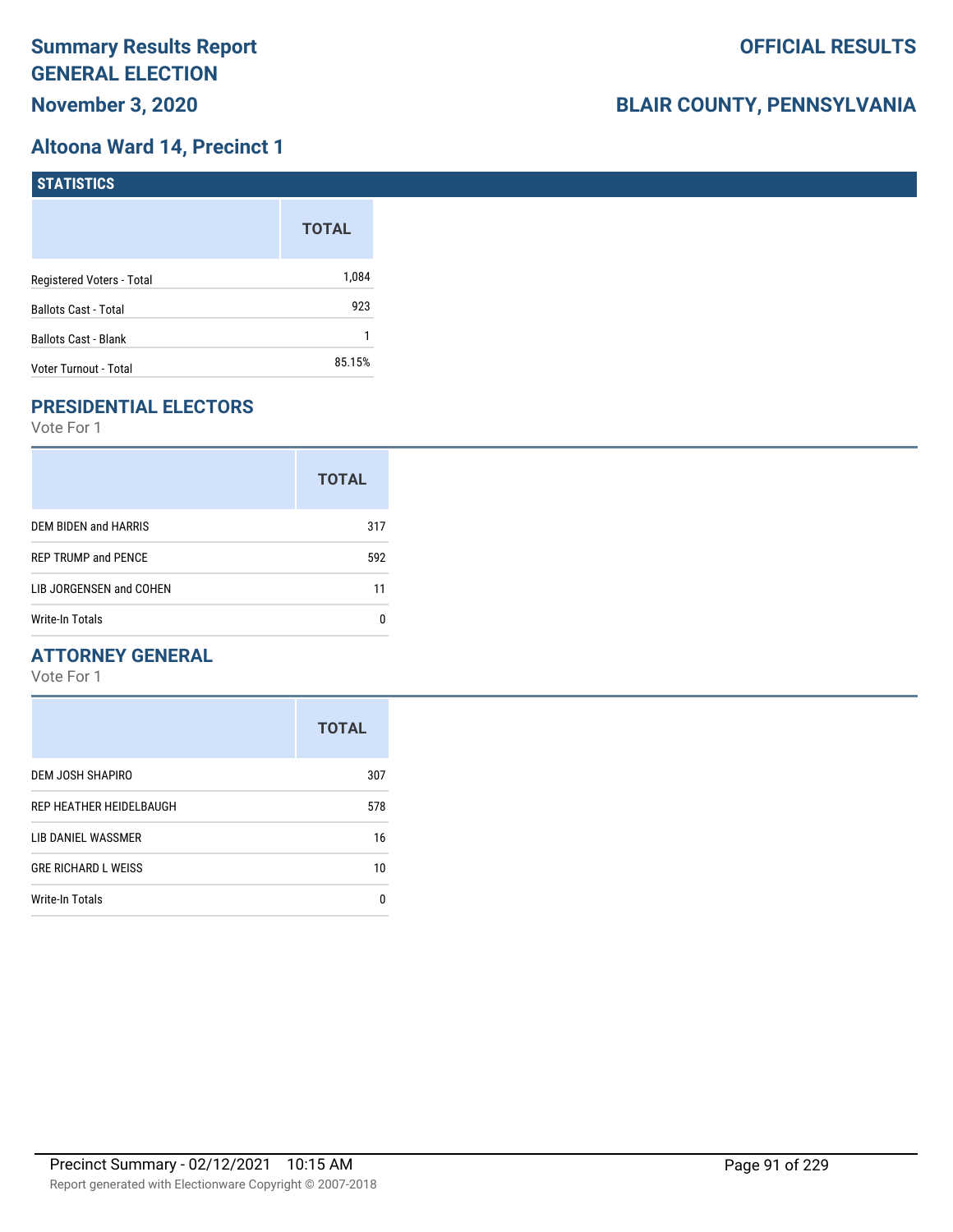### **Altoona Ward 14, Precinct 1**

| <b>STATISTICS</b>           |              |
|-----------------------------|--------------|
|                             | <b>TOTAL</b> |
| Registered Voters - Total   | 1,084        |
| <b>Ballots Cast - Total</b> | 923          |
| <b>Ballots Cast - Blank</b> |              |
| Voter Turnout - Total       | 85.15%       |

# **PRESIDENTIAL ELECTORS**

Vote For 1

|                            | <b>TOTAL</b> |
|----------------------------|--------------|
| DEM BIDEN and HARRIS       | 317          |
| <b>REP TRUMP and PENCE</b> | 592          |
| LIB JORGENSEN and COHEN    | 11           |
| Write-In Totals            |              |

### **ATTORNEY GENERAL**

|                            | <b>TOTAL</b> |
|----------------------------|--------------|
| DEM JOSH SHAPIRO           | 307          |
| REP HEATHER HEIDELBAUGH    | 578          |
| LIB DANIEL WASSMER         | 16           |
| <b>GRE RICHARD L WEISS</b> | 10           |
| <b>Write-In Totals</b>     | n            |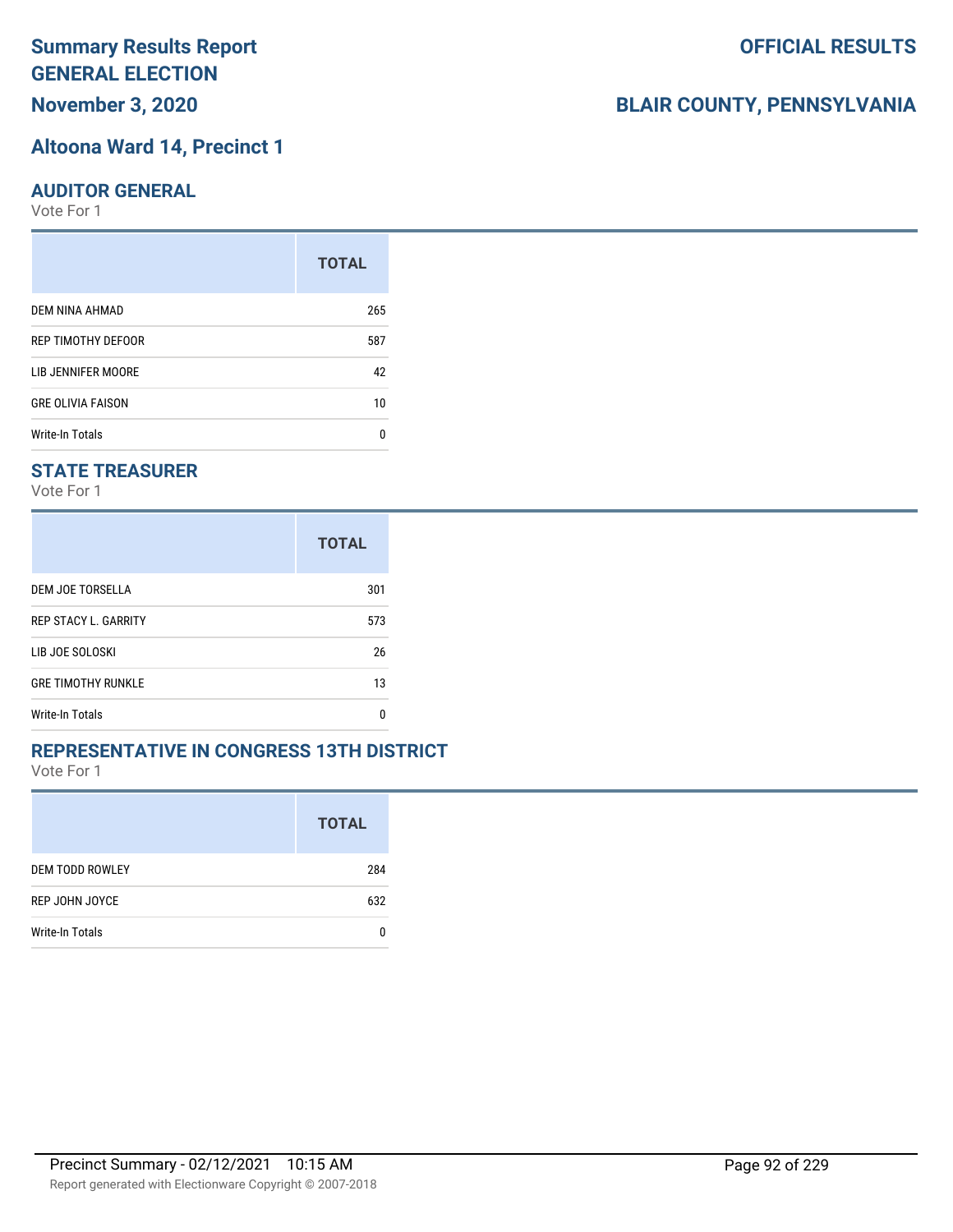# **Altoona Ward 14, Precinct 1**

#### **AUDITOR GENERAL**

Vote For 1

|                          | <b>TOTAL</b> |
|--------------------------|--------------|
| DEM NINA AHMAD           | 265          |
| REP TIMOTHY DEFOOR       | 587          |
| LIB JENNIFER MOORE       | 42           |
| <b>GRE OLIVIA FAISON</b> | 10           |
| Write-In Totals          | n            |

#### **STATE TREASURER**

Vote For 1

|                             | <b>TOTAL</b> |
|-----------------------------|--------------|
| DEM JOE TORSELLA            | 301          |
| <b>REP STACY L. GARRITY</b> | 573          |
| LIB JOE SOLOSKI             | 26           |
| <b>GRE TIMOTHY RUNKLE</b>   | 13           |
| <b>Write-In Totals</b>      | n            |

#### **REPRESENTATIVE IN CONGRESS 13TH DISTRICT**

Vote For 1

|                        | <b>TOTAL</b> |
|------------------------|--------------|
| <b>DEM TODD ROWLEY</b> | 284          |
| REP JOHN JOYCE         | 632          |
| Write-In Totals        |              |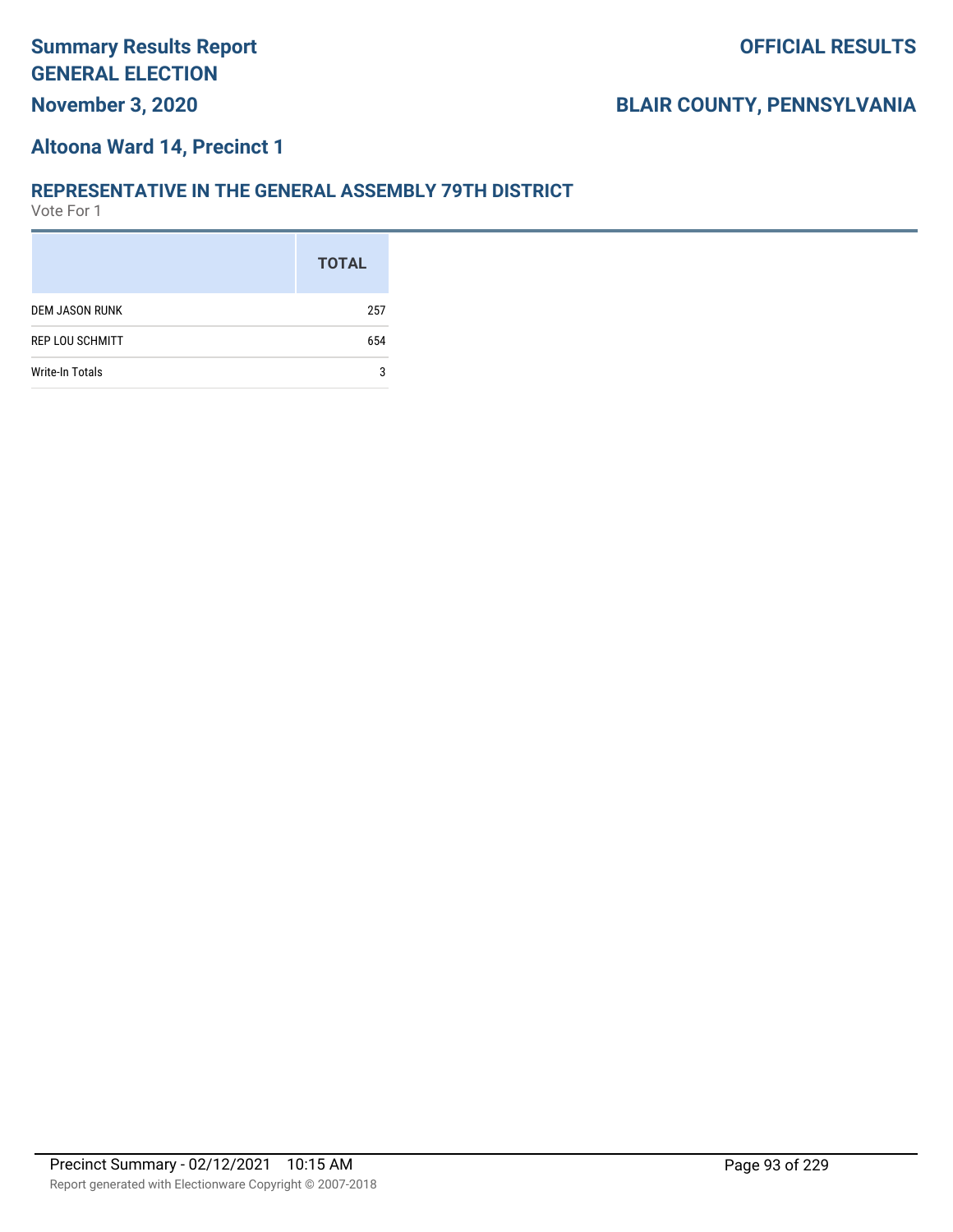#### **Altoona Ward 14, Precinct 1**

#### **REPRESENTATIVE IN THE GENERAL ASSEMBLY 79TH DISTRICT**

|                        | <b>TOTAL</b> |
|------------------------|--------------|
| <b>DEM JASON RUNK</b>  | 257          |
| <b>REP LOU SCHMITT</b> | 654          |
| <b>Write-In Totals</b> | 3            |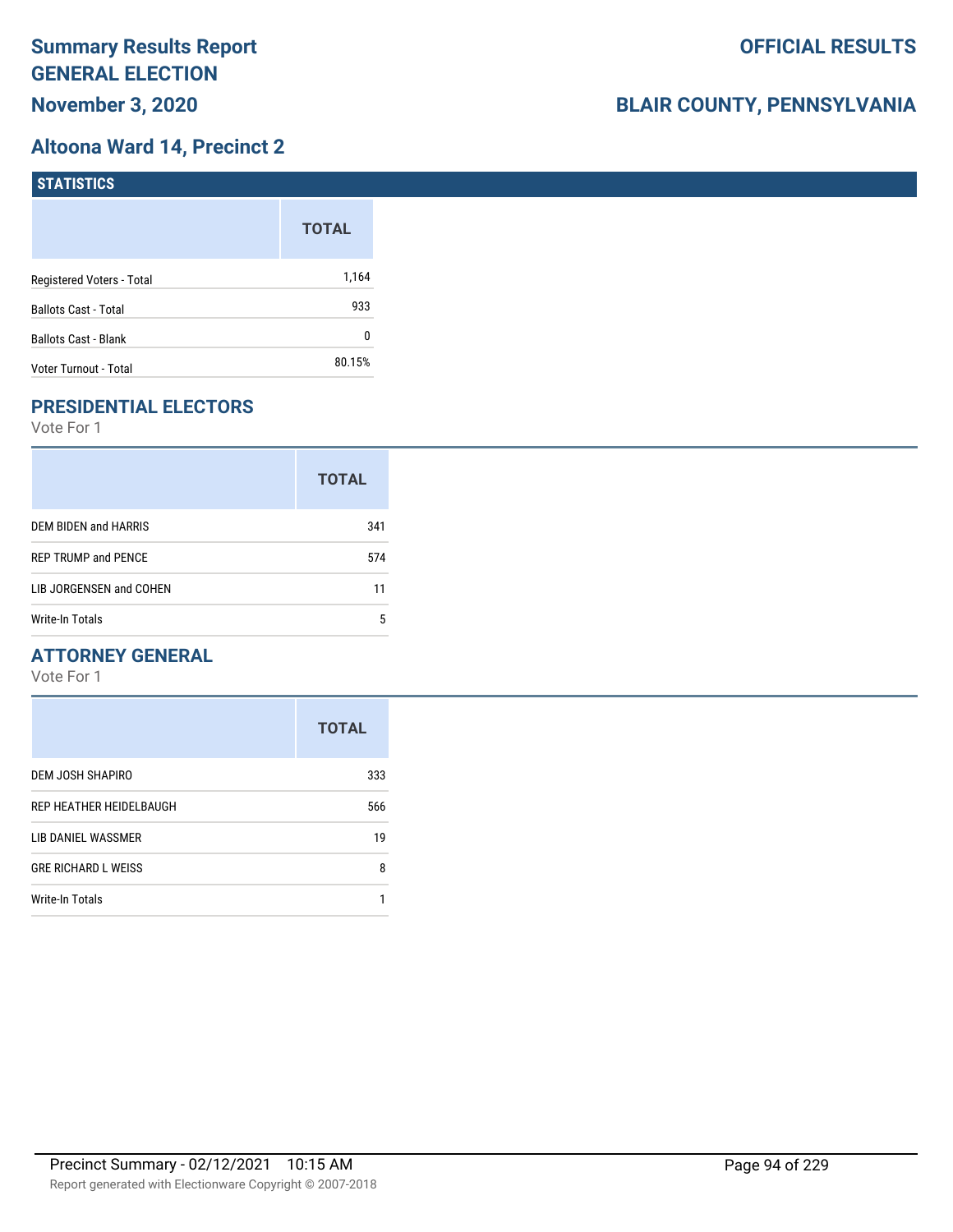### **Altoona Ward 14, Precinct 2**

| STATISTICS                  |              |
|-----------------------------|--------------|
|                             | <b>TOTAL</b> |
| Registered Voters - Total   | 1,164        |
| <b>Ballots Cast - Total</b> | 933          |
| <b>Ballots Cast - Blank</b> | 0            |
| Voter Turnout - Total       | 80.15%       |

# **PRESIDENTIAL ELECTORS**

Vote For 1

|                            | <b>TOTAL</b> |
|----------------------------|--------------|
| DEM BIDEN and HARRIS       | 341          |
| <b>REP TRUMP and PENCE</b> | 574          |
| LIB JORGENSEN and COHEN    | 11           |
| Write-In Totals            | 5            |

### **ATTORNEY GENERAL**

|                            | <b>TOTAL</b> |
|----------------------------|--------------|
| DEM JOSH SHAPIRO           | 333          |
| REP HEATHER HEIDELBAUGH    | 566          |
| LIB DANIEL WASSMER         | 19           |
| <b>GRE RICHARD L WEISS</b> | 8            |
| Write-In Totals            |              |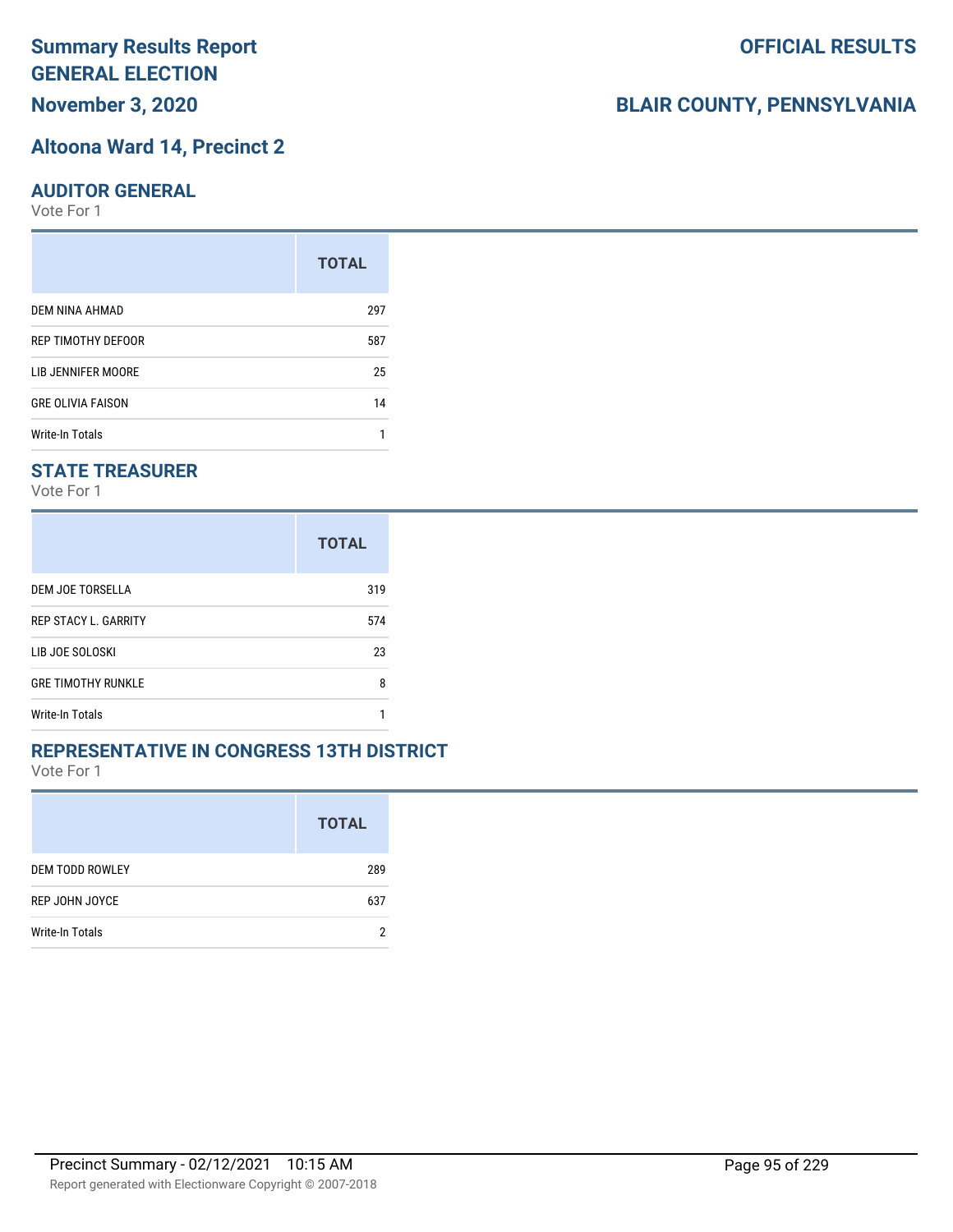# **Altoona Ward 14, Precinct 2**

#### **AUDITOR GENERAL**

Vote For 1

|                          | <b>TOTAL</b> |
|--------------------------|--------------|
| DEM NINA AHMAD           | 297          |
| REP TIMOTHY DEFOOR       | 587          |
| LIB JENNIFER MOORE       | 25           |
| <b>GRE OLIVIA FAISON</b> | 14           |
| <b>Write-In Totals</b>   |              |

#### **STATE TREASURER**

Vote For 1

|                             | <b>TOTAL</b> |
|-----------------------------|--------------|
| DEM JOE TORSELLA            | 319          |
| <b>REP STACY L. GARRITY</b> | 574          |
| LIB JOE SOLOSKI             | 23           |
| <b>GRE TIMOTHY RUNKLE</b>   | 8            |
| Write-In Totals             |              |

#### **REPRESENTATIVE IN CONGRESS 13TH DISTRICT**

Vote For 1

|                        | <b>TOTAL</b> |
|------------------------|--------------|
| <b>DEM TODD ROWLEY</b> | 289          |
| REP JOHN JOYCE         | 637          |
| <b>Write-In Totals</b> |              |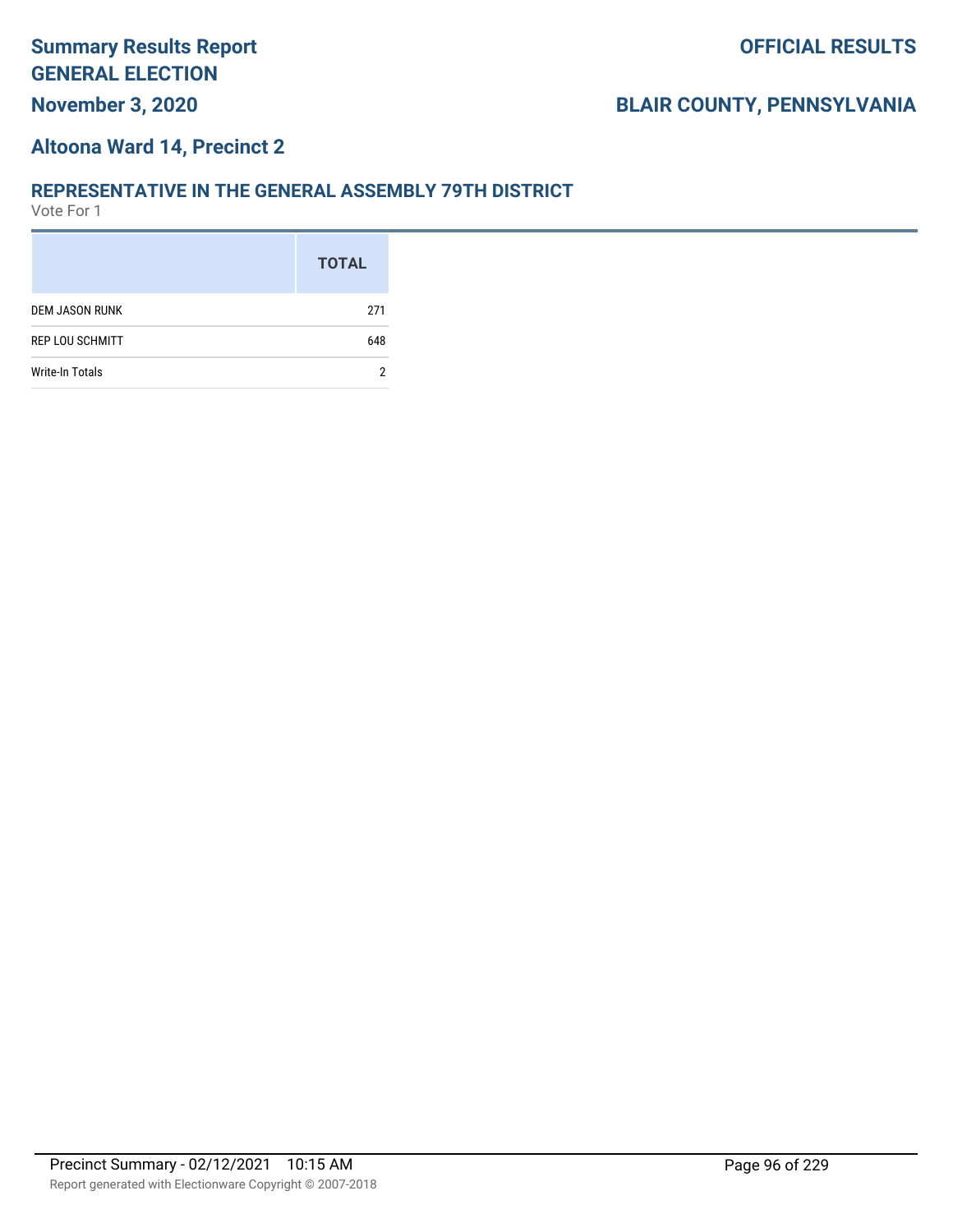#### **Altoona Ward 14, Precinct 2**

#### **REPRESENTATIVE IN THE GENERAL ASSEMBLY 79TH DISTRICT**

|                        | <b>TOTAL</b> |
|------------------------|--------------|
| <b>DEM JASON RUNK</b>  | 271          |
| <b>REP LOU SCHMITT</b> | 648          |
| <b>Write-In Totals</b> | 2            |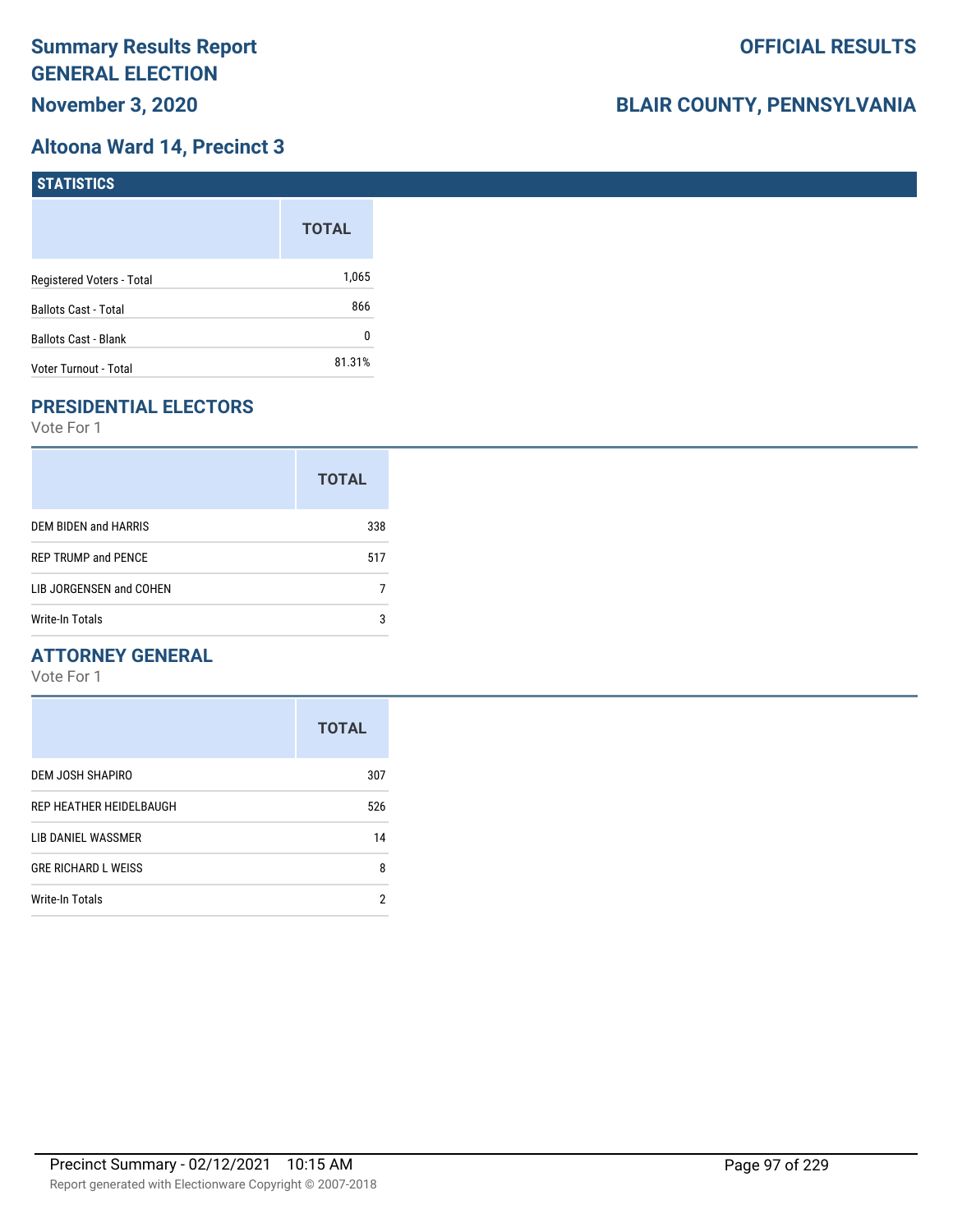### **Altoona Ward 14, Precinct 3**

| <b>STATISTICS</b>           |              |
|-----------------------------|--------------|
|                             | <b>TOTAL</b> |
| Registered Voters - Total   | 1,065        |
| <b>Ballots Cast - Total</b> | 866          |
| <b>Ballots Cast - Blank</b> | 0            |
| Voter Turnout - Total       | 81.31%       |

# **PRESIDENTIAL ELECTORS**

Vote For 1

|                            | <b>TOTAL</b> |
|----------------------------|--------------|
| DEM BIDEN and HARRIS       | 338          |
| <b>REP TRUMP and PENCE</b> | 517          |
| LIB JORGENSEN and COHEN    |              |
| Write-In Totals            | 3            |

### **ATTORNEY GENERAL**

|                            | <b>TOTAL</b> |
|----------------------------|--------------|
| DEM JOSH SHAPIRO           | 307          |
| REP HEATHER HEIDELBAUGH    | 526          |
| LIB DANIEL WASSMER         | 14           |
| <b>GRE RICHARD L WEISS</b> | 8            |
| <b>Write-In Totals</b>     | 2            |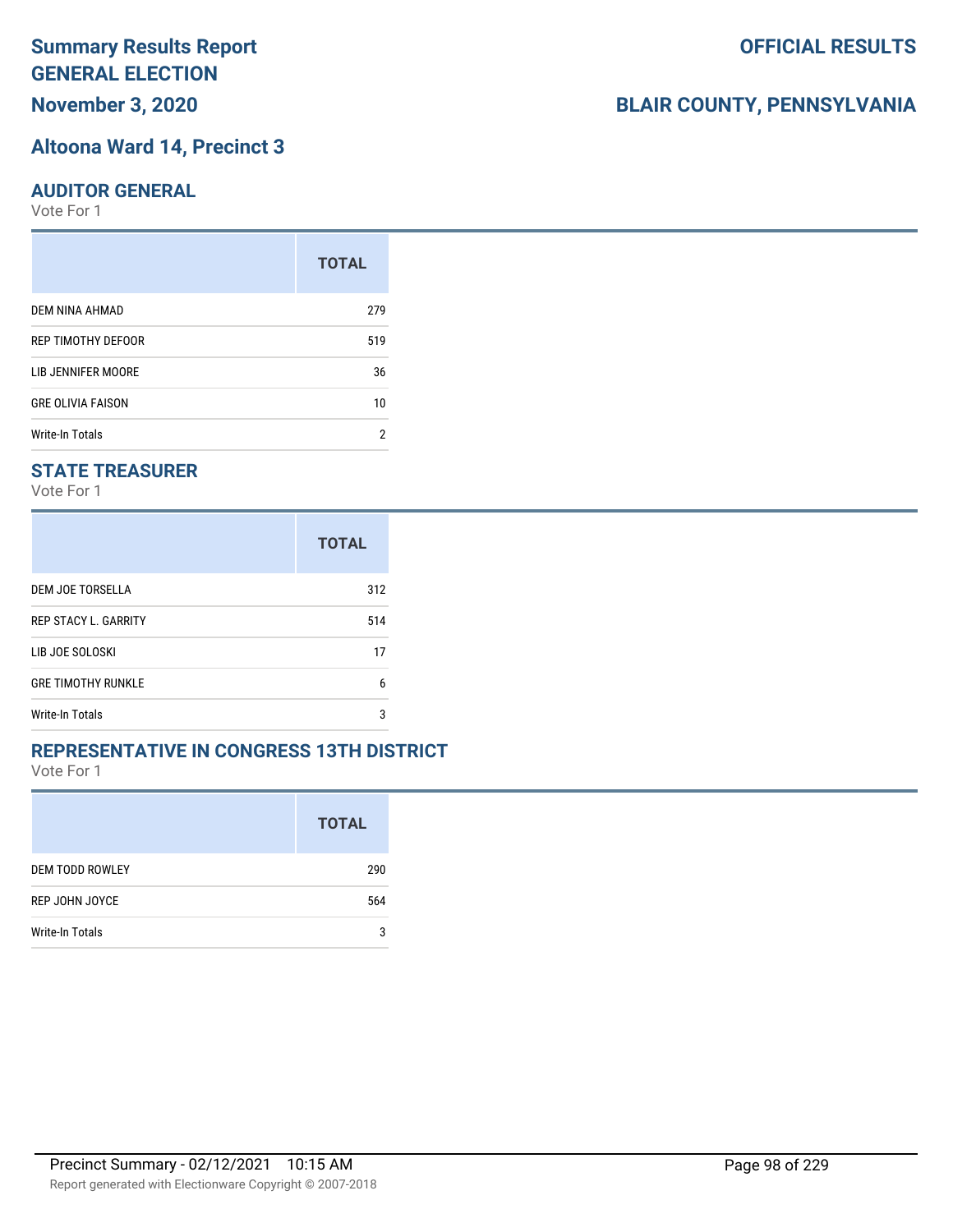# **Altoona Ward 14, Precinct 3**

#### **AUDITOR GENERAL**

Vote For 1

|                          | <b>TOTAL</b> |
|--------------------------|--------------|
| DEM NINA AHMAD           | 279          |
| REP TIMOTHY DEFOOR       | 519          |
| LIB JENNIFER MOORE       | 36           |
| <b>GRE OLIVIA FAISON</b> | 10           |
| Write-In Totals          | 2            |

### **STATE TREASURER**

Vote For 1

|                             | <b>TOTAL</b> |
|-----------------------------|--------------|
| DEM JOE TORSELLA            | 312          |
| <b>REP STACY L. GARRITY</b> | 514          |
| LIB JOE SOLOSKI             | 17           |
| <b>GRE TIMOTHY RUNKLE</b>   | 6            |
| Write-In Totals             | 3            |

#### **REPRESENTATIVE IN CONGRESS 13TH DISTRICT**

Vote For 1

|                        | <b>TOTAL</b> |
|------------------------|--------------|
| <b>DEM TODD ROWLEY</b> | 290          |
| REP JOHN JOYCE         | 564          |
| <b>Write-In Totals</b> | 3            |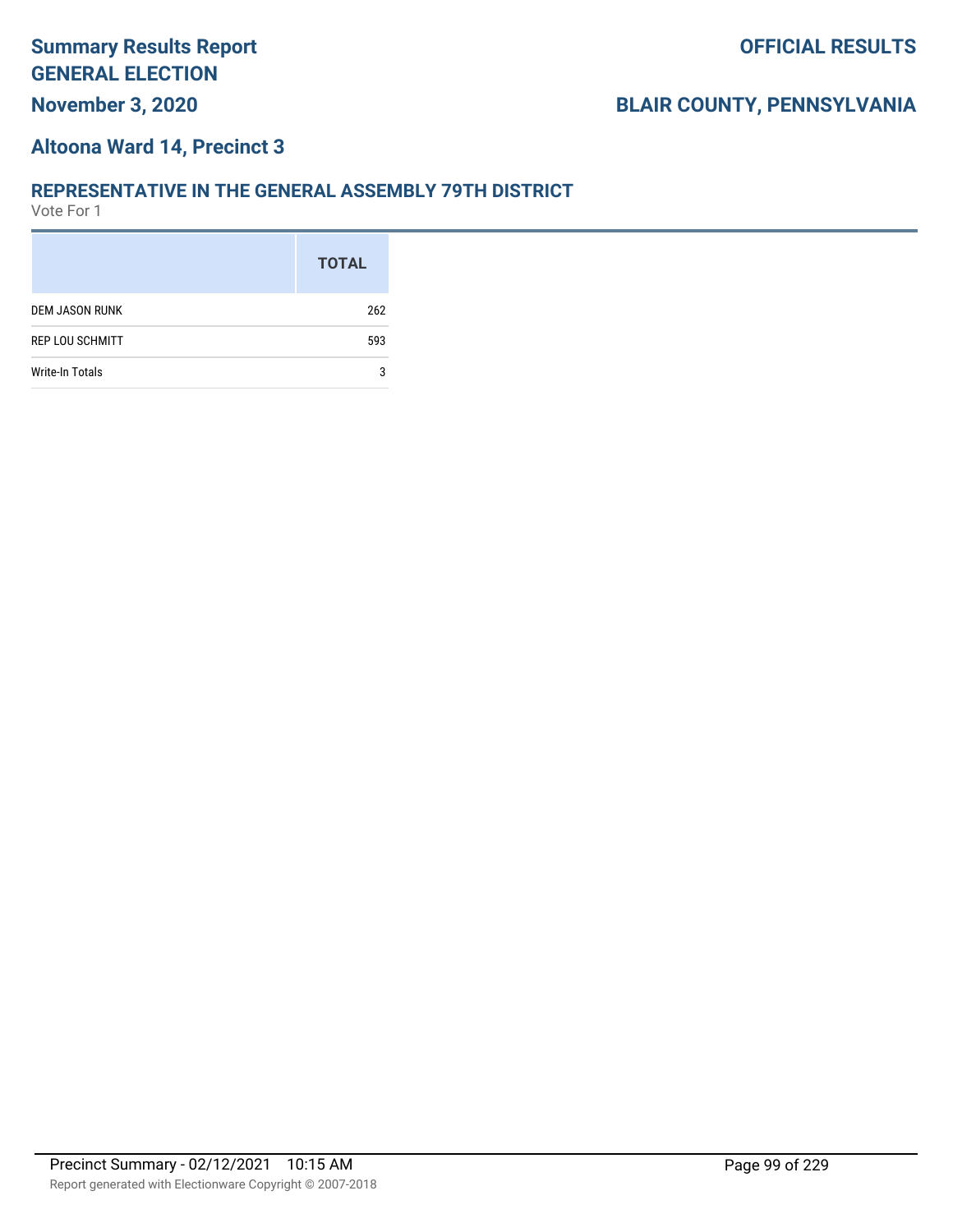#### **Altoona Ward 14, Precinct 3**

#### **REPRESENTATIVE IN THE GENERAL ASSEMBLY 79TH DISTRICT**

|                        | <b>TOTAL</b> |
|------------------------|--------------|
| <b>DEM JASON RUNK</b>  | 262          |
| <b>REP LOU SCHMITT</b> | 593          |
| <b>Write-In Totals</b> | 3            |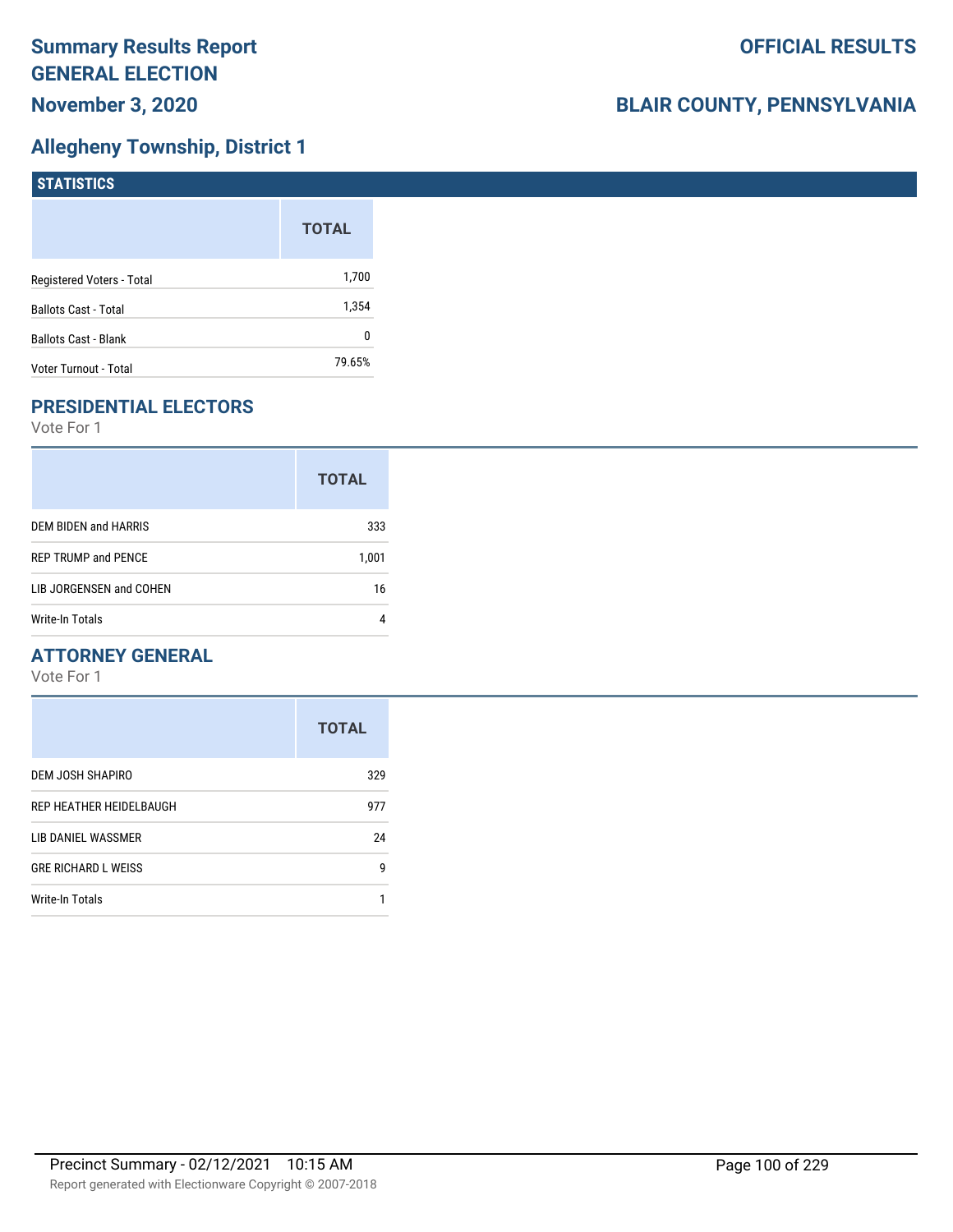# **Allegheny Township, District 1**

| <b>STATISTICS</b>           |              |
|-----------------------------|--------------|
|                             | <b>TOTAL</b> |
| Registered Voters - Total   | 1,700        |
| <b>Ballots Cast - Total</b> | 1,354        |
| <b>Ballots Cast - Blank</b> | 0            |
| Voter Turnout - Total       | 79.65%       |

# **PRESIDENTIAL ELECTORS**

Vote For 1

|                            | <b>TOTAL</b> |
|----------------------------|--------------|
| DEM BIDEN and HARRIS       | 333          |
| <b>REP TRUMP and PENCE</b> | 1,001        |
| LIB JORGENSEN and COHEN    | 16           |
| Write-In Totals            |              |

### **ATTORNEY GENERAL**

|                            | <b>TOTAL</b> |
|----------------------------|--------------|
| DEM JOSH SHAPIRO           | 329          |
| REP HEATHER HEIDELBAUGH    | 977          |
| LIB DANIEL WASSMER         | 24           |
| <b>GRE RICHARD L WEISS</b> | g            |
| Write-In Totals            |              |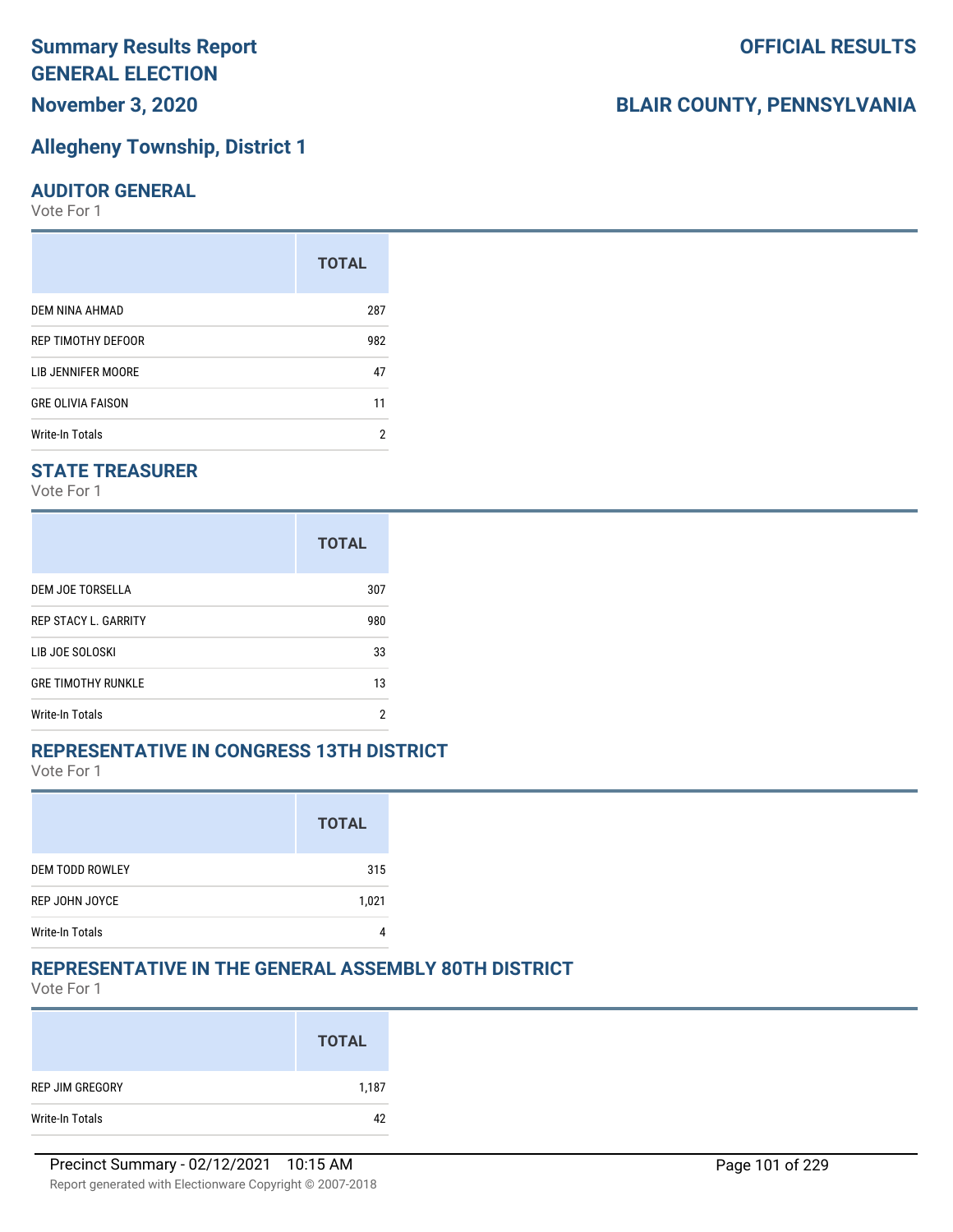# **Allegheny Township, District 1**

#### **AUDITOR GENERAL**

Vote For 1

|                          | <b>TOTAL</b> |
|--------------------------|--------------|
| DEM NINA AHMAD           | 287          |
| REP TIMOTHY DEFOOR       | 982          |
| LIB JENNIFER MOORE       | 47           |
| <b>GRE OLIVIA FAISON</b> | 11           |
| Write-In Totals          | 2            |

### **STATE TREASURER**

Vote For 1

|                             | <b>TOTAL</b> |
|-----------------------------|--------------|
| DEM JOE TORSELLA            | 307          |
| <b>REP STACY L. GARRITY</b> | 980          |
| LIB JOE SOLOSKI             | 33           |
| <b>GRE TIMOTHY RUNKLE</b>   | 13           |
| <b>Write-In Totals</b>      | 2            |

#### **REPRESENTATIVE IN CONGRESS 13TH DISTRICT**

Vote For 1

|                        | <b>TOTAL</b> |
|------------------------|--------------|
| <b>DEM TODD ROWLEY</b> | 315          |
| REP JOHN JOYCE         | 1,021        |
| <b>Write-In Totals</b> |              |

## **REPRESENTATIVE IN THE GENERAL ASSEMBLY 80TH DISTRICT**

Vote For 1

|                 | <b>TOTAL</b> |
|-----------------|--------------|
| REP JIM GREGORY | 1,187        |
| Write-In Totals | 42           |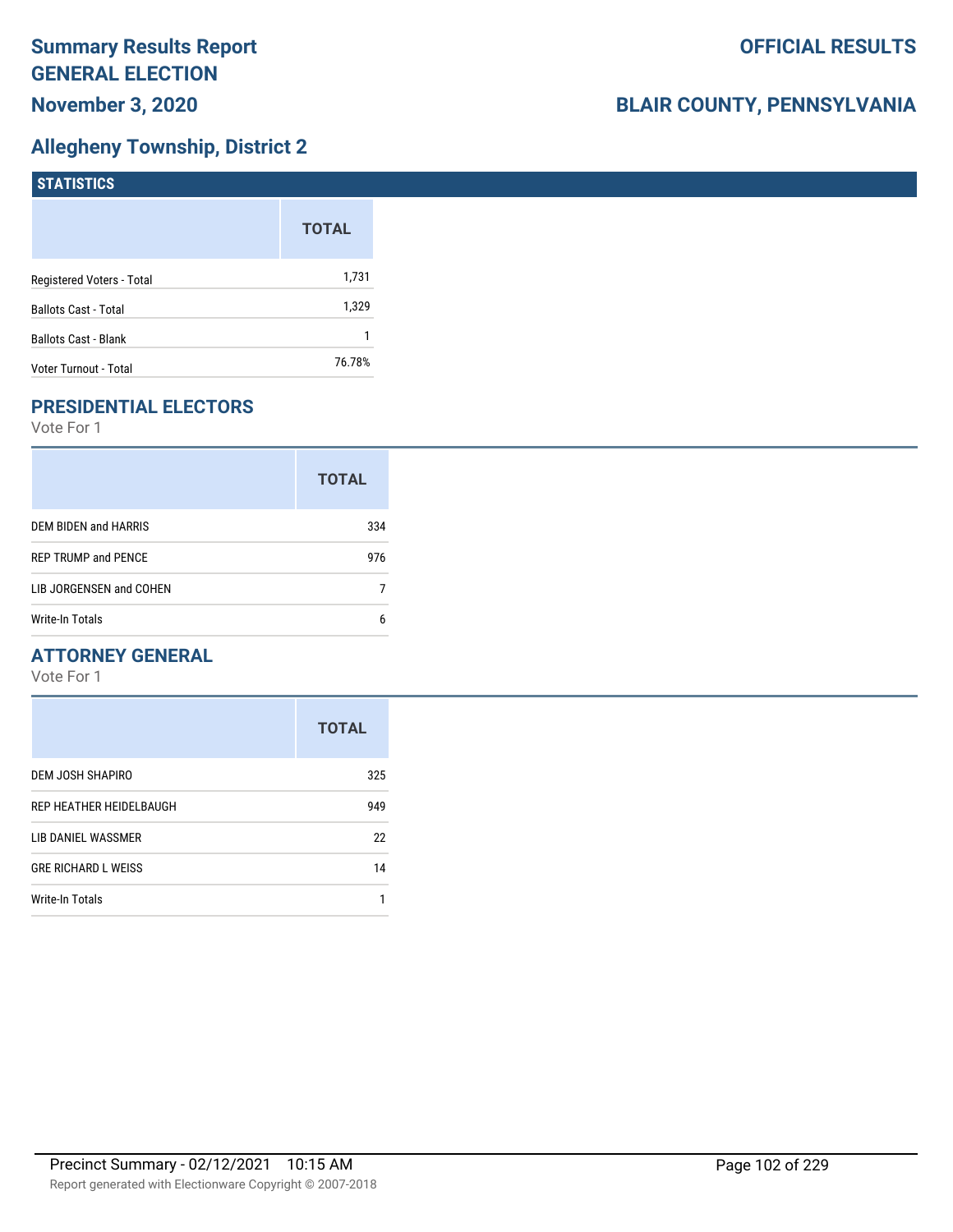# **Allegheny Township, District 2**

| <b>STATISTICS</b>           |              |
|-----------------------------|--------------|
|                             | <b>TOTAL</b> |
| Registered Voters - Total   | 1,731        |
| <b>Ballots Cast - Total</b> | 1,329        |
| Ballots Cast - Blank        |              |
| Voter Turnout - Total       | 76.78%       |

# **PRESIDENTIAL ELECTORS**

Vote For 1

|                            | <b>TOTAL</b> |
|----------------------------|--------------|
| DEM BIDEN and HARRIS       | 334          |
| <b>REP TRUMP and PENCE</b> | 976          |
| LIB JORGENSEN and COHEN    |              |
| Write-In Totals            | 6            |

### **ATTORNEY GENERAL**

|                            | <b>TOTAL</b> |
|----------------------------|--------------|
| DEM JOSH SHAPIRO           | 325          |
| REP HEATHER HEIDELBAUGH    | 949          |
| LIB DANIEL WASSMER         | 22           |
| <b>GRE RICHARD L WEISS</b> | 14           |
| Write-In Totals            |              |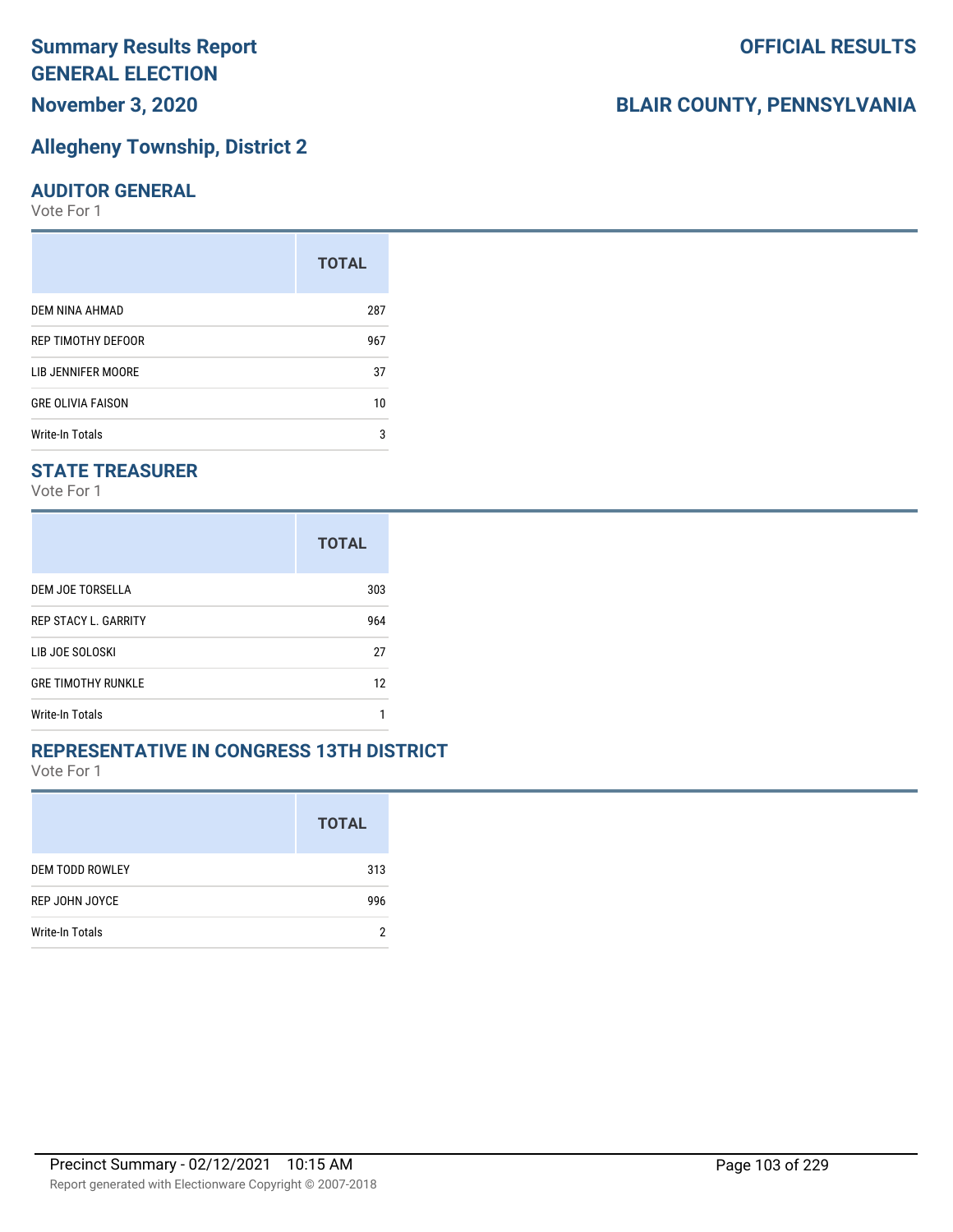# **Allegheny Township, District 2**

#### **AUDITOR GENERAL**

Vote For 1

|                          | <b>TOTAL</b> |
|--------------------------|--------------|
| DEM NINA AHMAD           | 287          |
| REP TIMOTHY DEFOOR       | 967          |
| LIB JENNIFER MOORE       | 37           |
| <b>GRE OLIVIA FAISON</b> | 10           |
| Write-In Totals          | 3            |

### **STATE TREASURER**

Vote For 1

|                             | <b>TOTAL</b> |
|-----------------------------|--------------|
| DEM JOE TORSELLA            | 303          |
| <b>REP STACY L. GARRITY</b> | 964          |
| LIB JOE SOLOSKI             | 27           |
| <b>GRE TIMOTHY RUNKLE</b>   | 12           |
| <b>Write-In Totals</b>      |              |

#### **REPRESENTATIVE IN CONGRESS 13TH DISTRICT**

Vote For 1

|                        | <b>TOTAL</b> |
|------------------------|--------------|
| <b>DEM TODD ROWLEY</b> | 313          |
| REP JOHN JOYCE         | 996          |
| Write-In Totals        | ŋ            |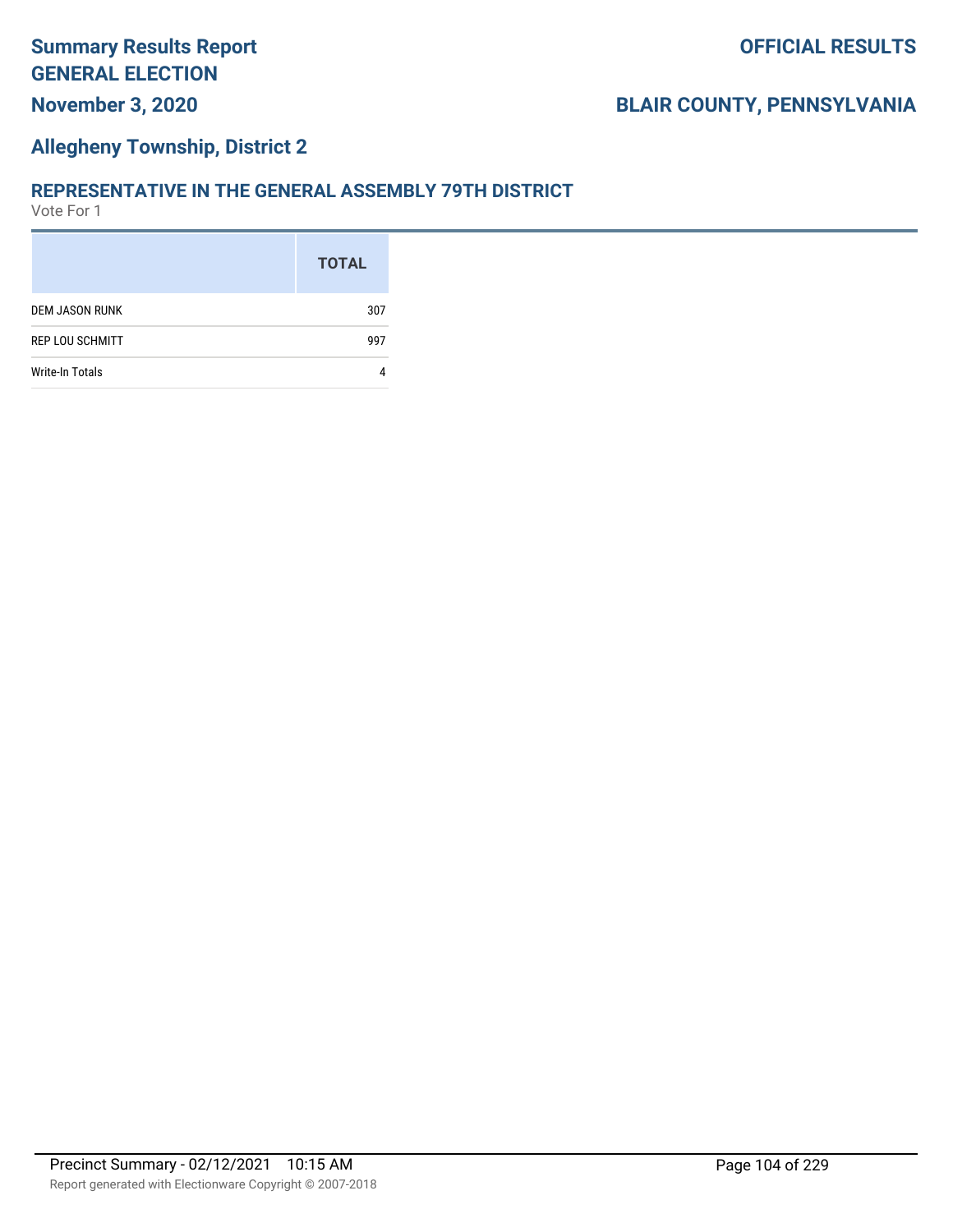### **Allegheny Township, District 2**

#### **REPRESENTATIVE IN THE GENERAL ASSEMBLY 79TH DISTRICT**

|                        | <b>TOTAL</b> |
|------------------------|--------------|
| DEM JASON RUNK         | 307          |
| <b>REP LOU SCHMITT</b> | 997          |
| <b>Write-In Totals</b> |              |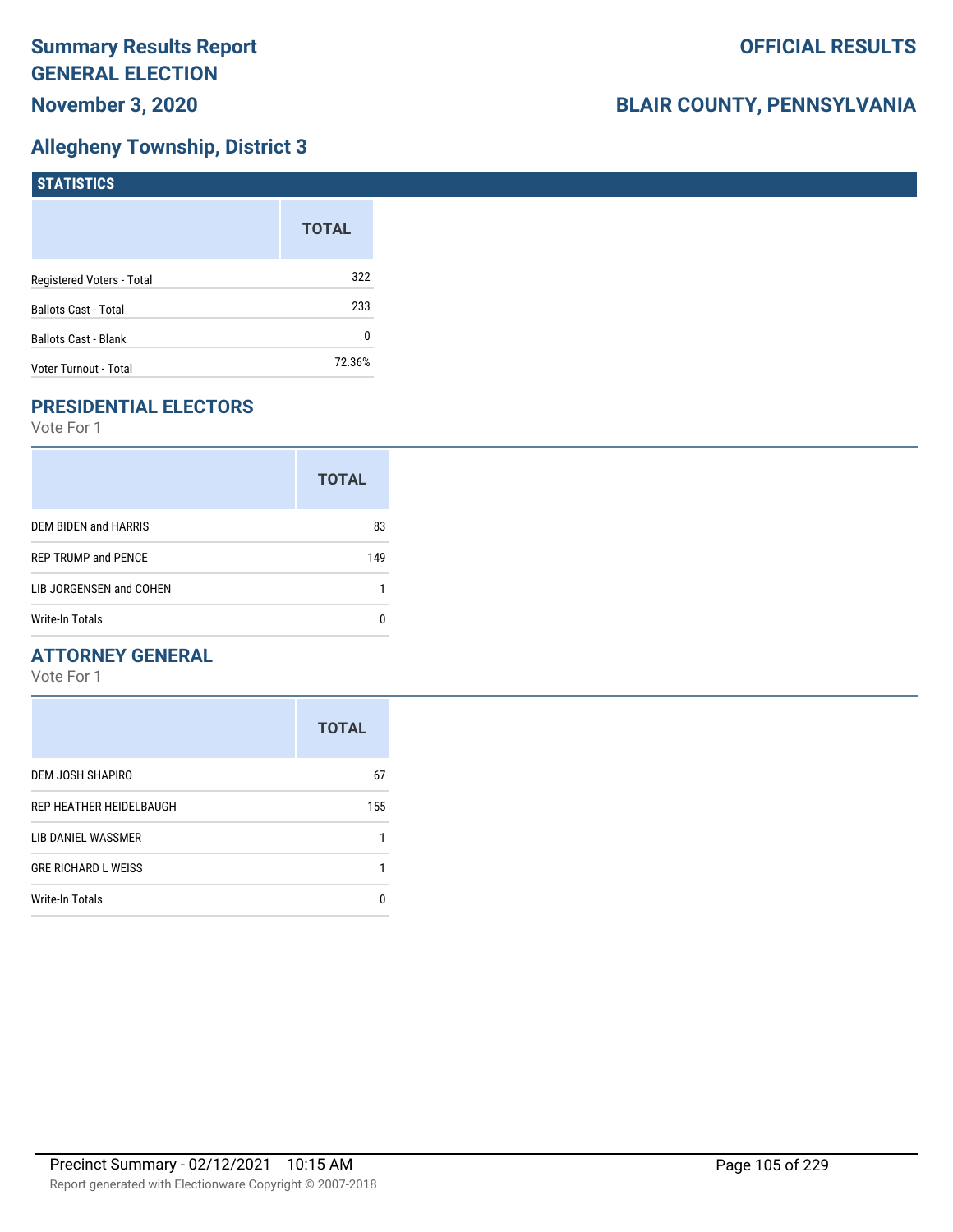# **Allegheny Township, District 3**

| <b>STATISTICS</b>           |              |
|-----------------------------|--------------|
|                             | <b>TOTAL</b> |
| Registered Voters - Total   | 322          |
| <b>Ballots Cast - Total</b> | 233          |
| <b>Ballots Cast - Blank</b> | 0            |
| Voter Turnout - Total       | 72.36%       |

# **PRESIDENTIAL ELECTORS**

Vote For 1

| <b>TOTAL</b> |
|--------------|
| 83           |
| 149          |
|              |
|              |
|              |

## **ATTORNEY GENERAL**

|                            | <b>TOTAL</b> |
|----------------------------|--------------|
| DEM JOSH SHAPIRO           | 67           |
| REP HEATHER HEIDELBAUGH    | 155          |
| LIB DANIEL WASSMER         |              |
| <b>GRE RICHARD L WEISS</b> |              |
| <b>Write-In Totals</b>     | n            |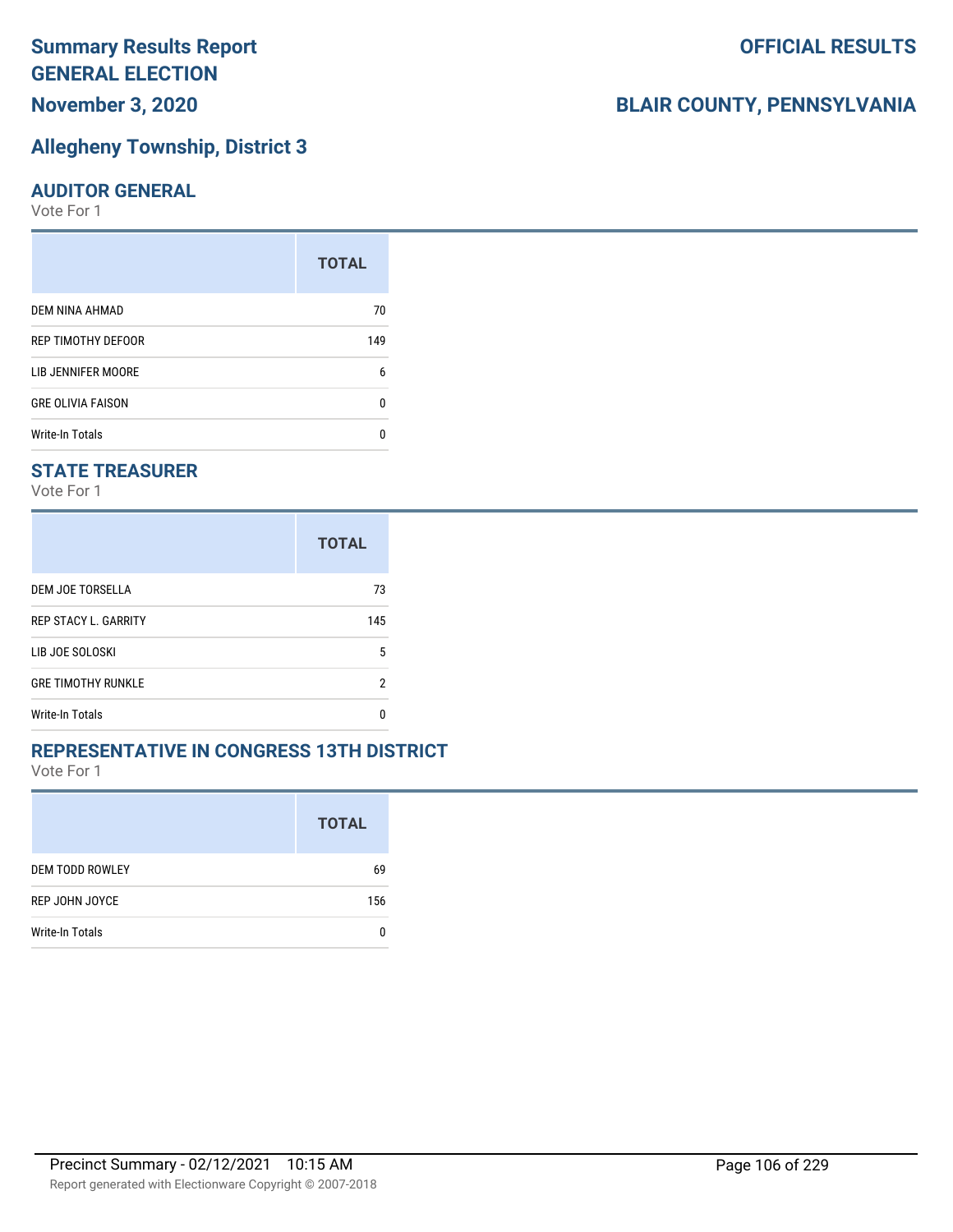# **Allegheny Township, District 3**

#### **AUDITOR GENERAL**

Vote For 1

| <b>TOTAL</b> |
|--------------|
| 70           |
| 149          |
| 6            |
| U            |
|              |
|              |

#### **STATE TREASURER**

Vote For 1

|                             | <b>TOTAL</b> |
|-----------------------------|--------------|
| DEM JOE TORSELLA            | 73           |
| <b>REP STACY L. GARRITY</b> | 145          |
| LIB JOE SOLOSKI             | 5            |
| <b>GRE TIMOTHY RUNKLE</b>   | 2            |
| <b>Write-In Totals</b>      |              |

#### **REPRESENTATIVE IN CONGRESS 13TH DISTRICT**

Vote For 1

|                        | <b>TOTAL</b> |
|------------------------|--------------|
| <b>DEM TODD ROWLEY</b> | 69           |
| REP JOHN JOYCE         | 156          |
| Write-In Totals        |              |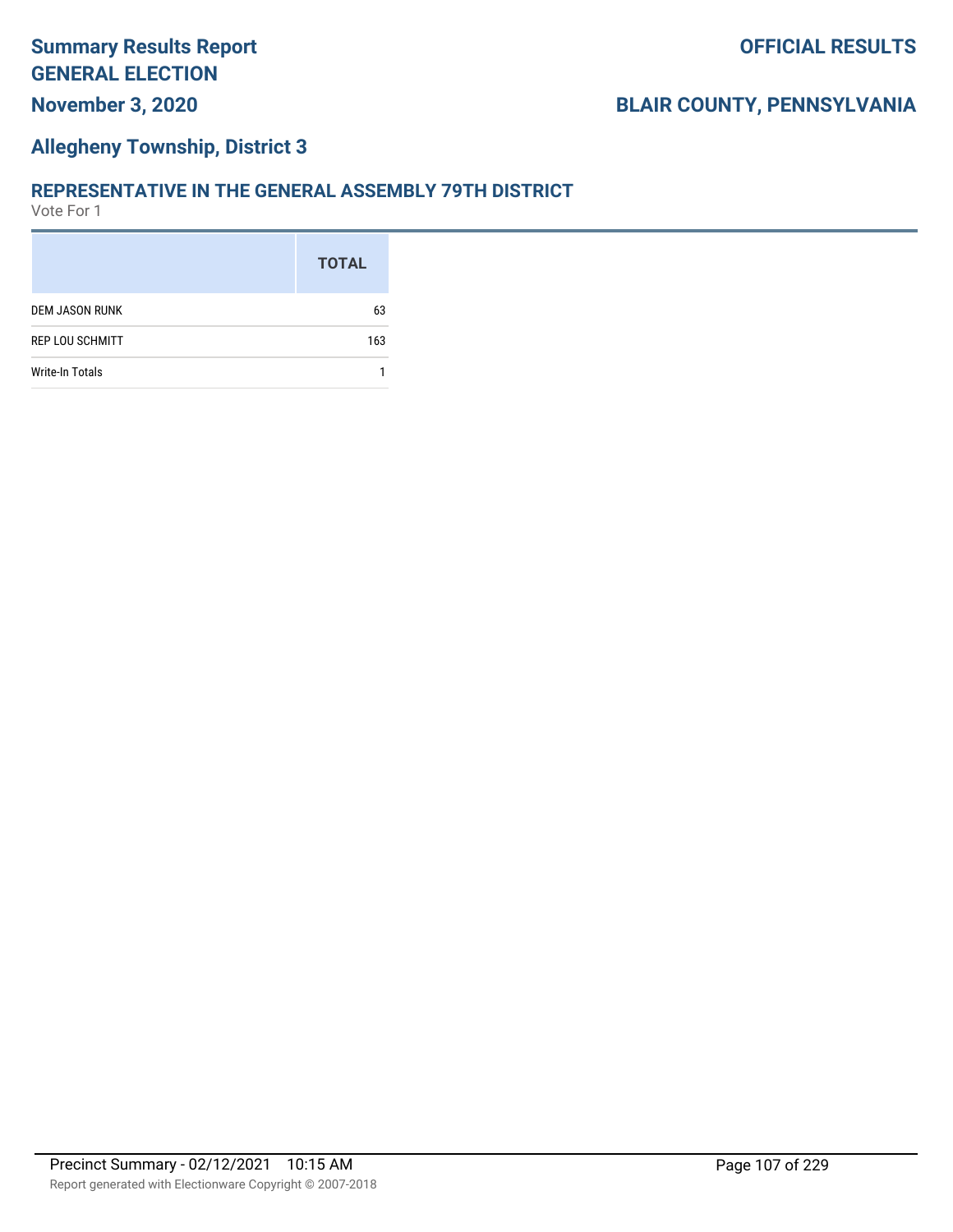## **Allegheny Township, District 3**

#### **REPRESENTATIVE IN THE GENERAL ASSEMBLY 79TH DISTRICT**

|                        | <b>TOTAL</b> |
|------------------------|--------------|
| DEM JASON RUNK         | 63           |
| REP LOU SCHMITT        | 163          |
| <b>Write-In Totals</b> |              |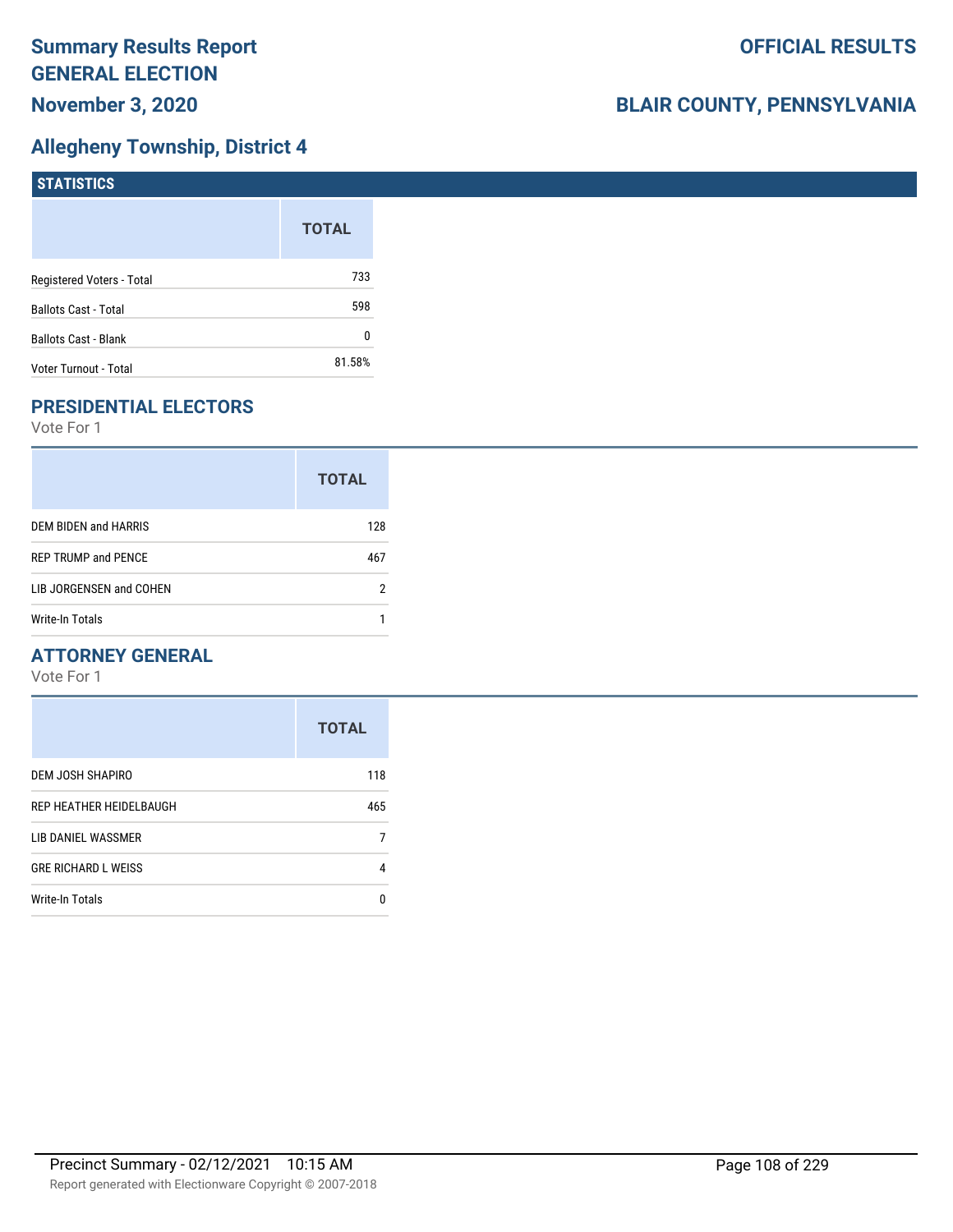# **Allegheny Township, District 4**

| <b>STATISTICS</b>           |              |
|-----------------------------|--------------|
|                             | <b>TOTAL</b> |
| Registered Voters - Total   | 733          |
| <b>Ballots Cast - Total</b> | 598          |
| Ballots Cast - Blank        | 0            |
| Voter Turnout - Total       | 81.58%       |

# **PRESIDENTIAL ELECTORS**

Vote For 1

|                            | <b>TOTAL</b> |
|----------------------------|--------------|
| DEM BIDEN and HARRIS       | 128          |
| <b>REP TRUMP and PENCE</b> | 467          |
| LIB JORGENSEN and COHEN    | 2            |
| Write-In Totals            |              |

## **ATTORNEY GENERAL**

|                            | <b>TOTAL</b> |
|----------------------------|--------------|
| DEM JOSH SHAPIRO           | 118          |
| REP HEATHER HEIDELBAUGH    | 465          |
| LIB DANIEL WASSMER         |              |
| <b>GRE RICHARD L WEISS</b> | 4            |
| <b>Write-In Totals</b>     | n            |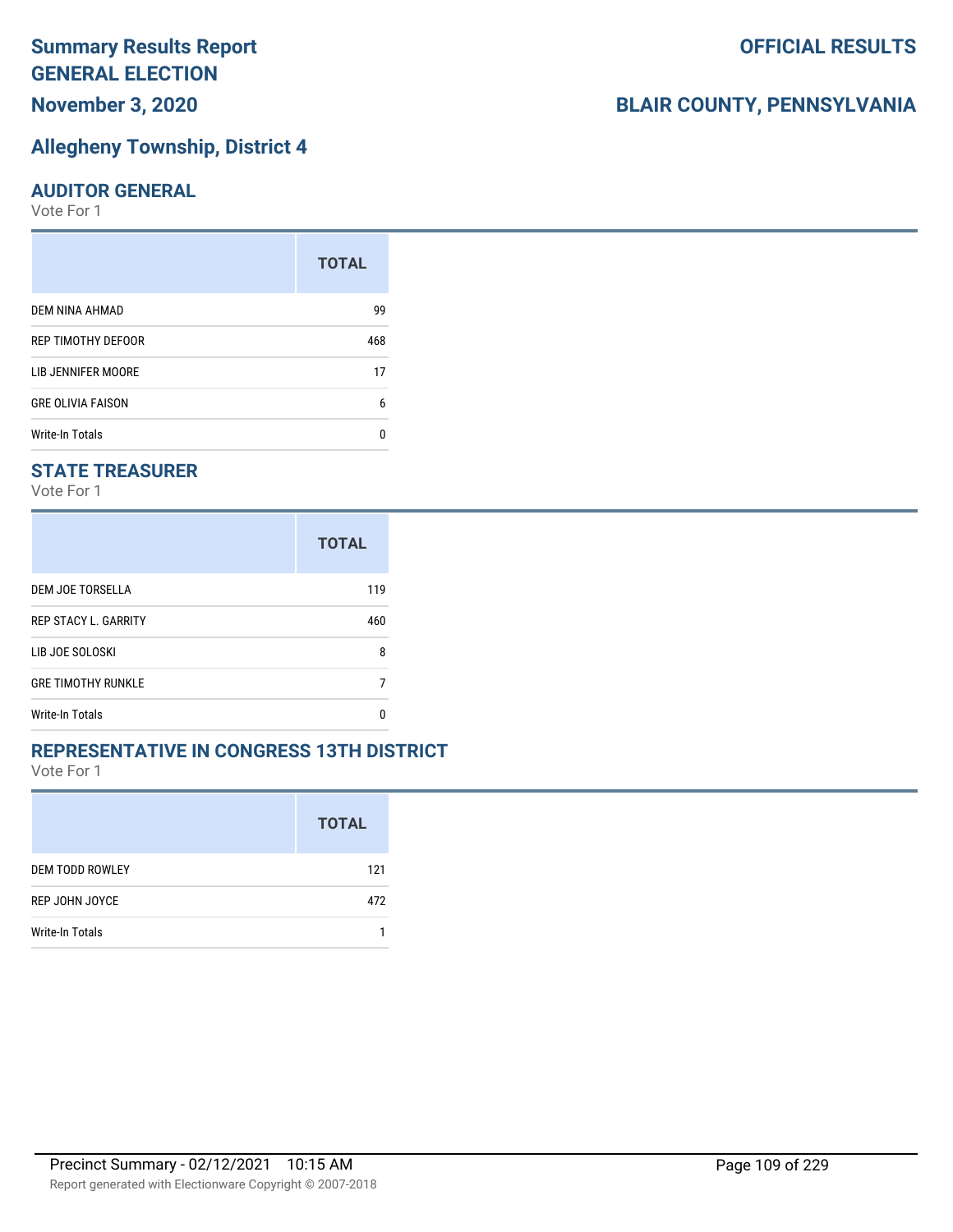## **Allegheny Township, District 4**

#### **AUDITOR GENERAL**

Vote For 1

| <b>TOTAL</b> |
|--------------|
| 99           |
| 468          |
| 17           |
| 6            |
| n            |
|              |

### **STATE TREASURER**

Vote For 1

|                             | <b>TOTAL</b> |
|-----------------------------|--------------|
| DEM JOE TORSELLA            | 119          |
| <b>REP STACY L. GARRITY</b> | 460          |
| LIB JOE SOLOSKI             | 8            |
| <b>GRE TIMOTHY RUNKLE</b>   |              |
| <b>Write-In Totals</b>      | n            |

### **REPRESENTATIVE IN CONGRESS 13TH DISTRICT**

Vote For 1

|                        | <b>TOTAL</b> |
|------------------------|--------------|
| <b>DEM TODD ROWLEY</b> | 121          |
| REP JOHN JOYCE         | 472          |
| Write-In Totals        |              |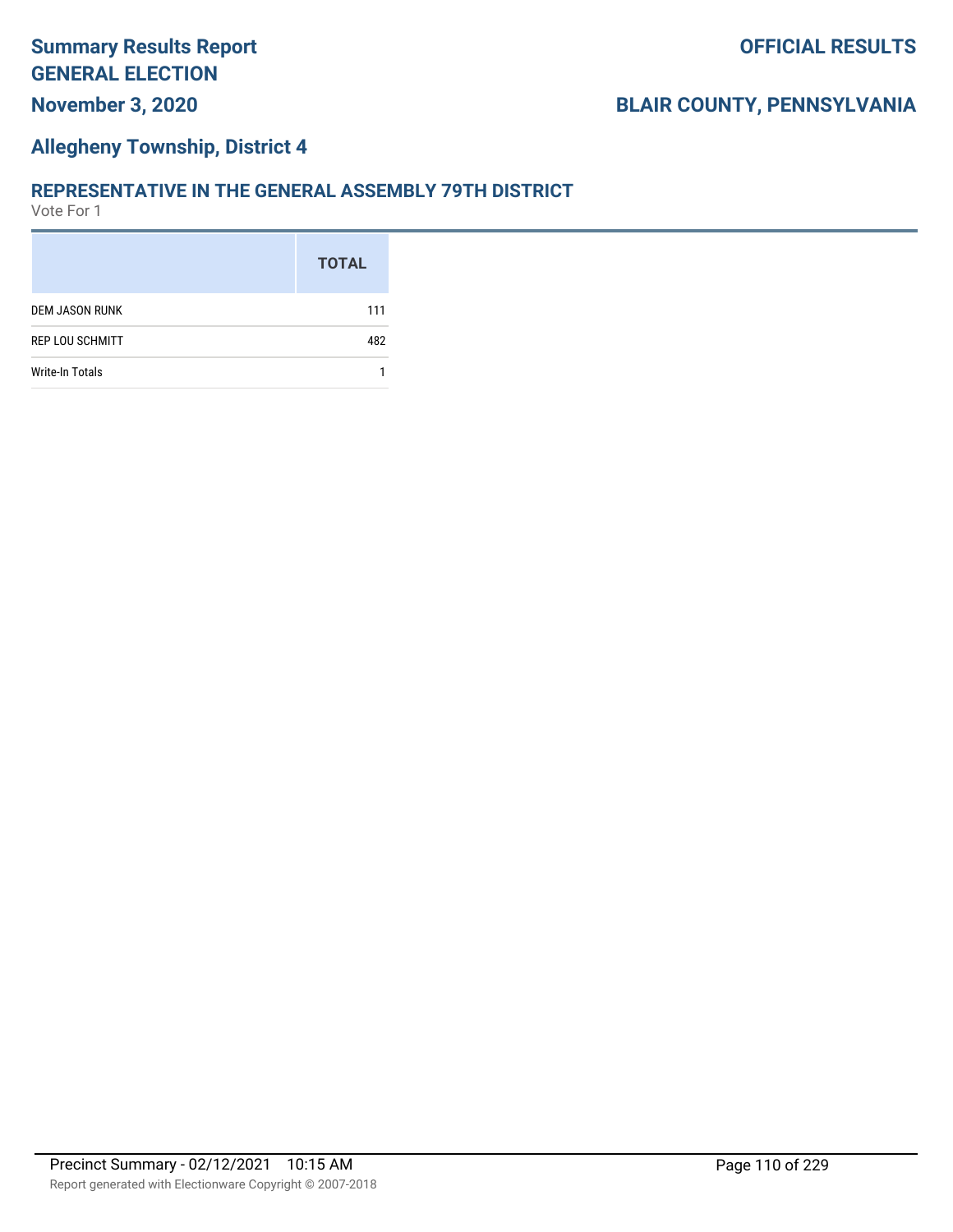### **Allegheny Township, District 4**

#### **REPRESENTATIVE IN THE GENERAL ASSEMBLY 79TH DISTRICT**

|                        | <b>TOTAL</b> |
|------------------------|--------------|
| <b>DEM JASON RUNK</b>  | 111          |
| <b>REP LOU SCHMITT</b> | 482          |
| <b>Write-In Totals</b> |              |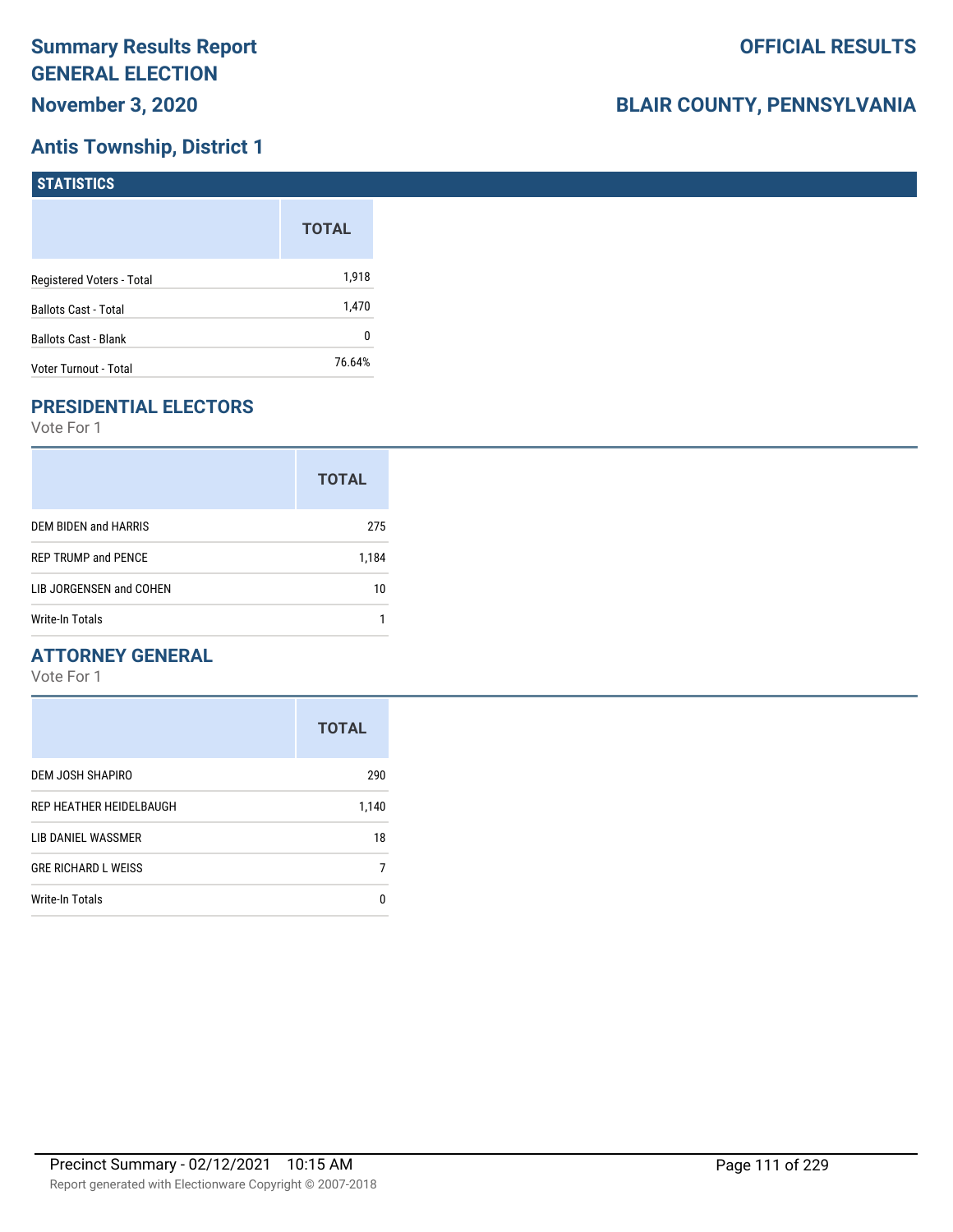# **Antis Township, District 1**

| <b>STATISTICS</b>           |              |
|-----------------------------|--------------|
|                             | <b>TOTAL</b> |
| Registered Voters - Total   | 1,918        |
| <b>Ballots Cast - Total</b> | 1,470        |
| <b>Ballots Cast - Blank</b> | 0            |
| Voter Turnout - Total       | 76.64%       |

# **PRESIDENTIAL ELECTORS**

Vote For 1

|                            | <b>TOTAL</b> |
|----------------------------|--------------|
| DEM BIDEN and HARRIS       | 275          |
| <b>REP TRUMP and PENCE</b> | 1,184        |
| LIB JORGENSEN and COHEN    | 10           |
| <b>Write-In Totals</b>     |              |

### **ATTORNEY GENERAL**

|                            | <b>TOTAL</b> |
|----------------------------|--------------|
| DEM JOSH SHAPIRO           | 290          |
| REP HEATHER HEIDELBAUGH    | 1,140        |
| LIB DANIEL WASSMER         | 18           |
| <b>GRE RICHARD L WEISS</b> |              |
| <b>Write-In Totals</b>     | n            |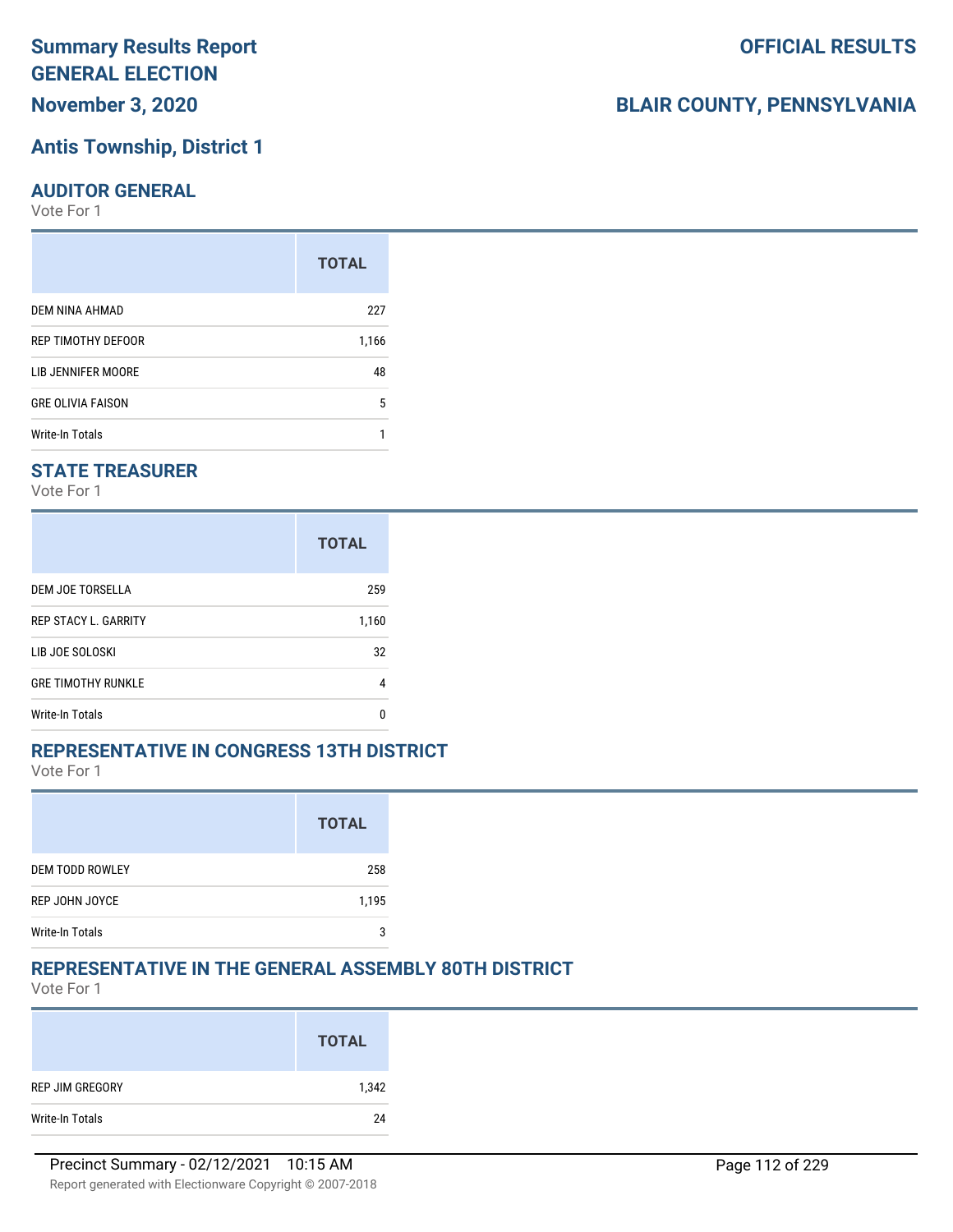# **Antis Township, District 1**

#### **AUDITOR GENERAL**

Vote For 1

|                          | <b>TOTAL</b> |
|--------------------------|--------------|
| DEM NINA AHMAD           | 227          |
| REP TIMOTHY DEFOOR       | 1,166        |
| LIB JENNIFER MOORE       | 48           |
| <b>GRE OLIVIA FAISON</b> | 5            |
| <b>Write-In Totals</b>   |              |

### **STATE TREASURER**

Vote For 1

|                             | <b>TOTAL</b> |
|-----------------------------|--------------|
| DEM JOE TORSELLA            | 259          |
| <b>REP STACY L. GARRITY</b> | 1,160        |
| LIB JOE SOLOSKI             | 32           |
| <b>GRE TIMOTHY RUNKLE</b>   | 4            |
| <b>Write-In Totals</b>      | n            |

### **REPRESENTATIVE IN CONGRESS 13TH DISTRICT**

Vote For 1

|                        | <b>TOTAL</b> |
|------------------------|--------------|
| <b>DEM TODD ROWLEY</b> | 258          |
| REP JOHN JOYCE         | 1,195        |
| <b>Write-In Totals</b> | 2            |

### **REPRESENTATIVE IN THE GENERAL ASSEMBLY 80TH DISTRICT**

Vote For 1

|                 | <b>TOTAL</b> |
|-----------------|--------------|
| REP JIM GREGORY | 1,342        |
| Write-In Totals | 24           |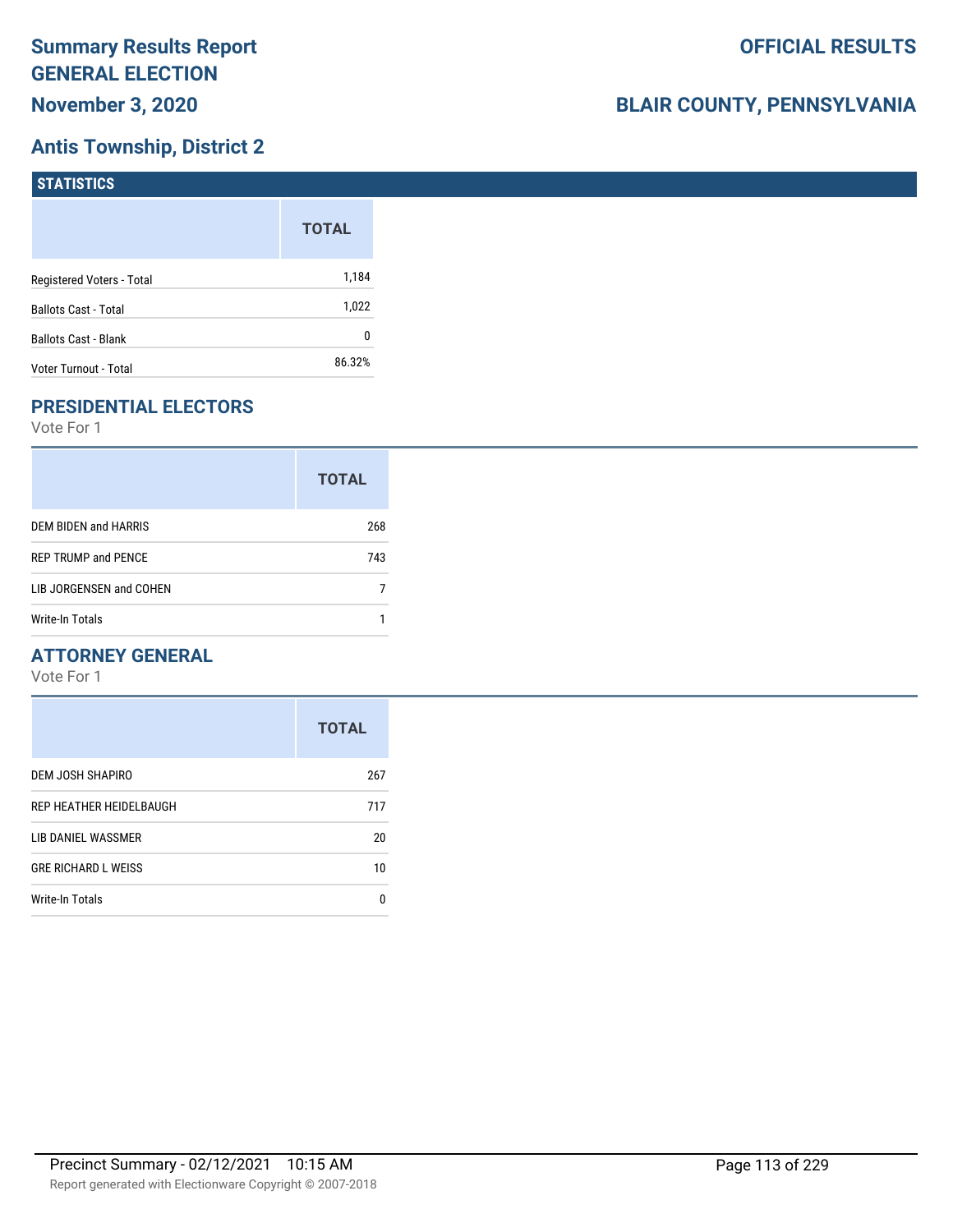# **Antis Township, District 2**

| <b>STATISTICS</b>           |              |
|-----------------------------|--------------|
|                             | <b>TOTAL</b> |
| Registered Voters - Total   | 1,184        |
| <b>Ballots Cast - Total</b> | 1,022        |
| <b>Ballots Cast - Blank</b> | 0            |
| Voter Turnout - Total       | 86.32%       |

# **PRESIDENTIAL ELECTORS**

Vote For 1

|                            | <b>TOTAL</b> |
|----------------------------|--------------|
| DEM BIDEN and HARRIS       | 268          |
| <b>REP TRUMP and PENCE</b> | 743          |
| LIB JORGENSEN and COHEN    |              |
| Write-In Totals            |              |

### **ATTORNEY GENERAL**

|                            | <b>TOTAL</b> |
|----------------------------|--------------|
| DEM JOSH SHAPIRO           | 267          |
| REP HEATHER HEIDELBAUGH    | 717          |
| LIB DANIEL WASSMER         | 20           |
| <b>GRE RICHARD L WEISS</b> | 10           |
| Write-In Totals            | n            |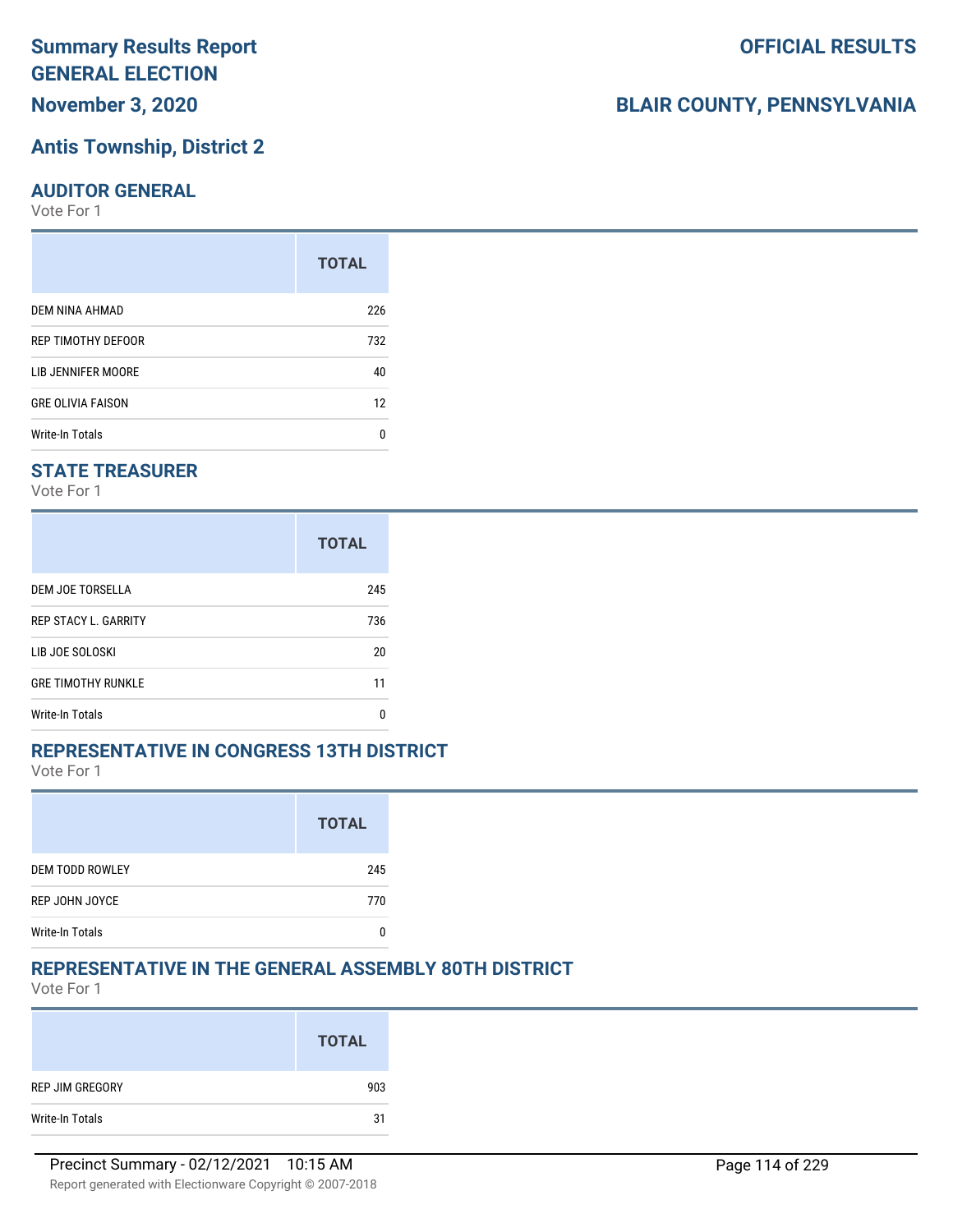# **Antis Township, District 2**

#### **AUDITOR GENERAL**

Vote For 1

|                          | <b>TOTAL</b> |
|--------------------------|--------------|
| DEM NINA AHMAD           | 226          |
| REP TIMOTHY DEFOOR       | 732          |
| LIB JENNIFER MOORE       | 40           |
| <b>GRE OLIVIA FAISON</b> | 12           |
| Write-In Totals          | n            |

### **STATE TREASURER**

Vote For 1

|                             | <b>TOTAL</b> |
|-----------------------------|--------------|
| DEM JOE TORSELLA            | 245          |
| <b>REP STACY L. GARRITY</b> | 736          |
| LIB JOE SOLOSKI             | 20           |
| <b>GRE TIMOTHY RUNKLE</b>   | 11           |
| <b>Write-In Totals</b>      | n            |

### **REPRESENTATIVE IN CONGRESS 13TH DISTRICT**

Vote For 1

|                        | <b>TOTAL</b> |
|------------------------|--------------|
| <b>DEM TODD ROWLEY</b> | 245          |
| REP JOHN JOYCE         | 770          |
| <b>Write-In Totals</b> |              |

### **REPRESENTATIVE IN THE GENERAL ASSEMBLY 80TH DISTRICT**

Vote For 1

|                 | <b>TOTAL</b> |
|-----------------|--------------|
| REP JIM GREGORY | 903          |
| Write-In Totals | 31           |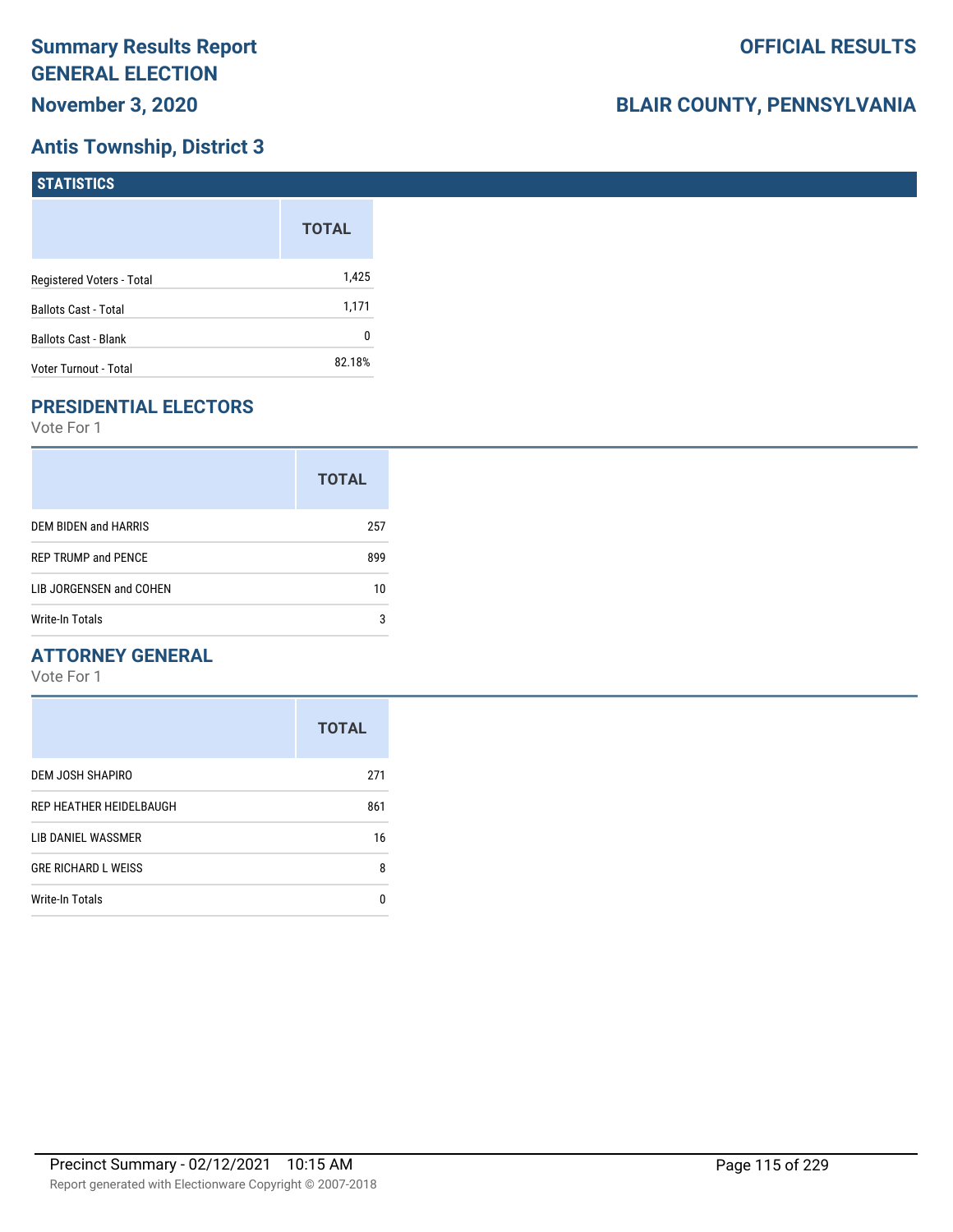# **Antis Township, District 3**

| <b>STATISTICS</b>           |              |
|-----------------------------|--------------|
|                             | <b>TOTAL</b> |
| Registered Voters - Total   | 1,425        |
| <b>Ballots Cast - Total</b> | 1,171        |
| Ballots Cast - Blank        | 0            |
| Voter Turnout - Total       | 82.18%       |

# **PRESIDENTIAL ELECTORS**

Vote For 1

|                            | <b>TOTAL</b> |
|----------------------------|--------------|
| DEM BIDEN and HARRIS       | 257          |
| <b>REP TRUMP and PENCE</b> | 899          |
| LIB JORGENSEN and COHEN    | 10           |
| Write-In Totals            | 3            |

### **ATTORNEY GENERAL**

|                            | <b>TOTAL</b> |
|----------------------------|--------------|
| DEM JOSH SHAPIRO           | 271          |
| REP HEATHER HEIDELBAUGH    | 861          |
| LIB DANIEL WASSMER         | 16           |
| <b>GRE RICHARD L WEISS</b> | 8            |
| <b>Write-In Totals</b>     | n            |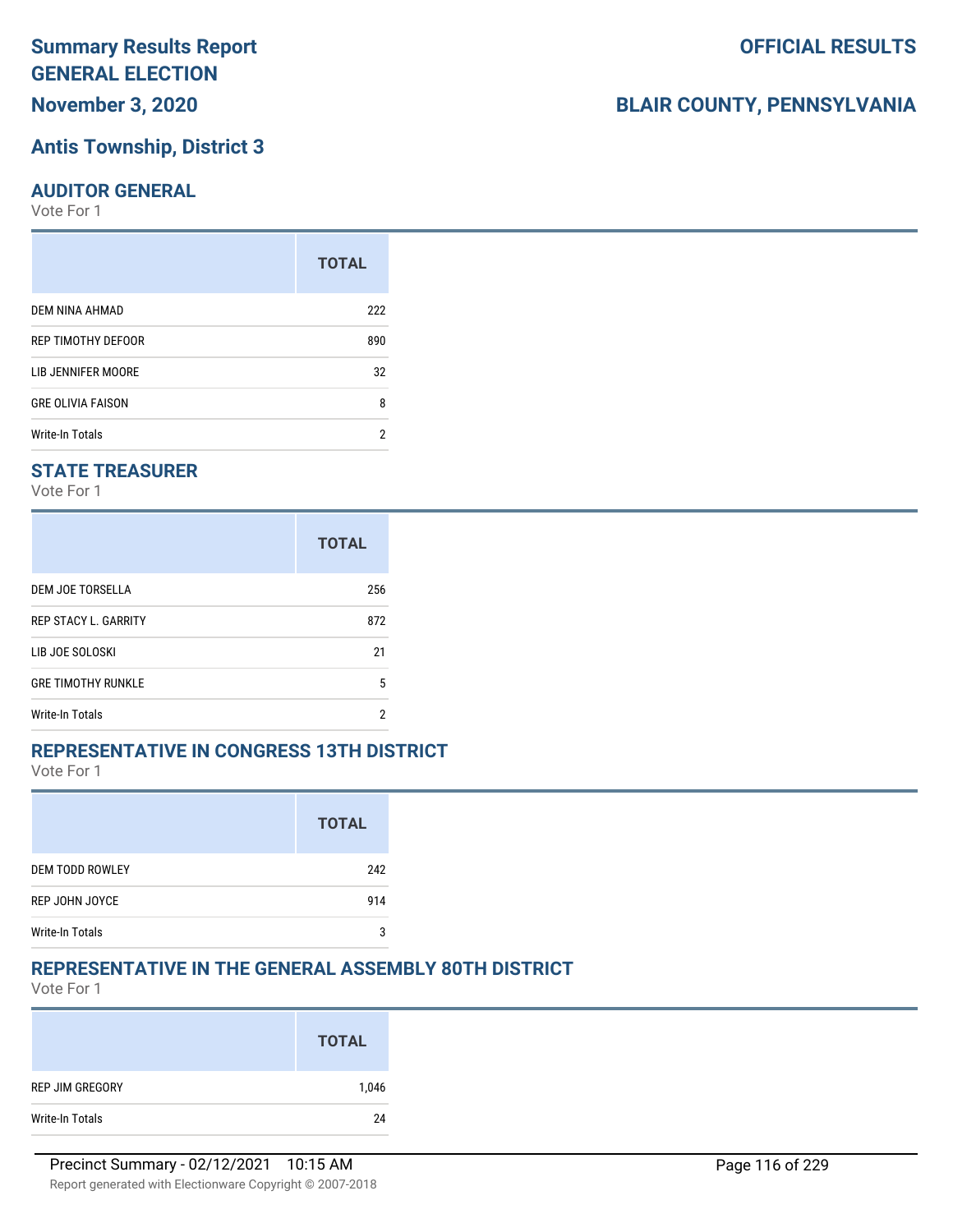### **Antis Township, District 3**

#### **AUDITOR GENERAL**

Vote For 1

|                          | <b>TOTAL</b> |
|--------------------------|--------------|
| DEM NINA AHMAD           | 222          |
| REP TIMOTHY DEFOOR       | 890          |
| LIB JENNIFER MOORE       | 32           |
| <b>GRE OLIVIA FAISON</b> | 8            |
| Write-In Totals          | 2            |

### **STATE TREASURER**

Vote For 1

|                             | <b>TOTAL</b> |
|-----------------------------|--------------|
| DEM JOE TORSELLA            | 256          |
| <b>REP STACY L. GARRITY</b> | 872          |
| LIB JOE SOLOSKI             | 21           |
| <b>GRE TIMOTHY RUNKLE</b>   | 5            |
| <b>Write-In Totals</b>      | 2            |

### **REPRESENTATIVE IN CONGRESS 13TH DISTRICT**

Vote For 1

|                        | <b>TOTAL</b> |
|------------------------|--------------|
| <b>DEM TODD ROWLEY</b> | 242          |
| REP JOHN JOYCE         | 914          |
| <b>Write-In Totals</b> | 2            |

### **REPRESENTATIVE IN THE GENERAL ASSEMBLY 80TH DISTRICT**

Vote For 1

|                 | <b>TOTAL</b> |
|-----------------|--------------|
| REP JIM GREGORY | 1,046        |
| Write-In Totals | 24           |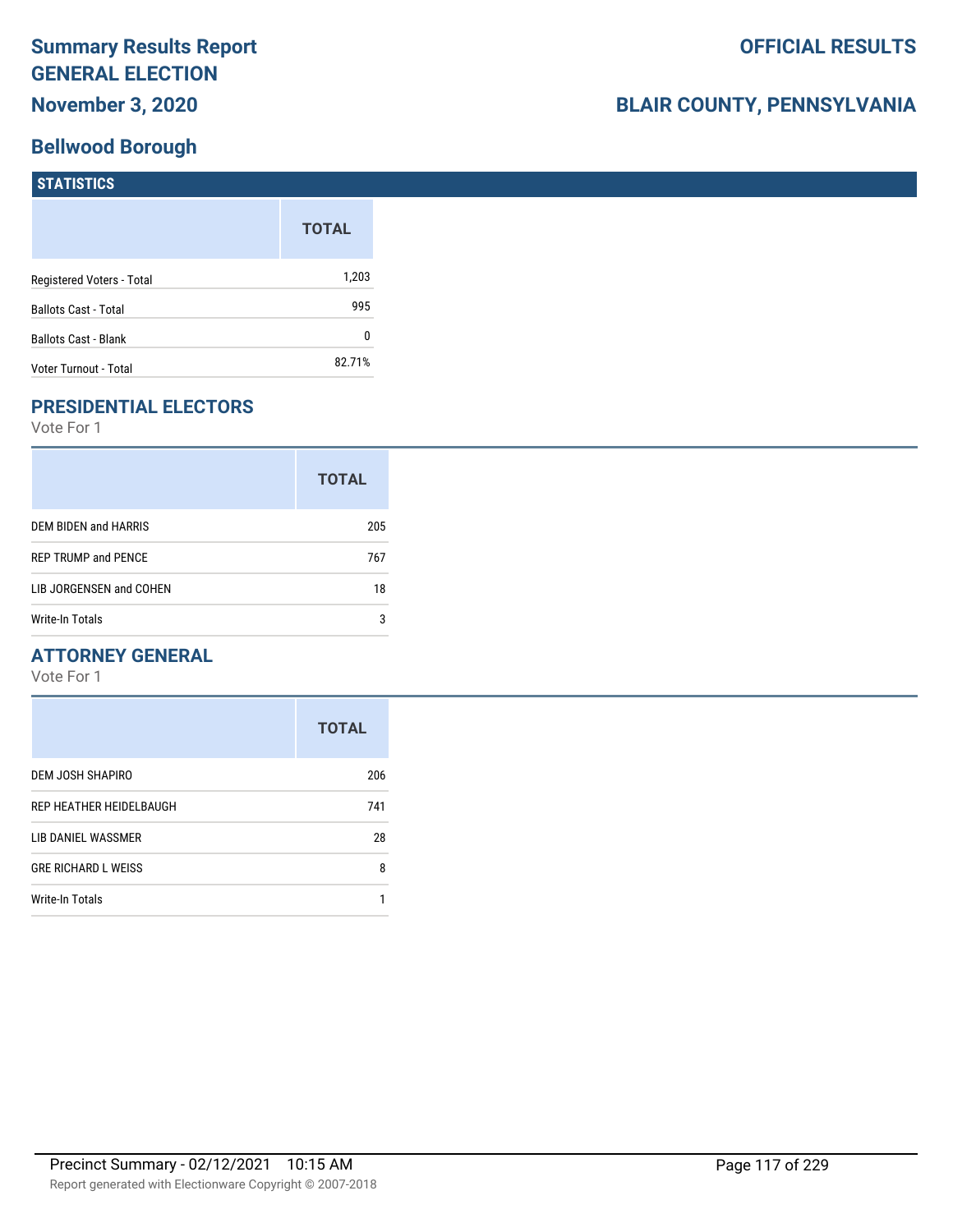### **Bellwood Borough**

# **BLAIR COUNTY, PENNSYLVANIA**

| <b>STATISTICS</b>           |              |
|-----------------------------|--------------|
|                             | <b>TOTAL</b> |
| Registered Voters - Total   | 1,203        |
| <b>Ballots Cast - Total</b> | 995          |
| <b>Ballots Cast - Blank</b> | 0            |
| Voter Turnout - Total       | 82.71%       |

# **PRESIDENTIAL ELECTORS**

Vote For 1

|                             | <b>TOTAL</b> |
|-----------------------------|--------------|
| <b>DEM BIDEN and HARRIS</b> | 205          |
| <b>REP TRUMP and PENCE</b>  | 767          |
| LIB JORGENSEN and COHEN     | 18           |
| Write-In Totals             | 3            |

### **ATTORNEY GENERAL**

|                            | <b>TOTAL</b> |
|----------------------------|--------------|
| DEM JOSH SHAPIRO           | 206          |
| REP HEATHER HEIDELBAUGH    | 741          |
| LIB DANIEL WASSMER         | 28           |
| <b>GRE RICHARD L WEISS</b> | 8            |
| <b>Write-In Totals</b>     |              |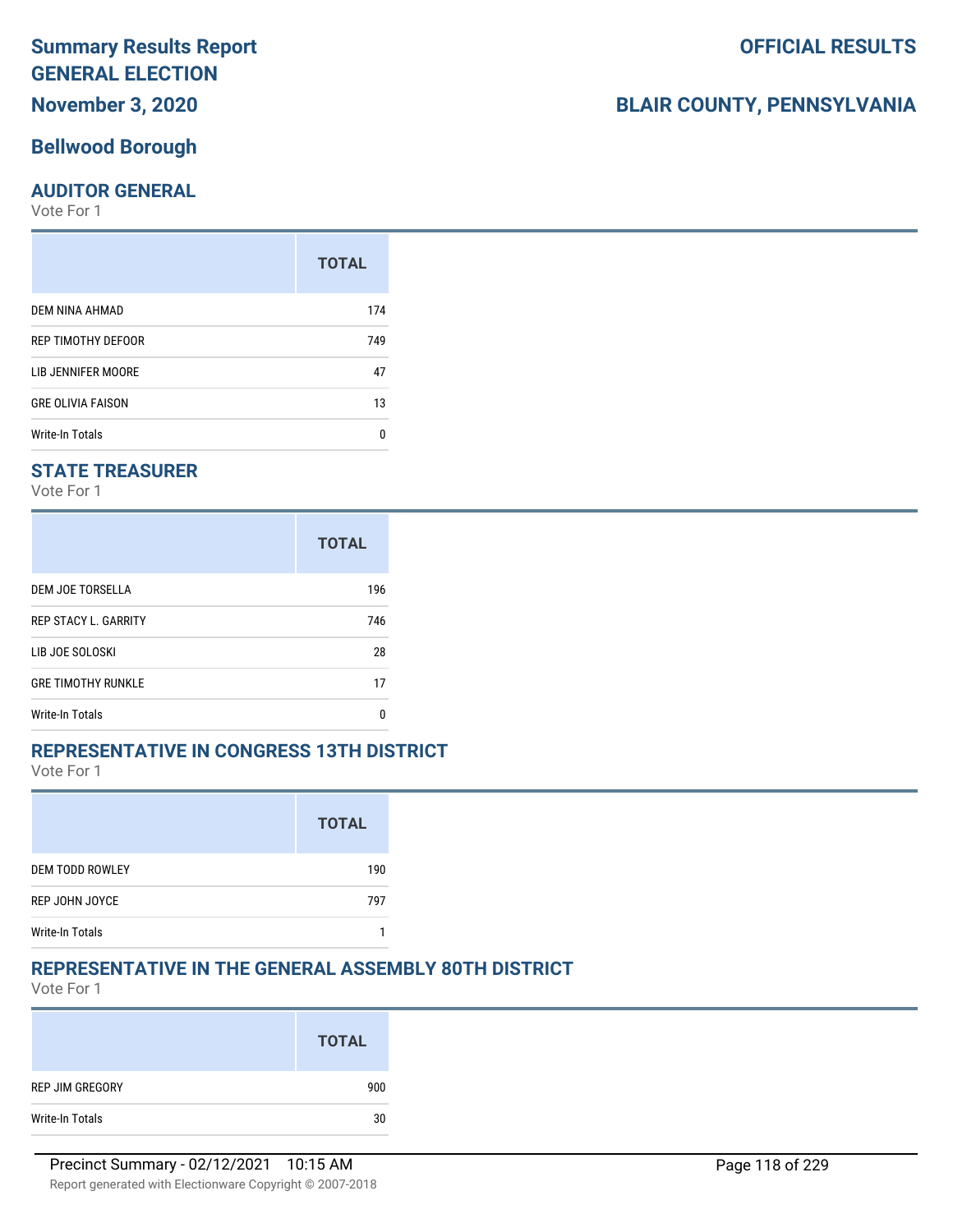# **November 3, 2020**

### **Bellwood Borough**

### **AUDITOR GENERAL**

Vote For 1

|                           | <b>TOTAL</b> |
|---------------------------|--------------|
| DEM NINA AHMAD            | 174          |
| <b>REP TIMOTHY DEFOOR</b> | 749          |
| LIB JENNIFER MOORE        | 47           |
| <b>GRE OLIVIA FAISON</b>  | 13           |
| <b>Write-In Totals</b>    | U            |

### **STATE TREASURER**

Vote For 1

|                             | <b>TOTAL</b> |
|-----------------------------|--------------|
| DEM JOE TORSELLA            | 196          |
| <b>REP STACY L. GARRITY</b> | 746          |
| LIB JOE SOLOSKI             | 28           |
| <b>GRE TIMOTHY RUNKLE</b>   | 17           |
| <b>Write-In Totals</b>      | n            |

### **REPRESENTATIVE IN CONGRESS 13TH DISTRICT**

Vote For 1

|                        | <b>TOTAL</b> |
|------------------------|--------------|
| <b>DEM TODD ROWLEY</b> | 190          |
| REP JOHN JOYCE         | 797          |
| <b>Write-In Totals</b> |              |

### **REPRESENTATIVE IN THE GENERAL ASSEMBLY 80TH DISTRICT**

Vote For 1

|                 | <b>TOTAL</b> |
|-----------------|--------------|
| REP JIM GREGORY | 900          |
| Write-In Totals | 30           |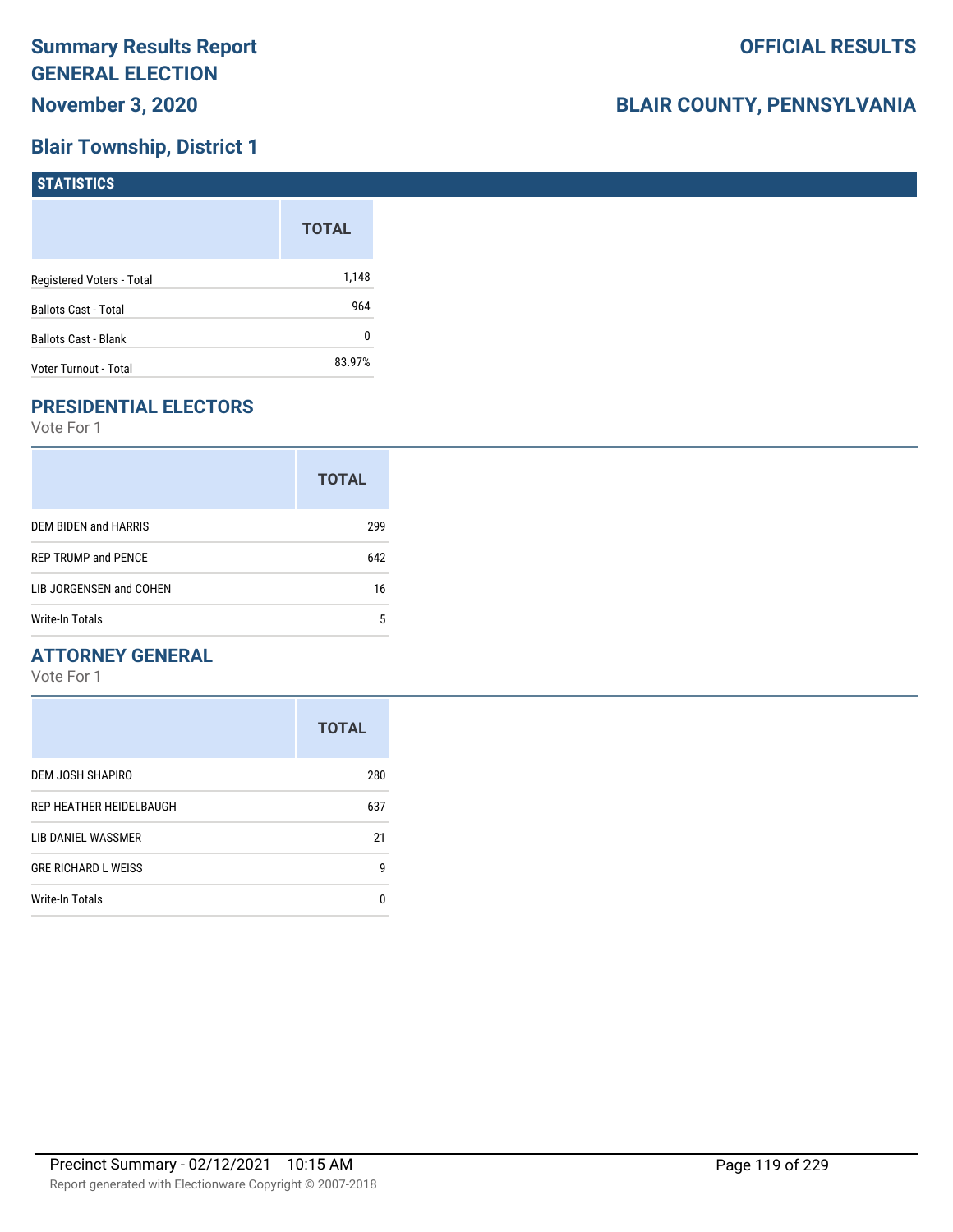# **Blair Township, District 1**

| <b>STATISTICS</b>           |              |
|-----------------------------|--------------|
|                             | <b>TOTAL</b> |
| Registered Voters - Total   | 1,148        |
| <b>Ballots Cast - Total</b> | 964          |
| <b>Ballots Cast - Blank</b> | 0            |
| Voter Turnout - Total       | 83.97%       |

# **PRESIDENTIAL ELECTORS**

Vote For 1

|                            | <b>TOTAL</b> |
|----------------------------|--------------|
| DEM BIDEN and HARRIS       | 299          |
| <b>REP TRUMP and PENCE</b> | 642          |
| LIB JORGENSEN and COHEN    | 16           |
| Write-In Totals            | 5            |

### **ATTORNEY GENERAL**

|                            | <b>TOTAL</b> |
|----------------------------|--------------|
| DEM JOSH SHAPIRO           | 280          |
| REP HEATHER HEIDELBAUGH    | 637          |
| LIB DANIEL WASSMER         | 21           |
| <b>GRE RICHARD L WEISS</b> | g            |
| <b>Write-In Totals</b>     | n            |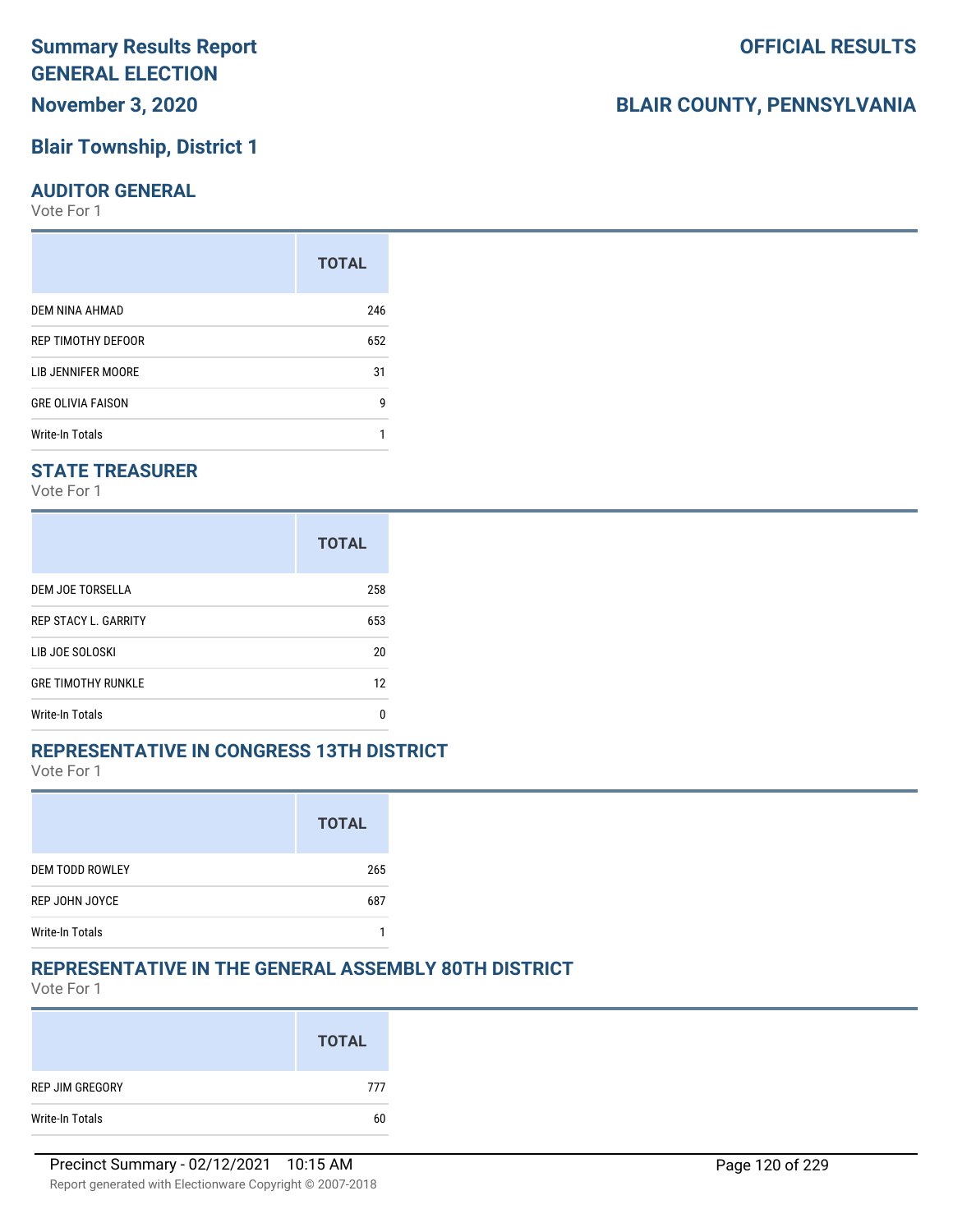## **Blair Township, District 1**

#### **AUDITOR GENERAL**

Vote For 1

|                          | <b>TOTAL</b> |
|--------------------------|--------------|
| DEM NINA AHMAD           | 246          |
| REP TIMOTHY DEFOOR       | 652          |
| LIB JENNIFER MOORE       | 31           |
| <b>GRE OLIVIA FAISON</b> | g            |
| Write-In Totals          |              |

### **STATE TREASURER**

Vote For 1

|                             | <b>TOTAL</b> |
|-----------------------------|--------------|
| DEM JOE TORSELLA            | 258          |
| <b>REP STACY L. GARRITY</b> | 653          |
| LIB JOE SOLOSKI             | 20           |
| <b>GRE TIMOTHY RUNKLE</b>   | 12           |
| Write-In Totals             | n            |

### **REPRESENTATIVE IN CONGRESS 13TH DISTRICT**

Vote For 1

|                        | <b>TOTAL</b> |
|------------------------|--------------|
| <b>DEM TODD ROWLEY</b> | 265          |
| REP JOHN JOYCE         | 687          |
| <b>Write-In Totals</b> |              |

### **REPRESENTATIVE IN THE GENERAL ASSEMBLY 80TH DISTRICT**

Vote For 1

|                 | <b>TOTAL</b> |
|-----------------|--------------|
| REP JIM GREGORY | 777          |
| Write-In Totals | 60           |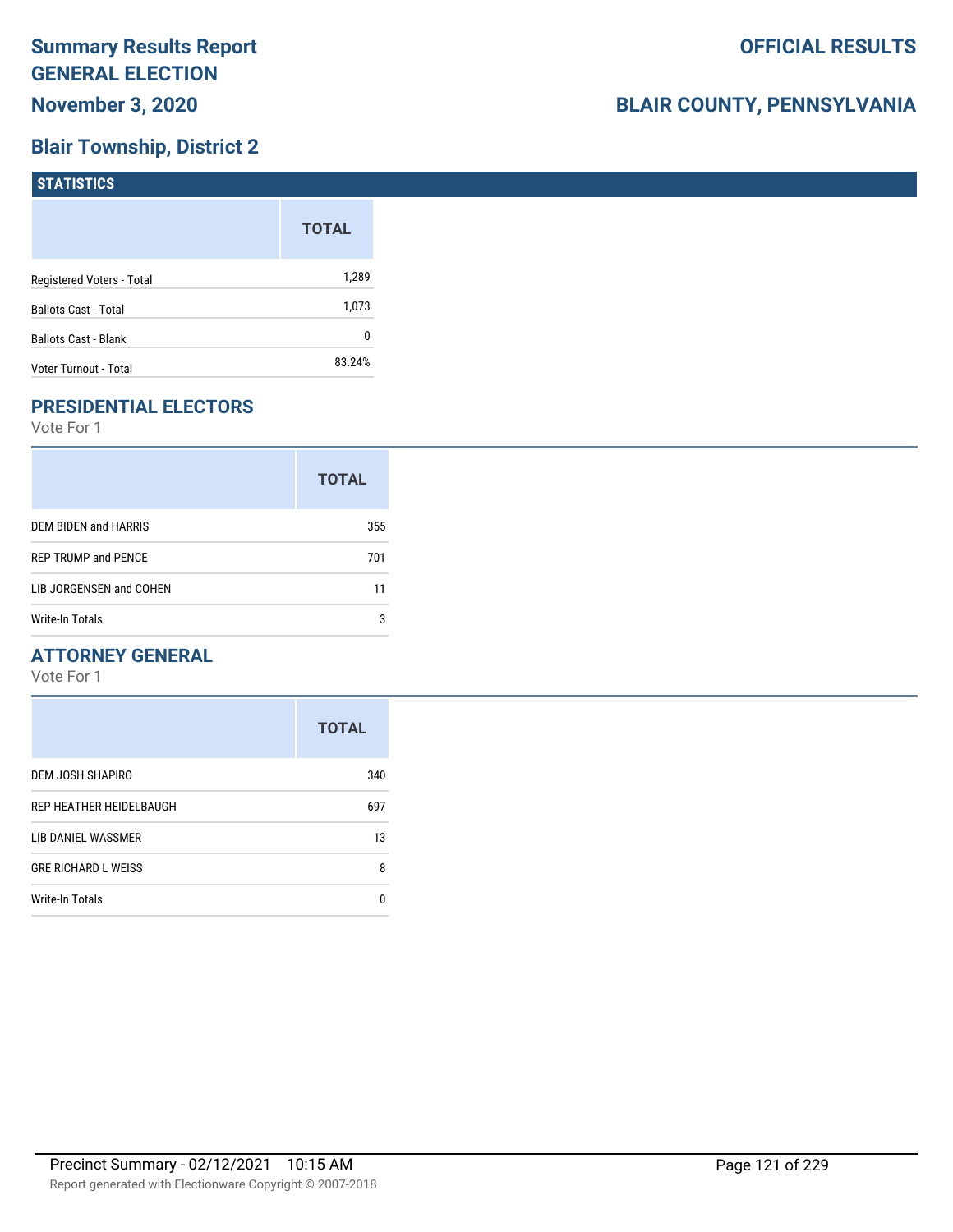# **Blair Township, District 2**

| <b>STATISTICS</b>           |              |
|-----------------------------|--------------|
|                             | <b>TOTAL</b> |
| Registered Voters - Total   | 1,289        |
| <b>Ballots Cast - Total</b> | 1,073        |
| Ballots Cast - Blank        | 0            |
| Voter Turnout - Total       | 83.24%       |

# **PRESIDENTIAL ELECTORS**

Vote For 1

|                            | <b>TOTAL</b> |
|----------------------------|--------------|
| DEM BIDEN and HARRIS       | 355          |
| <b>REP TRUMP and PENCE</b> | 701          |
| LIB JORGENSEN and COHEN    | 11           |
| Write-In Totals            | 3            |

### **ATTORNEY GENERAL**

|                            | <b>TOTAL</b> |
|----------------------------|--------------|
| DEM JOSH SHAPIRO           | 340          |
| REP HEATHER HEIDELBAUGH    | 697          |
| LIB DANIEL WASSMER         | 13           |
| <b>GRE RICHARD L WEISS</b> | 8            |
| <b>Write-In Totals</b>     | n            |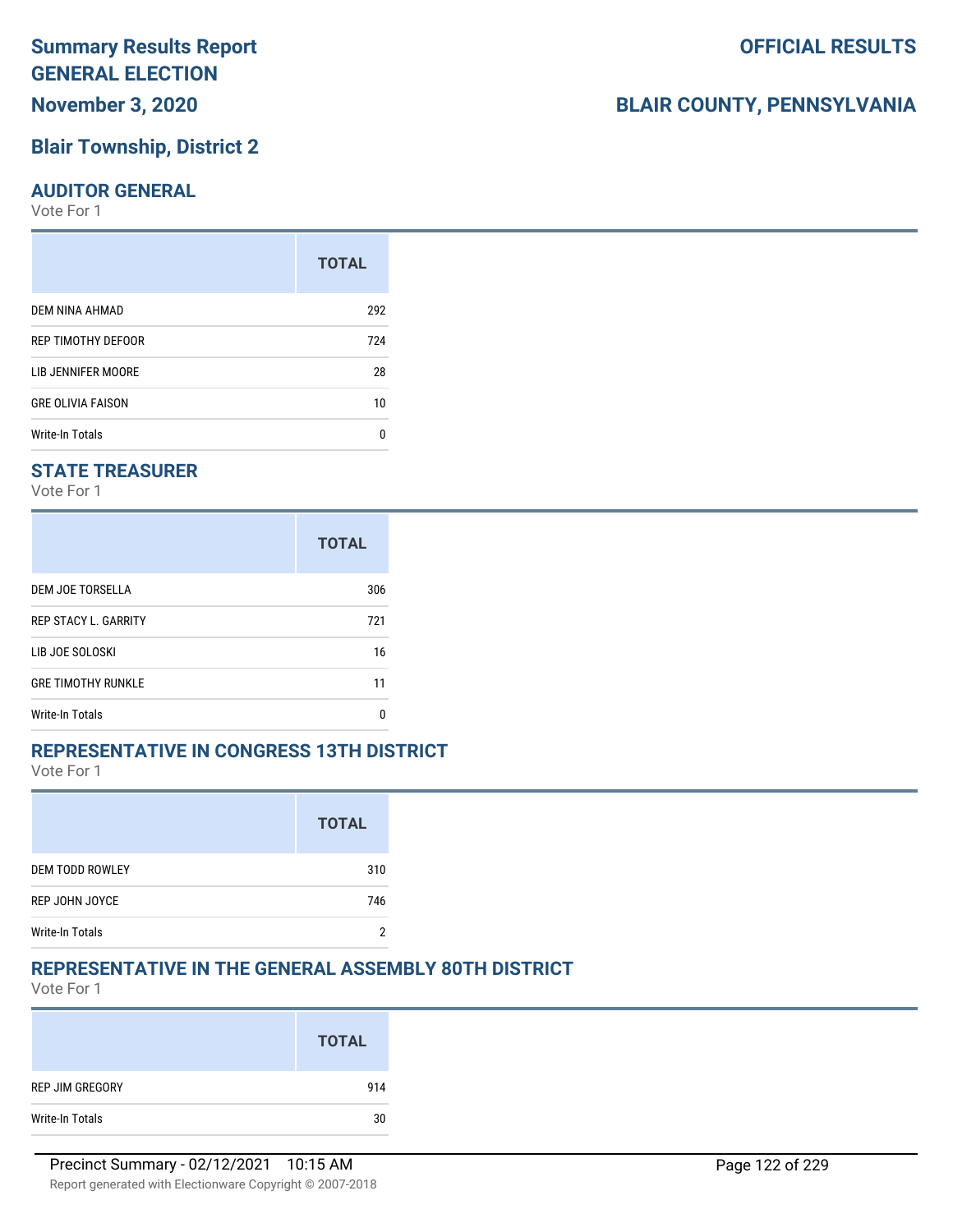## **Blair Township, District 2**

#### **AUDITOR GENERAL**

Vote For 1

|                           | <b>TOTAL</b> |
|---------------------------|--------------|
| DEM NINA AHMAD            | 292          |
| <b>REP TIMOTHY DEFOOR</b> | 724          |
| LIB JENNIFER MOORE        | 28           |
| <b>GRE OLIVIA FAISON</b>  | 10           |
| <b>Write-In Totals</b>    | n            |

### **STATE TREASURER**

Vote For 1

|                             | <b>TOTAL</b> |
|-----------------------------|--------------|
| DEM JOE TORSELLA            | 306          |
| <b>REP STACY L. GARRITY</b> | 721          |
| LIB JOE SOLOSKI             | 16           |
| <b>GRE TIMOTHY RUNKLE</b>   | 11           |
| Write-In Totals             | n            |

### **REPRESENTATIVE IN CONGRESS 13TH DISTRICT**

Vote For 1

|                        | <b>TOTAL</b> |
|------------------------|--------------|
| <b>DEM TODD ROWLEY</b> | 310          |
| REP JOHN JOYCE         | 746          |
| <b>Write-In Totals</b> | n            |

### **REPRESENTATIVE IN THE GENERAL ASSEMBLY 80TH DISTRICT**

Vote For 1

|                 | <b>TOTAL</b> |
|-----------------|--------------|
| REP JIM GREGORY | 914          |
| Write-In Totals | 30           |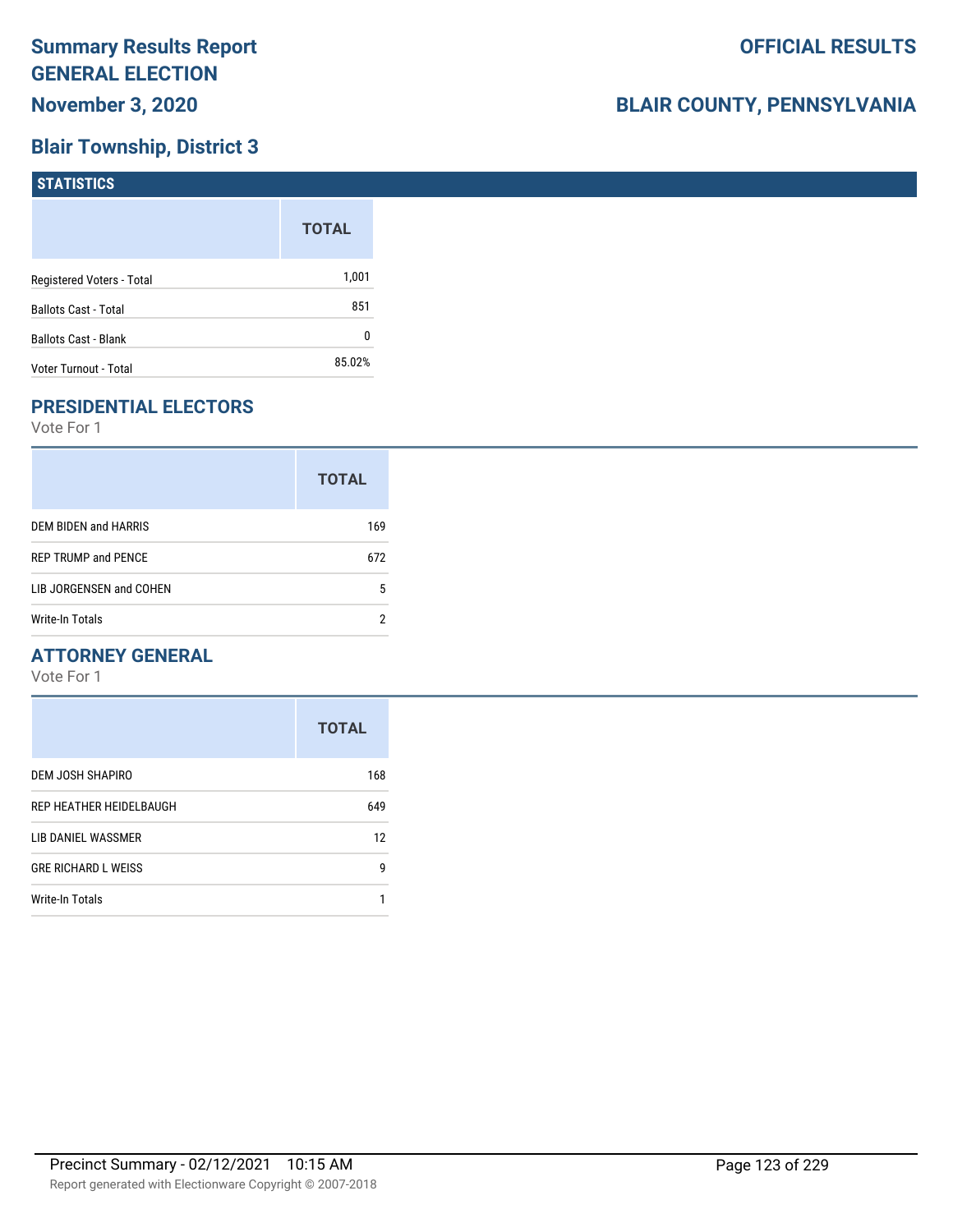# **Blair Township, District 3**

| <b>STATISTICS</b>           |              |
|-----------------------------|--------------|
|                             | <b>TOTAL</b> |
| Registered Voters - Total   | 1,001        |
| <b>Ballots Cast - Total</b> | 851          |
| <b>Ballots Cast - Blank</b> | 0            |
| Voter Turnout - Total       | 85.02%       |

# **PRESIDENTIAL ELECTORS**

Vote For 1

|                            | <b>TOTAL</b> |
|----------------------------|--------------|
| DEM BIDEN and HARRIS       | 169          |
| <b>REP TRUMP and PENCE</b> | 672          |
| LIB JORGENSEN and COHEN    | 5            |
| Write-In Totals            |              |

### **ATTORNEY GENERAL**

|                            | <b>TOTAL</b> |
|----------------------------|--------------|
| DEM JOSH SHAPIRO           | 168          |
| REP HEATHER HEIDELBAUGH    | 649          |
| LIB DANIEL WASSMER         | 12           |
| <b>GRE RICHARD L WEISS</b> | 9            |
| <b>Write-In Totals</b>     |              |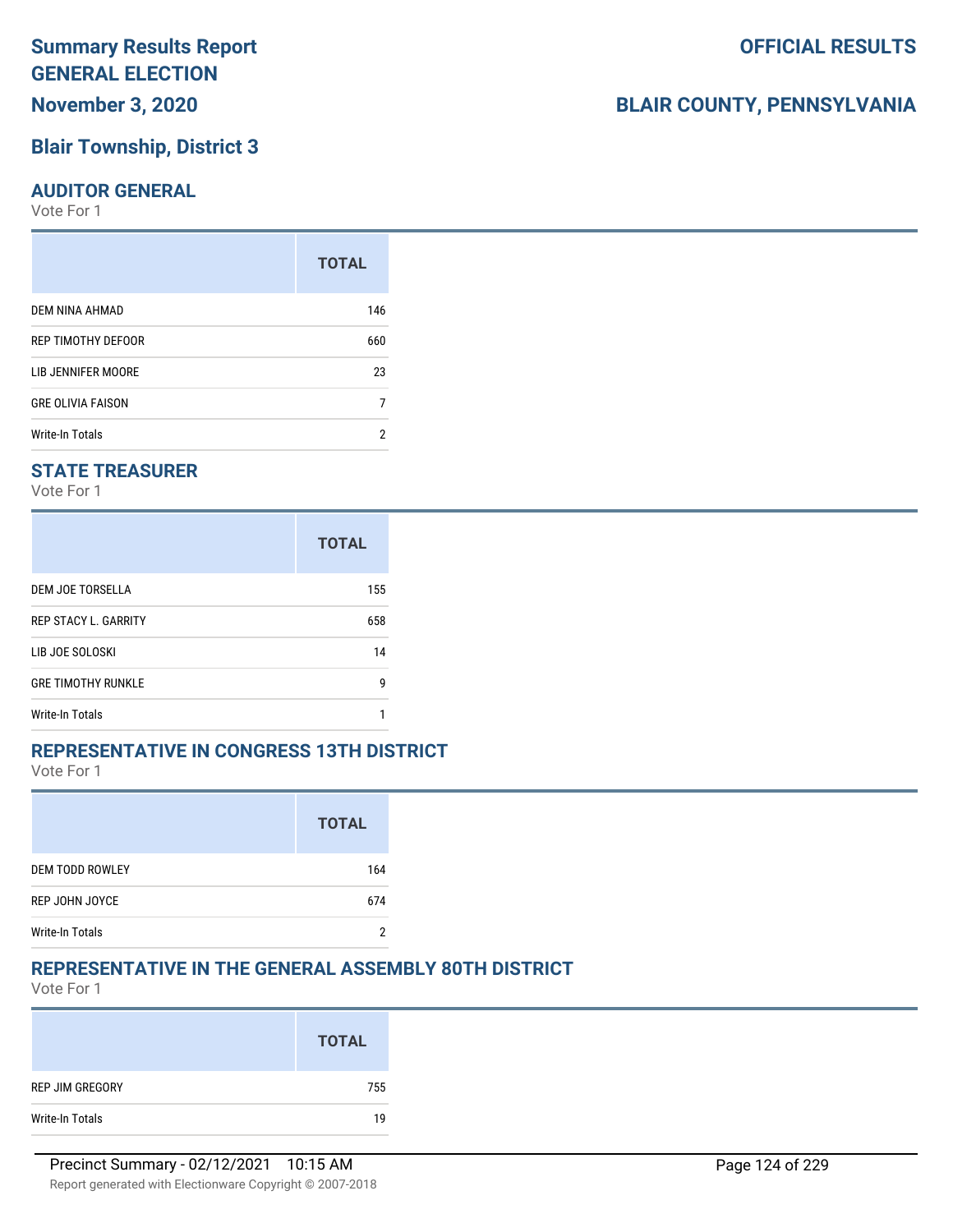## **Blair Township, District 3**

#### **AUDITOR GENERAL**

Vote For 1

|                          | <b>TOTAL</b> |
|--------------------------|--------------|
| DEM NINA AHMAD           | 146          |
| REP TIMOTHY DEFOOR       | 660          |
| LIB JENNIFER MOORE       | 23           |
| <b>GRE OLIVIA FAISON</b> | 7            |
| Write-In Totals          | 2            |

### **STATE TREASURER**

Vote For 1

|                             | <b>TOTAL</b> |
|-----------------------------|--------------|
| DEM JOE TORSELLA            | 155          |
| <b>REP STACY L. GARRITY</b> | 658          |
| LIB JOE SOLOSKI             | 14           |
| <b>GRE TIMOTHY RUNKLE</b>   | g            |
| Write-In Totals             |              |

### **REPRESENTATIVE IN CONGRESS 13TH DISTRICT**

Vote For 1

|                        | <b>TOTAL</b> |
|------------------------|--------------|
| <b>DEM TODD ROWLEY</b> | 164          |
| REP JOHN JOYCE         | 674          |
| <b>Write-In Totals</b> |              |

### **REPRESENTATIVE IN THE GENERAL ASSEMBLY 80TH DISTRICT**

Vote For 1

|                 | <b>TOTAL</b> |
|-----------------|--------------|
| REP JIM GREGORY | 755          |
| Write-In Totals | 19           |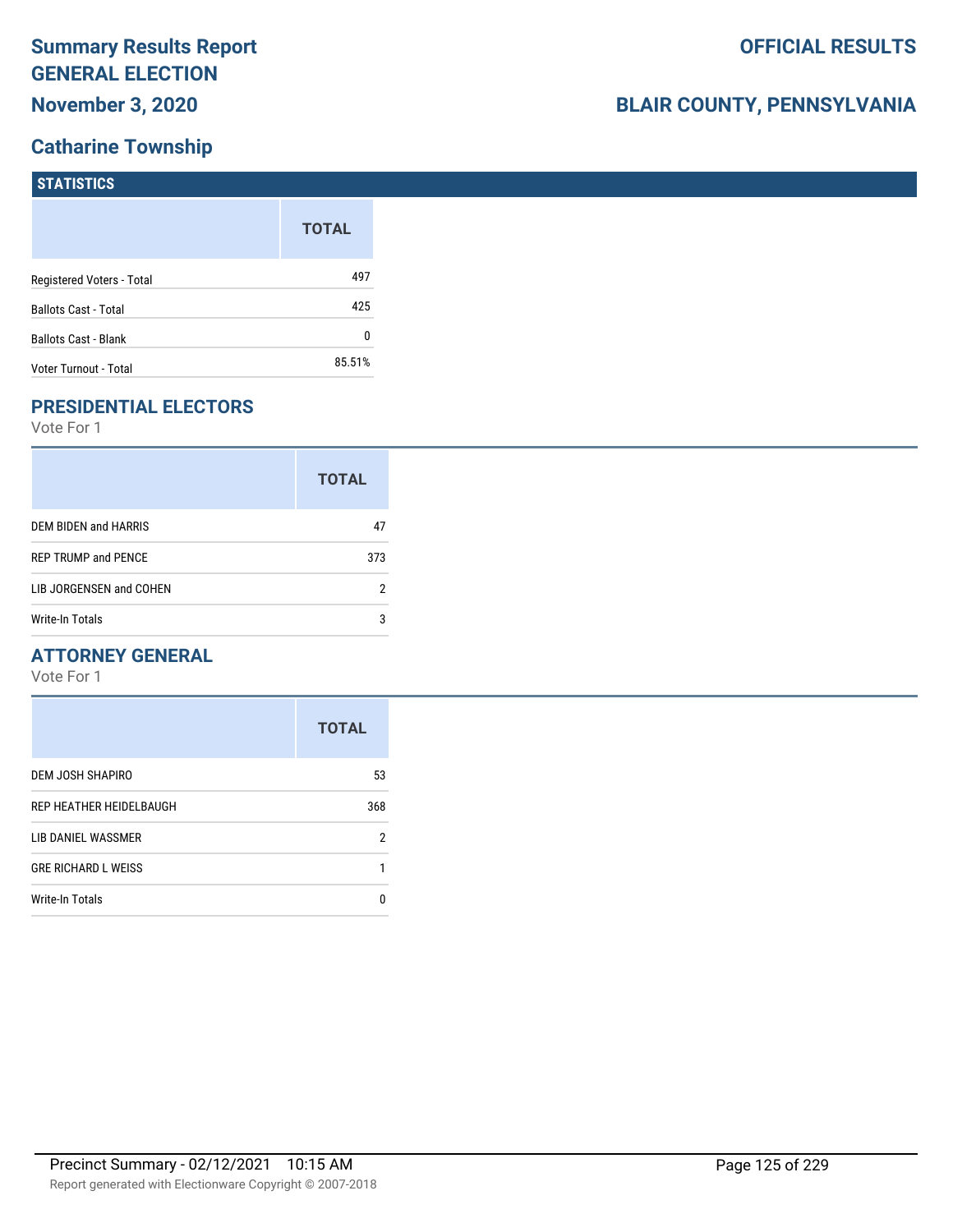# **Catharine Township**

| STATISTICS                  |              |
|-----------------------------|--------------|
|                             | <b>TOTAL</b> |
| Registered Voters - Total   | 497          |
| <b>Ballots Cast - Total</b> | 425          |
| <b>Ballots Cast - Blank</b> | 0            |
| Voter Turnout - Total       | 85.51%       |

# **PRESIDENTIAL ELECTORS**

Vote For 1

|                            | <b>TOTAL</b> |
|----------------------------|--------------|
| DEM BIDEN and HARRIS       | 47           |
| <b>REP TRUMP and PENCE</b> | 373          |
| LIB JORGENSEN and COHEN    | 2            |
| Write-In Totals            | 3            |

### **ATTORNEY GENERAL**

|                            | <b>TOTAL</b> |
|----------------------------|--------------|
| DEM JOSH SHAPIRO           | 53           |
| REP HEATHER HEIDELBAUGH    | 368          |
| LIB DANIEL WASSMER         | 2            |
| <b>GRE RICHARD L WEISS</b> |              |
| <b>Write-In Totals</b>     | n            |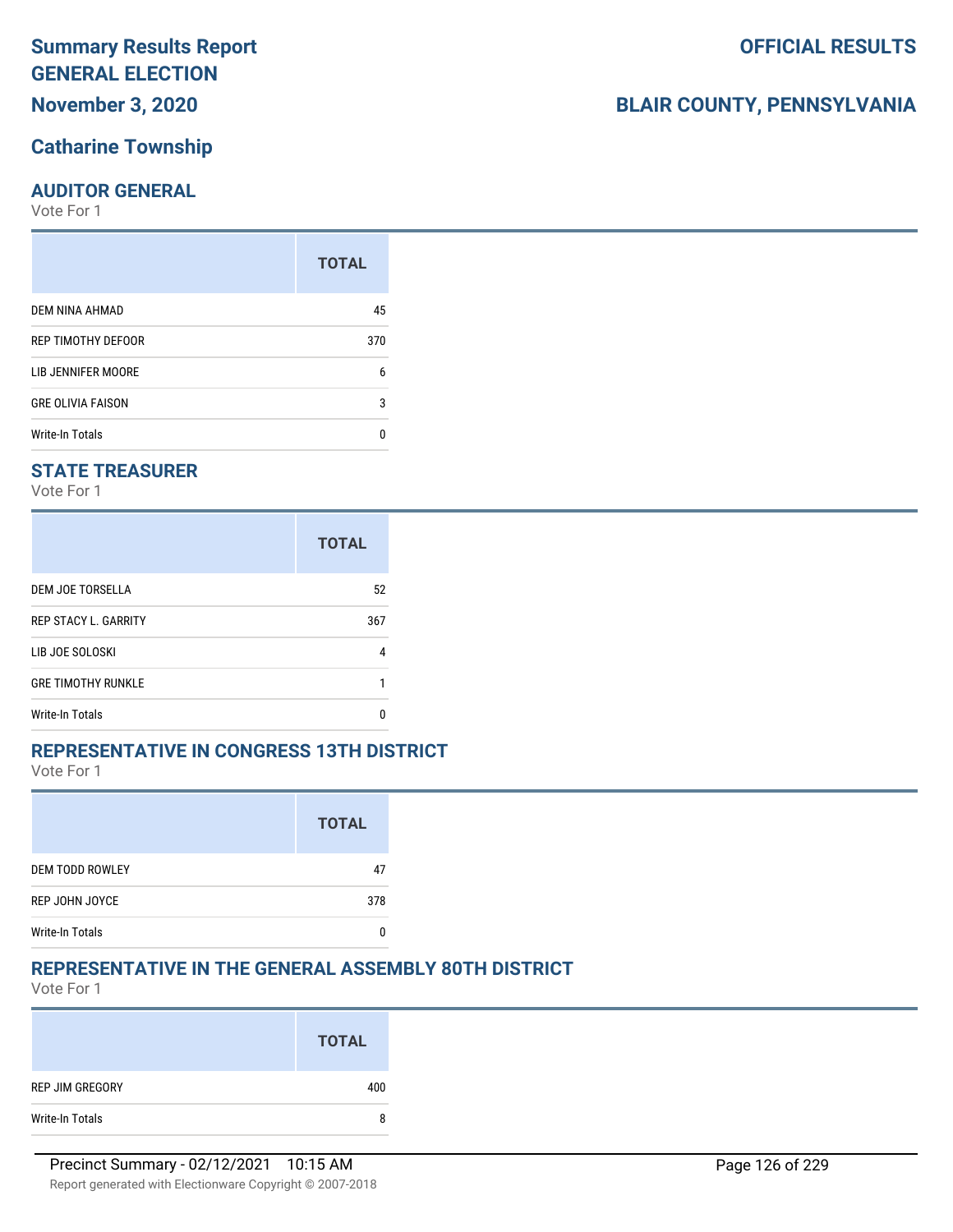# **November 3, 2020**

### **Catharine Township**

### **AUDITOR GENERAL**

Vote For 1

|                          | <b>TOTAL</b> |
|--------------------------|--------------|
| DEM NINA AHMAD           | 45           |
| REP TIMOTHY DEFOOR       | 370          |
| LIB JENNIFER MOORE       | 6            |
| <b>GRE OLIVIA FAISON</b> | 3            |
| Write-In Totals          | n            |

### **STATE TREASURER**

Vote For 1

|                             | <b>TOTAL</b> |
|-----------------------------|--------------|
| DEM JOE TORSELLA            | 52           |
| <b>REP STACY L. GARRITY</b> | 367          |
| LIB JOE SOLOSKI             | 4            |
| <b>GRE TIMOTHY RUNKLE</b>   |              |
| Write-In Totals             | n            |

### **REPRESENTATIVE IN CONGRESS 13TH DISTRICT**

Vote For 1

|                        | <b>TOTAL</b> |
|------------------------|--------------|
| <b>DEM TODD ROWLEY</b> | 47           |
| REP JOHN JOYCE         | 378          |
| <b>Write-In Totals</b> |              |

### **REPRESENTATIVE IN THE GENERAL ASSEMBLY 80TH DISTRICT**

Vote For 1

|                 | <b>TOTAL</b> |
|-----------------|--------------|
| REP JIM GREGORY | 400          |
| Write-In Totals | 8            |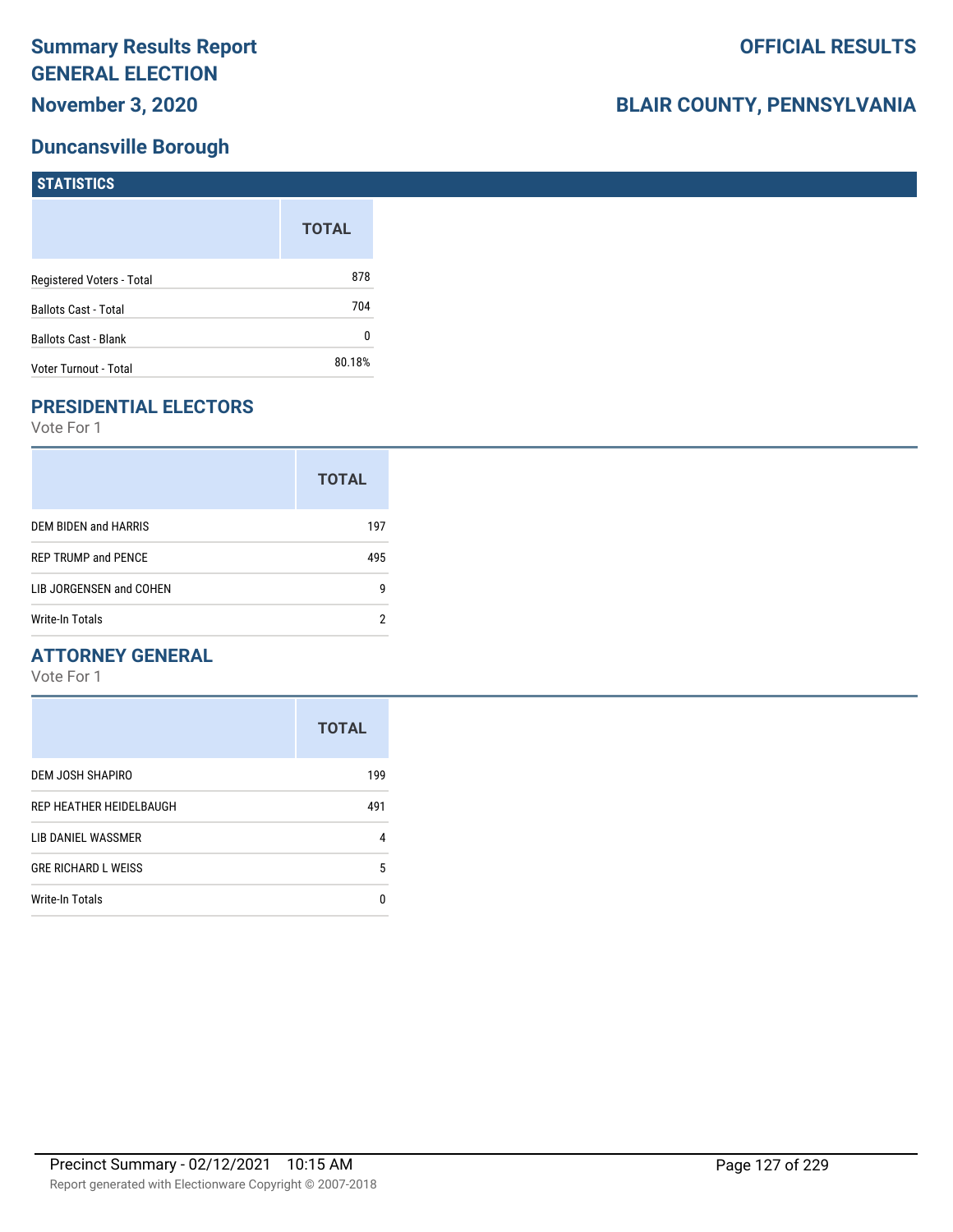# **Duncansville Borough**

| <b>STATISTICS</b>           |              |
|-----------------------------|--------------|
|                             | <b>TOTAL</b> |
| Registered Voters - Total   | 878          |
| <b>Ballots Cast - Total</b> | 704          |
| Ballots Cast - Blank        | 0            |
| Voter Turnout - Total       | 80.18%       |

# **PRESIDENTIAL ELECTORS**

Vote For 1

|                            | <b>TOTAL</b> |
|----------------------------|--------------|
| DEM BIDEN and HARRIS       | 197          |
| <b>REP TRUMP and PENCE</b> | 495          |
| LIB JORGENSEN and COHEN    | g            |
| Write-In Totals            | າ            |

### **ATTORNEY GENERAL**

|                            | <b>TOTAL</b> |
|----------------------------|--------------|
| DEM JOSH SHAPIRO           | 199          |
| REP HEATHER HEIDELBAUGH    | 491          |
| LIB DANIEL WASSMER         | 4            |
| <b>GRE RICHARD L WEISS</b> | 5            |
| <b>Write-In Totals</b>     | n            |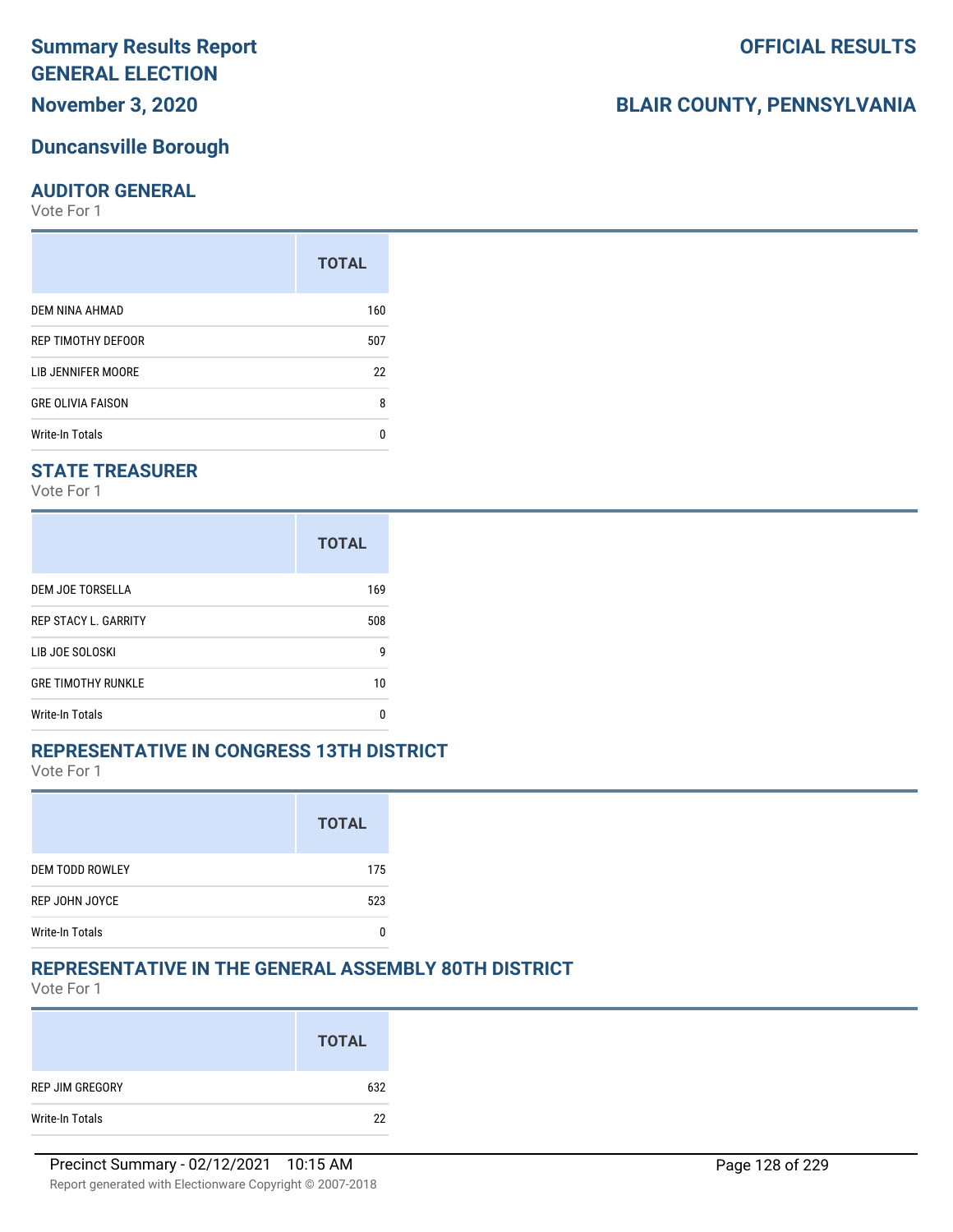**November 3, 2020**

### **Duncansville Borough**

### **AUDITOR GENERAL**

Vote For 1

|                          | <b>TOTAL</b> |
|--------------------------|--------------|
| DEM NINA AHMAD           | 160          |
| REP TIMOTHY DEFOOR       | 507          |
| LIB JENNIFER MOORE       | 22           |
| <b>GRE OLIVIA FAISON</b> | 8            |
| <b>Write-In Totals</b>   | n            |

### **STATE TREASURER**

Vote For 1

|                             | <b>TOTAL</b> |
|-----------------------------|--------------|
| DEM JOE TORSELLA            | 169          |
| <b>REP STACY L. GARRITY</b> | 508          |
| LIB JOE SOLOSKI             | g            |
| <b>GRE TIMOTHY RUNKLE</b>   | 10           |
| Write-In Totals             | n            |

### **REPRESENTATIVE IN CONGRESS 13TH DISTRICT**

Vote For 1

|                        | <b>TOTAL</b> |
|------------------------|--------------|
| <b>DEM TODD ROWLEY</b> | 175          |
| REP JOHN JOYCE         | 523          |
| <b>Write-In Totals</b> |              |

# **REPRESENTATIVE IN THE GENERAL ASSEMBLY 80TH DISTRICT**

Vote For 1

|                 | <b>TOTAL</b> |
|-----------------|--------------|
| REP JIM GREGORY | 632          |
| Write-In Totals | 22           |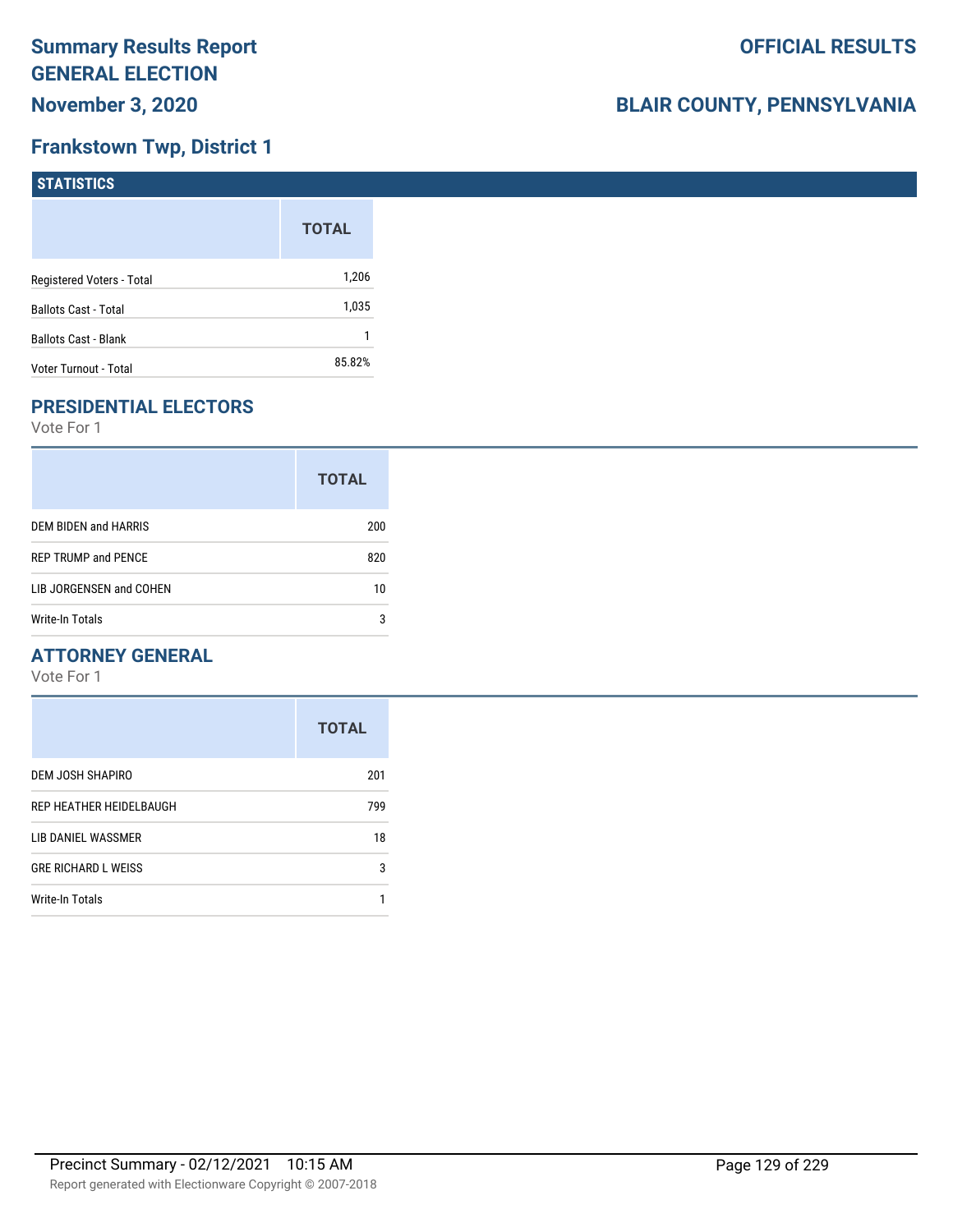# **Frankstown Twp, District 1**

| <b>STATISTICS</b>           |              |
|-----------------------------|--------------|
|                             | <b>TOTAL</b> |
| Registered Voters - Total   | 1,206        |
| <b>Ballots Cast - Total</b> | 1,035        |
| <b>Ballots Cast - Blank</b> |              |
| Voter Turnout - Total       | 85.82%       |

# **PRESIDENTIAL ELECTORS**

Vote For 1

|                            | <b>TOTAL</b> |
|----------------------------|--------------|
| DEM BIDEN and HARRIS       | 200          |
| <b>REP TRUMP and PENCE</b> | 820          |
| LIB JORGENSEN and COHEN    | 10           |
| Write-In Totals            | 3            |

### **ATTORNEY GENERAL**

|                            | <b>TOTAL</b> |
|----------------------------|--------------|
| DEM JOSH SHAPIRO           | 201          |
| REP HEATHER HEIDELBAUGH    | 799          |
| LIB DANIEL WASSMER         | 18           |
| <b>GRE RICHARD L WEISS</b> | 3            |
| <b>Write-In Totals</b>     |              |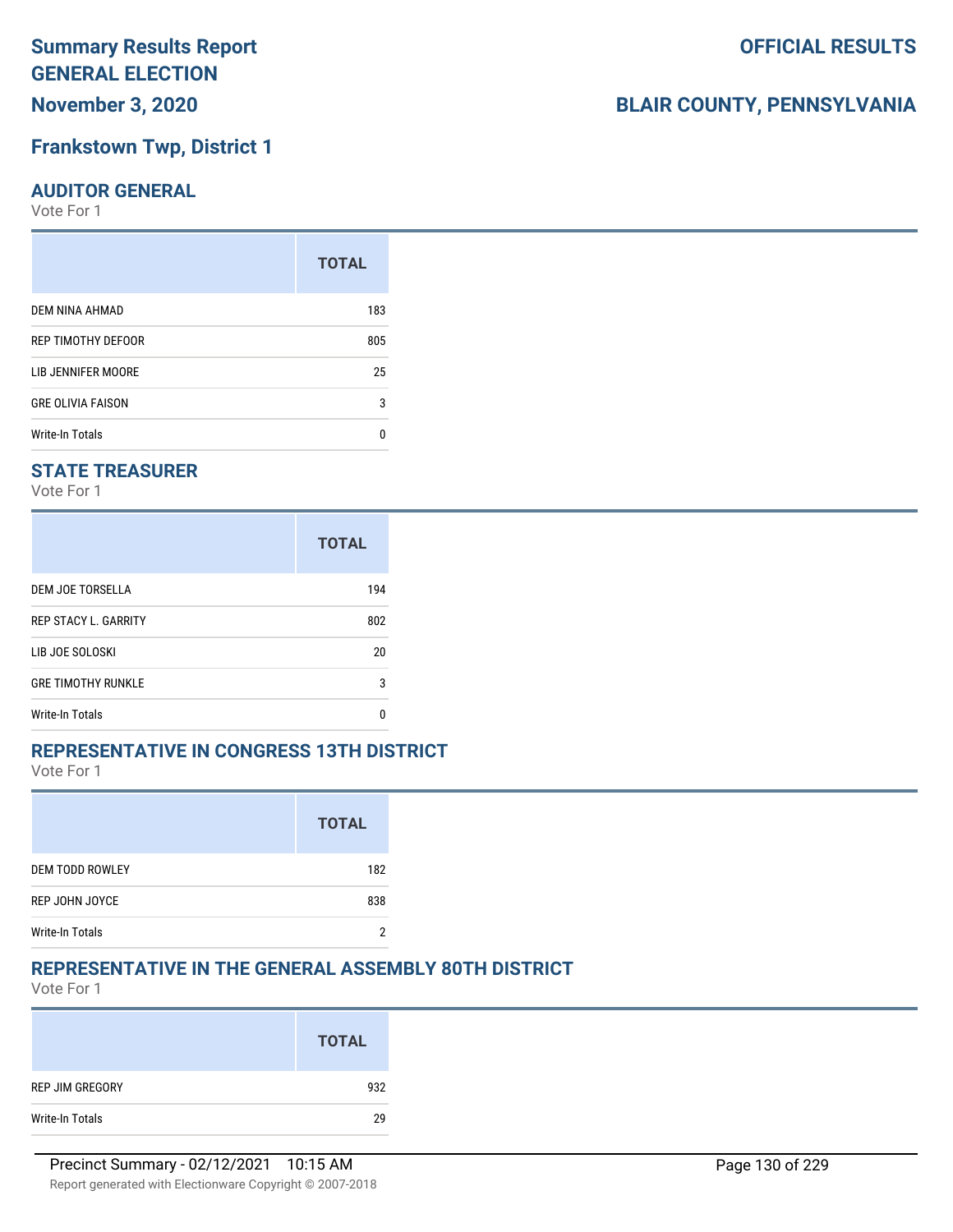**November 3, 2020**

### **Frankstown Twp, District 1**

### **AUDITOR GENERAL**

Vote For 1

| <b>TOTAL</b> |
|--------------|
| 183          |
| 805          |
| 25           |
| 3            |
| n            |
|              |

### **STATE TREASURER**

Vote For 1

|                             | <b>TOTAL</b> |
|-----------------------------|--------------|
| DEM JOE TORSELLA            | 194          |
| <b>REP STACY L. GARRITY</b> | 802          |
| LIB JOE SOLOSKI             | 20           |
| <b>GRE TIMOTHY RUNKLE</b>   | 3            |
| <b>Write-In Totals</b>      | n            |

### **REPRESENTATIVE IN CONGRESS 13TH DISTRICT**

Vote For 1

|                        | <b>TOTAL</b> |
|------------------------|--------------|
| <b>DEM TODD ROWLEY</b> | 182          |
| REP JOHN JOYCE         | 838          |
| <b>Write-In Totals</b> |              |

### **REPRESENTATIVE IN THE GENERAL ASSEMBLY 80TH DISTRICT**

Vote For 1

|                 | <b>TOTAL</b> |
|-----------------|--------------|
| REP JIM GREGORY | 932          |
| Write-In Totals | 29           |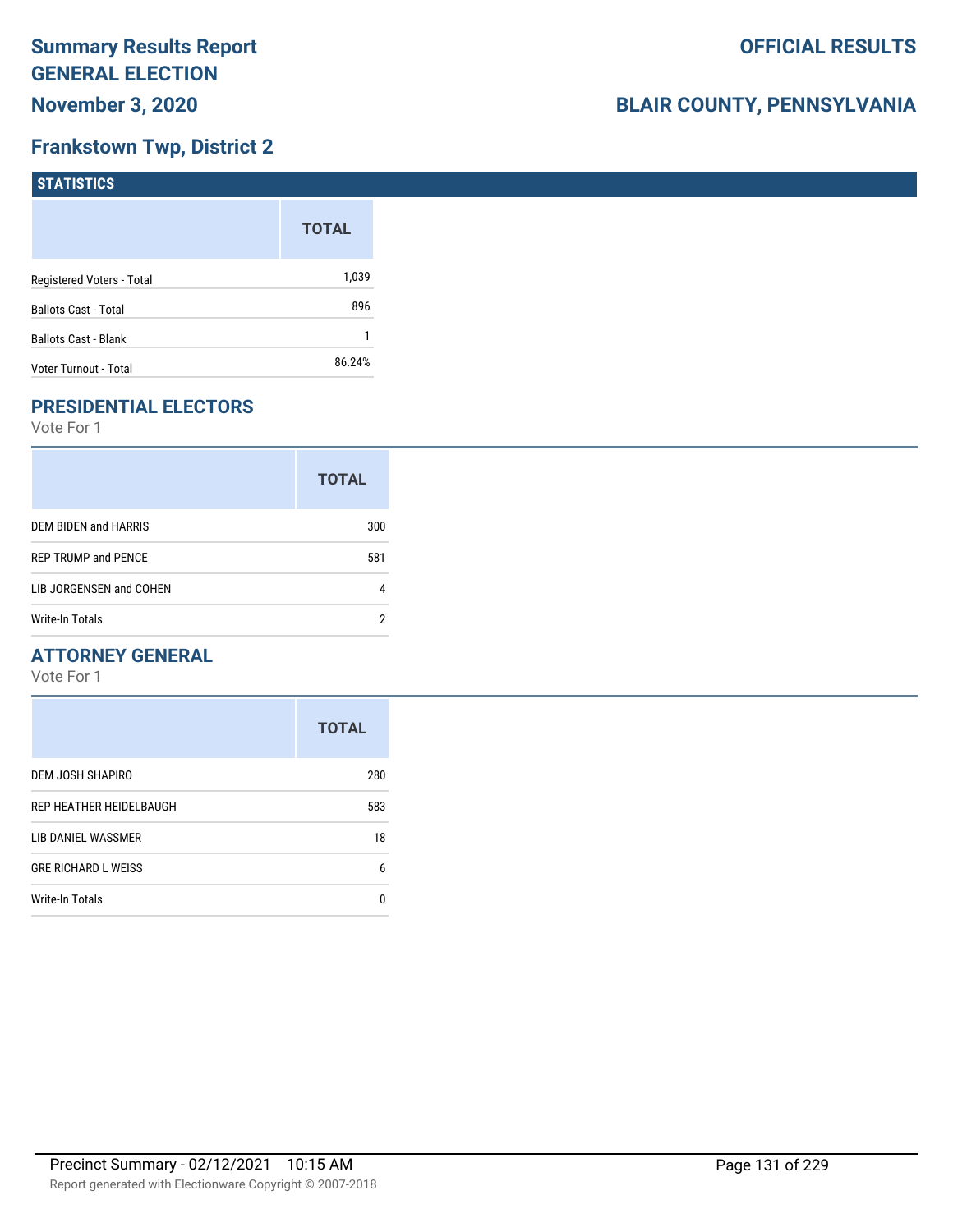# **Frankstown Twp, District 2**

| <b>STATISTICS</b>           |              |
|-----------------------------|--------------|
|                             | <b>TOTAL</b> |
| Registered Voters - Total   | 1,039        |
| <b>Ballots Cast - Total</b> | 896          |
| Ballots Cast - Blank        |              |
| Voter Turnout - Total       | 86.24%       |

# **PRESIDENTIAL ELECTORS**

Vote For 1

|                            | <b>TOTAL</b> |
|----------------------------|--------------|
| DEM BIDEN and HARRIS       | 300          |
| <b>REP TRUMP and PENCE</b> | 581          |
| LIB JORGENSEN and COHEN    |              |
| Write-In Totals            | າ            |

### **ATTORNEY GENERAL**

|                            | <b>TOTAL</b> |
|----------------------------|--------------|
| DEM JOSH SHAPIRO           | 280          |
| REP HEATHER HEIDELBAUGH    | 583          |
| LIB DANIEL WASSMER         | 18           |
| <b>GRE RICHARD L WEISS</b> | 6            |
| <b>Write-In Totals</b>     | n            |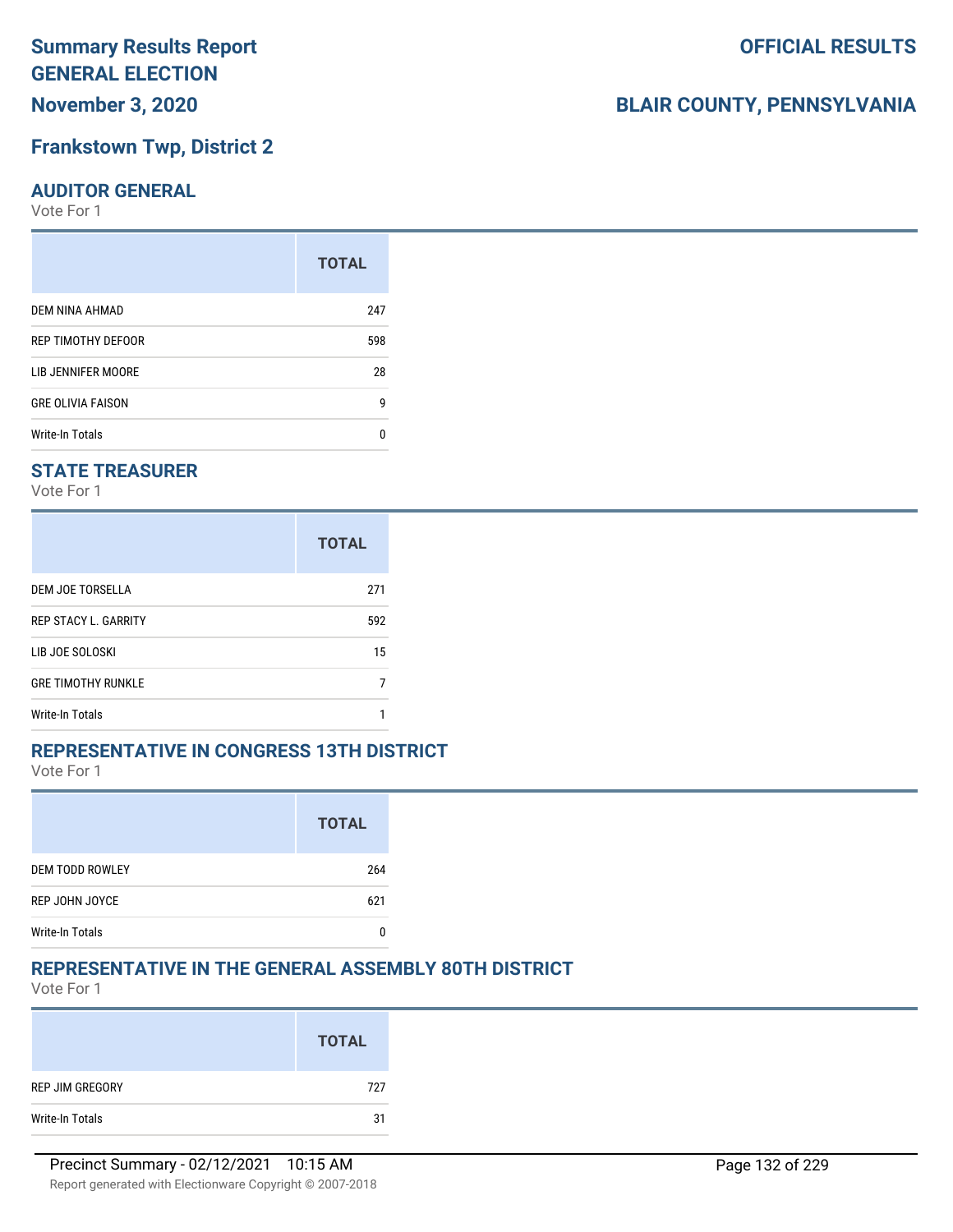**November 3, 2020**

# **Frankstown Twp, District 2**

### **AUDITOR GENERAL**

Vote For 1

|                          | <b>TOTAL</b> |
|--------------------------|--------------|
| DEM NINA AHMAD           | 247          |
| REP TIMOTHY DEFOOR       | 598          |
| LIB JENNIFER MOORE       | 28           |
| <b>GRE OLIVIA FAISON</b> | g            |
| <b>Write-In Totals</b>   | U            |

# **STATE TREASURER**

Vote For 1

|                             | <b>TOTAL</b> |
|-----------------------------|--------------|
| DEM JOE TORSELLA            | 271          |
| <b>REP STACY L. GARRITY</b> | 592          |
| LIB JOE SOLOSKI             | 15           |
| <b>GRE TIMOTHY RUNKLE</b>   |              |
| <b>Write-In Totals</b>      |              |

### **REPRESENTATIVE IN CONGRESS 13TH DISTRICT**

Vote For 1

|                        | <b>TOTAL</b> |
|------------------------|--------------|
| <b>DEM TODD ROWLEY</b> | 264          |
| REP JOHN JOYCE         | 621          |
| <b>Write-In Totals</b> |              |

### **REPRESENTATIVE IN THE GENERAL ASSEMBLY 80TH DISTRICT**

Vote For 1

|                 | <b>TOTAL</b> |
|-----------------|--------------|
| REP JIM GREGORY | 727          |
| Write-In Totals | 31           |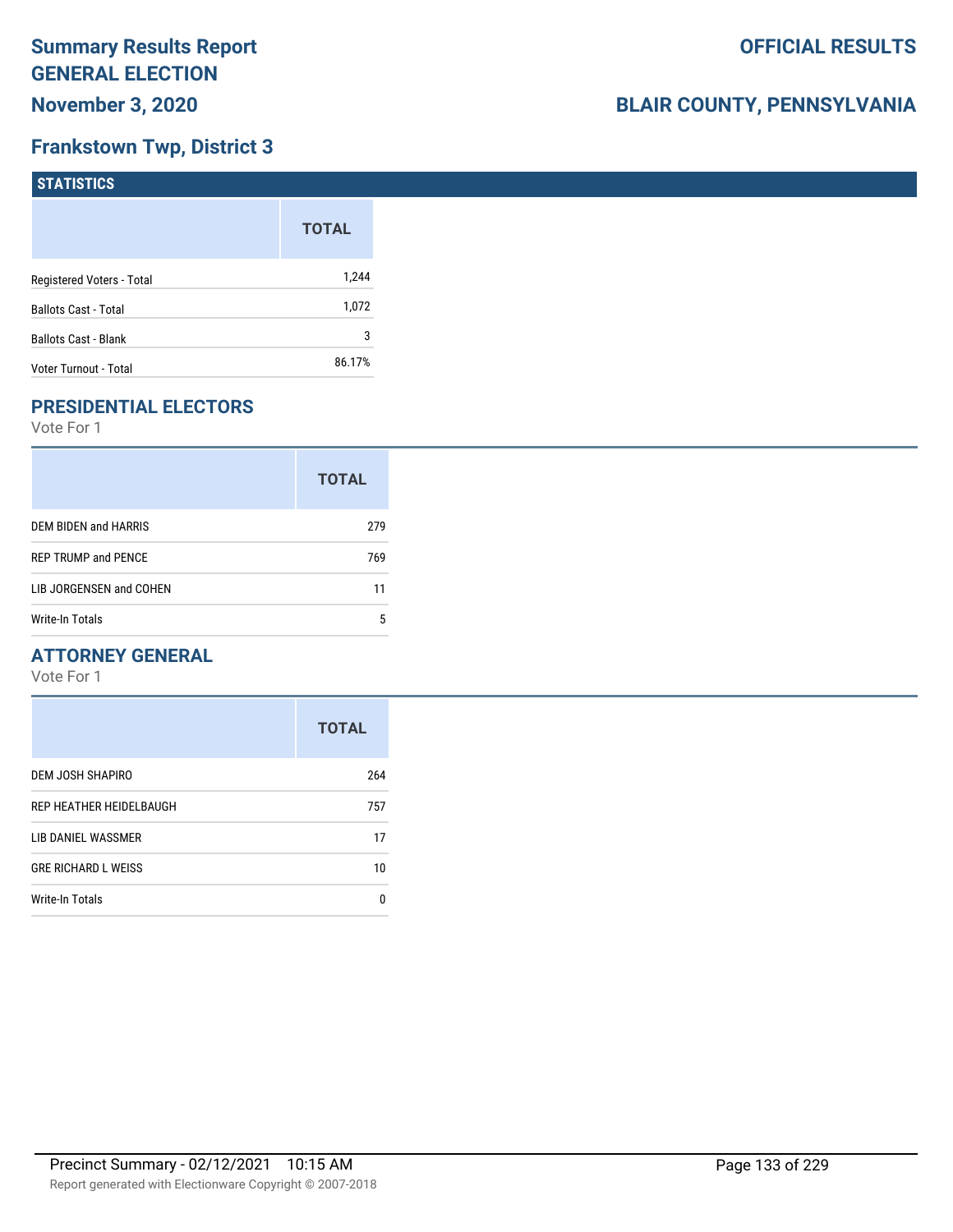# **Frankstown Twp, District 3**

| <b>STATISTICS</b>           |              |
|-----------------------------|--------------|
|                             | <b>TOTAL</b> |
| Registered Voters - Total   | 1,244        |
| <b>Ballots Cast - Total</b> | 1,072        |
| <b>Ballots Cast - Blank</b> | 3            |
| Voter Turnout - Total       | 86.17%       |

### **PRESIDENTIAL ELECTORS**

Vote For 1

|                            | <b>TOTAL</b> |
|----------------------------|--------------|
| DEM BIDEN and HARRIS       | 279          |
| <b>REP TRUMP and PENCE</b> | 769          |
| LIB JORGENSEN and COHEN    | 11           |
| Write-In Totals            | 5            |

### **ATTORNEY GENERAL**

|                            | <b>TOTAL</b> |
|----------------------------|--------------|
| DEM JOSH SHAPIRO           | 264          |
| REP HEATHER HEIDELBAUGH    | 757          |
| LIB DANIEL WASSMER         | 17           |
| <b>GRE RICHARD L WEISS</b> | 10           |
| <b>Write-In Totals</b>     | 0            |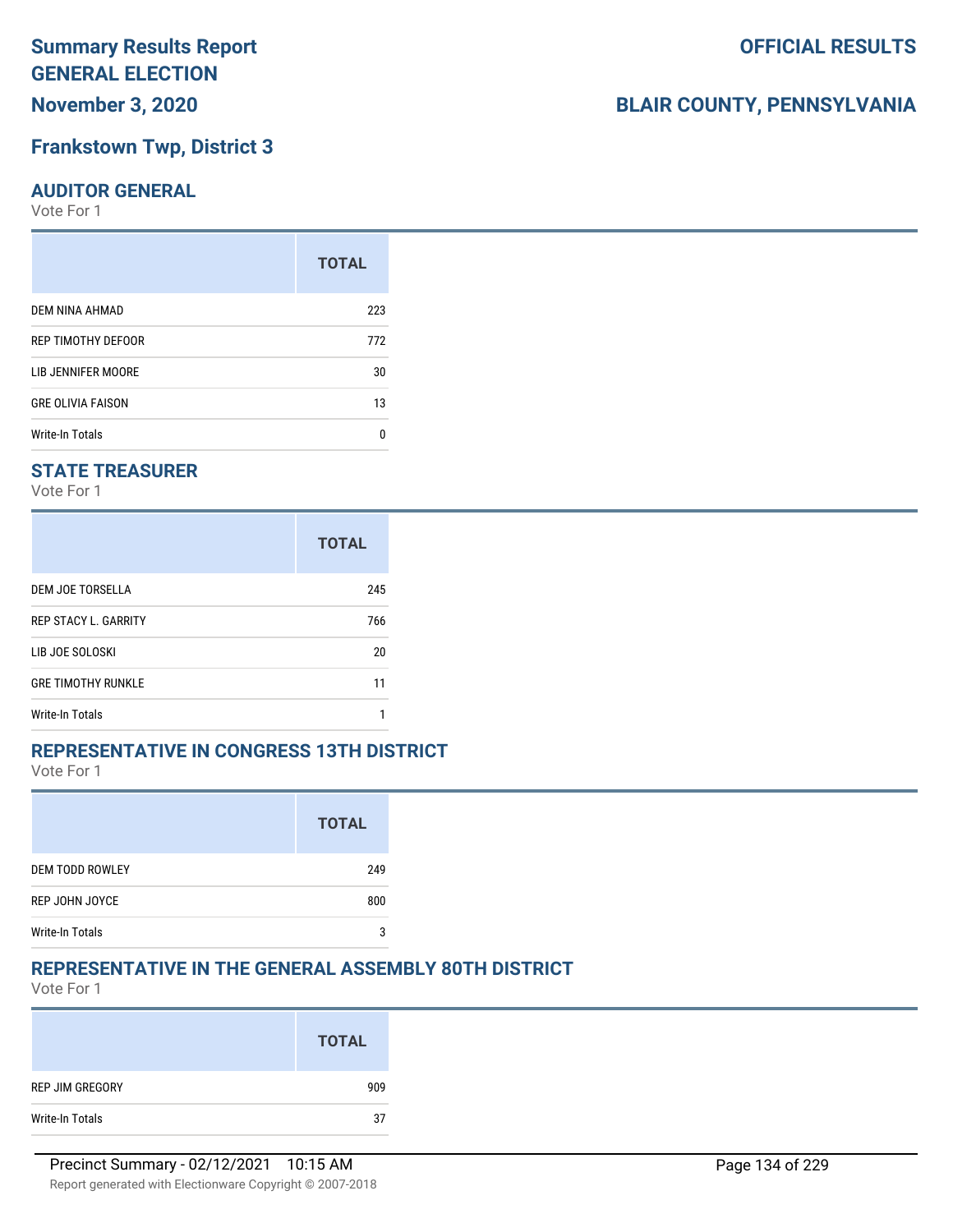**November 3, 2020**

# **Frankstown Twp, District 3**

### **AUDITOR GENERAL**

Vote For 1

|                          | <b>TOTAL</b> |
|--------------------------|--------------|
| DEM NINA AHMAD           | 223          |
| REP TIMOTHY DEFOOR       | 772          |
| LIB JENNIFER MOORE       | 30           |
| <b>GRE OLIVIA FAISON</b> | 13           |
| <b>Write-In Totals</b>   | U            |

# **STATE TREASURER**

Vote For 1

|                             | <b>TOTAL</b> |
|-----------------------------|--------------|
| DEM JOE TORSELLA            | 245          |
| <b>REP STACY L. GARRITY</b> | 766          |
| LIB JOE SOLOSKI             | 20           |
| <b>GRE TIMOTHY RUNKLE</b>   | 11           |
| <b>Write-In Totals</b>      |              |

### **REPRESENTATIVE IN CONGRESS 13TH DISTRICT**

Vote For 1

|                        | <b>TOTAL</b> |
|------------------------|--------------|
| <b>DEM TODD ROWLEY</b> | 249          |
| REP JOHN JOYCE         | 800          |
| <b>Write-In Totals</b> | 2            |

### **REPRESENTATIVE IN THE GENERAL ASSEMBLY 80TH DISTRICT**

Vote For 1

|                 | <b>TOTAL</b> |
|-----------------|--------------|
| REP JIM GREGORY | 909          |
| Write-In Totals | 37           |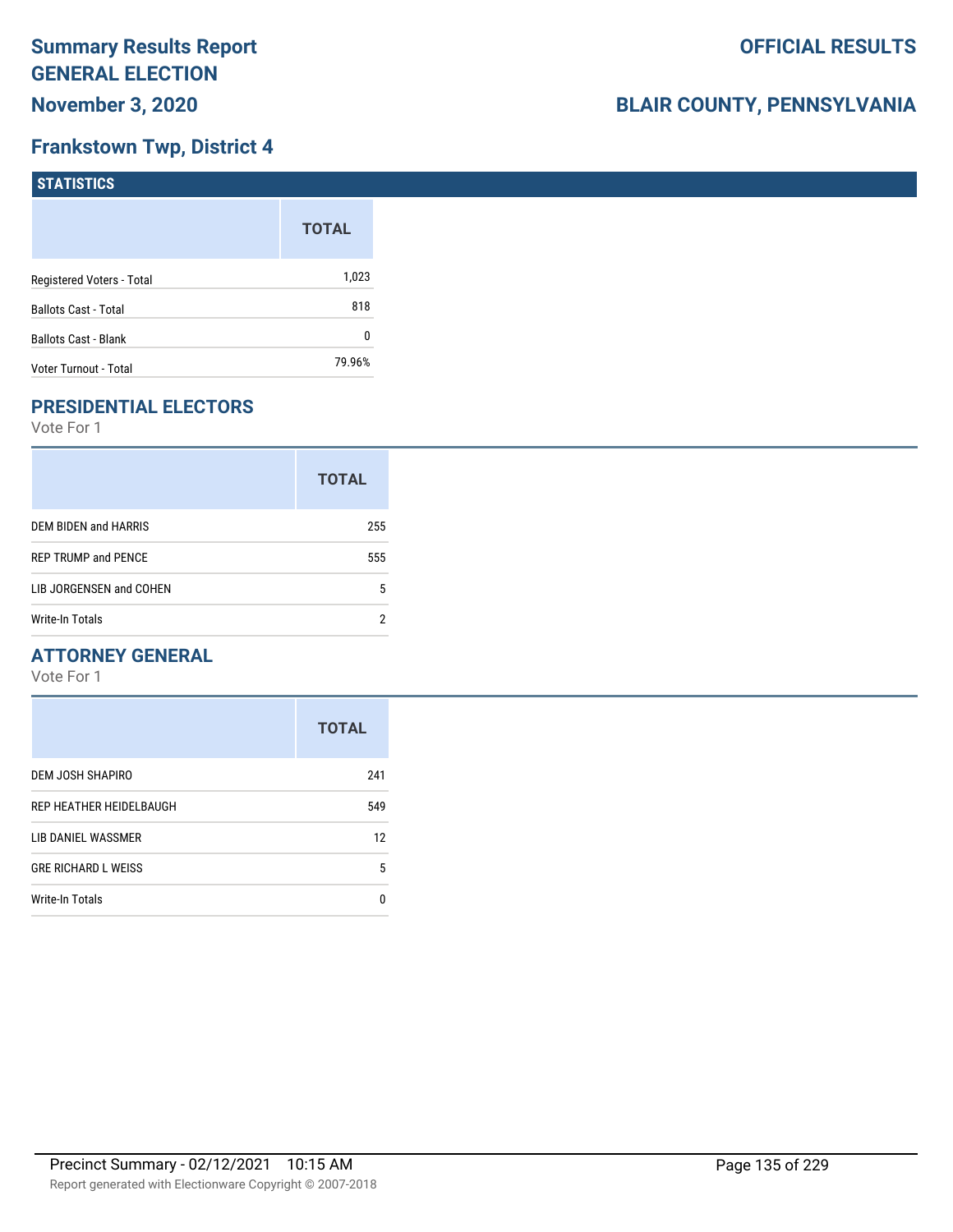# **Frankstown Twp, District 4**

| <b>STATISTICS</b>           |              |
|-----------------------------|--------------|
|                             | <b>TOTAL</b> |
| Registered Voters - Total   | 1,023        |
| <b>Ballots Cast - Total</b> | 818          |
| <b>Ballots Cast - Blank</b> | 0            |
| Voter Turnout - Total       | 79.96%       |

# **PRESIDENTIAL ELECTORS**

Vote For 1

|                            | <b>TOTAL</b> |
|----------------------------|--------------|
| DEM BIDEN and HARRIS       | 255          |
| <b>REP TRUMP and PENCE</b> | 555          |
| LIB JORGENSEN and COHEN    | 5            |
| Write-In Totals            | າ            |

### **ATTORNEY GENERAL**

|                            | <b>TOTAL</b> |
|----------------------------|--------------|
| DEM JOSH SHAPIRO           | 241          |
| REP HEATHER HEIDELBAUGH    | 549          |
| LIB DANIEL WASSMER         | 12           |
| <b>GRE RICHARD L WEISS</b> | 5            |
| Write-In Totals            | 0            |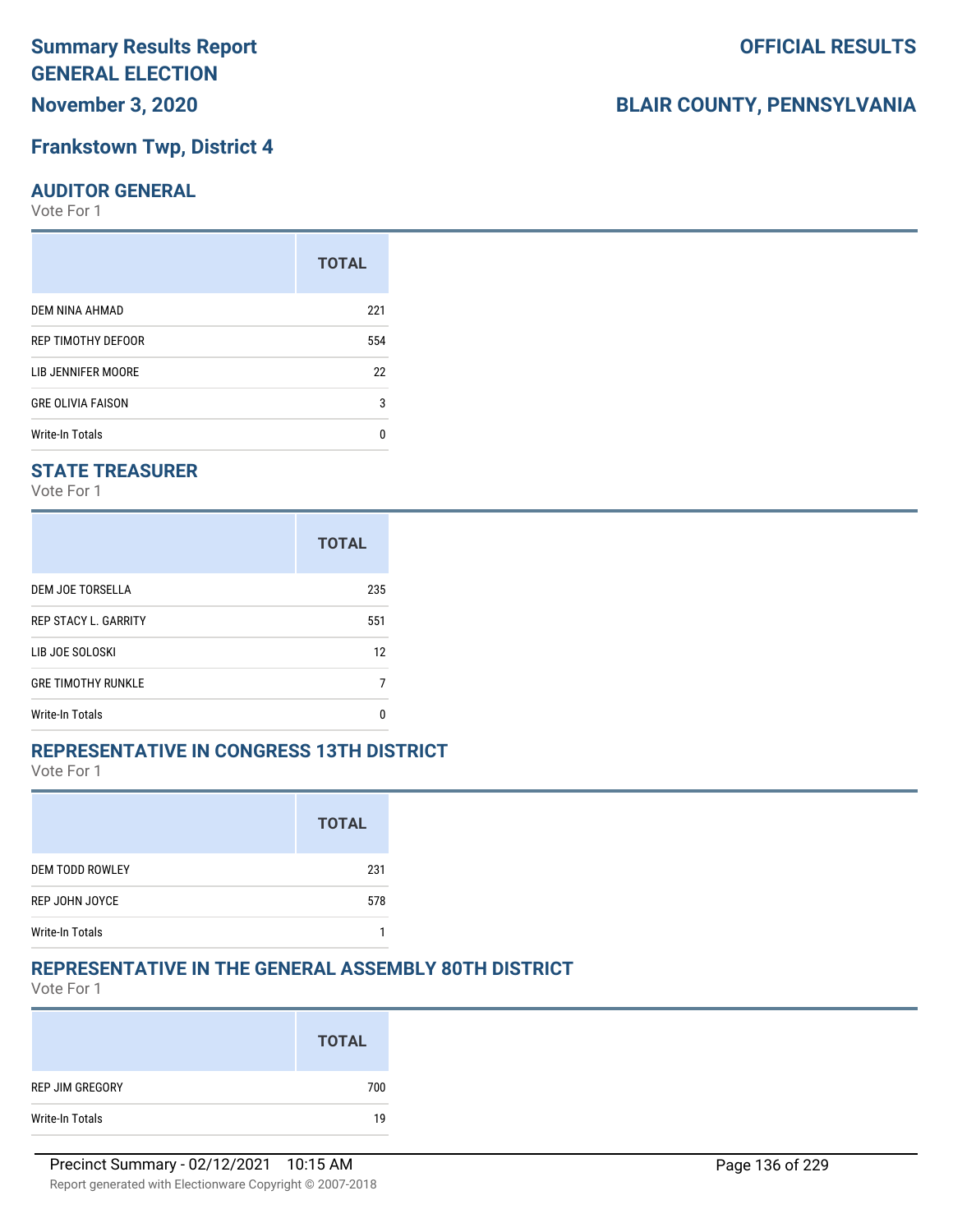**November 3, 2020**

# **Frankstown Twp, District 4**

### **AUDITOR GENERAL**

Vote For 1

|                          | <b>TOTAL</b> |
|--------------------------|--------------|
| DEM NINA AHMAD           | 221          |
| REP TIMOTHY DEFOOR       | 554          |
| LIB JENNIFER MOORE       | 22           |
| <b>GRE OLIVIA FAISON</b> | 3            |
| <b>Write-In Totals</b>   | n            |

# **STATE TREASURER**

Vote For 1

|                             | <b>TOTAL</b> |
|-----------------------------|--------------|
| DEM JOE TORSELLA            | 235          |
| <b>REP STACY L. GARRITY</b> | 551          |
| LIB JOE SOLOSKI             | 12           |
| <b>GRE TIMOTHY RUNKLE</b>   |              |
| <b>Write-In Totals</b>      | n            |

# **REPRESENTATIVE IN CONGRESS 13TH DISTRICT**

Vote For 1

|                        | <b>TOTAL</b> |
|------------------------|--------------|
| <b>DEM TODD ROWLEY</b> | 231          |
| REP JOHN JOYCE         | 578          |
| <b>Write-In Totals</b> |              |

# **REPRESENTATIVE IN THE GENERAL ASSEMBLY 80TH DISTRICT**

Vote For 1

|                 | <b>TOTAL</b> |
|-----------------|--------------|
| REP JIM GREGORY | 700          |
| Write-In Totals | 19           |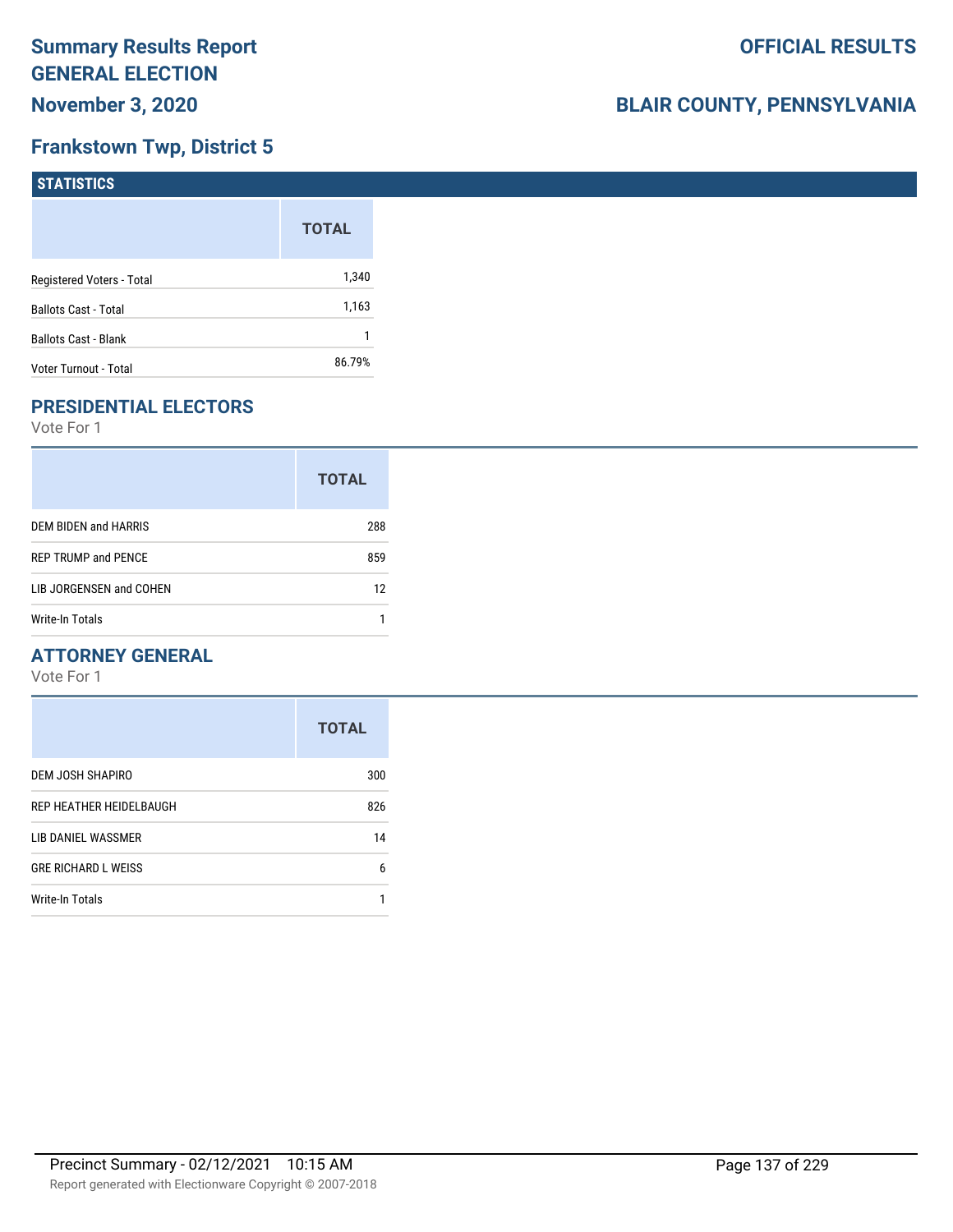# **Frankstown Twp, District 5**

| <b>STATISTICS</b>           |              |
|-----------------------------|--------------|
|                             | <b>TOTAL</b> |
| Registered Voters - Total   | 1,340        |
| <b>Ballots Cast - Total</b> | 1,163        |
| <b>Ballots Cast - Blank</b> |              |
| Voter Turnout - Total       | 86.79%       |

# **PRESIDENTIAL ELECTORS**

Vote For 1

|                            | <b>TOTAL</b> |
|----------------------------|--------------|
| DEM BIDEN and HARRIS       | 288          |
| <b>REP TRUMP and PENCE</b> | 859          |
| LIB JORGENSEN and COHEN    | 12           |
| Write-In Totals            |              |

### **ATTORNEY GENERAL**

|                            | <b>TOTAL</b> |
|----------------------------|--------------|
| DEM JOSH SHAPIRO           | 300          |
| REP HEATHER HEIDELBAUGH    | 826          |
| LIB DANIEL WASSMER         | 14           |
| <b>GRE RICHARD L WEISS</b> | 6            |
| Write-In Totals            |              |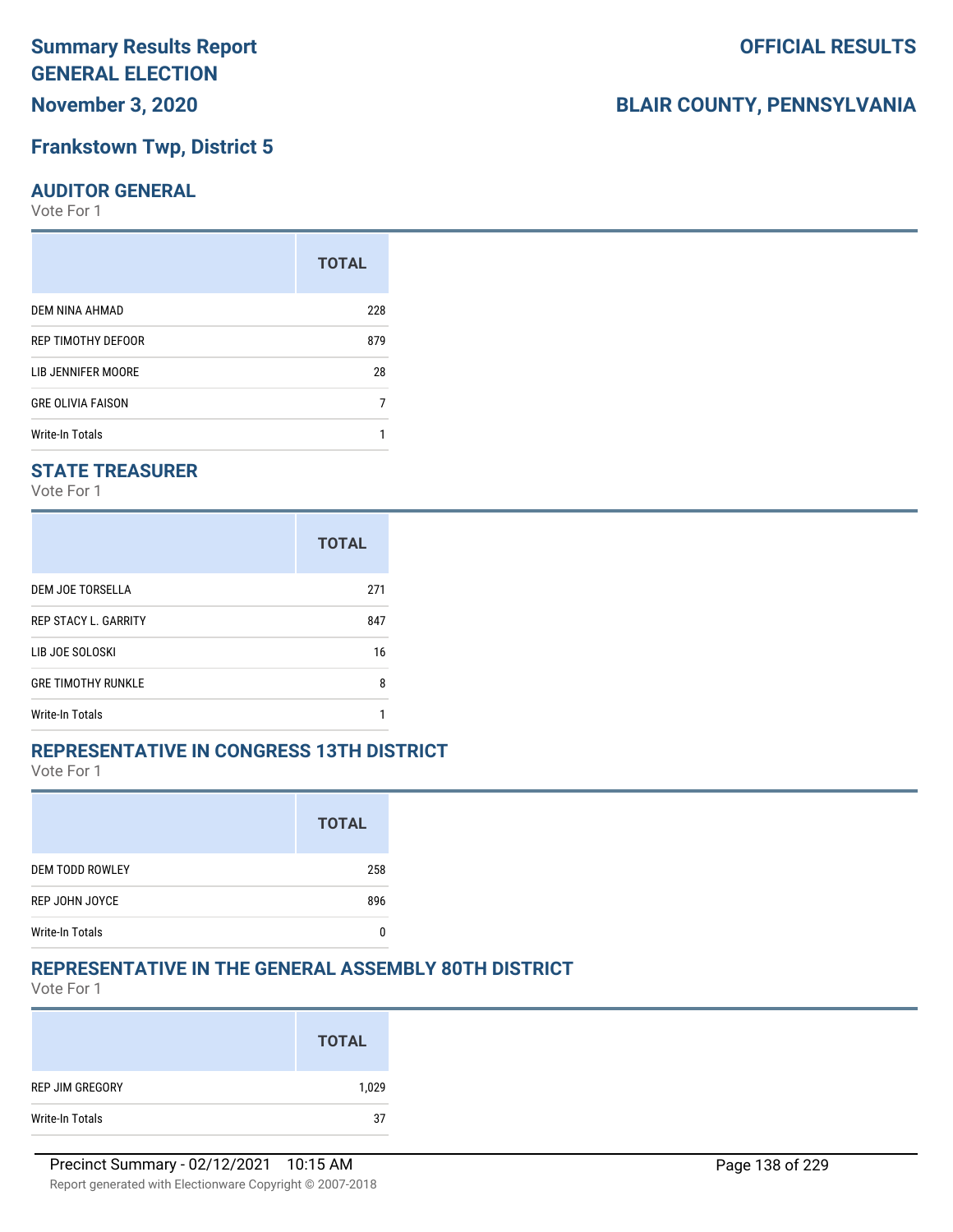**November 3, 2020**

### **Frankstown Twp, District 5**

#### **AUDITOR GENERAL**

Vote For 1

|                          | <b>TOTAL</b> |
|--------------------------|--------------|
| DEM NINA AHMAD           | 228          |
| REP TIMOTHY DEFOOR       | 879          |
| LIB JENNIFER MOORE       | 28           |
| <b>GRE OLIVIA FAISON</b> |              |
| Write-In Totals          |              |

### **STATE TREASURER**

Vote For 1

|                             | <b>TOTAL</b> |
|-----------------------------|--------------|
| DEM JOE TORSELLA            | 271          |
| <b>REP STACY L. GARRITY</b> | 847          |
| LIB JOE SOLOSKI             | 16           |
| <b>GRE TIMOTHY RUNKLE</b>   | 8            |
| <b>Write-In Totals</b>      |              |

### **REPRESENTATIVE IN CONGRESS 13TH DISTRICT**

Vote For 1

|                        | <b>TOTAL</b> |
|------------------------|--------------|
| <b>DEM TODD ROWLEY</b> | 258          |
| REP JOHN JOYCE         | 896          |
| <b>Write-In Totals</b> |              |

### **REPRESENTATIVE IN THE GENERAL ASSEMBLY 80TH DISTRICT**

Vote For 1

|                 | <b>TOTAL</b> |
|-----------------|--------------|
| REP JIM GREGORY | 1,029        |
| Write-In Totals | 37           |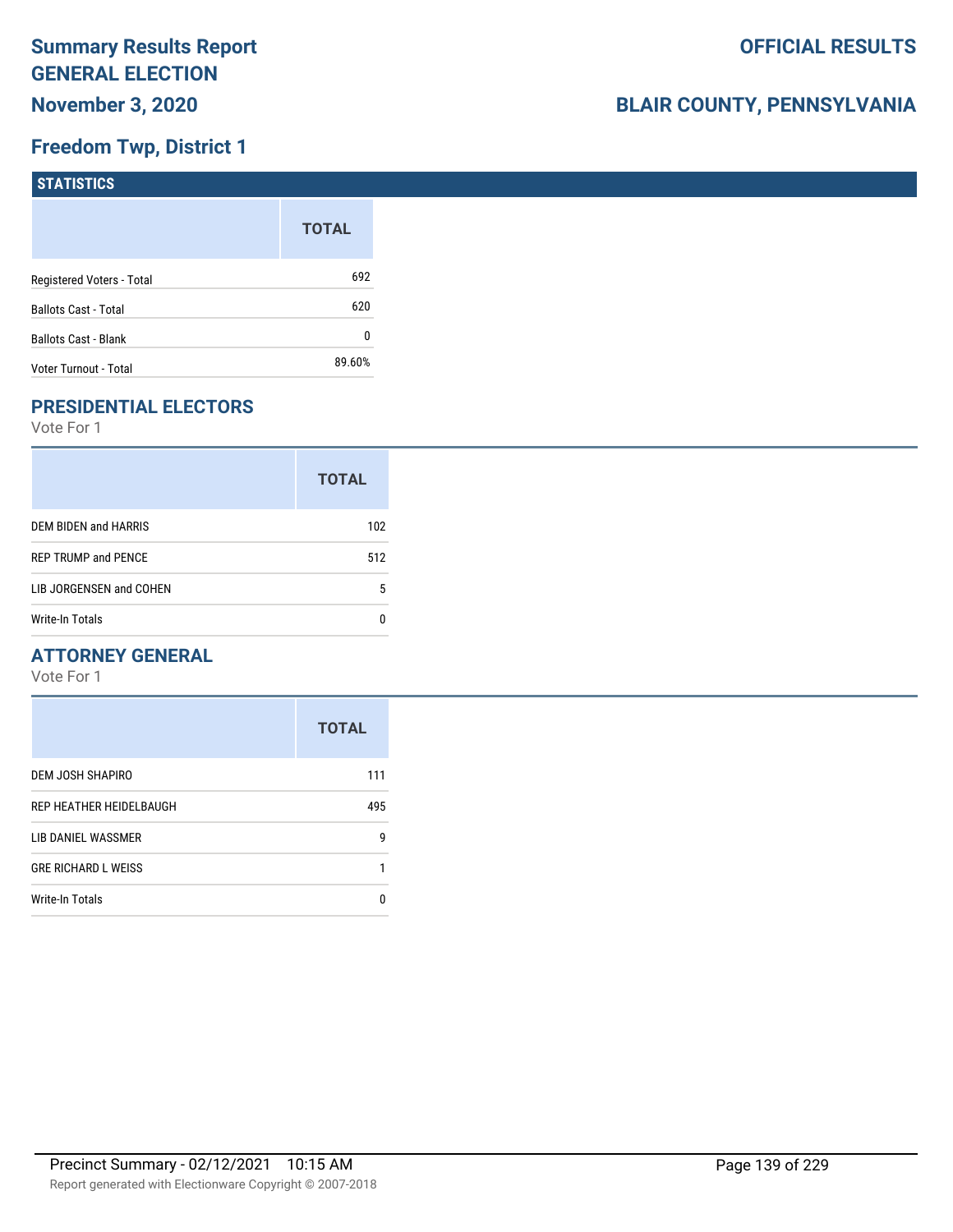# **Freedom Twp, District 1**

| STATISTICS                  |              |
|-----------------------------|--------------|
|                             | <b>TOTAL</b> |
| Registered Voters - Total   | 692          |
| <b>Ballots Cast - Total</b> | 620          |
| <b>Ballots Cast - Blank</b> | 0            |
| Voter Turnout - Total       | 89.60%       |

# **PRESIDENTIAL ELECTORS**

Vote For 1

|                            | <b>TOTAL</b> |
|----------------------------|--------------|
| DEM BIDEN and HARRIS       | 102          |
| <b>REP TRUMP and PENCE</b> | 512          |
| LIB JORGENSEN and COHEN    | 5            |
| <b>Write-In Totals</b>     |              |

### **ATTORNEY GENERAL**

|                            | <b>TOTAL</b> |
|----------------------------|--------------|
| DEM JOSH SHAPIRO           | 111          |
| REP HEATHER HEIDELBAUGH    | 495          |
| LIB DANIEL WASSMER         | 9            |
| <b>GRE RICHARD L WEISS</b> |              |
| Write-In Totals            | п            |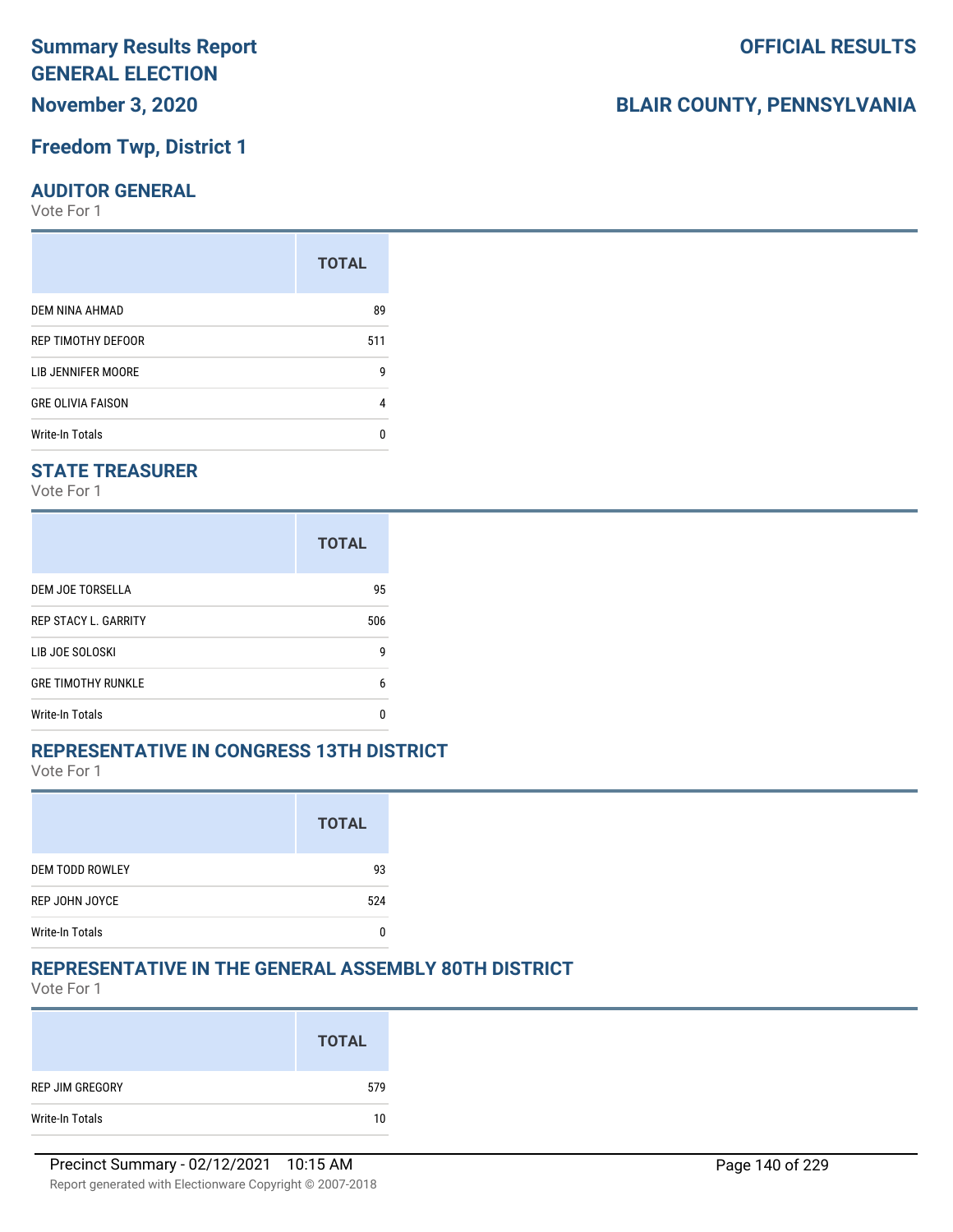# **November 3, 2020**

# **Freedom Twp, District 1**

### **AUDITOR GENERAL**

Vote For 1

| <b>TOTAL</b> |
|--------------|
| 89           |
| 511          |
| g            |
| 4            |
| n            |
|              |

### **STATE TREASURER**

Vote For 1

|                             | <b>TOTAL</b> |
|-----------------------------|--------------|
| DEM JOE TORSELLA            | 95           |
| <b>REP STACY L. GARRITY</b> | 506          |
| LIB JOE SOLOSKI             | g            |
| <b>GRE TIMOTHY RUNKLE</b>   | 6            |
| <b>Write-In Totals</b>      | n            |

### **REPRESENTATIVE IN CONGRESS 13TH DISTRICT**

Vote For 1

|                        | <b>TOTAL</b> |
|------------------------|--------------|
| <b>DEM TODD ROWLEY</b> | 93           |
| REP JOHN JOYCE         | 524          |
| <b>Write-In Totals</b> |              |

### **REPRESENTATIVE IN THE GENERAL ASSEMBLY 80TH DISTRICT**

Vote For 1

|                 | <b>TOTAL</b> |
|-----------------|--------------|
| REP JIM GREGORY | 579          |
| Write-In Totals | 10           |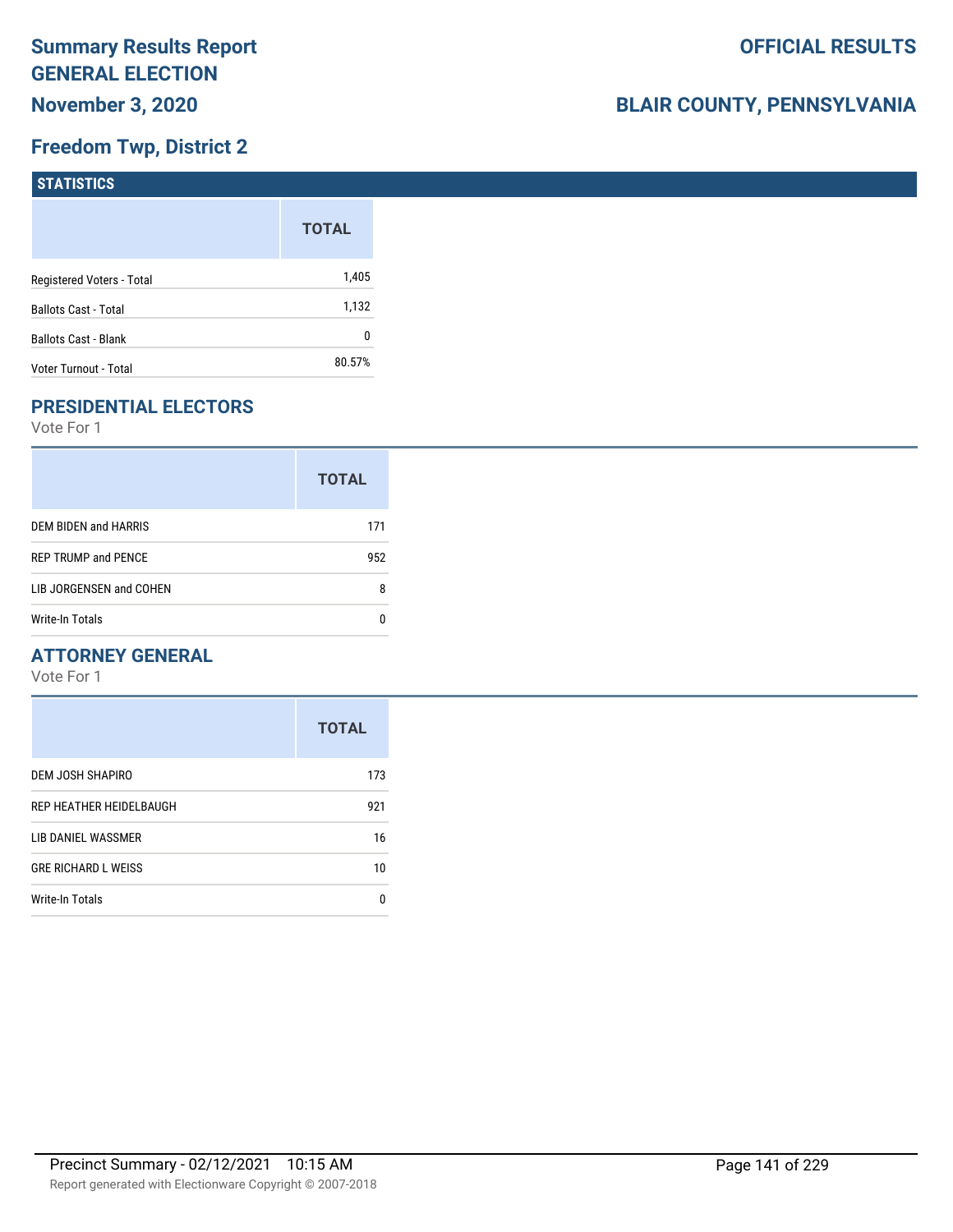# **Freedom Twp, District 2**

| STATISTICS                  |              |
|-----------------------------|--------------|
|                             | <b>TOTAL</b> |
| Registered Voters - Total   | 1,405        |
| <b>Ballots Cast - Total</b> | 1,132        |
| <b>Ballots Cast - Blank</b> | 0            |
| Voter Turnout - Total       | 80.57%       |

# **PRESIDENTIAL ELECTORS**

Vote For 1

|                            | <b>TOTAL</b> |
|----------------------------|--------------|
| DEM BIDEN and HARRIS       | 171          |
| <b>REP TRUMP and PENCE</b> | 952          |
| LIB JORGENSEN and COHEN    | 8            |
| Write-In Totals            |              |

### **ATTORNEY GENERAL**

|                            | <b>TOTAL</b> |
|----------------------------|--------------|
| DEM JOSH SHAPIRO           | 173          |
| REP HEATHER HEIDELBAUGH    | 921          |
| LIB DANIEL WASSMER         | 16           |
| <b>GRE RICHARD L WEISS</b> | 10           |
| <b>Write-In Totals</b>     | n            |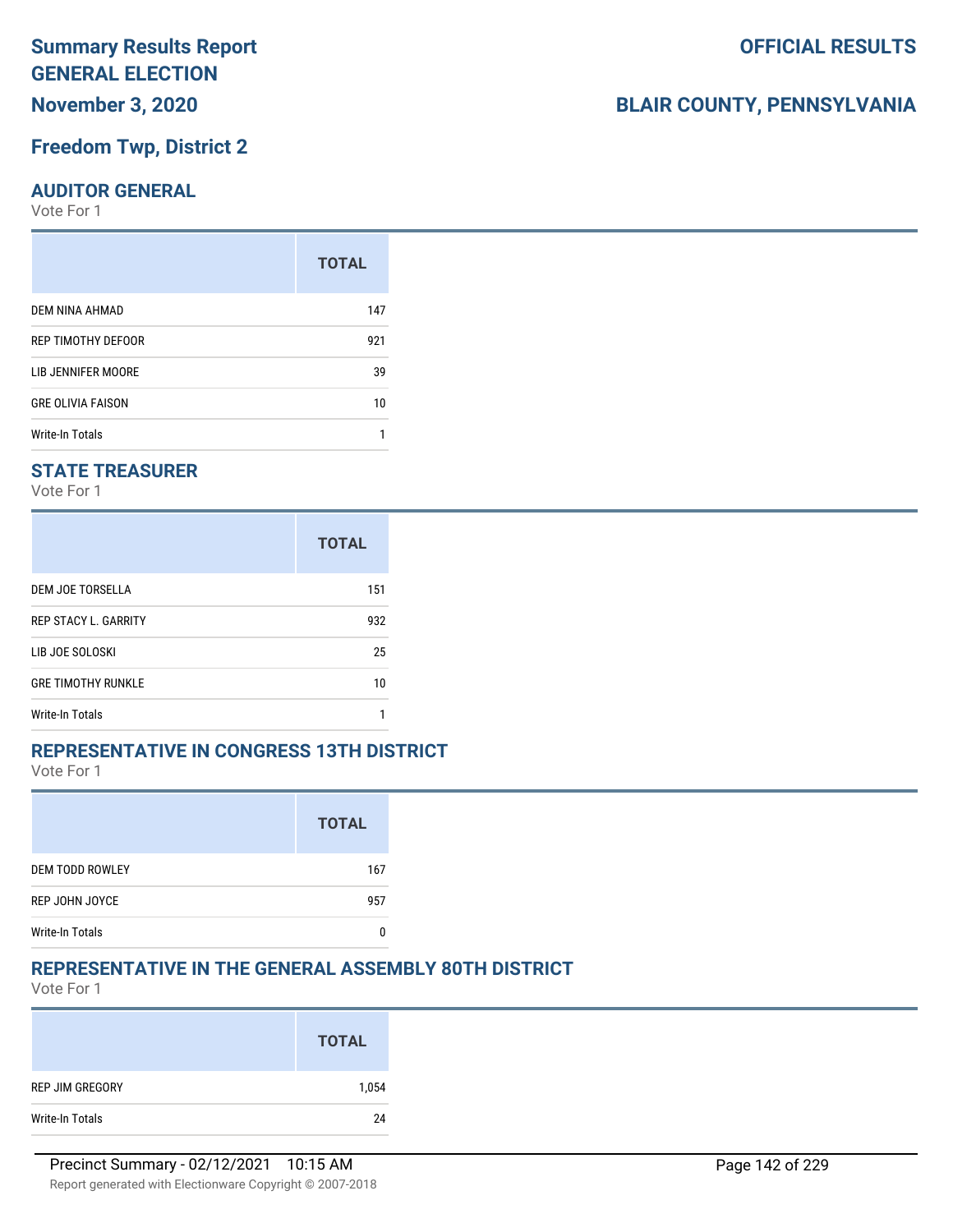### **Freedom Twp, District 2**

#### **AUDITOR GENERAL**

Vote For 1

|                          | <b>TOTAL</b> |
|--------------------------|--------------|
| DEM NINA AHMAD           | 147          |
| REP TIMOTHY DEFOOR       | 921          |
| LIB JENNIFER MOORE       | 39           |
| <b>GRE OLIVIA FAISON</b> | 10           |
| Write-In Totals          |              |

### **STATE TREASURER**

Vote For 1

|                             | <b>TOTAL</b> |
|-----------------------------|--------------|
| DEM JOE TORSELLA            | 151          |
| <b>REP STACY L. GARRITY</b> | 932          |
| LIB JOE SOLOSKI             | 25           |
| <b>GRE TIMOTHY RUNKLE</b>   | 10           |
| <b>Write-In Totals</b>      |              |

### **REPRESENTATIVE IN CONGRESS 13TH DISTRICT**

Vote For 1

|                        | <b>TOTAL</b> |
|------------------------|--------------|
| <b>DEM TODD ROWLEY</b> | 167          |
| REP JOHN JOYCE         | 957          |
| <b>Write-In Totals</b> |              |

### **REPRESENTATIVE IN THE GENERAL ASSEMBLY 80TH DISTRICT**

Vote For 1

|                 | <b>TOTAL</b> |
|-----------------|--------------|
| REP JIM GREGORY | 1,054        |
| Write-In Totals | 24           |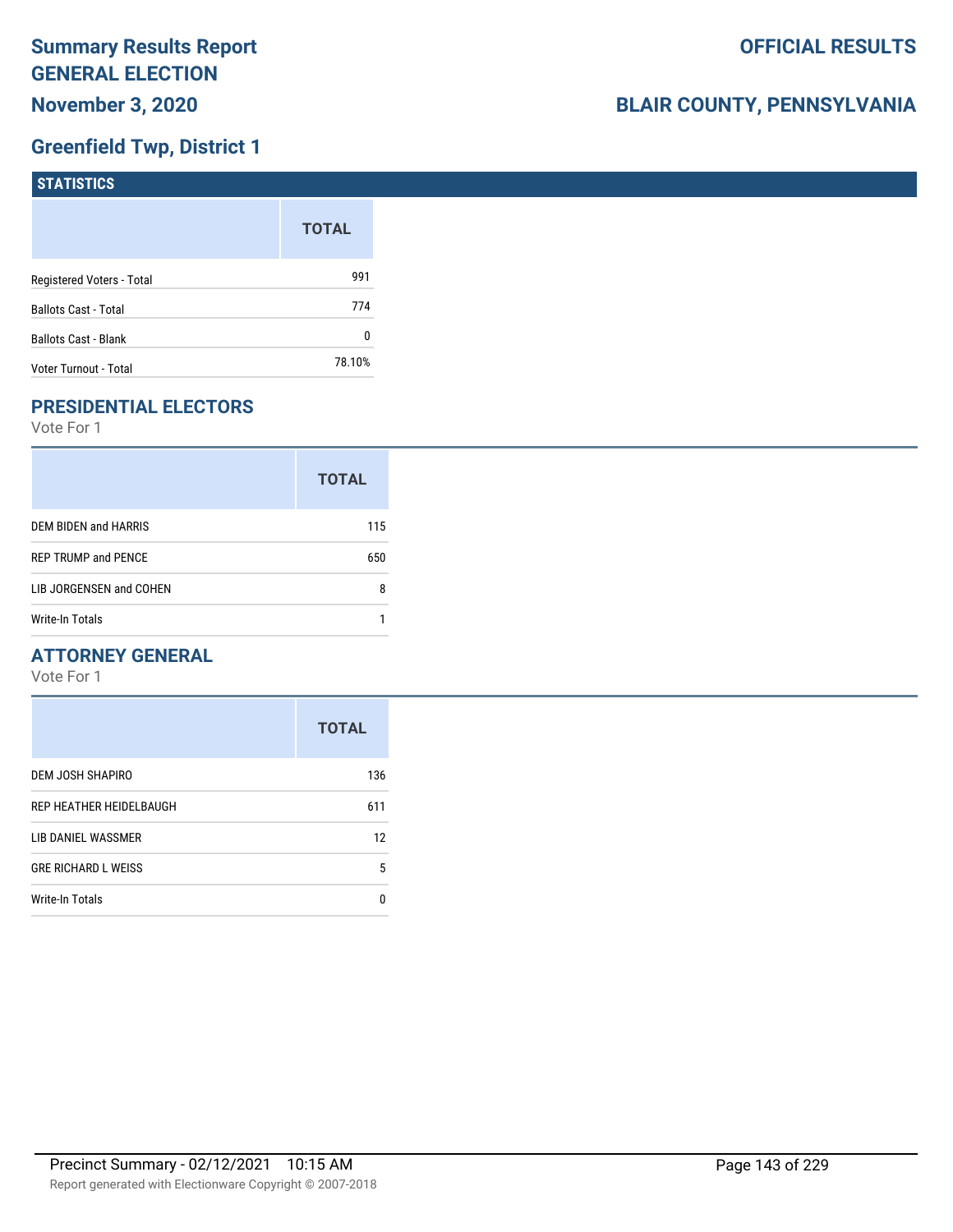# **Greenfield Twp, District 1**

| <b>STATISTICS</b>           |              |
|-----------------------------|--------------|
|                             | <b>TOTAL</b> |
| Registered Voters - Total   | 991          |
| <b>Ballots Cast - Total</b> | 774          |
| Ballots Cast - Blank        | 0            |
| Voter Turnout - Total       | 78.10%       |

# **PRESIDENTIAL ELECTORS**

Vote For 1

|                            | <b>TOTAL</b> |
|----------------------------|--------------|
| DEM BIDEN and HARRIS       | 115          |
| <b>REP TRUMP and PENCE</b> | 650          |
| LIB JORGENSEN and COHEN    | 8            |
| Write-In Totals            |              |

### **ATTORNEY GENERAL**

|                            | <b>TOTAL</b> |
|----------------------------|--------------|
| DEM JOSH SHAPIRO           | 136          |
| REP HEATHER HEIDELBAUGH    | 611          |
| LIB DANIEL WASSMER         | 12           |
| <b>GRE RICHARD L WEISS</b> | 5            |
| Write-In Totals            | n            |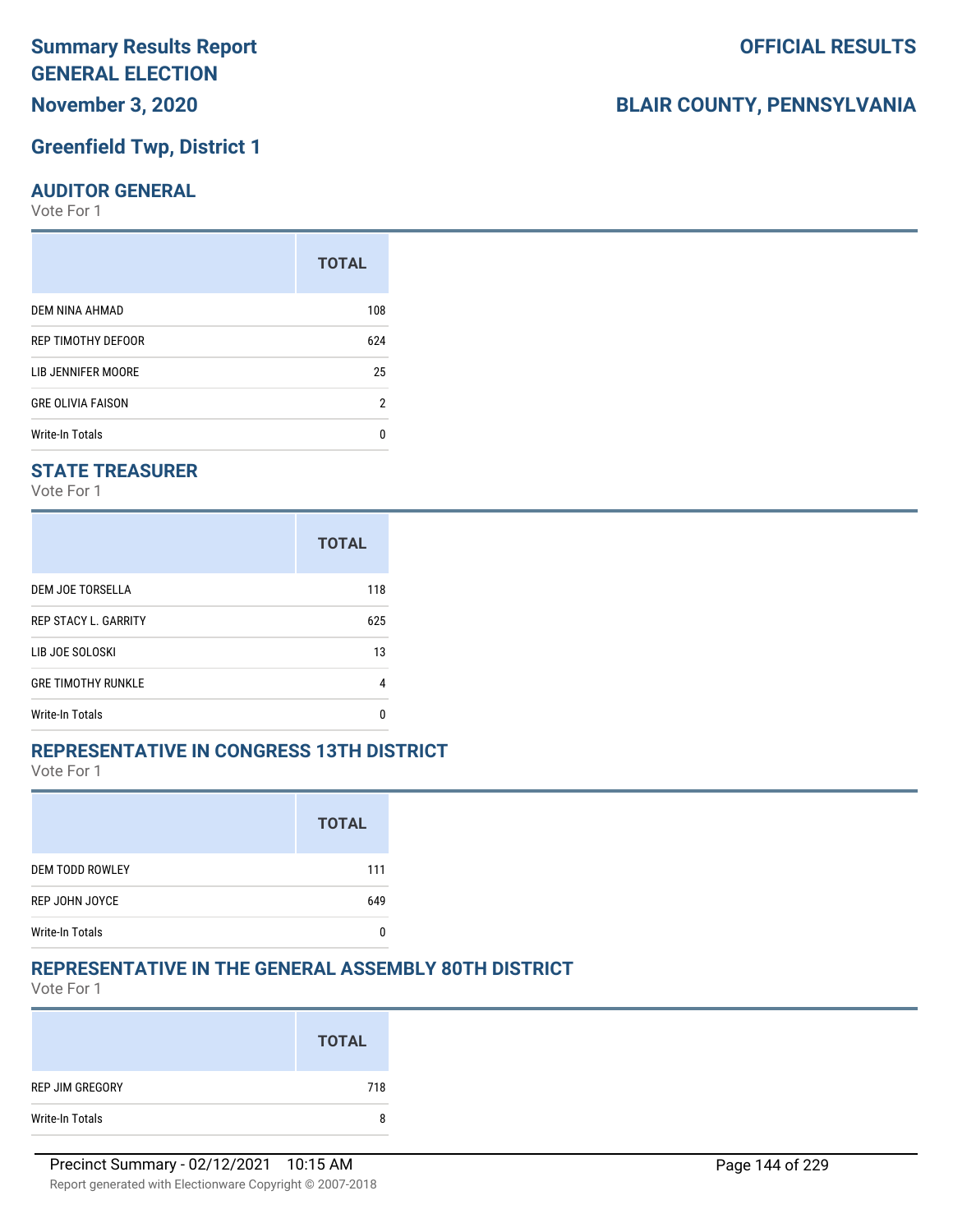## **Greenfield Twp, District 1**

#### **AUDITOR GENERAL**

Vote For 1

| <b>TOTAL</b> |
|--------------|
| 108          |
| 624          |
| 25           |
| 2            |
| n            |
|              |

### **STATE TREASURER**

Vote For 1

|                             | <b>TOTAL</b> |
|-----------------------------|--------------|
| DEM JOE TORSELLA            | 118          |
| <b>REP STACY L. GARRITY</b> | 625          |
| LIB JOE SOLOSKI             | 13           |
| <b>GRE TIMOTHY RUNKLE</b>   | 4            |
| <b>Write-In Totals</b>      | n            |

### **REPRESENTATIVE IN CONGRESS 13TH DISTRICT**

Vote For 1

|                        | <b>TOTAL</b> |
|------------------------|--------------|
| <b>DEM TODD ROWLEY</b> | 111          |
| REP JOHN JOYCE         | 649          |
| <b>Write-In Totals</b> |              |

### **REPRESENTATIVE IN THE GENERAL ASSEMBLY 80TH DISTRICT**

Vote For 1

|                 | <b>TOTAL</b> |
|-----------------|--------------|
| REP JIM GREGORY | 718          |
| Write-In Totals | 8            |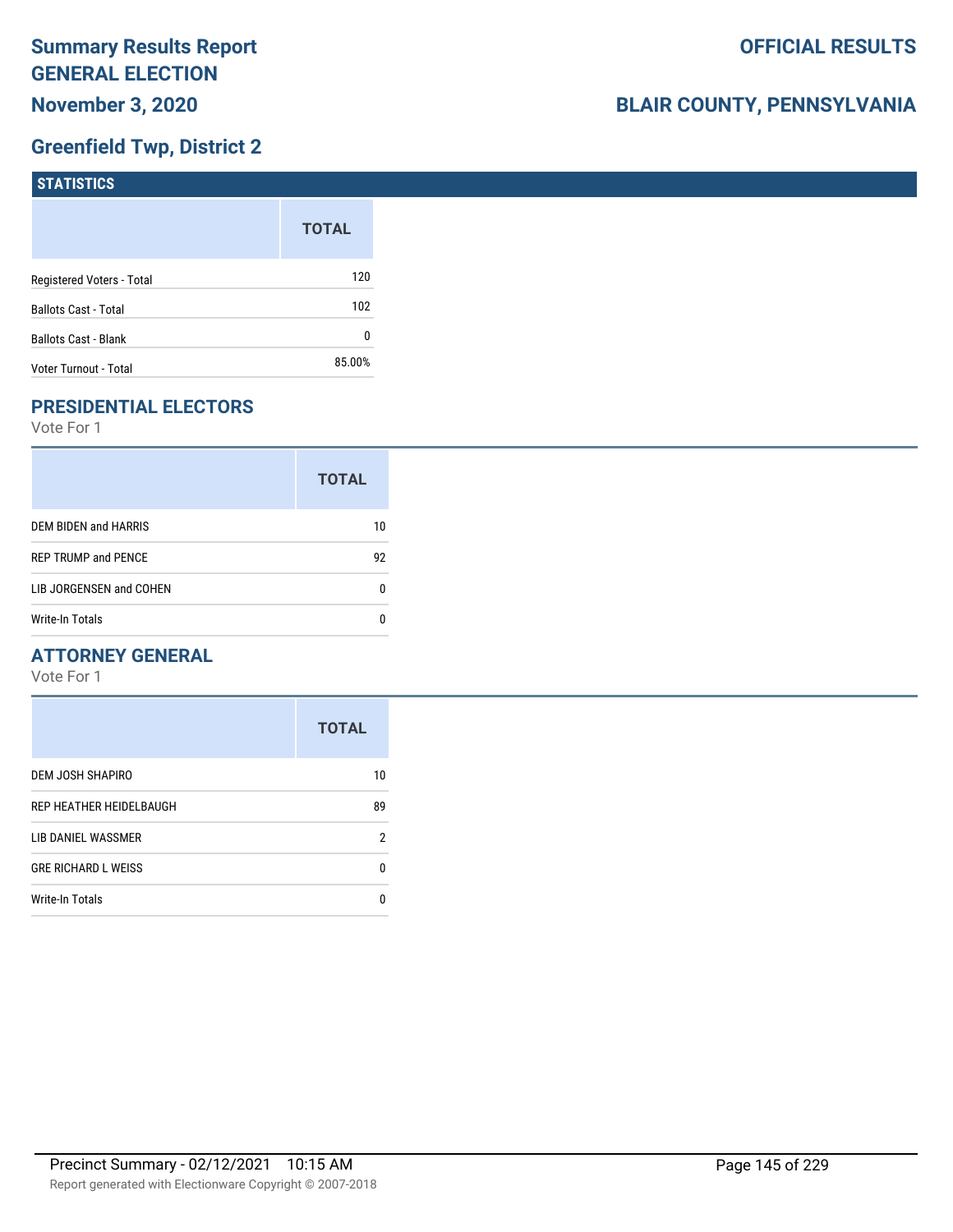## **Greenfield Twp, District 2**

| STATISTICS                  |              |
|-----------------------------|--------------|
|                             | <b>TOTAL</b> |
| Registered Voters - Total   | 120          |
| <b>Ballots Cast - Total</b> | 102          |
| Ballots Cast - Blank        | 0            |
| Voter Turnout - Total       | 85.00%       |

## **PRESIDENTIAL ELECTORS**

Vote For 1

|                            | <b>TOTAL</b> |
|----------------------------|--------------|
| DEM BIDEN and HARRIS       | 10           |
| <b>REP TRUMP and PENCE</b> | 92           |
| LIB JORGENSEN and COHEN    |              |
| Write-In Totals            |              |

## **ATTORNEY GENERAL**

|                            | <b>TOTAL</b> |
|----------------------------|--------------|
| DEM JOSH SHAPIRO           | 10           |
| REP HEATHER HEIDELBAUGH    | 89           |
| LIB DANIEL WASSMER         | 2            |
| <b>GRE RICHARD L WEISS</b> | 0            |
| <b>Write-In Totals</b>     | n            |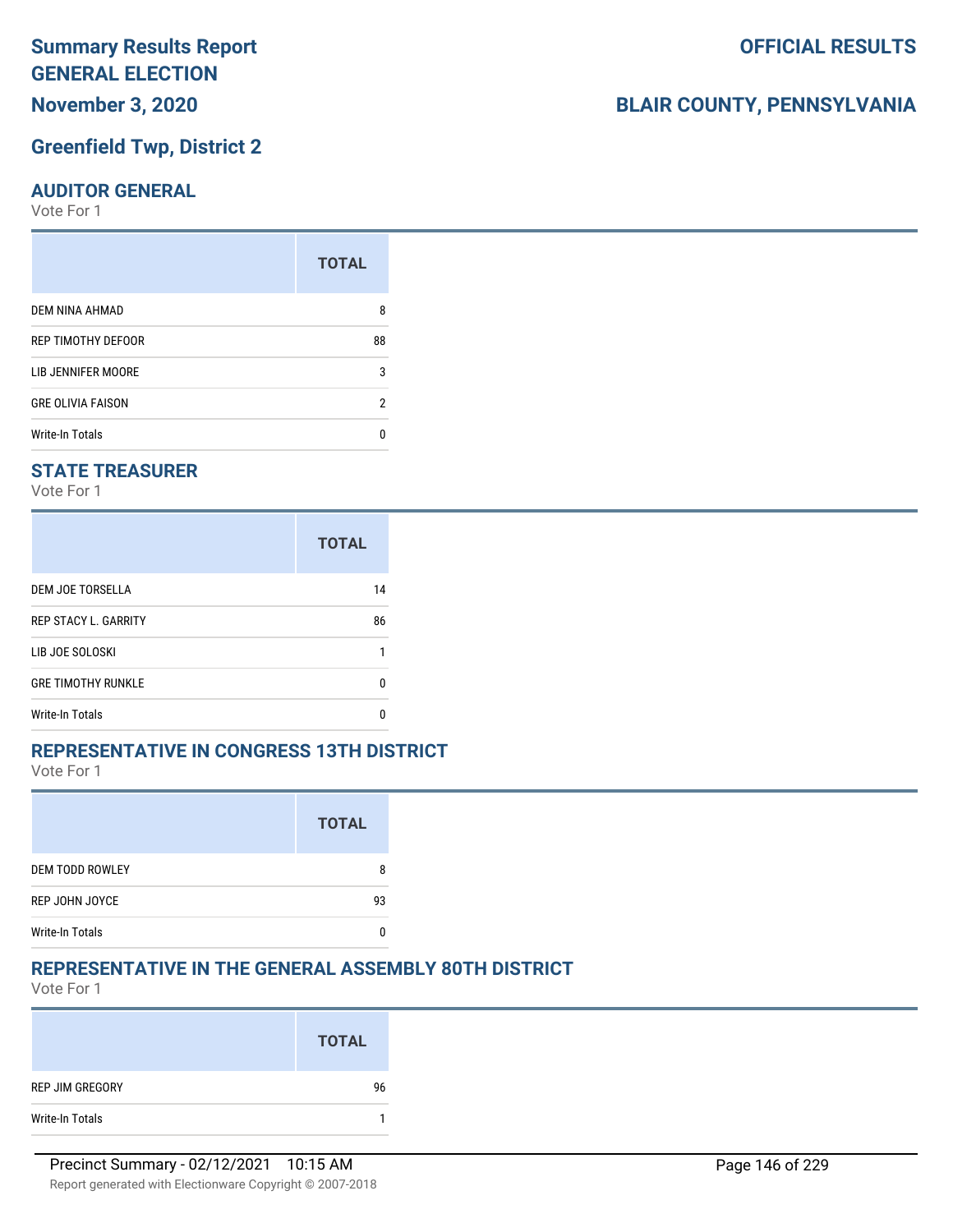## **Greenfield Twp, District 2**

#### **AUDITOR GENERAL**

Vote For 1

|                          | <b>TOTAL</b> |
|--------------------------|--------------|
| DEM NINA AHMAD           | 8            |
| REP TIMOTHY DEFOOR       | 88           |
| LIB JENNIFER MOORE       | 3            |
| <b>GRE OLIVIA FAISON</b> | 2            |
| <b>Write-In Totals</b>   |              |

#### **STATE TREASURER**

Vote For 1

|                             | <b>TOTAL</b> |
|-----------------------------|--------------|
| <b>DEM JOE TORSELLA</b>     | 14           |
| <b>REP STACY L. GARRITY</b> | 86           |
| LIB JOE SOLOSKI             |              |
| <b>GRE TIMOTHY RUNKLE</b>   | n            |
| Write-In Totals             | n            |

#### **REPRESENTATIVE IN CONGRESS 13TH DISTRICT**

Vote For 1

|                        | <b>TOTAL</b> |
|------------------------|--------------|
| <b>DEM TODD ROWLEY</b> |              |
| REP JOHN JOYCE         | 93           |
| <b>Write-In Totals</b> |              |

#### **REPRESENTATIVE IN THE GENERAL ASSEMBLY 80TH DISTRICT**

Vote For 1

|                 | <b>TOTAL</b> |
|-----------------|--------------|
| REP JIM GREGORY | 96           |
| Write-In Totals |              |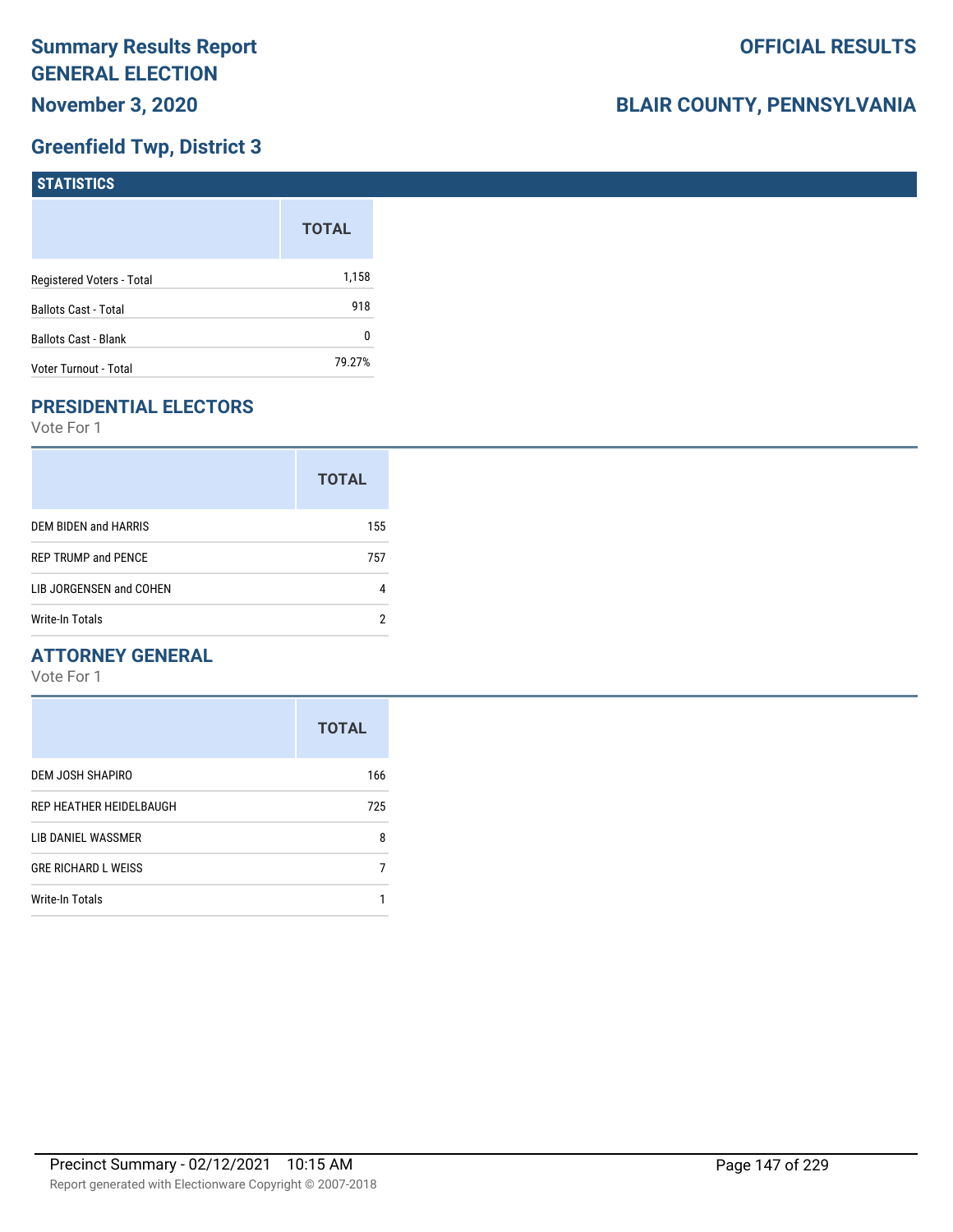## **Greenfield Twp, District 3**

| <b>STATISTICS</b>           |              |
|-----------------------------|--------------|
|                             | <b>TOTAL</b> |
| Registered Voters - Total   | 1,158        |
| <b>Ballots Cast - Total</b> | 918          |
| Ballots Cast - Blank        | 0            |
| Voter Turnout - Total       | 79.27%       |

## **PRESIDENTIAL ELECTORS**

Vote For 1

|                            | <b>TOTAL</b> |
|----------------------------|--------------|
| DEM BIDEN and HARRIS       | 155          |
| <b>REP TRUMP and PENCE</b> | 757          |
| LIB JORGENSEN and COHEN    |              |
| Write-In Totals            | 2            |

## **ATTORNEY GENERAL**

|                            | <b>TOTAL</b> |
|----------------------------|--------------|
| DEM JOSH SHAPIRO           | 166          |
| REP HEATHER HEIDELBAUGH    | 725          |
| LIB DANIEL WASSMER         | 8            |
| <b>GRE RICHARD L WEISS</b> |              |
| Write-In Totals            |              |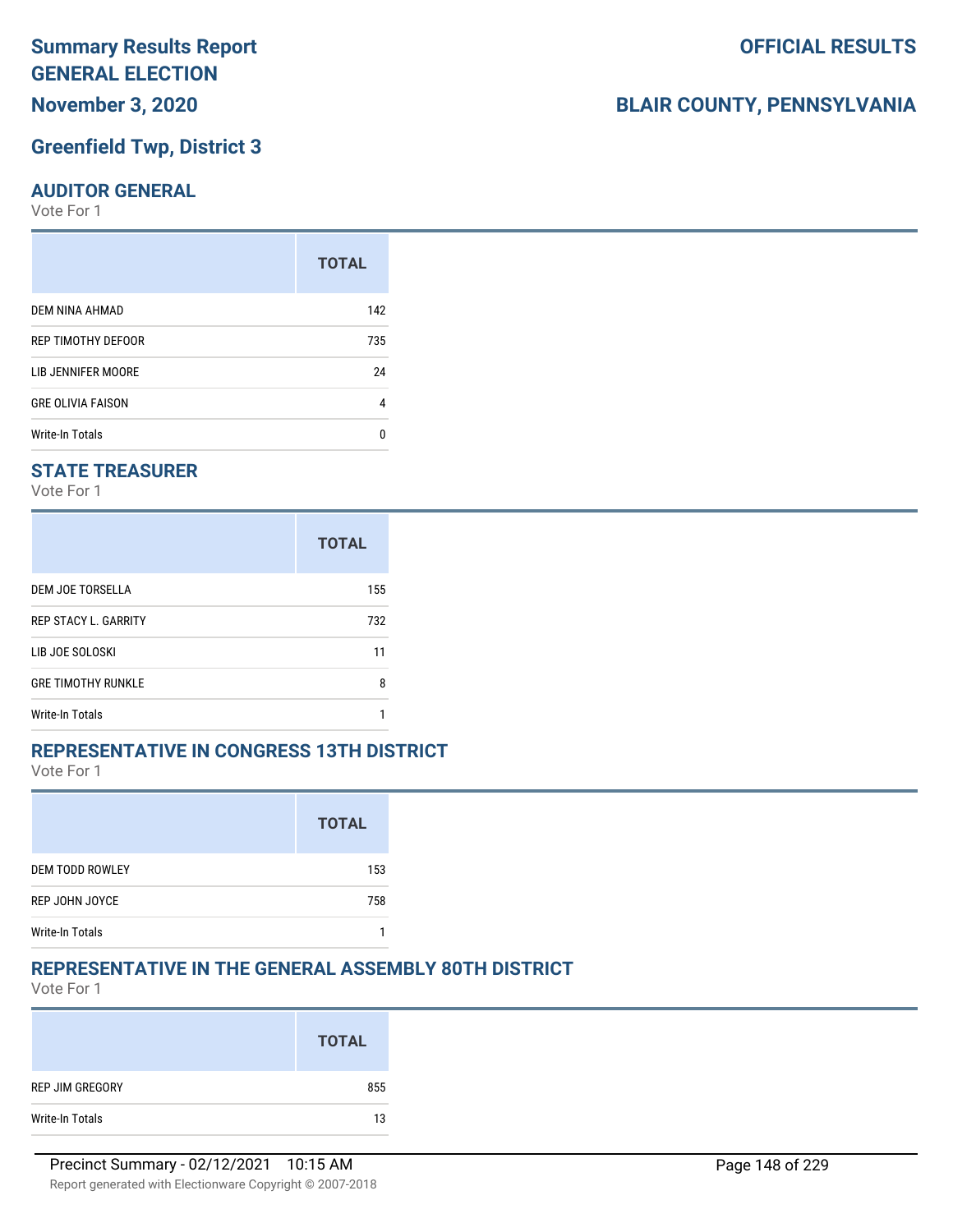## **Greenfield Twp, District 3**

#### **AUDITOR GENERAL**

Vote For 1

|                          | <b>TOTAL</b> |
|--------------------------|--------------|
| DEM NINA AHMAD           | 142          |
| REP TIMOTHY DEFOOR       | 735          |
| LIB JENNIFER MOORE       | 24           |
| <b>GRE OLIVIA FAISON</b> | 4            |
| <b>Write-In Totals</b>   | n            |

#### **STATE TREASURER**

Vote For 1

|                             | <b>TOTAL</b> |
|-----------------------------|--------------|
| DEM JOE TORSELLA            | 155          |
| <b>REP STACY L. GARRITY</b> | 732          |
| LIB JOE SOLOSKI             | 11           |
| <b>GRE TIMOTHY RUNKLE</b>   | 8            |
| <b>Write-In Totals</b>      |              |

#### **REPRESENTATIVE IN CONGRESS 13TH DISTRICT**

Vote For 1

|                        | <b>TOTAL</b> |
|------------------------|--------------|
| <b>DEM TODD ROWLEY</b> | 153          |
| REP JOHN JOYCE         | 758          |
| <b>Write-In Totals</b> |              |

#### **REPRESENTATIVE IN THE GENERAL ASSEMBLY 80TH DISTRICT**

Vote For 1

|                 | <b>TOTAL</b> |
|-----------------|--------------|
| REP JIM GREGORY | 855          |
| Write-In Totals | 13           |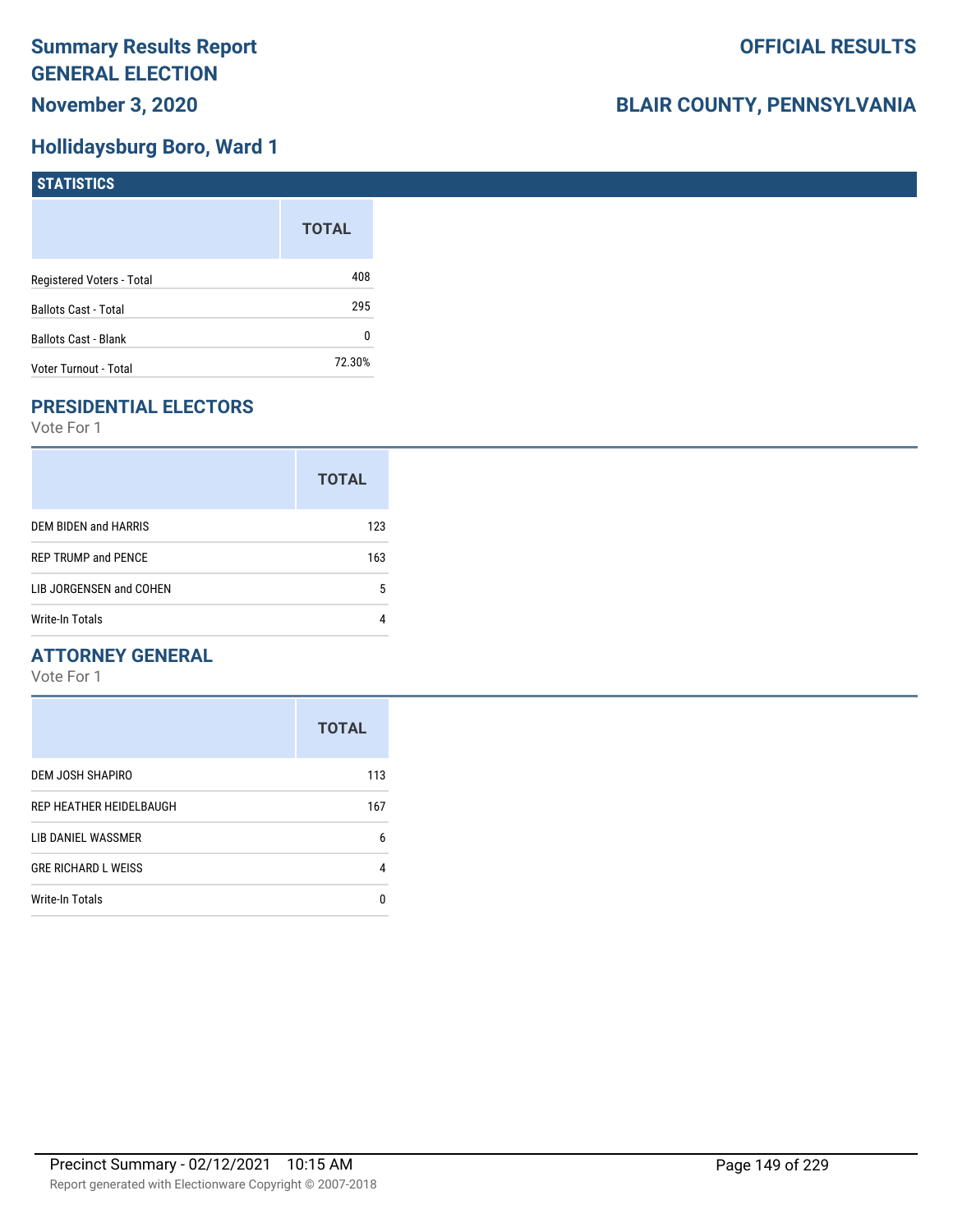## **Hollidaysburg Boro, Ward 1**

| <b>STATISTICS</b>           |              |
|-----------------------------|--------------|
|                             | <b>TOTAL</b> |
| Registered Voters - Total   | 408          |
| Ballots Cast - Total        | 295          |
| <b>Ballots Cast - Blank</b> | 0            |
| Voter Turnout - Total       | 72.30%       |

## **PRESIDENTIAL ELECTORS**

Vote For 1

|                            | <b>TOTAL</b> |
|----------------------------|--------------|
| DEM BIDEN and HARRIS       | 123          |
| <b>REP TRUMP and PENCE</b> | 163          |
| LIB JORGENSEN and COHEN    | 5            |
| <b>Write-In Totals</b>     |              |

## **ATTORNEY GENERAL**

|                            | <b>TOTAL</b> |
|----------------------------|--------------|
| DEM JOSH SHAPIRO           | 113          |
| REP HEATHER HEIDELBAUGH    | 167          |
| LIB DANIEL WASSMER         | 6            |
| <b>GRE RICHARD L WEISS</b> | 4            |
| <b>Write-In Totals</b>     | n            |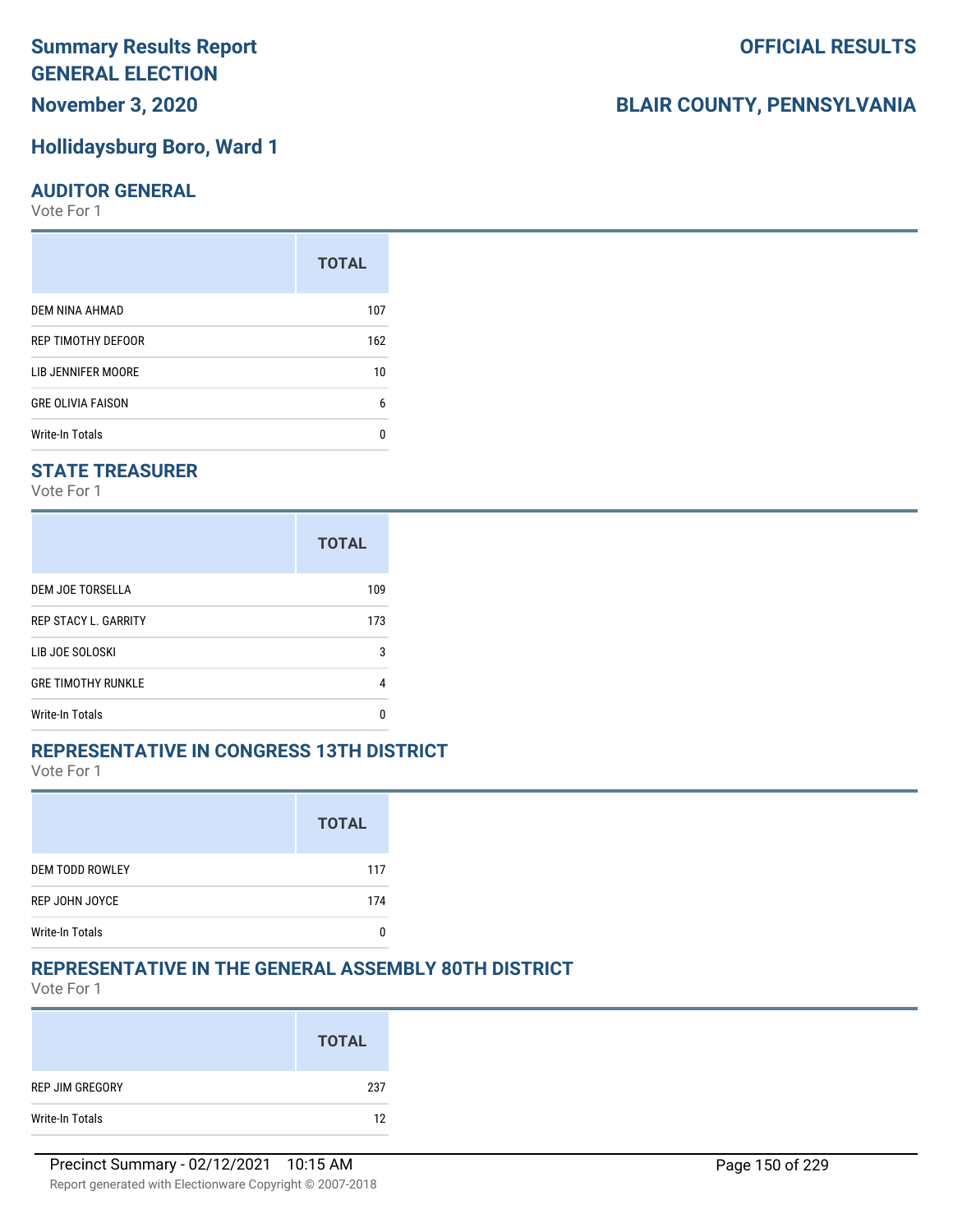## **November 3, 2020**

#### **Hollidaysburg Boro, Ward 1**

#### **AUDITOR GENERAL**

Vote For 1

|                          | <b>TOTAL</b> |
|--------------------------|--------------|
| DEM NINA AHMAD           | 107          |
| REP TIMOTHY DEFOOR       | 162          |
| LIB JENNIFER MOORE       | 10           |
| <b>GRE OLIVIA FAISON</b> | 6            |
| <b>Write-In Totals</b>   |              |

## **STATE TREASURER**

Vote For 1

|                             | <b>TOTAL</b> |
|-----------------------------|--------------|
| DEM JOE TORSELLA            | 109          |
| <b>REP STACY L. GARRITY</b> | 173          |
| LIB JOE SOLOSKI             | 3            |
| <b>GRE TIMOTHY RUNKLE</b>   | 4            |
| <b>Write-In Totals</b>      | n            |

#### **REPRESENTATIVE IN CONGRESS 13TH DISTRICT**

Vote For 1

|                        | <b>TOTAL</b> |
|------------------------|--------------|
| <b>DEM TODD ROWLEY</b> | 117          |
| REP JOHN JOYCE         | 174          |
| <b>Write-In Totals</b> |              |

#### **REPRESENTATIVE IN THE GENERAL ASSEMBLY 80TH DISTRICT**

Vote For 1

|                 | <b>TOTAL</b> |
|-----------------|--------------|
| REP JIM GREGORY | 237          |
| Write-In Totals | 12           |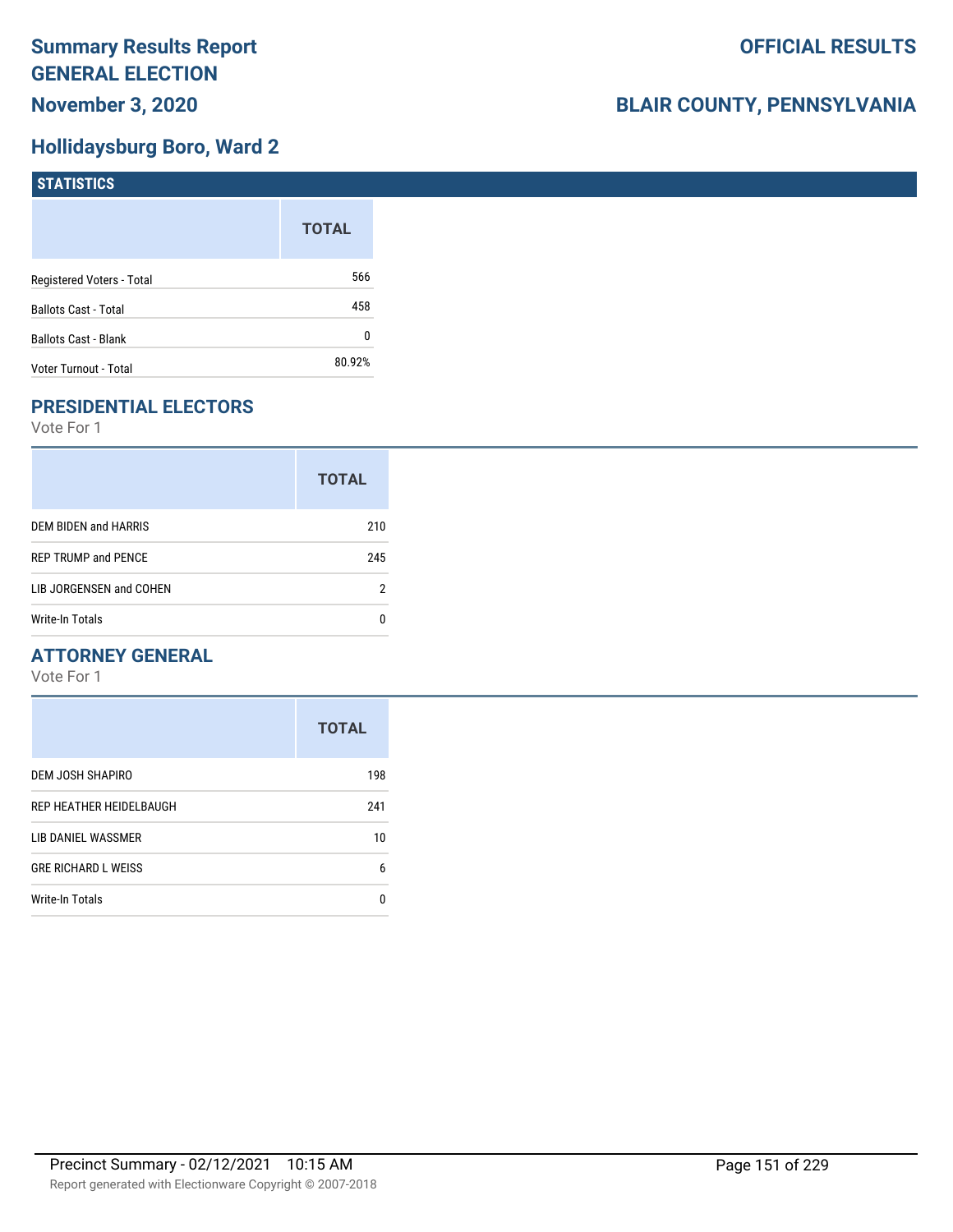## **Hollidaysburg Boro, Ward 2**

| <b>STATISTICS</b>           |              |
|-----------------------------|--------------|
|                             | <b>TOTAL</b> |
| Registered Voters - Total   | 566          |
| <b>Ballots Cast - Total</b> | 458          |
| <b>Ballots Cast - Blank</b> | 0            |
| Voter Turnout - Total       | 80.92%       |

## **PRESIDENTIAL ELECTORS**

Vote For 1

|                            | <b>TOTAL</b> |
|----------------------------|--------------|
| DEM BIDEN and HARRIS       | 210          |
| <b>REP TRUMP and PENCE</b> | 245          |
| LIB JORGENSEN and COHEN    | 2            |
| Write-In Totals            | n            |

## **ATTORNEY GENERAL**

|                            | <b>TOTAL</b> |
|----------------------------|--------------|
| DEM JOSH SHAPIRO           | 198          |
| REP HEATHER HEIDELBAUGH    | 241          |
| LIB DANIEL WASSMER         | 10           |
| <b>GRE RICHARD L WEISS</b> | 6            |
| <b>Write-In Totals</b>     | n            |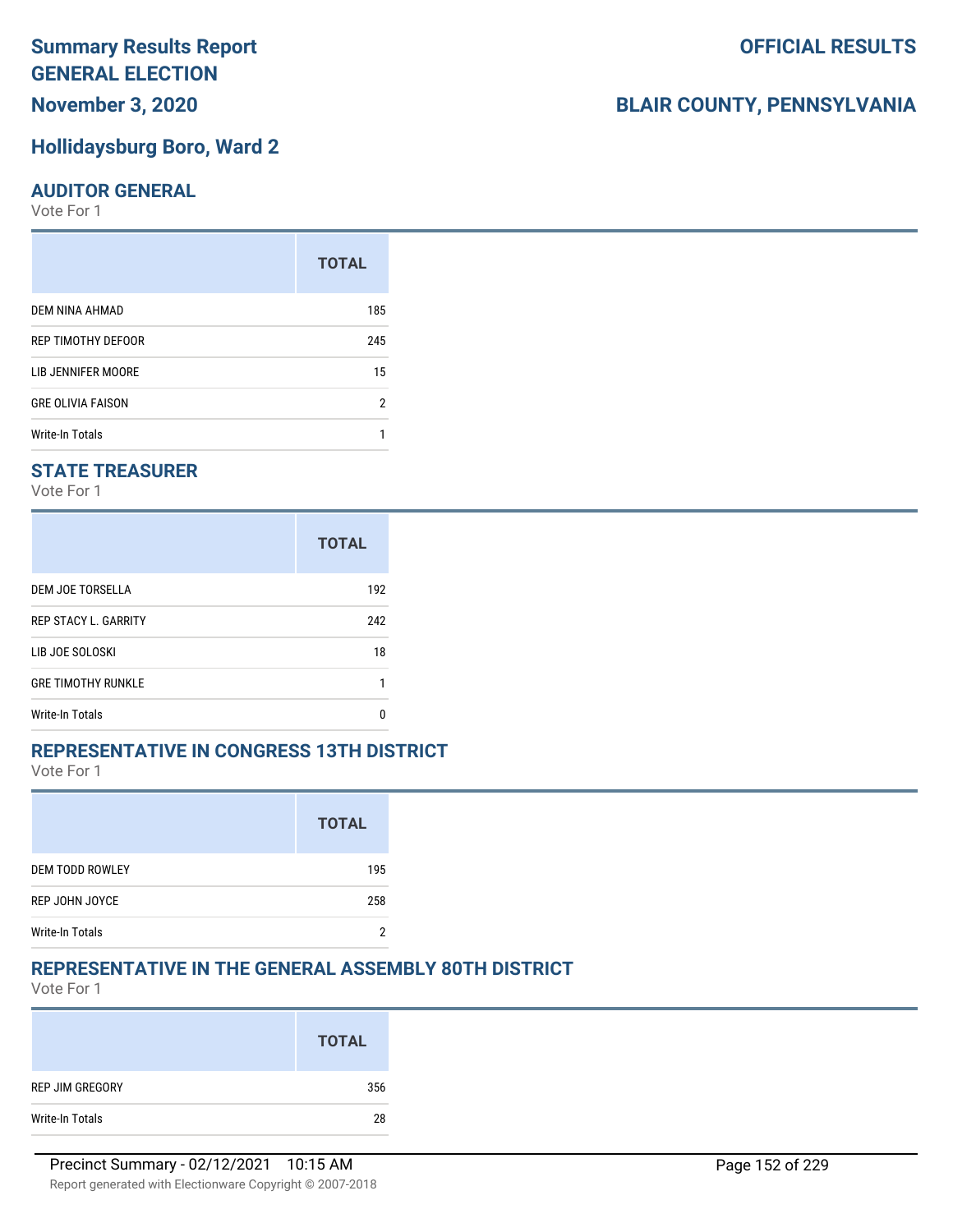## **November 3, 2020**

#### **Hollidaysburg Boro, Ward 2**

#### **AUDITOR GENERAL**

Vote For 1

|                          | <b>TOTAL</b> |
|--------------------------|--------------|
| DEM NINA AHMAD           | 185          |
| REP TIMOTHY DEFOOR       | 245          |
| LIB JENNIFER MOORE       | 15           |
| <b>GRE OLIVIA FAISON</b> | 2            |
| Write-In Totals          |              |

## **STATE TREASURER**

Vote For 1

|                             | <b>TOTAL</b> |
|-----------------------------|--------------|
| DEM JOE TORSELLA            | 192          |
| <b>REP STACY L. GARRITY</b> | 242          |
| LIB JOE SOLOSKI             | 18           |
| <b>GRE TIMOTHY RUNKLE</b>   |              |
| <b>Write-In Totals</b>      |              |

#### **REPRESENTATIVE IN CONGRESS 13TH DISTRICT**

Vote For 1

|                        | <b>TOTAL</b> |
|------------------------|--------------|
| <b>DEM TODD ROWLEY</b> | 195          |
| REP JOHN JOYCE         | 258          |
| <b>Write-In Totals</b> |              |

#### **REPRESENTATIVE IN THE GENERAL ASSEMBLY 80TH DISTRICT**

Vote For 1

|                 | <b>TOTAL</b> |
|-----------------|--------------|
| REP JIM GREGORY | 356          |
| Write-In Totals | 28           |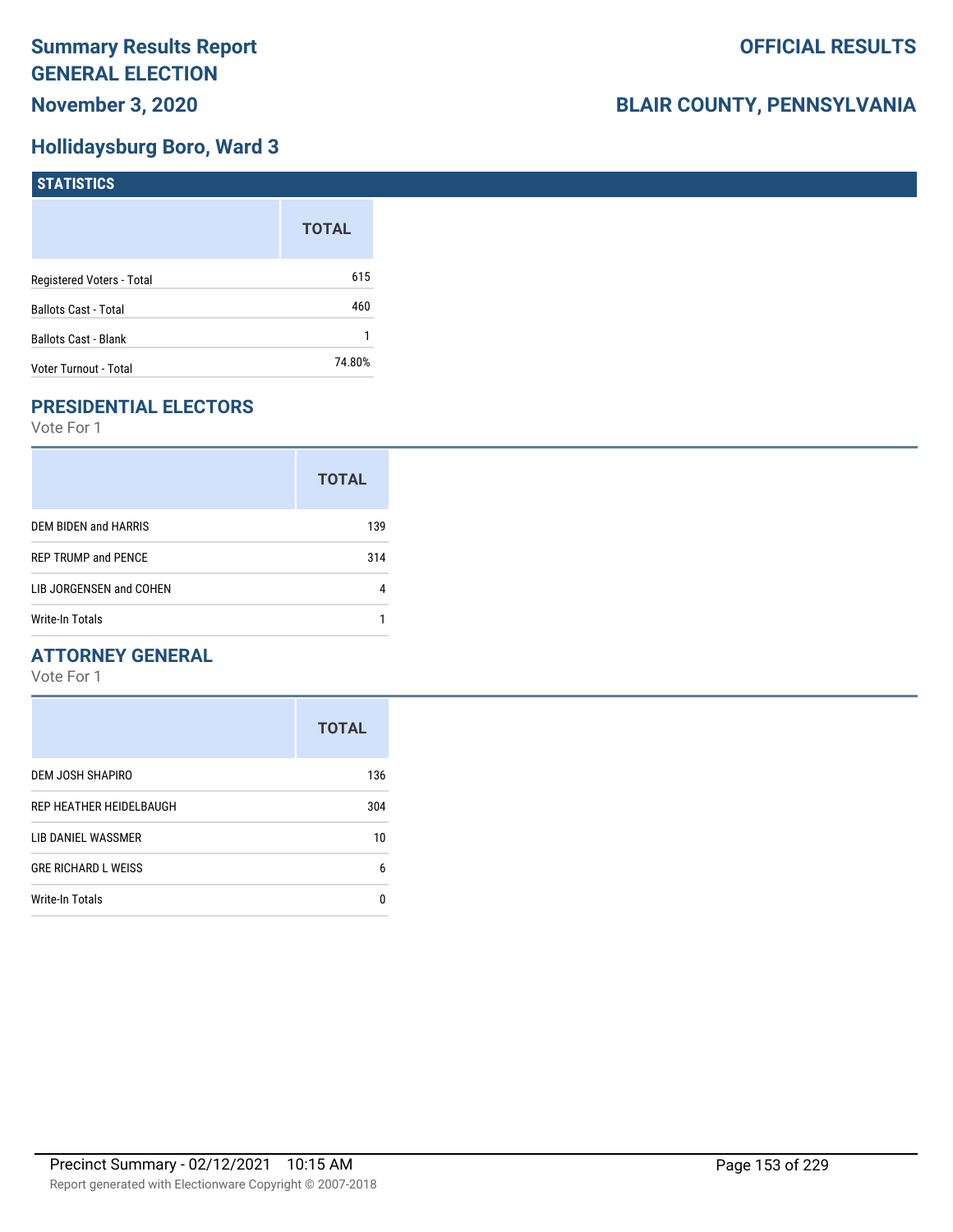## **Hollidaysburg Boro, Ward 3**

| <b>STATISTICS</b>         |              |
|---------------------------|--------------|
|                           | <b>TOTAL</b> |
| Registered Voters - Total | 615          |
| Ballots Cast - Total      | 460          |
| Ballots Cast - Blank      |              |
| Voter Turnout - Total     | 74.80%       |

## **PRESIDENTIAL ELECTORS**

Vote For 1

|                            | <b>TOTAL</b> |
|----------------------------|--------------|
| DEM BIDEN and HARRIS       | 139          |
| <b>REP TRUMP and PENCE</b> | 314          |
| LIB JORGENSEN and COHEN    |              |
| Write-In Totals            |              |

## **ATTORNEY GENERAL**

|                            | <b>TOTAL</b> |
|----------------------------|--------------|
| DEM JOSH SHAPIRO           | 136          |
| REP HEATHER HEIDELBAUGH    | 304          |
| LIB DANIEL WASSMER         | 10           |
| <b>GRE RICHARD L WEISS</b> | 6            |
| <b>Write-In Totals</b>     | 0            |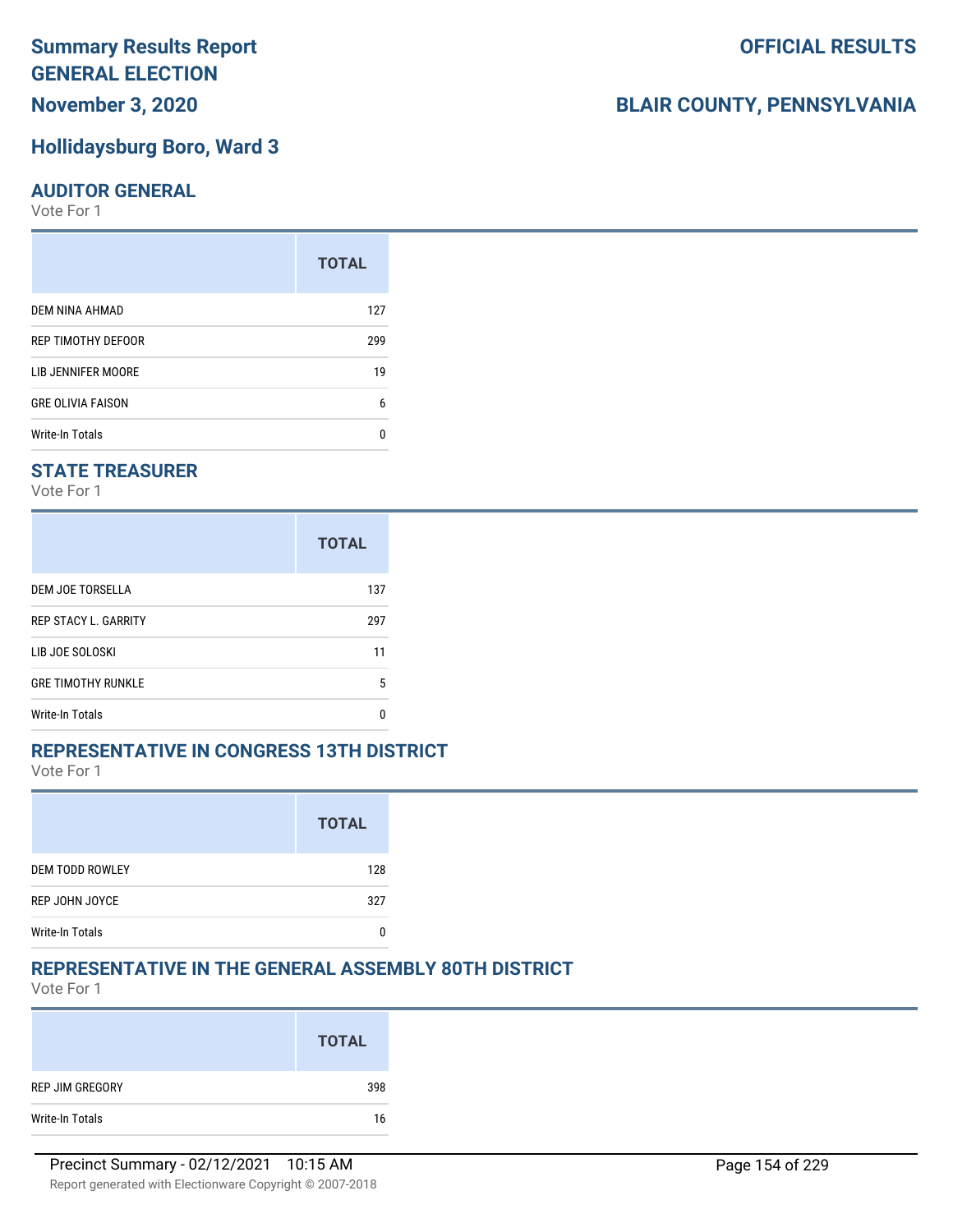## **November 3, 2020**

#### **Hollidaysburg Boro, Ward 3**

#### **AUDITOR GENERAL**

Vote For 1

| <b>TOTAL</b> |
|--------------|
| 127          |
| 299          |
| 19           |
| 6            |
| n            |
|              |

## **STATE TREASURER**

Vote For 1

|                             | <b>TOTAL</b> |
|-----------------------------|--------------|
| DEM JOE TORSELLA            | 137          |
| <b>REP STACY L. GARRITY</b> | 297          |
| LIB JOE SOLOSKI             | 11           |
| <b>GRE TIMOTHY RUNKLE</b>   | 5            |
| <b>Write-In Totals</b>      |              |

#### **REPRESENTATIVE IN CONGRESS 13TH DISTRICT**

Vote For 1

|                        | <b>TOTAL</b> |
|------------------------|--------------|
| <b>DEM TODD ROWLEY</b> | 128          |
| REP JOHN JOYCE         | 327          |
| <b>Write-In Totals</b> |              |

#### **REPRESENTATIVE IN THE GENERAL ASSEMBLY 80TH DISTRICT**

Vote For 1

|                 | <b>TOTAL</b> |
|-----------------|--------------|
| REP JIM GREGORY | 398          |
| Write-In Totals | 16           |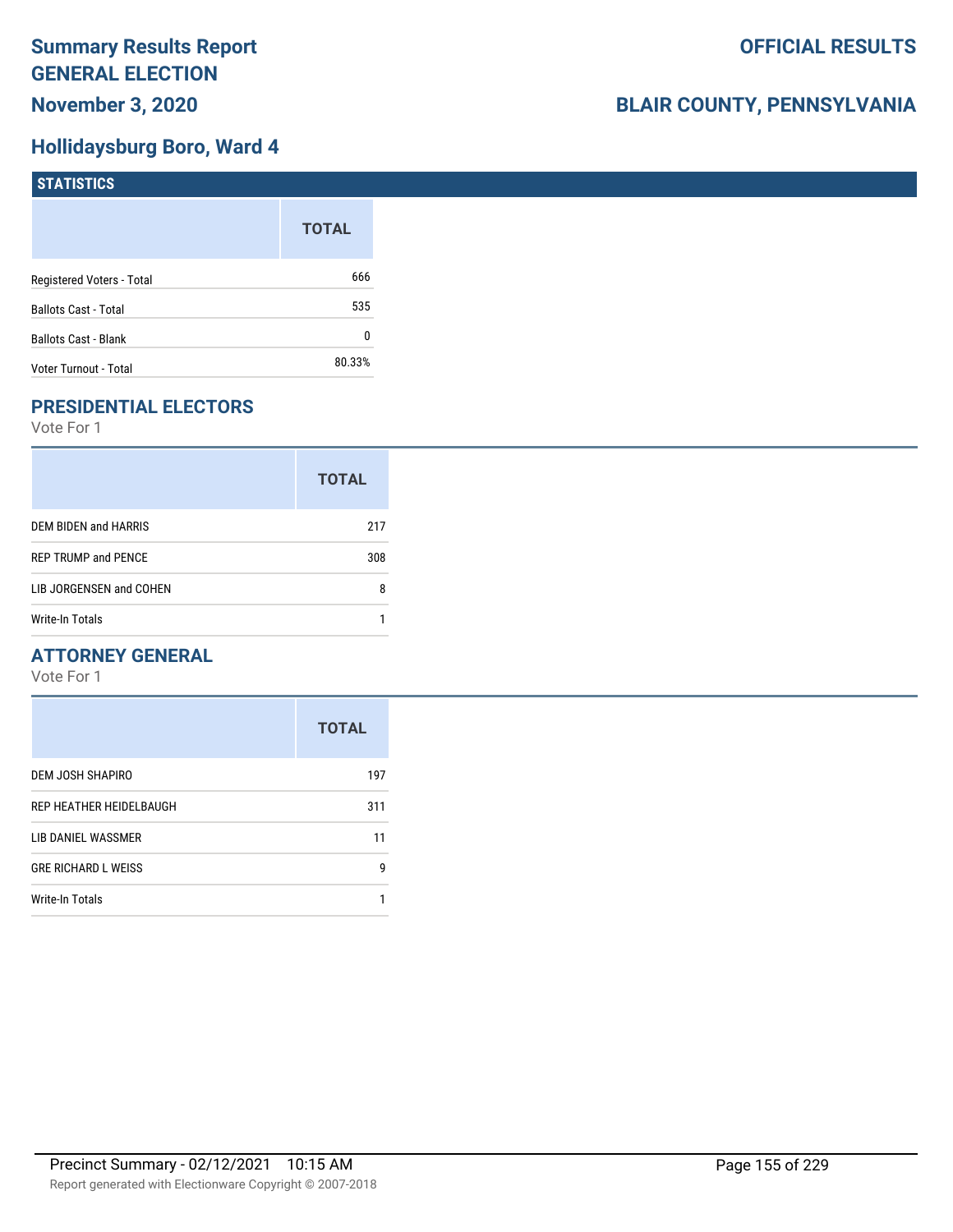## **Hollidaysburg Boro, Ward 4**

| <b>STATISTICS</b>           |              |
|-----------------------------|--------------|
|                             | <b>TOTAL</b> |
| Registered Voters - Total   | 666          |
| Ballots Cast - Total        | 535          |
| <b>Ballots Cast - Blank</b> | 0            |
| Voter Turnout - Total       | 80.33%       |

## **PRESIDENTIAL ELECTORS**

Vote For 1

|                            | <b>TOTAL</b> |
|----------------------------|--------------|
| DEM BIDEN and HARRIS       | 217          |
| <b>REP TRUMP and PENCE</b> | 308          |
| LIB JORGENSEN and COHEN    | 8            |
| Write-In Totals            |              |

## **ATTORNEY GENERAL**

|                            | <b>TOTAL</b> |
|----------------------------|--------------|
| DEM JOSH SHAPIRO           | 197          |
| REP HEATHER HEIDELBAUGH    | 311          |
| LIB DANIEL WASSMER         | 11           |
| <b>GRE RICHARD L WEISS</b> | g            |
| <b>Write-In Totals</b>     |              |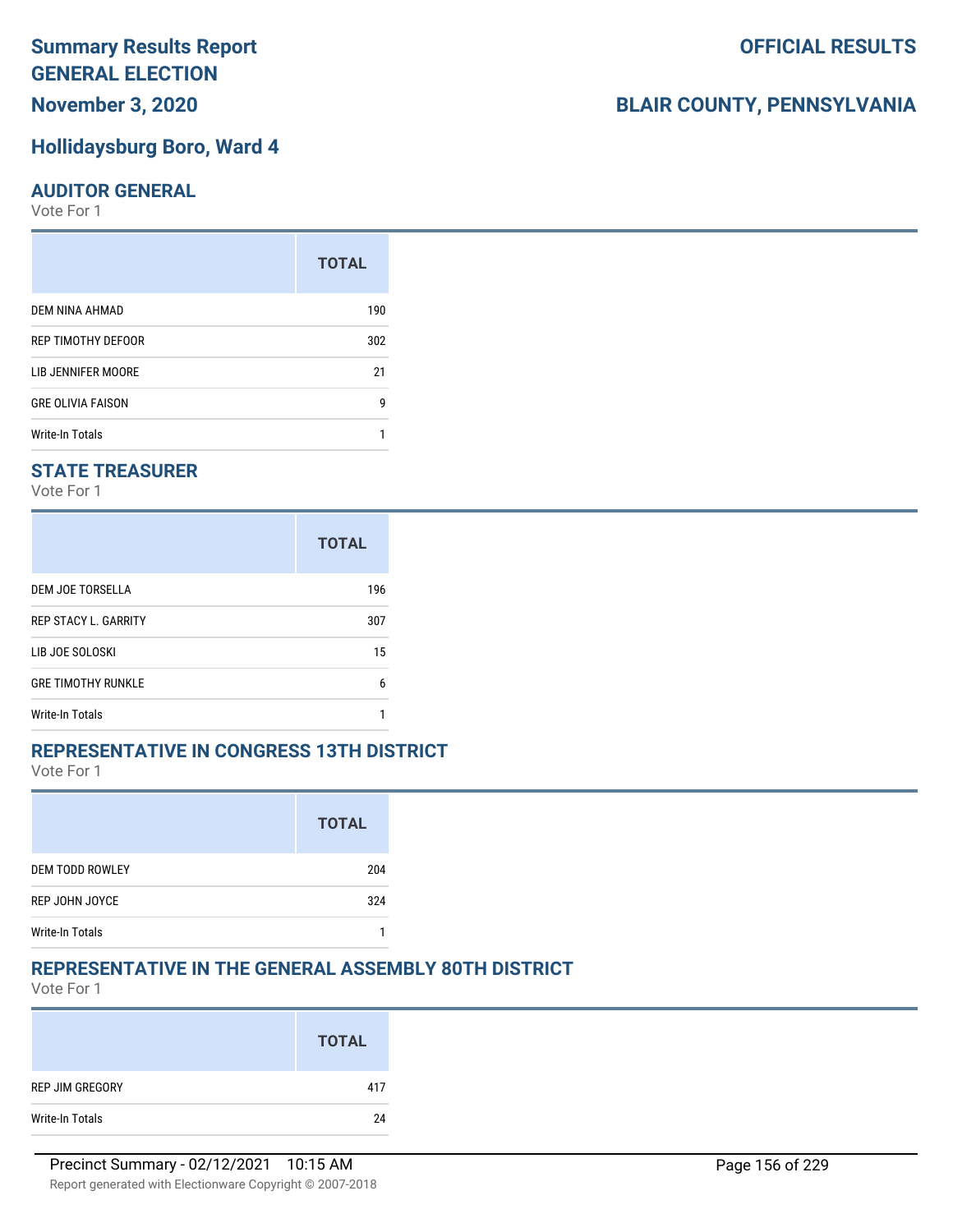## **November 3, 2020**

#### **Hollidaysburg Boro, Ward 4**

#### **AUDITOR GENERAL**

Vote For 1

|                          | <b>TOTAL</b> |
|--------------------------|--------------|
| DEM NINA AHMAD           | 190          |
| REP TIMOTHY DEFOOR       | 302          |
| LIB JENNIFER MOORE       | 21           |
| <b>GRE OLIVIA FAISON</b> | g            |
| <b>Write-In Totals</b>   |              |

## **STATE TREASURER**

Vote For 1

|                             | <b>TOTAL</b> |
|-----------------------------|--------------|
| DEM JOE TORSELLA            | 196          |
| <b>REP STACY L. GARRITY</b> | 307          |
| LIB JOE SOLOSKI             | 15           |
| <b>GRE TIMOTHY RUNKLE</b>   | 6            |
| <b>Write-In Totals</b>      |              |

#### **REPRESENTATIVE IN CONGRESS 13TH DISTRICT**

Vote For 1

|                        | <b>TOTAL</b> |
|------------------------|--------------|
| <b>DEM TODD ROWLEY</b> | 204          |
| REP JOHN JOYCE         | 324          |
| <b>Write-In Totals</b> |              |

#### **REPRESENTATIVE IN THE GENERAL ASSEMBLY 80TH DISTRICT**

Vote For 1

|                 | <b>TOTAL</b> |
|-----------------|--------------|
| REP JIM GREGORY | 417          |
| Write-In Totals | 24           |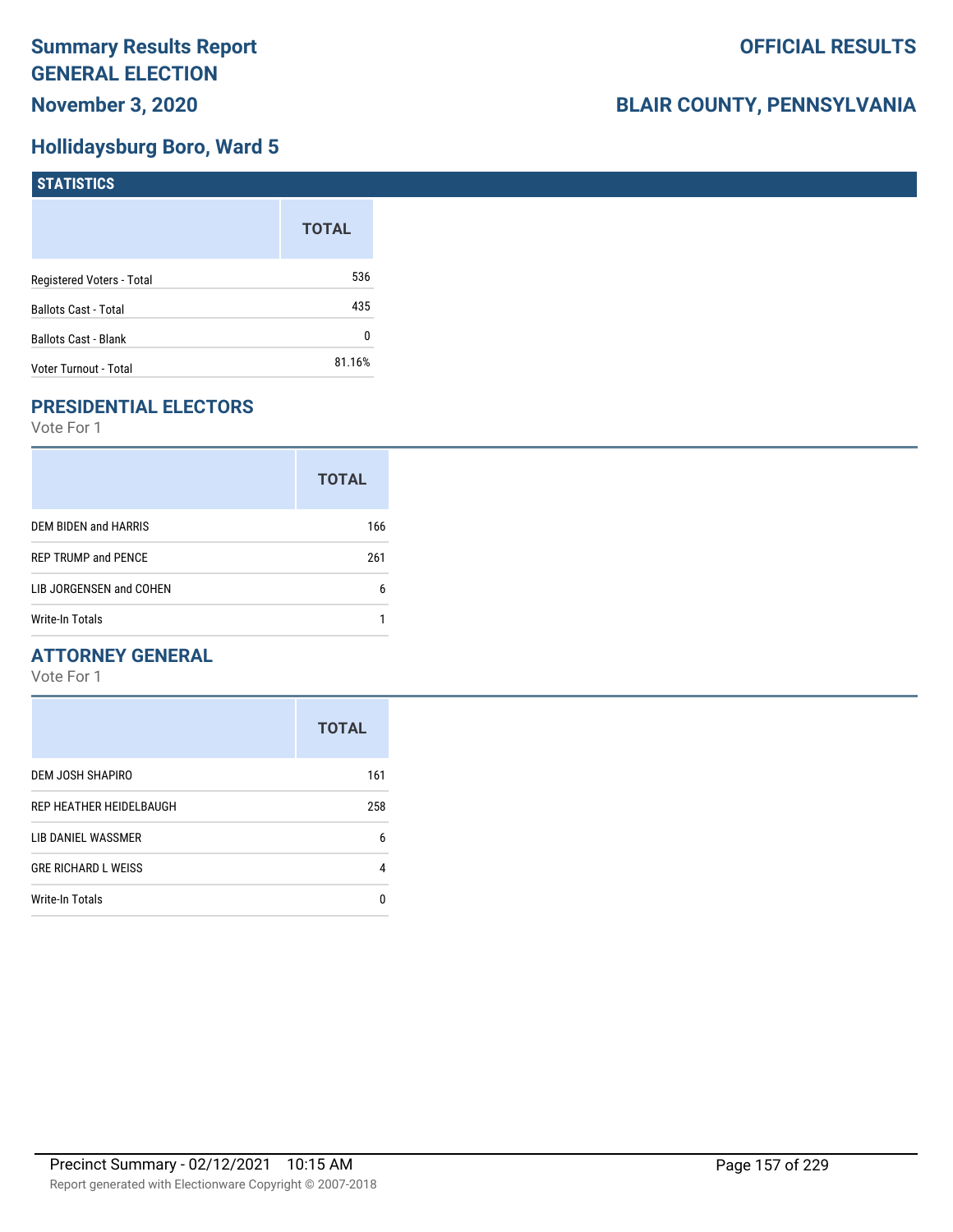## **Hollidaysburg Boro, Ward 5**

| <b>STATISTICS</b>         |              |
|---------------------------|--------------|
|                           | <b>TOTAL</b> |
| Registered Voters - Total | 536          |
| Ballots Cast - Total      | 435          |
| Ballots Cast - Blank      | 0            |
| Voter Turnout - Total     | 81.16%       |

## **PRESIDENTIAL ELECTORS**

Vote For 1

|                            | <b>TOTAL</b> |
|----------------------------|--------------|
| DEM BIDEN and HARRIS       | 166          |
| <b>REP TRUMP and PENCE</b> | 261          |
| LIB JORGENSEN and COHEN    | 6            |
| <b>Write-In Totals</b>     |              |

## **ATTORNEY GENERAL**

|                            | <b>TOTAL</b> |
|----------------------------|--------------|
| DEM JOSH SHAPIRO           | 161          |
| REP HEATHER HEIDELBAUGH    | 258          |
| LIB DANIEL WASSMER         | 6            |
| <b>GRE RICHARD L WEISS</b> | 4            |
| Write-In Totals            | n            |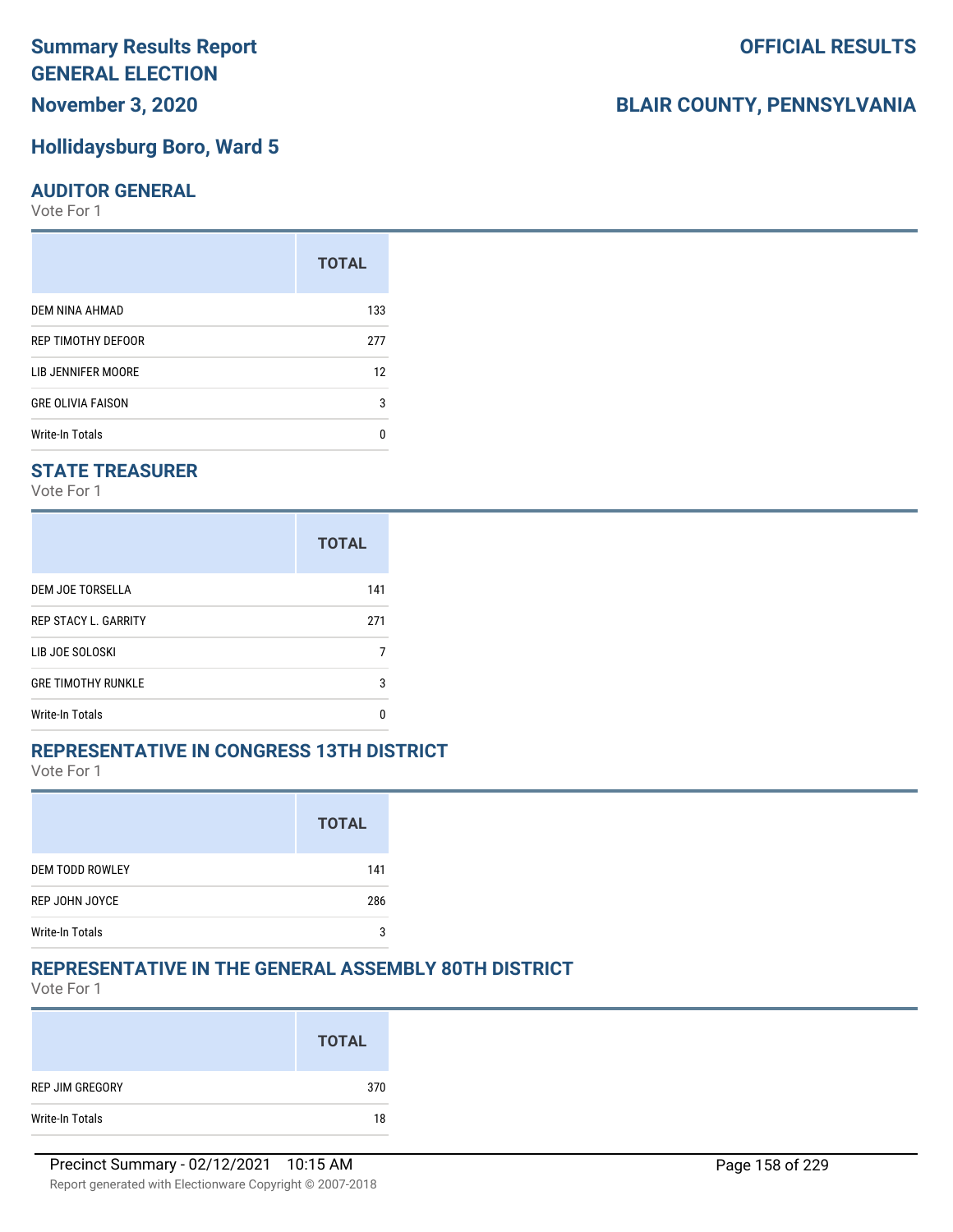## **November 3, 2020**

#### **Hollidaysburg Boro, Ward 5**

#### **AUDITOR GENERAL**

Vote For 1

|                          | <b>TOTAL</b> |
|--------------------------|--------------|
| DEM NINA AHMAD           | 133          |
| REP TIMOTHY DEFOOR       | 277          |
| LIB JENNIFER MOORE       | 12           |
| <b>GRE OLIVIA FAISON</b> | 3            |
| Write-In Totals          |              |

## **STATE TREASURER**

Vote For 1

|                             | <b>TOTAL</b> |
|-----------------------------|--------------|
| DEM JOE TORSELLA            | 141          |
| <b>REP STACY L. GARRITY</b> | 271          |
| LIB JOE SOLOSKI             |              |
| <b>GRE TIMOTHY RUNKLE</b>   | 3            |
| <b>Write-In Totals</b>      | n            |

#### **REPRESENTATIVE IN CONGRESS 13TH DISTRICT**

Vote For 1

|                        | <b>TOTAL</b> |
|------------------------|--------------|
| <b>DEM TODD ROWLEY</b> | 141          |
| REP JOHN JOYCE         | 286          |
| <b>Write-In Totals</b> | 2            |

## **REPRESENTATIVE IN THE GENERAL ASSEMBLY 80TH DISTRICT**

Vote For 1

|                 | <b>TOTAL</b> |
|-----------------|--------------|
| REP JIM GREGORY | 370          |
| Write-In Totals | 18           |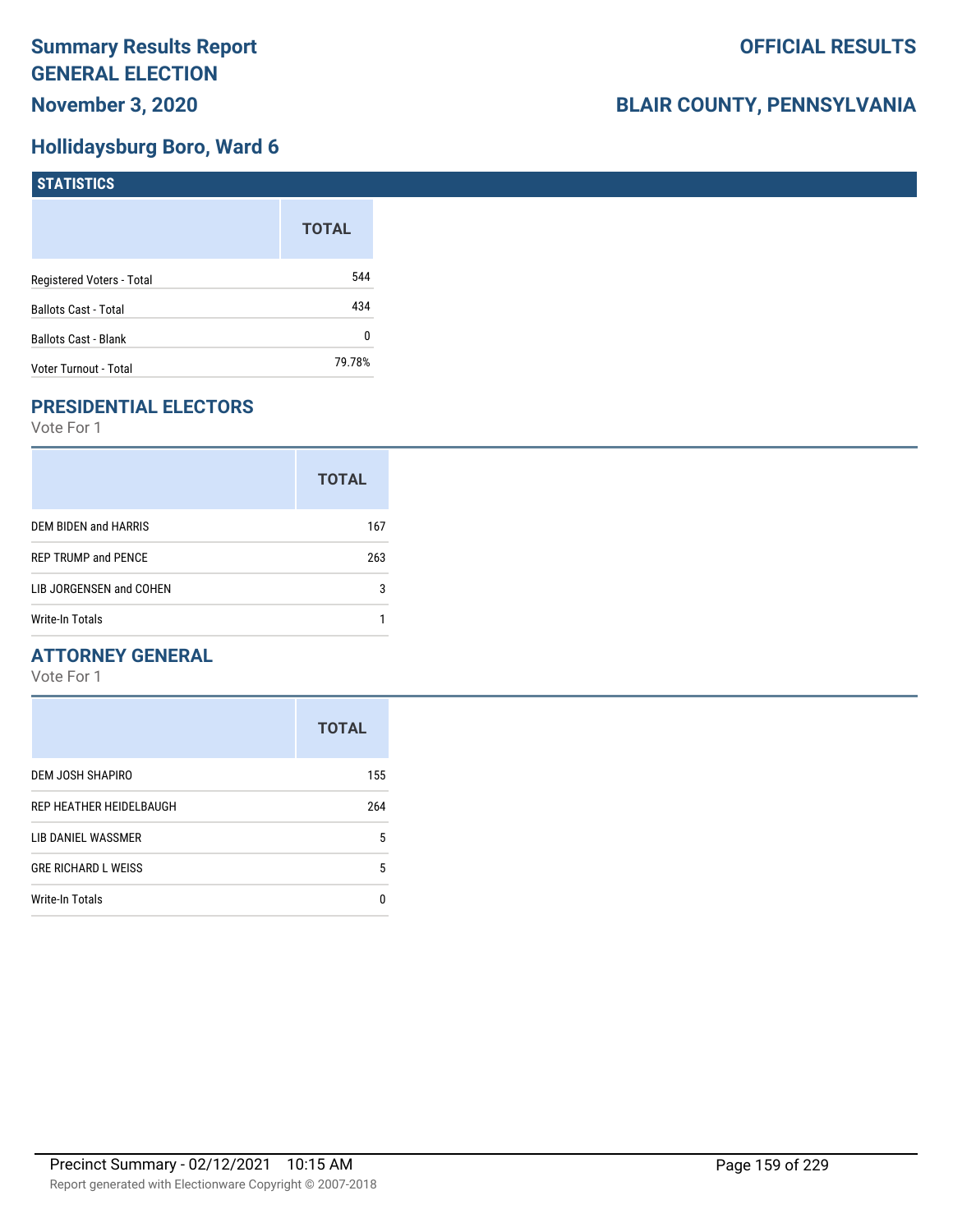## **Hollidaysburg Boro, Ward 6**

| <b>STATISTICS</b>         |              |
|---------------------------|--------------|
|                           | <b>TOTAL</b> |
| Registered Voters - Total | 544          |
| Ballots Cast - Total      | 434          |
| Ballots Cast - Blank      | 0            |
| Voter Turnout - Total     | 79.78%       |

## **PRESIDENTIAL ELECTORS**

Vote For 1

|                            | <b>TOTAL</b> |
|----------------------------|--------------|
| DEM BIDEN and HARRIS       | 167          |
| <b>REP TRUMP and PENCE</b> | 263          |
| LIB JORGENSEN and COHEN    | 3            |
| Write-In Totals            |              |

## **ATTORNEY GENERAL**

|                            | <b>TOTAL</b> |
|----------------------------|--------------|
| DEM JOSH SHAPIRO           | 155          |
| REP HEATHER HEIDELBAUGH    | 264          |
| LIB DANIEL WASSMER         | 5            |
| <b>GRE RICHARD L WEISS</b> | 5            |
| Write-In Totals            | n            |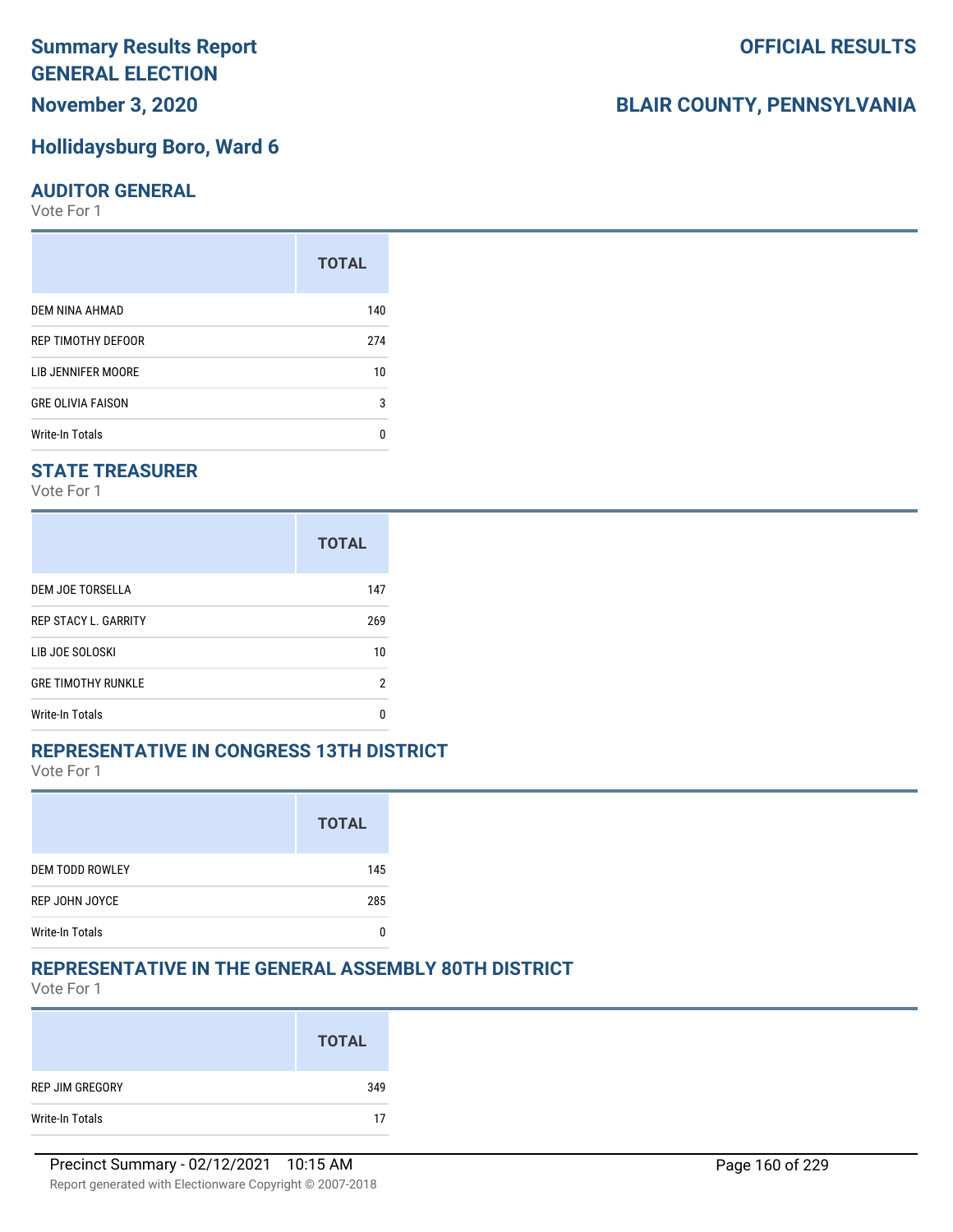## **November 3, 2020**

#### **Hollidaysburg Boro, Ward 6**

#### **AUDITOR GENERAL**

Vote For 1

|                          | <b>TOTAL</b> |
|--------------------------|--------------|
| DEM NINA AHMAD           | 140          |
| REP TIMOTHY DEFOOR       | 274          |
| LIB JENNIFER MOORE       | 10           |
| <b>GRE OLIVIA FAISON</b> | 3            |
| Write-In Totals          |              |

## **STATE TREASURER**

Vote For 1

|                             | <b>TOTAL</b> |
|-----------------------------|--------------|
| DEM JOE TORSELLA            | 147          |
| <b>REP STACY L. GARRITY</b> | 269          |
| LIB JOE SOLOSKI             | 10           |
| <b>GRE TIMOTHY RUNKLE</b>   | 2            |
| Write-In Totals             | n            |

#### **REPRESENTATIVE IN CONGRESS 13TH DISTRICT**

Vote For 1

|                        | <b>TOTAL</b> |
|------------------------|--------------|
| <b>DEM TODD ROWLEY</b> | 145          |
| REP JOHN JOYCE         | 285          |
| <b>Write-In Totals</b> |              |

#### **REPRESENTATIVE IN THE GENERAL ASSEMBLY 80TH DISTRICT**

Vote For 1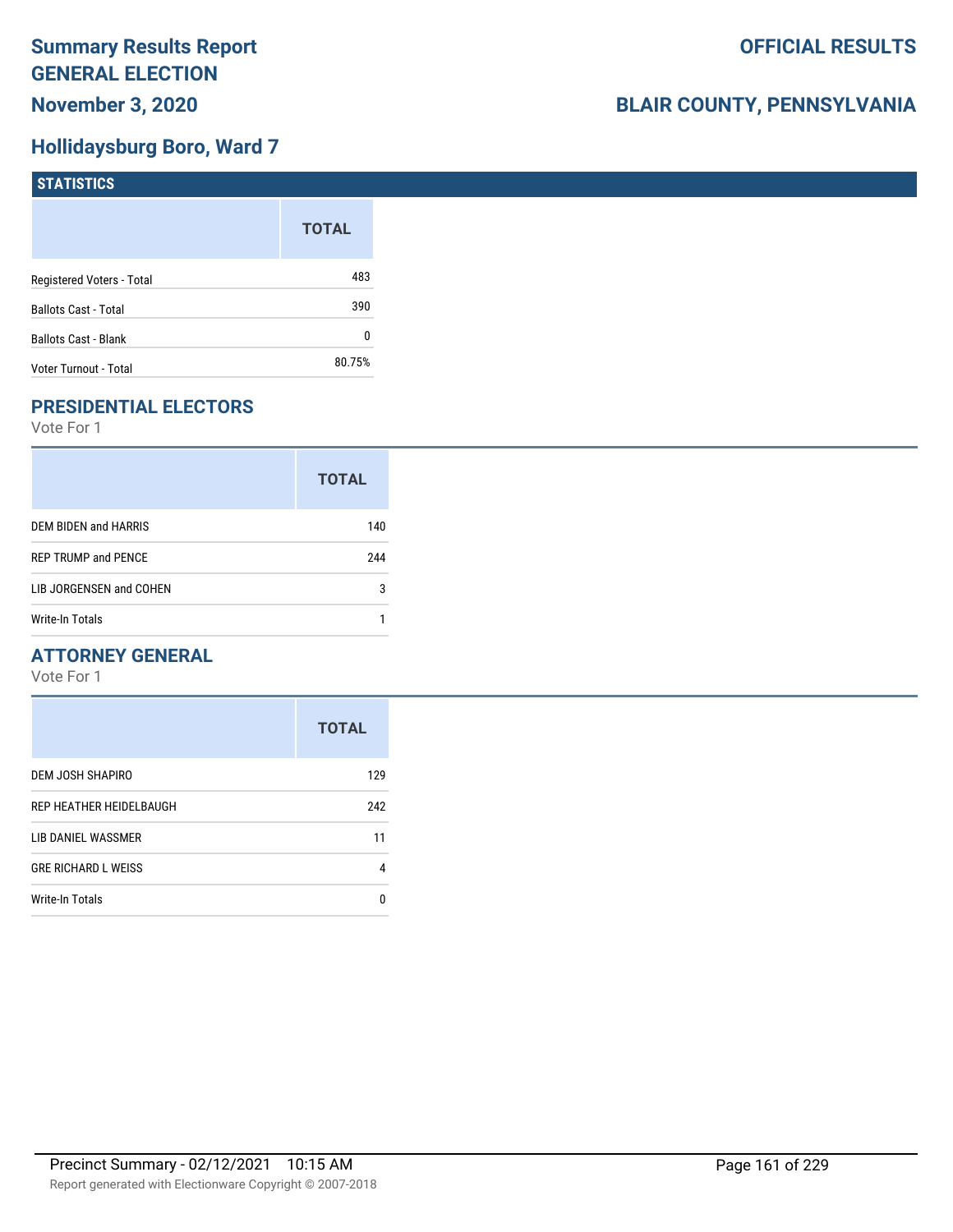## **Hollidaysburg Boro, Ward 7**

| <b>STATISTICS</b>           |              |
|-----------------------------|--------------|
|                             | <b>TOTAL</b> |
| Registered Voters - Total   | 483          |
| <b>Ballots Cast - Total</b> | 390          |
| <b>Ballots Cast - Blank</b> | 0            |
| Voter Turnout - Total       | 80.75%       |

## **PRESIDENTIAL ELECTORS**

Vote For 1

| <b>TOTAL</b> |
|--------------|
| 140          |
| 244          |
| 3            |
|              |
|              |

## **ATTORNEY GENERAL**

|                            | <b>TOTAL</b> |
|----------------------------|--------------|
| DEM JOSH SHAPIRO           | 129          |
| REP HEATHER HEIDELBAUGH    | 242          |
| LIB DANIEL WASSMER         | 11           |
| <b>GRE RICHARD L WEISS</b> | 4            |
| Write-In Totals            | n            |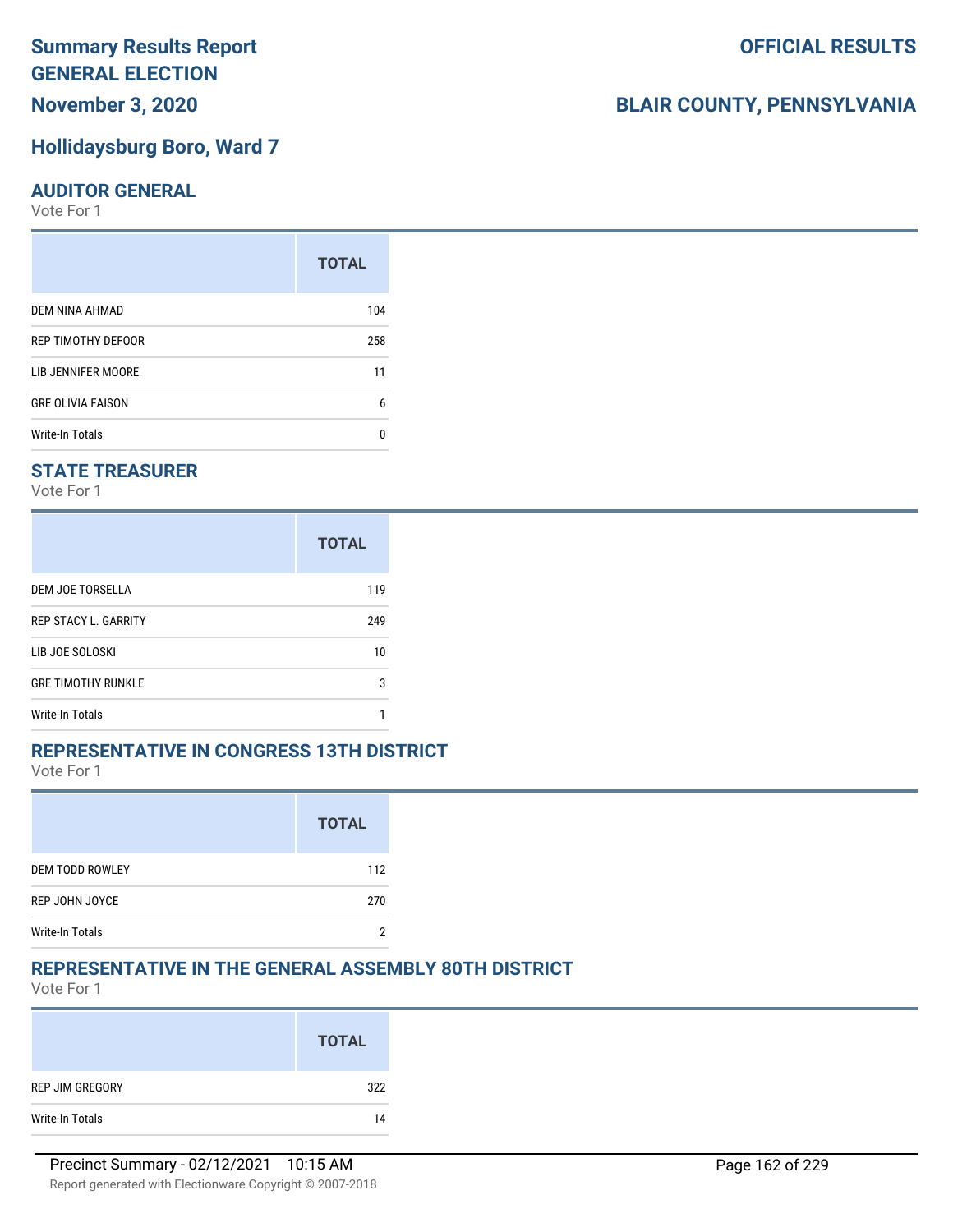**November 3, 2020**

#### **Hollidaysburg Boro, Ward 7**

#### **AUDITOR GENERAL**

Vote For 1

|                          | <b>TOTAL</b> |
|--------------------------|--------------|
| DEM NINA AHMAD           | 104          |
| REP TIMOTHY DEFOOR       | 258          |
| LIB JENNIFER MOORE       | 11           |
| <b>GRE OLIVIA FAISON</b> | 6            |
| <b>Write-In Totals</b>   | n            |

## **STATE TREASURER**

Vote For 1

|                             | <b>TOTAL</b> |
|-----------------------------|--------------|
| DEM JOE TORSELLA            | 119          |
| <b>REP STACY L. GARRITY</b> | 249          |
| LIB JOE SOLOSKI             | 10           |
| <b>GRE TIMOTHY RUNKLE</b>   | 3            |
| Write-In Totals             |              |

#### **REPRESENTATIVE IN CONGRESS 13TH DISTRICT**

Vote For 1

|                        | <b>TOTAL</b> |
|------------------------|--------------|
| <b>DEM TODD ROWLEY</b> | 112          |
| REP JOHN JOYCE         | 270          |
| <b>Write-In Totals</b> |              |

#### **REPRESENTATIVE IN THE GENERAL ASSEMBLY 80TH DISTRICT**

Vote For 1

|                 | <b>TOTAL</b> |
|-----------------|--------------|
| REP JIM GREGORY | 322          |
| Write-In Totals | 14           |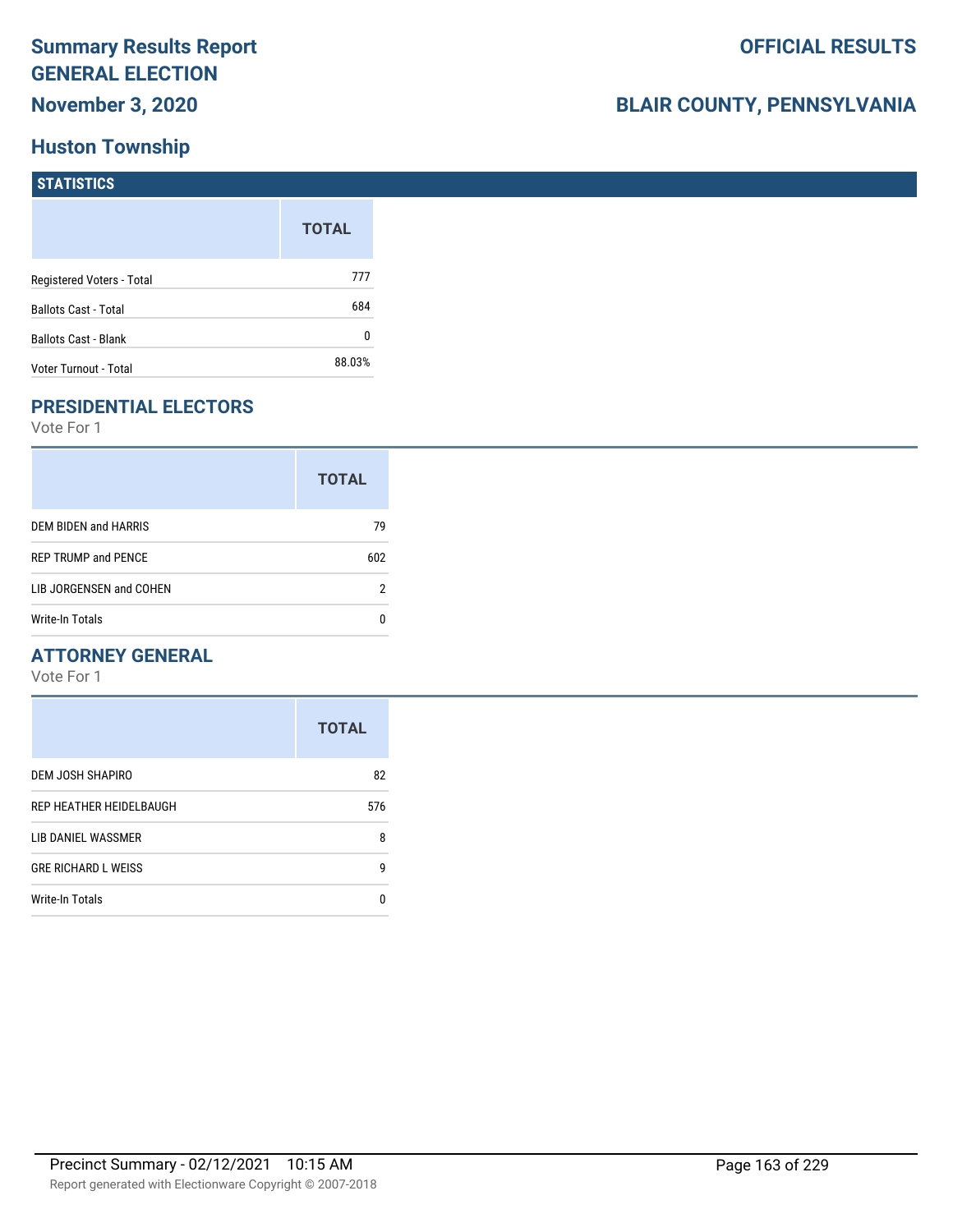# **Huston Township**

## **BLAIR COUNTY, PENNSYLVANIA**

| <b>STATISTICS</b>         |              |
|---------------------------|--------------|
|                           | <b>TOTAL</b> |
| Registered Voters - Total | 777          |

| <b>Ballots Cast - Total</b> | 684    |
|-----------------------------|--------|
| <b>Ballots Cast - Blank</b> |        |
| Voter Turnout - Total       | 88.03% |

## **PRESIDENTIAL ELECTORS**

Vote For 1

|                            | <b>TOTAL</b> |
|----------------------------|--------------|
| DEM BIDEN and HARRIS       | 79           |
| <b>REP TRUMP and PENCE</b> | 602          |
| LIB JORGENSEN and COHEN    | 2            |
| Write-In Totals            |              |

## **ATTORNEY GENERAL**

|                            | <b>TOTAL</b> |
|----------------------------|--------------|
| DEM JOSH SHAPIRO           | 82           |
| REP HEATHER HEIDELBAUGH    | 576          |
| LIB DANIEL WASSMER         | 8            |
| <b>GRE RICHARD L WEISS</b> | g            |
| <b>Write-In Totals</b>     | n            |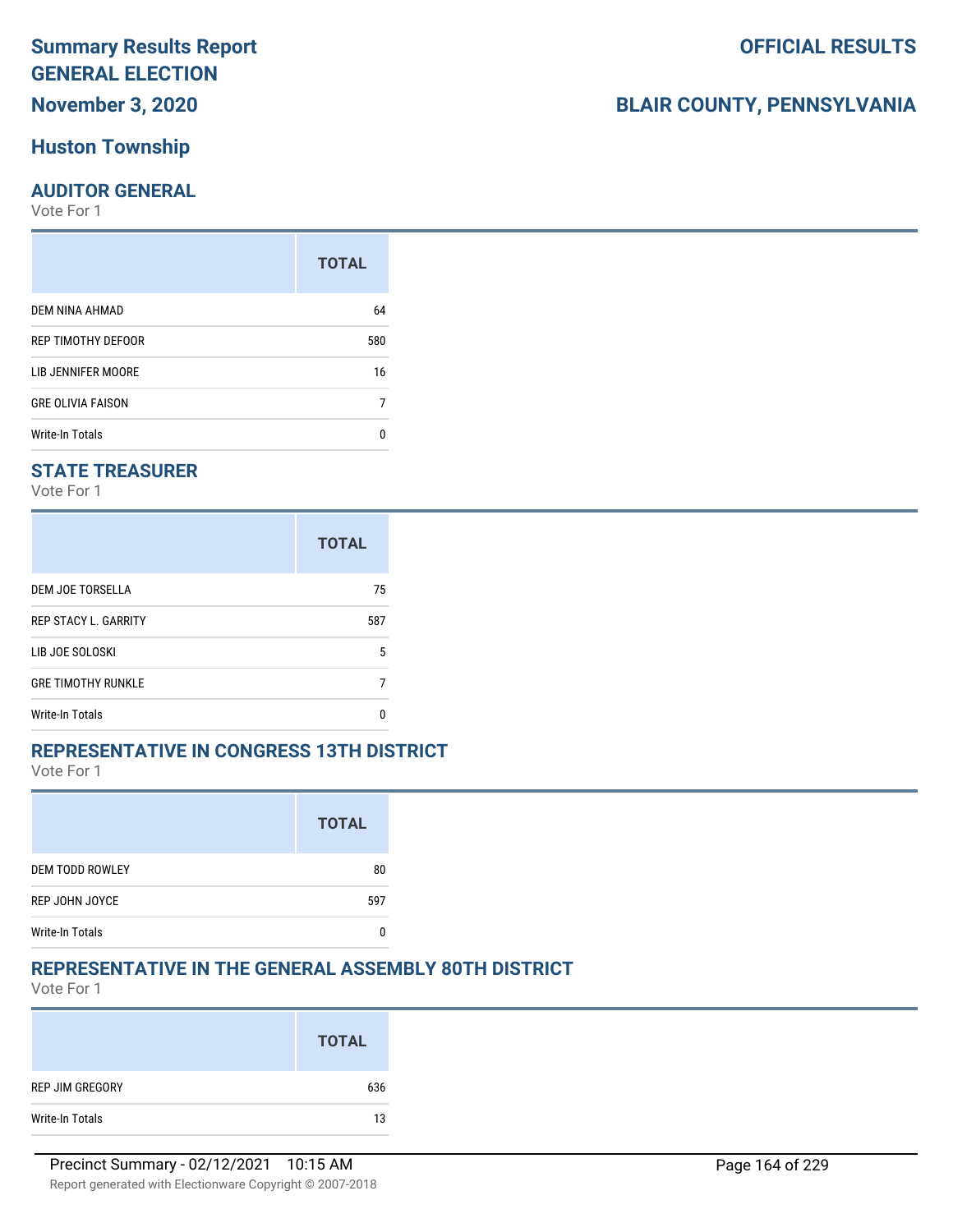## **November 3, 2020**

## **Huston Township**

#### **AUDITOR GENERAL**

Vote For 1

|                          | <b>TOTAL</b> |
|--------------------------|--------------|
| DEM NINA AHMAD           | 64           |
| REP TIMOTHY DEFOOR       | 580          |
| LIB JENNIFER MOORE       | 16           |
| <b>GRE OLIVIA FAISON</b> |              |
| <b>Write-In Totals</b>   | n            |

## **STATE TREASURER**

Vote For 1

|                             | <b>TOTAL</b> |
|-----------------------------|--------------|
| DEM JOE TORSELLA            | 75           |
| <b>REP STACY L. GARRITY</b> | 587          |
| LIB JOE SOLOSKI             | 5            |
| <b>GRE TIMOTHY RUNKLE</b>   |              |
| Write-In Totals             | O            |

#### **REPRESENTATIVE IN CONGRESS 13TH DISTRICT**

Vote For 1

|                        | <b>TOTAL</b> |
|------------------------|--------------|
| <b>DEM TODD ROWLEY</b> | 80           |
| REP JOHN JOYCE         | 597          |
| <b>Write-In Totals</b> |              |

## **REPRESENTATIVE IN THE GENERAL ASSEMBLY 80TH DISTRICT**

Vote For 1

|                 | <b>TOTAL</b> |
|-----------------|--------------|
| REP JIM GREGORY | 636          |
| Write-In Totals | 13           |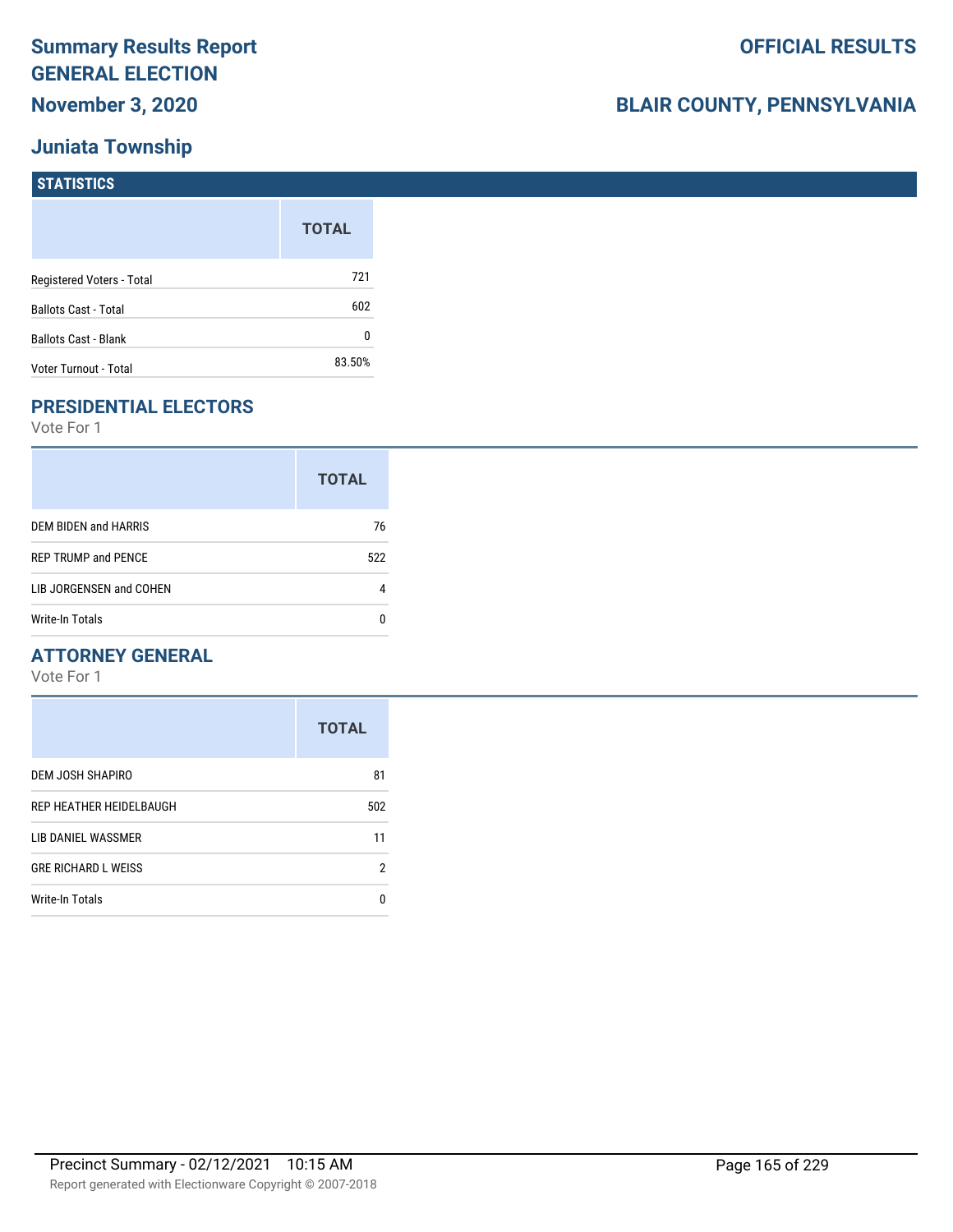## **Juniata Township**

# **BLAIR COUNTY, PENNSYLVANIA**

| <b>STATISTICS</b>           |              |
|-----------------------------|--------------|
|                             | <b>TOTAL</b> |
| Registered Voters - Total   | 721          |
| <b>Ballots Cast - Total</b> | 602          |
| Ballots Cast - Blank        | 0            |
| Voter Turnout - Total       | 83.50%       |

## **PRESIDENTIAL ELECTORS**

Vote For 1

|                            | <b>TOTAL</b> |
|----------------------------|--------------|
| DEM BIDEN and HARRIS       | 76           |
| <b>REP TRUMP and PENCE</b> | 522          |
| LIB JORGENSEN and COHEN    |              |
| Write-In Totals            |              |

## **ATTORNEY GENERAL**

|                            | <b>TOTAL</b> |
|----------------------------|--------------|
| DEM JOSH SHAPIRO           | 81           |
| REP HEATHER HEIDELBAUGH    | 502          |
| LIB DANIEL WASSMER         | 11           |
| <b>GRE RICHARD L WEISS</b> | 2            |
| <b>Write-In Totals</b>     | n            |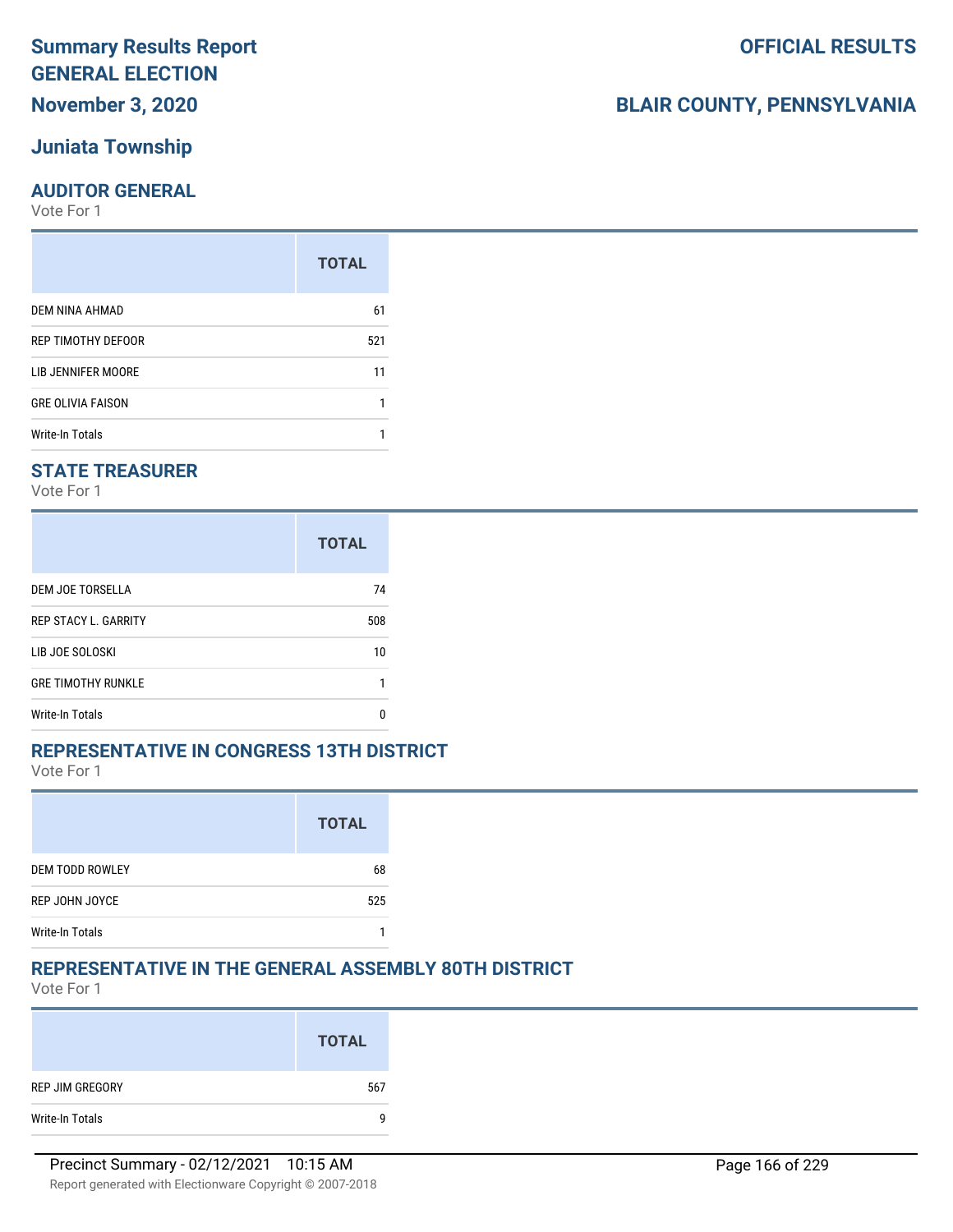## **Juniata Township**

#### **AUDITOR GENERAL**

Vote For 1

|                          | <b>TOTAL</b> |
|--------------------------|--------------|
| DEM NINA AHMAD           | 61           |
| REP TIMOTHY DEFOOR       | 521          |
| LIB JENNIFER MOORE       | 11           |
| <b>GRE OLIVIA FAISON</b> |              |
| <b>Write-In Totals</b>   |              |

## **STATE TREASURER**

Vote For 1

|                             | <b>TOTAL</b> |
|-----------------------------|--------------|
| DEM JOE TORSELLA            | 74           |
| <b>REP STACY L. GARRITY</b> | 508          |
| LIB JOE SOLOSKI             | 10           |
| <b>GRE TIMOTHY RUNKLE</b>   |              |
| Write-In Totals             |              |

#### **REPRESENTATIVE IN CONGRESS 13TH DISTRICT**

Vote For 1

|                        | <b>TOTAL</b> |
|------------------------|--------------|
| <b>DEM TODD ROWLEY</b> | 68           |
| REP JOHN JOYCE         | 525          |
| <b>Write-In Totals</b> |              |

#### **REPRESENTATIVE IN THE GENERAL ASSEMBLY 80TH DISTRICT**

Vote For 1

|                 | <b>TOTAL</b> |
|-----------------|--------------|
| REP JIM GREGORY | 567          |
| Write-In Totals | q            |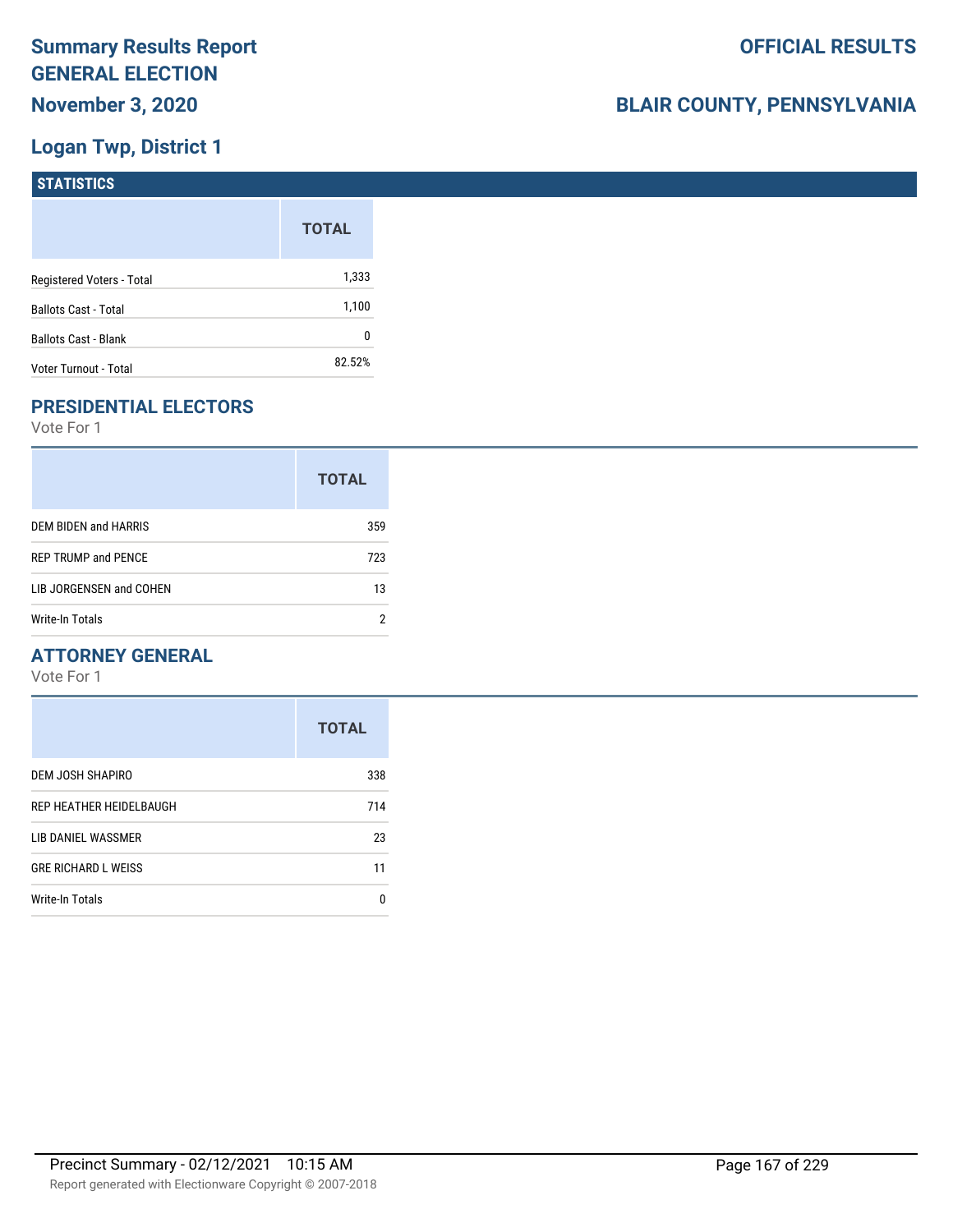## **Logan Twp, District 1**

| STATISTICS                  |              |
|-----------------------------|--------------|
|                             | <b>TOTAL</b> |
| Registered Voters - Total   | 1,333        |
| <b>Ballots Cast - Total</b> | 1,100        |
| <b>Ballots Cast - Blank</b> | 0            |
| Voter Turnout - Total       | 82.52%       |

## **PRESIDENTIAL ELECTORS**

Vote For 1

|                            | <b>TOTAL</b> |
|----------------------------|--------------|
| DEM BIDEN and HARRIS       | 359          |
| <b>REP TRUMP and PENCE</b> | 723          |
| LIB JORGENSEN and COHEN    | 13           |
| Write-In Totals            |              |

## **ATTORNEY GENERAL**

|                            | <b>TOTAL</b> |
|----------------------------|--------------|
| DEM JOSH SHAPIRO           | 338          |
| REP HEATHER HEIDELBAUGH    | 714          |
| LIB DANIEL WASSMER         | 23           |
| <b>GRE RICHARD L WEISS</b> | 11           |
| <b>Write-In Totals</b>     | n            |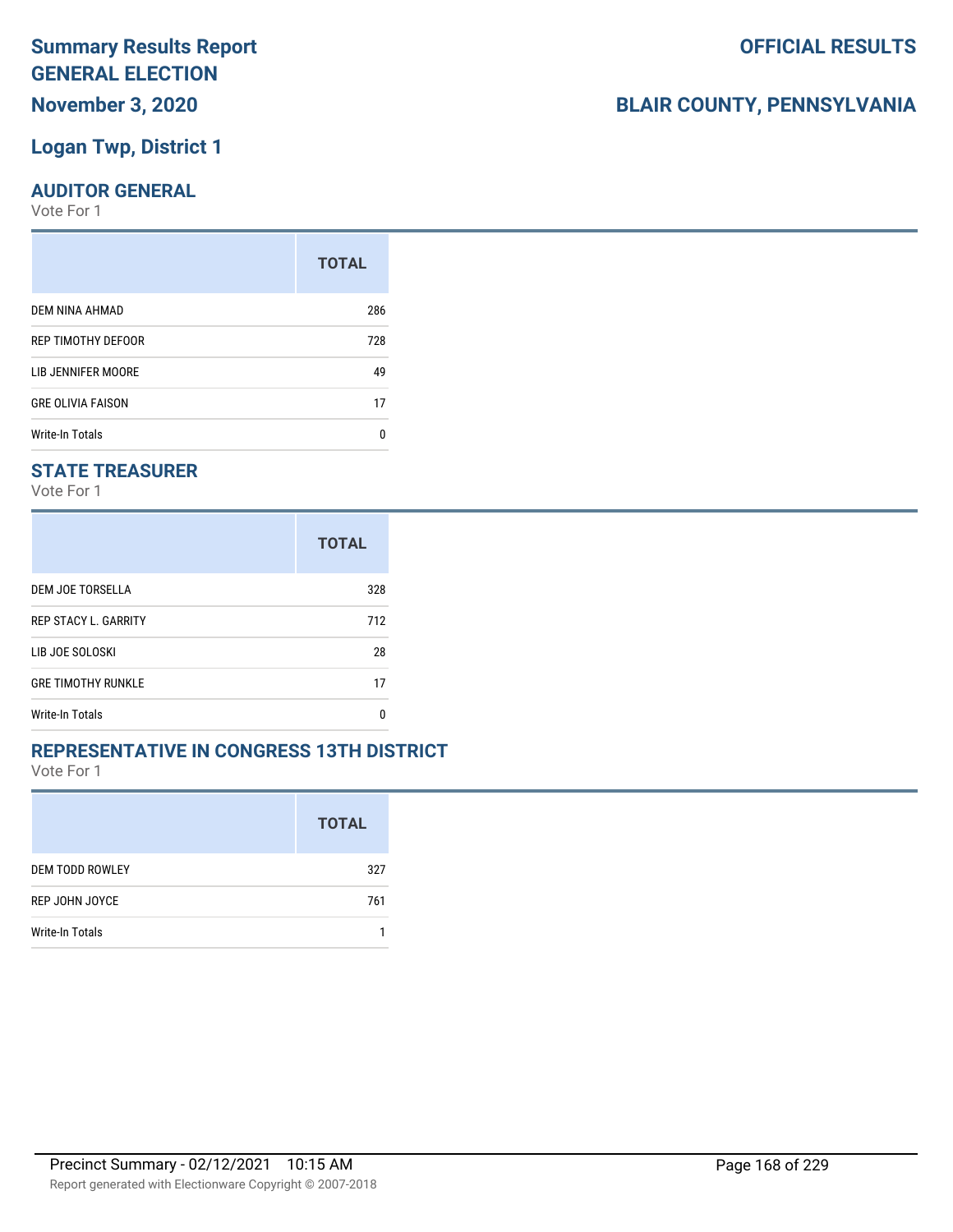## **Logan Twp, District 1**

#### **AUDITOR GENERAL**

Vote For 1

|                          | <b>TOTAL</b> |
|--------------------------|--------------|
| DEM NINA AHMAD           | 286          |
| REP TIMOTHY DEFOOR       | 728          |
| LIB JENNIFER MOORE       | 49           |
| <b>GRE OLIVIA FAISON</b> | 17           |
| <b>Write-In Totals</b>   | n            |

## **STATE TREASURER**

Vote For 1

|                             | <b>TOTAL</b> |
|-----------------------------|--------------|
| DEM JOE TORSELLA            | 328          |
| <b>REP STACY L. GARRITY</b> | 712          |
| LIB JOE SOLOSKI             | 28           |
| <b>GRE TIMOTHY RUNKLE</b>   | 17           |
| Write-In Totals             | n            |

#### **REPRESENTATIVE IN CONGRESS 13TH DISTRICT**

Vote For 1

|                        | <b>TOTAL</b> |
|------------------------|--------------|
| <b>DEM TODD ROWLEY</b> | 327          |
| REP JOHN JOYCE         | 761          |
| Write-In Totals        |              |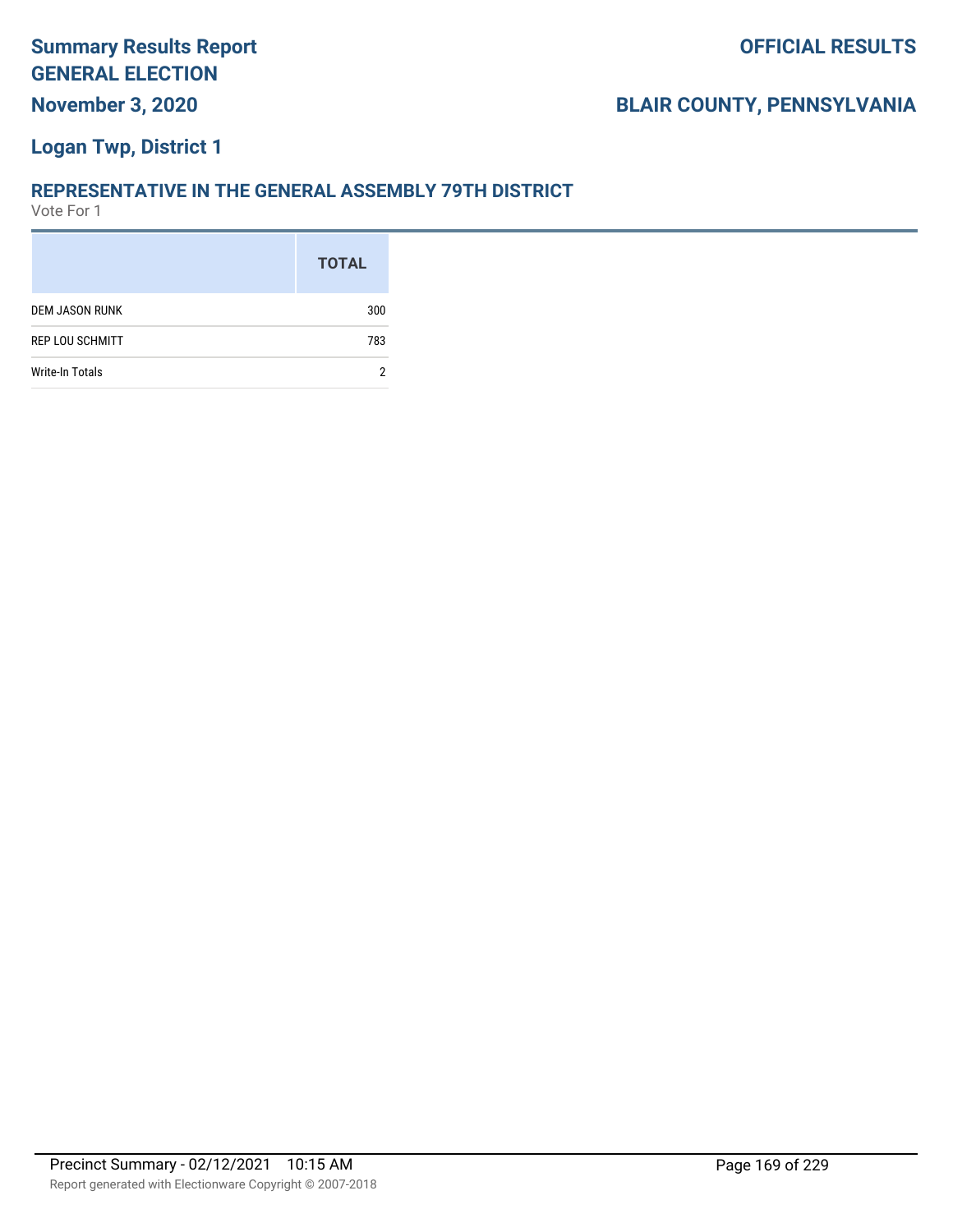## **Logan Twp, District 1**

#### **REPRESENTATIVE IN THE GENERAL ASSEMBLY 79TH DISTRICT**

|                        | <b>TOTAL</b> |
|------------------------|--------------|
| <b>DEM JASON RUNK</b>  | 300          |
| <b>REP LOU SCHMITT</b> | 783          |
| Write-In Totals        |              |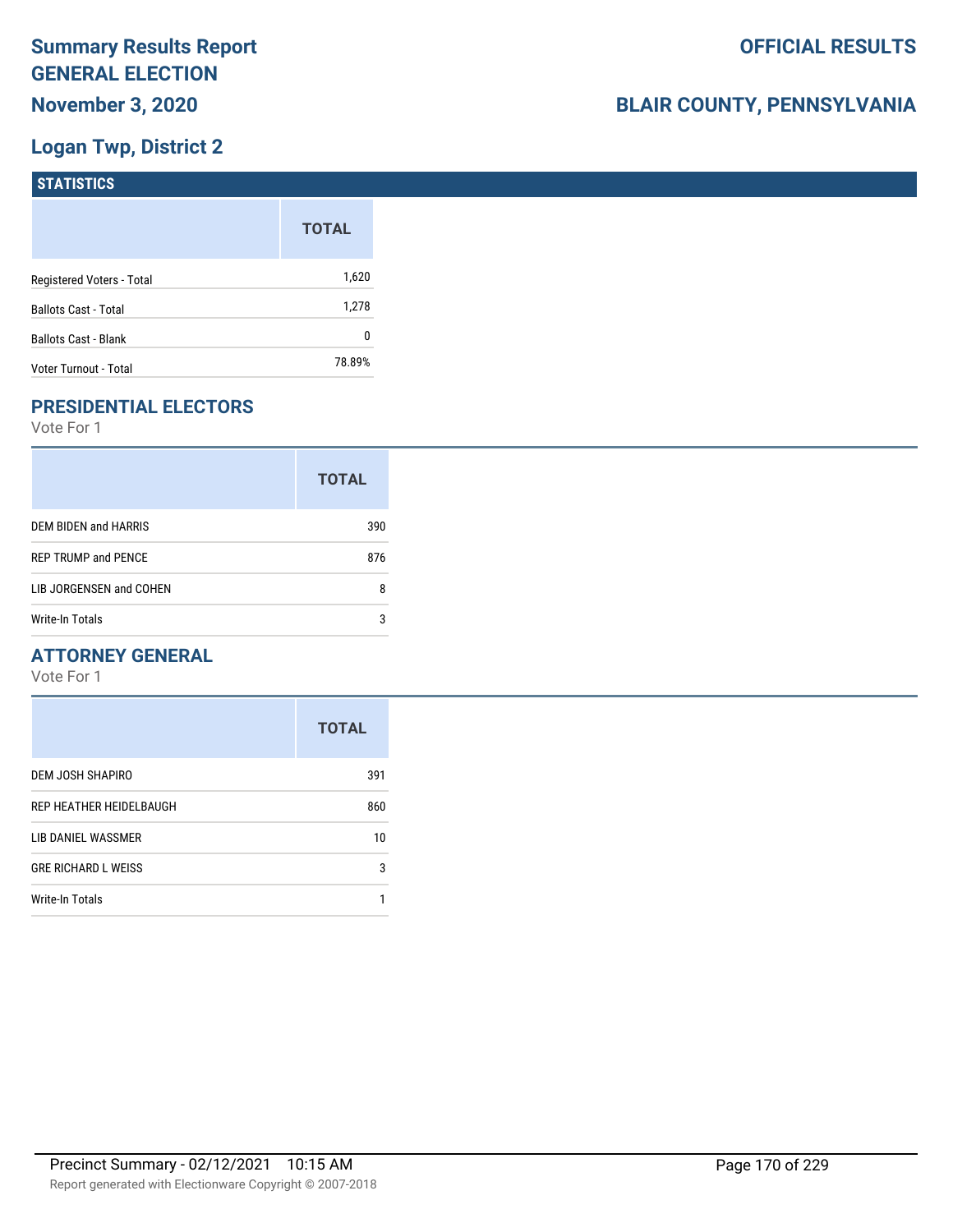## **Logan Twp, District 2**

| STATISTICS                  |              |
|-----------------------------|--------------|
|                             | <b>TOTAL</b> |
| Registered Voters - Total   | 1,620        |
| <b>Ballots Cast - Total</b> | 1,278        |
| <b>Ballots Cast - Blank</b> | 0            |
| Voter Turnout - Total       | 78.89%       |

## **PRESIDENTIAL ELECTORS**

Vote For 1

|                            | <b>TOTAL</b> |
|----------------------------|--------------|
| DEM BIDEN and HARRIS       | 390          |
| <b>REP TRUMP and PENCE</b> | 876          |
| LIB JORGENSEN and COHEN    | 8            |
| Write-In Totals            | 3            |

## **ATTORNEY GENERAL**

|                            | <b>TOTAL</b> |
|----------------------------|--------------|
| DEM JOSH SHAPIRO           | 391          |
| REP HEATHER HEIDELBAUGH    | 860          |
| LIB DANIEL WASSMER         | 10           |
| <b>GRE RICHARD L WEISS</b> | 3            |
| <b>Write-In Totals</b>     |              |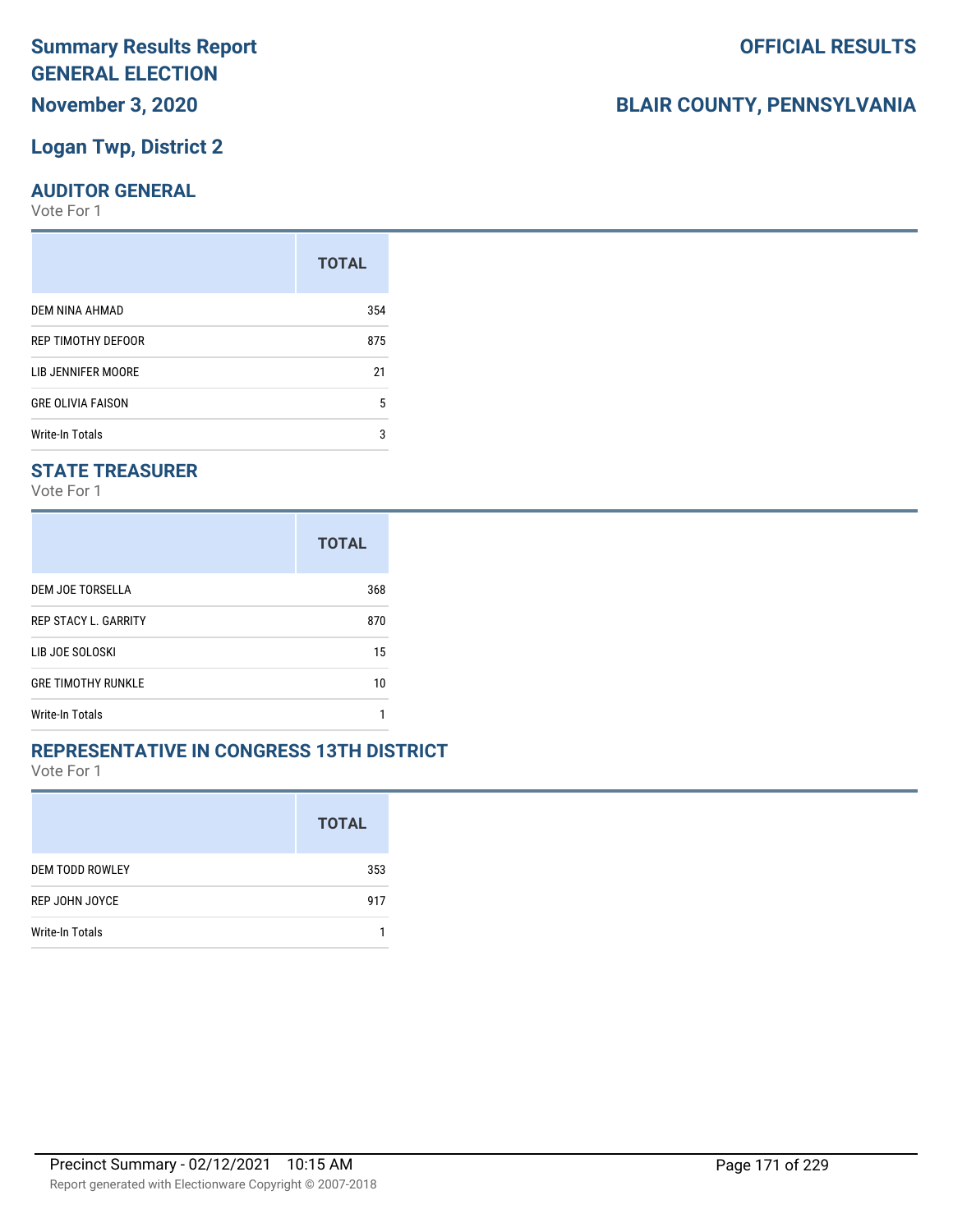## **Logan Twp, District 2**

#### **AUDITOR GENERAL**

Vote For 1

|                          | <b>TOTAL</b> |
|--------------------------|--------------|
| DEM NINA AHMAD           | 354          |
| REP TIMOTHY DEFOOR       | 875          |
| LIB JENNIFER MOORE       | 21           |
| <b>GRE OLIVIA FAISON</b> | 5            |
| <b>Write-In Totals</b>   | 3            |

## **STATE TREASURER**

Vote For 1

|                             | <b>TOTAL</b> |
|-----------------------------|--------------|
| DEM JOE TORSELLA            | 368          |
| <b>REP STACY L. GARRITY</b> | 870          |
| LIB JOE SOLOSKI             | 15           |
| <b>GRE TIMOTHY RUNKLE</b>   | 10           |
| Write-In Totals             |              |

#### **REPRESENTATIVE IN CONGRESS 13TH DISTRICT**

Vote For 1

|                        | <b>TOTAL</b> |
|------------------------|--------------|
| <b>DEM TODD ROWLEY</b> | 353          |
| REP JOHN JOYCE         | 917          |
| Write-In Totals        |              |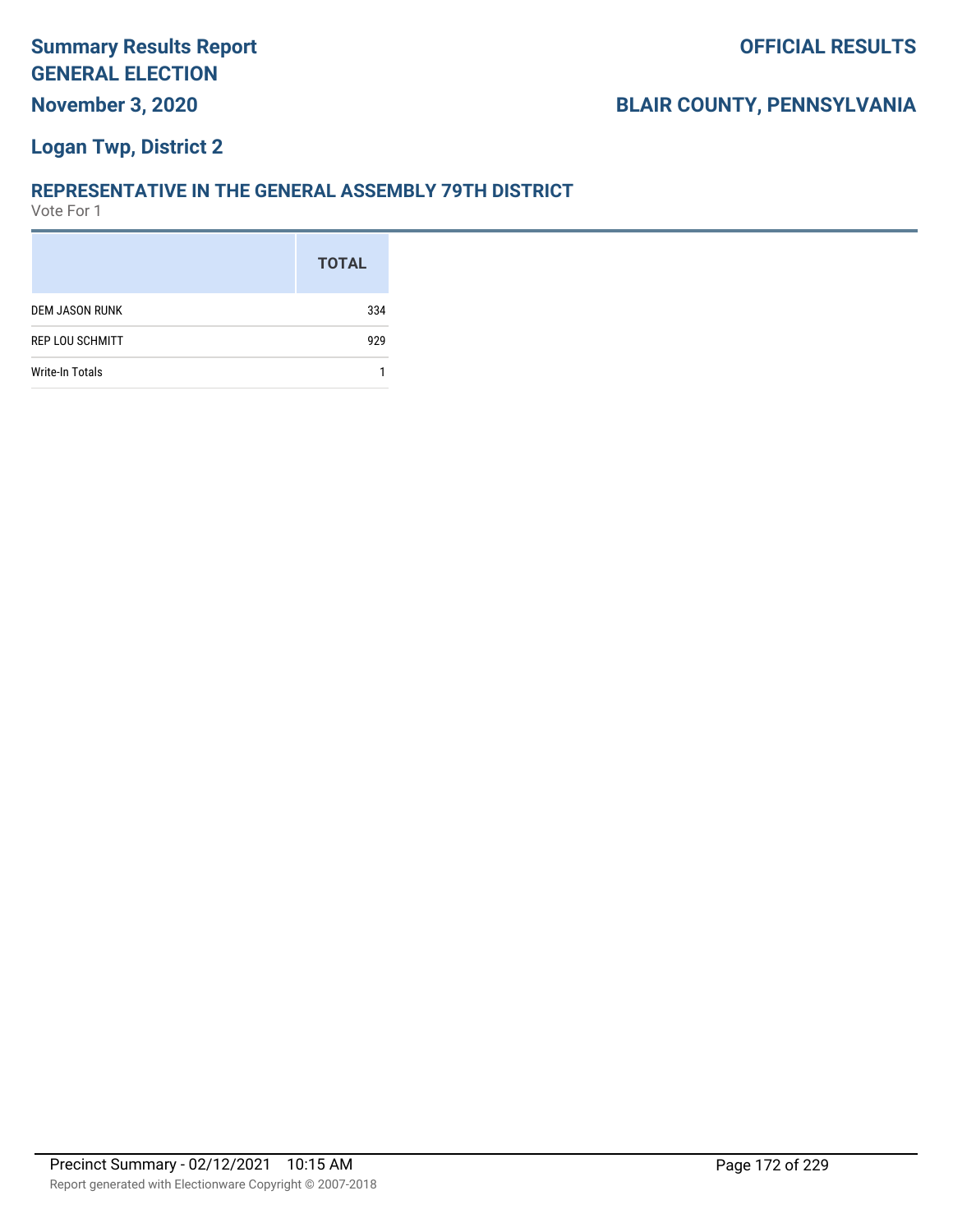## **Logan Twp, District 2**

#### **REPRESENTATIVE IN THE GENERAL ASSEMBLY 79TH DISTRICT**

|                        | <b>TOTAL</b> |
|------------------------|--------------|
| <b>DEM JASON RUNK</b>  | 334          |
| <b>REP LOU SCHMITT</b> | 929          |
| Write-In Totals        |              |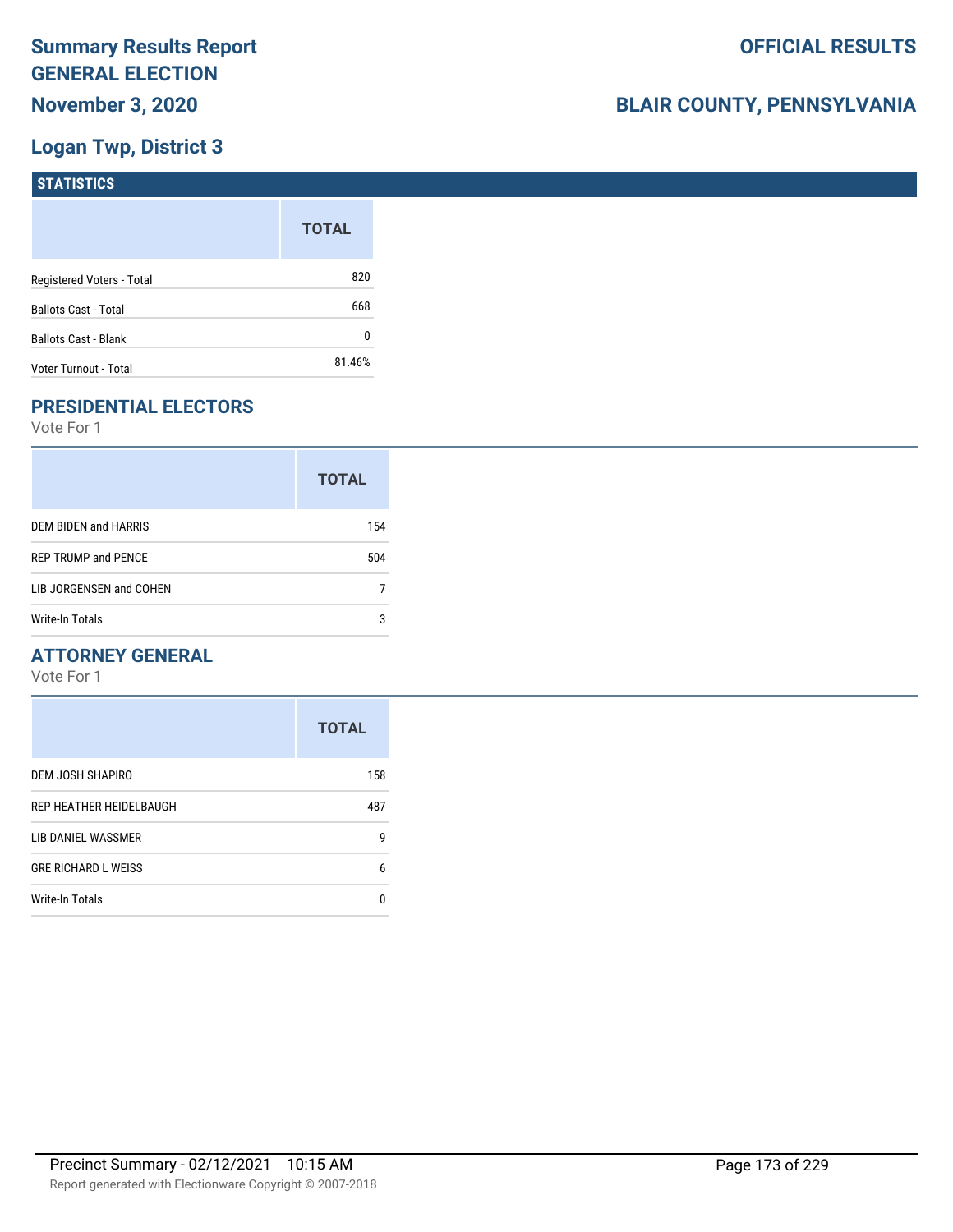## **Logan Twp, District 3**

| STATISTICS                  |              |
|-----------------------------|--------------|
|                             | <b>TOTAL</b> |
| Registered Voters - Total   | 820          |
| <b>Ballots Cast - Total</b> | 668          |
| <b>Ballots Cast - Blank</b> | 0            |
| Voter Turnout - Total       | 81.46%       |

## **PRESIDENTIAL ELECTORS**

Vote For 1

|                            | <b>TOTAL</b> |
|----------------------------|--------------|
| DEM BIDEN and HARRIS       | 154          |
| <b>REP TRUMP and PENCE</b> | 504          |
| LIB JORGENSEN and COHEN    |              |
| <b>Write-In Totals</b>     | 3            |

## **ATTORNEY GENERAL**

|                            | <b>TOTAL</b> |
|----------------------------|--------------|
| DEM JOSH SHAPIRO           | 158          |
| REP HEATHER HEIDELBAUGH    | 487          |
| LIB DANIEL WASSMER         | 9            |
| <b>GRE RICHARD L WEISS</b> | 6            |
| Write-In Totals            | n            |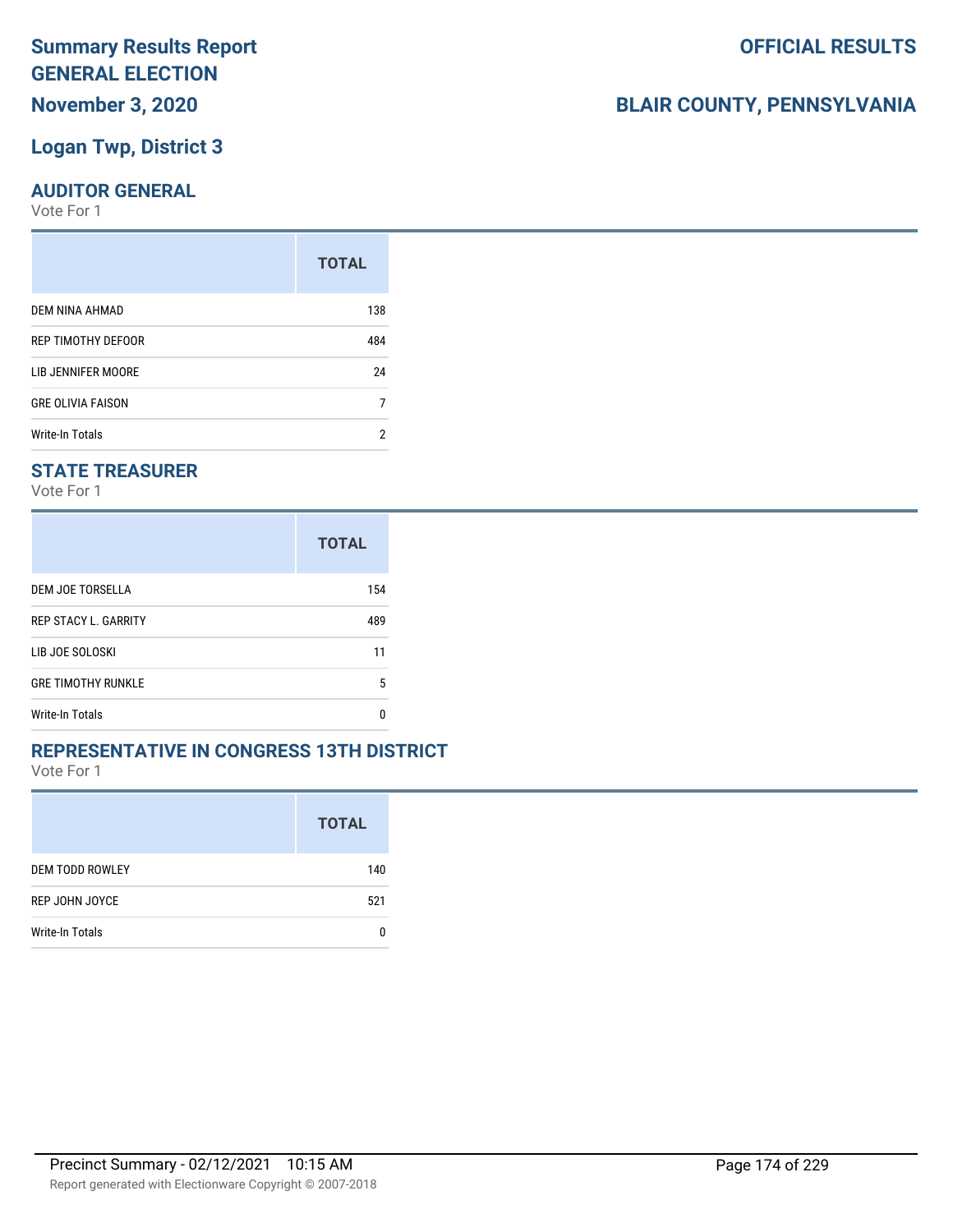## **Logan Twp, District 3**

#### **AUDITOR GENERAL**

Vote For 1

|                          | <b>TOTAL</b> |
|--------------------------|--------------|
| DEM NINA AHMAD           | 138          |
| REP TIMOTHY DEFOOR       | 484          |
| LIB JENNIFER MOORE       | 24           |
| <b>GRE OLIVIA FAISON</b> | 7            |
| <b>Write-In Totals</b>   | っ            |

## **STATE TREASURER**

Vote For 1

|                             | <b>TOTAL</b> |
|-----------------------------|--------------|
| DEM JOE TORSELLA            | 154          |
| <b>REP STACY L. GARRITY</b> | 489          |
| LIB JOE SOLOSKI             | 11           |
| <b>GRE TIMOTHY RUNKLE</b>   | 5            |
| Write-In Totals             | n            |

#### **REPRESENTATIVE IN CONGRESS 13TH DISTRICT**

Vote For 1

|                        | <b>TOTAL</b> |
|------------------------|--------------|
| <b>DEM TODD ROWLEY</b> | 140          |
| <b>REP JOHN JOYCE</b>  | 521          |
| Write-In Totals        |              |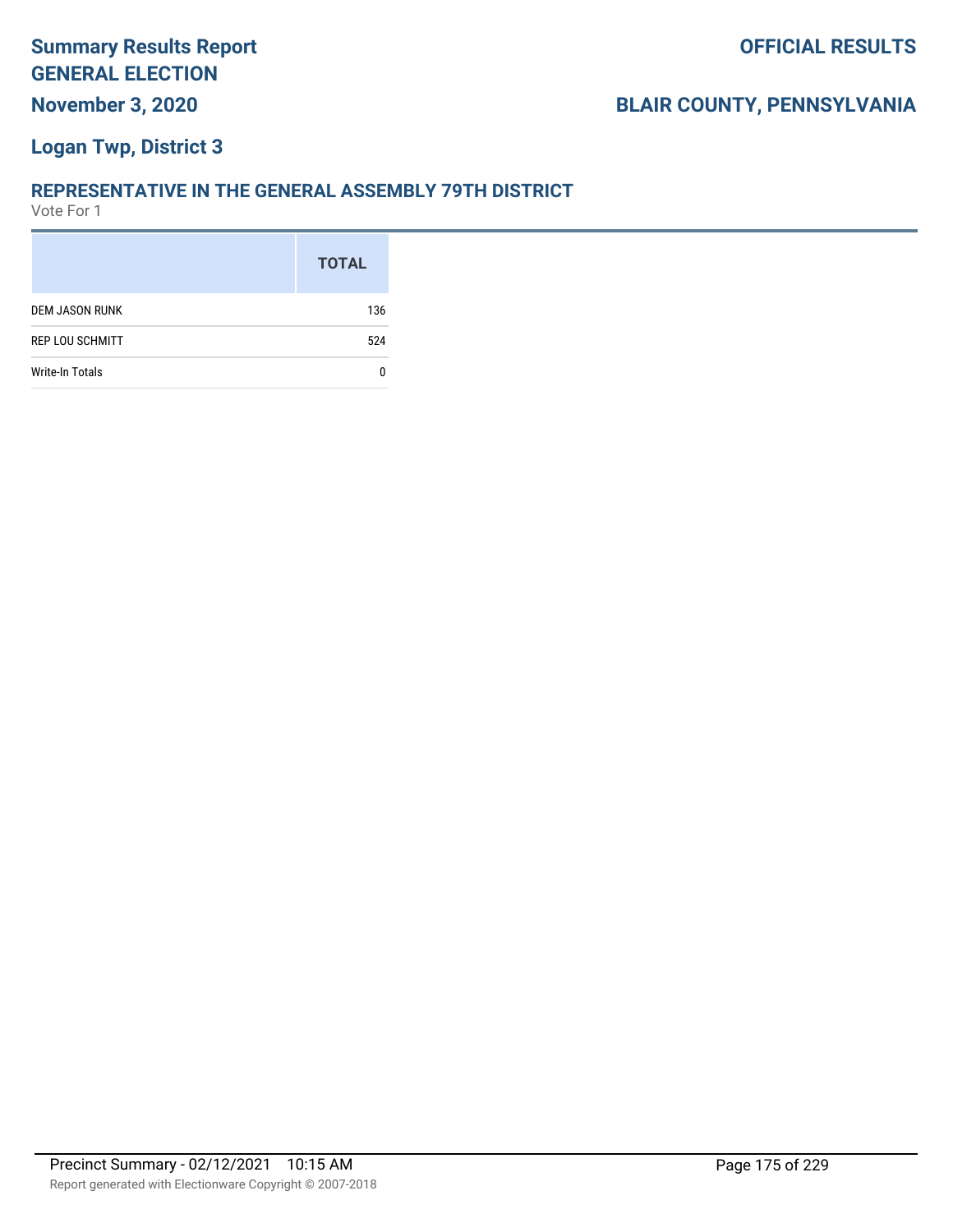## **Logan Twp, District 3**

#### **REPRESENTATIVE IN THE GENERAL ASSEMBLY 79TH DISTRICT**

|                        | <b>TOTAL</b> |
|------------------------|--------------|
| <b>DEM JASON RUNK</b>  | 136          |
| <b>REP LOU SCHMITT</b> | 524          |
| Write-In Totals        |              |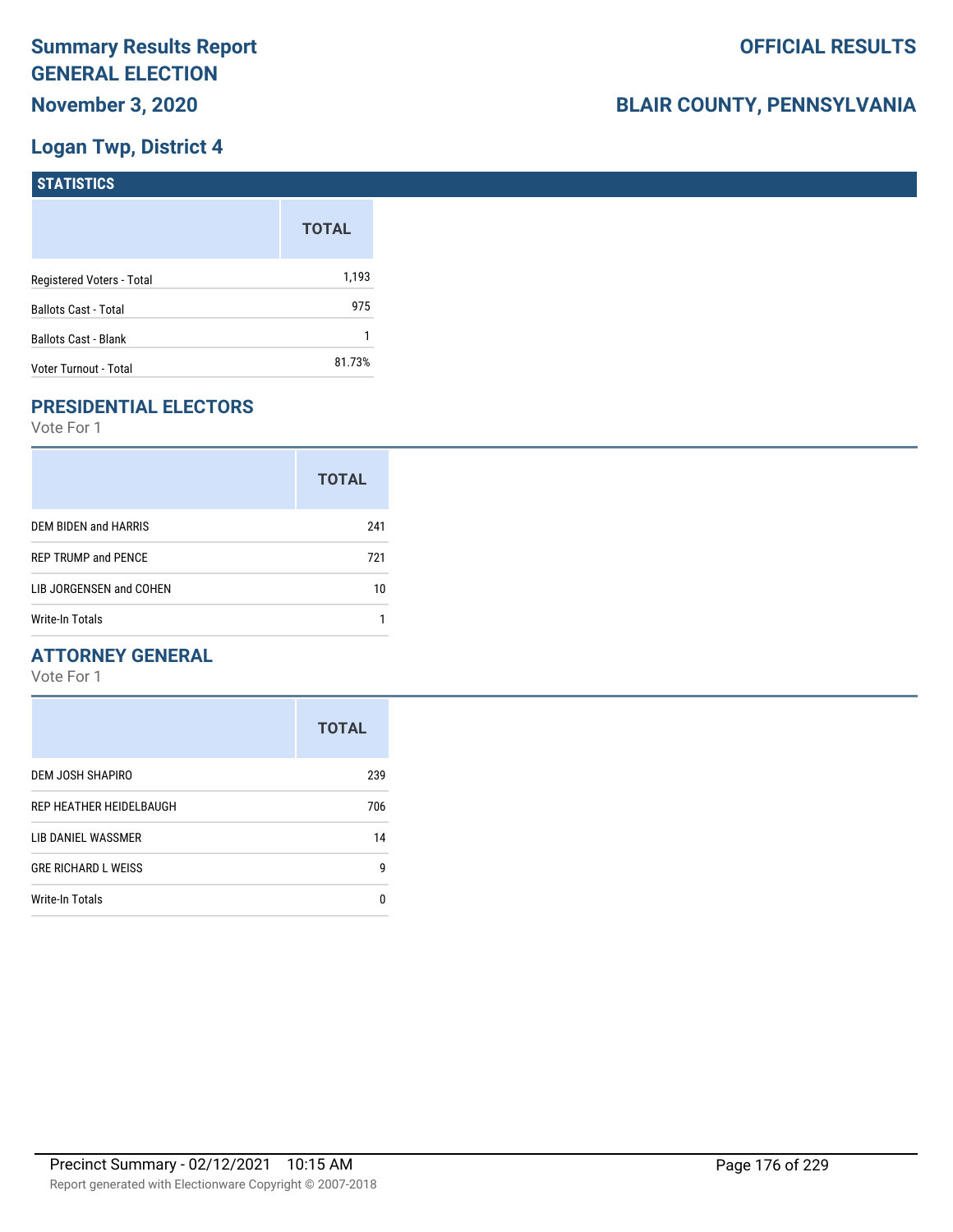## **Logan Twp, District 4**

| STATISTICS                  |              |
|-----------------------------|--------------|
|                             | <b>TOTAL</b> |
| Registered Voters - Total   | 1,193        |
| <b>Ballots Cast - Total</b> | 975          |
| <b>Ballots Cast - Blank</b> |              |
| Voter Turnout - Total       | 81.73%       |

## **PRESIDENTIAL ELECTORS**

Vote For 1

|                            | <b>TOTAL</b> |
|----------------------------|--------------|
| DEM BIDEN and HARRIS       | 241          |
| <b>REP TRUMP and PENCE</b> | 721          |
| LIB JORGENSEN and COHEN    | 10           |
| Write-In Totals            |              |

## **ATTORNEY GENERAL**

|                            | <b>TOTAL</b> |
|----------------------------|--------------|
| DEM JOSH SHAPIRO           | 239          |
| REP HEATHER HEIDELBAUGH    | 706          |
| LIB DANIEL WASSMER         | 14           |
| <b>GRE RICHARD L WEISS</b> | 9            |
| Write-In Totals            | n            |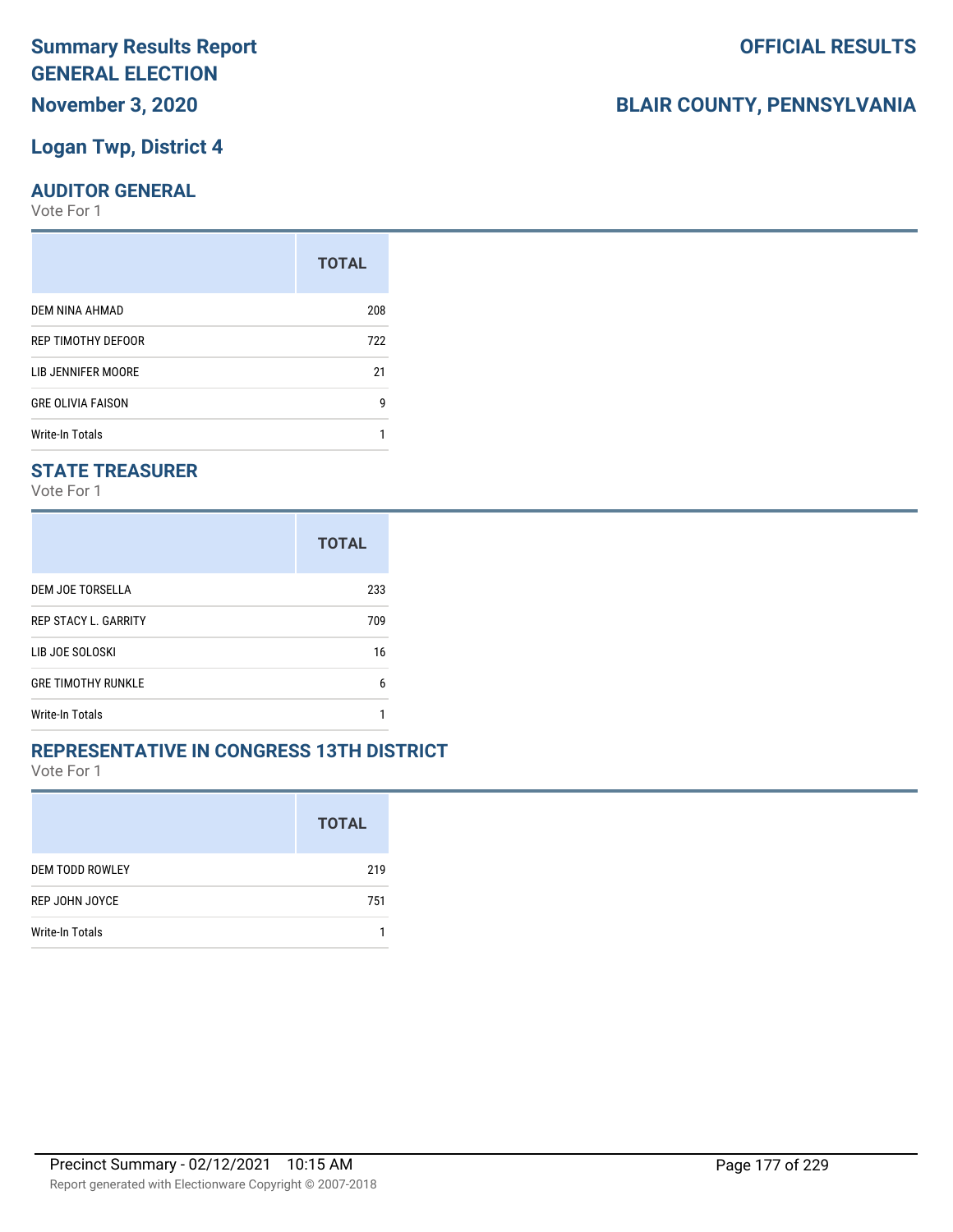## **Logan Twp, District 4**

#### **AUDITOR GENERAL**

Vote For 1

|                          | <b>TOTAL</b> |
|--------------------------|--------------|
| DEM NINA AHMAD           | 208          |
| REP TIMOTHY DEFOOR       | 722          |
| LIB JENNIFER MOORE       | 21           |
| <b>GRE OLIVIA FAISON</b> |              |
| Write-In Totals          |              |

## **STATE TREASURER**

Vote For 1

|                             | <b>TOTAL</b> |
|-----------------------------|--------------|
| DEM JOE TORSELLA            | 233          |
| <b>REP STACY L. GARRITY</b> | 709          |
| LIB JOE SOLOSKI             | 16           |
| <b>GRE TIMOTHY RUNKLE</b>   | 6            |
| Write-In Totals             |              |

#### **REPRESENTATIVE IN CONGRESS 13TH DISTRICT**

Vote For 1

|                        | <b>TOTAL</b> |
|------------------------|--------------|
| <b>DEM TODD ROWLEY</b> | 219          |
| REP JOHN JOYCE         | 751          |
| Write-In Totals        |              |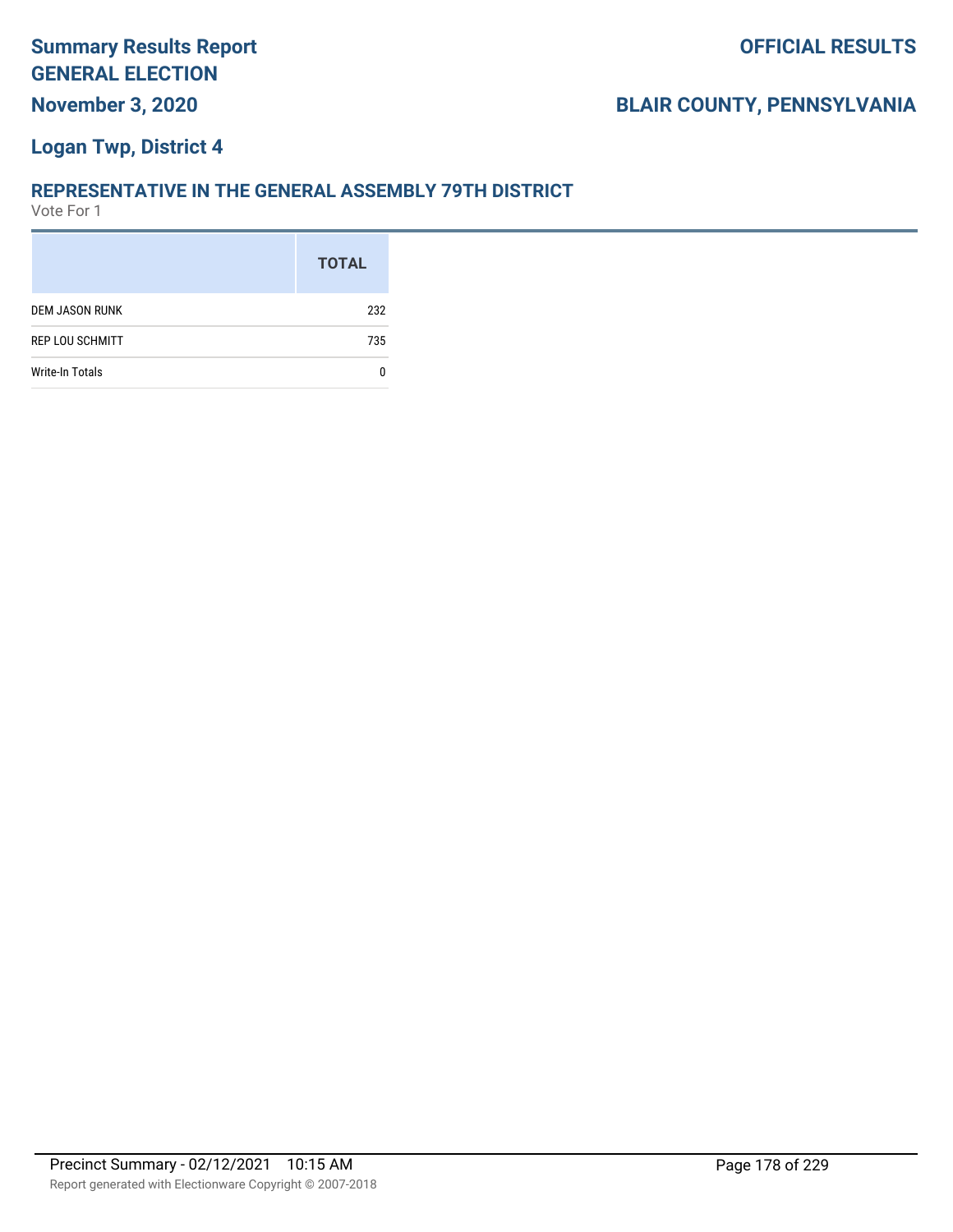## **Logan Twp, District 4**

#### **REPRESENTATIVE IN THE GENERAL ASSEMBLY 79TH DISTRICT**

|                        | <b>TOTAL</b> |
|------------------------|--------------|
| <b>DEM JASON RUNK</b>  | 232          |
| <b>REP LOU SCHMITT</b> | 735          |
| Write-In Totals        |              |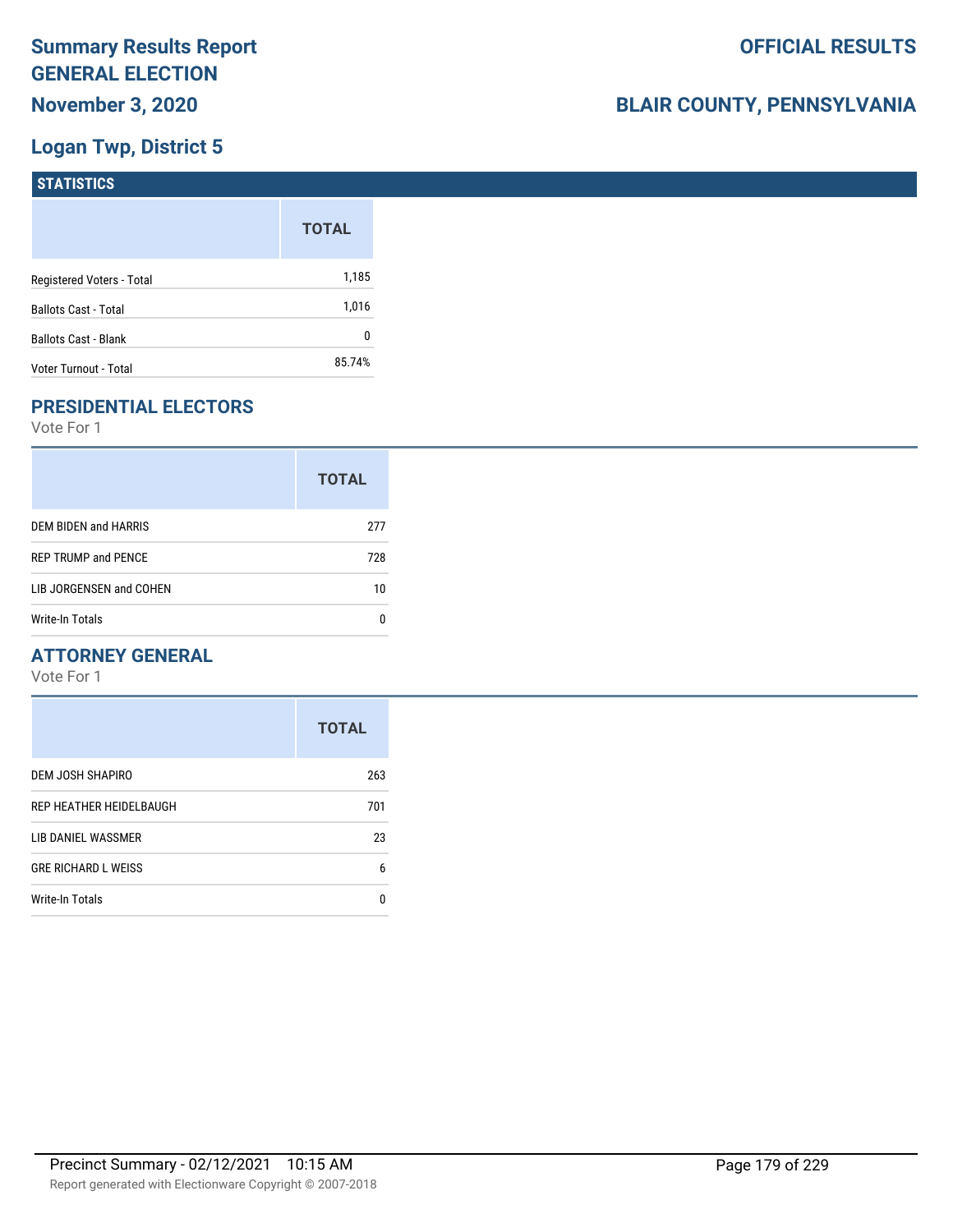## **Logan Twp, District 5**

| STATISTICS                  |              |
|-----------------------------|--------------|
|                             | <b>TOTAL</b> |
| Registered Voters - Total   | 1,185        |
| <b>Ballots Cast - Total</b> | 1,016        |
| <b>Ballots Cast - Blank</b> | 0            |
| Voter Turnout - Total       | 85.74%       |

## **PRESIDENTIAL ELECTORS**

Vote For 1

|                            | <b>TOTAL</b> |
|----------------------------|--------------|
| DEM BIDEN and HARRIS       | 277          |
| <b>REP TRUMP and PENCE</b> | 728          |
| LIB JORGENSEN and COHEN    | 10           |
| Write-In Totals            |              |

## **ATTORNEY GENERAL**

|                            | <b>TOTAL</b> |
|----------------------------|--------------|
| DEM JOSH SHAPIRO           | 263          |
| REP HEATHER HEIDELBAUGH    | 701          |
| LIB DANIEL WASSMER         | 23           |
| <b>GRE RICHARD L WEISS</b> | 6            |
| Write-In Totals            | n            |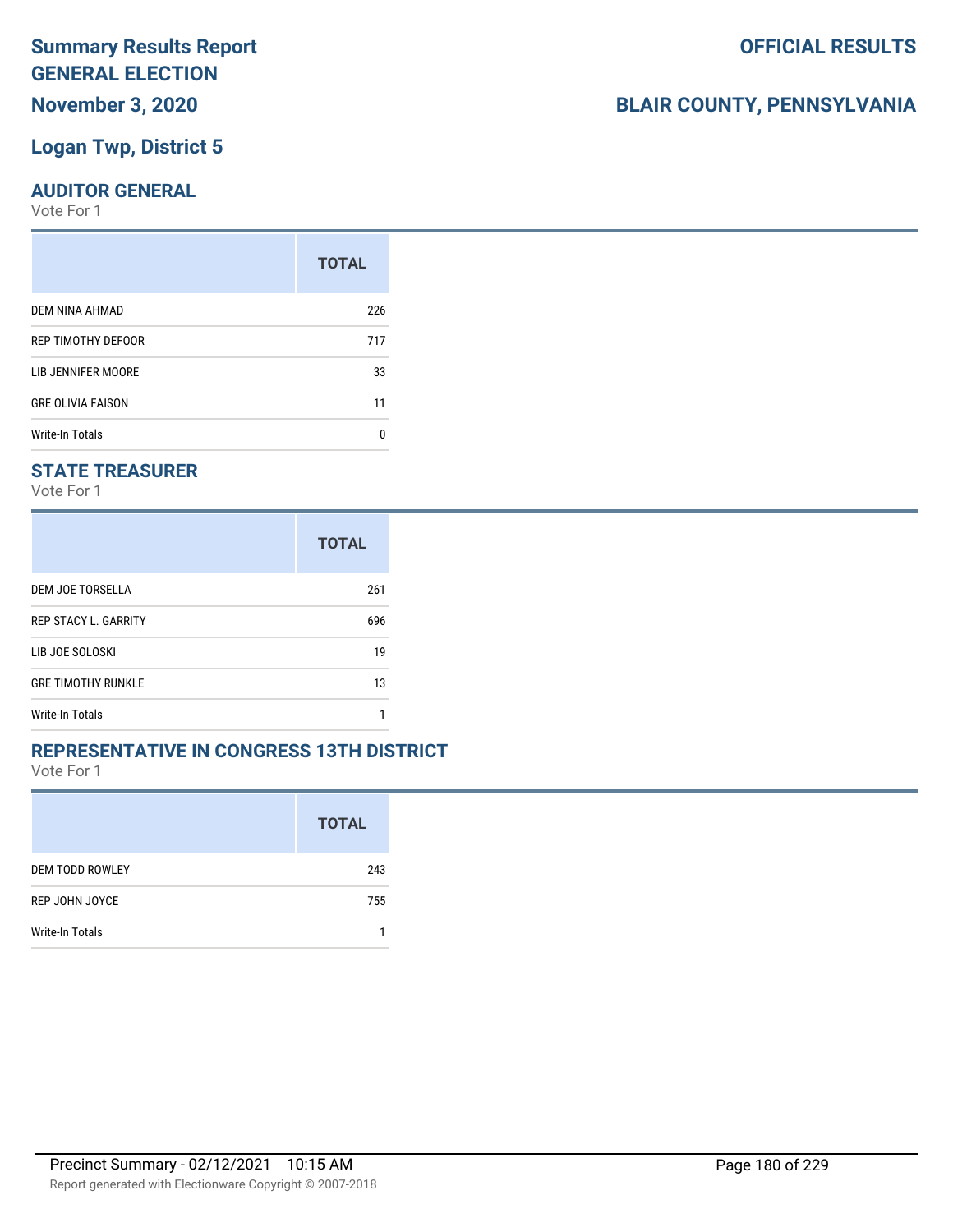## **Logan Twp, District 5**

#### **AUDITOR GENERAL**

Vote For 1

|                          | <b>TOTAL</b> |
|--------------------------|--------------|
| <b>DEM NINA AHMAD</b>    | 226          |
| REP TIMOTHY DEFOOR       | 717          |
| LIB JENNIFER MOORE       | 33           |
| <b>GRE OLIVIA FAISON</b> | 11           |
| <b>Write-In Totals</b>   | n            |

## **STATE TREASURER**

Vote For 1

|                             | <b>TOTAL</b> |
|-----------------------------|--------------|
| DEM JOE TORSELLA            | 261          |
| <b>REP STACY L. GARRITY</b> | 696          |
| LIB JOE SOLOSKI             | 19           |
| <b>GRE TIMOTHY RUNKLE</b>   | 13           |
| Write-In Totals             |              |

#### **REPRESENTATIVE IN CONGRESS 13TH DISTRICT**

Vote For 1

|                        | <b>TOTAL</b> |
|------------------------|--------------|
| <b>DEM TODD ROWLEY</b> | 243          |
| REP JOHN JOYCE         | 755          |
| Write-In Totals        |              |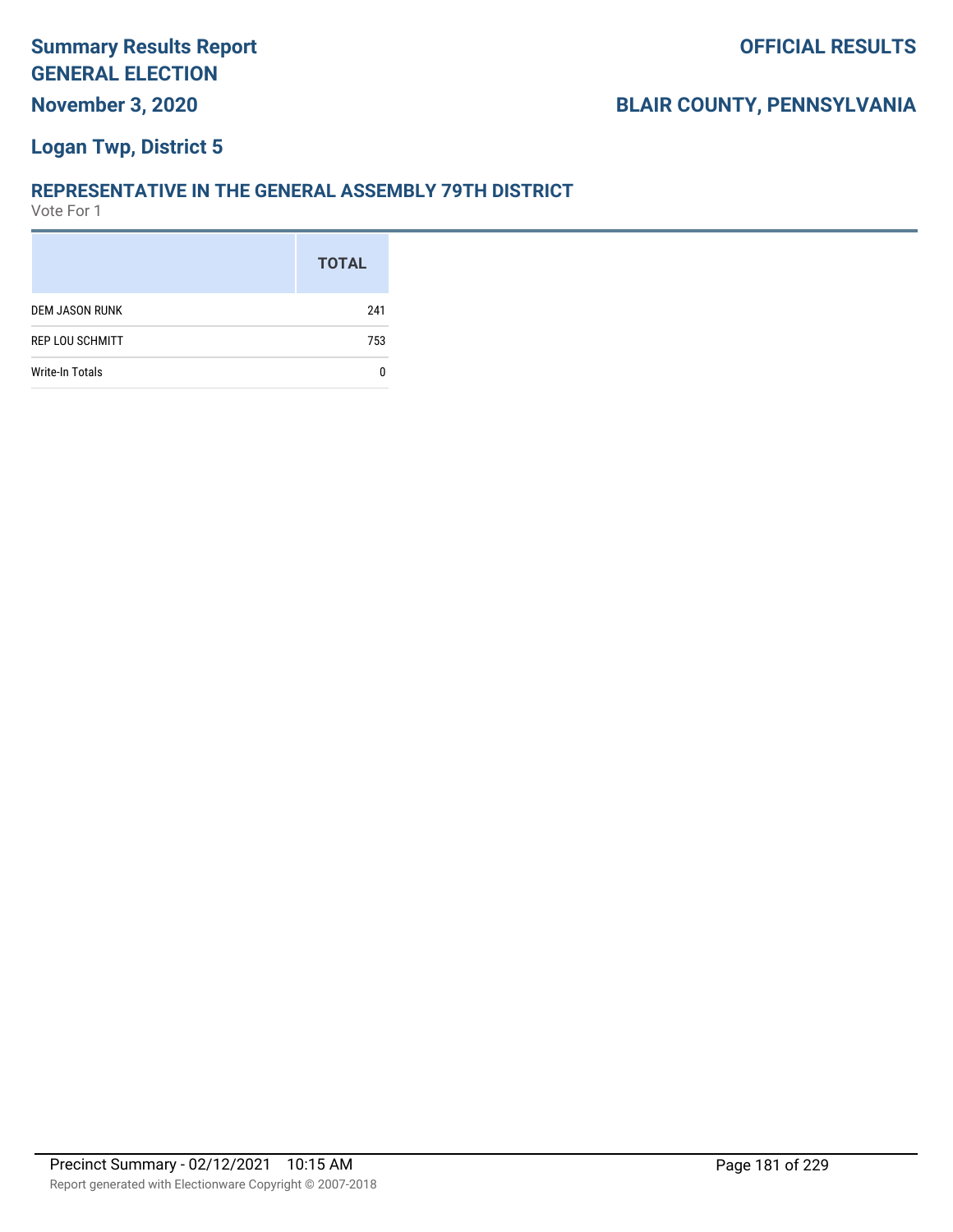#### **Logan Twp, District 5**

#### **REPRESENTATIVE IN THE GENERAL ASSEMBLY 79TH DISTRICT**

|                        | <b>TOTAL</b> |
|------------------------|--------------|
| <b>DEM JASON RUNK</b>  | 241          |
| <b>REP LOU SCHMITT</b> | 753          |
| Write-In Totals        |              |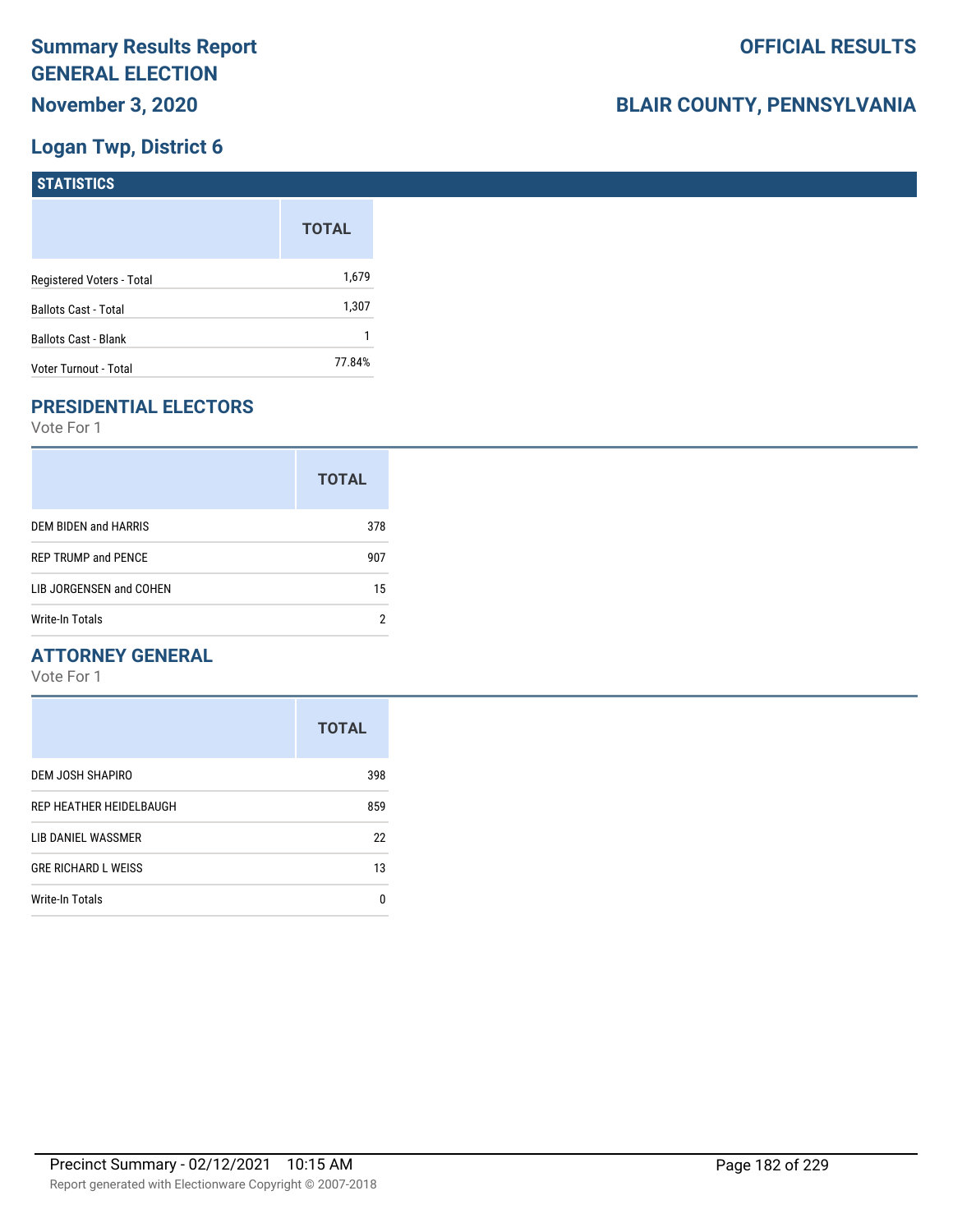## **Logan Twp, District 6**

| STATISTICS                  |              |
|-----------------------------|--------------|
|                             | <b>TOTAL</b> |
| Registered Voters - Total   | 1,679        |
| <b>Ballots Cast - Total</b> | 1,307        |
| <b>Ballots Cast - Blank</b> |              |
| Voter Turnout - Total       | 77.84%       |

## **PRESIDENTIAL ELECTORS**

Vote For 1

|                            | <b>TOTAL</b> |
|----------------------------|--------------|
| DEM BIDEN and HARRIS       | 378          |
| <b>REP TRUMP and PENCE</b> | 907          |
| LIB JORGENSEN and COHEN    | 15           |
| Write-In Totals            |              |

#### **ATTORNEY GENERAL**

|                            | <b>TOTAL</b> |
|----------------------------|--------------|
| DEM JOSH SHAPIRO           | 398          |
| REP HEATHER HEIDELBAUGH    | 859          |
| LIB DANIEL WASSMER         | 22           |
| <b>GRE RICHARD L WEISS</b> | 13           |
| <b>Write-In Totals</b>     | 0            |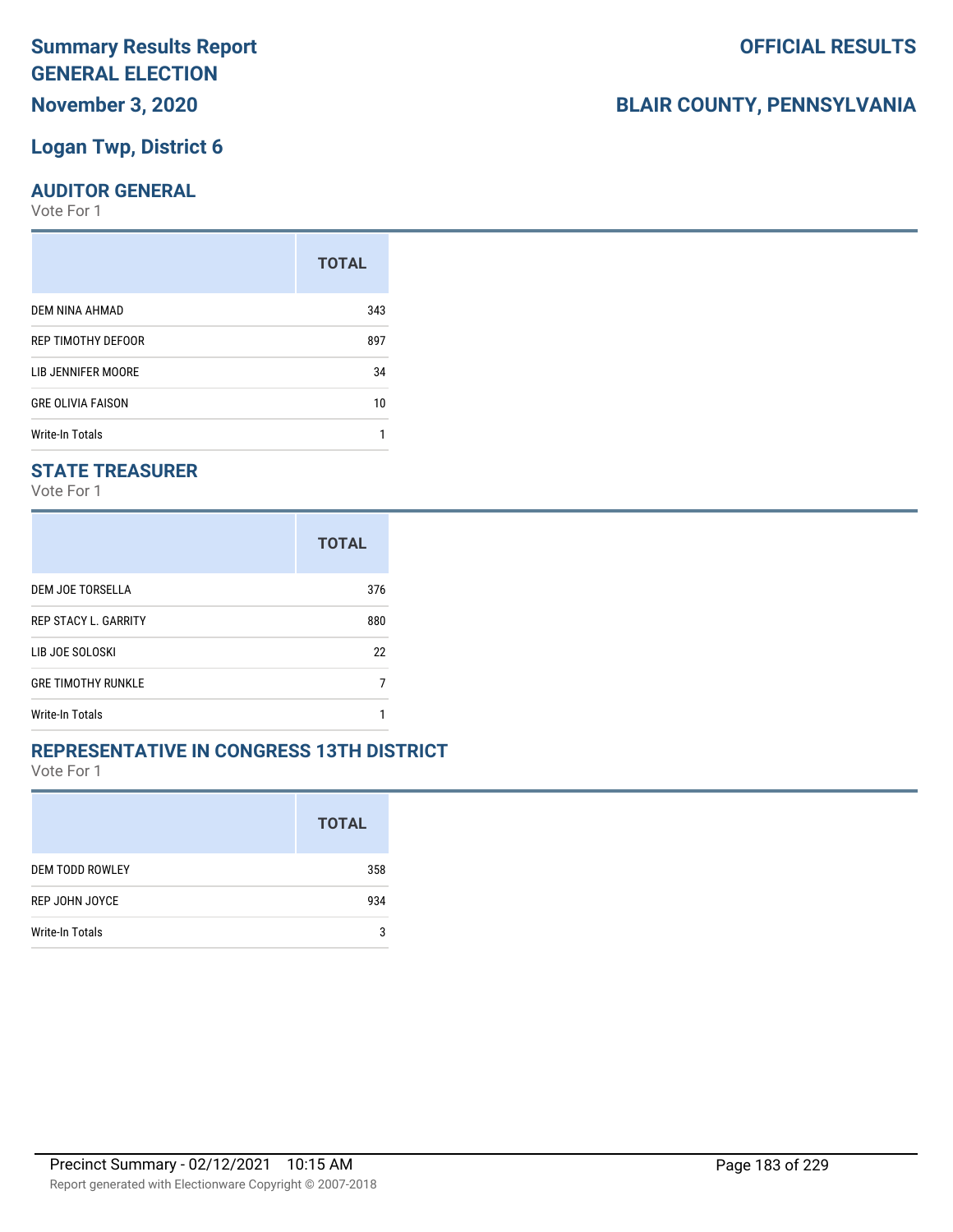#### **Logan Twp, District 6**

#### **AUDITOR GENERAL**

Vote For 1

|                          | <b>TOTAL</b> |
|--------------------------|--------------|
| DEM NINA AHMAD           | 343          |
| REP TIMOTHY DEFOOR       | 897          |
| LIB JENNIFER MOORE       | 34           |
| <b>GRE OLIVIA FAISON</b> | 10           |
| <b>Write-In Totals</b>   |              |

#### **STATE TREASURER**

Vote For 1

|                             | <b>TOTAL</b> |
|-----------------------------|--------------|
| DEM JOE TORSELLA            | 376          |
| <b>REP STACY L. GARRITY</b> | 880          |
| LIB JOE SOLOSKI             | 22           |
| <b>GRE TIMOTHY RUNKLE</b>   |              |
| Write-In Totals             |              |

#### **REPRESENTATIVE IN CONGRESS 13TH DISTRICT**

Vote For 1

|                        | <b>TOTAL</b> |
|------------------------|--------------|
| <b>DEM TODD ROWLEY</b> | 358          |
| REP JOHN JOYCE         | 934          |
| <b>Write-In Totals</b> | 3            |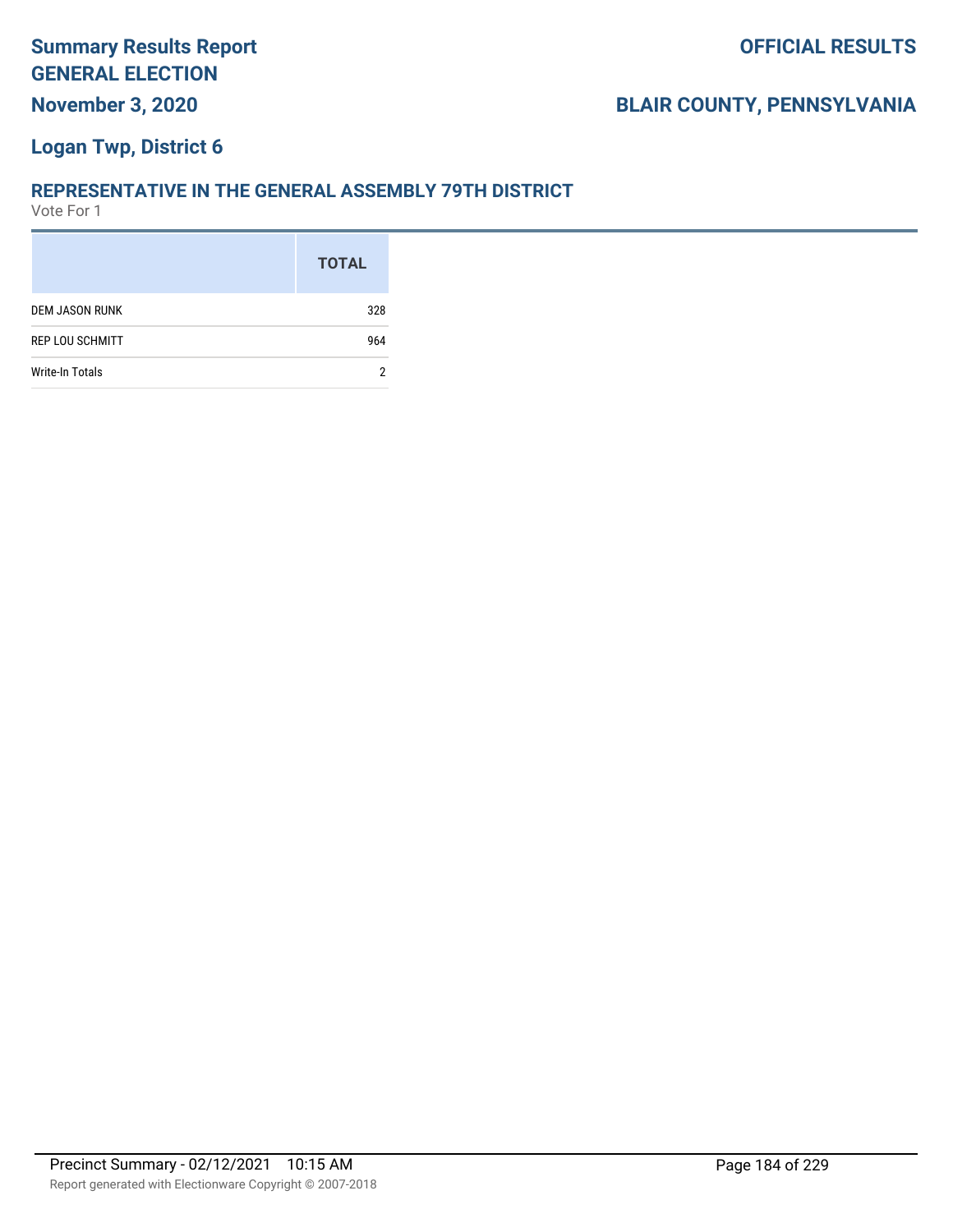#### **Logan Twp, District 6**

#### **REPRESENTATIVE IN THE GENERAL ASSEMBLY 79TH DISTRICT**

|                        | <b>TOTAL</b> |
|------------------------|--------------|
| <b>DEM JASON RUNK</b>  | 328          |
| <b>REP LOU SCHMITT</b> | 964          |
| Write-In Totals        | 2            |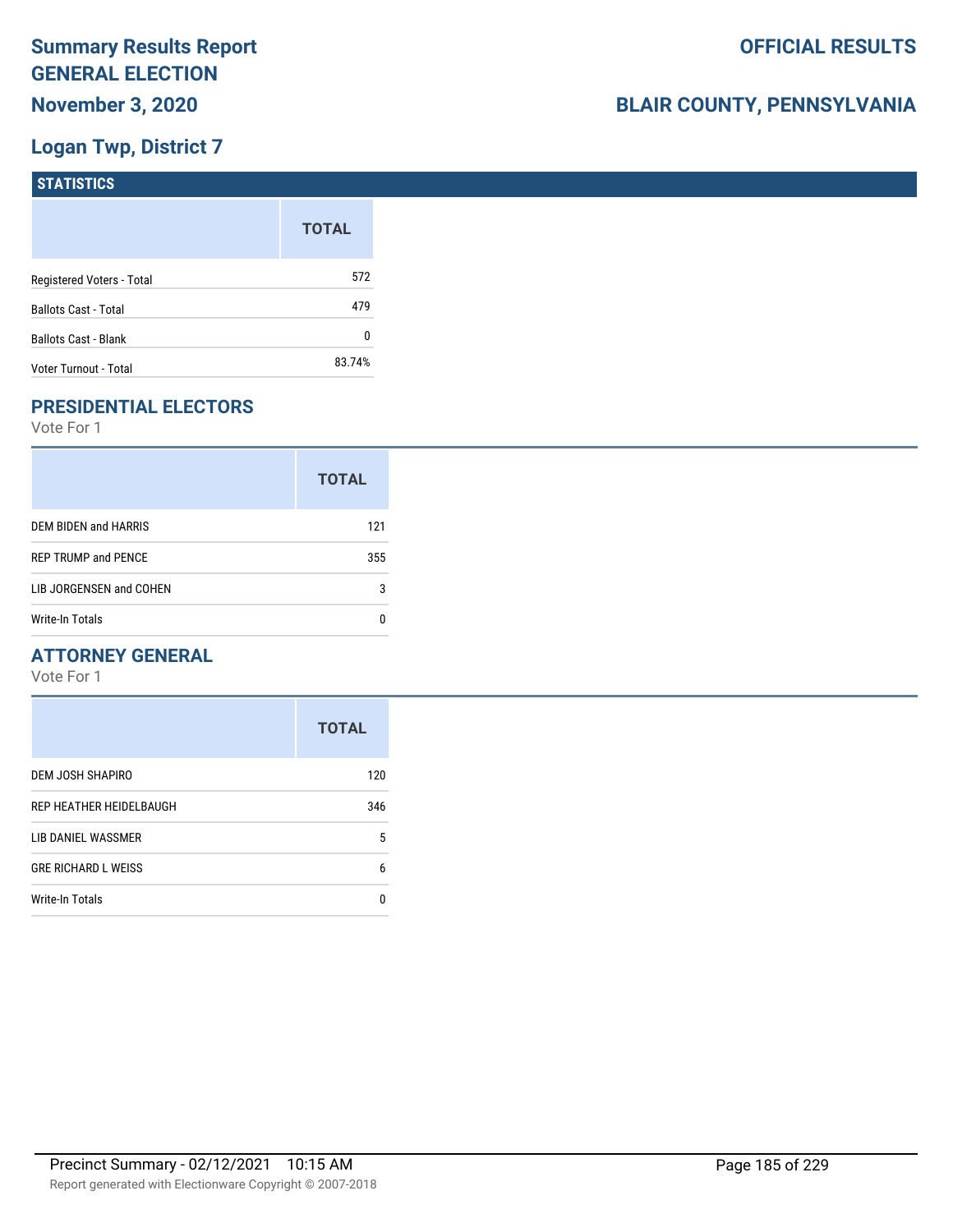## **Logan Twp, District 7**

| STATISTICS                  |              |
|-----------------------------|--------------|
|                             | <b>TOTAL</b> |
| Registered Voters - Total   | 572          |
| <b>Ballots Cast - Total</b> | 479          |
| <b>Ballots Cast - Blank</b> | 0            |
| Voter Turnout - Total       | 83.74%       |

## **PRESIDENTIAL ELECTORS**

Vote For 1

|                            | <b>TOTAL</b> |
|----------------------------|--------------|
| DEM BIDEN and HARRIS       | 121          |
| <b>REP TRUMP and PENCE</b> | 355          |
| LIB JORGENSEN and COHEN    | 3            |
| Write-In Totals            |              |

#### **ATTORNEY GENERAL**

|                            | <b>TOTAL</b> |
|----------------------------|--------------|
| DEM JOSH SHAPIRO           | 120          |
| REP HEATHER HEIDELBAUGH    | 346          |
| LIB DANIEL WASSMER         | 5            |
| <b>GRE RICHARD L WEISS</b> | 6            |
| Write-In Totals            | n            |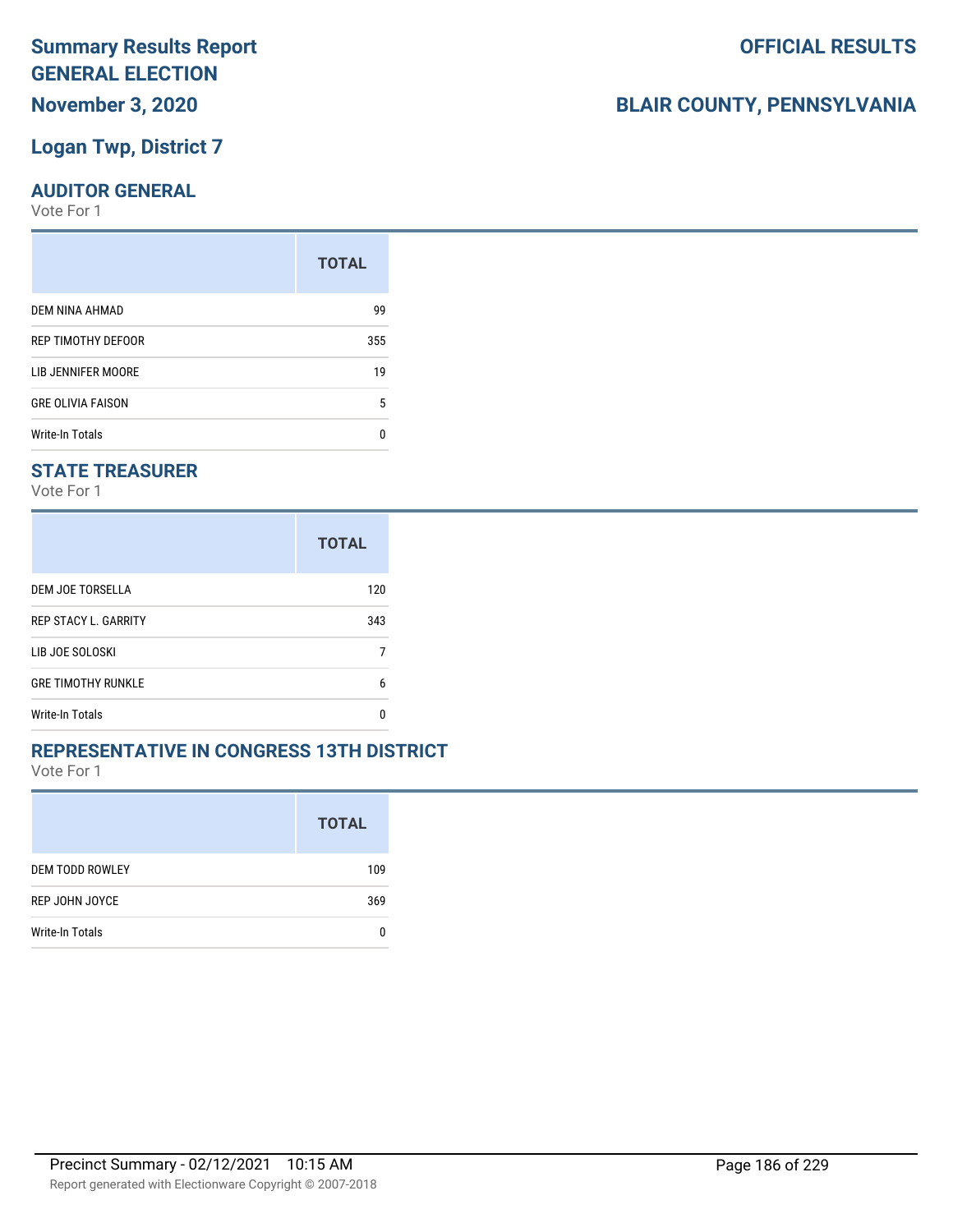#### **Logan Twp, District 7**

#### **AUDITOR GENERAL**

Vote For 1

|                          | <b>TOTAL</b> |
|--------------------------|--------------|
| DEM NINA AHMAD           | 99           |
| REP TIMOTHY DEFOOR       | 355          |
| LIB JENNIFER MOORE       | 19           |
| <b>GRE OLIVIA FAISON</b> | 5            |
| <b>Write-In Totals</b>   | n            |

#### **STATE TREASURER**

Vote For 1

|                             | <b>TOTAL</b> |
|-----------------------------|--------------|
| DEM JOE TORSELLA            | 120          |
| <b>REP STACY L. GARRITY</b> | 343          |
| LIB JOE SOLOSKI             |              |
| <b>GRE TIMOTHY RUNKLE</b>   | 6            |
| Write-In Totals             | n            |

#### **REPRESENTATIVE IN CONGRESS 13TH DISTRICT**

Vote For 1

|                        | <b>TOTAL</b> |
|------------------------|--------------|
| <b>DEM TODD ROWLEY</b> | 109          |
| REP JOHN JOYCE         | 369          |
| Write-In Totals        |              |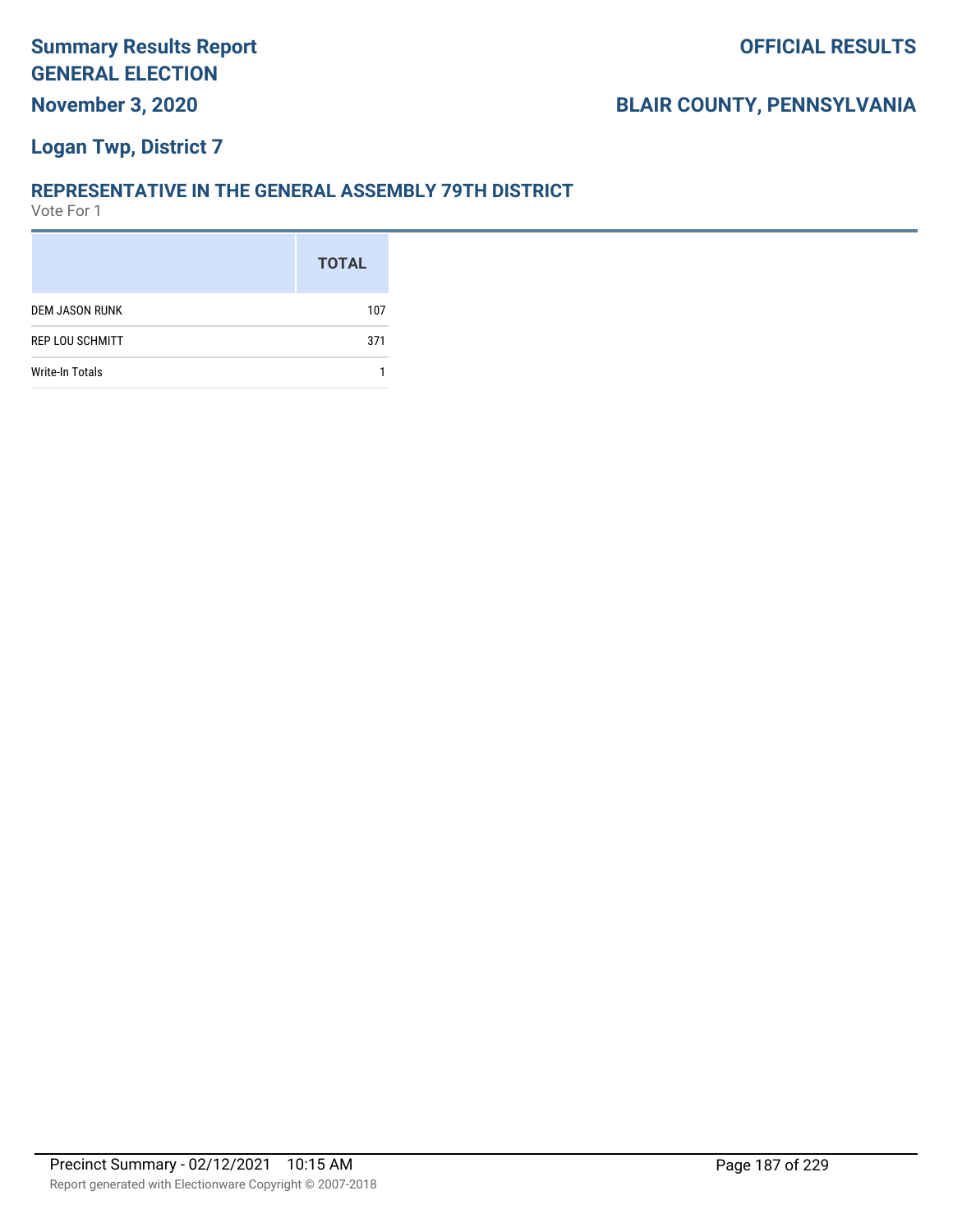#### **Logan Twp, District 7**

#### **REPRESENTATIVE IN THE GENERAL ASSEMBLY 79TH DISTRICT**

|                        | <b>TOTAL</b> |
|------------------------|--------------|
| <b>DEM JASON RUNK</b>  | 107          |
| <b>REP LOU SCHMITT</b> | 371          |
| <b>Write-In Totals</b> |              |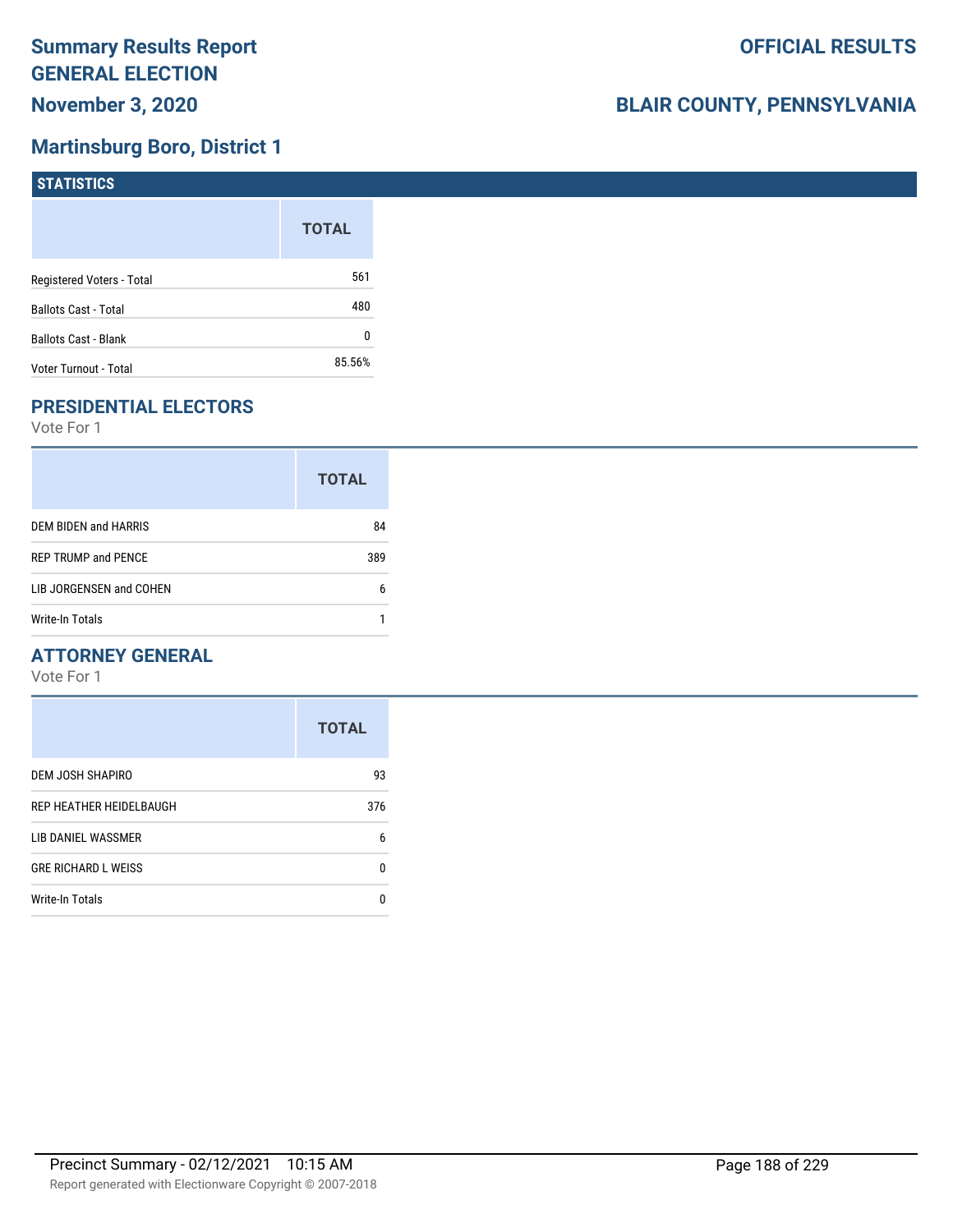#### **Martinsburg Boro, District 1**

| <b>STATISTICS</b>           |              |
|-----------------------------|--------------|
|                             | <b>TOTAL</b> |
| Registered Voters - Total   | 561          |
| Ballots Cast - Total        | 480          |
| <b>Ballots Cast - Blank</b> | 0            |
| Voter Turnout - Total       | 85.56%       |

## **PRESIDENTIAL ELECTORS**

Vote For 1

| <b>TOTAL</b> |  |
|--------------|--|
| 84           |  |
| 389          |  |
| 6            |  |
|              |  |
|              |  |

#### **ATTORNEY GENERAL**

|                            | <b>TOTAL</b> |
|----------------------------|--------------|
| DEM JOSH SHAPIRO           | 93           |
| REP HEATHER HEIDELBAUGH    | 376          |
| LIB DANIEL WASSMER         | 6            |
| <b>GRE RICHARD L WEISS</b> | 0            |
| Write-In Totals            | n            |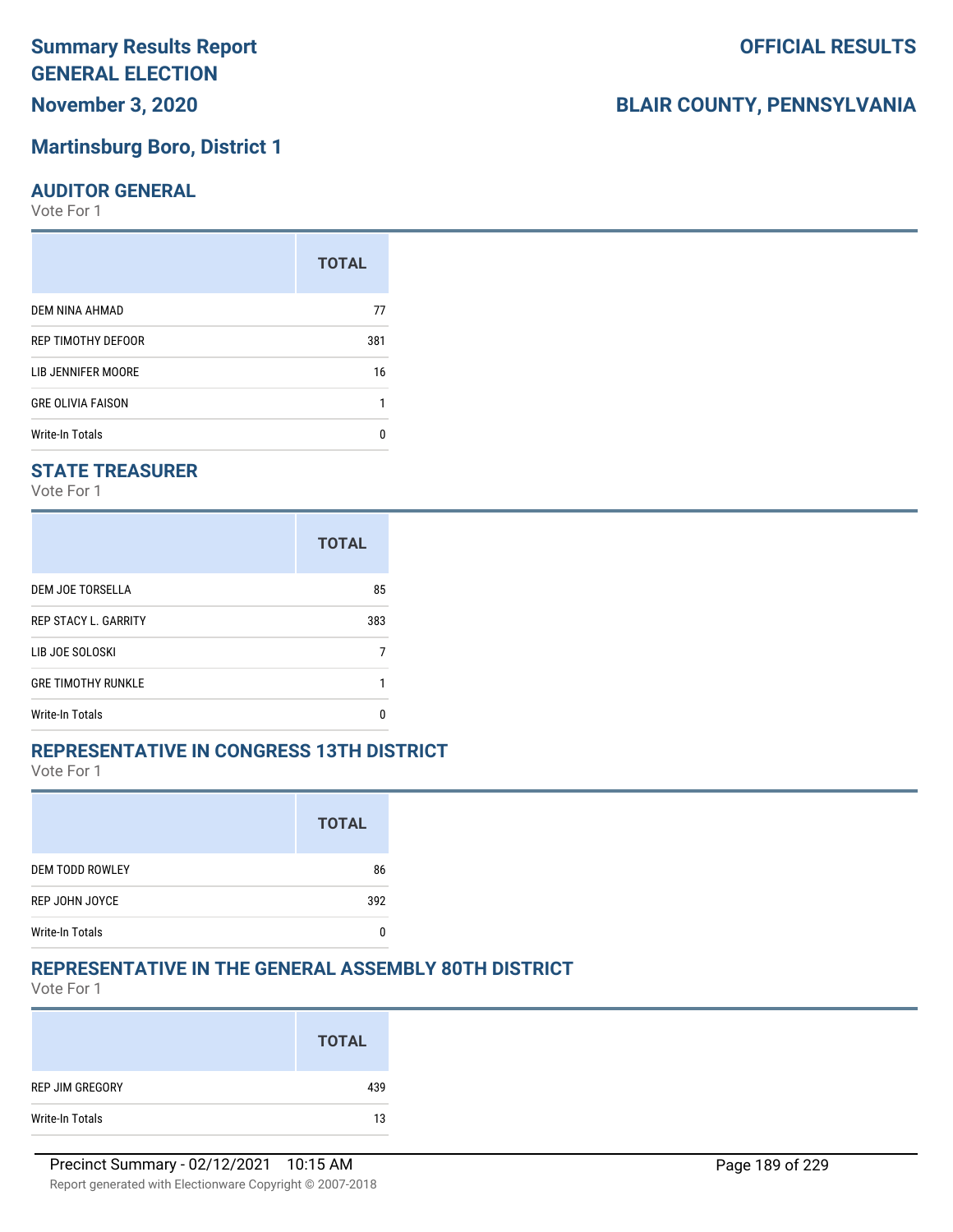# **Summary Results Report GENERAL ELECTION**

## **November 3, 2020**

#### **Martinsburg Boro, District 1**

#### **AUDITOR GENERAL**

Vote For 1

|                          | <b>TOTAL</b> |
|--------------------------|--------------|
| DEM NINA AHMAD           | 77           |
| REP TIMOTHY DEFOOR       | 381          |
| LIB JENNIFER MOORE       | 16           |
| <b>GRE OLIVIA FAISON</b> |              |
| <b>Write-In Totals</b>   |              |

#### **STATE TREASURER**

Vote For 1

|                             | <b>TOTAL</b> |
|-----------------------------|--------------|
| DEM JOE TORSELLA            | 85           |
| <b>REP STACY L. GARRITY</b> | 383          |
| LIB JOE SOLOSKI             |              |
| <b>GRE TIMOTHY RUNKLE</b>   |              |
| Write-In Totals             |              |

#### **REPRESENTATIVE IN CONGRESS 13TH DISTRICT**

Vote For 1

|                        | <b>TOTAL</b> |
|------------------------|--------------|
| <b>DEM TODD ROWLEY</b> | 86           |
| REP JOHN JOYCE         | 392          |
| <b>Write-In Totals</b> |              |

#### **REPRESENTATIVE IN THE GENERAL ASSEMBLY 80TH DISTRICT**

Vote For 1

|                 | <b>TOTAL</b> |
|-----------------|--------------|
| REP JIM GREGORY | 439          |
| Write-In Totals | 13           |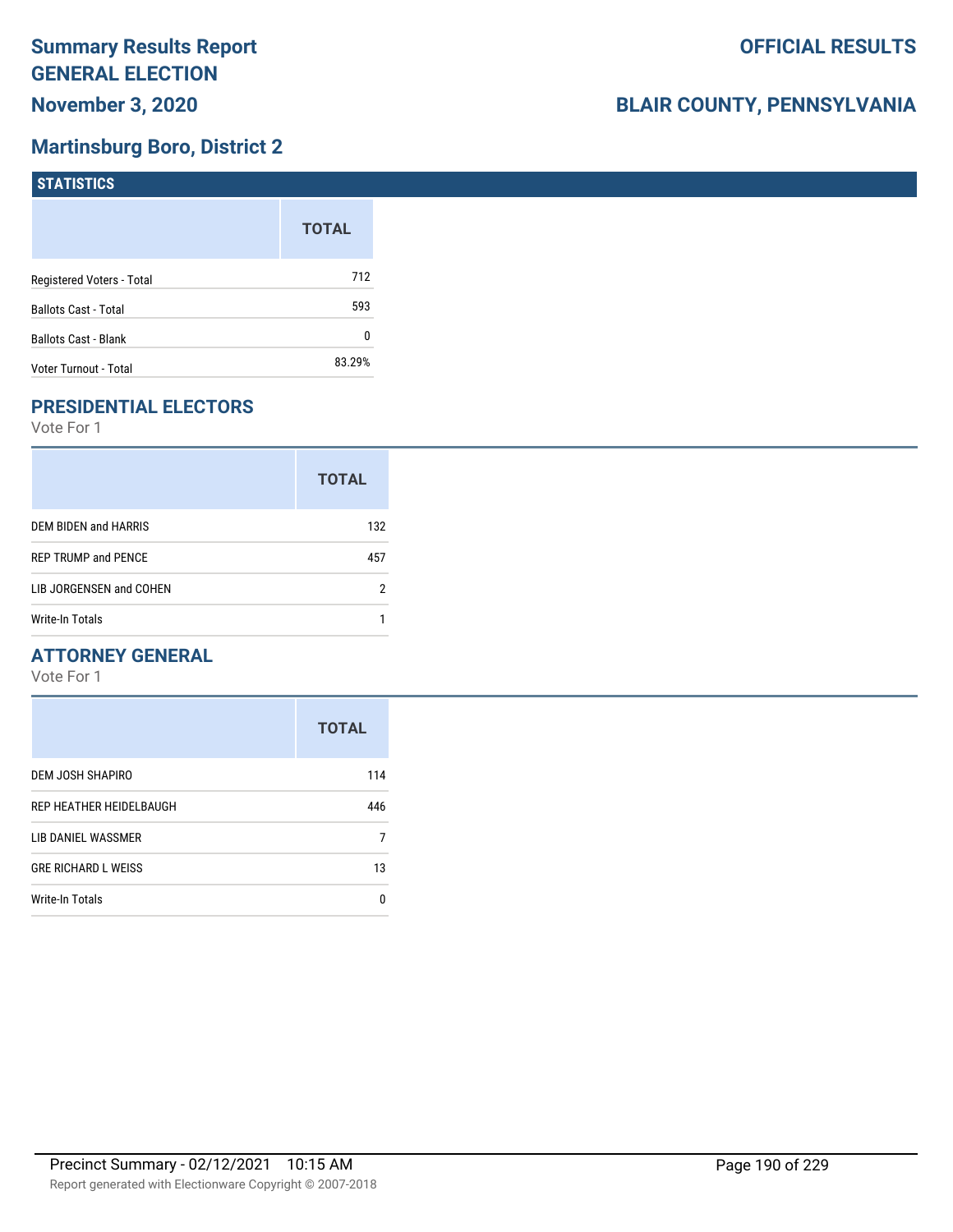### **Martinsburg Boro, District 2**

| <b>STATISTICS</b>           |              |
|-----------------------------|--------------|
|                             | <b>TOTAL</b> |
| Registered Voters - Total   | 712          |
| Ballots Cast - Total        | 593          |
| <b>Ballots Cast - Blank</b> | 0            |
| Voter Turnout - Total       | 83.29%       |

## **PRESIDENTIAL ELECTORS**

Vote For 1

|                            | <b>TOTAL</b> |
|----------------------------|--------------|
| DEM BIDEN and HARRIS       | 132          |
| <b>REP TRUMP and PENCE</b> | 457          |
| LIB JORGENSEN and COHEN    | 2            |
| Write-In Totals            |              |

#### **ATTORNEY GENERAL**

|                            | <b>TOTAL</b> |
|----------------------------|--------------|
| DEM JOSH SHAPIRO           | 114          |
| REP HEATHER HEIDELBAUGH    | 446          |
| LIB DANIEL WASSMER         |              |
| <b>GRE RICHARD L WEISS</b> | 13           |
| <b>Write-In Totals</b>     | n            |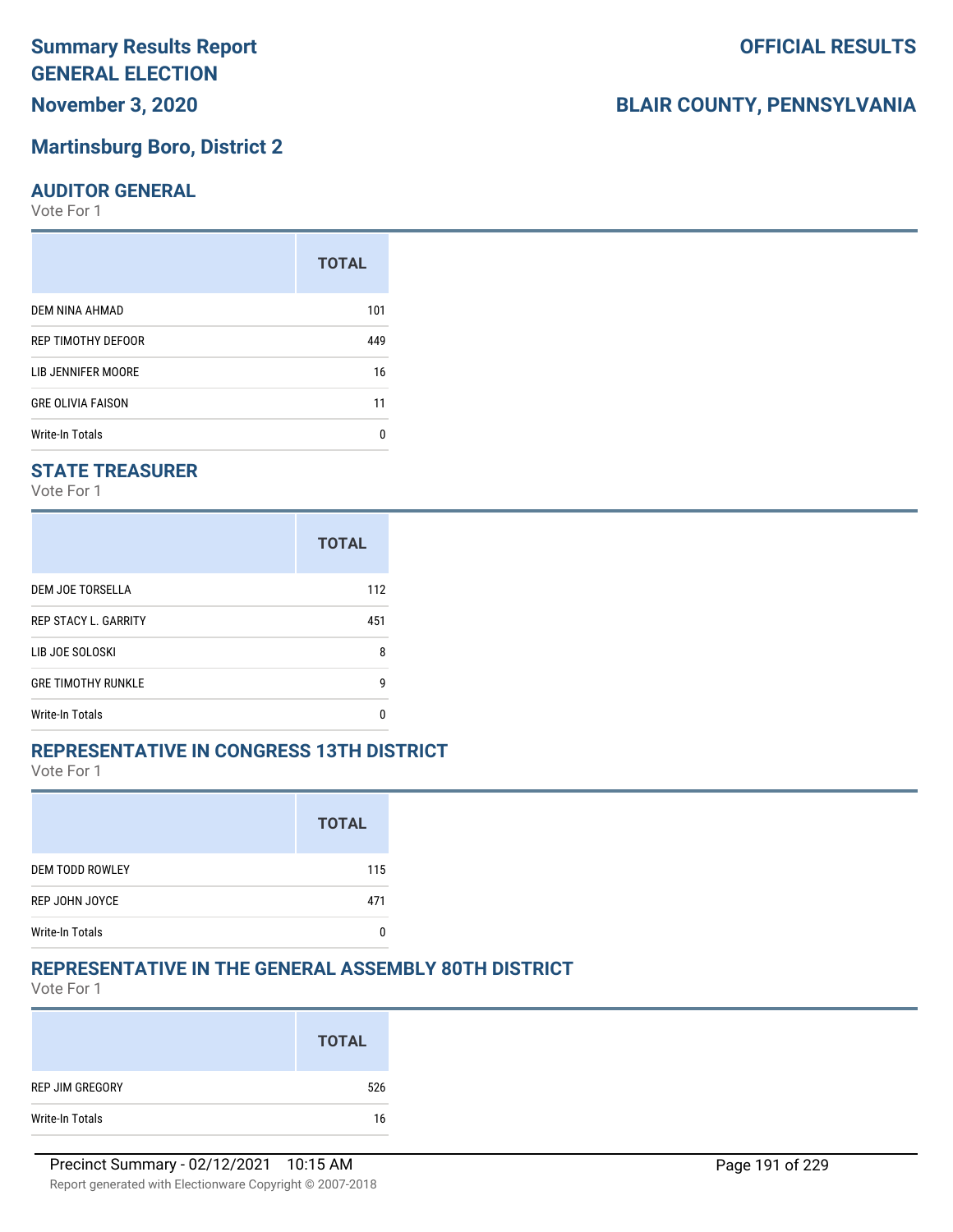# **Summary Results Report GENERAL ELECTION**

## **November 3, 2020**

#### **Martinsburg Boro, District 2**

#### **AUDITOR GENERAL**

Vote For 1

| <b>TOTAL</b> |
|--------------|
| 101          |
| 449          |
| 16           |
| 11           |
| n            |
|              |

#### **STATE TREASURER**

Vote For 1

|                             | <b>TOTAL</b> |
|-----------------------------|--------------|
| DEM JOE TORSELLA            | 112          |
| <b>REP STACY L. GARRITY</b> | 451          |
| LIB JOE SOLOSKI             | 8            |
| <b>GRE TIMOTHY RUNKLE</b>   | g            |
| <b>Write-In Totals</b>      | n            |

#### **REPRESENTATIVE IN CONGRESS 13TH DISTRICT**

Vote For 1

|                        | <b>TOTAL</b> |
|------------------------|--------------|
| <b>DEM TODD ROWLEY</b> | 115          |
| REP JOHN JOYCE         | 471          |
| <b>Write-In Totals</b> |              |

#### **REPRESENTATIVE IN THE GENERAL ASSEMBLY 80TH DISTRICT**

Vote For 1

|                 | <b>TOTAL</b> |
|-----------------|--------------|
| REP JIM GREGORY | 526          |
| Write-In Totals | 16           |

**OFFICIAL RESULTS**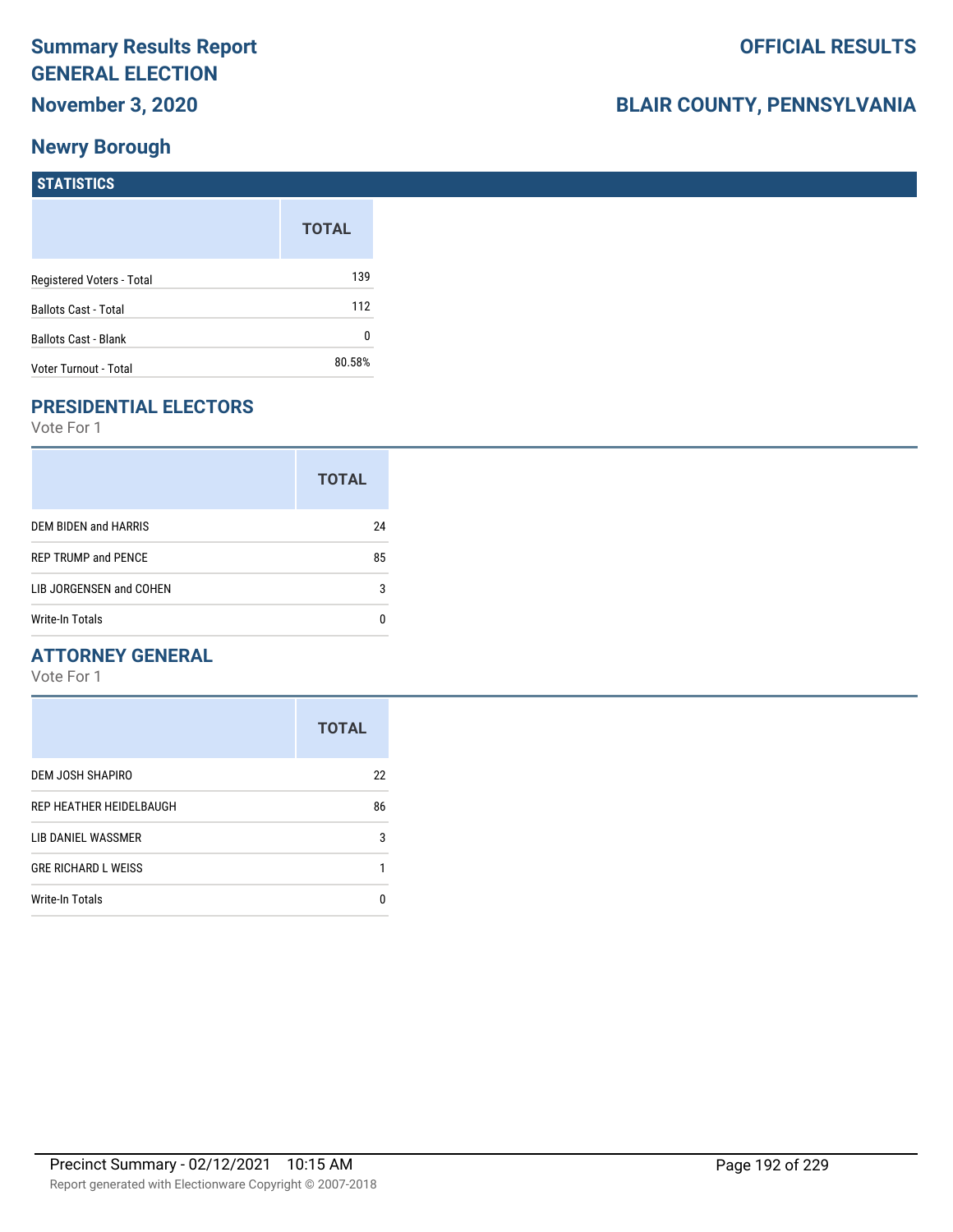## **BLAIR COUNTY, PENNSYLVANIA**

#### **STATISTICS**

|                             | <b>TOTAL</b> |
|-----------------------------|--------------|
| Registered Voters - Total   | 139          |
| <b>Ballots Cast - Total</b> | 112          |
| <b>Ballots Cast - Blank</b> | N            |
| Voter Turnout - Total       | 80.58%       |

#### **PRESIDENTIAL ELECTORS**

Vote For 1

|                            | <b>TOTAL</b> |
|----------------------------|--------------|
| DEM BIDEN and HARRIS       | 24           |
| <b>REP TRUMP and PENCE</b> | 85           |
| LIB JORGENSEN and COHEN    | 3            |
| Write-In Totals            |              |

#### **ATTORNEY GENERAL**

|                            | <b>TOTAL</b> |
|----------------------------|--------------|
| DEM JOSH SHAPIRO           | 22           |
| REP HEATHER HEIDELBAUGH    | 86           |
| LIB DANIEL WASSMER         | 3            |
| <b>GRE RICHARD L WEISS</b> |              |
| <b>Write-In Totals</b>     |              |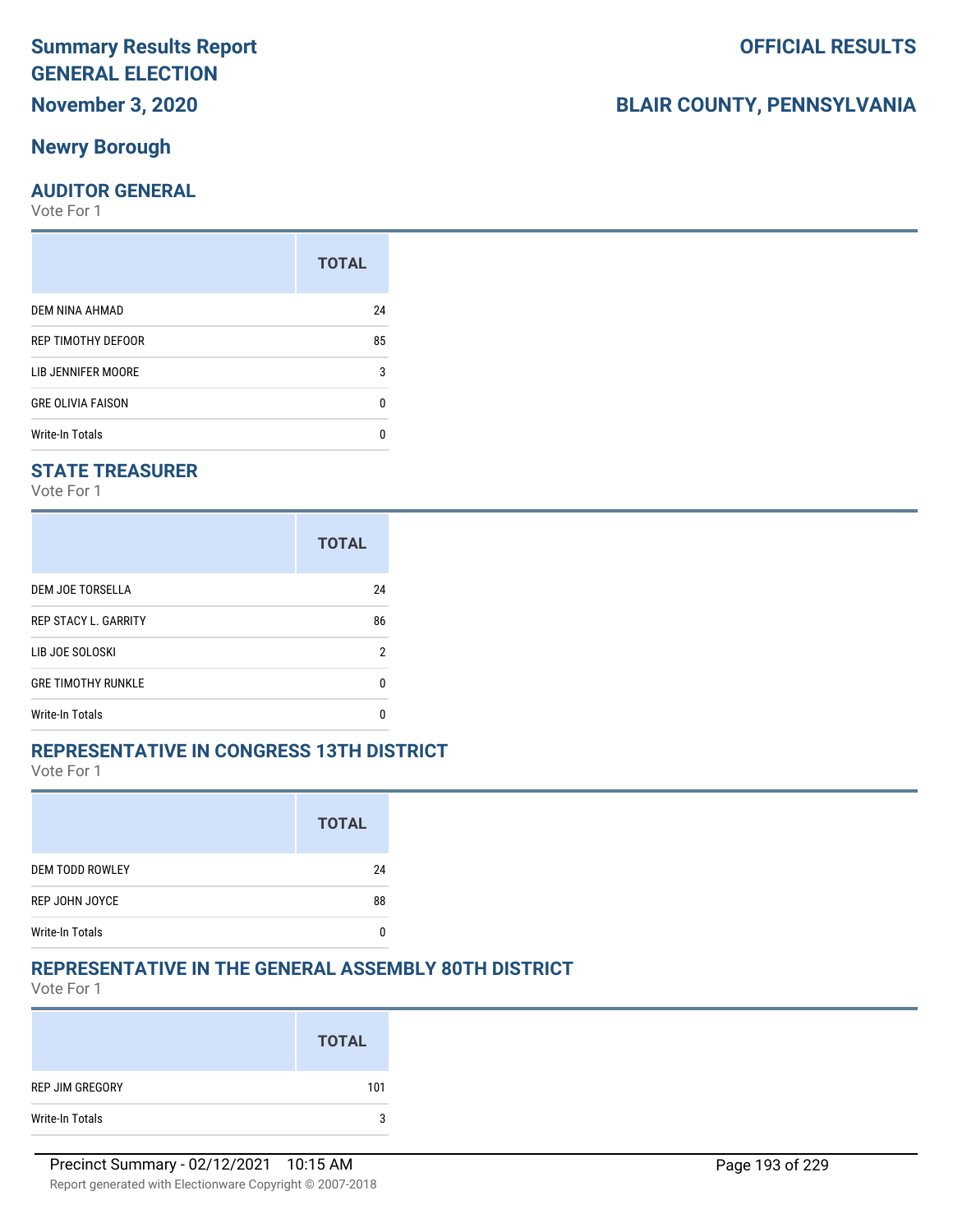#### **Newry Borough**

#### **AUDITOR GENERAL**

Vote For 1

| <b>TOTAL</b> |
|--------------|
| 24           |
| 85           |
| 3            |
| n            |
|              |
|              |

#### **STATE TREASURER**

Vote For 1

|                             | <b>TOTAL</b> |
|-----------------------------|--------------|
| DEM JOE TORSELLA            | 24           |
| <b>REP STACY L. GARRITY</b> | 86           |
| LIB JOE SOLOSKI             | 2            |
| <b>GRE TIMOTHY RUNKLE</b>   | n            |
| Write-In Totals             | n            |

#### **REPRESENTATIVE IN CONGRESS 13TH DISTRICT**

Vote For 1

|                        | <b>TOTAL</b> |
|------------------------|--------------|
| <b>DEM TODD ROWLEY</b> | 24           |
| REP JOHN JOYCE         | 88           |
| <b>Write-In Totals</b> |              |

#### **REPRESENTATIVE IN THE GENERAL ASSEMBLY 80TH DISTRICT**

Vote For 1

|                 | <b>TOTAL</b> |
|-----------------|--------------|
| REP JIM GREGORY | 101          |
| Write-In Totals | 3            |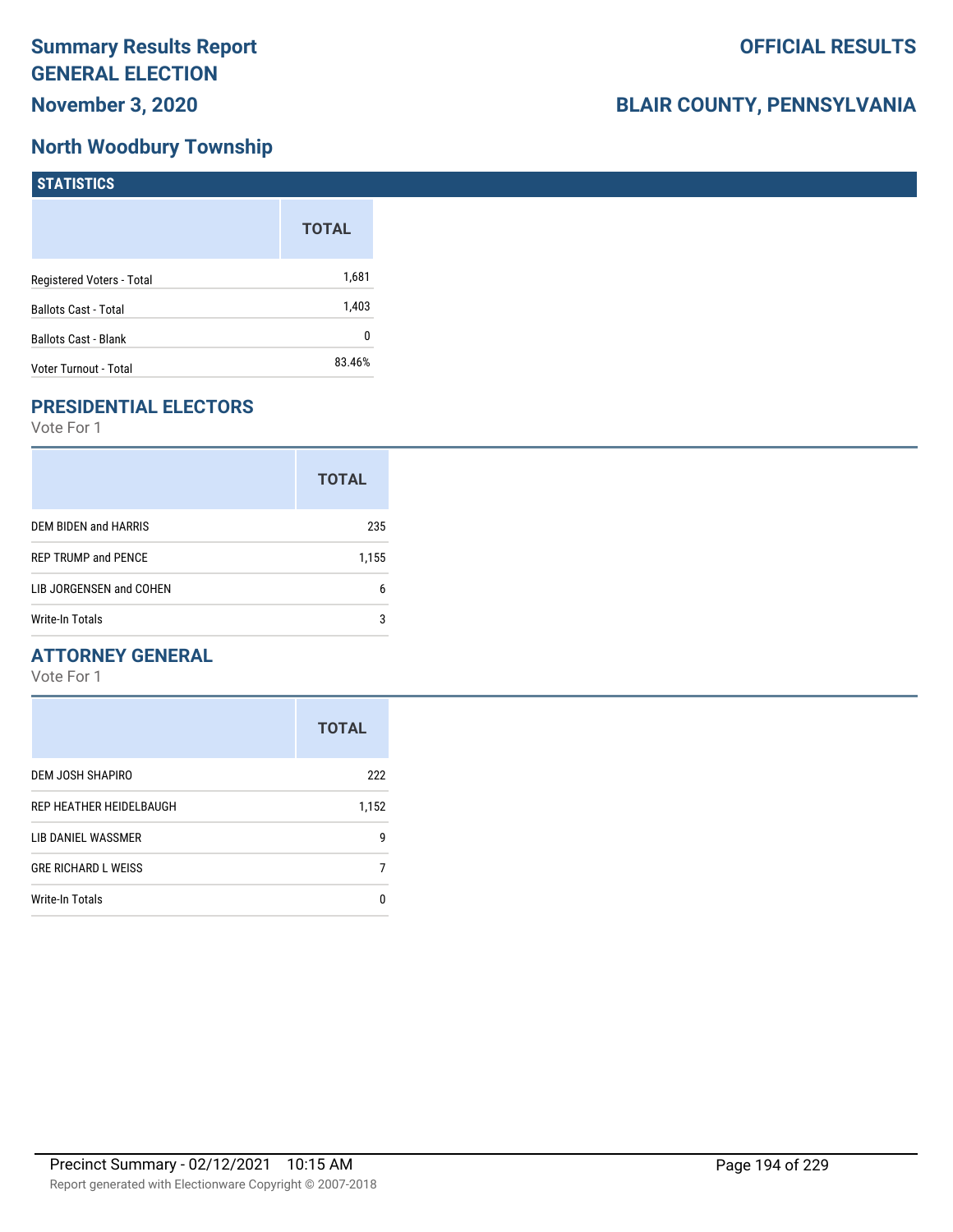## **North Woodbury Township**

| <b>STATISTICS</b>           |              |
|-----------------------------|--------------|
|                             | <b>TOTAL</b> |
| Registered Voters - Total   | 1,681        |
| <b>Ballots Cast - Total</b> | 1,403        |
| <b>Ballots Cast - Blank</b> | 0            |
| Voter Turnout - Total       | 83.46%       |

## **PRESIDENTIAL ELECTORS**

Vote For 1

|                            | <b>TOTAL</b> |
|----------------------------|--------------|
| DEM BIDEN and HARRIS       | 235          |
| <b>REP TRUMP and PENCE</b> | 1,155        |
| LIB JORGENSEN and COHEN    | 6            |
| Write-In Totals            | 3            |

#### **ATTORNEY GENERAL**

|                            | <b>TOTAL</b> |
|----------------------------|--------------|
| DEM JOSH SHAPIRO           | 222          |
| REP HEATHER HEIDELBAUGH    | 1,152        |
| LIB DANIEL WASSMER         | 9            |
| <b>GRE RICHARD L WEISS</b> |              |
| Write-In Totals            | n            |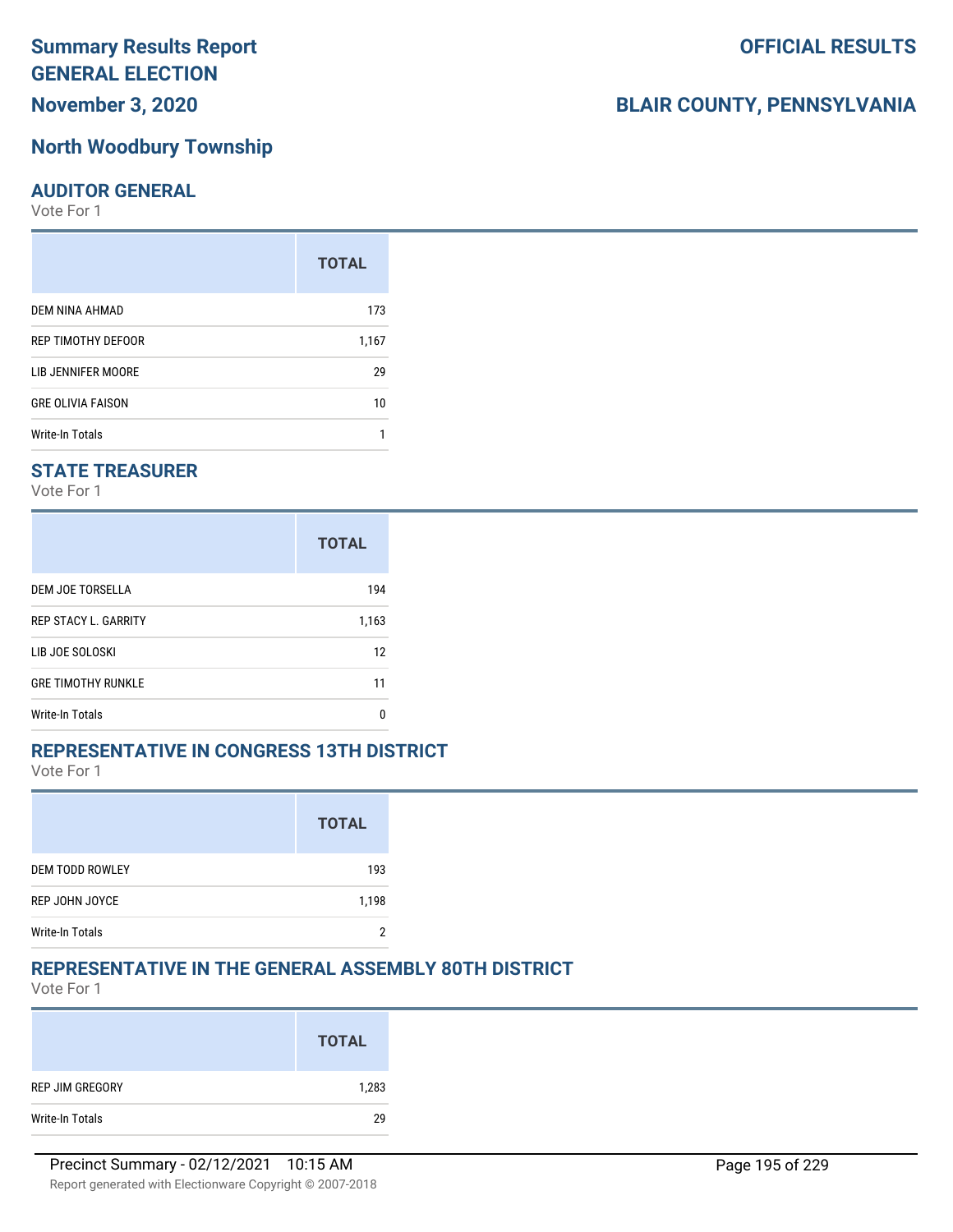# **Summary Results Report GENERAL ELECTION**

# **November 3, 2020**

#### **North Woodbury Township**

#### **AUDITOR GENERAL**

Vote For 1

|                          | <b>TOTAL</b> |
|--------------------------|--------------|
| DEM NINA AHMAD           | 173          |
| REP TIMOTHY DEFOOR       | 1,167        |
| LIB JENNIFER MOORE       | 29           |
| <b>GRE OLIVIA FAISON</b> | 10           |
| Write-In Totals          |              |

#### **STATE TREASURER**

Vote For 1

|                             | <b>TOTAL</b> |
|-----------------------------|--------------|
| DEM JOE TORSELLA            | 194          |
| <b>REP STACY L. GARRITY</b> | 1,163        |
| LIB JOE SOLOSKI             | 12           |
| <b>GRE TIMOTHY RUNKLE</b>   | 11           |
| <b>Write-In Totals</b>      | n            |

#### **REPRESENTATIVE IN CONGRESS 13TH DISTRICT**

Vote For 1

|                        | <b>TOTAL</b> |
|------------------------|--------------|
| <b>DEM TODD ROWLEY</b> | 193          |
| REP JOHN JOYCE         | 1,198        |
| <b>Write-In Totals</b> |              |

#### **REPRESENTATIVE IN THE GENERAL ASSEMBLY 80TH DISTRICT**

Vote For 1

|                 | <b>TOTAL</b> |
|-----------------|--------------|
| REP JIM GREGORY | 1,283        |
| Write-In Totals | 29           |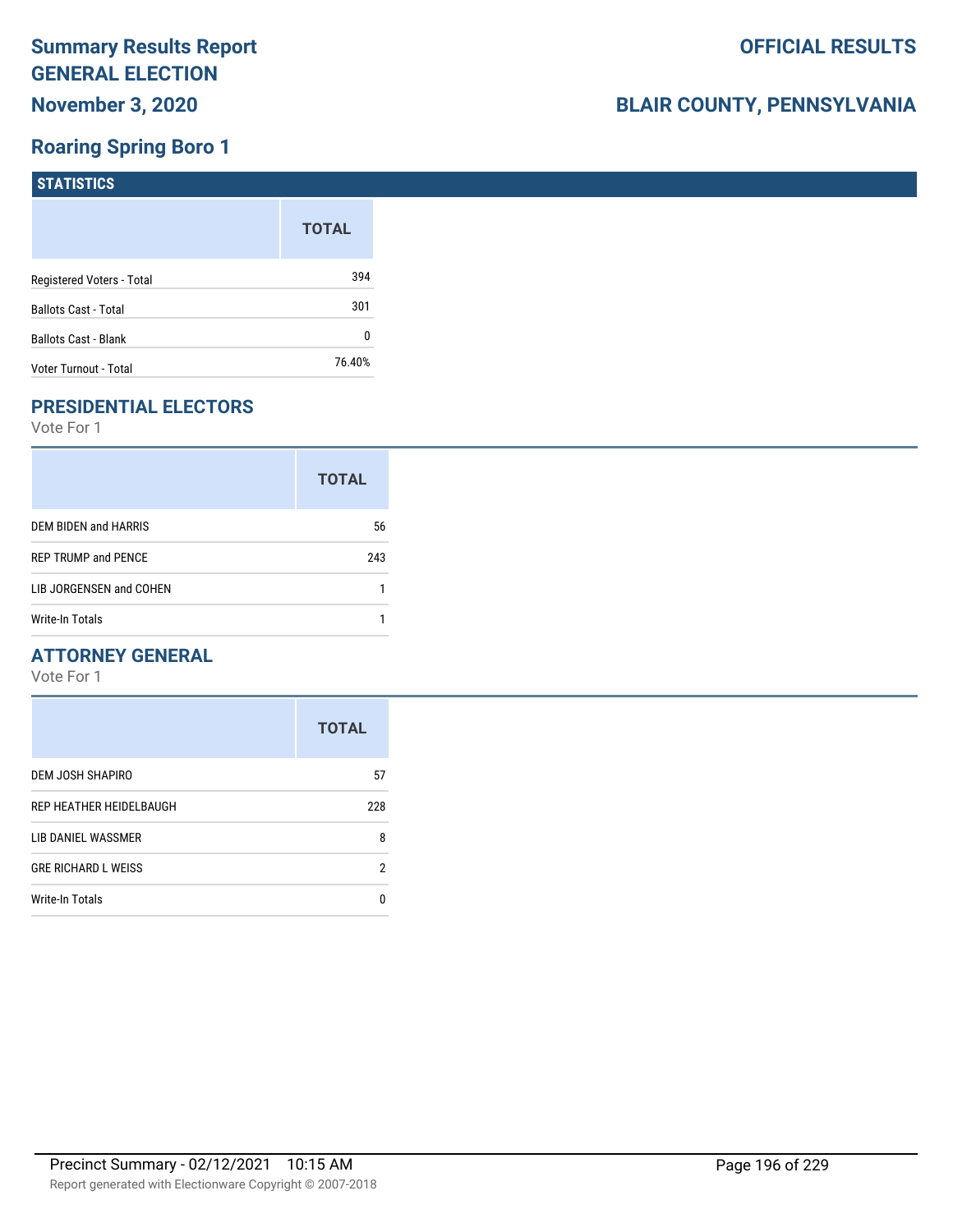## **Roaring Spring Boro 1**

| STATISTICS                  |              |
|-----------------------------|--------------|
|                             | <b>TOTAL</b> |
| Registered Voters - Total   | 394          |
| <b>Ballots Cast - Total</b> | 301          |
| <b>Ballots Cast - Blank</b> | 0            |
| Voter Turnout - Total       | 76.40%       |

## **PRESIDENTIAL ELECTORS**

Vote For 1

|                            | <b>TOTAL</b> |
|----------------------------|--------------|
| DEM BIDEN and HARRIS       | 56           |
| <b>REP TRUMP and PENCE</b> | 243          |
| LIB JORGENSEN and COHEN    |              |
| Write-In Totals            |              |

#### **ATTORNEY GENERAL**

|                            | <b>TOTAL</b> |
|----------------------------|--------------|
| DEM JOSH SHAPIRO           | 57           |
| REP HEATHER HEIDELBAUGH    | 228          |
| LIB DANIEL WASSMER         | 8            |
| <b>GRE RICHARD L WEISS</b> | 2            |
| <b>Write-In Totals</b>     | n            |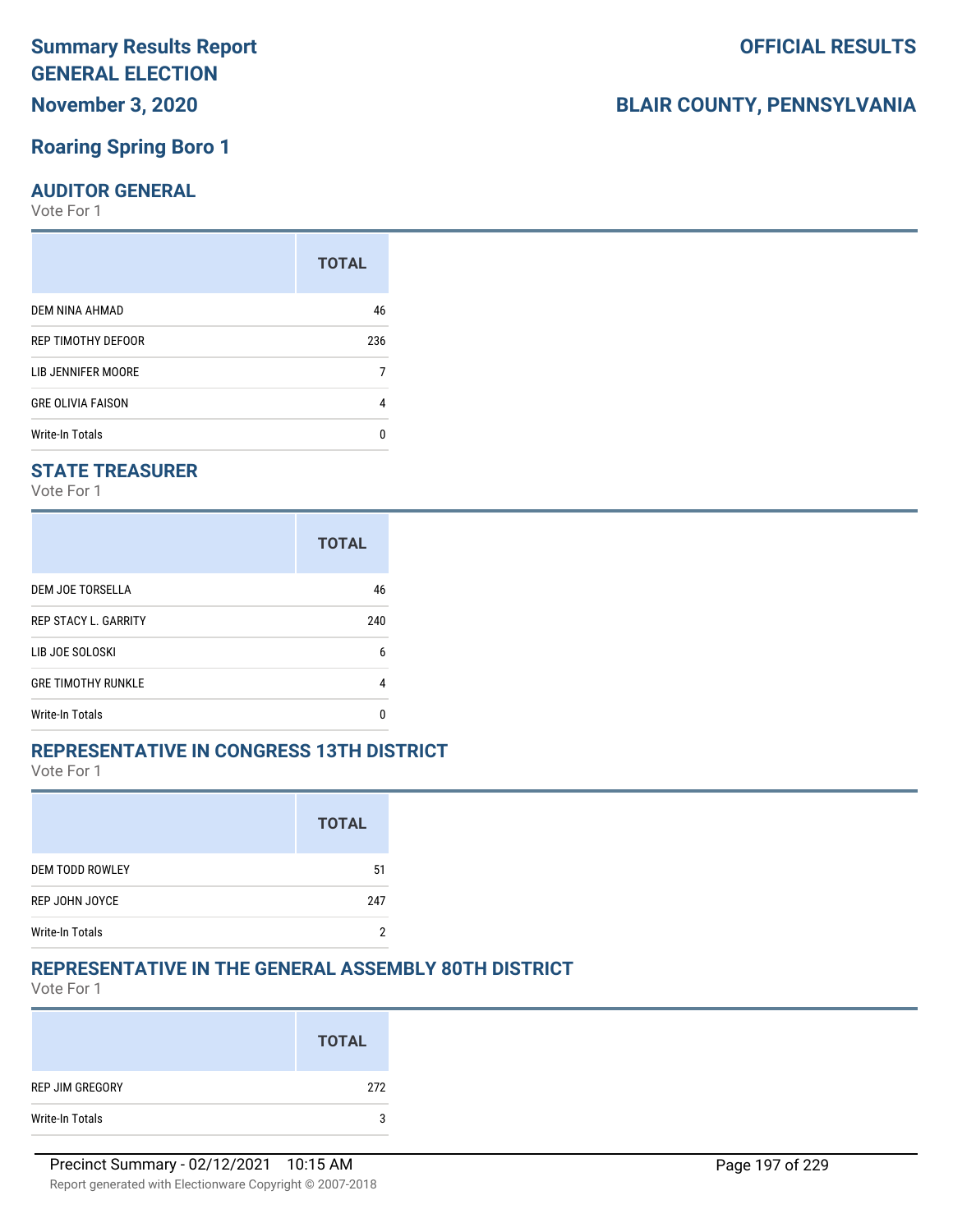# **Roaring Spring Boro 1**

#### **AUDITOR GENERAL**

Vote For 1

|                          | <b>TOTAL</b> |
|--------------------------|--------------|
| DEM NINA AHMAD           | 46           |
| REP TIMOTHY DEFOOR       | 236          |
| LIB JENNIFER MOORE       |              |
| <b>GRE OLIVIA FAISON</b> | 4            |
| <b>Write-In Totals</b>   |              |

#### **STATE TREASURER**

Vote For 1

|                             | <b>TOTAL</b> |
|-----------------------------|--------------|
| DEM JOE TORSELLA            | 46           |
| <b>REP STACY L. GARRITY</b> | 240          |
| LIB JOE SOLOSKI             | 6            |
| <b>GRE TIMOTHY RUNKLE</b>   | 4            |
| Write-In Totals             |              |

#### **REPRESENTATIVE IN CONGRESS 13TH DISTRICT**

Vote For 1

|                        | <b>TOTAL</b> |
|------------------------|--------------|
| <b>DEM TODD ROWLEY</b> | 51           |
| REP JOHN JOYCE         | 247          |
| <b>Write-In Totals</b> |              |

#### **REPRESENTATIVE IN THE GENERAL ASSEMBLY 80TH DISTRICT**

Vote For 1

|                 | <b>TOTAL</b> |
|-----------------|--------------|
| REP JIM GREGORY | 272          |
| Write-In Totals | 3            |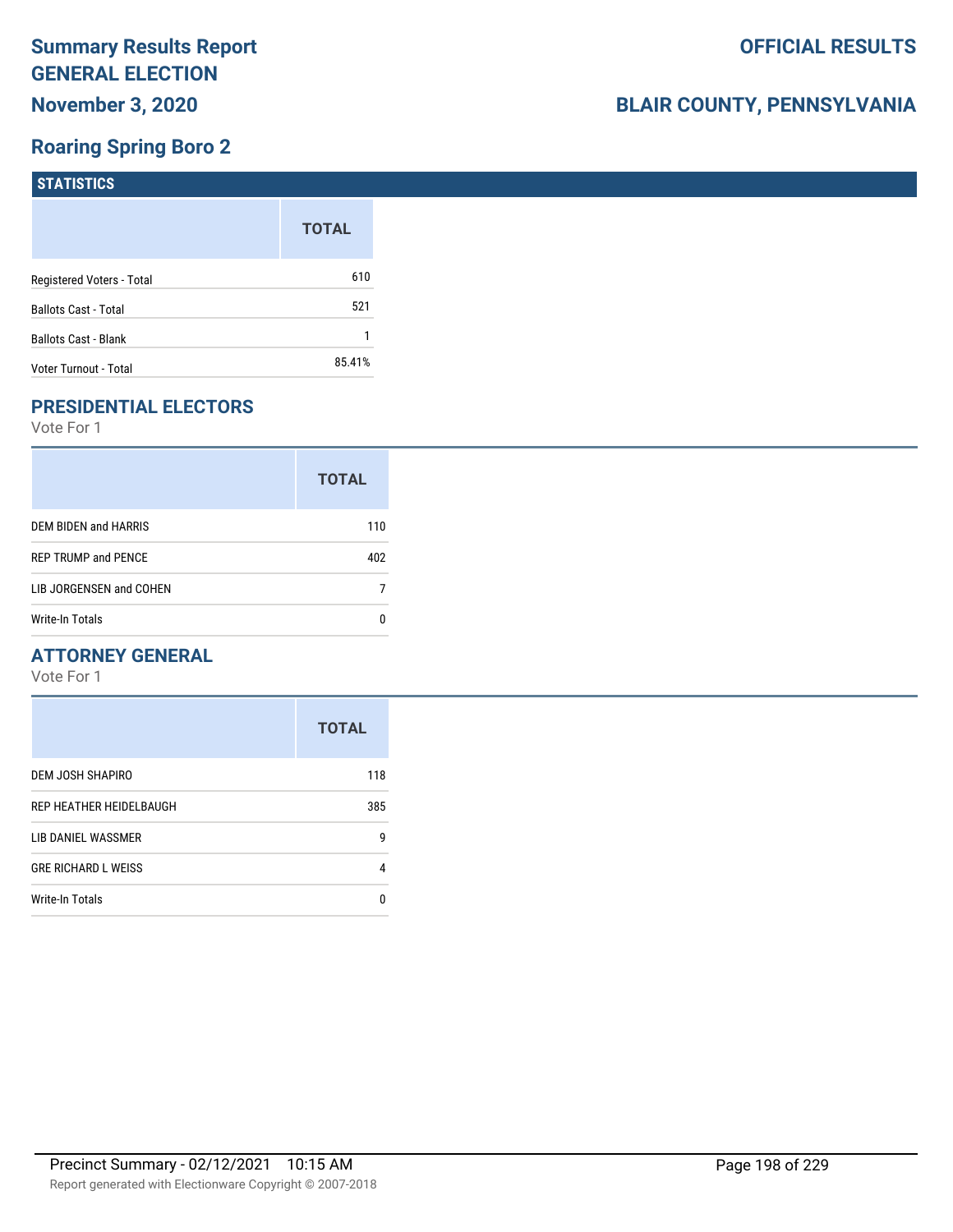## **Roaring Spring Boro 2**

| <b>STATISTICS</b>           |              |
|-----------------------------|--------------|
|                             | <b>TOTAL</b> |
| Registered Voters - Total   | 610          |
| <b>Ballots Cast - Total</b> | 521          |
| Ballots Cast - Blank        |              |
| Voter Turnout - Total       | 85.41%       |

## **PRESIDENTIAL ELECTORS**

Vote For 1

|                            | <b>TOTAL</b> |
|----------------------------|--------------|
| DEM BIDEN and HARRIS       | 110          |
| <b>REP TRUMP and PENCE</b> | 402          |
| LIB JORGENSEN and COHEN    |              |
| Write-In Totals            |              |

#### **ATTORNEY GENERAL**

|                            | <b>TOTAL</b> |
|----------------------------|--------------|
| DEM JOSH SHAPIRO           | 118          |
| REP HEATHER HEIDELBAUGH    | 385          |
| LIB DANIEL WASSMER         | 9            |
| <b>GRE RICHARD L WEISS</b> | 4            |
| Write-In Totals            | n            |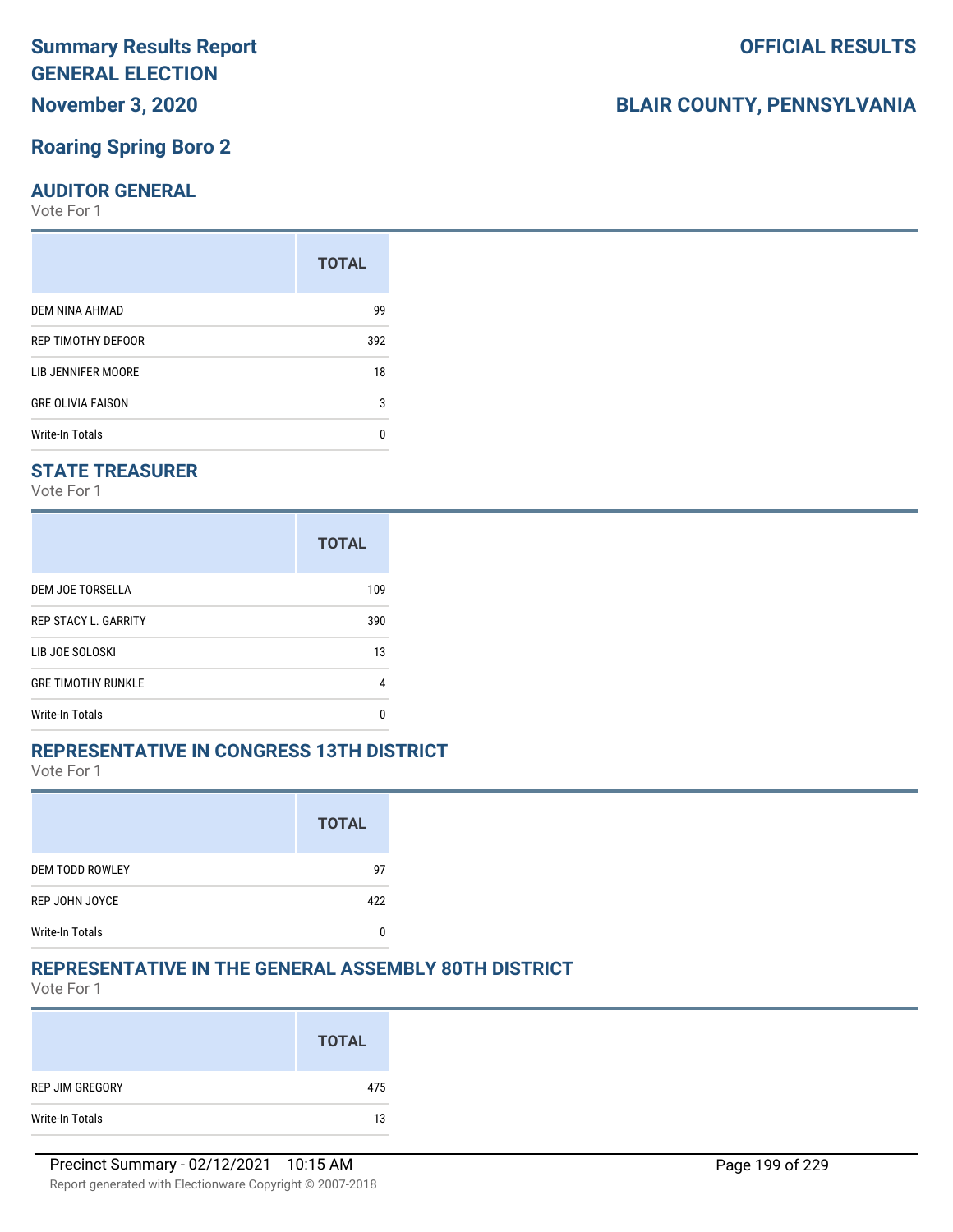# **Summary Results Report GENERAL ELECTION**

**November 3, 2020**

### **Roaring Spring Boro 2**

#### **AUDITOR GENERAL**

Vote For 1

|                          | <b>TOTAL</b> |
|--------------------------|--------------|
| DEM NINA AHMAD           | 99           |
| REP TIMOTHY DEFOOR       | 392          |
| LIB JENNIFER MOORE       | 18           |
| <b>GRE OLIVIA FAISON</b> | 3            |
| <b>Write-In Totals</b>   | n            |

#### **STATE TREASURER**

Vote For 1

|                             | <b>TOTAL</b> |
|-----------------------------|--------------|
| DEM JOE TORSELLA            | 109          |
| <b>REP STACY L. GARRITY</b> | 390          |
| LIB JOE SOLOSKI             | 13           |
| <b>GRE TIMOTHY RUNKLE</b>   | 4            |
| Write-In Totals             | n            |

#### **REPRESENTATIVE IN CONGRESS 13TH DISTRICT**

Vote For 1

|                        | <b>TOTAL</b> |
|------------------------|--------------|
| <b>DEM TODD ROWLEY</b> | 97           |
| REP JOHN JOYCE         | 422          |
| <b>Write-In Totals</b> |              |

#### **REPRESENTATIVE IN THE GENERAL ASSEMBLY 80TH DISTRICT**

Vote For 1

|                 | <b>TOTAL</b> |
|-----------------|--------------|
| REP JIM GREGORY | 475          |
| Write-In Totals | 13           |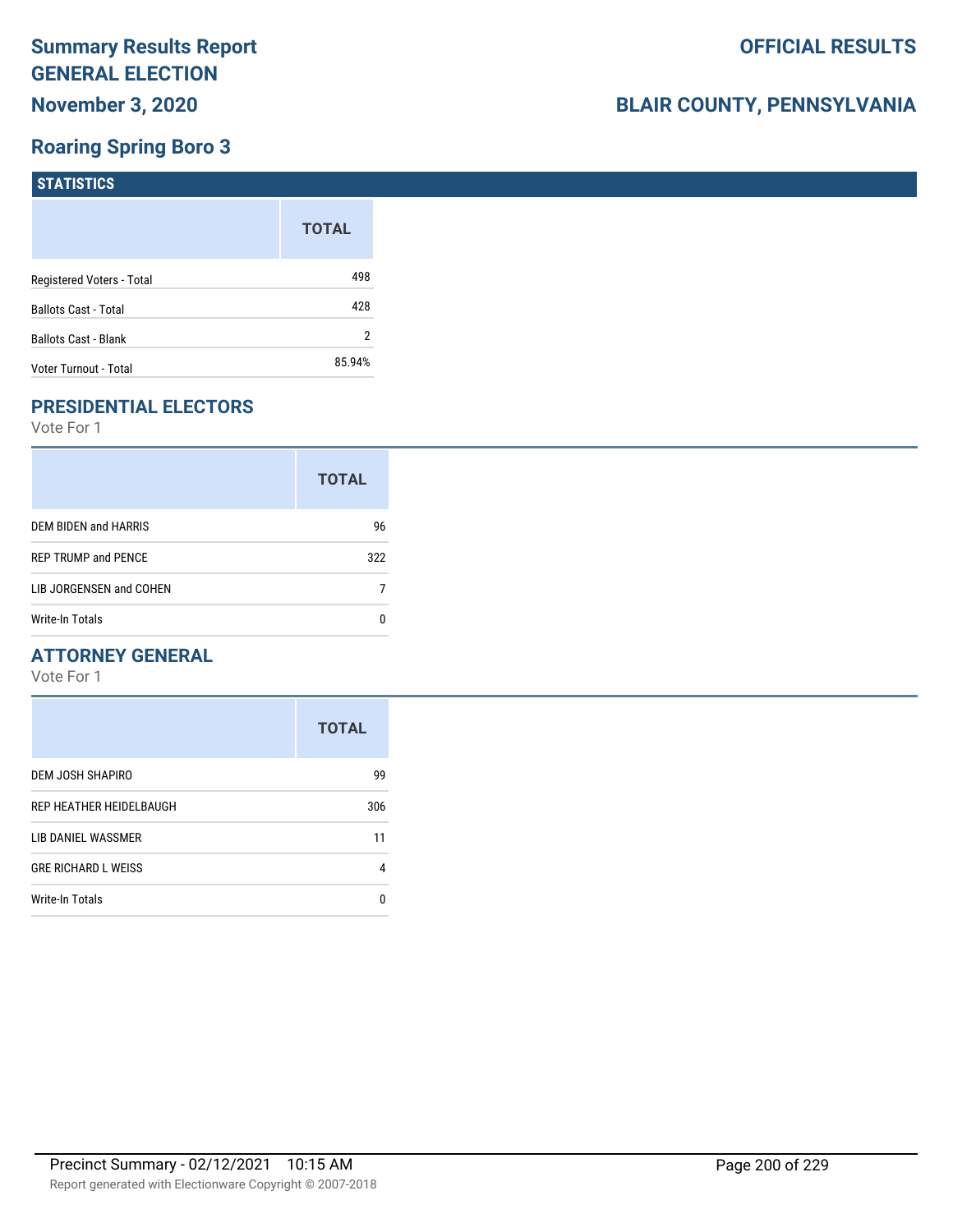## **Roaring Spring Boro 3**

| STATISTICS                  |              |
|-----------------------------|--------------|
|                             | <b>TOTAL</b> |
| Registered Voters - Total   | 498          |
| <b>Ballots Cast - Total</b> | 428          |
| <b>Ballots Cast - Blank</b> | 2            |
| Voter Turnout - Total       | 85.94%       |

## **PRESIDENTIAL ELECTORS**

Vote For 1

|                            | <b>TOTAL</b> |
|----------------------------|--------------|
| DEM BIDEN and HARRIS       | 96           |
| <b>REP TRUMP and PENCE</b> | 322          |
| LIB JORGENSEN and COHEN    |              |
| Write-In Totals            |              |

#### **ATTORNEY GENERAL**

|                            | <b>TOTAL</b> |
|----------------------------|--------------|
| DEM JOSH SHAPIRO           | 99           |
| REP HEATHER HEIDELBAUGH    | 306          |
| LIB DANIEL WASSMER         | 11           |
| <b>GRE RICHARD L WEISS</b> | 4            |
| <b>Write-In Totals</b>     | n            |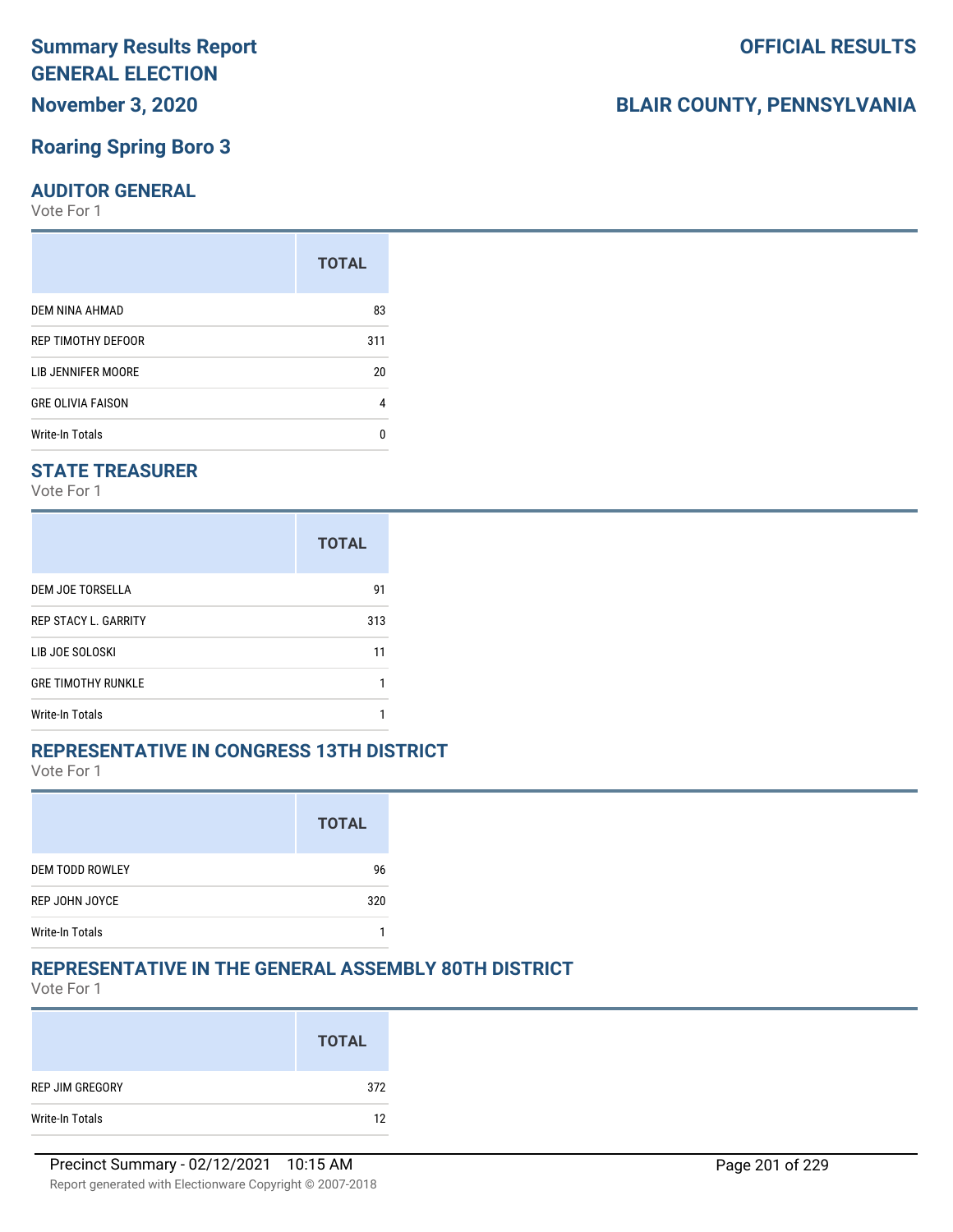# **Summary Results Report GENERAL ELECTION**

**November 3, 2020**

#### **Roaring Spring Boro 3**

#### **AUDITOR GENERAL**

Vote For 1

|                          | <b>TOTAL</b> |
|--------------------------|--------------|
| DEM NINA AHMAD           | 83           |
| REP TIMOTHY DEFOOR       | 311          |
| LIB JENNIFER MOORE       | 20           |
| <b>GRE OLIVIA FAISON</b> | 4            |
| <b>Write-In Totals</b>   | n            |

#### **STATE TREASURER**

Vote For 1

|                             | <b>TOTAL</b> |
|-----------------------------|--------------|
| DEM JOE TORSELLA            | 91           |
| <b>REP STACY L. GARRITY</b> | 313          |
| LIB JOE SOLOSKI             | 11           |
| <b>GRE TIMOTHY RUNKLE</b>   |              |
| Write-In Totals             |              |

#### **REPRESENTATIVE IN CONGRESS 13TH DISTRICT**

Vote For 1

|                        | <b>TOTAL</b> |
|------------------------|--------------|
| <b>DEM TODD ROWLEY</b> | 96           |
| REP JOHN JOYCE         | 320          |
| <b>Write-In Totals</b> |              |

#### **REPRESENTATIVE IN THE GENERAL ASSEMBLY 80TH DISTRICT**

Vote For 1

|                 | <b>TOTAL</b> |
|-----------------|--------------|
| REP JIM GREGORY | 372          |
| Write-In Totals | 12           |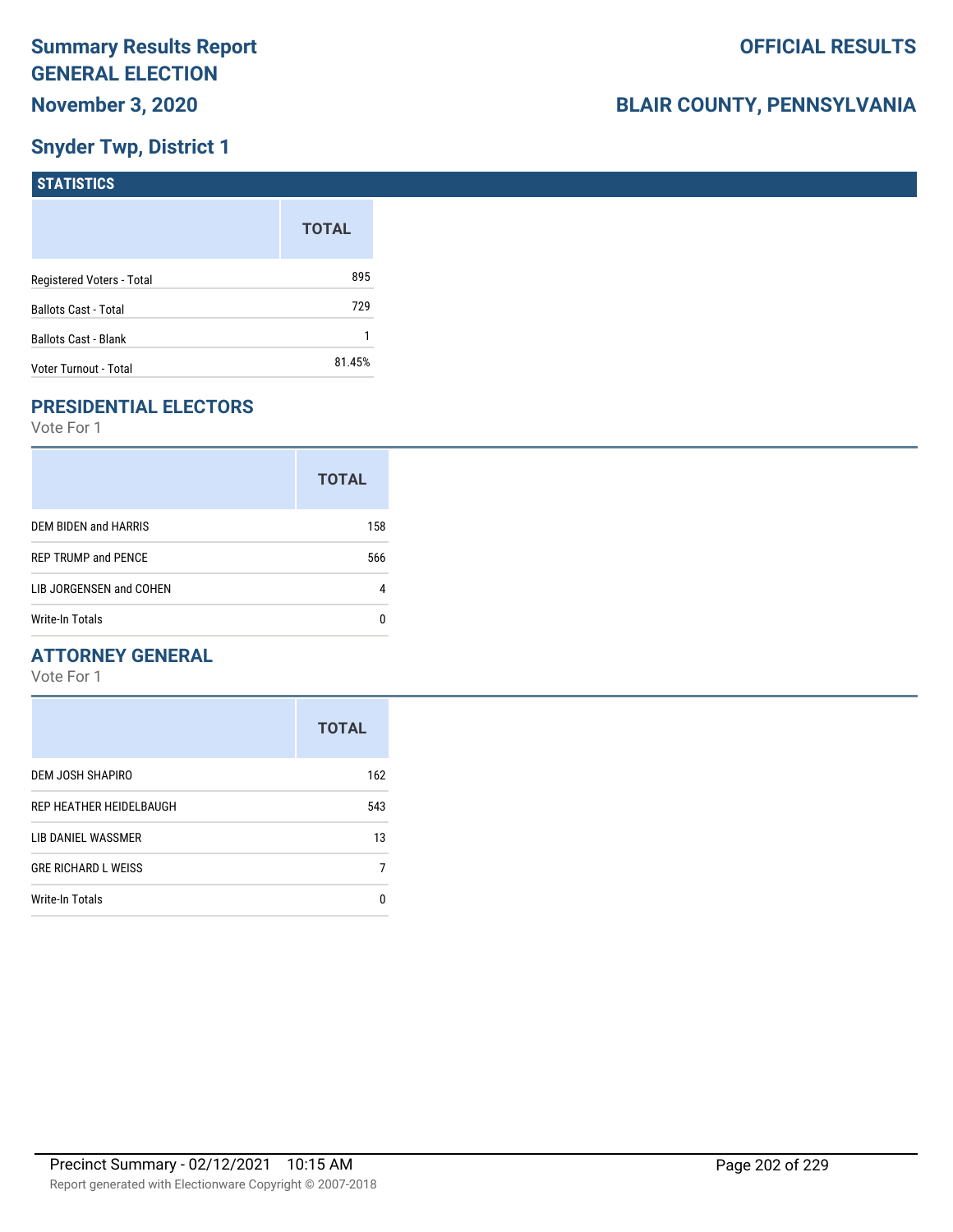## **Snyder Twp, District 1**

| STATISTICS                  |              |
|-----------------------------|--------------|
|                             | <b>TOTAL</b> |
| Registered Voters - Total   | 895          |
| <b>Ballots Cast - Total</b> | 729          |
| Ballots Cast - Blank        |              |
| Voter Turnout - Total       | 81.45%       |

## **PRESIDENTIAL ELECTORS**

Vote For 1

|                            | <b>TOTAL</b> |
|----------------------------|--------------|
| DEM BIDEN and HARRIS       | 158          |
| <b>REP TRUMP and PENCE</b> | 566          |
| LIB JORGENSEN and COHEN    |              |
| Write-In Totals            |              |

#### **ATTORNEY GENERAL**

|                            | <b>TOTAL</b> |
|----------------------------|--------------|
| DEM JOSH SHAPIRO           | 162          |
| REP HEATHER HEIDELBAUGH    | 543          |
| LIB DANIEL WASSMER         | 13           |
| <b>GRE RICHARD L WEISS</b> |              |
| Write-In Totals            | n            |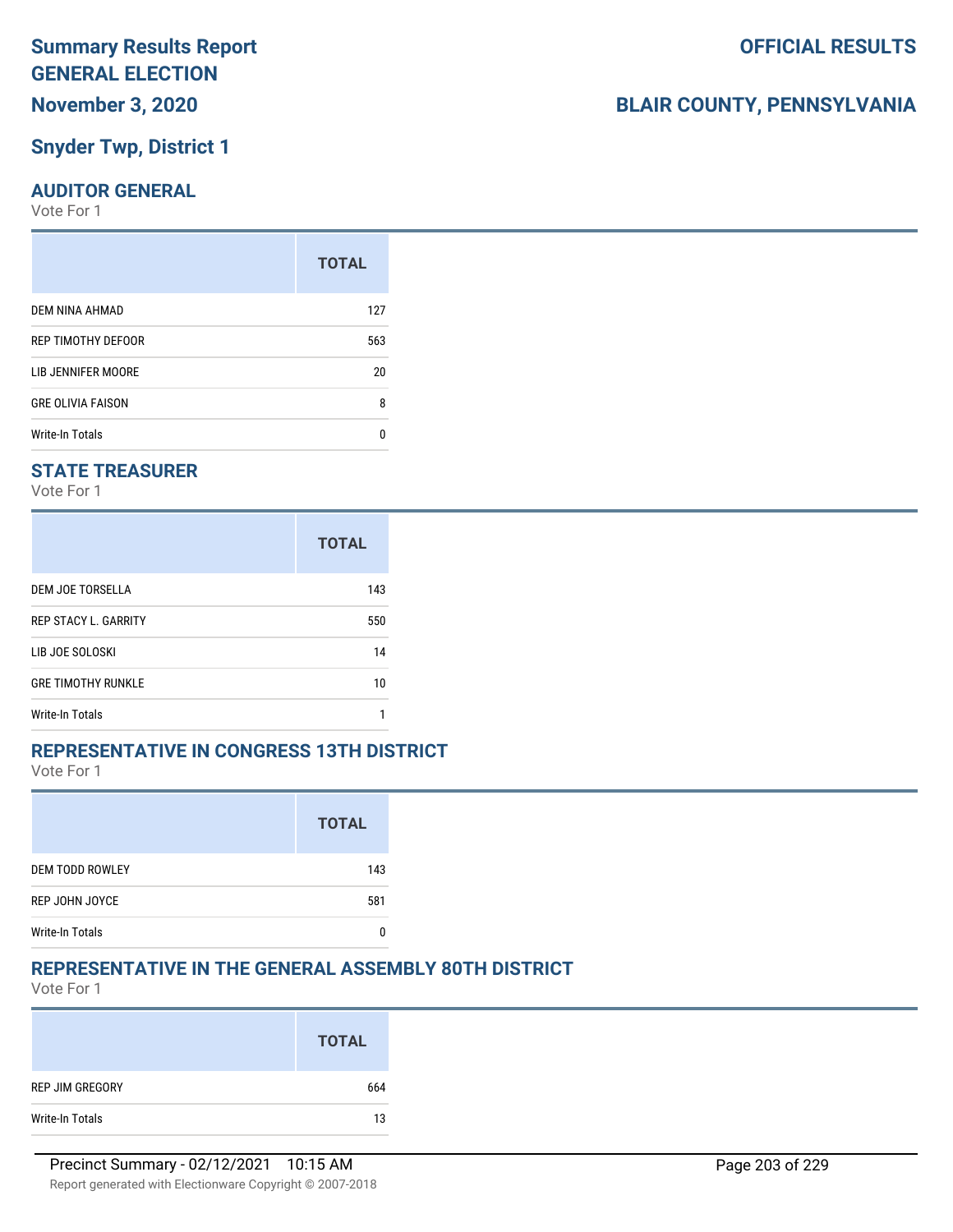#### **Snyder Twp, District 1**

#### **AUDITOR GENERAL**

Vote For 1

|                          | <b>TOTAL</b> |
|--------------------------|--------------|
| DEM NINA AHMAD           | 127          |
| REP TIMOTHY DEFOOR       | 563          |
| LIB JENNIFER MOORE       | 20           |
| <b>GRE OLIVIA FAISON</b> | 8            |
| <b>Write-In Totals</b>   | n            |

#### **STATE TREASURER**

Vote For 1

|                             | <b>TOTAL</b> |
|-----------------------------|--------------|
| DEM JOE TORSELLA            | 143          |
| <b>REP STACY L. GARRITY</b> | 550          |
| LIB JOE SOLOSKI             | 14           |
| <b>GRE TIMOTHY RUNKLE</b>   | 10           |
| Write-In Totals             |              |

#### **REPRESENTATIVE IN CONGRESS 13TH DISTRICT**

Vote For 1

|                        | <b>TOTAL</b> |
|------------------------|--------------|
| <b>DEM TODD ROWLEY</b> | 143          |
| REP JOHN JOYCE         | 581          |
| <b>Write-In Totals</b> |              |

#### **REPRESENTATIVE IN THE GENERAL ASSEMBLY 80TH DISTRICT**

Vote For 1

|                 | <b>TOTAL</b> |
|-----------------|--------------|
| REP JIM GREGORY | 664          |
| Write-In Totals | 13           |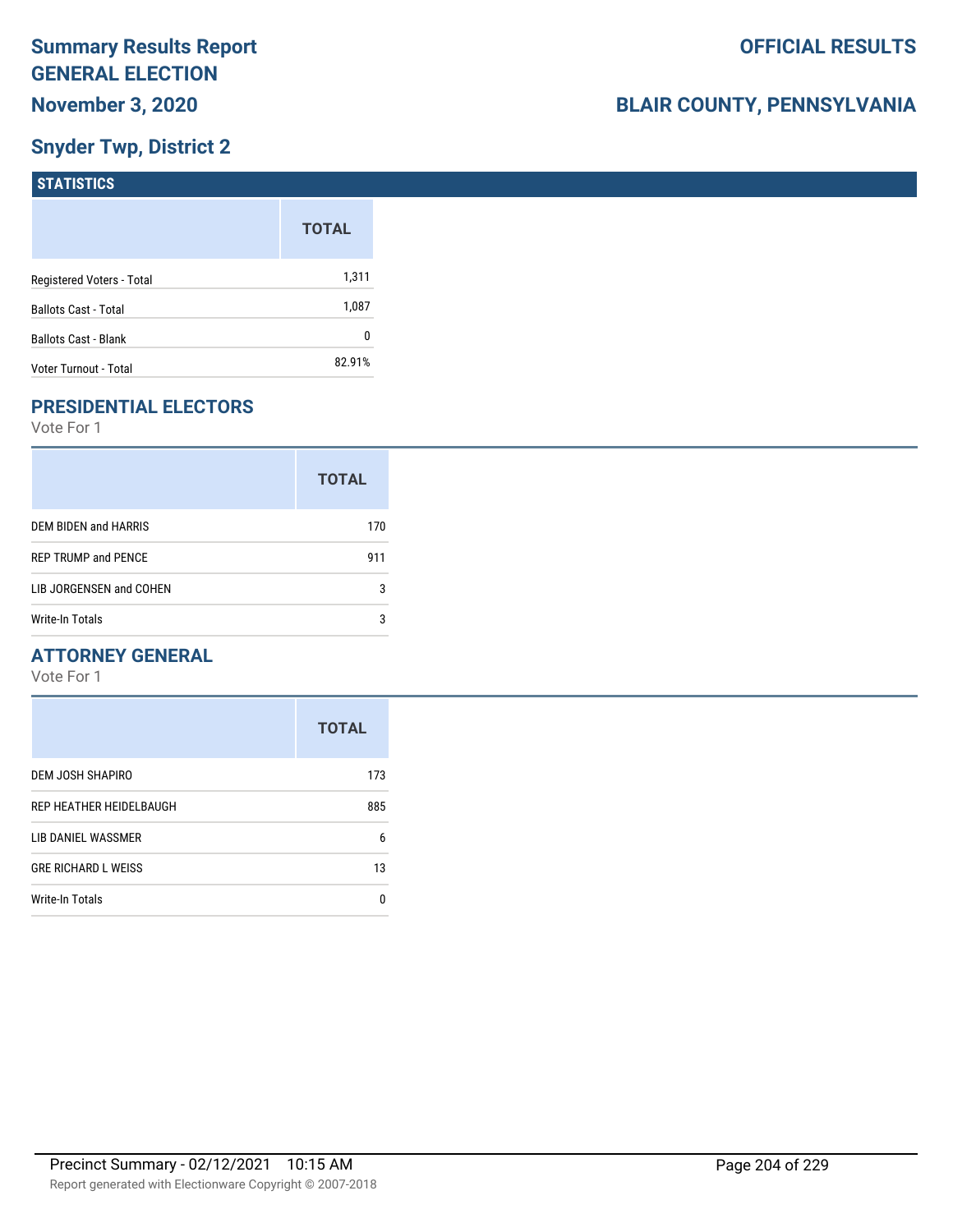## **Snyder Twp, District 2**

| STATISTICS                  |              |
|-----------------------------|--------------|
|                             | <b>TOTAL</b> |
| Registered Voters - Total   | 1,311        |
| <b>Ballots Cast - Total</b> | 1,087        |
| <b>Ballots Cast - Blank</b> | 0            |
| Voter Turnout - Total       | 82.91%       |

## **PRESIDENTIAL ELECTORS**

Vote For 1

|                            | <b>TOTAL</b> |
|----------------------------|--------------|
| DEM BIDEN and HARRIS       | 170          |
| <b>REP TRUMP and PENCE</b> | 911          |
| LIB JORGENSEN and COHEN    | 3            |
| Write-In Totals            | 3            |

#### **ATTORNEY GENERAL**

|                            | <b>TOTAL</b> |
|----------------------------|--------------|
| DEM JOSH SHAPIRO           | 173          |
| REP HEATHER HEIDELBAUGH    | 885          |
| LIB DANIEL WASSMER         | 6            |
| <b>GRE RICHARD L WEISS</b> | 13           |
| Write-In Totals            | n            |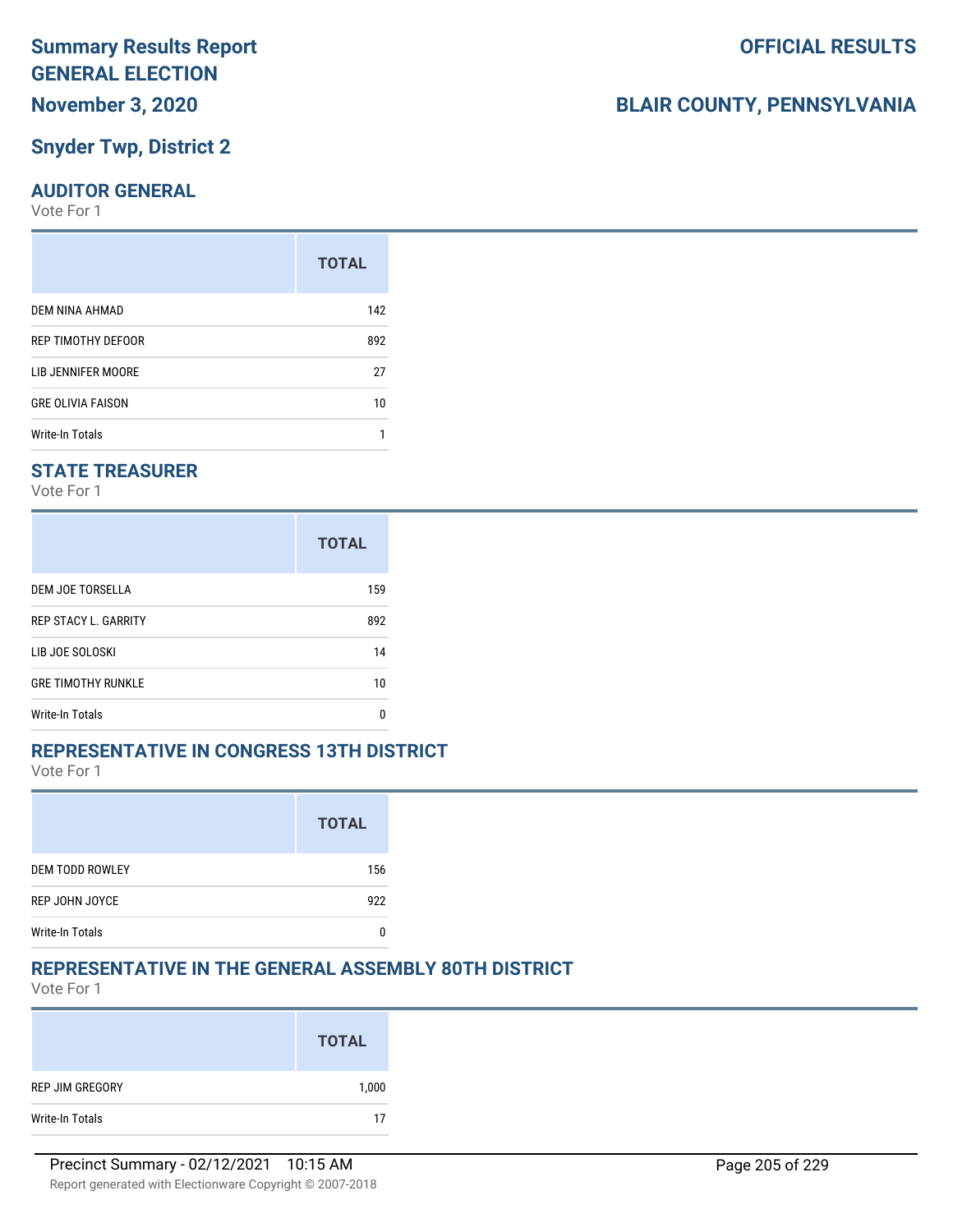# **Summary Results Report GENERAL ELECTION**

## **November 3, 2020**

#### **Snyder Twp, District 2**

#### **AUDITOR GENERAL**

Vote For 1

|                          | <b>TOTAL</b> |
|--------------------------|--------------|
| DEM NINA AHMAD           | 142          |
| REP TIMOTHY DEFOOR       | 892          |
| LIB JENNIFER MOORE       | 27           |
| <b>GRE OLIVIA FAISON</b> | 10           |
| Write-In Totals          |              |

#### **STATE TREASURER**

Vote For 1

|                             | <b>TOTAL</b> |
|-----------------------------|--------------|
| DEM JOE TORSELLA            | 159          |
| <b>REP STACY L. GARRITY</b> | 892          |
| LIB JOE SOLOSKI             | 14           |
| <b>GRE TIMOTHY RUNKLE</b>   | 10           |
| <b>Write-In Totals</b>      | n            |

#### **REPRESENTATIVE IN CONGRESS 13TH DISTRICT**

Vote For 1

|                        | <b>TOTAL</b> |
|------------------------|--------------|
| <b>DEM TODD ROWLEY</b> | 156          |
| REP JOHN JOYCE         | 922          |
| <b>Write-In Totals</b> |              |

#### **REPRESENTATIVE IN THE GENERAL ASSEMBLY 80TH DISTRICT**

Vote For 1

|                 | <b>TOTAL</b> |
|-----------------|--------------|
| REP JIM GREGORY | 1,000        |
| Write-In Totals | 17           |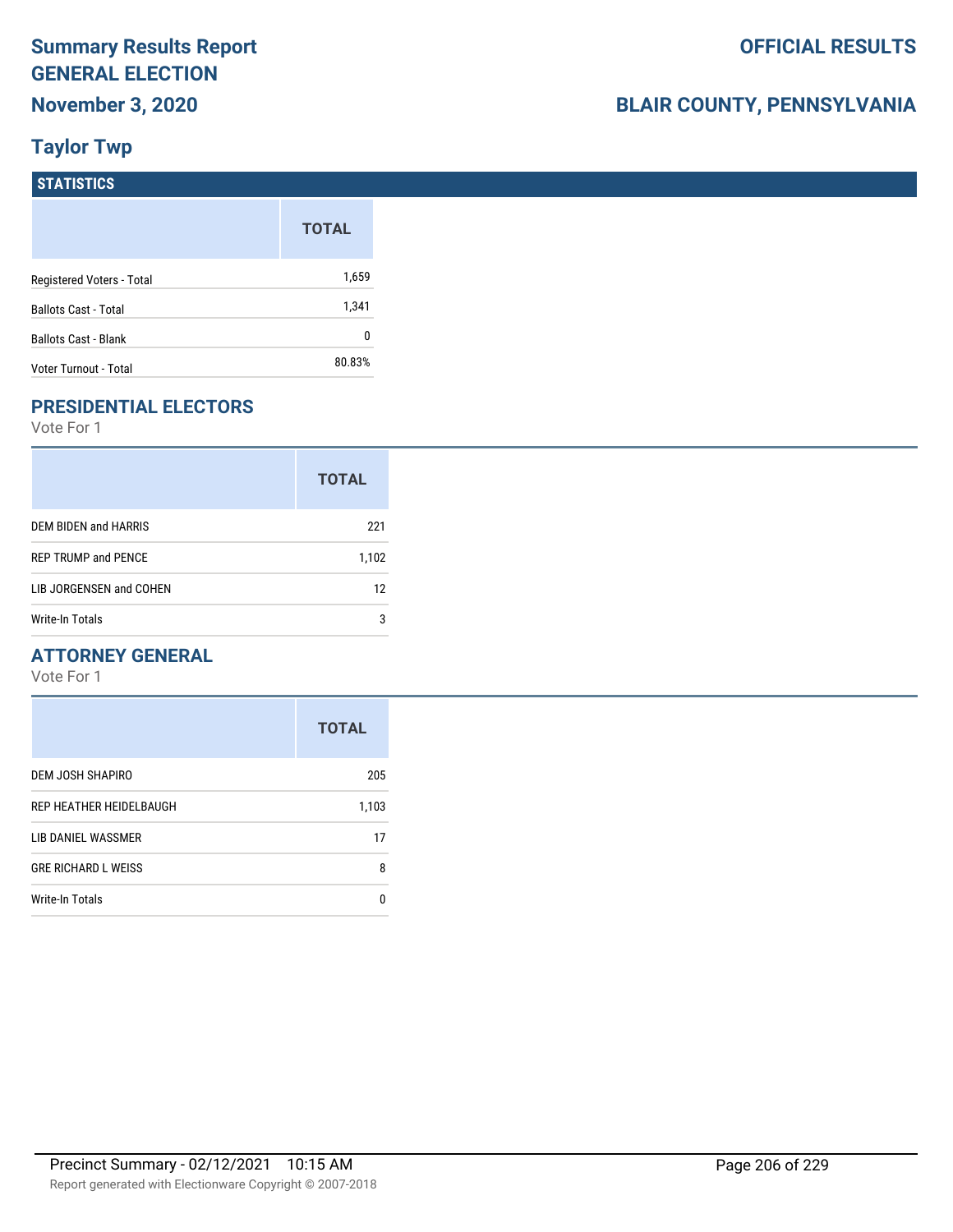## **BLAIR COUNTY, PENNSYLVANIA**

## **Taylor Twp**

| <b>STATISTICS</b>           |              |
|-----------------------------|--------------|
|                             | <b>TOTAL</b> |
| Registered Voters - Total   | 1,659        |
| <b>Ballots Cast - Total</b> | 1,341        |
| Ballots Cast - Blank        | 0            |
| Voter Turnout - Total       | 80.83%       |

### **PRESIDENTIAL ELECTORS**

Vote For 1

|                             | <b>TOTAL</b> |
|-----------------------------|--------------|
| <b>DEM BIDEN and HARRIS</b> | 221          |
| <b>REP TRUMP and PENCE</b>  | 1,102        |
| LIB JORGENSEN and COHEN     | 12           |
| Write-In Totals             | 3            |

#### **ATTORNEY GENERAL**

|                            | <b>TOTAL</b> |
|----------------------------|--------------|
| DEM JOSH SHAPIRO           | 205          |
| REP HEATHER HEIDELBAUGH    | 1,103        |
| LIB DANIEL WASSMER         | 17           |
| <b>GRE RICHARD L WEISS</b> | 8            |
| <b>Write-In Totals</b>     | n            |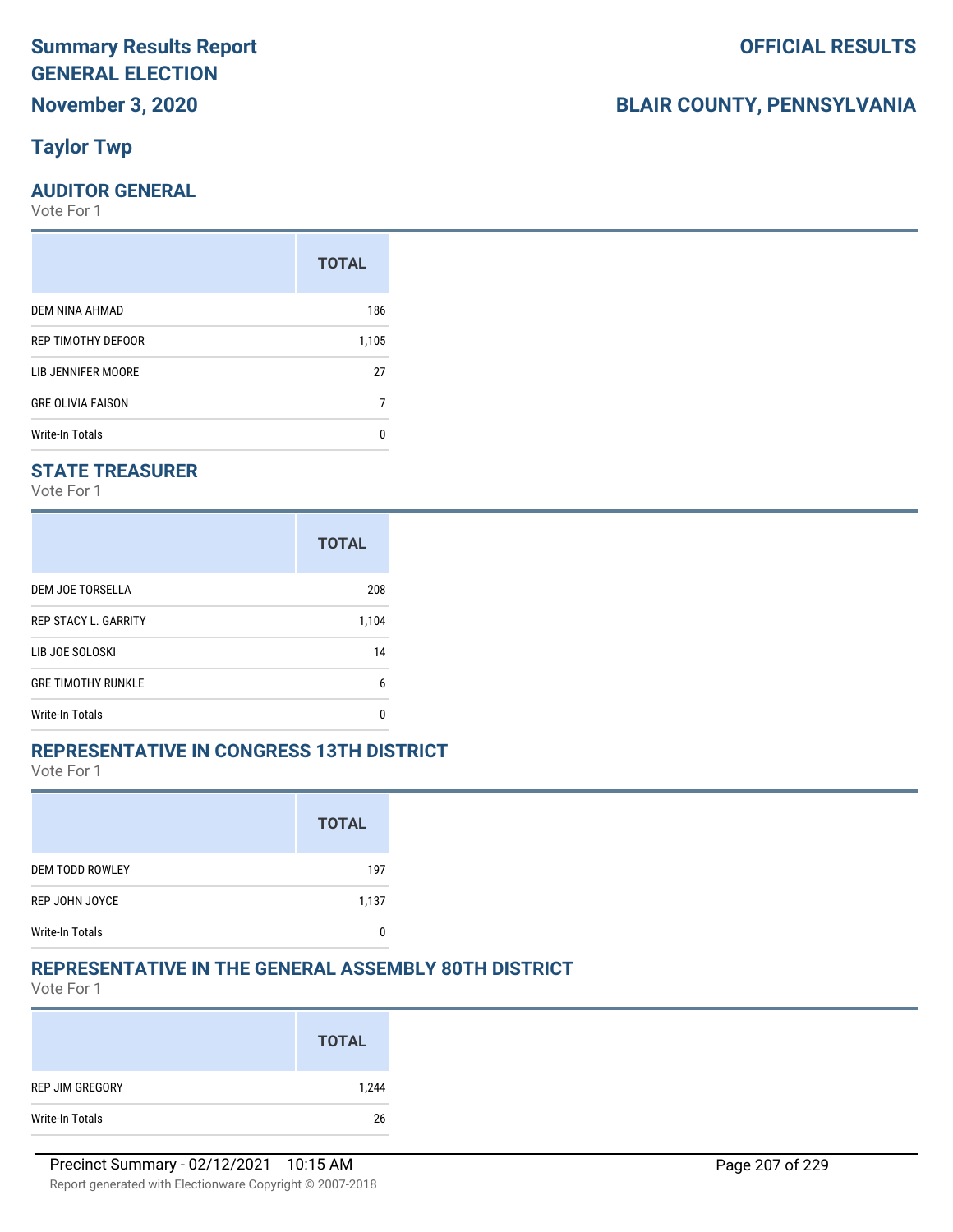## **Taylor Twp**

#### **AUDITOR GENERAL**

Vote For 1

|                          | <b>TOTAL</b> |
|--------------------------|--------------|
| DEM NINA AHMAD           | 186          |
| REP TIMOTHY DEFOOR       | 1,105        |
| LIB JENNIFER MOORE       | 27           |
| <b>GRE OLIVIA FAISON</b> | 7            |
| Write-In Totals          | n            |

#### **STATE TREASURER**

Vote For 1

|                             | <b>TOTAL</b> |
|-----------------------------|--------------|
| DEM JOE TORSELLA            | 208          |
| <b>REP STACY L. GARRITY</b> | 1,104        |
| LIB JOE SOLOSKI             | 14           |
| <b>GRE TIMOTHY RUNKLE</b>   | 6            |
| Write-In Totals             | n            |

#### **REPRESENTATIVE IN CONGRESS 13TH DISTRICT**

Vote For 1

|                        | <b>TOTAL</b> |
|------------------------|--------------|
| <b>DEM TODD ROWLEY</b> | 197          |
| REP JOHN JOYCE         | 1,137        |
| <b>Write-In Totals</b> |              |

#### **REPRESENTATIVE IN THE GENERAL ASSEMBLY 80TH DISTRICT**

Vote For 1

|                 | <b>TOTAL</b> |
|-----------------|--------------|
| REP JIM GREGORY | 1,244        |
| Write-In Totals | 26           |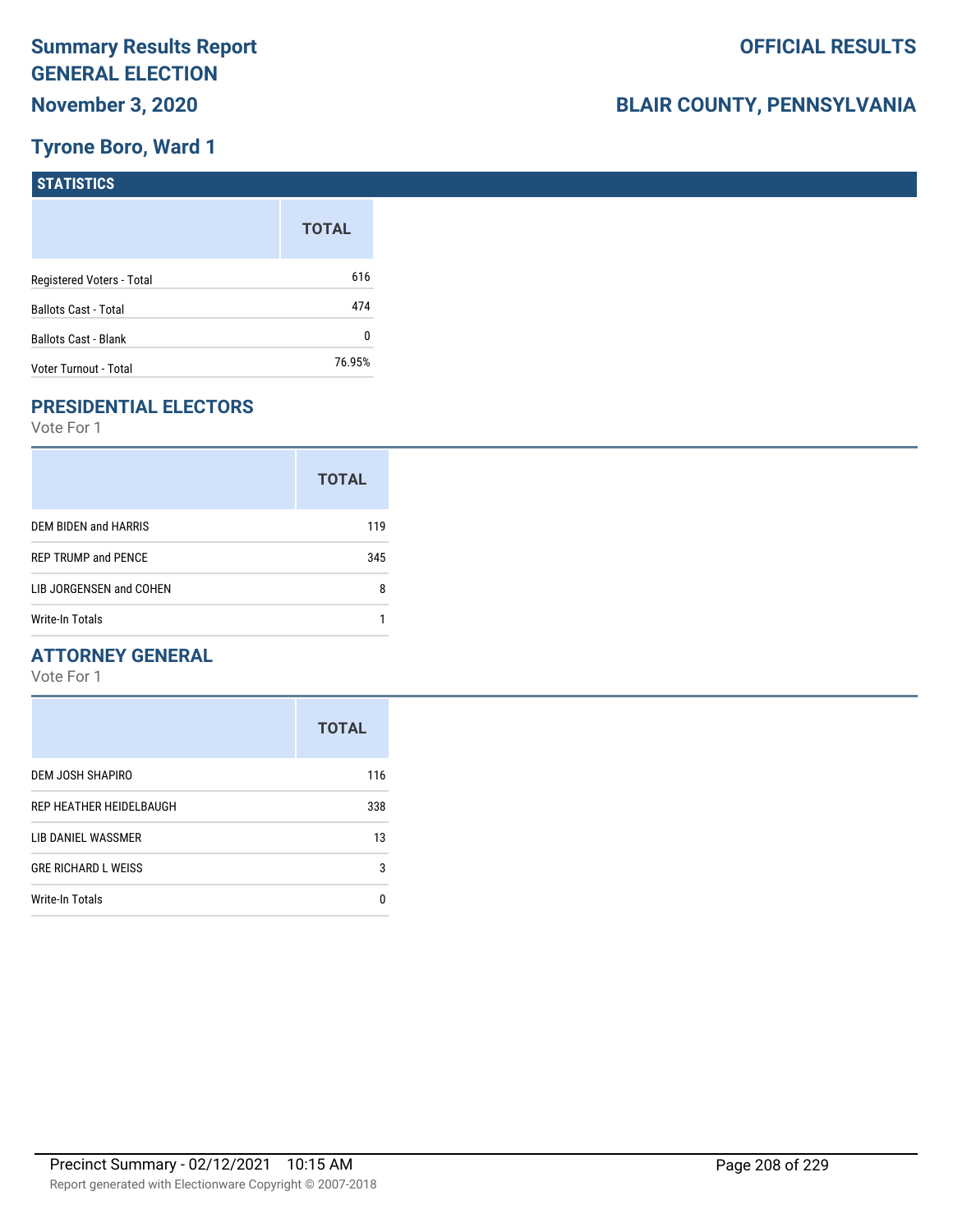#### **Tyrone Boro, Ward 1**

| <b>STATISTICS</b>           |              |
|-----------------------------|--------------|
|                             | <b>TOTAL</b> |
| Registered Voters - Total   | 616          |
| <b>Ballots Cast - Total</b> | 474          |
| Ballots Cast - Blank        | 0            |
| Voter Turnout - Total       | 76.95%       |

## **PRESIDENTIAL ELECTORS**

Vote For 1

|                            | <b>TOTAL</b> |
|----------------------------|--------------|
| DEM BIDEN and HARRIS       | 119          |
| <b>REP TRUMP and PENCE</b> | 345          |
| LIB JORGENSEN and COHEN    | 8            |
| Write-In Totals            |              |

#### **ATTORNEY GENERAL**

|                            | <b>TOTAL</b> |
|----------------------------|--------------|
| DEM JOSH SHAPIRO           | 116          |
| REP HEATHER HEIDELBAUGH    | 338          |
| LIB DANIEL WASSMER         | 13           |
| <b>GRE RICHARD L WEISS</b> | 3            |
| Write-In Totals            | n            |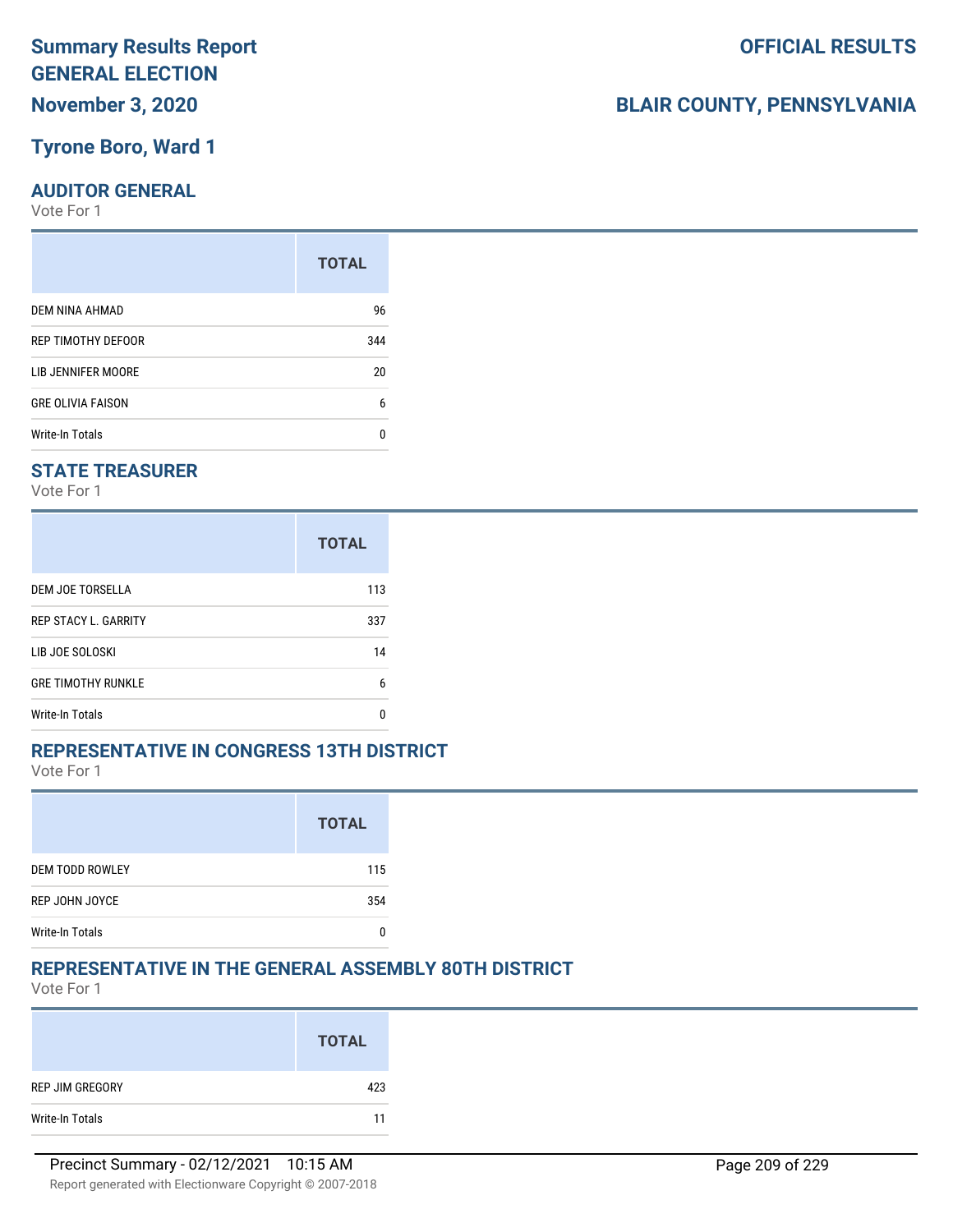#### **Tyrone Boro, Ward 1**

#### **AUDITOR GENERAL**

Vote For 1

|                          | <b>TOTAL</b> |
|--------------------------|--------------|
| DEM NINA AHMAD           | 96           |
| REP TIMOTHY DEFOOR       | 344          |
| LIB JENNIFER MOORE       | 20           |
| <b>GRE OLIVIA FAISON</b> | 6            |
| Write-In Totals          | n            |

#### **STATE TREASURER**

Vote For 1

|                             | <b>TOTAL</b> |
|-----------------------------|--------------|
| DEM JOE TORSELLA            | 113          |
| <b>REP STACY L. GARRITY</b> | 337          |
| LIB JOE SOLOSKI             | 14           |
| <b>GRE TIMOTHY RUNKLE</b>   | 6            |
| Write-In Totals             | n            |

#### **REPRESENTATIVE IN CONGRESS 13TH DISTRICT**

Vote For 1

|                        | <b>TOTAL</b> |
|------------------------|--------------|
| <b>DEM TODD ROWLEY</b> | 115          |
| REP JOHN JOYCE         | 354          |
| <b>Write-In Totals</b> |              |

#### **REPRESENTATIVE IN THE GENERAL ASSEMBLY 80TH DISTRICT**

Vote For 1

|                 | <b>TOTAL</b> |
|-----------------|--------------|
| REP JIM GREGORY | 423          |
| Write-In Totals | 11           |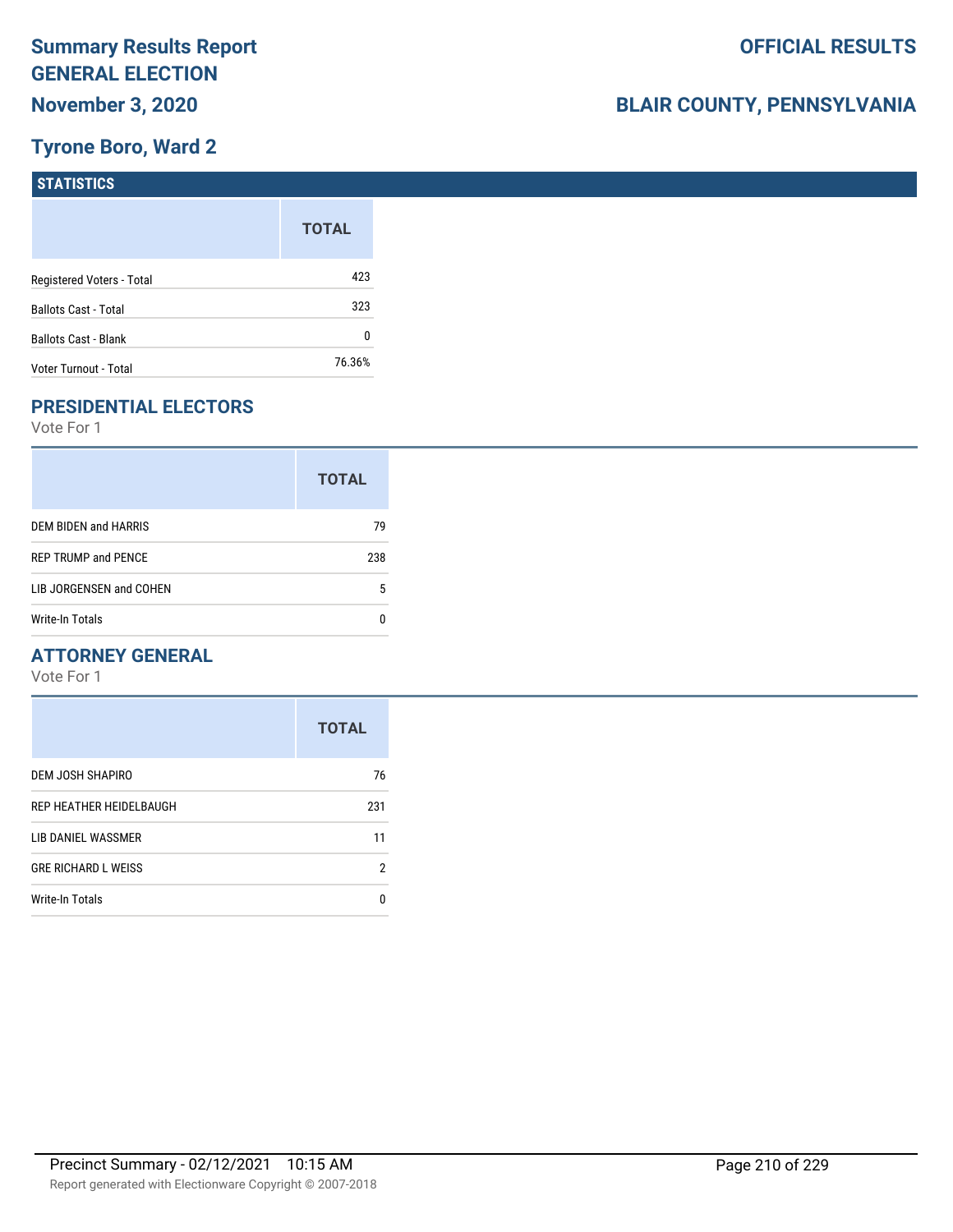#### **Tyrone Boro, Ward 2**

| STATISTICS                  |              |
|-----------------------------|--------------|
|                             | <b>TOTAL</b> |
| Registered Voters - Total   | 423          |
| <b>Ballots Cast - Total</b> | 323          |
| <b>Ballots Cast - Blank</b> | 0            |
| Voter Turnout - Total       | 76.36%       |

## **PRESIDENTIAL ELECTORS**

Vote For 1

|                            | <b>TOTAL</b> |
|----------------------------|--------------|
| DEM BIDEN and HARRIS       | 79           |
| <b>REP TRUMP and PENCE</b> | 238          |
| LIB JORGENSEN and COHEN    | 5            |
| Write-In Totals            |              |

#### **ATTORNEY GENERAL**

|                            | <b>TOTAL</b> |
|----------------------------|--------------|
| DEM JOSH SHAPIRO           | 76           |
| REP HEATHER HEIDELBAUGH    | 231          |
| LIB DANIEL WASSMER         | 11           |
| <b>GRE RICHARD L WEISS</b> | 2            |
| Write-In Totals            | O            |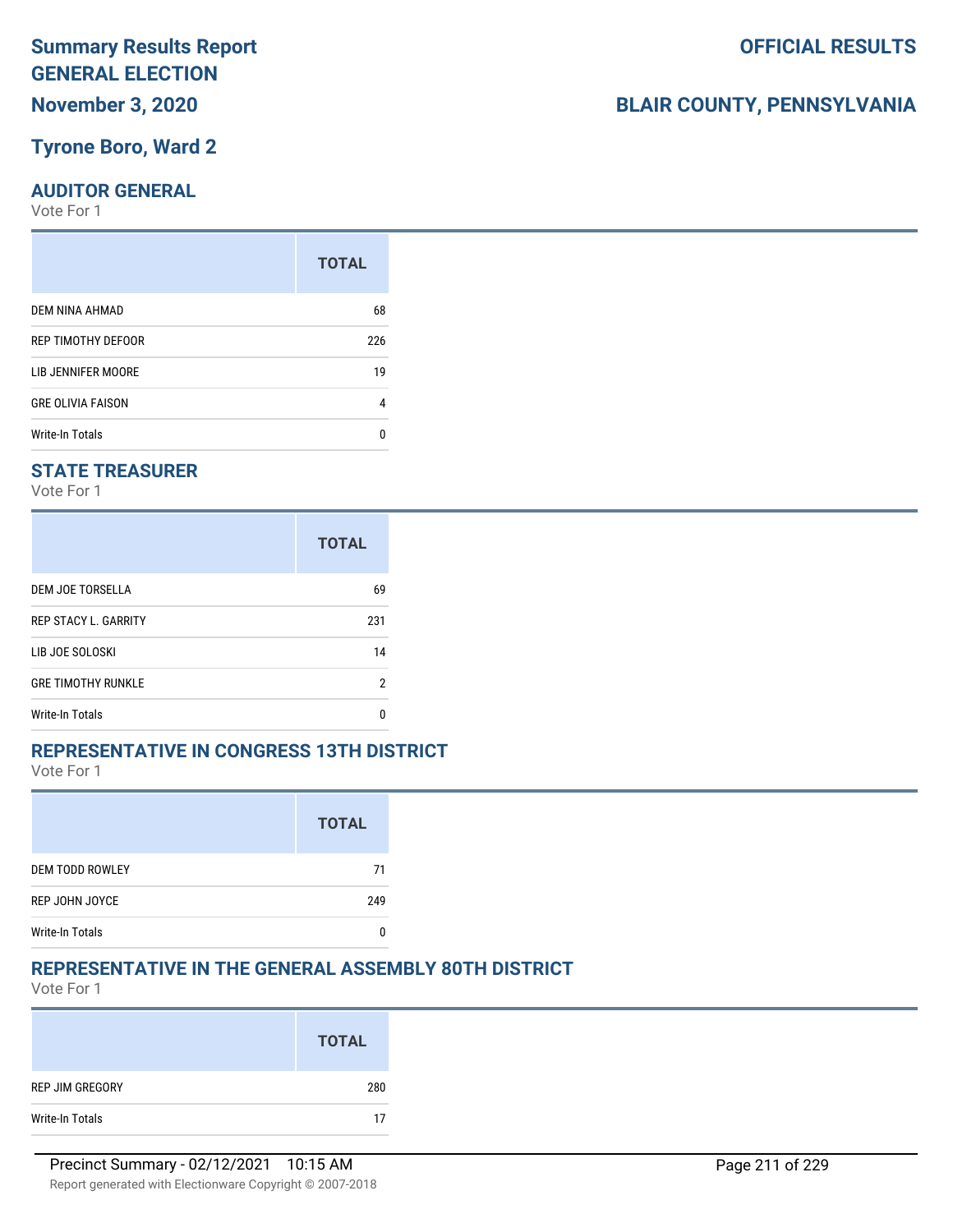#### **Tyrone Boro, Ward 2**

#### **AUDITOR GENERAL**

Vote For 1

|                          | <b>TOTAL</b> |
|--------------------------|--------------|
| DEM NINA AHMAD           | 68           |
| REP TIMOTHY DEFOOR       | 226          |
| LIB JENNIFER MOORE       | 19           |
| <b>GRE OLIVIA FAISON</b> | 4            |
| <b>Write-In Totals</b>   | n            |

#### **STATE TREASURER**

Vote For 1

|                             | <b>TOTAL</b> |
|-----------------------------|--------------|
| DEM JOE TORSELLA            | 69           |
| <b>REP STACY L. GARRITY</b> | 231          |
| LIB JOE SOLOSKI             | 14           |
| <b>GRE TIMOTHY RUNKLE</b>   | 2            |
| Write-In Totals             | n            |

#### **REPRESENTATIVE IN CONGRESS 13TH DISTRICT**

Vote For 1

|                        | <b>TOTAL</b> |
|------------------------|--------------|
| <b>DEM TODD ROWLEY</b> | 71           |
| REP JOHN JOYCE         | 249          |
| <b>Write-In Totals</b> |              |

#### **REPRESENTATIVE IN THE GENERAL ASSEMBLY 80TH DISTRICT**

Vote For 1

|                 | <b>TOTAL</b> |
|-----------------|--------------|
| REP JIM GREGORY | 280          |
| Write-In Totals | 17           |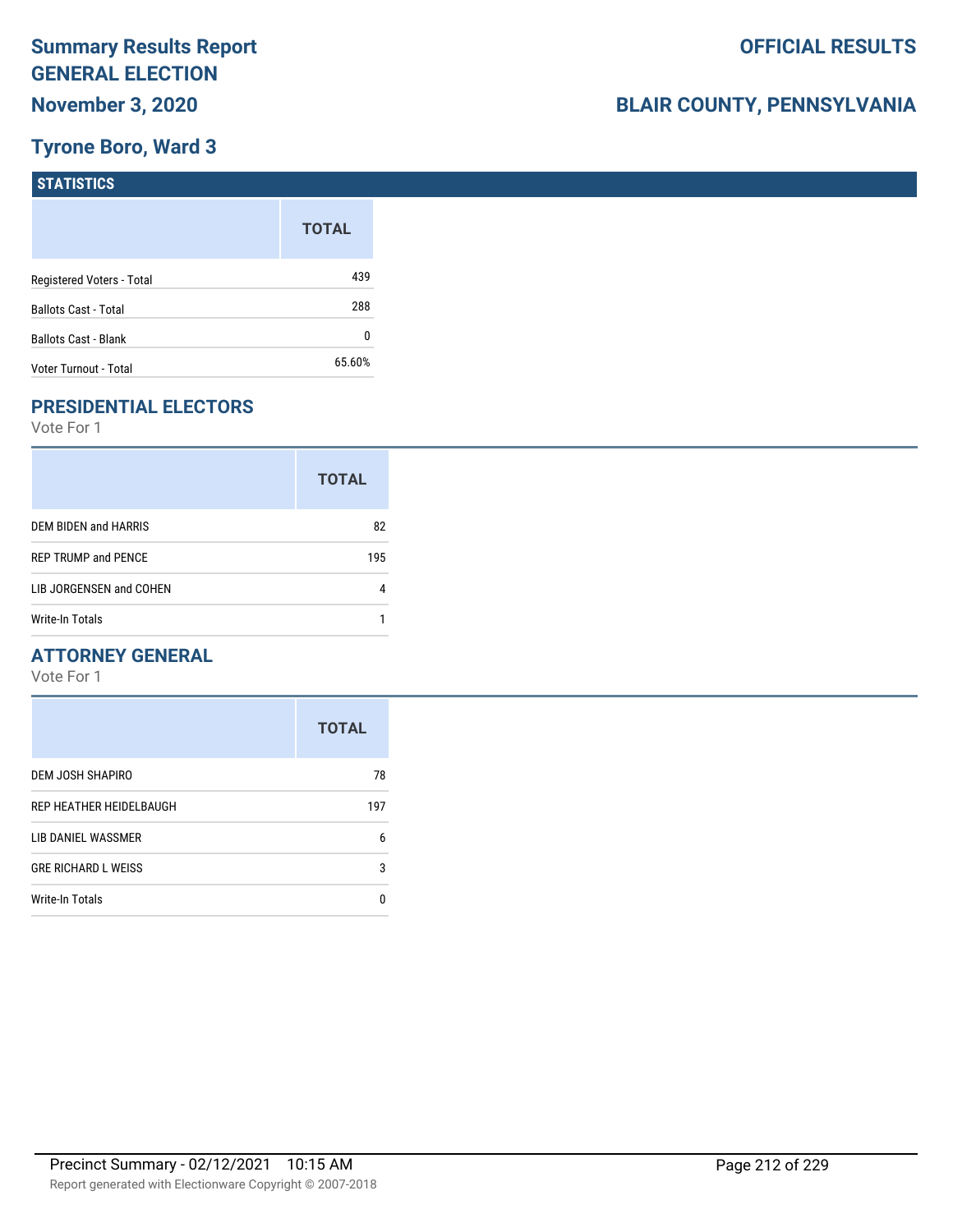## **Tyrone Boro, Ward 3**

| STATISTICS                  |              |
|-----------------------------|--------------|
|                             | <b>TOTAL</b> |
| Registered Voters - Total   | 439          |
| <b>Ballots Cast - Total</b> | 288          |
| <b>Ballots Cast - Blank</b> | 0            |
| Voter Turnout - Total       | 65.60%       |

## **PRESIDENTIAL ELECTORS**

Vote For 1

|                            | <b>TOTAL</b> |
|----------------------------|--------------|
| DEM BIDEN and HARRIS       | 82           |
| <b>REP TRUMP and PENCE</b> | 195          |
| LIB JORGENSEN and COHEN    |              |
| Write-In Totals            |              |

#### **ATTORNEY GENERAL**

|                            | <b>TOTAL</b> |
|----------------------------|--------------|
| DEM JOSH SHAPIRO           | 78           |
| REP HEATHER HEIDELBAUGH    | 197          |
| LIB DANIEL WASSMER         | 6            |
| <b>GRE RICHARD L WEISS</b> | 3            |
| Write-In Totals            | O            |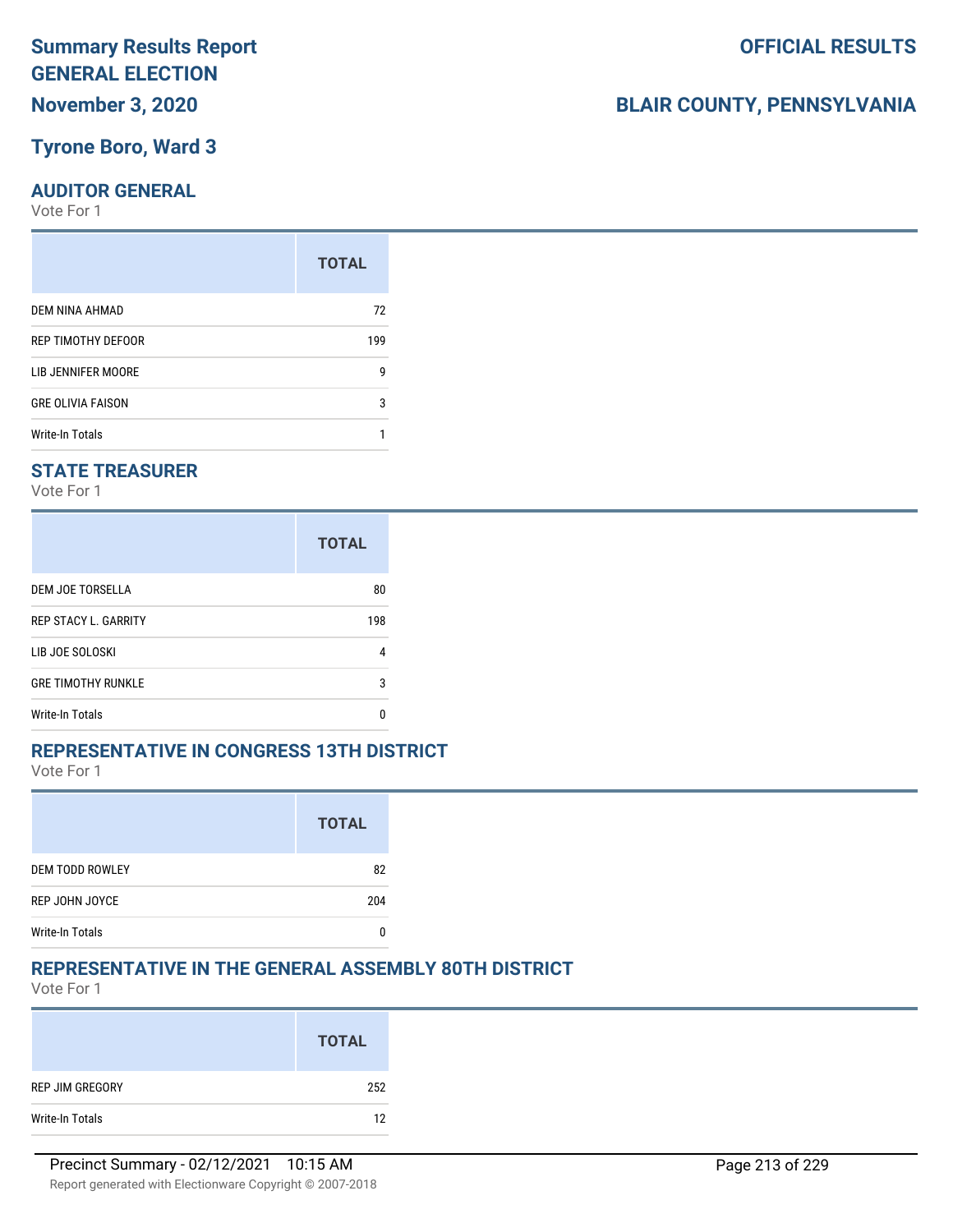#### **Tyrone Boro, Ward 3**

#### **AUDITOR GENERAL**

Vote For 1

|                          | <b>TOTAL</b> |
|--------------------------|--------------|
| DEM NINA AHMAD           | 72           |
| REP TIMOTHY DEFOOR       | 199          |
| LIB JENNIFER MOORE       | g            |
| <b>GRE OLIVIA FAISON</b> | 3            |
| Write-In Totals          |              |

#### **STATE TREASURER**

Vote For 1

|                             | <b>TOTAL</b> |
|-----------------------------|--------------|
| DEM JOE TORSELLA            | 80           |
| <b>REP STACY L. GARRITY</b> | 198          |
| LIB JOE SOLOSKI             | 4            |
| <b>GRE TIMOTHY RUNKLE</b>   | 3            |
| Write-In Totals             | n            |

#### **REPRESENTATIVE IN CONGRESS 13TH DISTRICT**

Vote For 1

|                        | <b>TOTAL</b> |
|------------------------|--------------|
| <b>DEM TODD ROWLEY</b> | 82           |
| REP JOHN JOYCE         | 204          |
| <b>Write-In Totals</b> |              |

#### **REPRESENTATIVE IN THE GENERAL ASSEMBLY 80TH DISTRICT**

Vote For 1

|                 | <b>TOTAL</b> |
|-----------------|--------------|
| REP JIM GREGORY | 252          |
| Write-In Totals | 12           |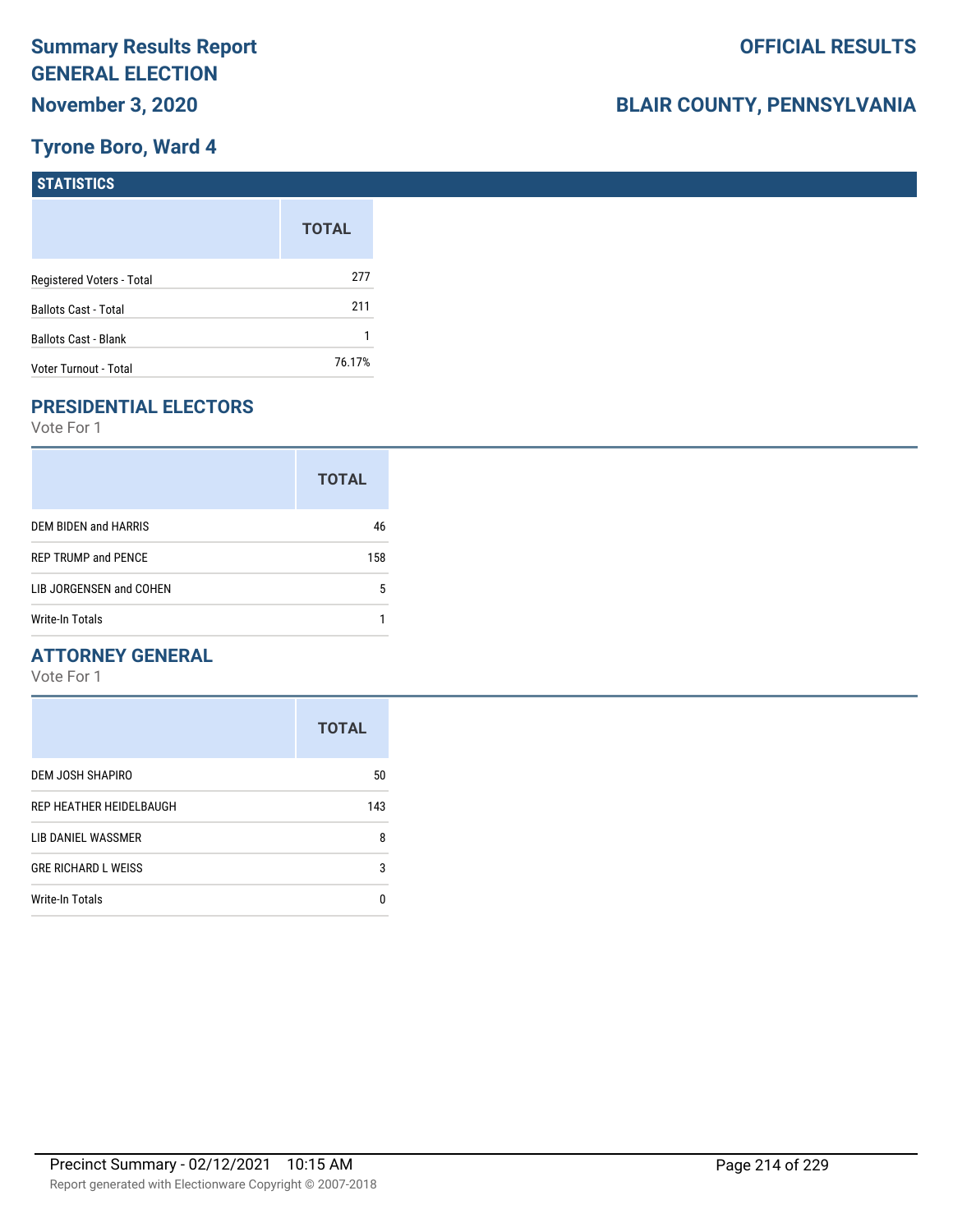## **Tyrone Boro, Ward 4**

| STATISTICS                  |              |
|-----------------------------|--------------|
|                             | <b>TOTAL</b> |
| Registered Voters - Total   | 277          |
| <b>Ballots Cast - Total</b> | 211          |
| <b>Ballots Cast - Blank</b> |              |
| Voter Turnout - Total       | 76.17%       |

## **PRESIDENTIAL ELECTORS**

Vote For 1

|                            | <b>TOTAL</b> |
|----------------------------|--------------|
| DEM BIDEN and HARRIS       | 46           |
| <b>REP TRUMP and PENCE</b> | 158          |
| LIB JORGENSEN and COHEN    | 5            |
| Write-In Totals            |              |

#### **ATTORNEY GENERAL**

|                            | <b>TOTAL</b> |
|----------------------------|--------------|
| DEM JOSH SHAPIRO           | 50           |
| REP HEATHER HEIDELBAUGH    | 143          |
| LIB DANIEL WASSMER         | 8            |
| <b>GRE RICHARD L WEISS</b> | 3            |
| Write-In Totals            | n            |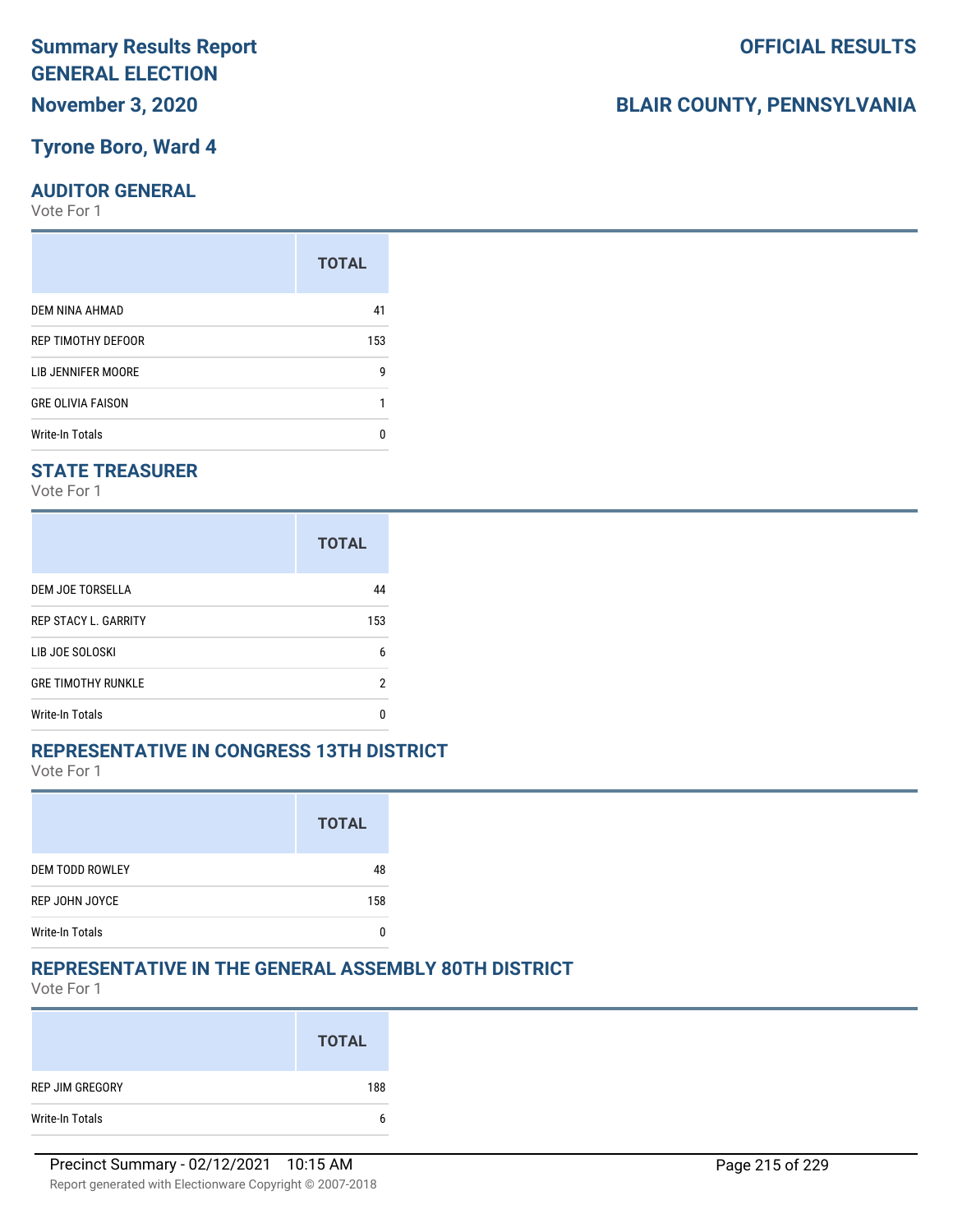#### **Tyrone Boro, Ward 4**

#### **AUDITOR GENERAL**

Vote For 1

|                          | <b>TOTAL</b> |
|--------------------------|--------------|
| DEM NINA AHMAD           | 41           |
| REP TIMOTHY DEFOOR       | 153          |
| LIB JENNIFER MOORE       | g            |
| <b>GRE OLIVIA FAISON</b> |              |
| <b>Write-In Totals</b>   | n            |

#### **STATE TREASURER**

Vote For 1

|                             | <b>TOTAL</b> |
|-----------------------------|--------------|
| DEM JOE TORSELLA            | 44           |
| <b>REP STACY L. GARRITY</b> | 153          |
| LIB JOE SOLOSKI             | 6            |
| <b>GRE TIMOTHY RUNKLE</b>   | 2            |
| Write-In Totals             | n            |

#### **REPRESENTATIVE IN CONGRESS 13TH DISTRICT**

Vote For 1

|                        | <b>TOTAL</b> |
|------------------------|--------------|
| <b>DEM TODD ROWLEY</b> | 48           |
| REP JOHN JOYCE         | 158          |
| <b>Write-In Totals</b> |              |

#### **REPRESENTATIVE IN THE GENERAL ASSEMBLY 80TH DISTRICT**

Vote For 1

|                 | <b>TOTAL</b> |
|-----------------|--------------|
| REP JIM GREGORY | 188          |
| Write-In Totals | b            |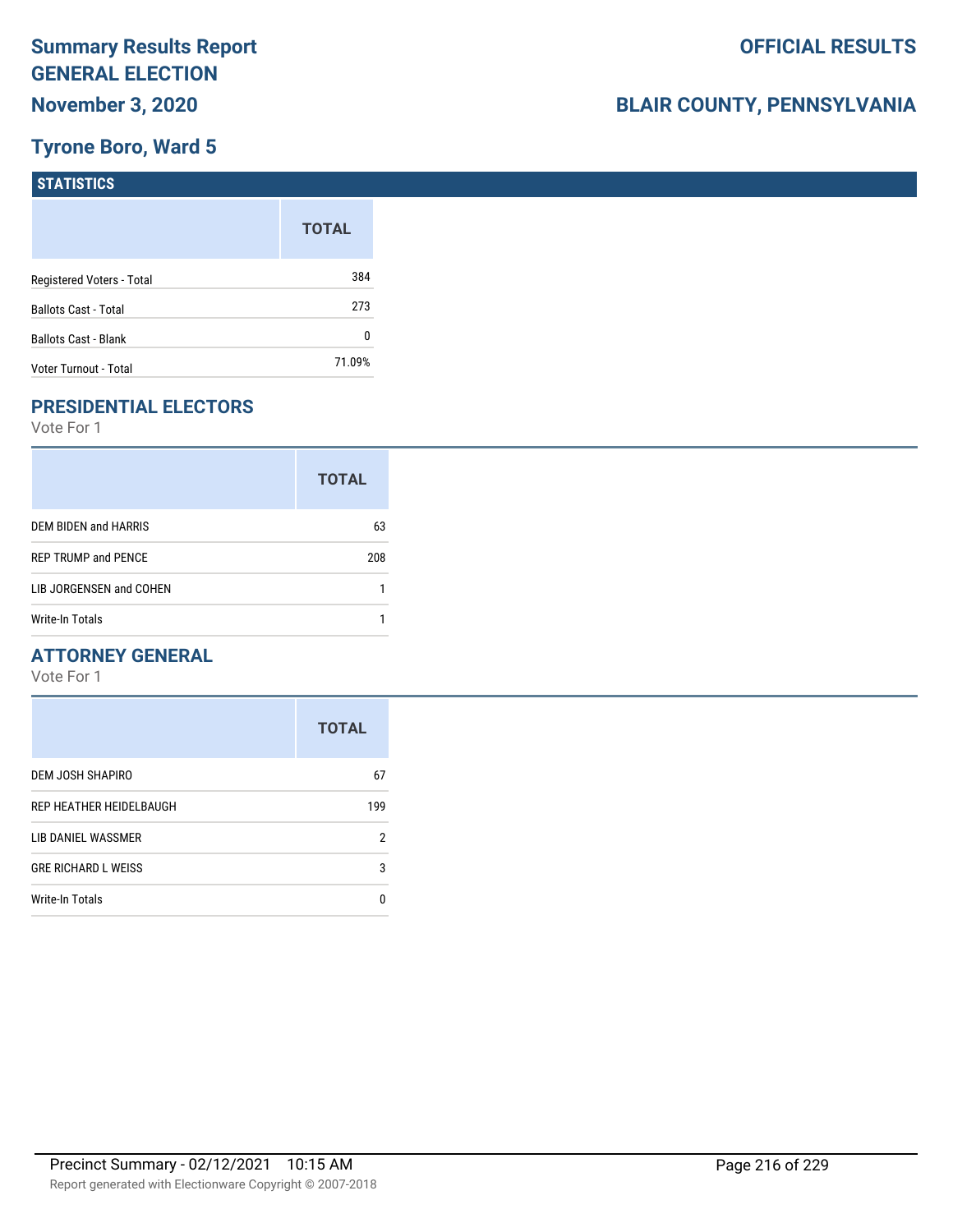#### **Tyrone Boro, Ward 5**

| STATISTICS                  |              |
|-----------------------------|--------------|
|                             | <b>TOTAL</b> |
| Registered Voters - Total   | 384          |
| <b>Ballots Cast - Total</b> | 273          |
| <b>Ballots Cast - Blank</b> | 0            |
| Voter Turnout - Total       | 71.09%       |

## **PRESIDENTIAL ELECTORS**

Vote For 1

|                            | <b>TOTAL</b> |
|----------------------------|--------------|
| DEM BIDEN and HARRIS       | 63           |
| <b>REP TRUMP and PENCE</b> | 208          |
| LIB JORGENSEN and COHEN    |              |
| Write-In Totals            |              |

#### **ATTORNEY GENERAL**

|                            | <b>TOTAL</b> |
|----------------------------|--------------|
| DEM JOSH SHAPIRO           | 67           |
| REP HEATHER HEIDELBAUGH    | 199          |
| LIB DANIEL WASSMER         | 2            |
| <b>GRE RICHARD L WEISS</b> | 3            |
| Write-In Totals            | n            |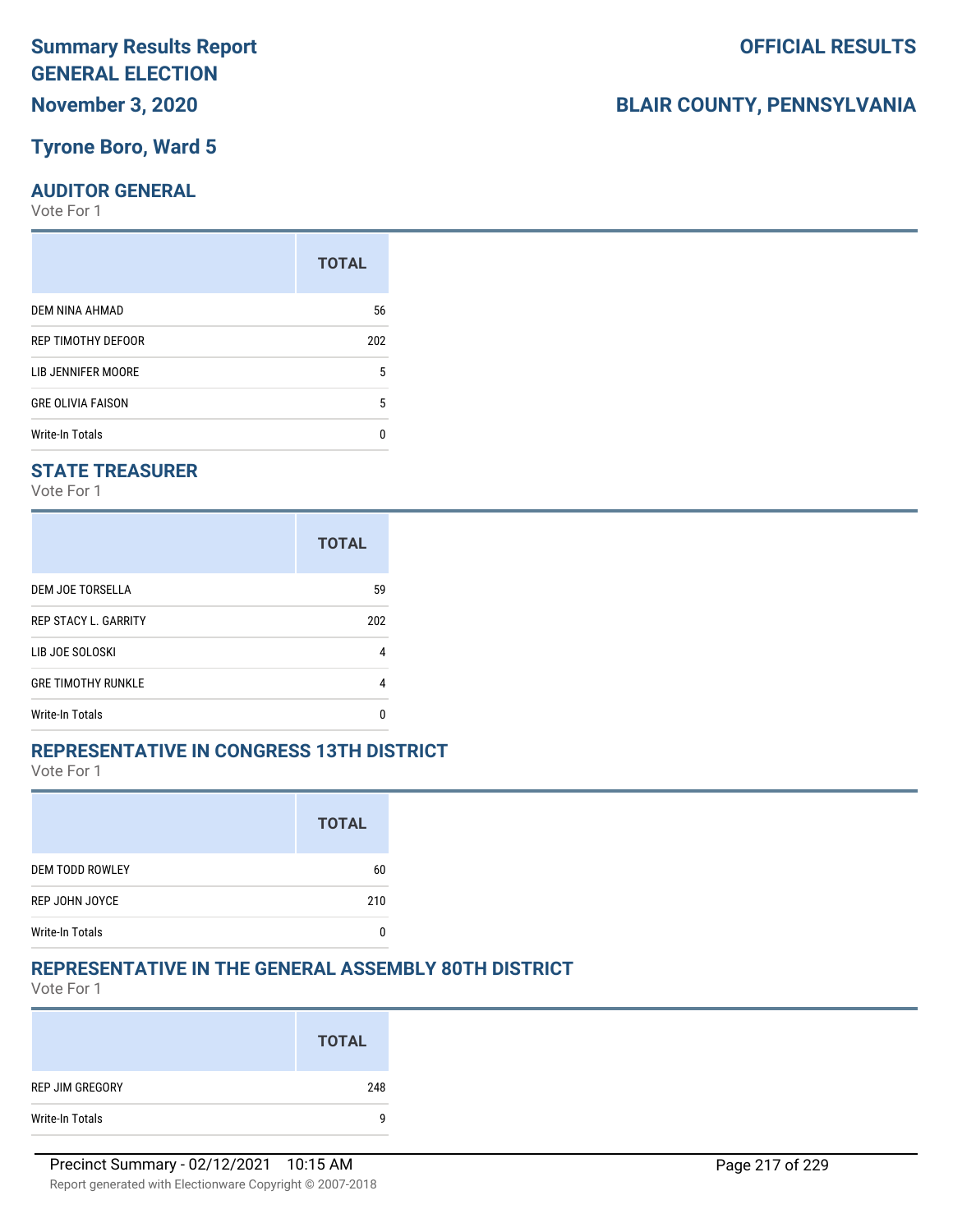## **Tyrone Boro, Ward 5**

### **AUDITOR GENERAL**

Vote For 1

| <b>TOTAL</b> |
|--------------|
| 56           |
| 202          |
| 5            |
| 5            |
| n            |
|              |

### **STATE TREASURER**

Vote For 1

|                             | <b>TOTAL</b> |
|-----------------------------|--------------|
| DEM JOE TORSELLA            | 59           |
| <b>REP STACY L. GARRITY</b> | 202          |
| LIB JOE SOLOSKI             | 4            |
| <b>GRE TIMOTHY RUNKLE</b>   |              |
| Write-In Totals             |              |

### **REPRESENTATIVE IN CONGRESS 13TH DISTRICT**

Vote For 1

|                        | <b>TOTAL</b> |
|------------------------|--------------|
| <b>DEM TODD ROWLEY</b> | 60           |
| REP JOHN JOYCE         | 210          |
| <b>Write-In Totals</b> |              |

## **REPRESENTATIVE IN THE GENERAL ASSEMBLY 80TH DISTRICT**

Vote For 1

|                 | <b>TOTAL</b> |
|-----------------|--------------|
| REP JIM GREGORY | 248          |
| Write-In Totals | q            |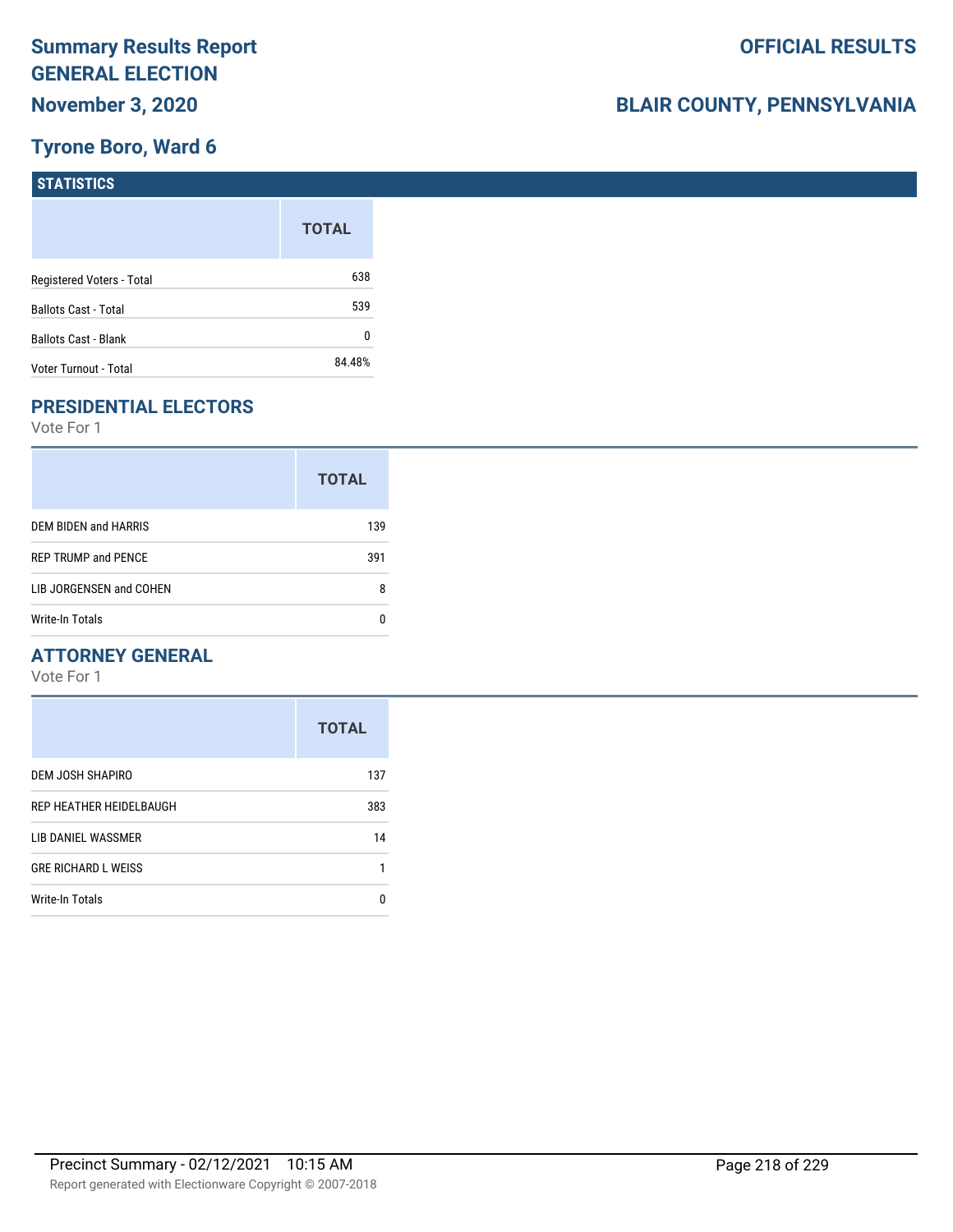### **Tyrone Boro, Ward 6**

| STATISTICS                  |              |
|-----------------------------|--------------|
|                             | <b>TOTAL</b> |
| Registered Voters - Total   | 638          |
| <b>Ballots Cast - Total</b> | 539          |
| <b>Ballots Cast - Blank</b> | 0            |
| Voter Turnout - Total       | 84.48%       |

## **PRESIDENTIAL ELECTORS**

Vote For 1

|                            | <b>TOTAL</b> |
|----------------------------|--------------|
| DEM BIDEN and HARRIS       | 139          |
| <b>REP TRUMP and PENCE</b> | 391          |
| LIB JORGENSEN and COHEN    | 8            |
| <b>Write-In Totals</b>     |              |

### **ATTORNEY GENERAL**

|                            | <b>TOTAL</b> |
|----------------------------|--------------|
| DEM JOSH SHAPIRO           | 137          |
| REP HEATHER HEIDELBAUGH    | 383          |
| LIB DANIEL WASSMER         | 14           |
| <b>GRE RICHARD L WEISS</b> | 1            |
| Write-In Totals            | n            |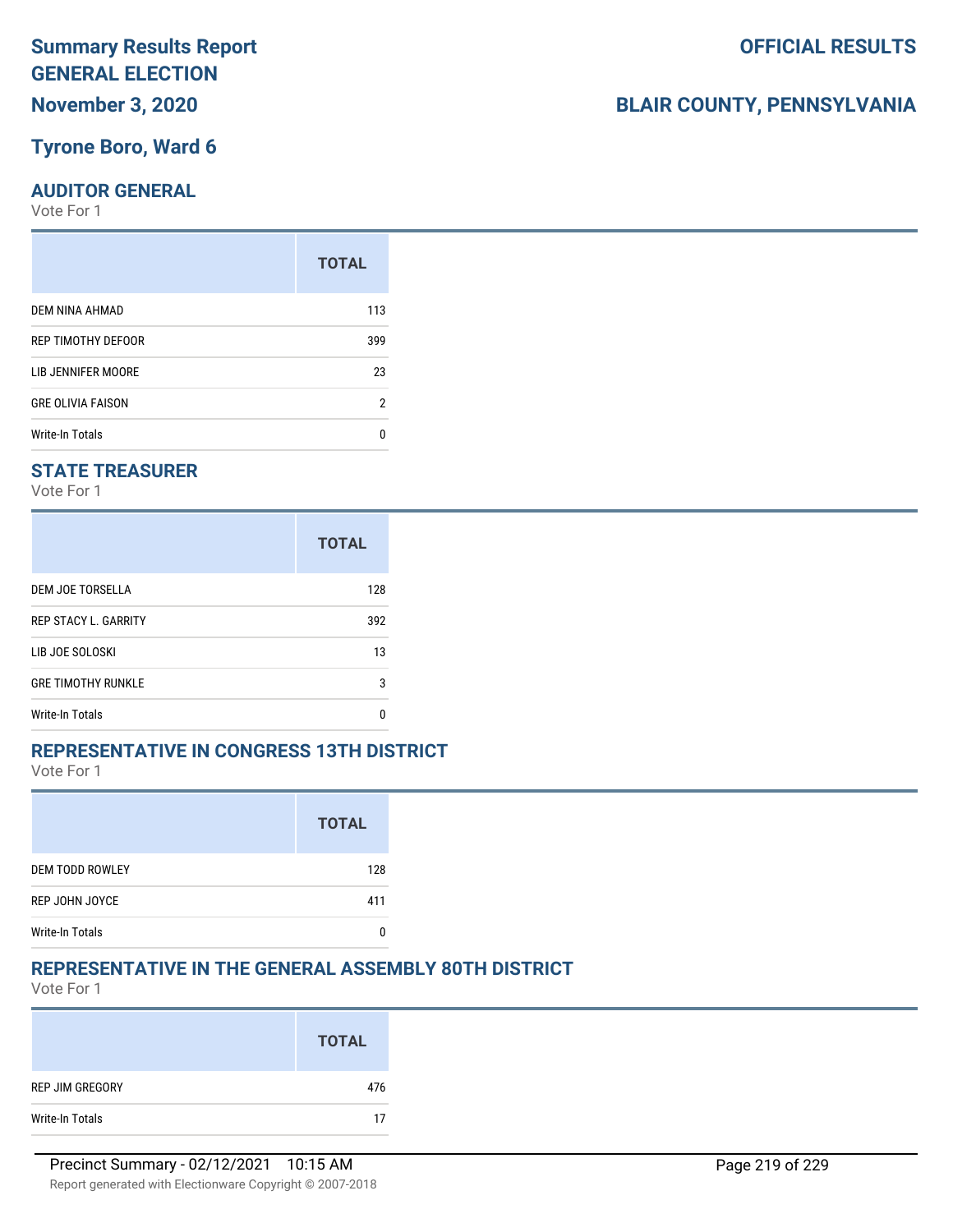### **Tyrone Boro, Ward 6**

### **AUDITOR GENERAL**

Vote For 1

| <b>TOTAL</b> |
|--------------|
| 113          |
| 399          |
| 23           |
| 2            |
| n            |
|              |

### **STATE TREASURER**

Vote For 1

|                             | <b>TOTAL</b> |
|-----------------------------|--------------|
| DEM JOE TORSELLA            | 128          |
| <b>REP STACY L. GARRITY</b> | 392          |
| LIB JOE SOLOSKI             | 13           |
| <b>GRE TIMOTHY RUNKLE</b>   | 3            |
| Write-In Totals             | n            |

### **REPRESENTATIVE IN CONGRESS 13TH DISTRICT**

Vote For 1

|                        | <b>TOTAL</b> |
|------------------------|--------------|
| <b>DEM TODD ROWLEY</b> | 128          |
| REP JOHN JOYCE         | 411          |
| <b>Write-In Totals</b> |              |

## **REPRESENTATIVE IN THE GENERAL ASSEMBLY 80TH DISTRICT**

Vote For 1

|                 | <b>TOTAL</b> |
|-----------------|--------------|
| REP JIM GREGORY | 476          |
| Write-In Totals | 17           |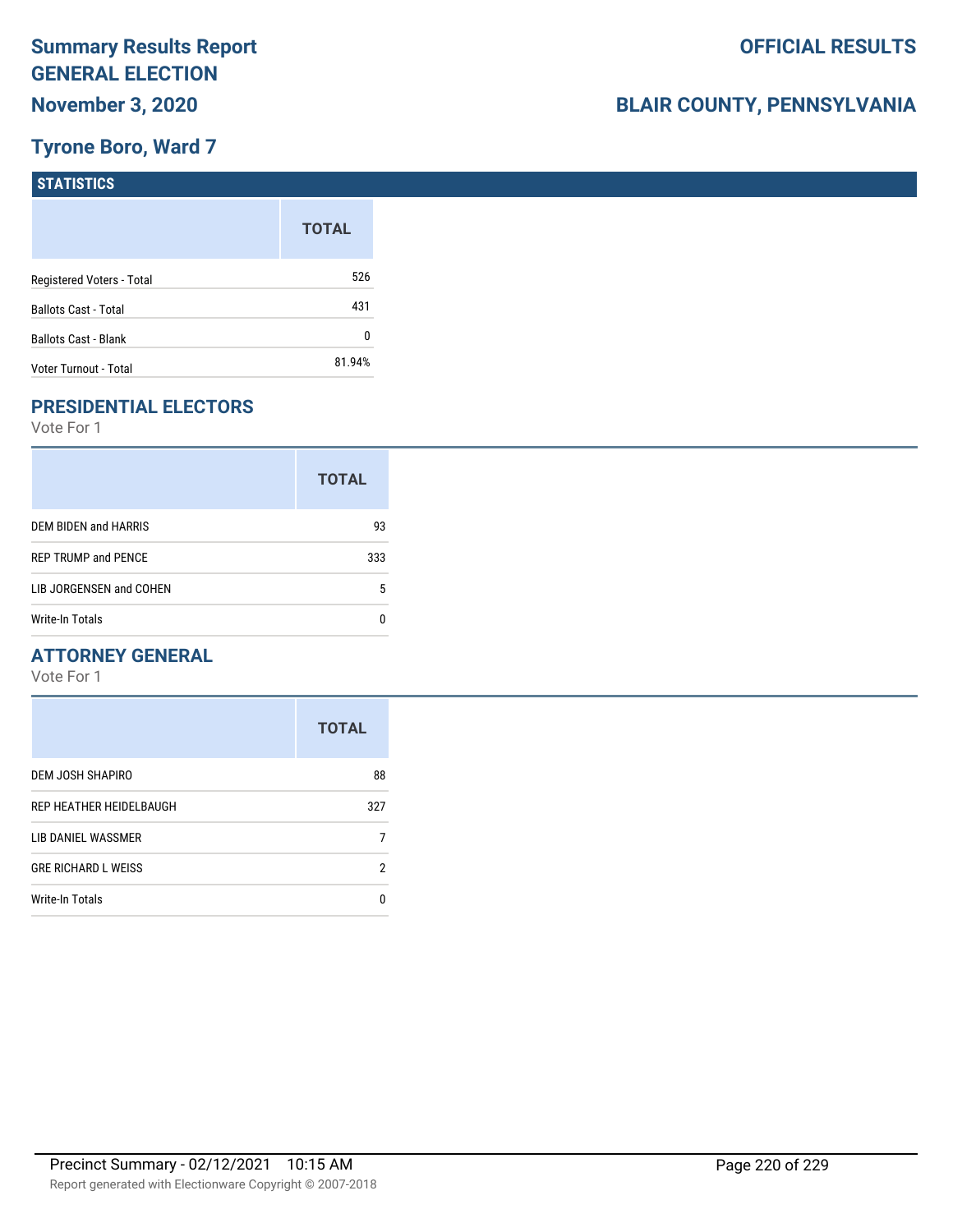## **Tyrone Boro, Ward 7**

| <b>STATISTICS</b>           |              |
|-----------------------------|--------------|
|                             | <b>TOTAL</b> |
| Registered Voters - Total   | 526          |
| <b>Ballots Cast - Total</b> | 431          |
| Ballots Cast - Blank        | 0            |
| Voter Turnout - Total       | 81.94%       |

## **PRESIDENTIAL ELECTORS**

Vote For 1

|                            | <b>TOTAL</b> |
|----------------------------|--------------|
| DEM BIDEN and HARRIS       | 93           |
| <b>REP TRUMP and PENCE</b> | 333          |
| LIB JORGENSEN and COHEN    | 5            |
| Write-In Totals            |              |

### **ATTORNEY GENERAL**

|                            | <b>TOTAL</b> |
|----------------------------|--------------|
| DEM JOSH SHAPIRO           | 88           |
| REP HEATHER HEIDELBAUGH    | 327          |
| LIB DANIEL WASSMER         |              |
| <b>GRE RICHARD L WEISS</b> | 2            |
| Write-In Totals            | n            |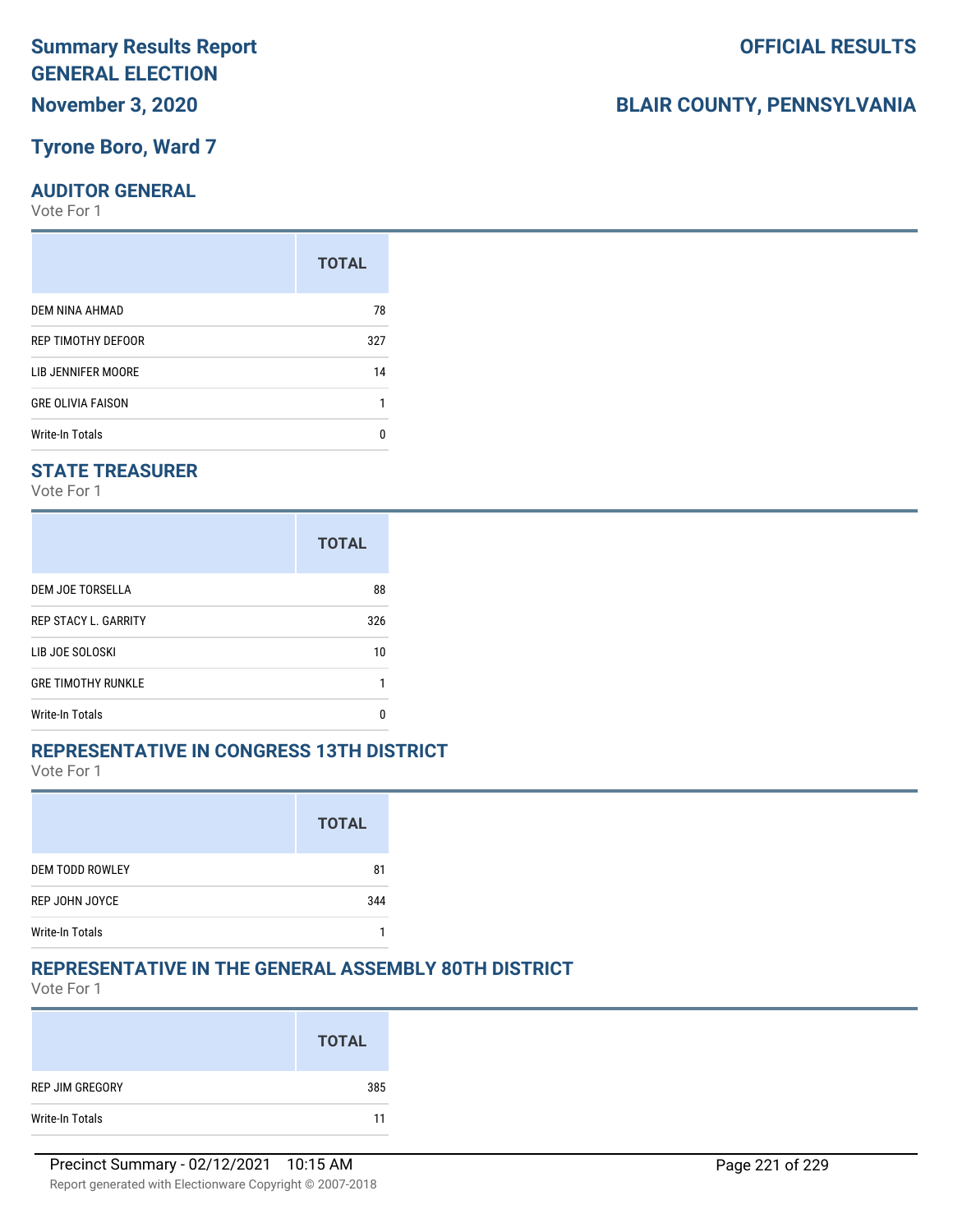### **Tyrone Boro, Ward 7**

### **AUDITOR GENERAL**

Vote For 1

|                          | <b>TOTAL</b> |
|--------------------------|--------------|
| DEM NINA AHMAD           | 78           |
| REP TIMOTHY DEFOOR       | 327          |
| LIB JENNIFER MOORE       | 14           |
| <b>GRE OLIVIA FAISON</b> |              |
| <b>Write-In Totals</b>   | n            |

### **STATE TREASURER**

Vote For 1

|                             | <b>TOTAL</b> |
|-----------------------------|--------------|
| DEM JOE TORSELLA            | 88           |
| <b>REP STACY L. GARRITY</b> | 326          |
| LIB JOE SOLOSKI             | 10           |
| <b>GRE TIMOTHY RUNKLE</b>   |              |
| Write-In Totals             | n            |

### **REPRESENTATIVE IN CONGRESS 13TH DISTRICT**

Vote For 1

|                        | <b>TOTAL</b> |
|------------------------|--------------|
| <b>DEM TODD ROWLEY</b> | 81           |
| REP JOHN JOYCE         | 344          |
| <b>Write-In Totals</b> |              |

## **REPRESENTATIVE IN THE GENERAL ASSEMBLY 80TH DISTRICT**

Vote For 1

|                 | <b>TOTAL</b> |
|-----------------|--------------|
| REP JIM GREGORY | 385          |
| Write-In Totals | 11           |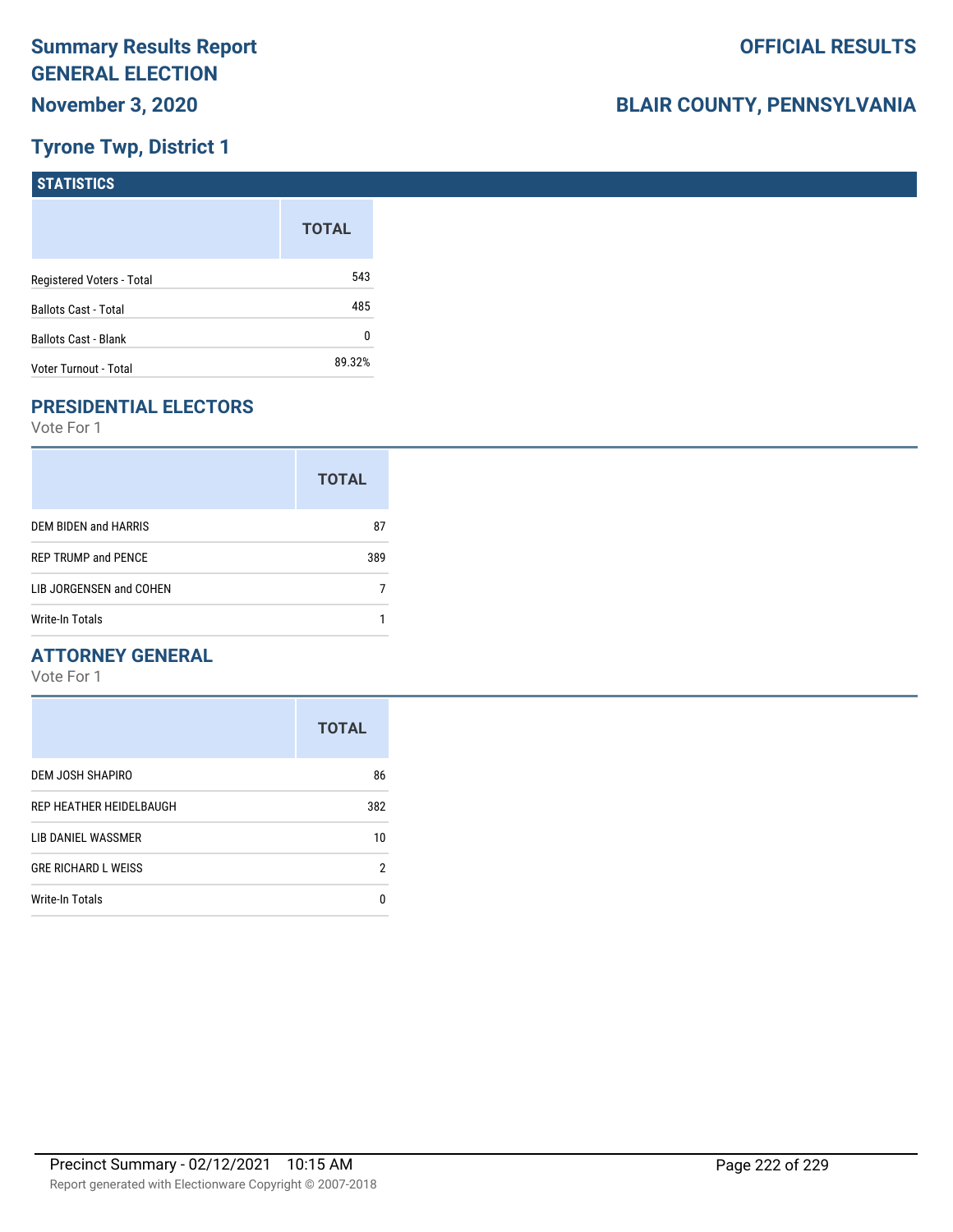## **Tyrone Twp, District 1**

| <b>STATISTICS</b>           |              |
|-----------------------------|--------------|
|                             | <b>TOTAL</b> |
| Registered Voters - Total   | 543          |
| <b>Ballots Cast - Total</b> | 485          |
| Ballots Cast - Blank        | 0            |
| Voter Turnout - Total       | 89.32%       |

## **PRESIDENTIAL ELECTORS**

Vote For 1

|                            | <b>TOTAL</b> |
|----------------------------|--------------|
| DEM BIDEN and HARRIS       | 87           |
| <b>REP TRUMP and PENCE</b> | 389          |
| LIB JORGENSEN and COHEN    |              |
| Write-In Totals            |              |

### **ATTORNEY GENERAL**

|                            | <b>TOTAL</b> |
|----------------------------|--------------|
| DEM JOSH SHAPIRO           | 86           |
| REP HEATHER HEIDELBAUGH    | 382          |
| LIB DANIEL WASSMER         | 10           |
| <b>GRE RICHARD L WEISS</b> | 2            |
| <b>Write-In Totals</b>     | 0            |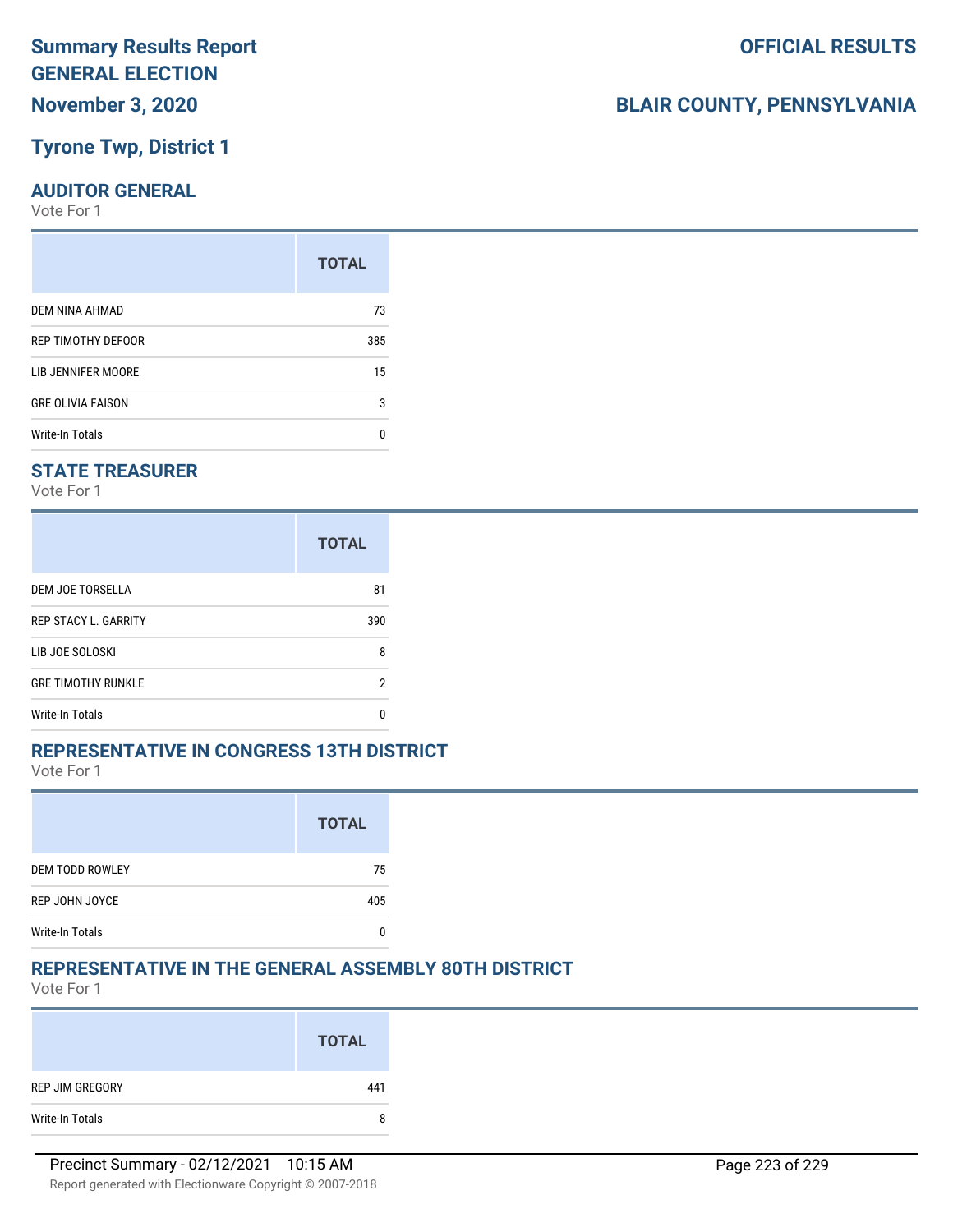## **Tyrone Twp, District 1**

### **AUDITOR GENERAL**

Vote For 1

|                          | <b>TOTAL</b> |
|--------------------------|--------------|
| <b>DEM NINA AHMAD</b>    | 73           |
| REP TIMOTHY DEFOOR       | 385          |
| LIB JENNIFER MOORE       | 15           |
| <b>GRE OLIVIA FAISON</b> | 3            |
| <b>Write-In Totals</b>   | n            |

### **STATE TREASURER**

Vote For 1

|                             | <b>TOTAL</b> |
|-----------------------------|--------------|
| DEM JOE TORSELLA            | 81           |
| <b>REP STACY L. GARRITY</b> | 390          |
| LIB JOE SOLOSKI             | 8            |
| <b>GRE TIMOTHY RUNKLE</b>   | 2            |
| Write-In Totals             | n            |

#### **REPRESENTATIVE IN CONGRESS 13TH DISTRICT**

Vote For 1

|                        | <b>TOTAL</b> |
|------------------------|--------------|
| <b>DEM TODD ROWLEY</b> | 75           |
| REP JOHN JOYCE         | 405          |
| <b>Write-In Totals</b> |              |

### **REPRESENTATIVE IN THE GENERAL ASSEMBLY 80TH DISTRICT**

Vote For 1

|                 | <b>TOTAL</b> |
|-----------------|--------------|
| REP JIM GREGORY | 441          |
| Write-In Totals | 8            |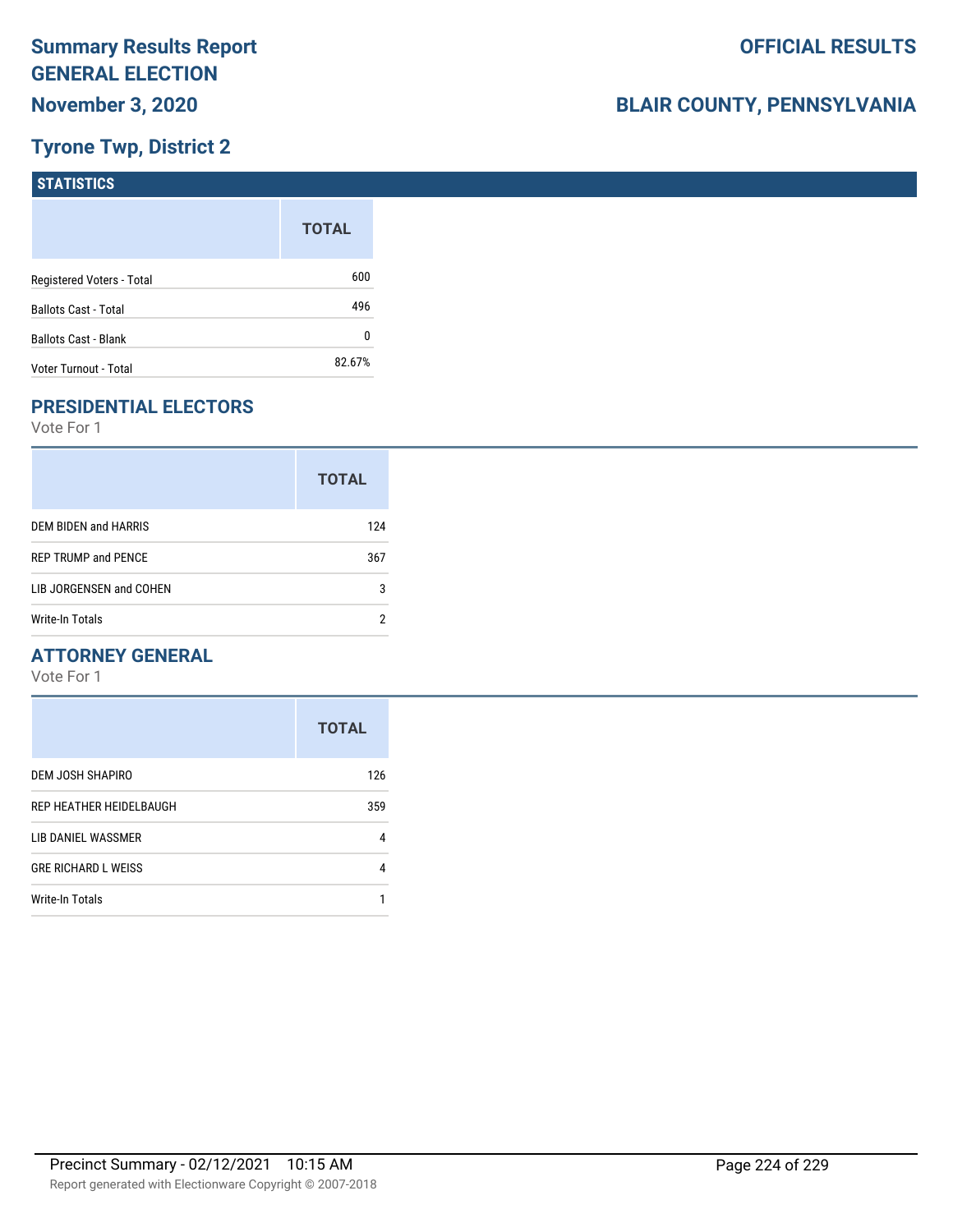## **Tyrone Twp, District 2**

| STATISTICS                  |              |
|-----------------------------|--------------|
|                             | <b>TOTAL</b> |
| Registered Voters - Total   | 600          |
| <b>Ballots Cast - Total</b> | 496          |
| <b>Ballots Cast - Blank</b> | 0            |
| Voter Turnout - Total       | 82.67%       |

## **PRESIDENTIAL ELECTORS**

Vote For 1

|                            | <b>TOTAL</b> |
|----------------------------|--------------|
| DEM BIDEN and HARRIS       | 124          |
| <b>REP TRUMP and PENCE</b> | 367          |
| LIB JORGENSEN and COHEN    | 3            |
| Write-In Totals            |              |

### **ATTORNEY GENERAL**

|                                | <b>TOTAL</b> |
|--------------------------------|--------------|
| DEM JOSH SHAPIRO               | 126          |
| <b>REP HEATHER HEIDELBAUGH</b> | 359          |
| LIB DANIEL WASSMER             | 4            |
| <b>GRE RICHARD L WEISS</b>     | 4            |
| <b>Write-In Totals</b>         |              |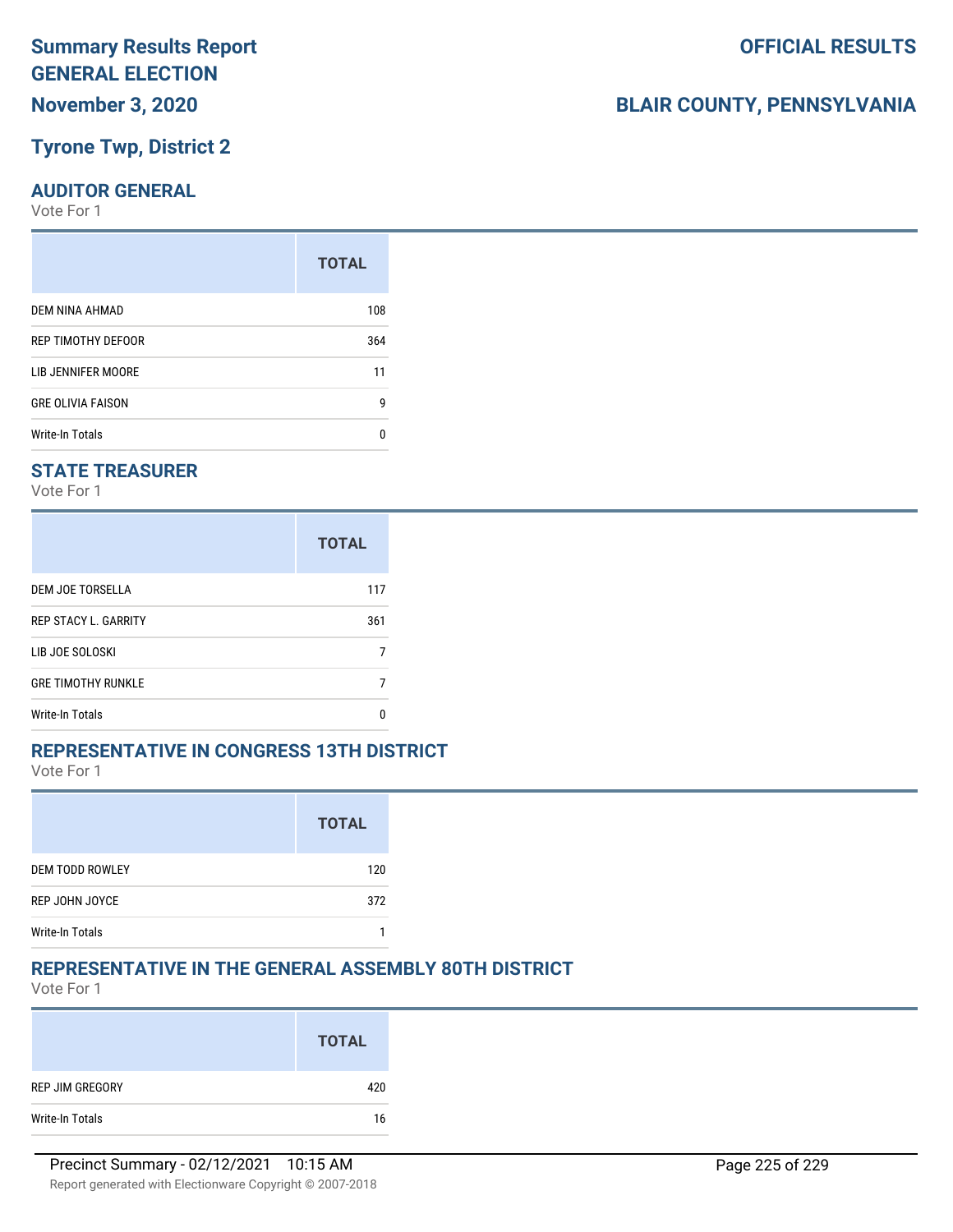## **Tyrone Twp, District 2**

### **AUDITOR GENERAL**

Vote For 1

|                          | <b>TOTAL</b> |
|--------------------------|--------------|
| DEM NINA AHMAD           | 108          |
| REP TIMOTHY DEFOOR       | 364          |
| LIB JENNIFER MOORE       | 11           |
| <b>GRE OLIVIA FAISON</b> | g            |
| Write-In Totals          | n            |

### **STATE TREASURER**

Vote For 1

|                             | <b>TOTAL</b> |
|-----------------------------|--------------|
| DEM JOE TORSELLA            | 117          |
| <b>REP STACY L. GARRITY</b> | 361          |
| LIB JOE SOLOSKI             |              |
| <b>GRE TIMOTHY RUNKLE</b>   |              |
| Write-In Totals             |              |

### **REPRESENTATIVE IN CONGRESS 13TH DISTRICT**

Vote For 1

|                        | <b>TOTAL</b> |
|------------------------|--------------|
| <b>DEM TODD ROWLEY</b> | 120          |
| REP JOHN JOYCE         | 372          |
| <b>Write-In Totals</b> |              |

### **REPRESENTATIVE IN THE GENERAL ASSEMBLY 80TH DISTRICT**

Vote For 1

|                 | <b>TOTAL</b> |
|-----------------|--------------|
| REP JIM GREGORY | 420          |
| Write-In Totals | 16           |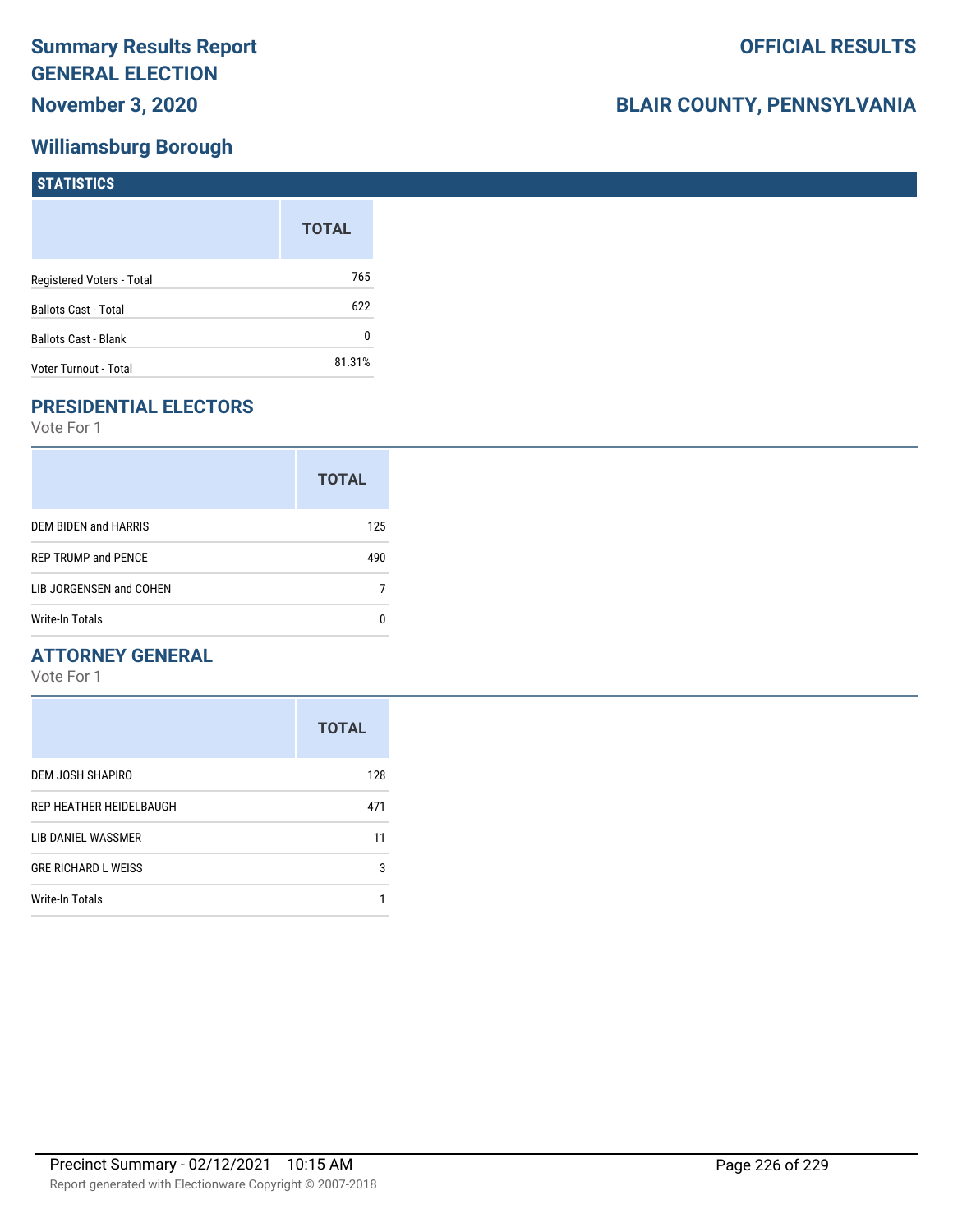## **Williamsburg Borough**

| STATISTICS                  |              |
|-----------------------------|--------------|
|                             | <b>TOTAL</b> |
| Registered Voters - Total   | 765          |
| <b>Ballots Cast - Total</b> | 622          |
| <b>Ballots Cast - Blank</b> | 0            |
| Voter Turnout - Total       | 81.31%       |

## **PRESIDENTIAL ELECTORS**

Vote For 1

|                            | <b>TOTAL</b> |
|----------------------------|--------------|
| DEM BIDEN and HARRIS       | 125          |
| <b>REP TRUMP and PENCE</b> | 490          |
| LIB JORGENSEN and COHEN    |              |
| Write-In Totals            |              |

### **ATTORNEY GENERAL**

|                            | <b>TOTAL</b> |
|----------------------------|--------------|
| DEM JOSH SHAPIRO           | 128          |
| REP HEATHER HEIDELBAUGH    | 471          |
| LIB DANIEL WASSMER         | 11           |
| <b>GRE RICHARD L WEISS</b> | 3            |
| Write-In Totals            |              |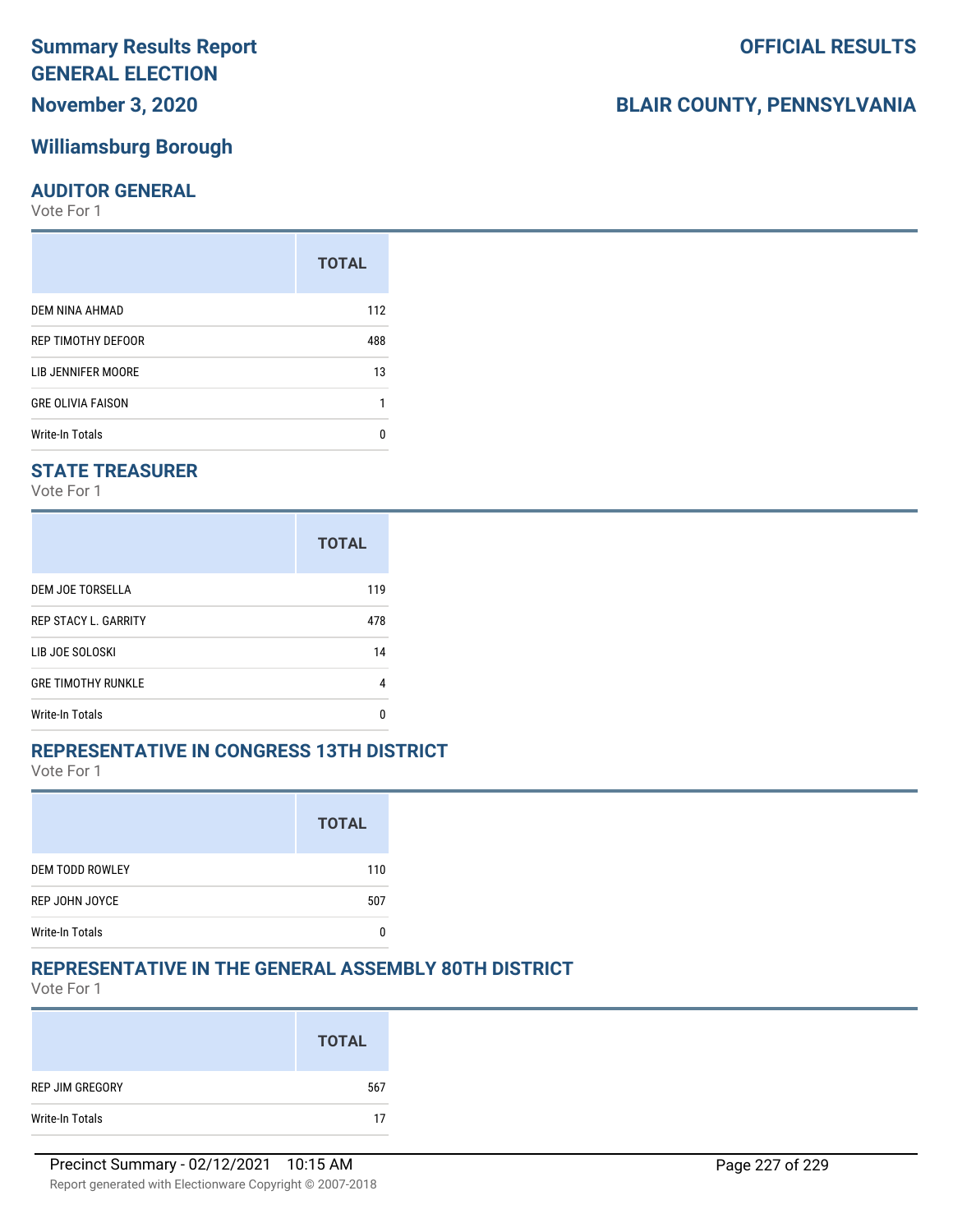# **Summary Results Report GENERAL ELECTION**

**November 3, 2020**

## **Williamsburg Borough**

### **AUDITOR GENERAL**

Vote For 1

| 112 |
|-----|
| 488 |
| 13  |
|     |
| n   |
|     |

### **STATE TREASURER**

Vote For 1

|                             | <b>TOTAL</b> |
|-----------------------------|--------------|
| DEM JOE TORSELLA            | 119          |
| <b>REP STACY L. GARRITY</b> | 478          |
| LIB JOE SOLOSKI             | 14           |
| <b>GRE TIMOTHY RUNKLE</b>   | 4            |
| Write-In Totals             | n            |

### **REPRESENTATIVE IN CONGRESS 13TH DISTRICT**

Vote For 1

|                        | <b>TOTAL</b> |
|------------------------|--------------|
| <b>DEM TODD ROWLEY</b> | 110          |
| REP JOHN JOYCE         | 507          |
| <b>Write-In Totals</b> |              |

## **REPRESENTATIVE IN THE GENERAL ASSEMBLY 80TH DISTRICT**

Vote For 1

|                 | <b>TOTAL</b> |
|-----------------|--------------|
| REP JIM GREGORY | 567          |
| Write-In Totals | 17           |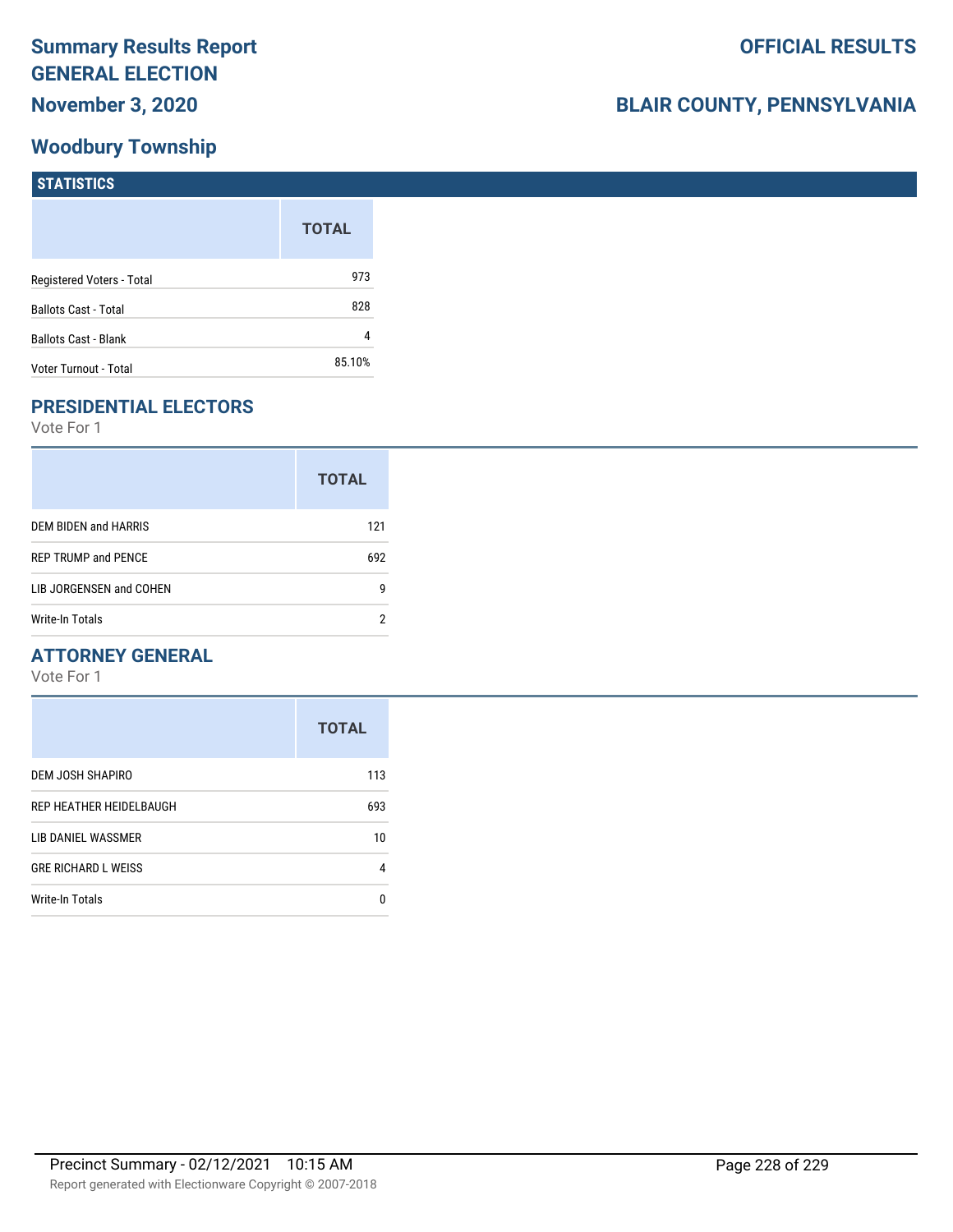## **Woodbury Township**

| STATISTICS                  |              |
|-----------------------------|--------------|
|                             | <b>TOTAL</b> |
| Registered Voters - Total   | 973          |
| <b>Ballots Cast - Total</b> | 828          |
| <b>Ballots Cast - Blank</b> | 4            |
| Voter Turnout - Total       | 85.10%       |

## **PRESIDENTIAL ELECTORS**

Vote For 1

|                            | <b>TOTAL</b> |
|----------------------------|--------------|
| DEM BIDEN and HARRIS       | 121          |
| <b>REP TRUMP and PENCE</b> | 692          |
| LIB JORGENSEN and COHEN    | g            |
| Write-In Totals            | າ            |

### **ATTORNEY GENERAL**

|                            | <b>TOTAL</b> |
|----------------------------|--------------|
| DEM JOSH SHAPIRO           | 113          |
| REP HEATHER HEIDELBAUGH    | 693          |
| LIB DANIEL WASSMER         | 10           |
| <b>GRE RICHARD L WEISS</b> | 4            |
| Write-In Totals            | n            |